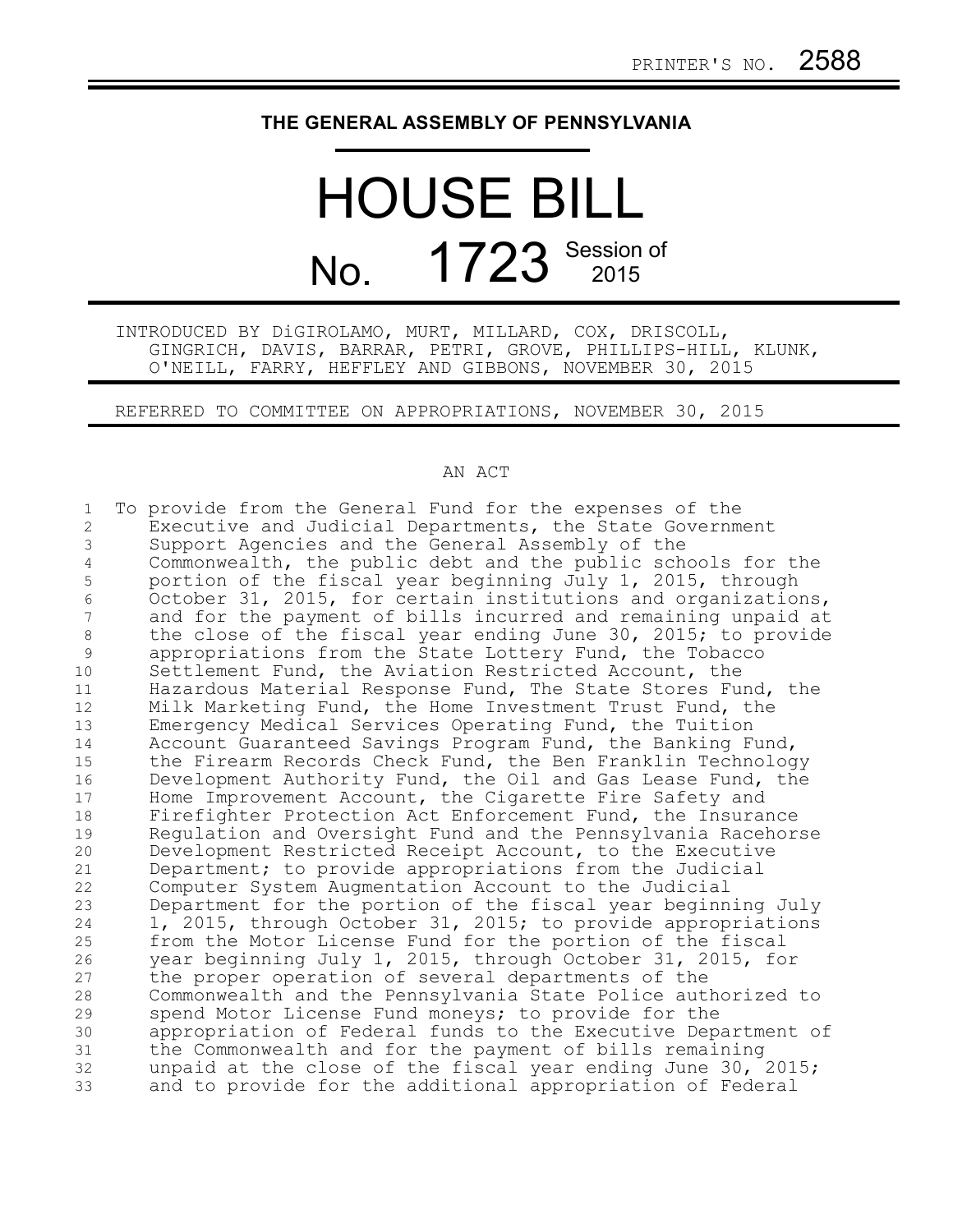## **THE GENERAL ASSEMBLY OF PENNSYLVANIA**

## HOUSE BILL No. 1723 Session of

INTRODUCED BY DiGIROLAMO, MURT, MILLARD, COX, DRISCOLL, GINGRICH, DAVIS, BARRAR, PETRI, GROVE, PHILLIPS-HILL, KLUNK, O'NEILL, FARRY, HEFFLEY AND GIBBONS, NOVEMBER 30, 2015

REFERRED TO COMMITTEE ON APPROPRIATIONS, NOVEMBER 30, 2015

## AN ACT

To provide from the General Fund for the expenses of the Executive and Judicial Departments, the State Government Support Agencies and the General Assembly of the Commonwealth, the public debt and the public schools for the portion of the fiscal year beginning July 1, 2015, through October 31, 2015, for certain institutions and organizations, and for the payment of bills incurred and remaining unpaid at the close of the fiscal year ending June 30, 2015; to provide appropriations from the State Lottery Fund, the Tobacco Settlement Fund, the Aviation Restricted Account, the Hazardous Material Response Fund, The State Stores Fund, the Milk Marketing Fund, the Home Investment Trust Fund, the Emergency Medical Services Operating Fund, the Tuition Account Guaranteed Savings Program Fund, the Banking Fund, the Firearm Records Check Fund, the Ben Franklin Technology Development Authority Fund, the Oil and Gas Lease Fund, the Home Improvement Account, the Cigarette Fire Safety and Firefighter Protection Act Enforcement Fund, the Insurance Regulation and Oversight Fund and the Pennsylvania Racehorse Development Restricted Receipt Account, to the Executive Department; to provide appropriations from the Judicial Computer System Augmentation Account to the Judicial Department for the portion of the fiscal year beginning July 1, 2015, through October 31, 2015; to provide appropriations from the Motor License Fund for the portion of the fiscal year beginning July 1, 2015, through October 31, 2015, for the proper operation of several departments of the Commonwealth and the Pennsylvania State Police authorized to spend Motor License Fund moneys; to provide for the appropriation of Federal funds to the Executive Department of the Commonwealth and for the payment of bills remaining unpaid at the close of the fiscal year ending June 30, 2015; and to provide for the additional appropriation of Federal 1 2 3 4 5 6 7 8 9 10 11 12 13 14 15 16 17 18 19 20 21 22 23 24 25 26 27 28 29 30 31 32 33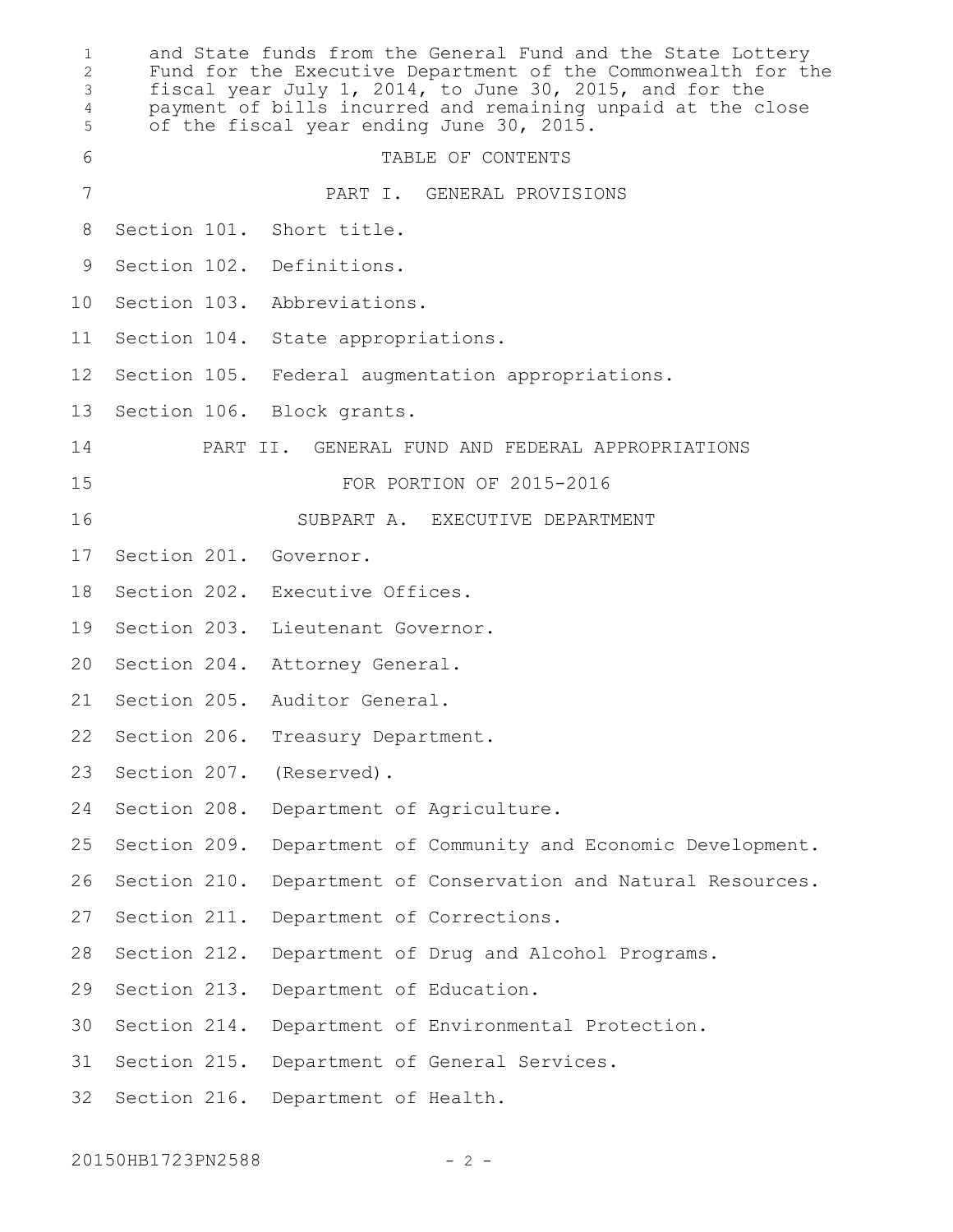and State funds from the General Fund and the State Lottery Fund for the Executive Department of the Commonwealth for the fiscal year July 1, 2014, to June 30, 2015, and for the payment of bills incurred and remaining unpaid at the close of the fiscal year ending June 30, 2015. TABLE OF CONTENTS PART I. GENERAL PROVISIONS Section 101. Short title. Section 102. Definitions. Section 103. Abbreviations. Section 104. State appropriations. Section 105. Federal augmentation appropriations. Section 106. Block grants. PART II. GENERAL FUND AND FEDERAL APPROPRIATIONS FOR PORTION OF 2015-2016 SUBPART A. EXECUTIVE DEPARTMENT Section 201. Governor. Section 202. Executive Offices. Section 203. Lieutenant Governor. 20 Section 204. Attorney General. Section 205. Auditor General. Section 206. Treasury Department. Section 207. (Reserved). Section 208. Department of Agriculture. Section 209. Department of Community and Economic Development. Section 210. Department of Conservation and Natural Resources. Section 211. Department of Corrections. Section 212. Department of Drug and Alcohol Programs. Section 213. Department of Education. 30 Section 214. Department of Environmental Protection. Section 215. Department of General Services. 32 Section 216. Department of Health. 1 2 3 4 5 6 7 8 9 10 11 12 13 14 15 16 17 18 19 21 22 23 24 25 26 27 28 29 31

20150HB1723PN2588 - 2 -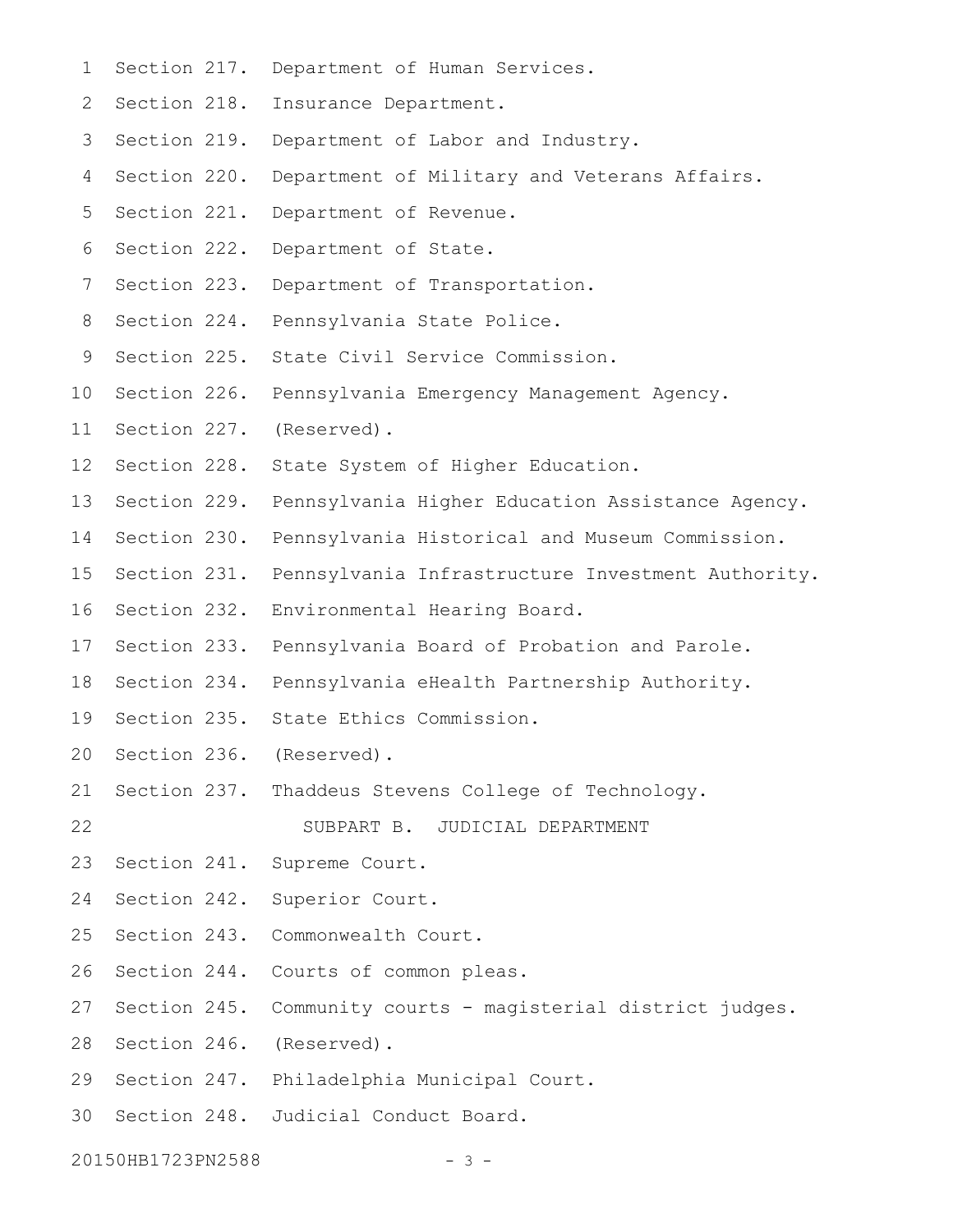Section 217. Department of Human Services. 2 Section 218. Insurance Department. 3 Section 219. Department of Labor and Industry. 4 Section 220. Department of Military and Veterans Affairs. 5 Section 221. Department of Revenue. 6 Section 222. Department of State. 7 Section 223. Department of Transportation. 8 Section 224. Pennsylvania State Police. 9 Section 225. State Civil Service Commission. 10 Section 226. Pennsylvania Emergency Management Agency. 11 Section 227. (Reserved). 12 Section 228. State System of Higher Education. 13 Section 229. Pennsylvania Higher Education Assistance Agency. 14 Section 230. Pennsylvania Historical and Museum Commission. 15 Section 231. Pennsylvania Infrastructure Investment Authority. 16 Section 232. Environmental Hearing Board. 17 Section 233. Pennsylvania Board of Probation and Parole. 18 Section 234. Pennsylvania eHealth Partnership Authority. 19 Section 235. State Ethics Commission. 20 Section 236. (Reserved). 21 Section 237. Thaddeus Stevens College of Technology. SUBPART B. JUDICIAL DEPARTMENT Section 241. Supreme Court. 24 Section 242. Superior Court. 25 Section 243. Commonwealth Court. 26 Section 244. Courts of common pleas. 27 Section 245. Community courts - magisterial district judges. 28 Section 246. (Reserved). 29 Section 247. Philadelphia Municipal Court. 30 Section 248. Judicial Conduct Board. 1 22 23

20150HB1723PN2588 - 3 -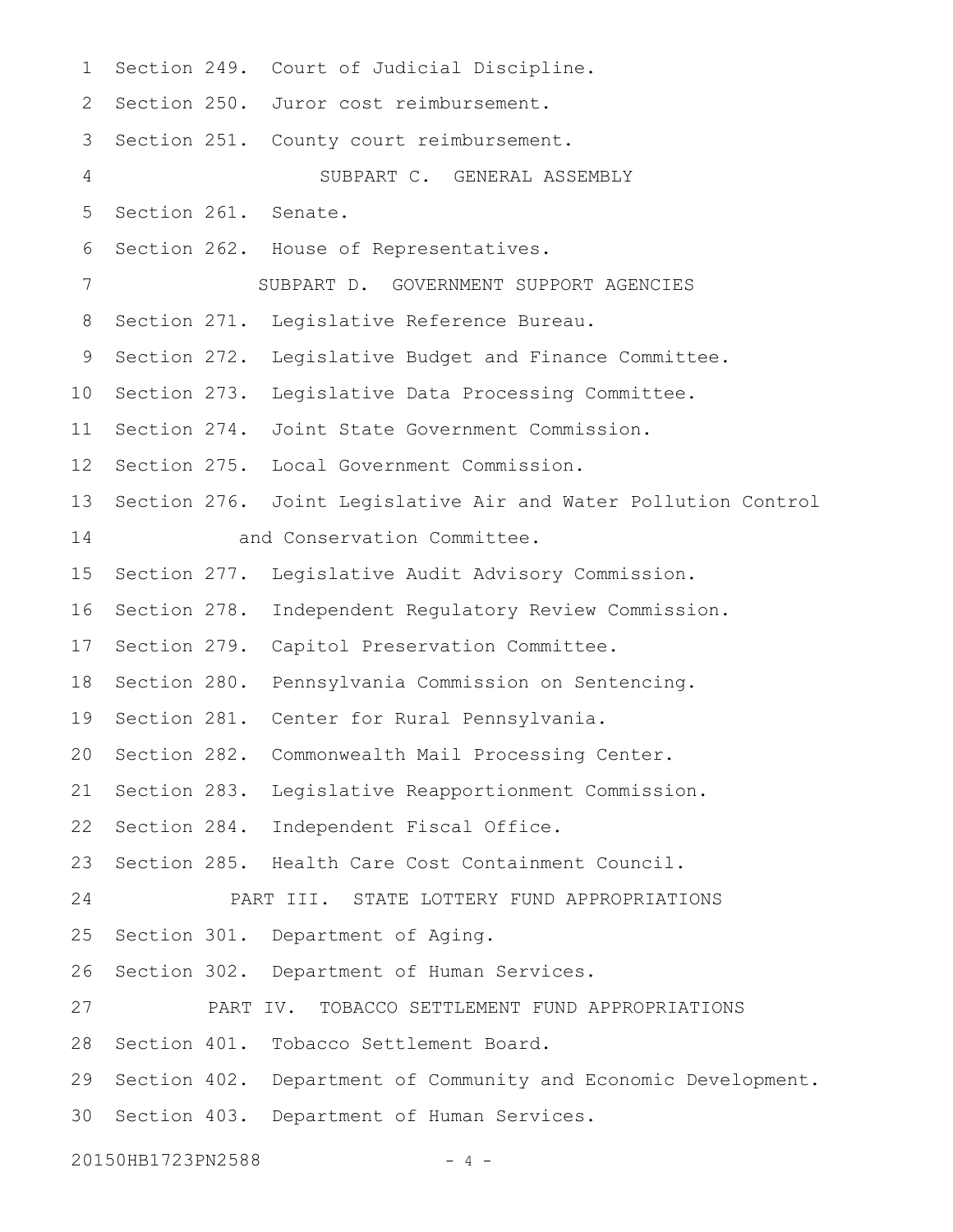Section 249. Court of Judicial Discipline. 2 Section 250. Juror cost reimbursement. 3 Section 251. County court reimbursement. SUBPART C. GENERAL ASSEMBLY 5 Section 261. Senate. Section 262. House of Representatives. SUBPART D. GOVERNMENT SUPPORT AGENCIES 8 Section 271. Legislative Reference Bureau. 9 Section 272. Legislative Budget and Finance Committee. 10 Section 273. Legislative Data Processing Committee. 11 Section 274. Joint State Government Commission. 12 Section 275. Local Government Commission. 13 Section 276. Joint Legislative Air and Water Pollution Control and Conservation Committee. 15 Section 277. Legislative Audit Advisory Commission. 16 Section 278. Independent Regulatory Review Commission. 17 Section 279. Capitol Preservation Committee. 18 Section 280. Pennsylvania Commission on Sentencing. 19 Section 281. Center for Rural Pennsylvania. 20 Section 282. Commonwealth Mail Processing Center. 21 Section 283. Legislative Reapportionment Commission. 22 Section 284. Independent Fiscal Office. 23 Section 285. Health Care Cost Containment Council. PART III. STATE LOTTERY FUND APPROPRIATIONS 25 Section 301. Department of Aging. 26 Section 302. Department of Human Services. PART IV. TOBACCO SETTLEMENT FUND APPROPRIATIONS 28 Section 401. Tobacco Settlement Board. 29 Section 402. Department of Community and Economic Development. 30 Section 403. Department of Human Services. 1 4 6 7 14 24 27

20150HB1723PN2588 - 4 -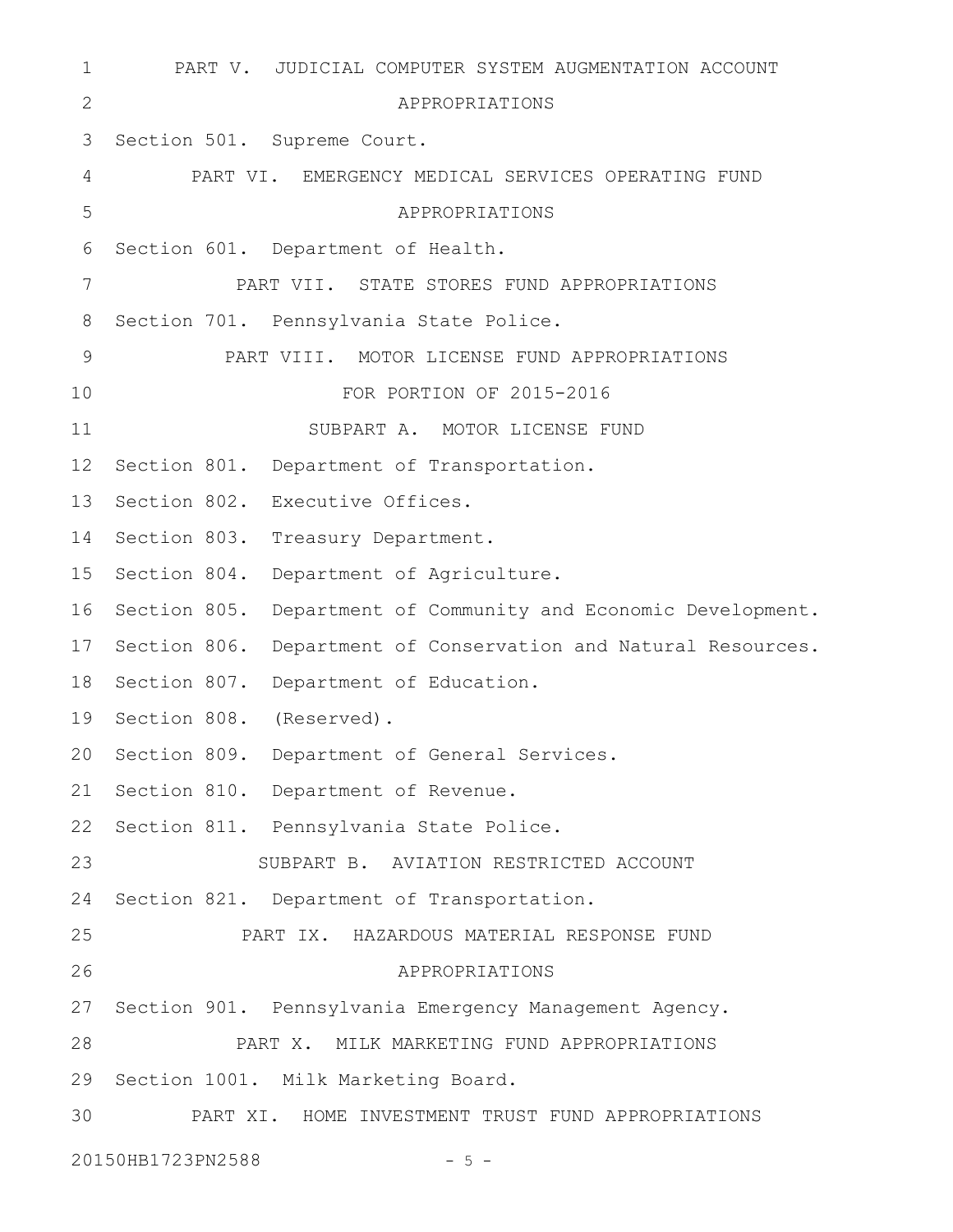```
PART V. JUDICIAL COMPUTER SYSTEM AUGMENTATION ACCOUNT
                            APPROPRIATIONS
   Section 501. Supreme Court.
          PART VI. EMERGENCY MEDICAL SERVICES OPERATING FUND
                            APPROPRIATIONS
   Section 601. Department of Health.
              PART VII. STATE STORES FUND APPROPRIATIONS
   Section 701. Pennsylvania State Police.
             PART VIII. MOTOR LICENSE FUND APPROPRIATIONS
                       FOR PORTION OF 2015-2016
                    SUBPART A. MOTOR LICENSE FUND
12 Section 801. Department of Transportation.
13 Section 802. Executive Offices.
14 Section 803. Treasury Department.
15 Section 804. Department of Agriculture.
16 Section 805. Department of Community and Economic Development.
17 Section 806. Department of Conservation and Natural Resources.
18 Section 807. Department of Education.
19 Section 808. (Reserved).
20 Section 809. Department of General Services.
21 Section 810. Department of Revenue.
22 Section 811. Pennsylvania State Police.
                SUBPART B. AVIATION RESTRICTED ACCOUNT
24 Section 821. Department of Transportation.
              PART IX. HAZARDOUS MATERIAL RESPONSE FUND
                            APPROPRIATIONS
27 Section 901. Pennsylvania Emergency Management Agency.
              PART X. MILK MARKETING FUND APPROPRIATIONS
29 Section 1001. Milk Marketing Board.
          PART XI. HOME INVESTMENT TRUST FUND APPROPRIATIONS
20150HB1723PN2588 - 5 -
 1
 2
 3
 4
 5
 6
7
 8
9
10
11
23
25
26
28
30
```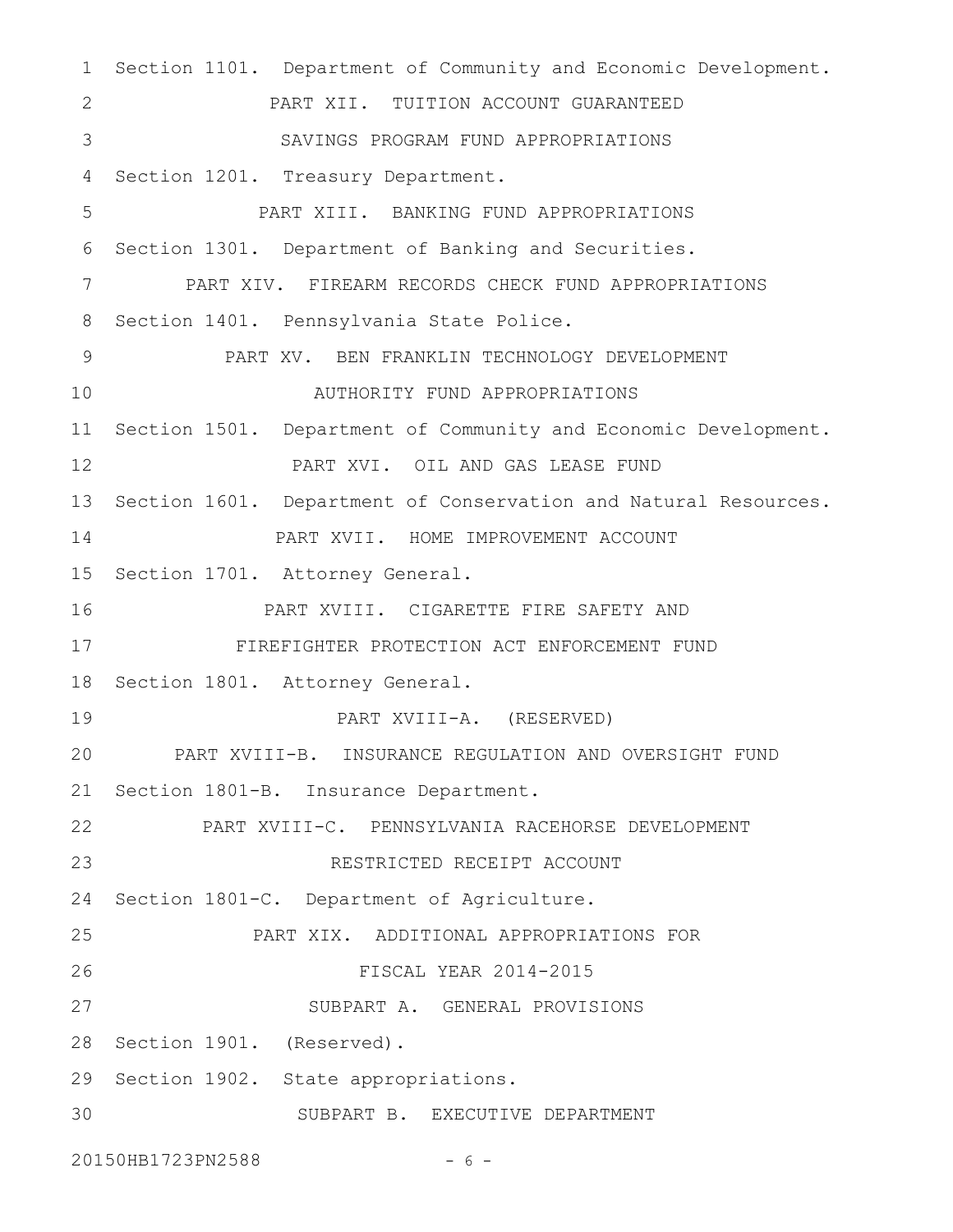1 Section 1101. Department of Community and Economic Development. PART XII. TUITION ACCOUNT GUARANTEED SAVINGS PROGRAM FUND APPROPRIATIONS 4 Section 1201. Treasury Department. PART XIII. BANKING FUND APPROPRIATIONS 6 Section 1301. Department of Banking and Securities. PART XIV. FIREARM RECORDS CHECK FUND APPROPRIATIONS 8 Section 1401. Pennsylvania State Police. PART XV. BEN FRANKLIN TECHNOLOGY DEVELOPMENT AUTHORITY FUND APPROPRIATIONS 11 Section 1501. Department of Community and Economic Development. PART XVI. OIL AND GAS LEASE FUND 13 Section 1601. Department of Conservation and Natural Resources. PART XVII. HOME IMPROVEMENT ACCOUNT 15 Section 1701. Attorney General. PART XVIII. CIGARETTE FIRE SAFETY AND FIREFIGHTER PROTECTION ACT ENFORCEMENT FUND 18 Section 1801. Attorney General. PART XVIII-A. (RESERVED) PART XVIII-B. INSURANCE REGULATION AND OVERSIGHT FUND 21 Section 1801-B. Insurance Department. PART XVIII-C. PENNSYLVANIA RACEHORSE DEVELOPMENT RESTRICTED RECEIPT ACCOUNT 24 Section 1801-C. Department of Agriculture. PART XIX. ADDITIONAL APPROPRIATIONS FOR FISCAL YEAR 2014-2015 SUBPART A. GENERAL PROVISIONS 28 Section 1901. (Reserved). 29 Section 1902. State appropriations. SUBPART B. EXECUTIVE DEPARTMENT 2 3 5 7 9 10 12 14 16 17 19 20 22 23 25 26 27 30

20150HB1723PN2588 - 6 -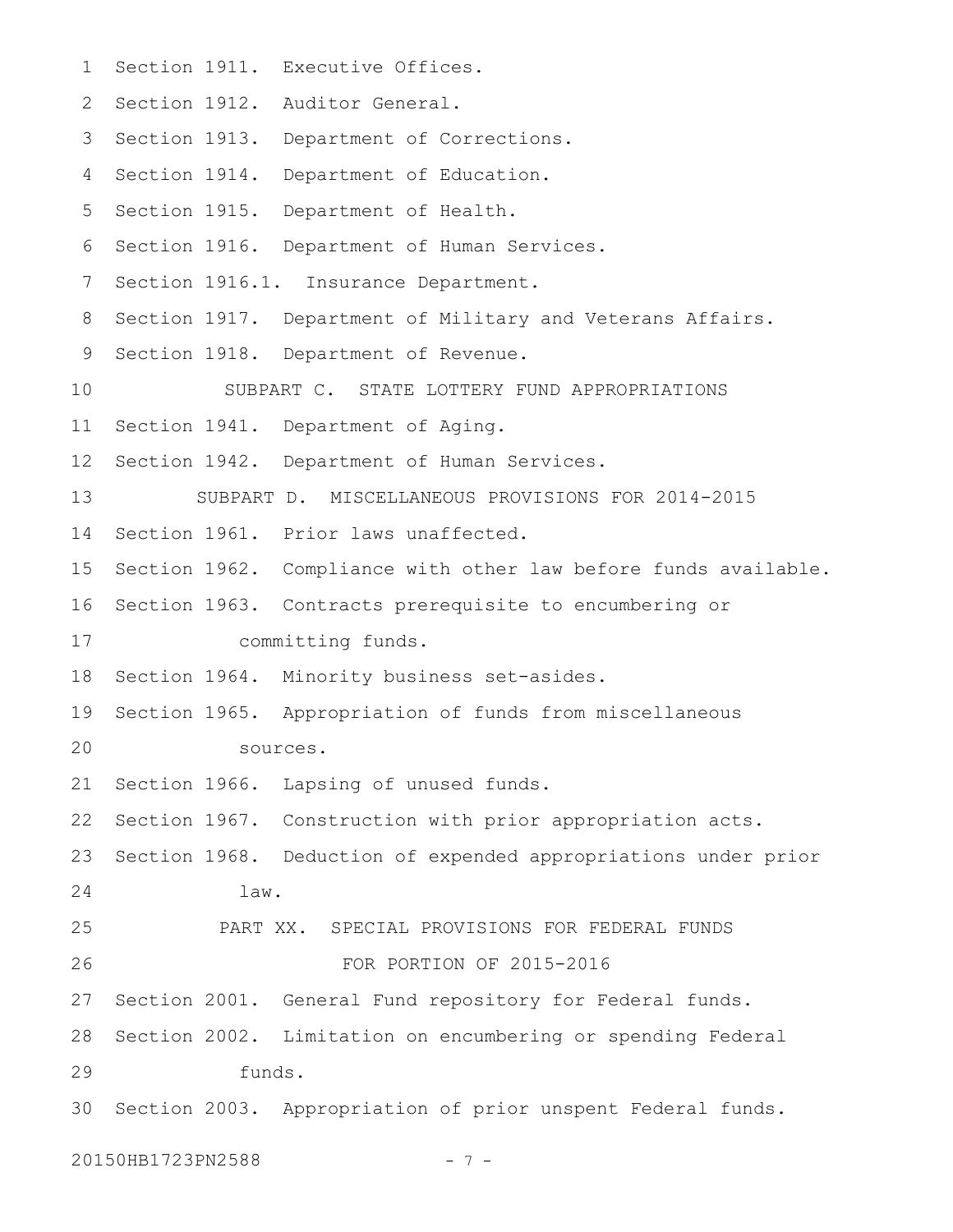Section 1911. Executive Offices. 2 Section 1912. Auditor General. 3 Section 1913. Department of Corrections. 4 Section 1914. Department of Education. 5 Section 1915. Department of Health. 6 Section 1916. Department of Human Services. 7 Section 1916.1. Insurance Department. 8 Section 1917. Department of Military and Veterans Affairs. 9 Section 1918. Department of Revenue. SUBPART C. STATE LOTTERY FUND APPROPRIATIONS 11 Section 1941. Department of Aging. 12 Section 1942. Department of Human Services. SUBPART D. MISCELLANEOUS PROVISIONS FOR 2014-2015 14 Section 1961. Prior laws unaffected. 15 Section 1962. Compliance with other law before funds available. 16 Section 1963. Contracts prerequisite to encumbering or committing funds. 18 Section 1964. Minority business set-asides. 19 Section 1965. Appropriation of funds from miscellaneous sources. 21 Section 1966. Lapsing of unused funds. 22 Section 1967. Construction with prior appropriation acts. 23 Section 1968. Deduction of expended appropriations under prior law. PART XX. SPECIAL PROVISIONS FOR FEDERAL FUNDS FOR PORTION OF 2015-2016 27 Section 2001. General Fund repository for Federal funds. 28 Section 2002. Limitation on encumbering or spending Federal funds. 30 Section 2003. Appropriation of prior unspent Federal funds. 1 10 13 17 20 24 25 26 29

20150HB1723PN2588 - 7 -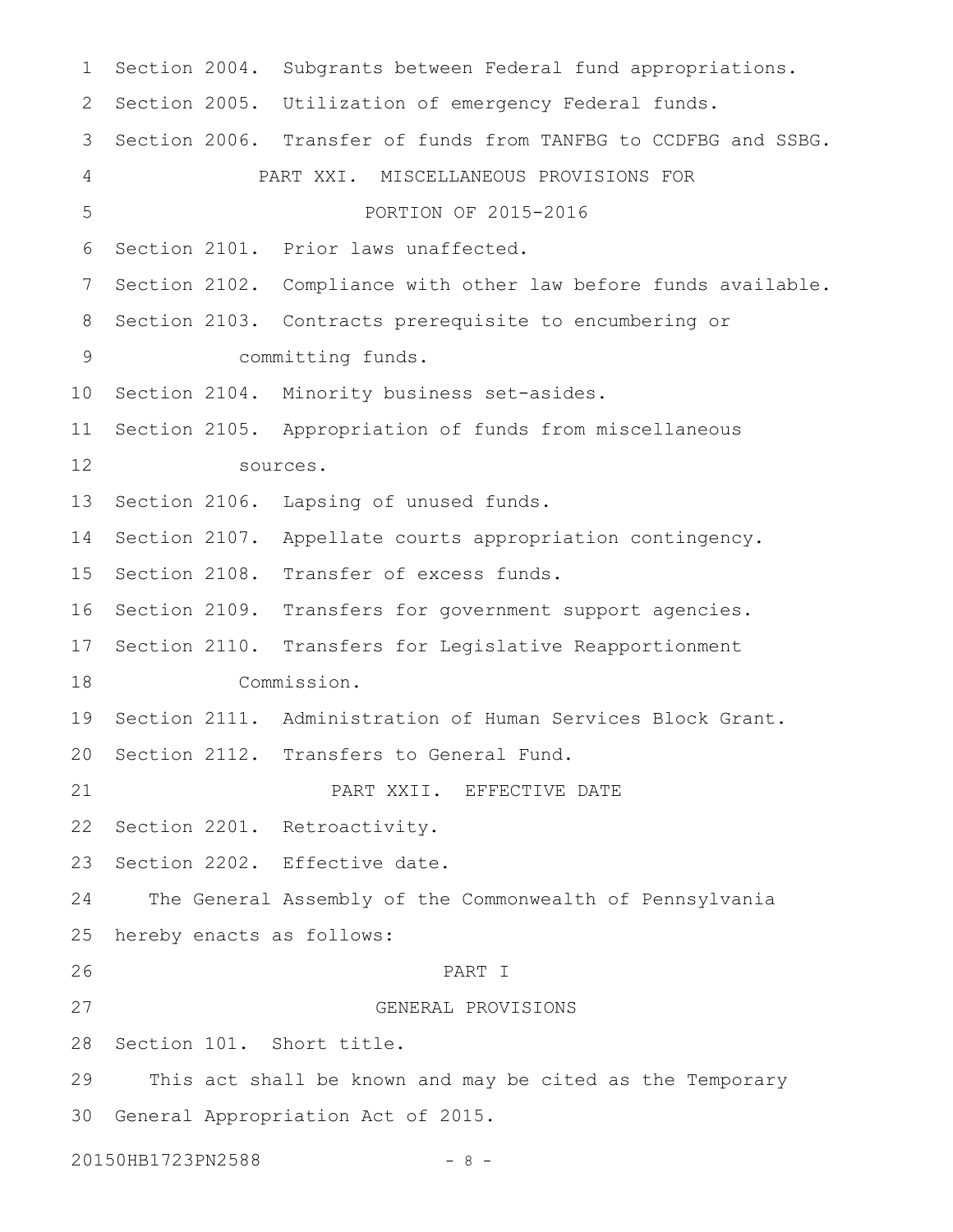1 Section 2004. Subgrants between Federal fund appropriations. 2 Section 2005. Utilization of emergency Federal funds. 3 Section 2006. Transfer of funds from TANFBG to CCDFBG and SSBG. PART XXI. MISCELLANEOUS PROVISIONS FOR PORTION OF 2015-2016 6 Section 2101. Prior laws unaffected. 7 Section 2102. Compliance with other law before funds available. 8 Section 2103. Contracts prerequisite to encumbering or committing funds. 10 Section 2104. Minority business set-asides. 11 Section 2105. Appropriation of funds from miscellaneous sources. 13 Section 2106. Lapsing of unused funds. 14 Section 2107. Appellate courts appropriation contingency. 15 Section 2108. Transfer of excess funds. 16 Section 2109. Transfers for government support agencies. 17 Section 2110. Transfers for Legislative Reapportionment Commission. 19 Section 2111. Administration of Human Services Block Grant. 20 Section 2112. Transfers to General Fund. PART XXII. EFFECTIVE DATE 22 Section 2201. Retroactivity. 23 Section 2202. Effective date. The General Assembly of the Commonwealth of Pennsylvania hereby enacts as follows: PART I GENERAL PROVISIONS 28 Section 101. Short title. This act shall be known and may be cited as the Temporary 30 General Appropriation Act of 2015. 20150HB1723PN2588 - 8 -4 5 9 12 18 21 24 25 26 27 29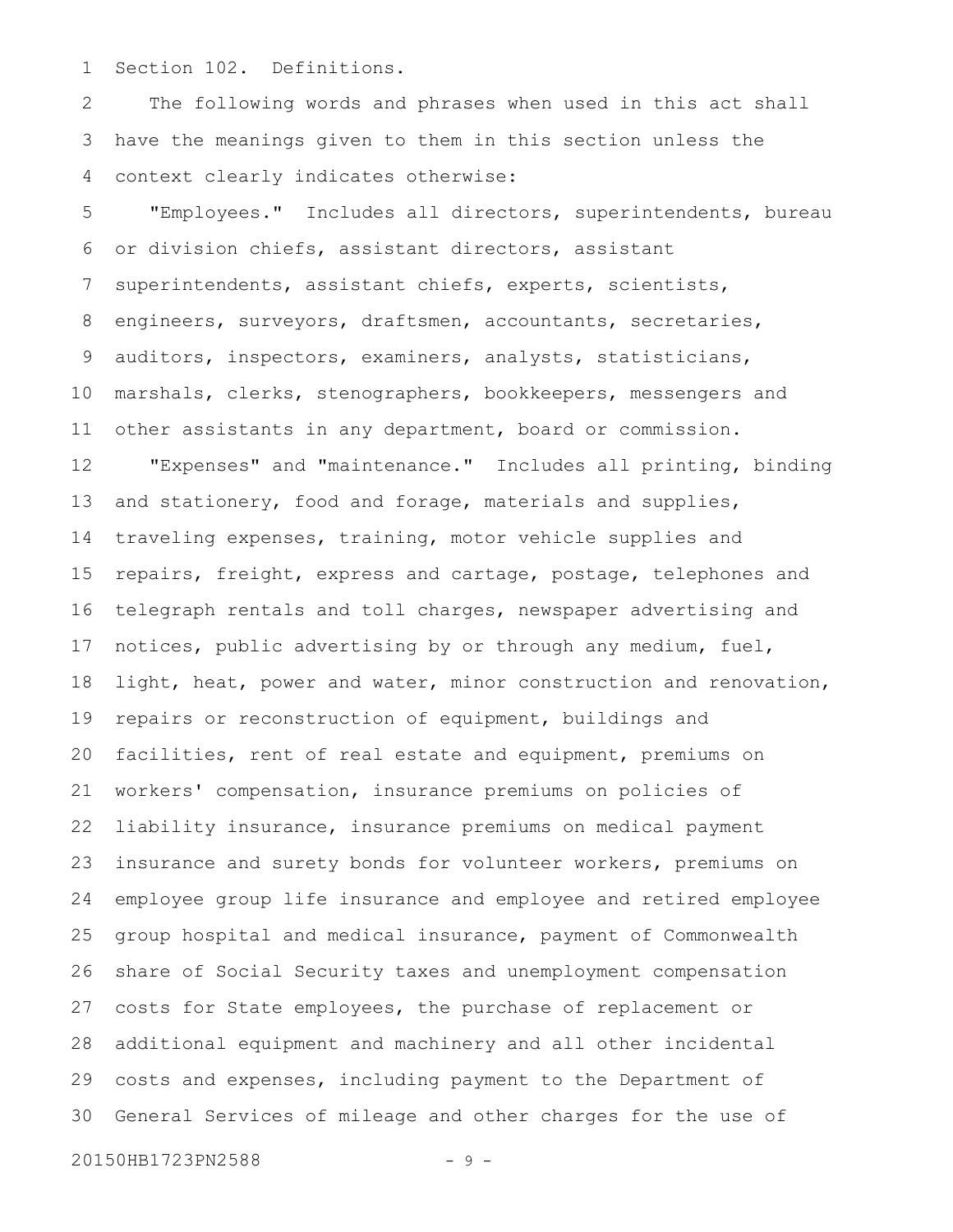Section 102. Definitions. 1

The following words and phrases when used in this act shall have the meanings given to them in this section unless the context clearly indicates otherwise: 2 3 4

"Employees." Includes all directors, superintendents, bureau or division chiefs, assistant directors, assistant superintendents, assistant chiefs, experts, scientists, engineers, surveyors, draftsmen, accountants, secretaries, auditors, inspectors, examiners, analysts, statisticians, marshals, clerks, stenographers, bookkeepers, messengers and other assistants in any department, board or commission. "Expenses" and "maintenance." Includes all printing, binding and stationery, food and forage, materials and supplies, traveling expenses, training, motor vehicle supplies and repairs, freight, express and cartage, postage, telephones and telegraph rentals and toll charges, newspaper advertising and notices, public advertising by or through any medium, fuel, light, heat, power and water, minor construction and renovation, repairs or reconstruction of equipment, buildings and facilities, rent of real estate and equipment, premiums on workers' compensation, insurance premiums on policies of liability insurance, insurance premiums on medical payment insurance and surety bonds for volunteer workers, premiums on employee group life insurance and employee and retired employee group hospital and medical insurance, payment of Commonwealth share of Social Security taxes and unemployment compensation costs for State employees, the purchase of replacement or additional equipment and machinery and all other incidental costs and expenses, including payment to the Department of General Services of mileage and other charges for the use of 5 6 7 8 9 10 11 12 13 14 15 16 17 18 19 20 21 22 23 24 25 26 27 28 29 30

20150HB1723PN2588 - 9 -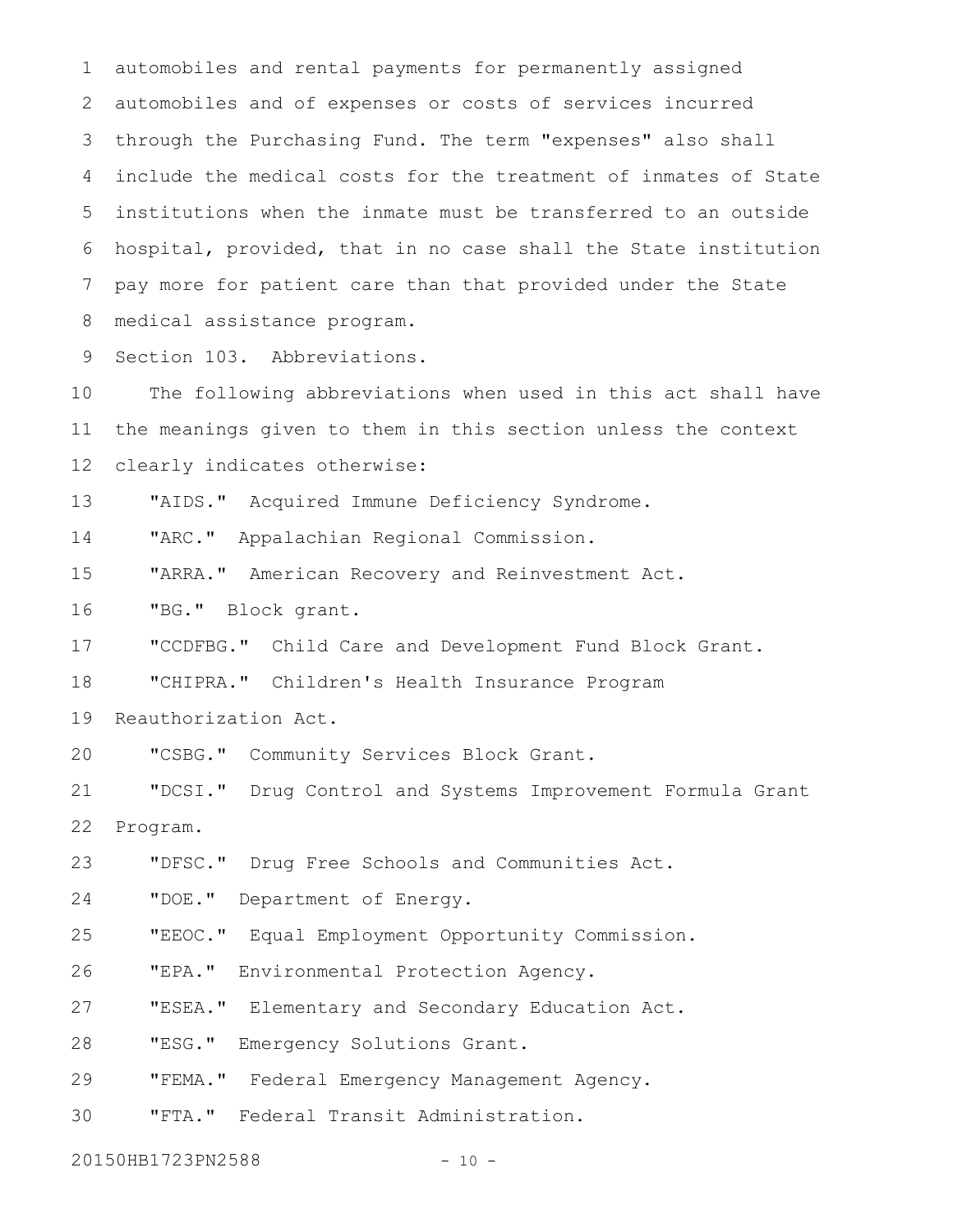automobiles and rental payments for permanently assigned automobiles and of expenses or costs of services incurred through the Purchasing Fund. The term "expenses" also shall include the medical costs for the treatment of inmates of State institutions when the inmate must be transferred to an outside hospital, provided, that in no case shall the State institution pay more for patient care than that provided under the State medical assistance program. 1 2 3 4 5 6 7 8

Section 103. Abbreviations. 9

The following abbreviations when used in this act shall have the meanings given to them in this section unless the context clearly indicates otherwise: 10 11 12

"AIDS." Acquired Immune Deficiency Syndrome. 13

"ARC." Appalachian Regional Commission. 14

"ARRA." American Recovery and Reinvestment Act. 15

"BG." Block grant. 16

"CCDFBG." Child Care and Development Fund Block Grant. 17

"CHIPRA." Children's Health Insurance Program 18

Reauthorization Act. 19

"CSBG." Community Services Block Grant. 20

"DCSI." Drug Control and Systems Improvement Formula Grant Program. 21 22

"DFSC." Drug Free Schools and Communities Act. 23

"DOE." Department of Energy. 24

"EEOC." Equal Employment Opportunity Commission. 25

"EPA." Environmental Protection Agency. 26

"ESEA." Elementary and Secondary Education Act. 27

"ESG." Emergency Solutions Grant. 28

"FEMA." Federal Emergency Management Agency. 29

"FTA." Federal Transit Administration. 30

20150HB1723PN2588 - 10 -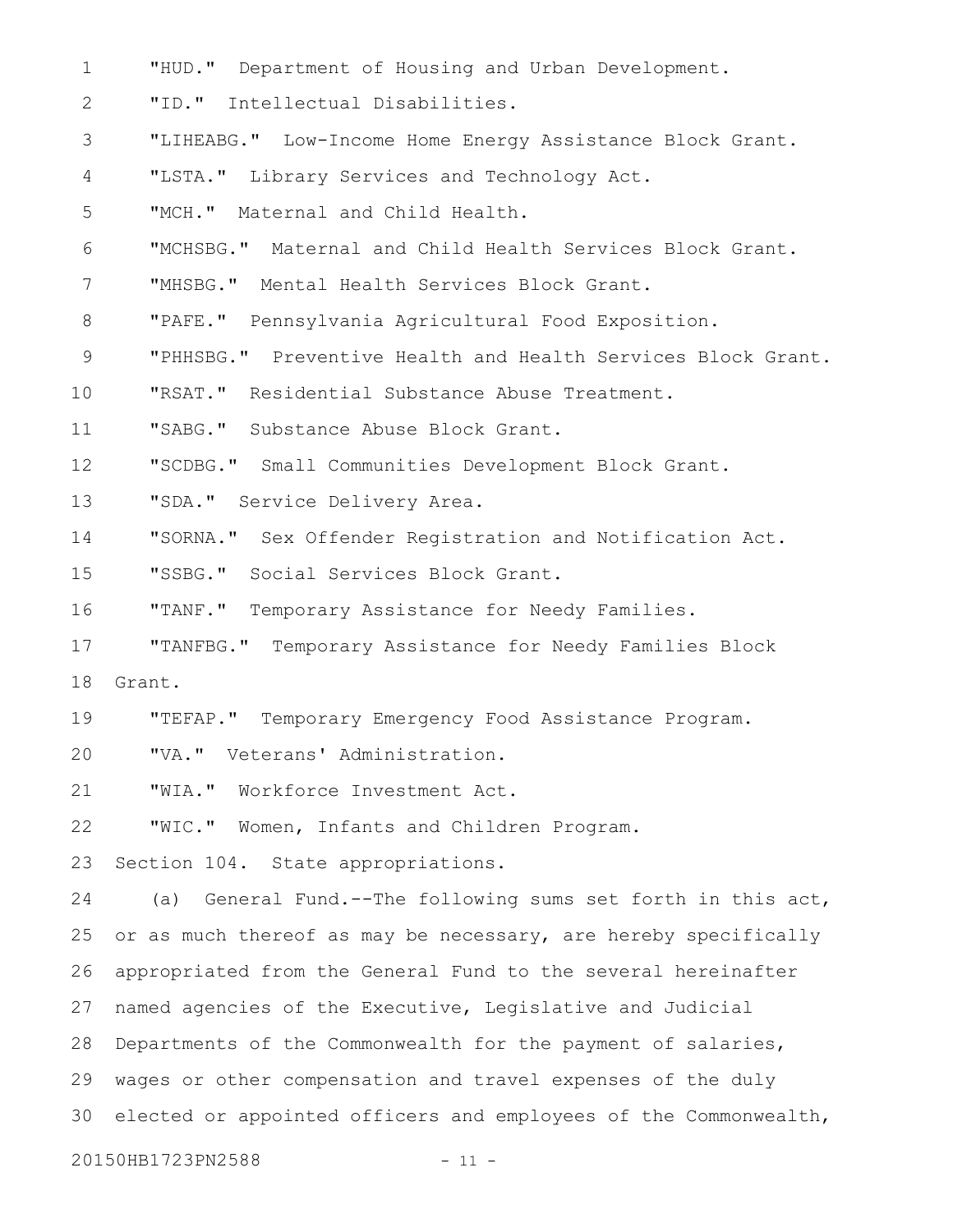"HUD." Department of Housing and Urban Development. 1

"ID." Intellectual Disabilities. 2

- "LIHEABG." Low-Income Home Energy Assistance Block Grant. 3
- "LSTA." Library Services and Technology Act. 4

"MCH." Maternal and Child Health. 5

"MCHSBG." Maternal and Child Health Services Block Grant. 6

"MHSBG." Mental Health Services Block Grant. 7

"PAFE." Pennsylvania Agricultural Food Exposition. 8

"PHHSBG." Preventive Health and Health Services Block Grant. 9

"RSAT." Residential Substance Abuse Treatment. 10

"SABG." Substance Abuse Block Grant. 11

"SCDBG." Small Communities Development Block Grant. 12

- "SDA." Service Delivery Area. 13
- "SORNA." Sex Offender Registration and Notification Act. 14
- "SSBG." Social Services Block Grant. 15

"TANF." Temporary Assistance for Needy Families. 16

"TANFBG." Temporary Assistance for Needy Families Block Grant. 17 18

"TEFAP." Temporary Emergency Food Assistance Program. 19

"VA." Veterans' Administration. 20

"WIA." Workforce Investment Act. 21

"WIC." Women, Infants and Children Program. 22

Section 104. State appropriations. 23

(a) General Fund.--The following sums set forth in this act, or as much thereof as may be necessary, are hereby specifically appropriated from the General Fund to the several hereinafter named agencies of the Executive, Legislative and Judicial Departments of the Commonwealth for the payment of salaries, wages or other compensation and travel expenses of the duly elected or appointed officers and employees of the Commonwealth, 24 25 26 27 28 29 30

20150HB1723PN2588 - 11 -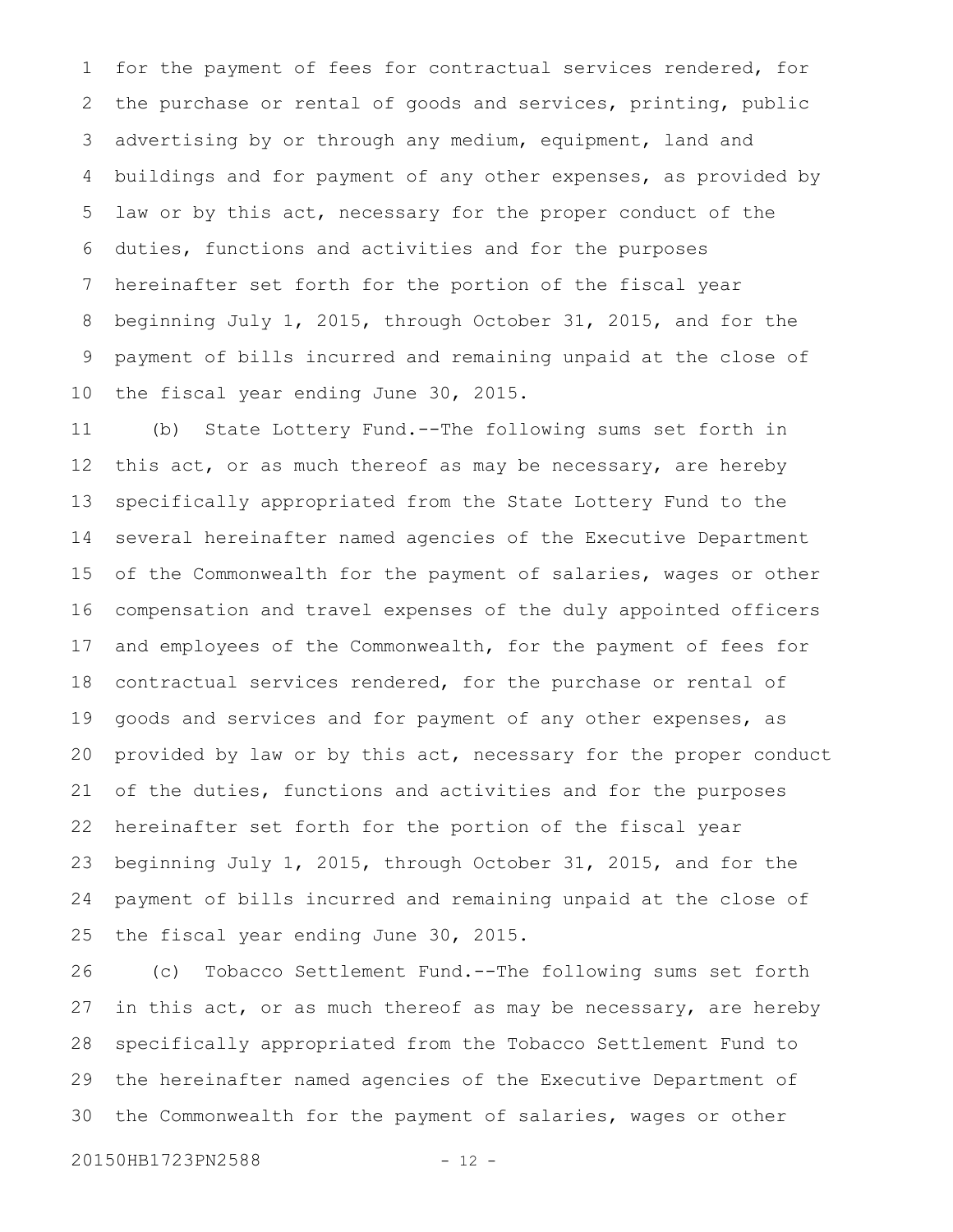for the payment of fees for contractual services rendered, for the purchase or rental of goods and services, printing, public advertising by or through any medium, equipment, land and buildings and for payment of any other expenses, as provided by law or by this act, necessary for the proper conduct of the duties, functions and activities and for the purposes hereinafter set forth for the portion of the fiscal year beginning July 1, 2015, through October 31, 2015, and for the payment of bills incurred and remaining unpaid at the close of the fiscal year ending June 30, 2015. 1 2 3 4 5 6 7 8 9 10

(b) State Lottery Fund.--The following sums set forth in this act, or as much thereof as may be necessary, are hereby specifically appropriated from the State Lottery Fund to the several hereinafter named agencies of the Executive Department of the Commonwealth for the payment of salaries, wages or other compensation and travel expenses of the duly appointed officers and employees of the Commonwealth, for the payment of fees for contractual services rendered, for the purchase or rental of goods and services and for payment of any other expenses, as provided by law or by this act, necessary for the proper conduct of the duties, functions and activities and for the purposes hereinafter set forth for the portion of the fiscal year beginning July 1, 2015, through October 31, 2015, and for the payment of bills incurred and remaining unpaid at the close of the fiscal year ending June 30, 2015. 11 12 13 14 15 16 17 18 19 20 21 22 23 24 25

(c) Tobacco Settlement Fund.--The following sums set forth in this act, or as much thereof as may be necessary, are hereby specifically appropriated from the Tobacco Settlement Fund to the hereinafter named agencies of the Executive Department of the Commonwealth for the payment of salaries, wages or other 26 27 28 29 30

20150HB1723PN2588 - 12 -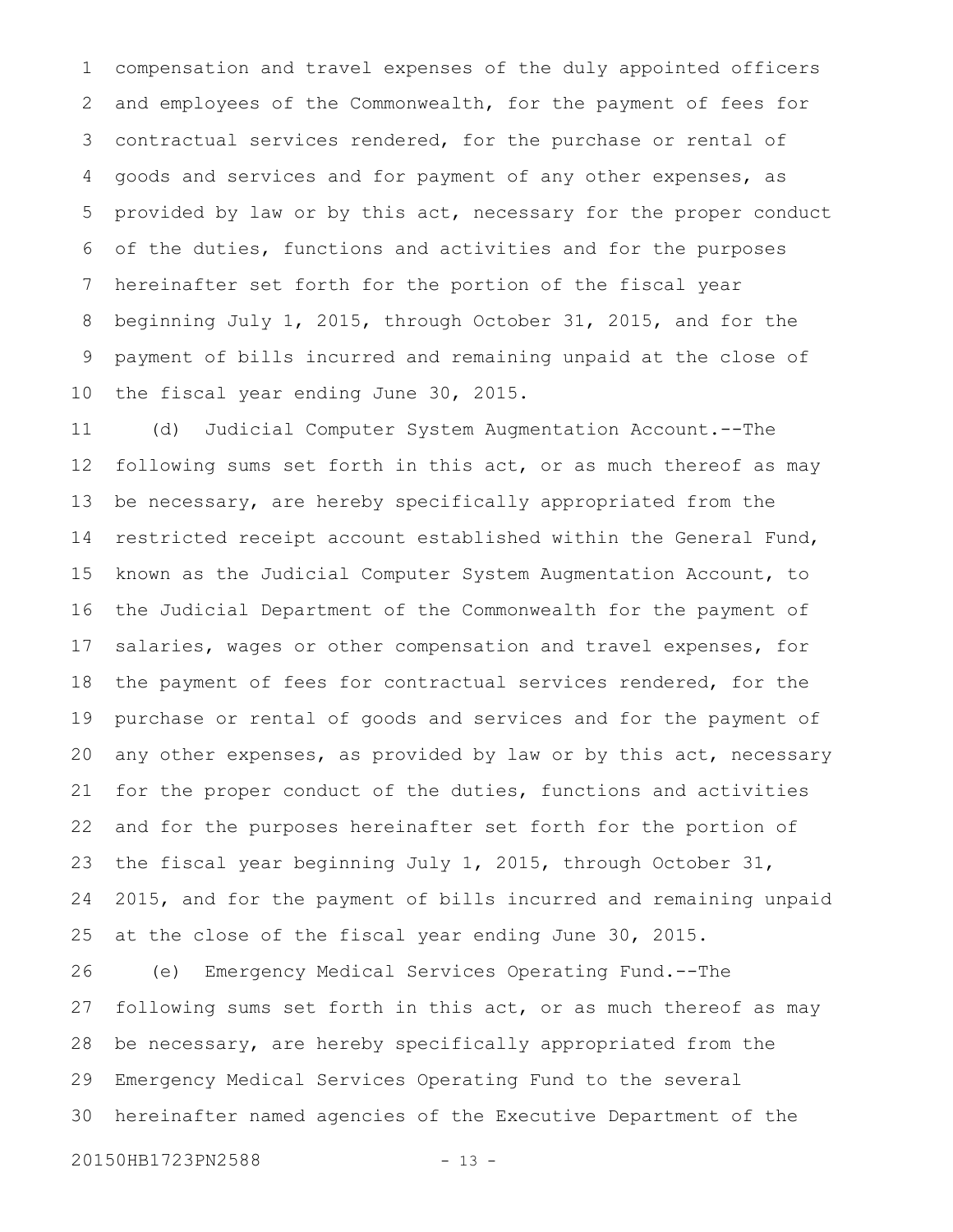compensation and travel expenses of the duly appointed officers and employees of the Commonwealth, for the payment of fees for contractual services rendered, for the purchase or rental of goods and services and for payment of any other expenses, as provided by law or by this act, necessary for the proper conduct of the duties, functions and activities and for the purposes hereinafter set forth for the portion of the fiscal year beginning July 1, 2015, through October 31, 2015, and for the payment of bills incurred and remaining unpaid at the close of the fiscal year ending June 30, 2015. 1 2 3 4 5 6 7 8 9 10

(d) Judicial Computer System Augmentation Account.--The following sums set forth in this act, or as much thereof as may be necessary, are hereby specifically appropriated from the restricted receipt account established within the General Fund, known as the Judicial Computer System Augmentation Account, to the Judicial Department of the Commonwealth for the payment of salaries, wages or other compensation and travel expenses, for the payment of fees for contractual services rendered, for the purchase or rental of goods and services and for the payment of any other expenses, as provided by law or by this act, necessary for the proper conduct of the duties, functions and activities and for the purposes hereinafter set forth for the portion of the fiscal year beginning July 1, 2015, through October 31, 2015, and for the payment of bills incurred and remaining unpaid at the close of the fiscal year ending June 30, 2015. 11 12 13 14 15 16 17 18 19 20 21 22 23 24 25

(e) Emergency Medical Services Operating Fund.--The following sums set forth in this act, or as much thereof as may be necessary, are hereby specifically appropriated from the Emergency Medical Services Operating Fund to the several hereinafter named agencies of the Executive Department of the 26 27 28 29 30

```
20150HB1723PN2588 - 13 -
```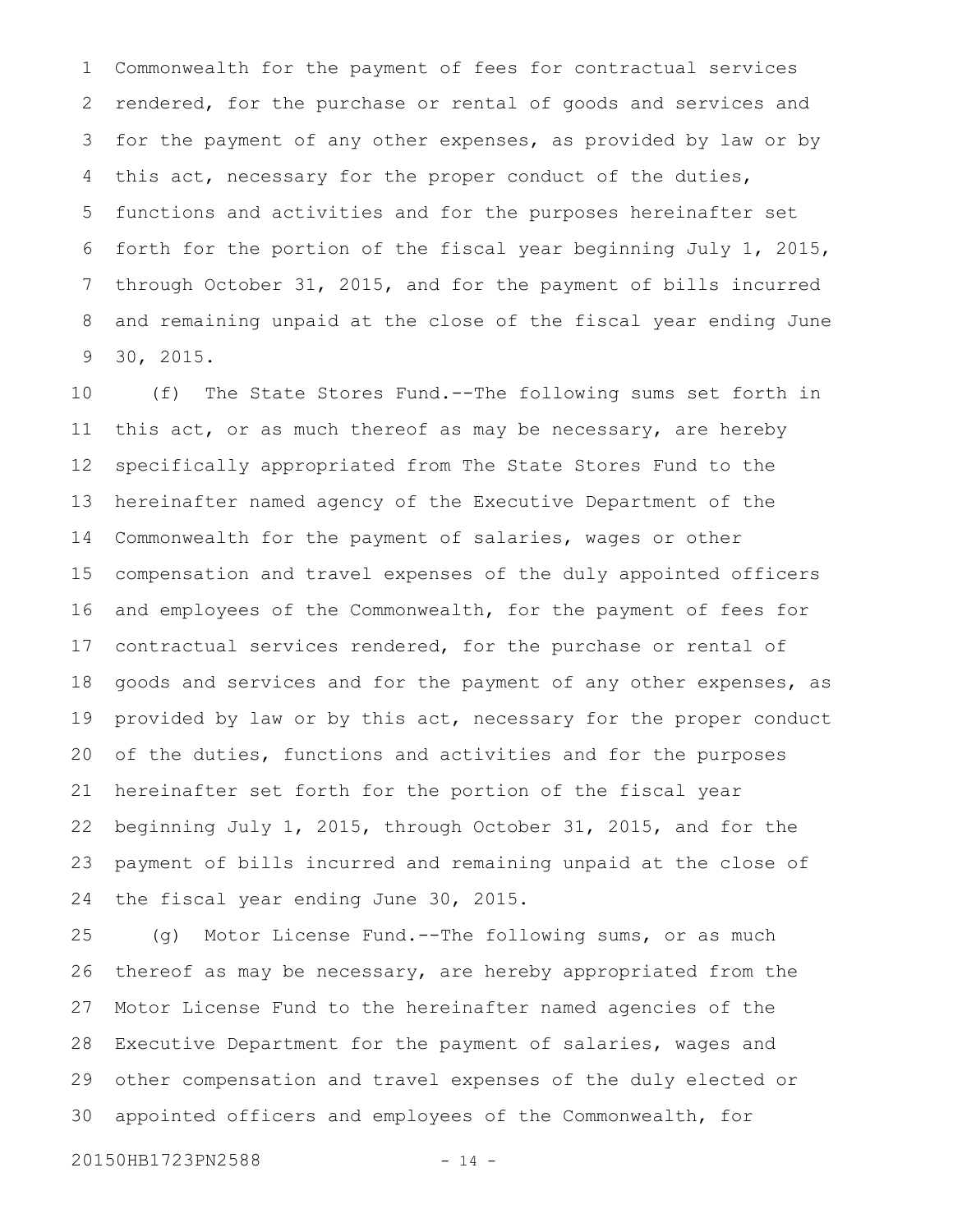Commonwealth for the payment of fees for contractual services rendered, for the purchase or rental of goods and services and for the payment of any other expenses, as provided by law or by this act, necessary for the proper conduct of the duties, functions and activities and for the purposes hereinafter set forth for the portion of the fiscal year beginning July 1, 2015, through October 31, 2015, and for the payment of bills incurred and remaining unpaid at the close of the fiscal year ending June 30, 2015. 1 2 3 4 5 6 7 8 9

(f) The State Stores Fund.--The following sums set forth in this act, or as much thereof as may be necessary, are hereby specifically appropriated from The State Stores Fund to the hereinafter named agency of the Executive Department of the Commonwealth for the payment of salaries, wages or other compensation and travel expenses of the duly appointed officers and employees of the Commonwealth, for the payment of fees for contractual services rendered, for the purchase or rental of goods and services and for the payment of any other expenses, as provided by law or by this act, necessary for the proper conduct of the duties, functions and activities and for the purposes hereinafter set forth for the portion of the fiscal year beginning July 1, 2015, through October 31, 2015, and for the payment of bills incurred and remaining unpaid at the close of the fiscal year ending June 30, 2015. 10 11 12 13 14 15 16 17 18 19 20 21 22 23 24

(g) Motor License Fund.--The following sums, or as much thereof as may be necessary, are hereby appropriated from the Motor License Fund to the hereinafter named agencies of the Executive Department for the payment of salaries, wages and other compensation and travel expenses of the duly elected or appointed officers and employees of the Commonwealth, for 25 26 27 28 29 30

20150HB1723PN2588 - 14 -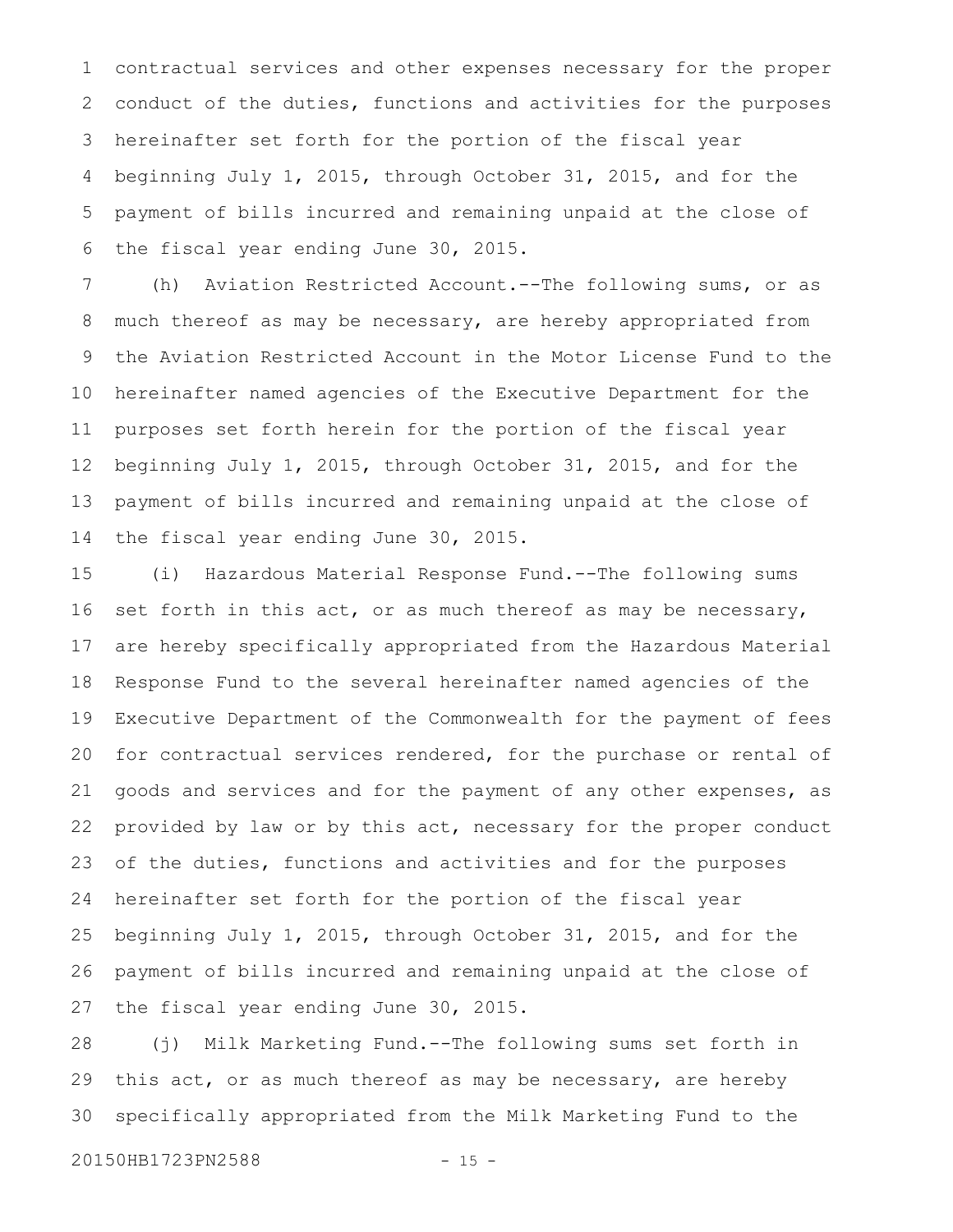contractual services and other expenses necessary for the proper conduct of the duties, functions and activities for the purposes hereinafter set forth for the portion of the fiscal year beginning July 1, 2015, through October 31, 2015, and for the payment of bills incurred and remaining unpaid at the close of the fiscal year ending June 30, 2015. 1 2 3 4 5 6

(h) Aviation Restricted Account.--The following sums, or as much thereof as may be necessary, are hereby appropriated from the Aviation Restricted Account in the Motor License Fund to the hereinafter named agencies of the Executive Department for the purposes set forth herein for the portion of the fiscal year beginning July 1, 2015, through October 31, 2015, and for the payment of bills incurred and remaining unpaid at the close of the fiscal year ending June 30, 2015. 7 8 9 10 11 12 13 14

(i) Hazardous Material Response Fund.--The following sums set forth in this act, or as much thereof as may be necessary, are hereby specifically appropriated from the Hazardous Material Response Fund to the several hereinafter named agencies of the Executive Department of the Commonwealth for the payment of fees for contractual services rendered, for the purchase or rental of goods and services and for the payment of any other expenses, as provided by law or by this act, necessary for the proper conduct of the duties, functions and activities and for the purposes hereinafter set forth for the portion of the fiscal year beginning July 1, 2015, through October 31, 2015, and for the payment of bills incurred and remaining unpaid at the close of the fiscal year ending June 30, 2015. 15 16 17 18 19 20 21 22 23 24 25 26 27

(j) Milk Marketing Fund.--The following sums set forth in this act, or as much thereof as may be necessary, are hereby specifically appropriated from the Milk Marketing Fund to the 28 29 30

20150HB1723PN2588 - 15 -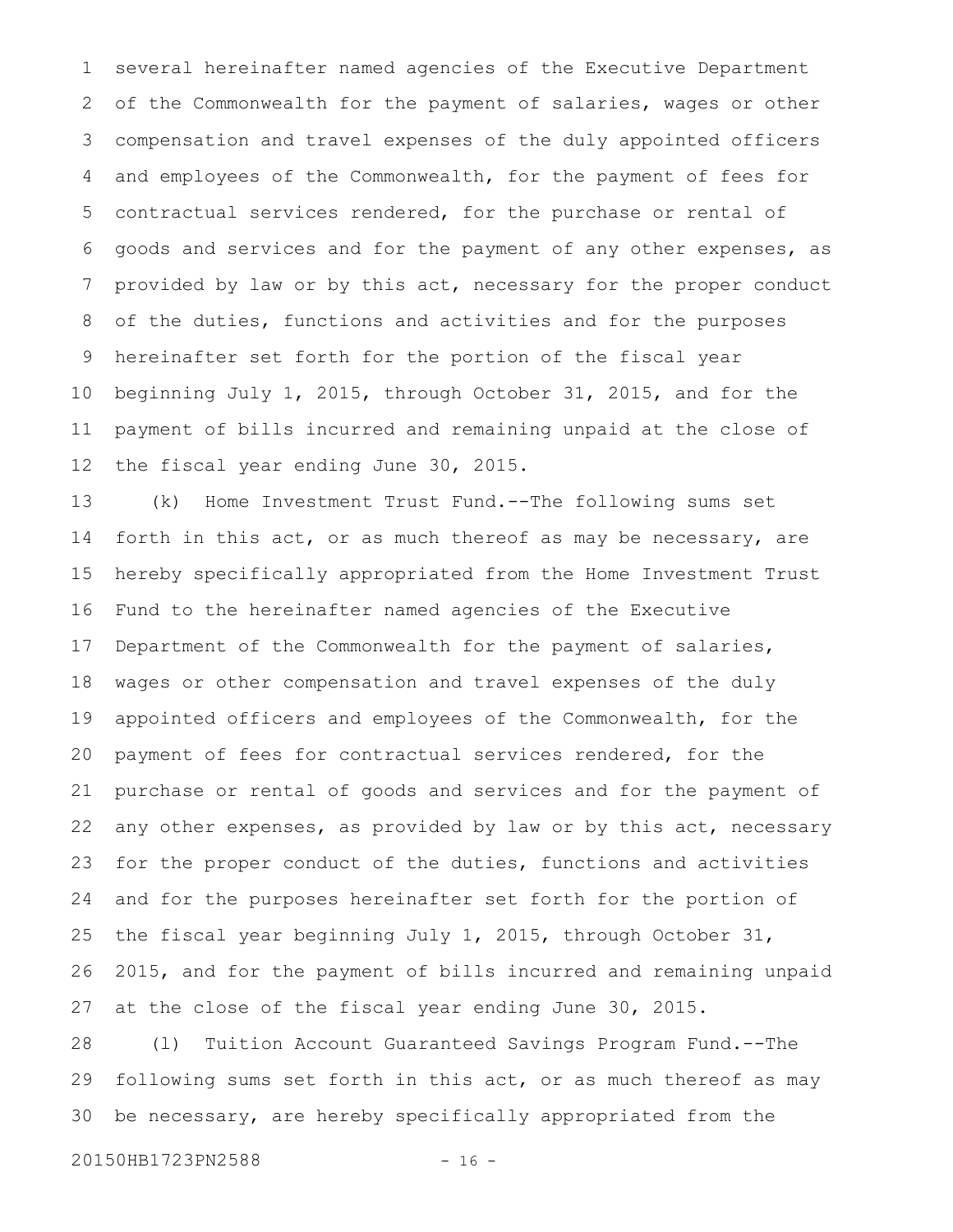several hereinafter named agencies of the Executive Department of the Commonwealth for the payment of salaries, wages or other compensation and travel expenses of the duly appointed officers and employees of the Commonwealth, for the payment of fees for contractual services rendered, for the purchase or rental of goods and services and for the payment of any other expenses, as provided by law or by this act, necessary for the proper conduct of the duties, functions and activities and for the purposes hereinafter set forth for the portion of the fiscal year beginning July 1, 2015, through October 31, 2015, and for the payment of bills incurred and remaining unpaid at the close of the fiscal year ending June 30, 2015. 1 2 3 4 5 6 7 8 9 10 11 12

(k) Home Investment Trust Fund.--The following sums set forth in this act, or as much thereof as may be necessary, are hereby specifically appropriated from the Home Investment Trust Fund to the hereinafter named agencies of the Executive Department of the Commonwealth for the payment of salaries, wages or other compensation and travel expenses of the duly appointed officers and employees of the Commonwealth, for the payment of fees for contractual services rendered, for the purchase or rental of goods and services and for the payment of any other expenses, as provided by law or by this act, necessary for the proper conduct of the duties, functions and activities and for the purposes hereinafter set forth for the portion of the fiscal year beginning July 1, 2015, through October 31, 2015, and for the payment of bills incurred and remaining unpaid at the close of the fiscal year ending June 30, 2015. 13 14 15 16 17 18 19 20 21 22 23 24 25 26 27

(l) Tuition Account Guaranteed Savings Program Fund.--The following sums set forth in this act, or as much thereof as may be necessary, are hereby specifically appropriated from the 28 29 30

20150HB1723PN2588 - 16 -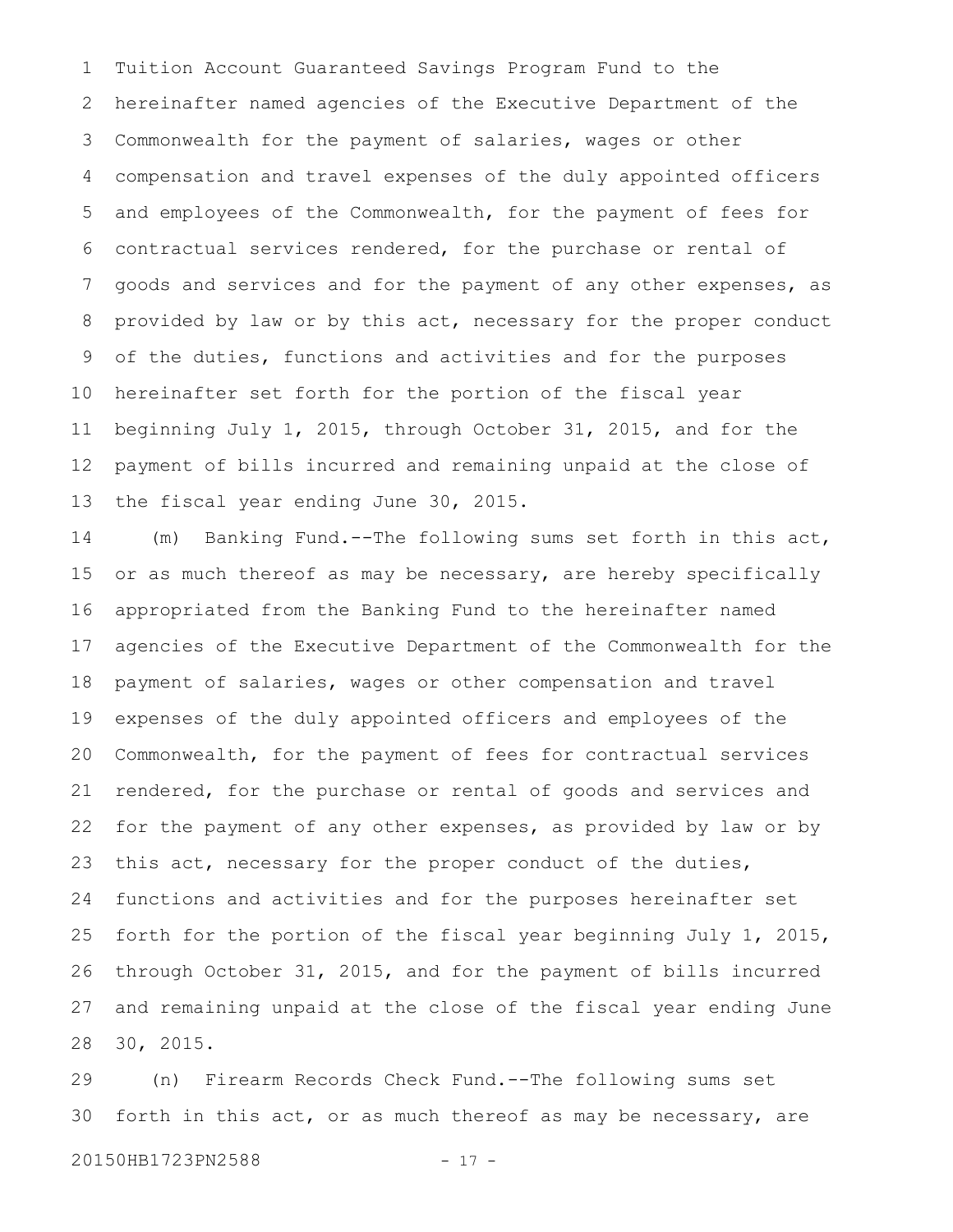Tuition Account Guaranteed Savings Program Fund to the hereinafter named agencies of the Executive Department of the Commonwealth for the payment of salaries, wages or other compensation and travel expenses of the duly appointed officers and employees of the Commonwealth, for the payment of fees for contractual services rendered, for the purchase or rental of goods and services and for the payment of any other expenses, as provided by law or by this act, necessary for the proper conduct of the duties, functions and activities and for the purposes hereinafter set forth for the portion of the fiscal year beginning July 1, 2015, through October 31, 2015, and for the payment of bills incurred and remaining unpaid at the close of the fiscal year ending June 30, 2015. 1 2 3 4 5 6 7 8 9 10 11 12 13

(m) Banking Fund.--The following sums set forth in this act, or as much thereof as may be necessary, are hereby specifically appropriated from the Banking Fund to the hereinafter named agencies of the Executive Department of the Commonwealth for the payment of salaries, wages or other compensation and travel expenses of the duly appointed officers and employees of the Commonwealth, for the payment of fees for contractual services rendered, for the purchase or rental of goods and services and for the payment of any other expenses, as provided by law or by this act, necessary for the proper conduct of the duties, functions and activities and for the purposes hereinafter set forth for the portion of the fiscal year beginning July 1, 2015, through October 31, 2015, and for the payment of bills incurred and remaining unpaid at the close of the fiscal year ending June 30, 2015. 14 15 16 17 18 19 20 21 22 23 24 25 26 27 28

(n) Firearm Records Check Fund.--The following sums set forth in this act, or as much thereof as may be necessary, are 29 30

```
20150HB1723PN2588 - 17 -
```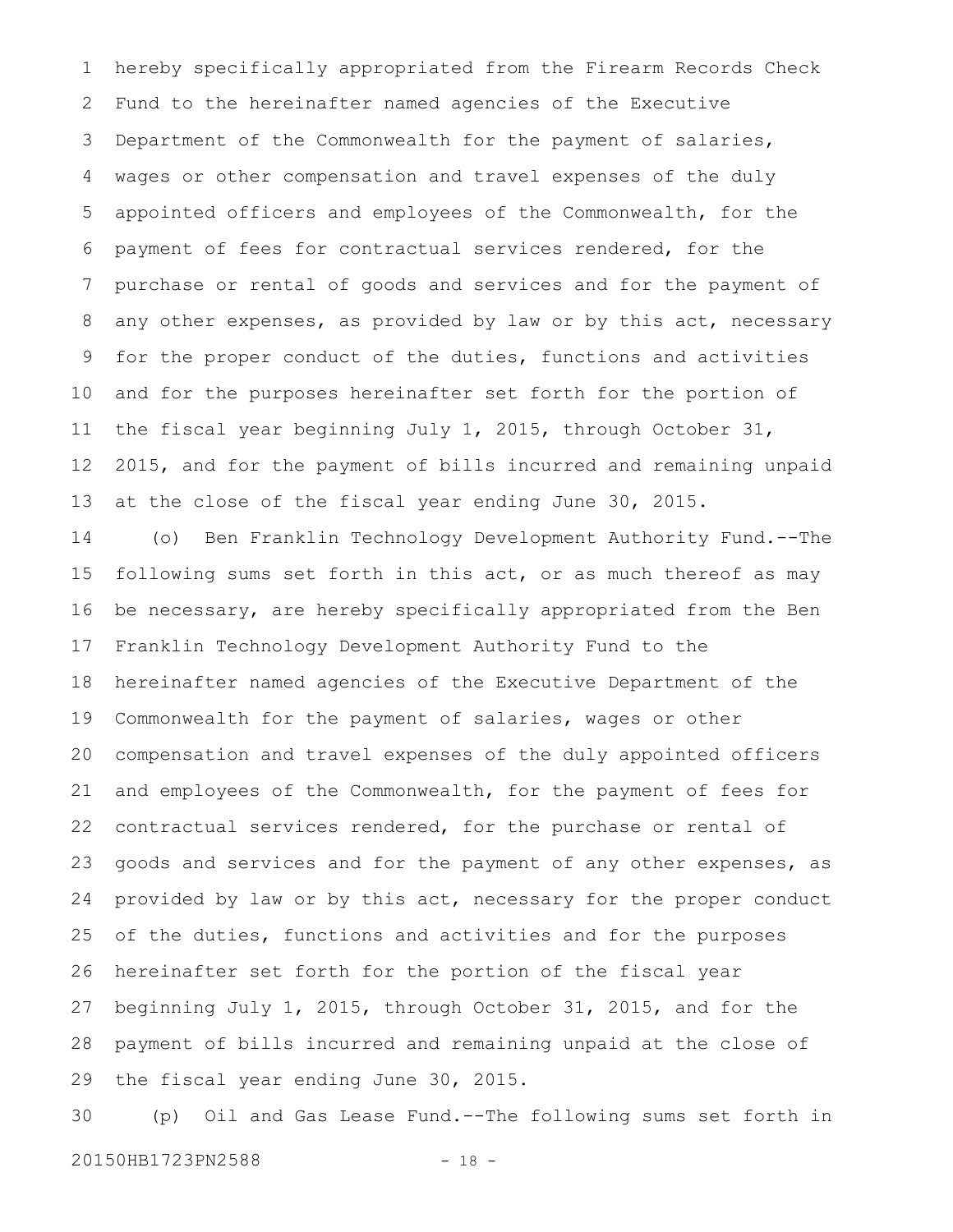hereby specifically appropriated from the Firearm Records Check Fund to the hereinafter named agencies of the Executive Department of the Commonwealth for the payment of salaries, wages or other compensation and travel expenses of the duly appointed officers and employees of the Commonwealth, for the payment of fees for contractual services rendered, for the purchase or rental of goods and services and for the payment of any other expenses, as provided by law or by this act, necessary for the proper conduct of the duties, functions and activities and for the purposes hereinafter set forth for the portion of the fiscal year beginning July 1, 2015, through October 31, 2015, and for the payment of bills incurred and remaining unpaid at the close of the fiscal year ending June 30, 2015. 1 2 3 4 5 6 7 8 9 10 11 12 13

(o) Ben Franklin Technology Development Authority Fund.--The following sums set forth in this act, or as much thereof as may be necessary, are hereby specifically appropriated from the Ben Franklin Technology Development Authority Fund to the hereinafter named agencies of the Executive Department of the Commonwealth for the payment of salaries, wages or other compensation and travel expenses of the duly appointed officers and employees of the Commonwealth, for the payment of fees for contractual services rendered, for the purchase or rental of goods and services and for the payment of any other expenses, as provided by law or by this act, necessary for the proper conduct of the duties, functions and activities and for the purposes hereinafter set forth for the portion of the fiscal year beginning July 1, 2015, through October 31, 2015, and for the payment of bills incurred and remaining unpaid at the close of the fiscal year ending June 30, 2015. 14 15 16 17 18 19 20 21 22 23 24 25 26 27 28 29

(p) Oil and Gas Lease Fund.--The following sums set forth in 20150HB1723PN2588 - 18 -30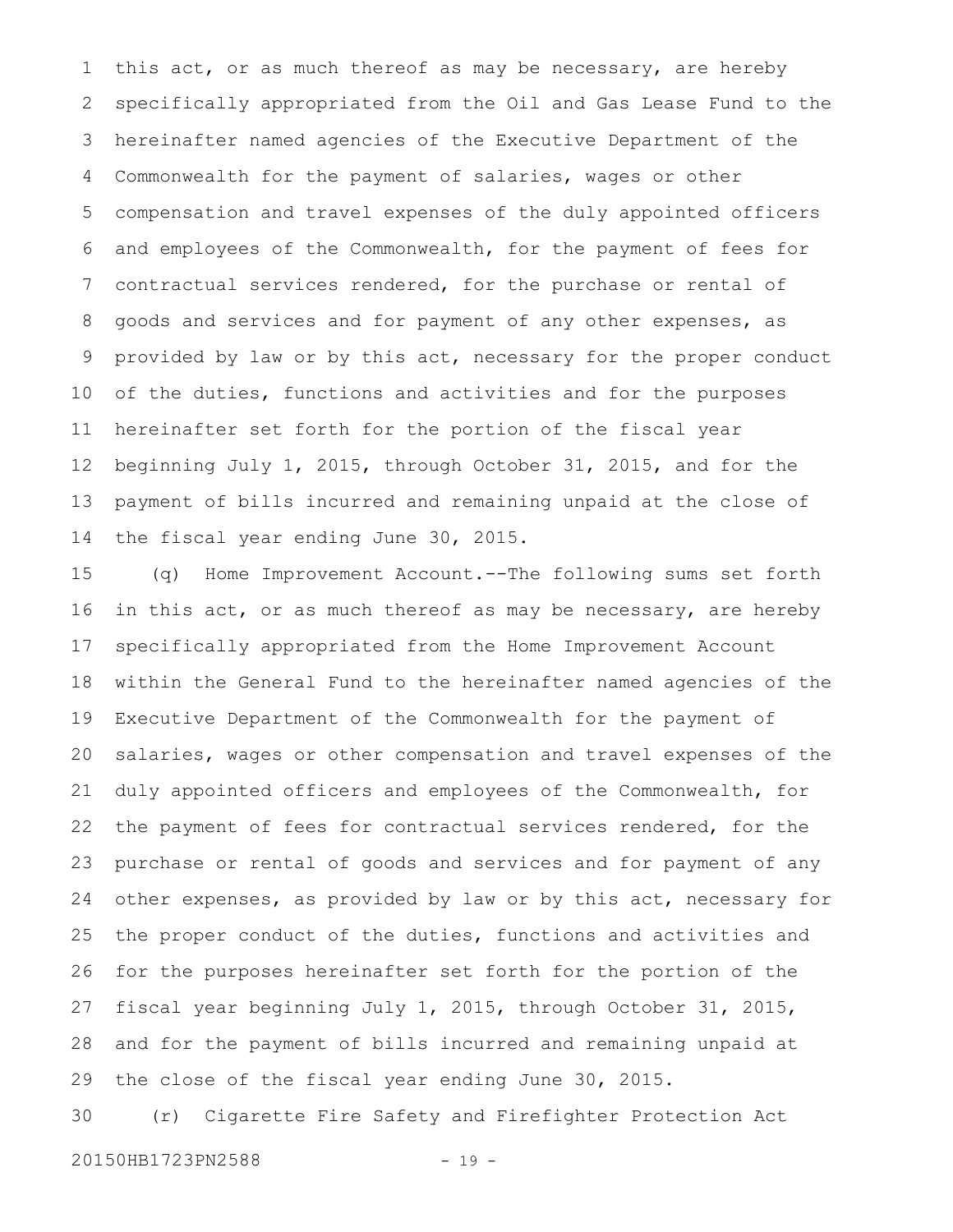this act, or as much thereof as may be necessary, are hereby specifically appropriated from the Oil and Gas Lease Fund to the hereinafter named agencies of the Executive Department of the Commonwealth for the payment of salaries, wages or other compensation and travel expenses of the duly appointed officers and employees of the Commonwealth, for the payment of fees for contractual services rendered, for the purchase or rental of goods and services and for payment of any other expenses, as provided by law or by this act, necessary for the proper conduct of the duties, functions and activities and for the purposes hereinafter set forth for the portion of the fiscal year beginning July 1, 2015, through October 31, 2015, and for the payment of bills incurred and remaining unpaid at the close of the fiscal year ending June 30, 2015. 1 2 3 4 5 6 7 8 9 10 11 12 13 14

(q) Home Improvement Account.--The following sums set forth in this act, or as much thereof as may be necessary, are hereby specifically appropriated from the Home Improvement Account within the General Fund to the hereinafter named agencies of the Executive Department of the Commonwealth for the payment of salaries, wages or other compensation and travel expenses of the duly appointed officers and employees of the Commonwealth, for the payment of fees for contractual services rendered, for the purchase or rental of goods and services and for payment of any other expenses, as provided by law or by this act, necessary for the proper conduct of the duties, functions and activities and for the purposes hereinafter set forth for the portion of the fiscal year beginning July 1, 2015, through October 31, 2015, and for the payment of bills incurred and remaining unpaid at the close of the fiscal year ending June 30, 2015. 15 16 17 18 19 20 21 22 23 24 25 26 27 28 29

(r) Cigarette Fire Safety and Firefighter Protection Act 30

20150HB1723PN2588 - 19 -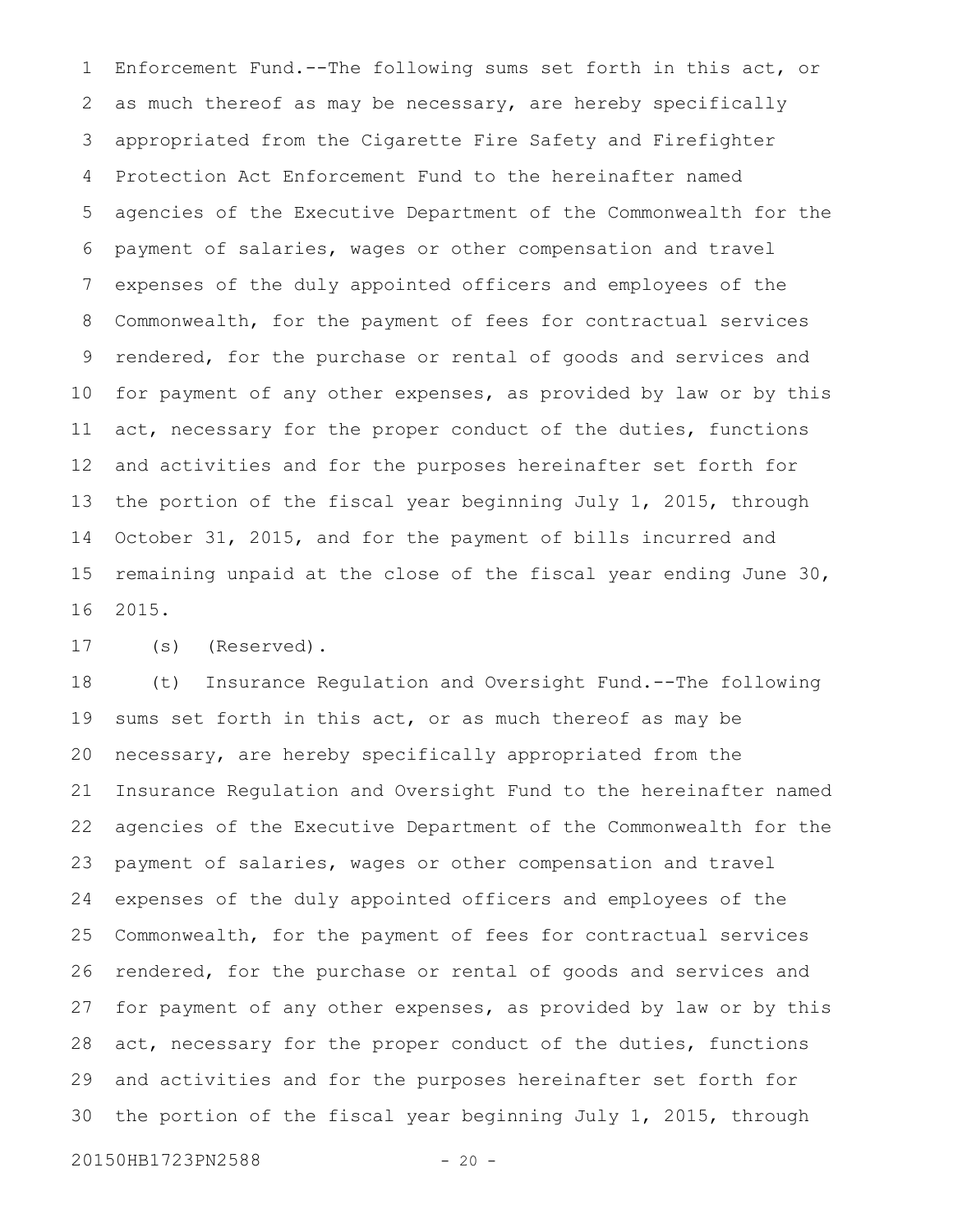Enforcement Fund.--The following sums set forth in this act, or as much thereof as may be necessary, are hereby specifically appropriated from the Cigarette Fire Safety and Firefighter Protection Act Enforcement Fund to the hereinafter named agencies of the Executive Department of the Commonwealth for the payment of salaries, wages or other compensation and travel expenses of the duly appointed officers and employees of the Commonwealth, for the payment of fees for contractual services rendered, for the purchase or rental of goods and services and for payment of any other expenses, as provided by law or by this act, necessary for the proper conduct of the duties, functions and activities and for the purposes hereinafter set forth for the portion of the fiscal year beginning July 1, 2015, through October 31, 2015, and for the payment of bills incurred and remaining unpaid at the close of the fiscal year ending June 30, 2015. 1 2 3 4 5 6 7 8 9 10 11 12 13 14 15 16

(s) (Reserved). 17

(t) Insurance Regulation and Oversight Fund.--The following sums set forth in this act, or as much thereof as may be necessary, are hereby specifically appropriated from the Insurance Regulation and Oversight Fund to the hereinafter named agencies of the Executive Department of the Commonwealth for the payment of salaries, wages or other compensation and travel expenses of the duly appointed officers and employees of the Commonwealth, for the payment of fees for contractual services rendered, for the purchase or rental of goods and services and for payment of any other expenses, as provided by law or by this act, necessary for the proper conduct of the duties, functions and activities and for the purposes hereinafter set forth for the portion of the fiscal year beginning July 1, 2015, through 18 19 20 21 22 23 24 25 26 27 28 29 30

20150HB1723PN2588 - 20 -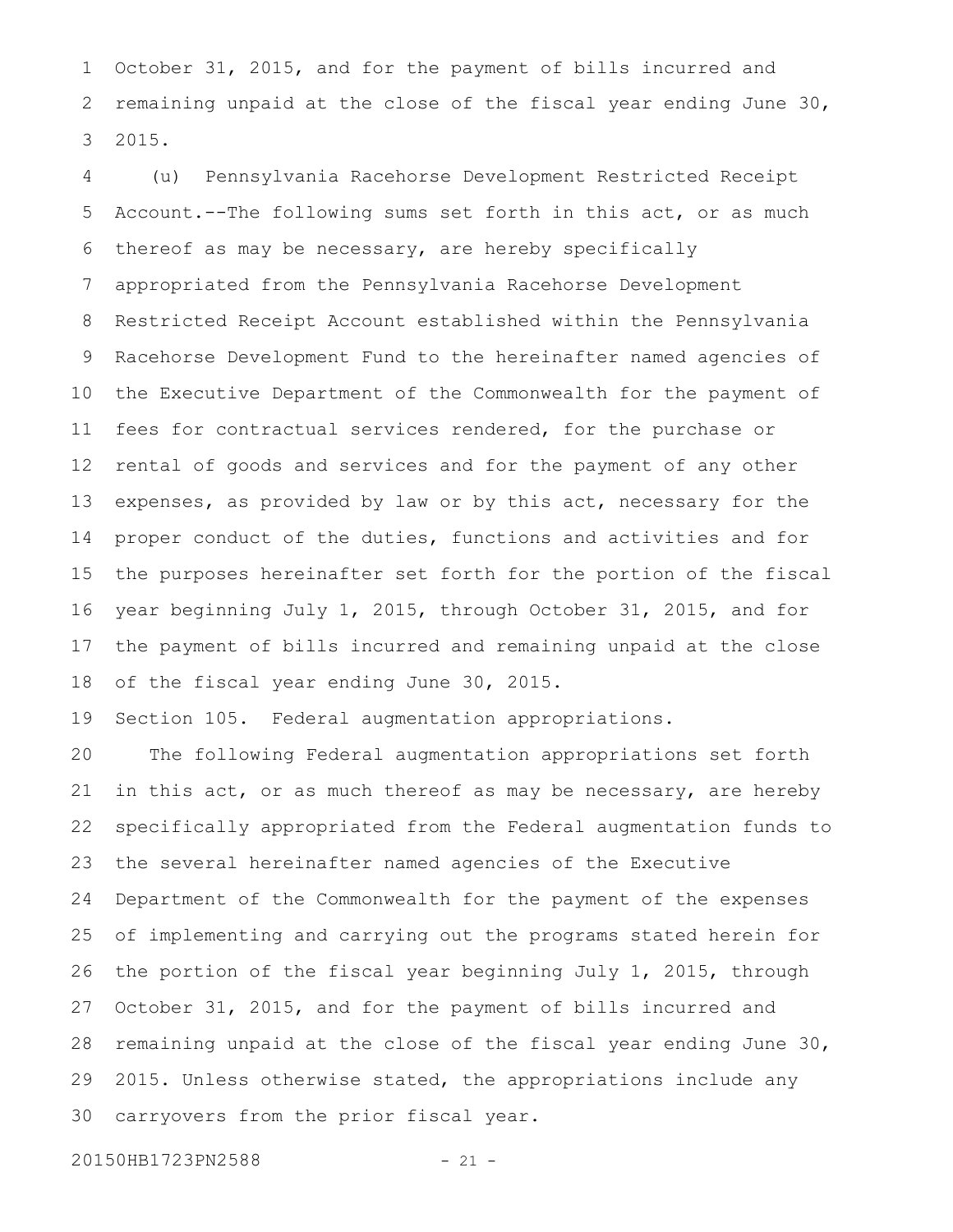October 31, 2015, and for the payment of bills incurred and remaining unpaid at the close of the fiscal year ending June 30, 2015. 1 2 3

(u) Pennsylvania Racehorse Development Restricted Receipt Account.--The following sums set forth in this act, or as much thereof as may be necessary, are hereby specifically appropriated from the Pennsylvania Racehorse Development Restricted Receipt Account established within the Pennsylvania Racehorse Development Fund to the hereinafter named agencies of the Executive Department of the Commonwealth for the payment of fees for contractual services rendered, for the purchase or rental of goods and services and for the payment of any other expenses, as provided by law or by this act, necessary for the proper conduct of the duties, functions and activities and for the purposes hereinafter set forth for the portion of the fiscal year beginning July 1, 2015, through October 31, 2015, and for the payment of bills incurred and remaining unpaid at the close of the fiscal year ending June 30, 2015. 4 5 6 7 8 9 10 11 12 13 14 15 16 17 18

Section 105. Federal augmentation appropriations. 19

The following Federal augmentation appropriations set forth in this act, or as much thereof as may be necessary, are hereby specifically appropriated from the Federal augmentation funds to the several hereinafter named agencies of the Executive Department of the Commonwealth for the payment of the expenses of implementing and carrying out the programs stated herein for the portion of the fiscal year beginning July 1, 2015, through October 31, 2015, and for the payment of bills incurred and remaining unpaid at the close of the fiscal year ending June 30, 2015. Unless otherwise stated, the appropriations include any carryovers from the prior fiscal year. 20 21 22 23 24 25 26 27 28 29 30

20150HB1723PN2588 - 21 -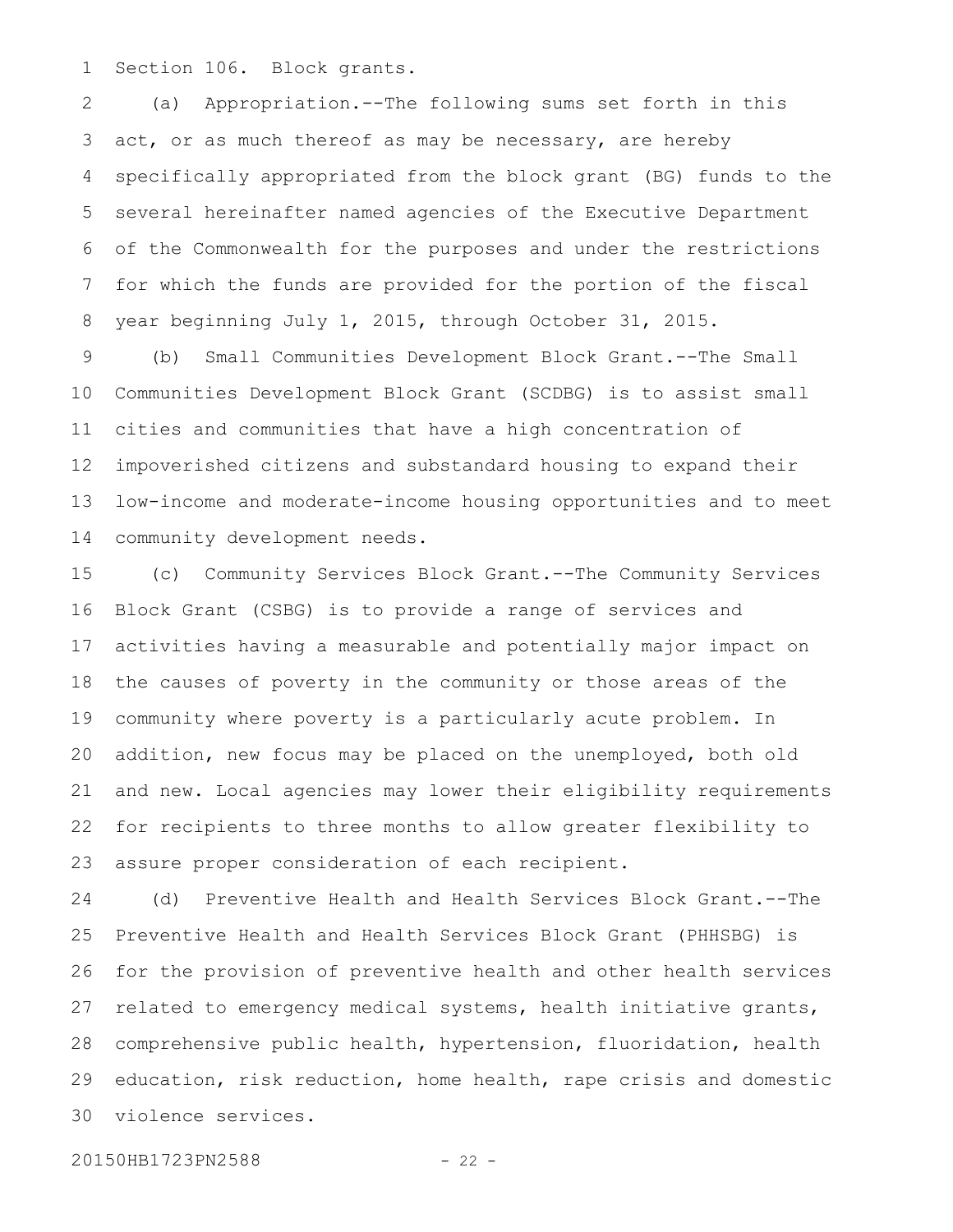Section 106. Block grants. 1

(a) Appropriation.--The following sums set forth in this act, or as much thereof as may be necessary, are hereby specifically appropriated from the block grant (BG) funds to the several hereinafter named agencies of the Executive Department of the Commonwealth for the purposes and under the restrictions for which the funds are provided for the portion of the fiscal year beginning July 1, 2015, through October 31, 2015. 2 3 4 5 6 7 8

(b) Small Communities Development Block Grant.--The Small Communities Development Block Grant (SCDBG) is to assist small cities and communities that have a high concentration of impoverished citizens and substandard housing to expand their low-income and moderate-income housing opportunities and to meet community development needs. 9 10 11 12 13 14

(c) Community Services Block Grant.--The Community Services Block Grant (CSBG) is to provide a range of services and activities having a measurable and potentially major impact on the causes of poverty in the community or those areas of the community where poverty is a particularly acute problem. In addition, new focus may be placed on the unemployed, both old and new. Local agencies may lower their eligibility requirements for recipients to three months to allow greater flexibility to assure proper consideration of each recipient. 15 16 17 18 19 20 21 22 23

(d) Preventive Health and Health Services Block Grant.--The Preventive Health and Health Services Block Grant (PHHSBG) is for the provision of preventive health and other health services related to emergency medical systems, health initiative grants, comprehensive public health, hypertension, fluoridation, health education, risk reduction, home health, rape crisis and domestic violence services. 24 25 26 27 28 29 30

20150HB1723PN2588 - 22 -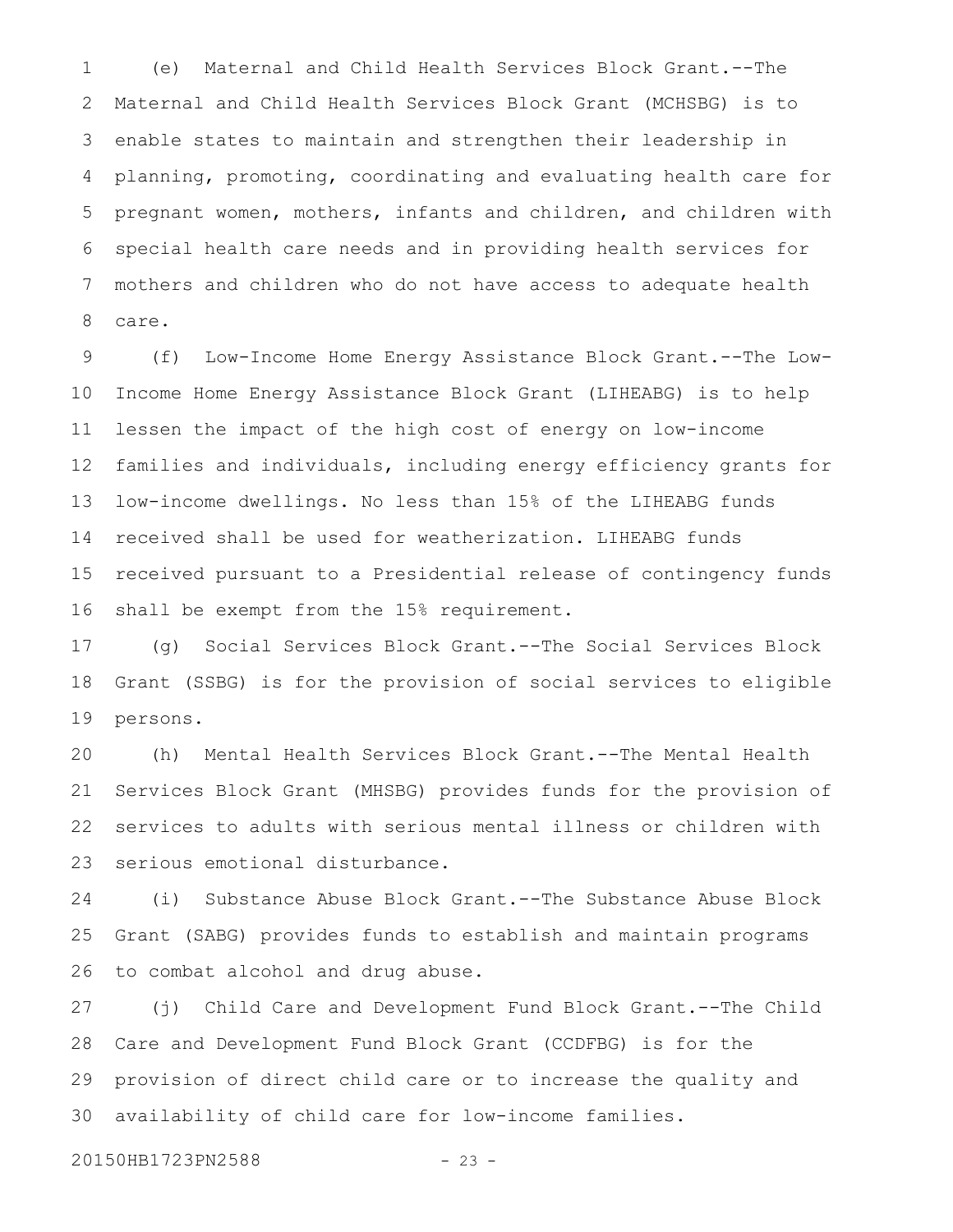(e) Maternal and Child Health Services Block Grant.--The Maternal and Child Health Services Block Grant (MCHSBG) is to enable states to maintain and strengthen their leadership in planning, promoting, coordinating and evaluating health care for pregnant women, mothers, infants and children, and children with special health care needs and in providing health services for mothers and children who do not have access to adequate health care. 1 2 3 4 5 6 7 8

(f) Low-Income Home Energy Assistance Block Grant.--The Low-Income Home Energy Assistance Block Grant (LIHEABG) is to help lessen the impact of the high cost of energy on low-income families and individuals, including energy efficiency grants for low-income dwellings. No less than 15% of the LIHEABG funds received shall be used for weatherization. LIHEABG funds received pursuant to a Presidential release of contingency funds shall be exempt from the 15% requirement. 9 10 11 12 13 14 15 16

(g) Social Services Block Grant.--The Social Services Block Grant (SSBG) is for the provision of social services to eligible persons. 17 18 19

(h) Mental Health Services Block Grant.--The Mental Health Services Block Grant (MHSBG) provides funds for the provision of services to adults with serious mental illness or children with serious emotional disturbance. 20 21 22 23

(i) Substance Abuse Block Grant.--The Substance Abuse Block Grant (SABG) provides funds to establish and maintain programs to combat alcohol and drug abuse. 24 25 26

(j) Child Care and Development Fund Block Grant.--The Child Care and Development Fund Block Grant (CCDFBG) is for the provision of direct child care or to increase the quality and availability of child care for low-income families. 27 28 29 30

20150HB1723PN2588 - 23 -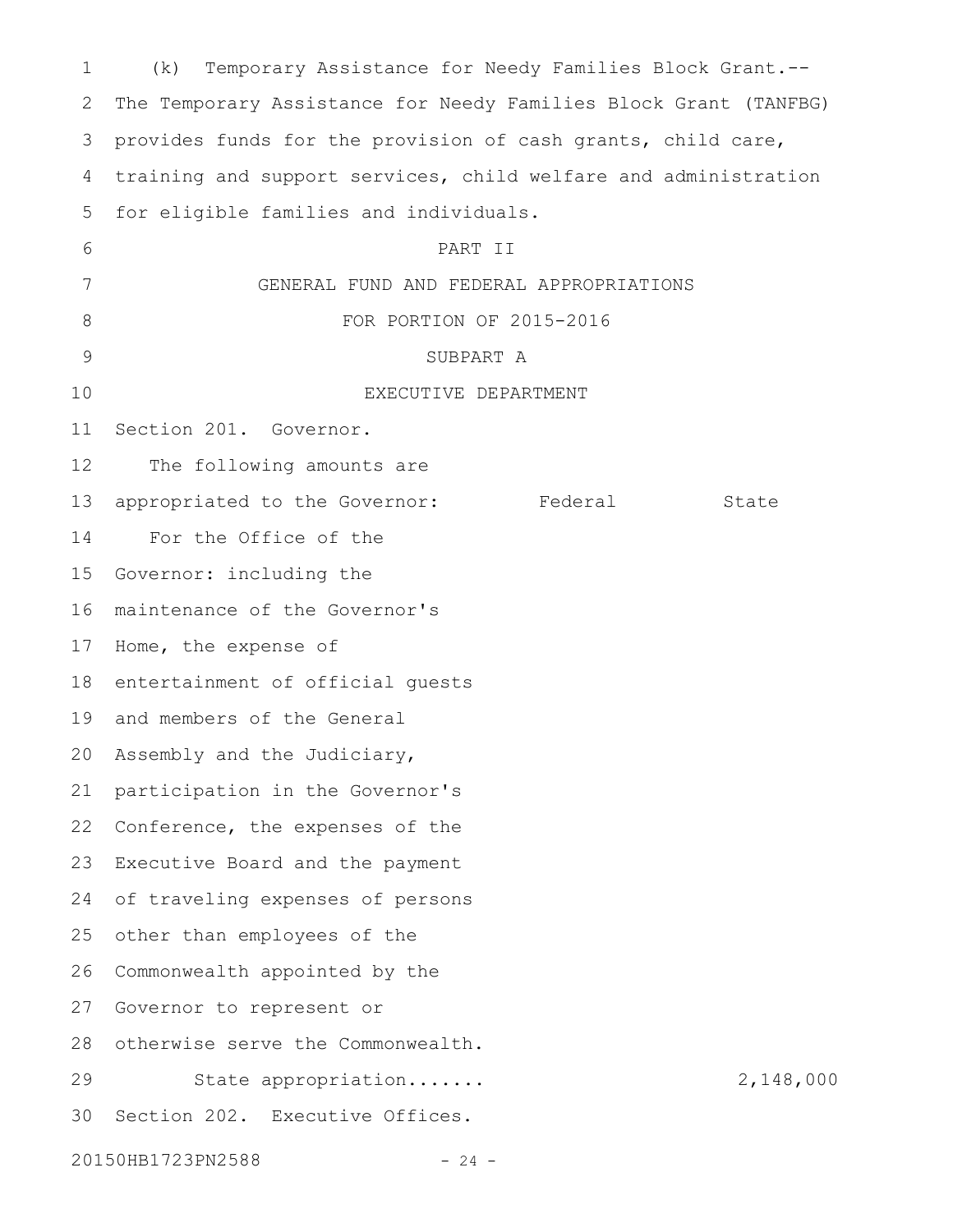| 1            | Temporary Assistance for Needy Families Block Grant.--<br>(k)    |  |  |  |  |
|--------------|------------------------------------------------------------------|--|--|--|--|
| $\mathbf{2}$ | The Temporary Assistance for Needy Families Block Grant (TANFBG) |  |  |  |  |
| 3            | provides funds for the provision of cash grants, child care,     |  |  |  |  |
| 4            | training and support services, child welfare and administration  |  |  |  |  |
| 5            | for eligible families and individuals.                           |  |  |  |  |
| 6            | PART II                                                          |  |  |  |  |
| 7            | GENERAL FUND AND FEDERAL APPROPRIATIONS                          |  |  |  |  |
| 8            | FOR PORTION OF 2015-2016                                         |  |  |  |  |
| 9            | SUBPART A                                                        |  |  |  |  |
| 10           | EXECUTIVE DEPARTMENT                                             |  |  |  |  |
| 11           | Section 201. Governor.                                           |  |  |  |  |
| 12           | The following amounts are                                        |  |  |  |  |
| 13           | Federal<br>appropriated to the Governor:<br>State                |  |  |  |  |
| 14           | For the Office of the                                            |  |  |  |  |
| 15           | Governor: including the                                          |  |  |  |  |
| 16           | maintenance of the Governor's                                    |  |  |  |  |
| 17           | Home, the expense of                                             |  |  |  |  |
| 18           | entertainment of official quests                                 |  |  |  |  |
| 19           | and members of the General                                       |  |  |  |  |
|              | 20 Assembly and the Judiciary,                                   |  |  |  |  |
| 21           | participation in the Governor's                                  |  |  |  |  |
| 22           | Conference, the expenses of the                                  |  |  |  |  |
| 23           | Executive Board and the payment                                  |  |  |  |  |
| 24           | of traveling expenses of persons                                 |  |  |  |  |
| 25           | other than employees of the                                      |  |  |  |  |
| 26           | Commonwealth appointed by the                                    |  |  |  |  |
| 27           | Governor to represent or                                         |  |  |  |  |
| 28           | otherwise serve the Commonwealth.                                |  |  |  |  |
| 29           | 2,148,000<br>State appropriation                                 |  |  |  |  |
| 30           | Section 202. Executive Offices.                                  |  |  |  |  |
|              | 20150HB1723PN2588<br>- 24 -                                      |  |  |  |  |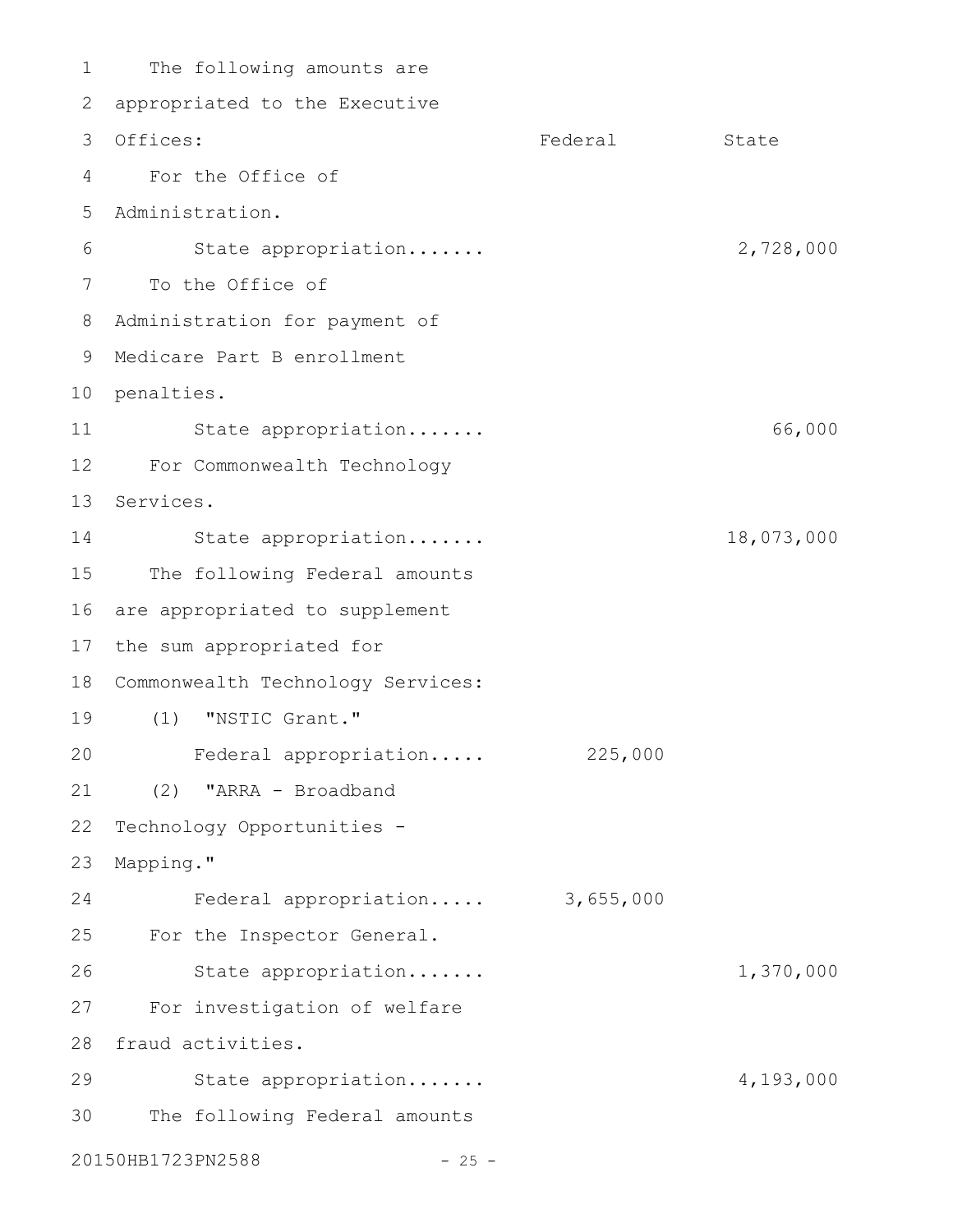The following amounts are 2 appropriated to the Executive Federal State For the Office of Administration. 5 State appropriation....... 2,728,000 7 To the Office of 8 Administration for payment of Medicare Part B enrollment 9 10 penalties. State appropriation....... 66,000 For Commonwealth Technology 12 13 Services. State appropriation....... 18,073,000 The following Federal amounts 16 are appropriated to supplement 17 the sum appropriated for 18 Commonwealth Technology Services: (1) "NSTIC Grant." 19 Federal appropriation..... 225,000 (2) "ARRA - Broadband Technology Opportunities - Mapping." Federal appropriation..... 3,655,000 For the Inspector General. State appropriation....... 1,370,000 For investigation of welfare 27 28 fraud activities. State appropriation....... 4,193,000 The following Federal amounts 20150HB1723PN2588 - 25 -1 3 Offices: 4 6 11 14 15 20 21 22 23 24 25 26 29 30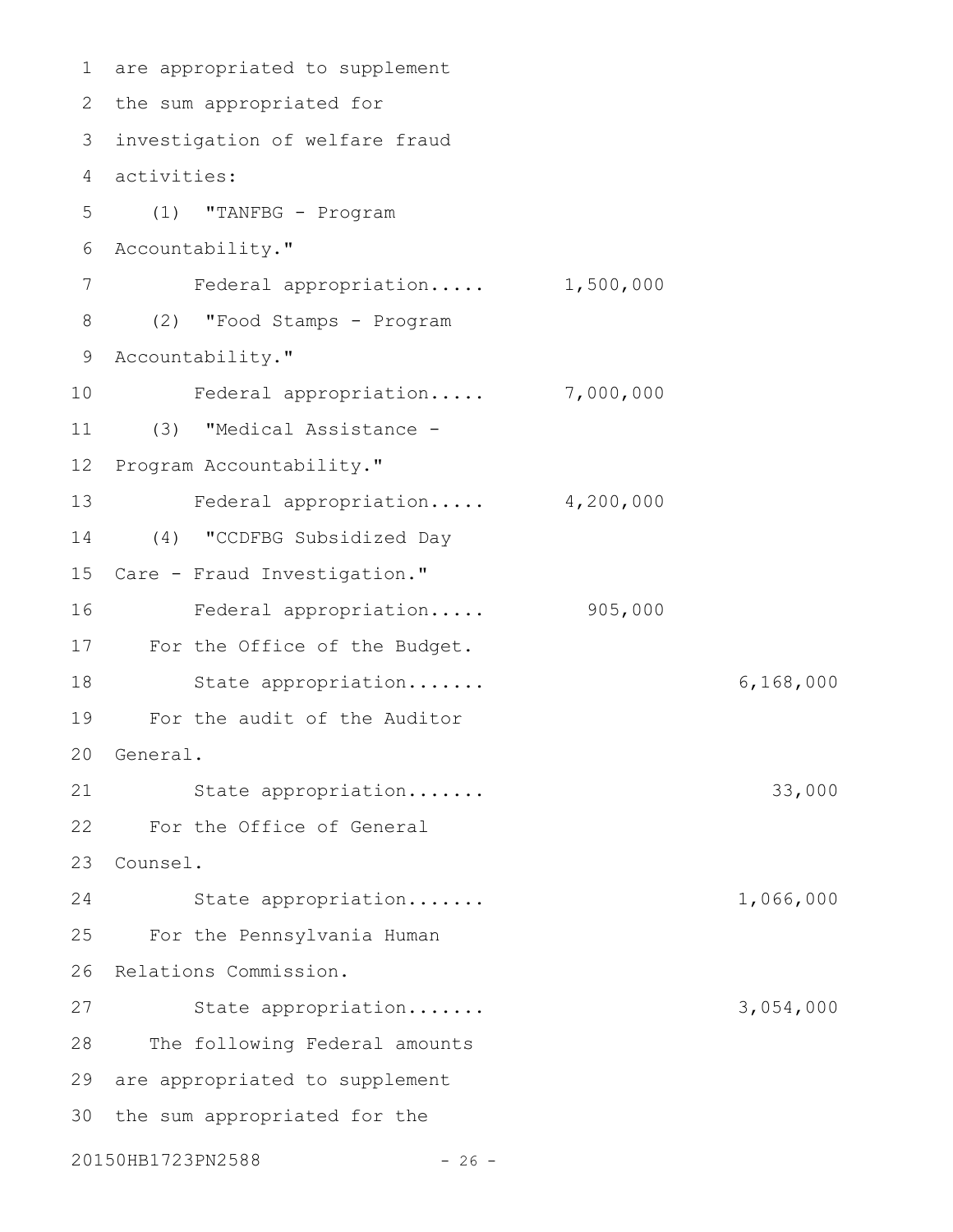```
are appropriated to supplement
1
2 the sum appropriated for
investigation of welfare fraud
3
activities:
4
     (1) "TANFBG - Program
  Accountability."
       Federal appropriation..... 1,500,000
(2) "Food Stamps - Program
8
9 Accountability."
        Federal appropriation..... 7,000,000
     (3) "Medical Assistance -
12 Program Accountability."
     Federal appropriation..... 4,200,000
     (4) "CCDFBG Subsidized Day
15 Care - Fraud Investigation."
        Federal appropriation..... 905,000
17 For the Office of the Budget.
18 State appropriation...... 6,168,000
For the audit of the Auditor
19
20 General.
     State appropriation....... 33,000
For the Office of General
22
Counsel.
23
        State appropriation....... 1,066,000
     For the Pennsylvania Human
26 Relations Commission.
        State appropriation....... 3,054,000
     The following Federal amounts
29 are appropriated to supplement
30 the sum appropriated for the
20150HB1723PN2588 - 26 -
5
6
7
10
11
13
14
16
21
24
25
27
28
```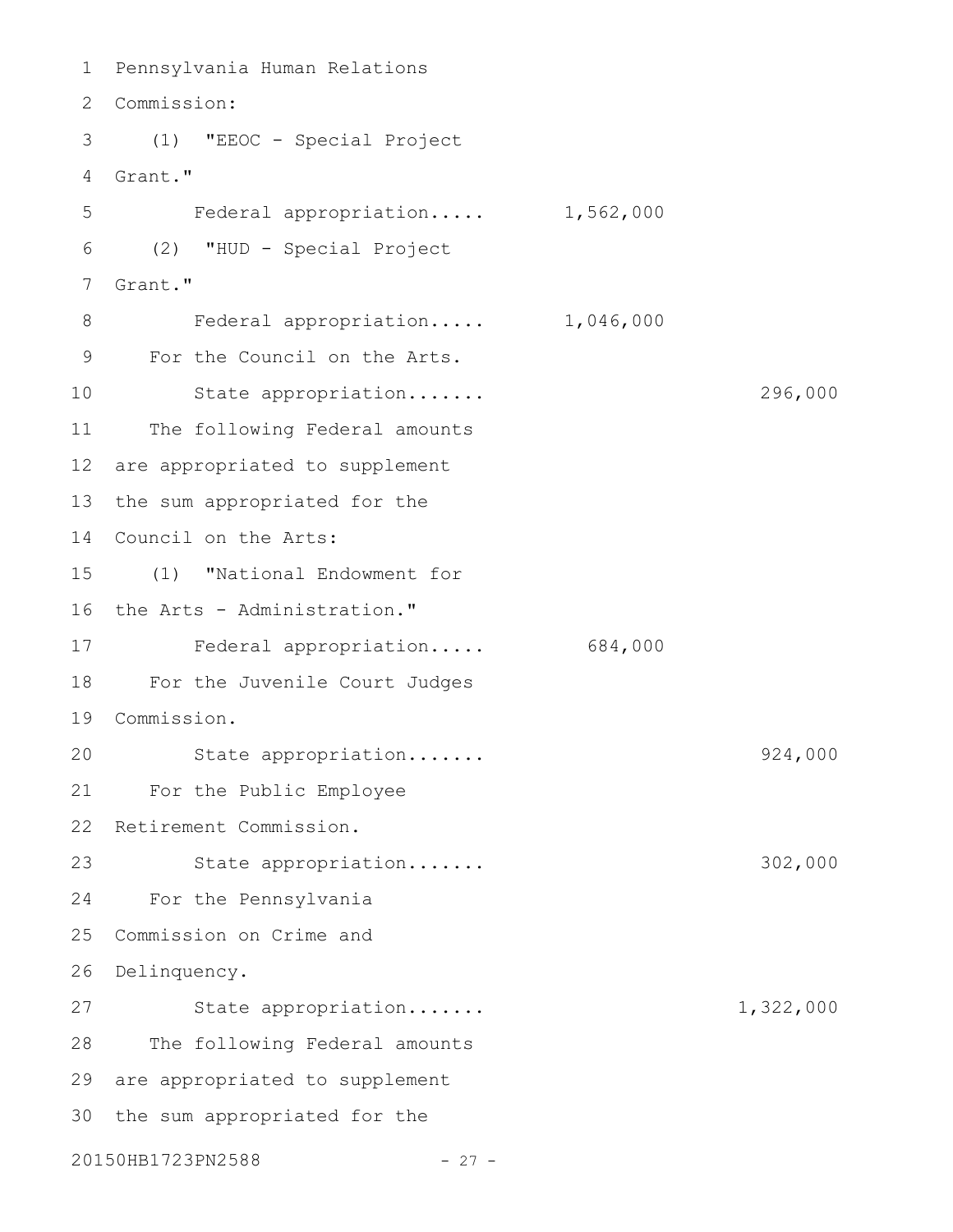```
Pennsylvania Human Relations
1
Commission:
2
(1) "EEOC - Special Project
3
Grant."
4
     Federal appropriation..... 1,562,000
   (2) "HUD - Special Project
   Grant."
    Federal appropriation..... 1,046,000
For the Council on the Arts.
9
       State appropriation....... 296,000
11 The following Federal amounts
12 are appropriated to supplement
13 the sum appropriated for the
14 Council on the Arts:
(1) "National Endowment for
15
16 the Arts - Administration."
Federal appropriation..... 684,000
17
For the Juvenile Court Judges
18
Commission.
19
    State appropriation....... 924,000
For the Public Employee
21
22 Retirement Commission.
  State appropriation....... 302,000
     For the Pennsylvania
25 Commission on Crime and
26 Delinquency.
        State appropriation....... 1,322,000
28 The following Federal amounts
29 are appropriated to supplement
30 the sum appropriated for the
20150HB1723PN2588 - 27 -
5
6
7
8
10
20
23
24
27
```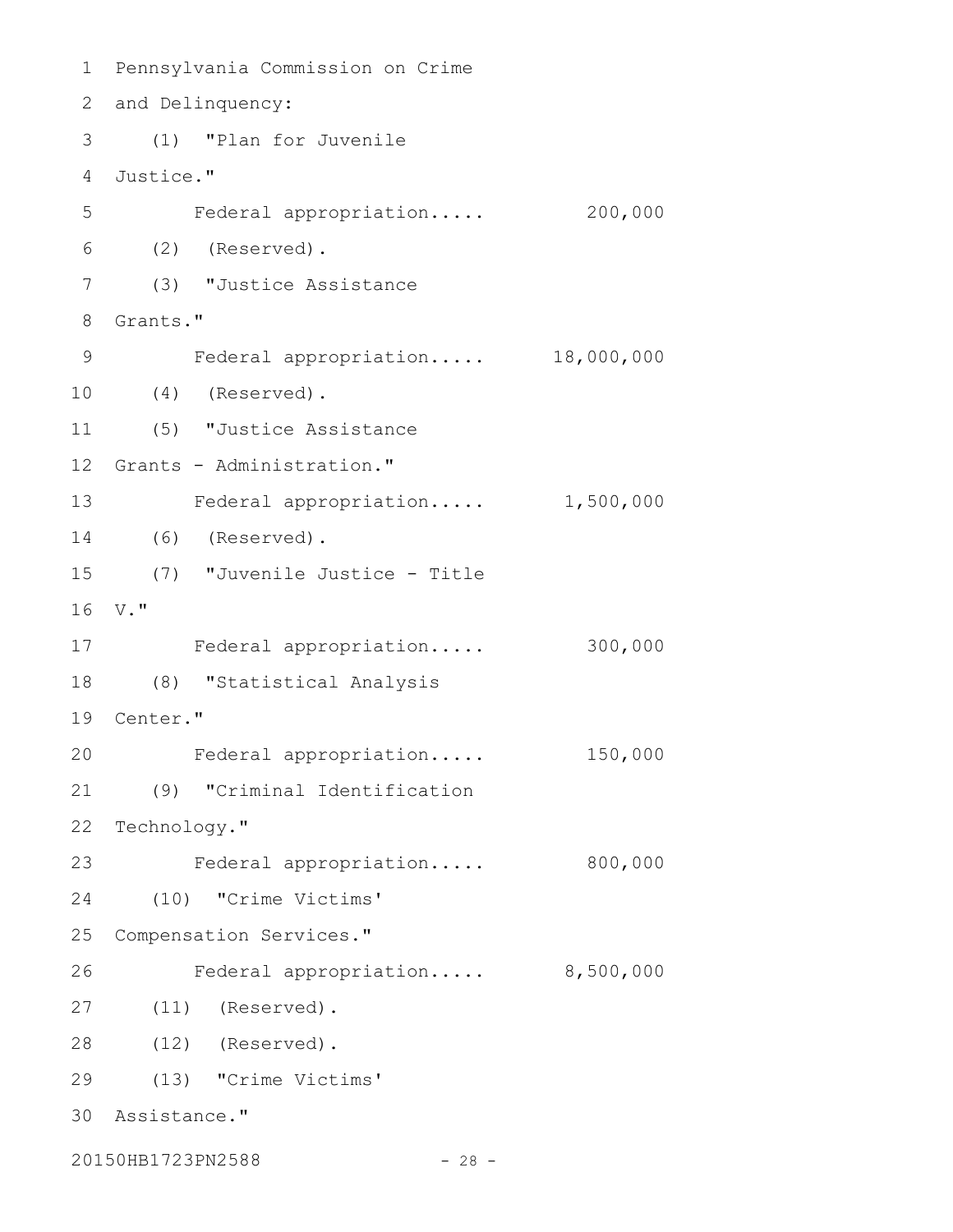Pennsylvania Commission on Crime 2 and Delinquency: (1) "Plan for Juvenile Justice." Federal appropriation..... 200,000 (2) (Reserved). (3) "Justice Assistance 8 Grants." 9 Federal appropriation..... 18,000,000 (4) (Reserved). (5) "Justice Assistance 12 Grants - Administration." 13 Federal appropriation..... 1,500,000 (6) (Reserved). (7) "Juvenile Justice - Title V." Federal appropriation..... 300,000 (8) "Statistical Analysis 19 Center." Federal appropriation..... 150,000 (9) "Criminal Identification 22 Technology." Federal appropriation..... 800,000 (10) "Crime Victims' 25 Compensation Services." Federal appropriation..... 8,500,000 (11) (Reserved). (12) (Reserved). (13) "Crime Victims' Assistance." 20150HB1723PN2588 - 28 -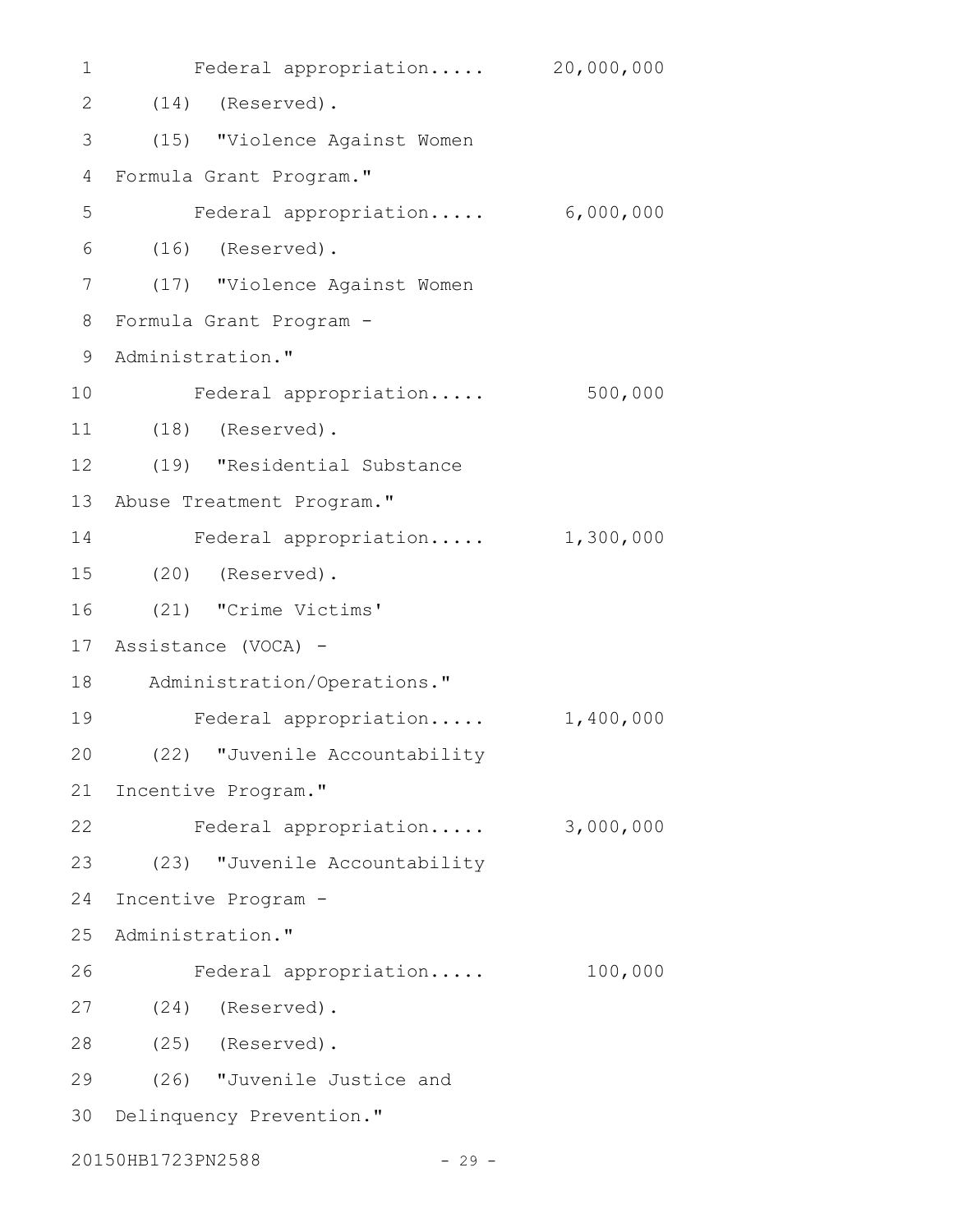| 1              | Federal appropriation 20,000,000 |           |  |  |  |
|----------------|----------------------------------|-----------|--|--|--|
| 2              | $(14)$ (Reserved).               |           |  |  |  |
| 3              | (15) "Violence Against Women     |           |  |  |  |
| $\overline{4}$ | Formula Grant Program."          |           |  |  |  |
| 5              | Federal appropriation            | 6,000,000 |  |  |  |
| 6              | $(16)$ (Reserved).               |           |  |  |  |
| 7              | (17) "Violence Against Women     |           |  |  |  |
| 8              | Formula Grant Program -          |           |  |  |  |
| 9              | Administration."                 |           |  |  |  |
| 10             | Federal appropriation            | 500,000   |  |  |  |
| 11             | $(18)$ (Reserved).               |           |  |  |  |
| 12             | (19) "Residential Substance      |           |  |  |  |
| 13             | Abuse Treatment Program."        |           |  |  |  |
| 14             | Federal appropriation            | 1,300,000 |  |  |  |
| 15             | $(20)$ (Reserved).               |           |  |  |  |
| 16             | (21) "Crime Victims'             |           |  |  |  |
| 17             | Assistance (VOCA) -              |           |  |  |  |
| 18             | Administration/Operations."      |           |  |  |  |
| 19             | Federal appropriation            | 1,400,000 |  |  |  |
| 20             | (22) "Juvenile Accountability    |           |  |  |  |
| 21             | Incentive Program."              |           |  |  |  |
| 22             | Federal appropriation            | 3,000,000 |  |  |  |
| 23             | (23) "Juvenile Accountability    |           |  |  |  |
| 24             | Incentive Program -              |           |  |  |  |
| 25             | Administration."                 |           |  |  |  |
| 26             | Federal appropriation            | 100,000   |  |  |  |
| 27             | (24) (Reserved).                 |           |  |  |  |
| 28             | $(25)$ (Reserved).               |           |  |  |  |
| 29             | (26) "Juvenile Justice and       |           |  |  |  |
| 30             | Delinquency Prevention."         |           |  |  |  |
|                | 20150HB1723PN2588<br>$-29 -$     |           |  |  |  |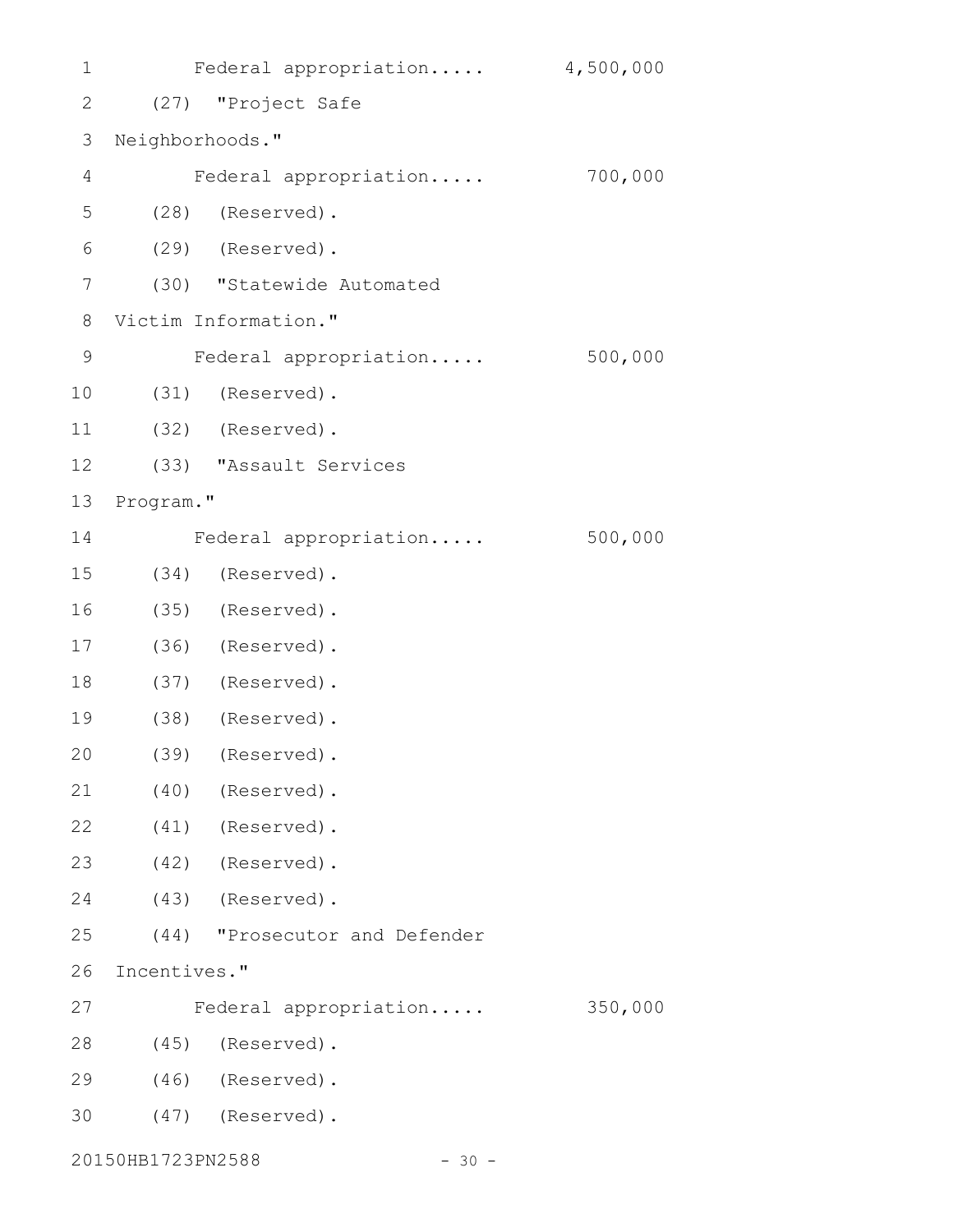| 1              |                   | Federal appropriation 4,500,000 |         |
|----------------|-------------------|---------------------------------|---------|
| $\overline{2}$ |                   | (27) "Project Safe              |         |
| 3              | Neighborhoods."   |                                 |         |
| 4              |                   | Federal appropriation           | 700,000 |
| 5              |                   | (28) (Reserved).                |         |
| 6              |                   | (29) (Reserved).                |         |
| 7              |                   | (30) "Statewide Automated       |         |
| 8              |                   | Victim Information."            |         |
| 9              |                   | Federal appropriation           | 500,000 |
| 10             |                   | (31) (Reserved).                |         |
| 11             |                   | (32) (Reserved).                |         |
| 12             |                   | (33) "Assault Services          |         |
| 13             | Program."         |                                 |         |
| 14             |                   | Federal appropriation           | 500,000 |
| 15             |                   | (34) (Reserved).                |         |
| 16             |                   | (35) (Reserved).                |         |
| 17             |                   | $(36)$ (Reserved).              |         |
| 18             |                   | (37) (Reserved).                |         |
| 19             |                   | (38) (Reserved).                |         |
| 20             |                   | (39) (Reserved).                |         |
| 21             |                   | $(40)$ (Reserved).              |         |
| 22             |                   | (41) (Reserved).                |         |
| 23             |                   | (42) (Reserved).                |         |
| 24             |                   | (43) (Reserved).                |         |
| 25             |                   | (44) "Prosecutor and Defender   |         |
| 26             | Incentives."      |                                 |         |
| 27             |                   | Federal appropriation           | 350,000 |
| 28             |                   | (45) (Reserved).                |         |
| 29             |                   | $(46)$ (Reserved).              |         |
| 30             |                   | $(47)$ (Reserved).              |         |
|                | 20150HB1723PN2588 | $-30 -$                         |         |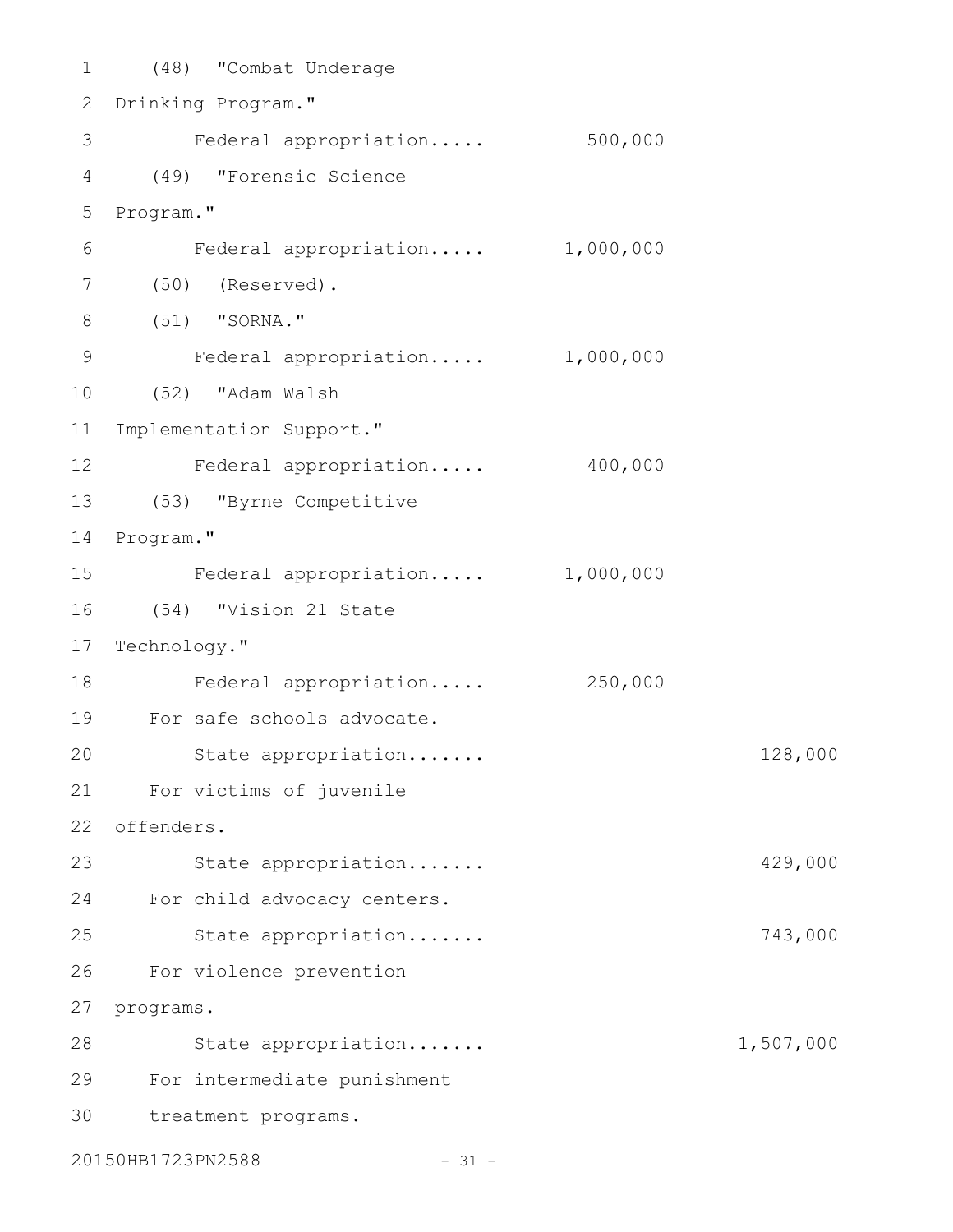(48) "Combat Underage 1 2 Drinking Program." Federal appropriation..... 500,000 (49) "Forensic Science 4 5 Program." Federal appropriation..... 1,000,000 (50) (Reserved). 7 (51) "SORNA." 8 Federal appropriation..... 1,000,000 (52) "Adam Walsh 11 Implementation Support." 12 Federal appropriation..... 400,000 (53) "Byrne Competitive 13 14 Program." Federal appropriation..... 1,000,000 (54) "Vision 21 State 17 Technology." Federal appropriation..... 250,000 For safe schools advocate. 19 State appropriation....... 128,000 For victims of juvenile 21 offenders. 22 23 State appropriation...... 429,000 24 For child advocacy centers. State appropriation....... 743,000 For violence prevention 26 27 programs. 28 State appropriation...... 1,507,000 For intermediate punishment 29 treatment programs. 303 6 9 10 15 16 18 20 25

20150HB1723PN2588 - 31 -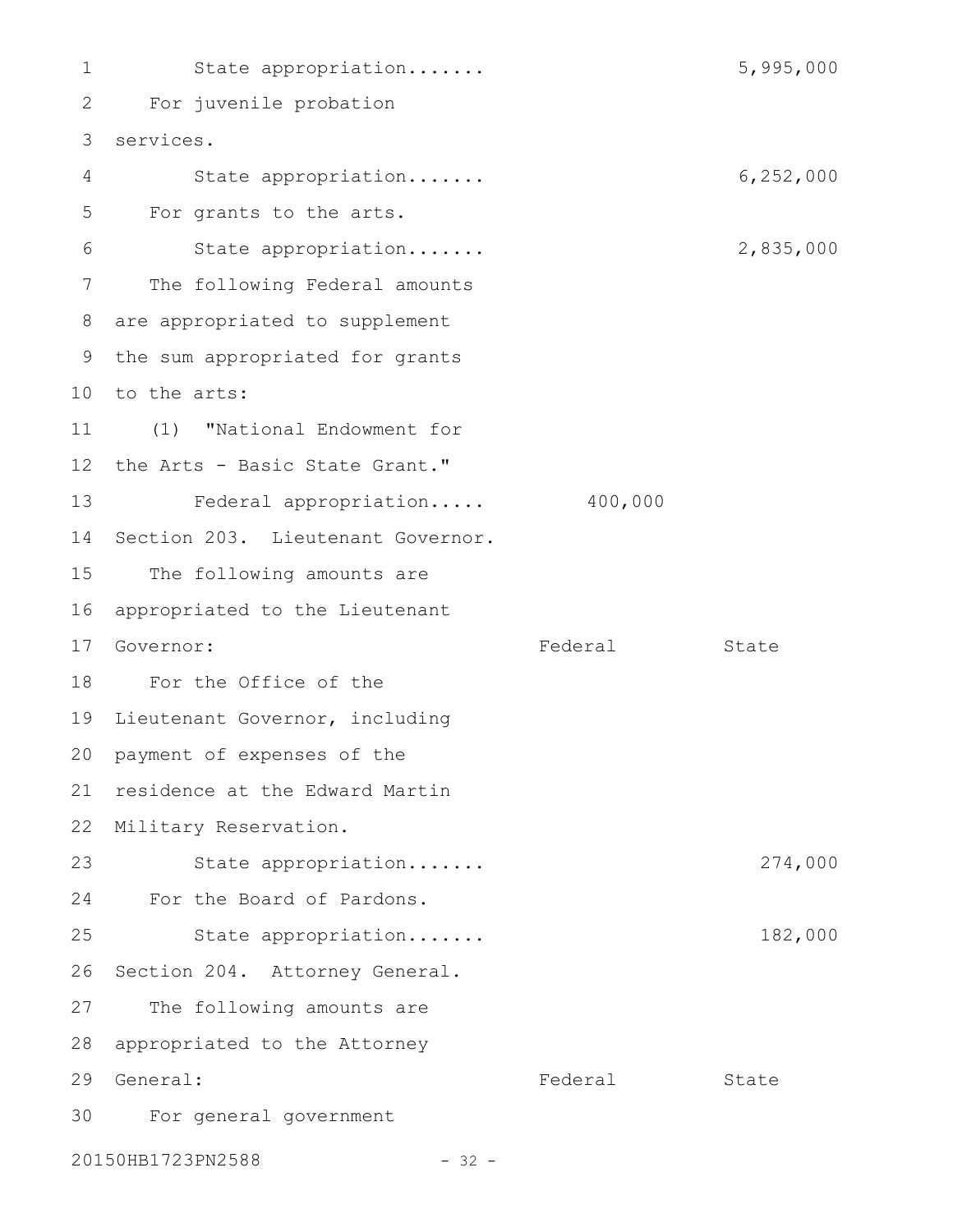1 5,995,000 For juvenile probation 2 services. 3 State appropriation....... 6,252,000 For grants to the arts. State appropriation....... 2,835,000 The following Federal amounts are appropriated to supplement 8 9 the sum appropriated for grants 10 to the arts: (1) "National Endowment for 11 12 the Arts - Basic State Grant." 13 Federal appropriation..... 400,000 14 Section 203. Lieutenant Governor. 15 The following amounts are 16 appropriated to the Lieutenant Federal State For the Office of the 18 19 Lieutenant Governor, including 20 payment of expenses of the 21 residence at the Edward Martin 22 Military Reservation. State appropriation....... 274,000 For the Board of Pardons. 24 State appropriation....... 182,000 26 Section 204. Attorney General. 27 The following amounts are 28 appropriated to the Attorney 29 General: The State State State State State State For general government 3020150HB1723PN2588 - 32 -4 5 6 7 17 Governor: 23 25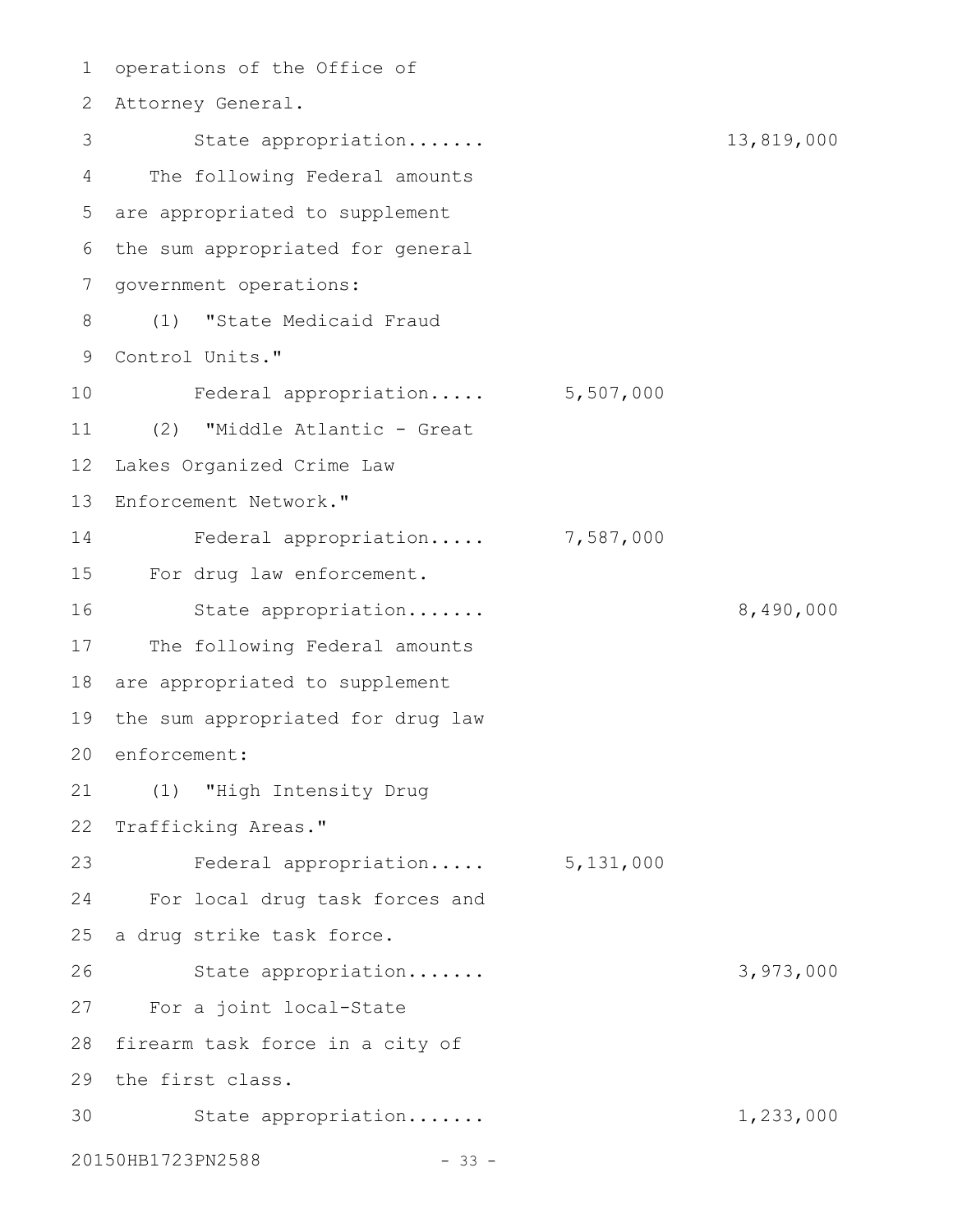1 operations of the Office of Attorney General. 2 State appropriation....... 13,819,000 The following Federal amounts are appropriated to supplement 5 6 the sum appropriated for general 7 government operations: (1) "State Medicaid Fraud 8 9 Control Units." Federal appropriation..... 5,507,000 (2) "Middle Atlantic - Great 11 Lakes Organized Crime Law Enforcement Network." Federal appropriation..... 7,587,000 For drug law enforcement. 15 State appropriation....... 8,490,000 17 The following Federal amounts 18 are appropriated to supplement 19 the sum appropriated for drug law 20 enforcement: (1) "High Intensity Drug 21 22 Trafficking Areas." Federal appropriation..... 5,131,000 For local drug task forces and 25 a drug strike task force. State appropriation....... 3,973,000 For a joint local-State 27 28 firearm task force in a city of 29 the first class. State appropriation....... 1,233,000 20150HB1723PN2588 - 33 -3 4 10 12 13 14 16 23 24 26 30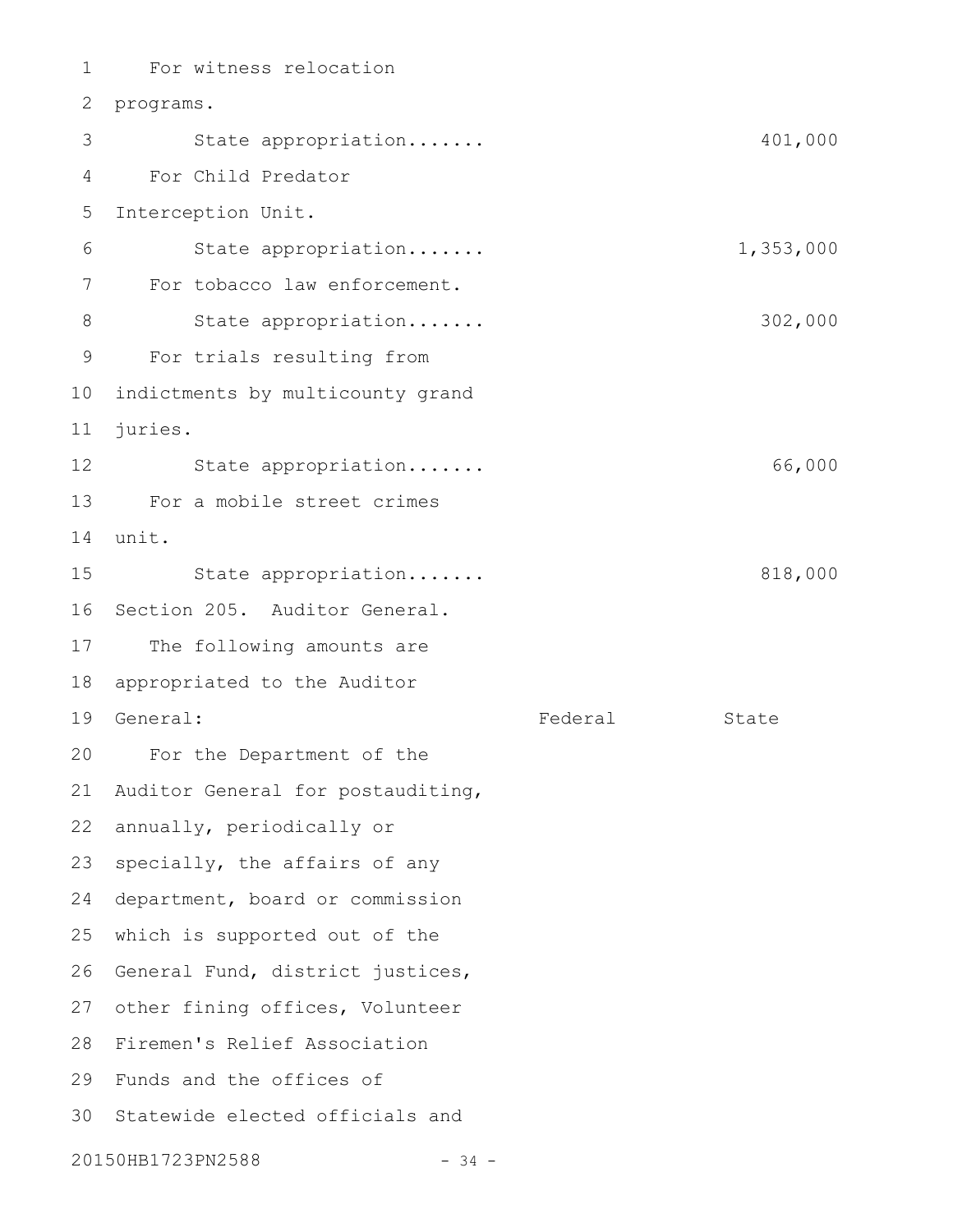For witness relocation 2 programs. State appropriation....... 401,000 For Child Predator Interception Unit. State appropriation....... 1,353,000 For tobacco law enforcement. State appropriation....... 302,000 For trials resulting from 10 indictments by multicounty grand juries. State appropriation....... 66,000 For a mobile street crimes 13 14 unit. State appropriation....... 818,000 16 Section 205. Auditor General. 17 The following amounts are 18 appropriated to the Auditor 19 General: The State State State State State State For the Department of the 20 Auditor General for postauditing, 22 annually, periodically or specially, the affairs of any 24 department, board or commission 25 which is supported out of the 26 General Fund, district justices, 27 other fining offices, Volunteer 28 Firemen's Relief Association 29 Funds and the offices of 30 Statewide elected officials and 20150HB1723PN2588 - 34 -1 3 4 5 6 7 8 9 11 12 15 21 23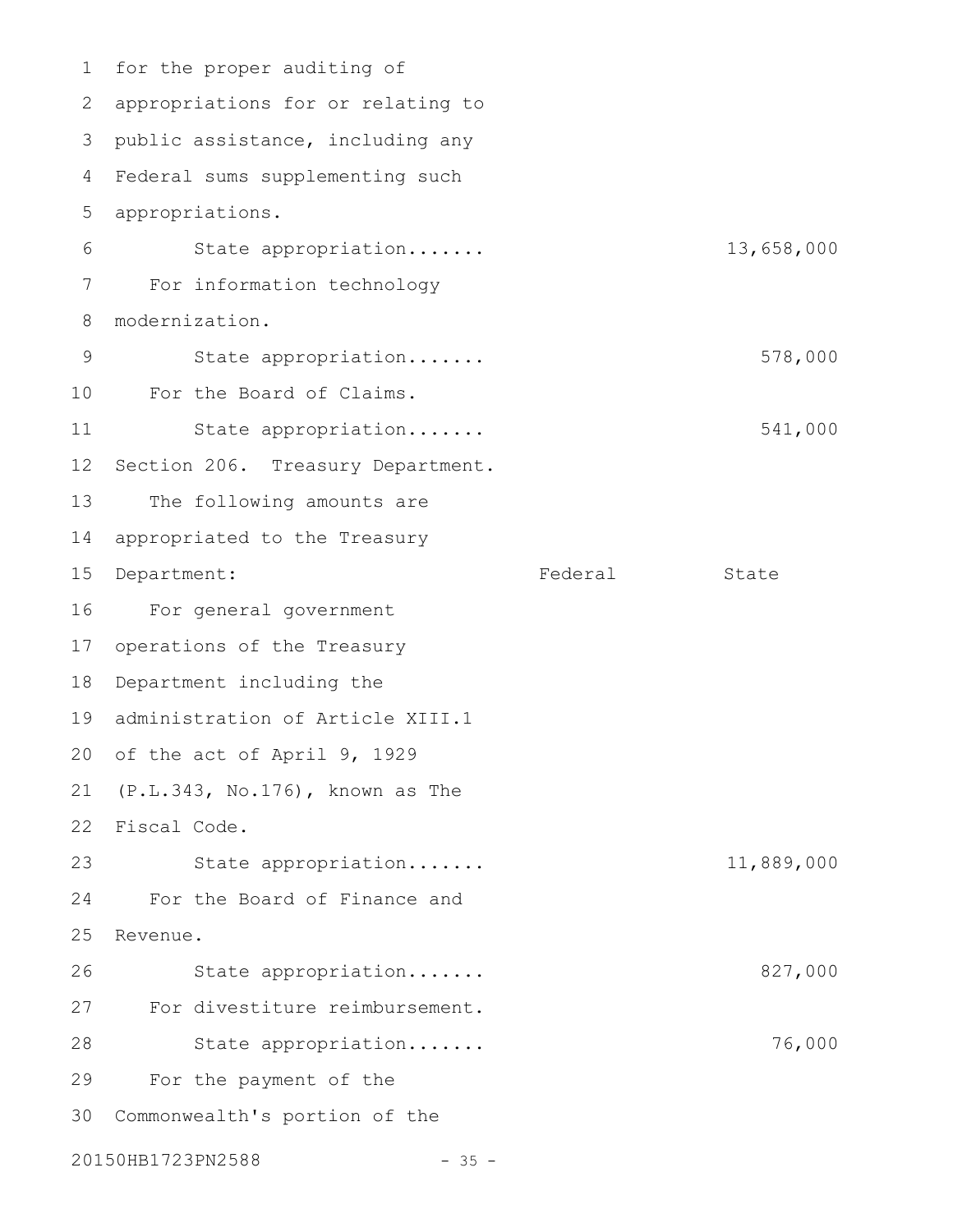1 for the proper auditing of 2 appropriations for or relating to public assistance, including any Federal sums supplementing such 4 appropriations. State appropriation....... 13,658,000 For information technology modernization. State appropriation....... 578,000 For the Board of Claims. 10 State appropriation....... 541,000 Section 206. Treasury Department. The following amounts are appropriated to the Treasury 15 Department: Tederal State For general government 17 operations of the Treasury 18 Department including the 19 administration of Article XIII.1 20 of the act of April 9, 1929 (P.L.343, No.176), known as The 21 22 Fiscal Code. State appropriation....... 11,889,000 For the Board of Finance and 25 Revenue. State appropriation....... 827,000 For divestiture reimbursement. State appropriation....... 76,000 For the payment of the Commonwealth's portion of the 303 5 6 7 8 9 11 12 13 14 16 23 24 26 27 28 29

20150HB1723PN2588 - 35 -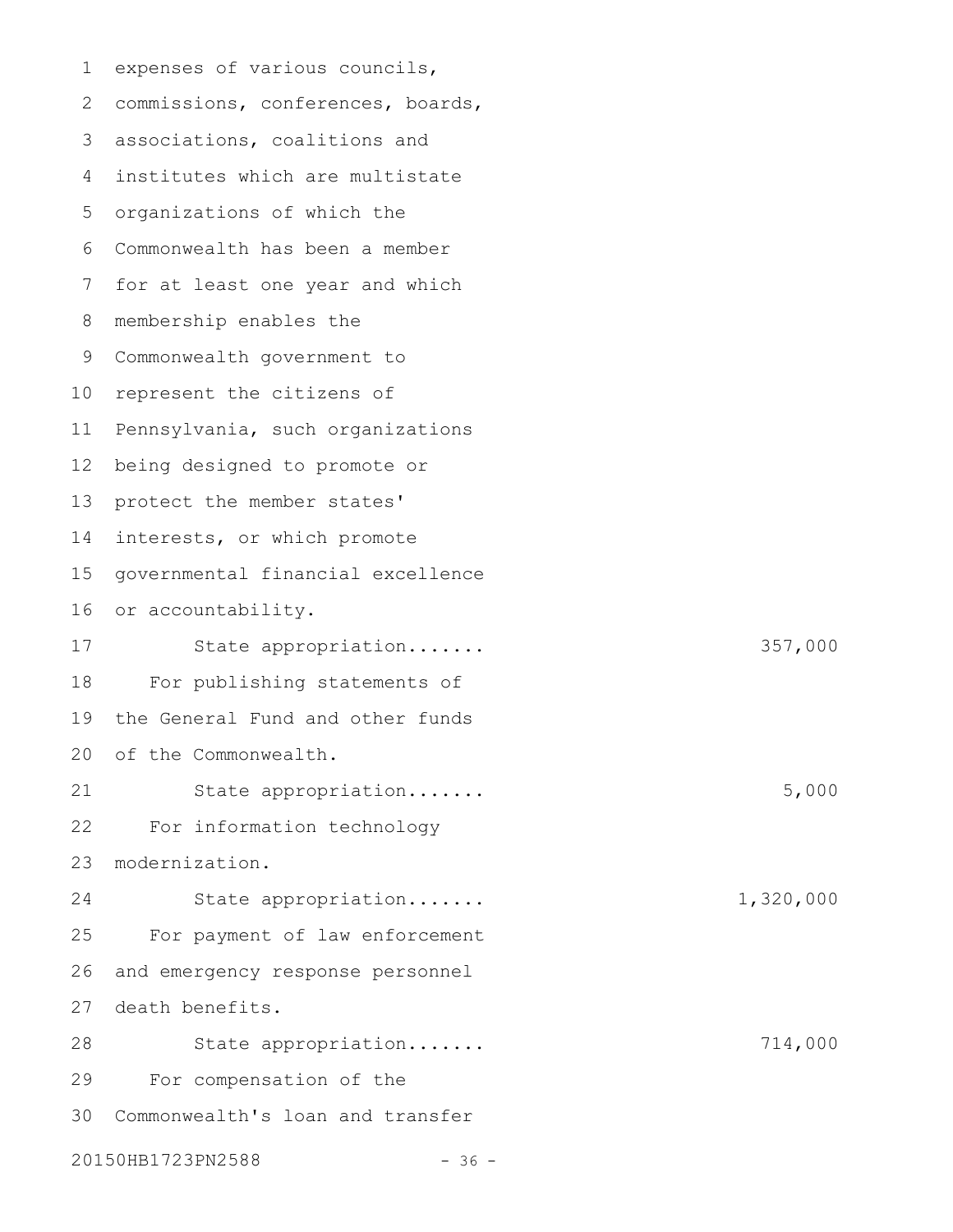| 1  | expenses of various councils,     |           |
|----|-----------------------------------|-----------|
| 2  | commissions, conferences, boards, |           |
| 3  | associations, coalitions and      |           |
| 4  | institutes which are multistate   |           |
| 5  | organizations of which the        |           |
| 6  | Commonwealth has been a member    |           |
| 7  | for at least one year and which   |           |
| 8  | membership enables the            |           |
| 9  | Commonwealth government to        |           |
| 10 | represent the citizens of         |           |
| 11 | Pennsylvania, such organizations  |           |
| 12 | being designed to promote or      |           |
| 13 | protect the member states'        |           |
| 14 | interests, or which promote       |           |
| 15 | governmental financial excellence |           |
| 16 | or accountability.                |           |
| 17 | State appropriation               | 357,000   |
| 18 | For publishing statements of      |           |
| 19 | the General Fund and other funds  |           |
|    | 20 of the Commonwealth.           |           |
| 21 | State appropriation               | 5,000     |
| 22 | For information technology        |           |
| 23 | modernization.                    |           |
| 24 | State appropriation               | 1,320,000 |
| 25 | For payment of law enforcement    |           |
| 26 | and emergency response personnel  |           |
| 27 | death benefits.                   |           |
| 28 | State appropriation               | 714,000   |
| 29 | For compensation of the           |           |
| 30 | Commonwealth's loan and transfer  |           |
|    | 20150HB1723PN2588<br>$-36 -$      |           |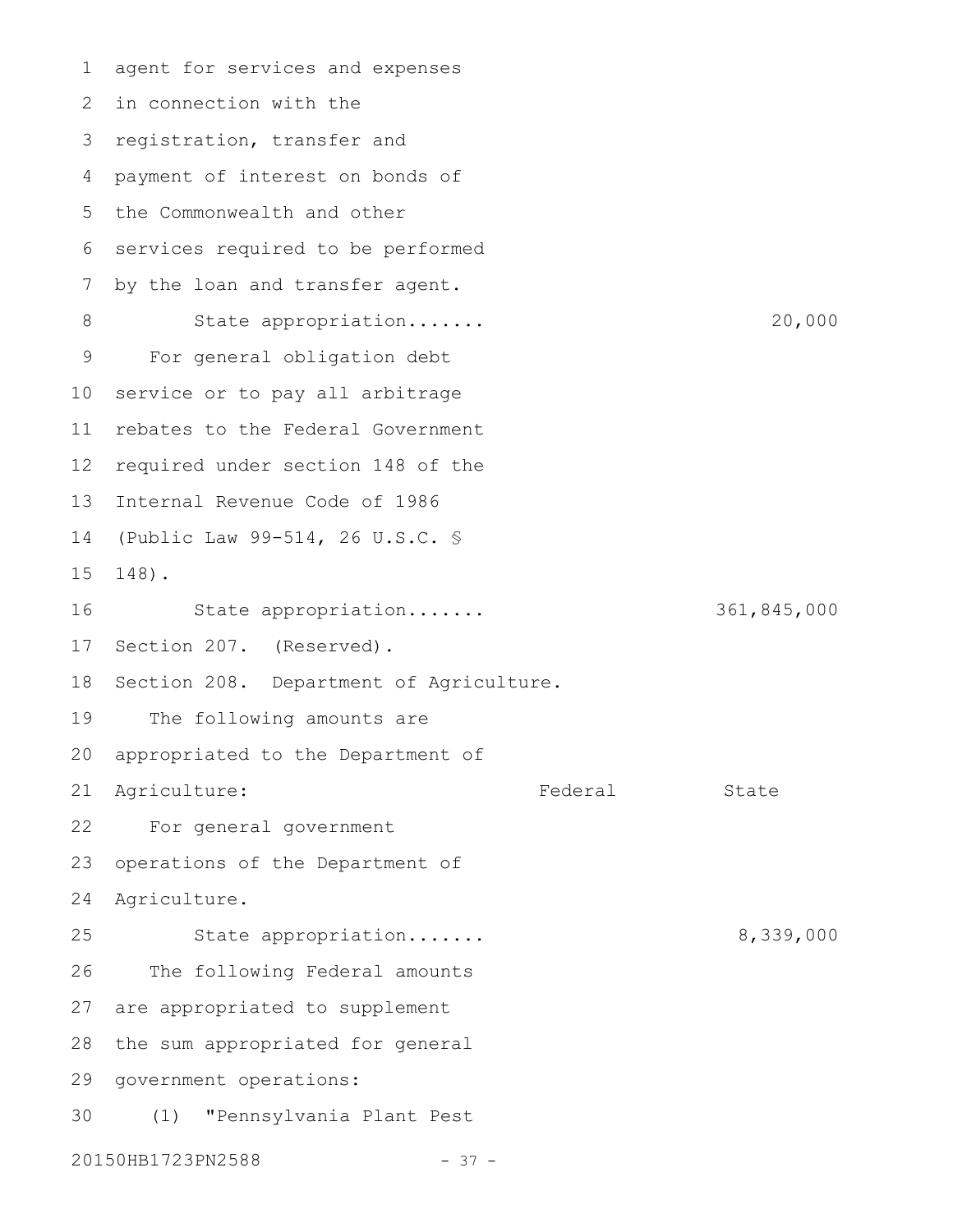agent for services and expenses 2 in connection with the 3 registration, transfer and payment of interest on bonds of 4 5 the Commonwealth and other 6 services required to be performed by the loan and transfer agent. State appropriation....... 20,000 For general obligation debt service or to pay all arbitrage rebates to the Federal Government 12 required under section 148 of the Internal Revenue Code of 1986 13 (Public Law 99-514, 26 U.S.C. § 148). State appropriation....... 361,845,000 17 Section 207. (Reserved). 18 Section 208. Department of Agriculture. The following amounts are appropriated to the Department of Agriculture: The Rederal State For general government operations of the Department of Agriculture. State appropriation....... 8,339,000 The following Federal amounts 27 are appropriated to supplement 28 the sum appropriated for general 29 government operations: (1) "Pennsylvania Plant Pest 20150HB1723PN2588 - 37 -1 7 8 9 10 11 14 15 16 19 20 21 22 23 24 25 26 30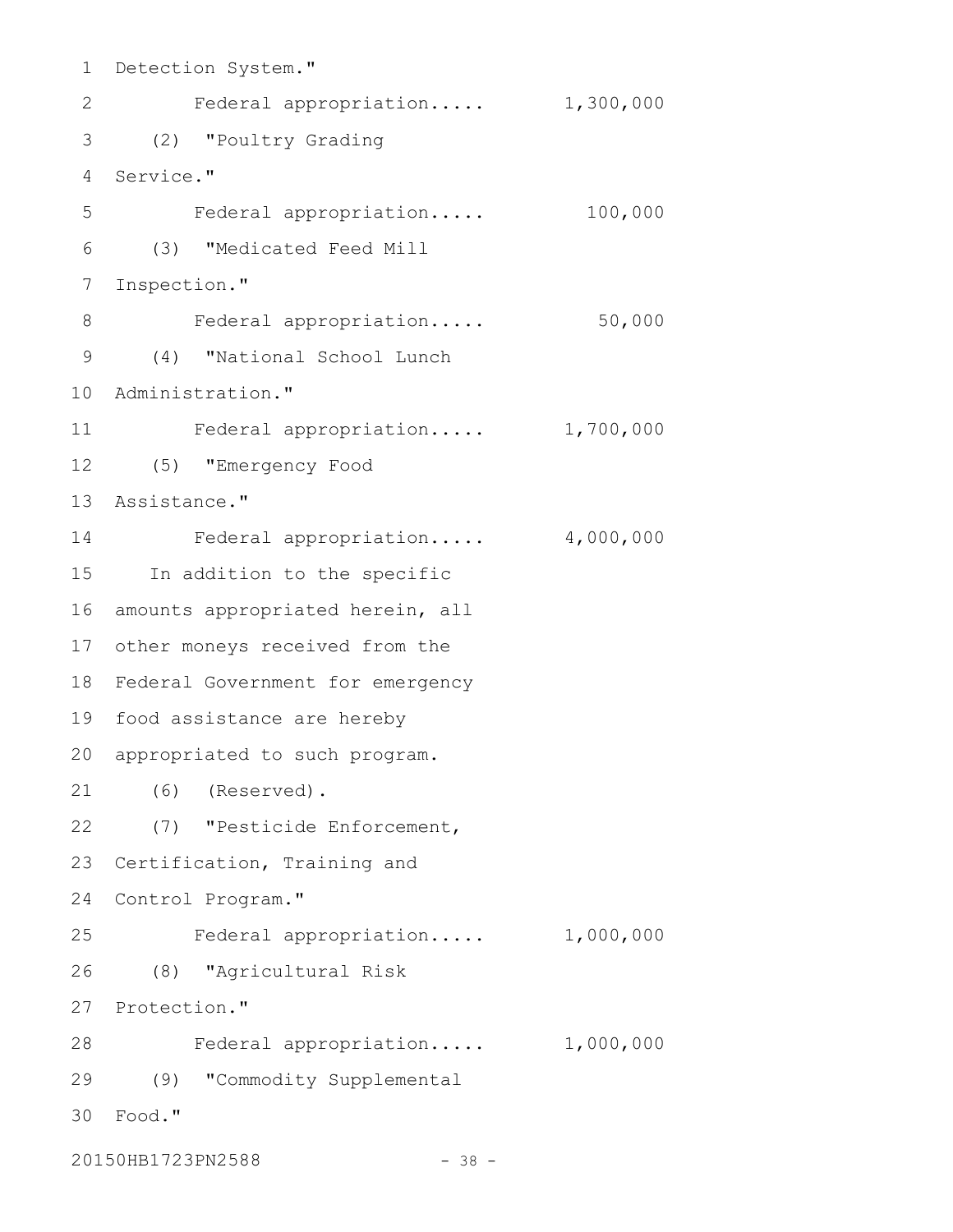1 Detection System." Federal appropriation..... 1,300,000 (2) "Poultry Grading 3 Service." 4 Federal appropriation..... 100,000 (3) "Medicated Feed Mill Inspection." Federal appropriation..... 50,000 (4) "National School Lunch 9 10 Administration." Federal appropriation..... 1,700,000 (5) "Emergency Food 12 13 Assistance." Federal appropriation..... 4,000,000 15 In addition to the specific 16 amounts appropriated herein, all 17 other moneys received from the 18 Federal Government for emergency 19 food assistance are hereby 20 appropriated to such program. (6) (Reserved). 21 (7) "Pesticide Enforcement, 22 23 Certification, Training and 24 Control Program." Federal appropriation..... 1,000,000 (8) "Agricultural Risk 26 27 Protection." Federal appropriation..... 1,000,000 28 (9) "Commodity Supplemental 29 Food." 302 5 6 7 8 11 14 25

20150HB1723PN2588 - 38 -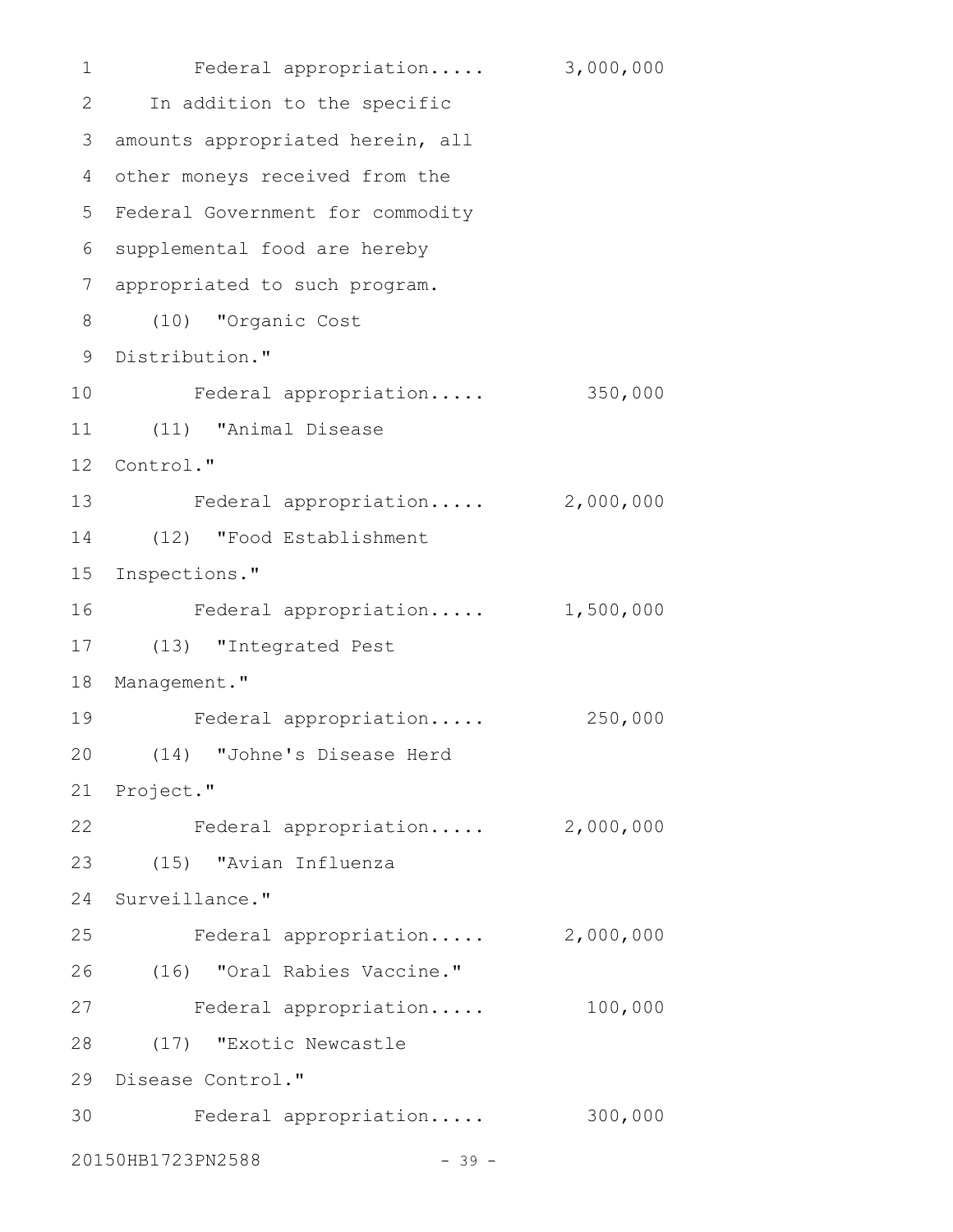Federal appropriation..... 3,000,000 2 In addition to the specific 3 amounts appropriated herein, all other moneys received from the 4 5 Federal Government for commodity 6 supplemental food are hereby appropriated to such program. 7 (10) "Organic Cost 8 9 Distribution." Federal appropriation..... 350,000 (11) "Animal Disease 11 12 Control." 13 Federal appropriation..... 2,000,000 (12) "Food Establishment 14 15 Inspections." Federal appropriation..... 1,500,000 (13) "Integrated Pest 17 18 Management." Federal appropriation..... 250,000 (14) "Johne's Disease Herd 20 21 Project." 22 Federal appropriation..... 2,000,000 (15) "Avian Influenza 23 24 Surveillance." Federal appropriation..... 2,000,000 (16) "Oral Rabies Vaccine." 26 27 Federal appropriation..... 100,000 (17) "Exotic Newcastle 28 29 Disease Control." 30 Federal appropriation..... 300,000 20150HB1723PN2588 - 39 -1 10 16 19 25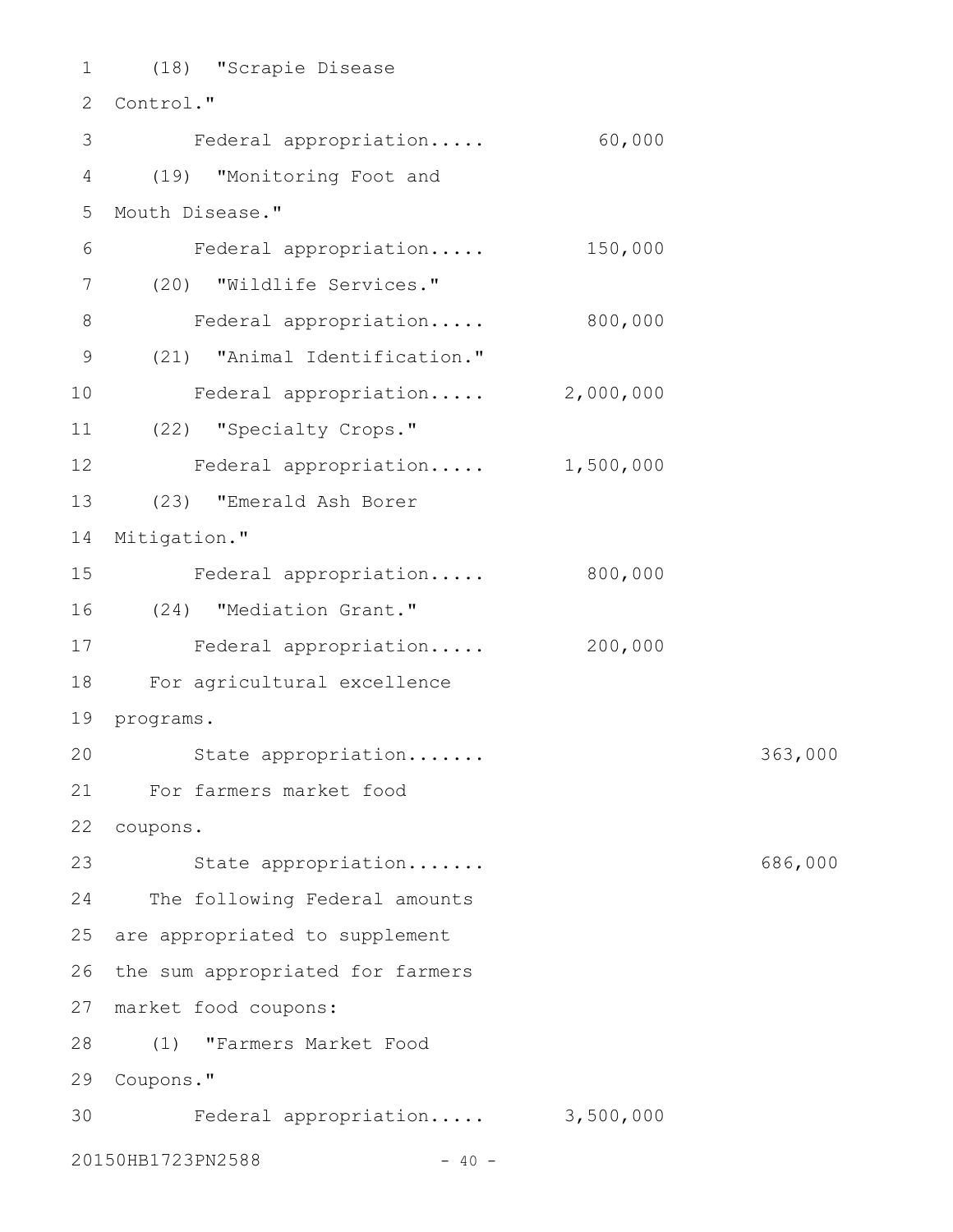(18) "Scrapie Disease 1 2 Control." Federal appropriation..... 60,000 (19) "Monitoring Foot and 4 5 Mouth Disease." Federal appropriation..... 150,000 (20) "Wildlife Services." 7 Federal appropriation..... 800,000 (21) "Animal Identification." 9 Federal appropriation..... 2,000,000 (22) "Specialty Crops." 11 12 Federal appropriation..... 1,500,000 (23) "Emerald Ash Borer 13 14 Mitigation." Federal appropriation..... 800,000 (24) "Mediation Grant." 16 17 Federal appropriation..... 200,000 For agricultural excellence 18 19 programs. State appropriation....... 363,000 For farmers market food 21 coupons. 22 23 State appropriation...... 686,000 24 The following Federal amounts 25 are appropriated to supplement 26 the sum appropriated for farmers market food coupons: 27 (1) "Farmers Market Food 28 29 Coupons." 30 Federal appropriation..... 3,500,000 20150HB1723PN2588 - 40 -3 6 8 10 15 20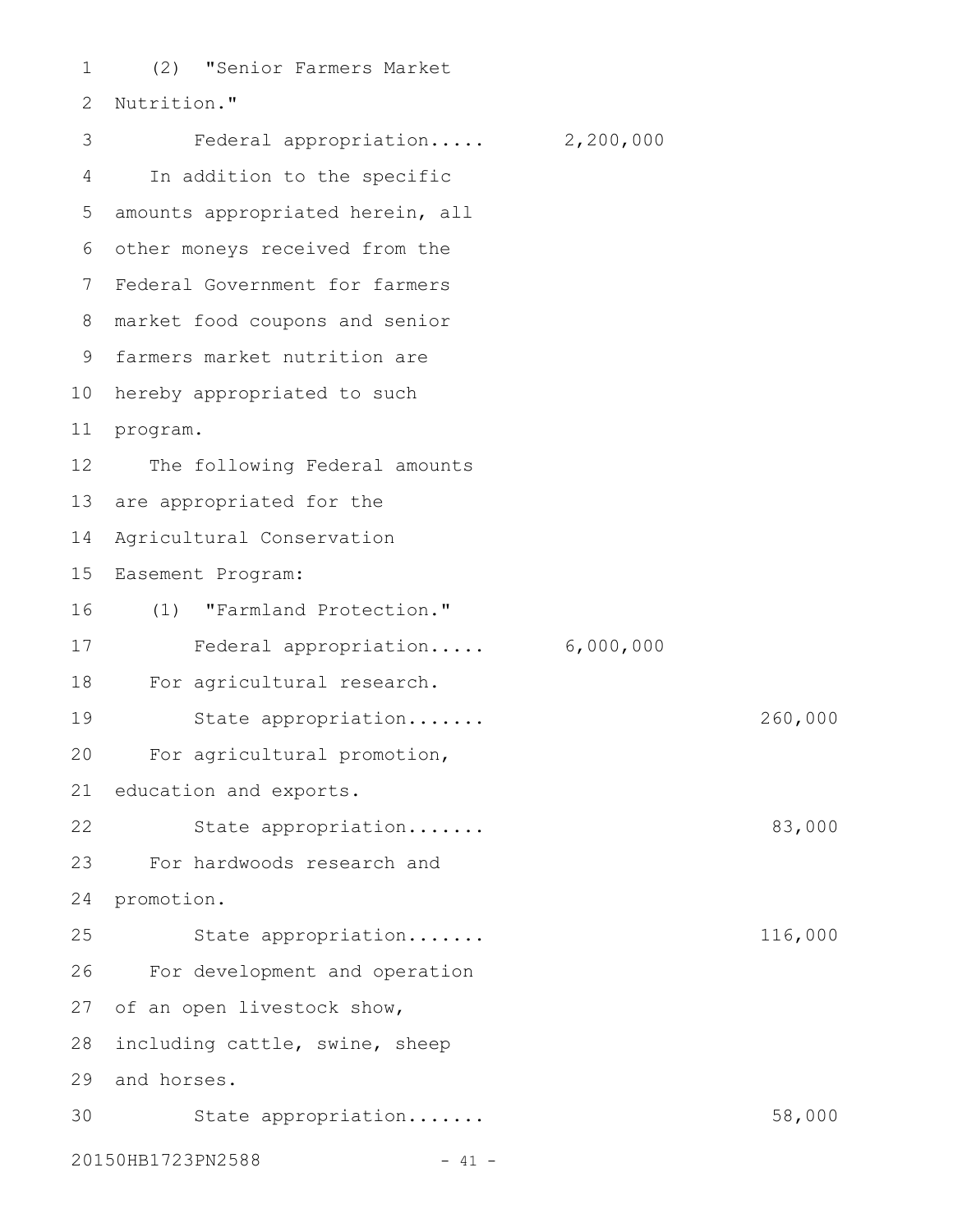(2) "Senior Farmers Market 2 Nutrition." Federal appropriation..... 2,200,000 In addition to the specific 5 amounts appropriated herein, all 6 other moneys received from the 7 Federal Government for farmers market food coupons and senior 8 9 farmers market nutrition are 10 hereby appropriated to such 11 program. The following Federal amounts 13 are appropriated for the Agricultural Conservation 14 15 Easement Program: (1) "Farmland Protection." 16 Federal appropriation..... 6,000,000 18 For agricultural research. State appropriation....... 260,000 For agricultural promotion, education and exports. State appropriation....... 83,000 For hardwoods research and 24 promotion. State appropriation....... 116,000 For development and operation 27 of an open livestock show, 28 including cattle, swine, sheep 29 and horses. State appropriation....... 58,000 20150HB1723PN2588 - 41 -1 3 4 12 17 19 20 21 22 23 25 26 30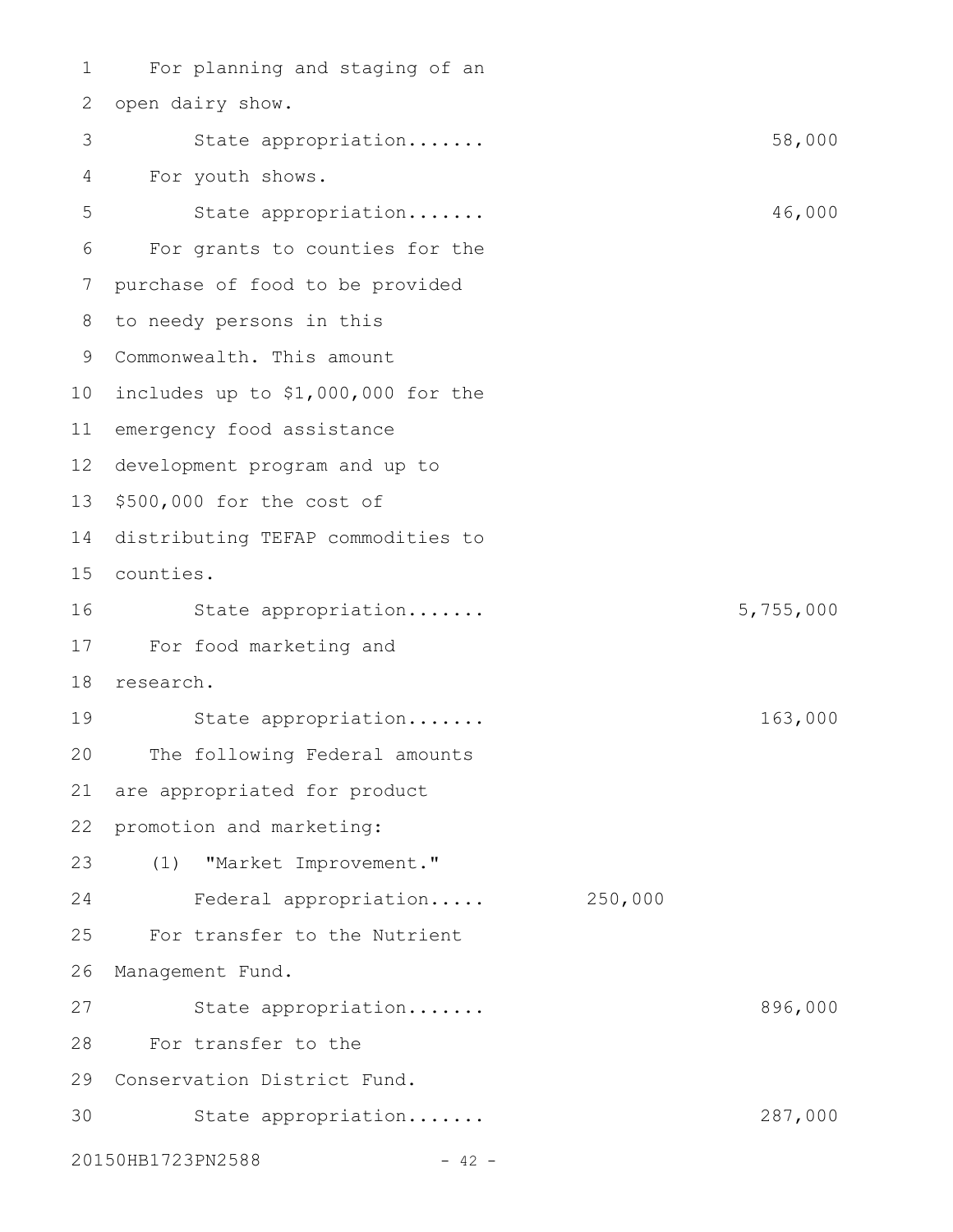For planning and staging of an 2 open dairy show. State appropriation....... 58,000 For youth shows. State appropriation....... 46,000 For grants to counties for the purchase of food to be provided to needy persons in this 8 9 Commonwealth. This amount 10 includes up to \$1,000,000 for the 11 emergency food assistance 12 development program and up to 13 \$500,000 for the cost of 14 distributing TEFAP commodities to counties. 15 State appropriation....... 5,755,000 For food marketing and 17 18 research. State appropriation....... 163,000 The following Federal amounts are appropriated for product promotion and marketing: (1) "Market Improvement." Federal appropriation..... 250,000 For transfer to the Nutrient 26 Management Fund. State appropriation....... 896,000 For transfer to the 28 29 Conservation District Fund. 30 State appropriation...... 287,000 20150HB1723PN2588 - 42 -1 3 4 5 6 7 16 19 20 21 22 23 24 25 27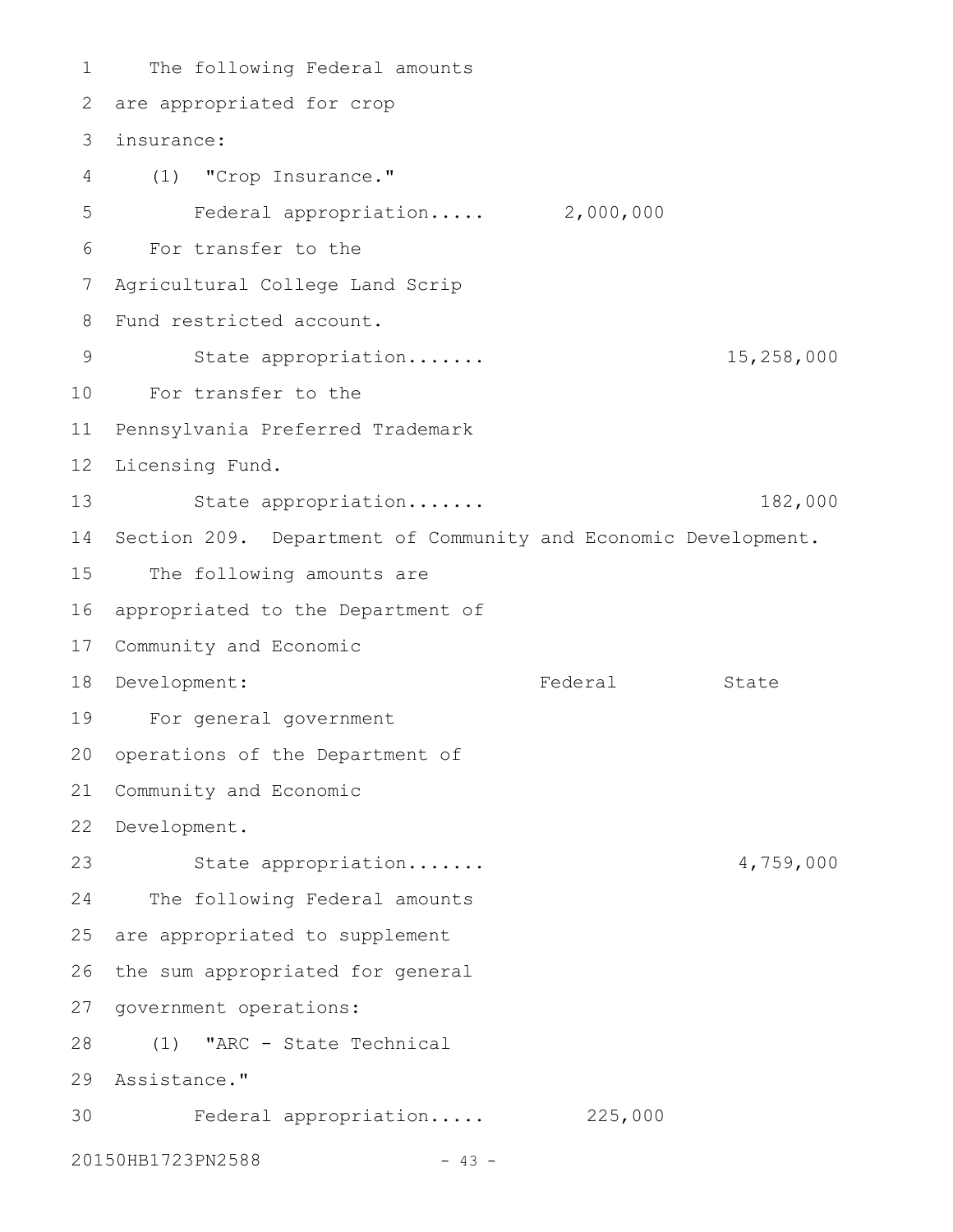The following Federal amounts 2 are appropriated for crop insurance: (1) "Crop Insurance." Federal appropriation..... 2,000,000 For transfer to the Agricultural College Land Scrip Fund restricted account. State appropriation....... 15,258,000 For transfer to the 10 11 Pennsylvania Preferred Trademark 12 Licensing Fund. State appropriation....... 182,000 14 Section 209. Department of Community and Economic Development. The following amounts are 16 appropriated to the Department of 17 Community and Economic 18 Development: Tederal State For general government 20 operations of the Department of 21 Community and Economic 22 Development. State appropriation....... 4,759,000 The following Federal amounts 25 are appropriated to supplement 26 the sum appropriated for general 27 government operations: (1) "ARC - State Technical 28 29 Assistance." Federal appropriation..... 225,000 20150HB1723PN2588 - 43 -1 3 4 5 6 7 8 9 13 15 19 23 24 30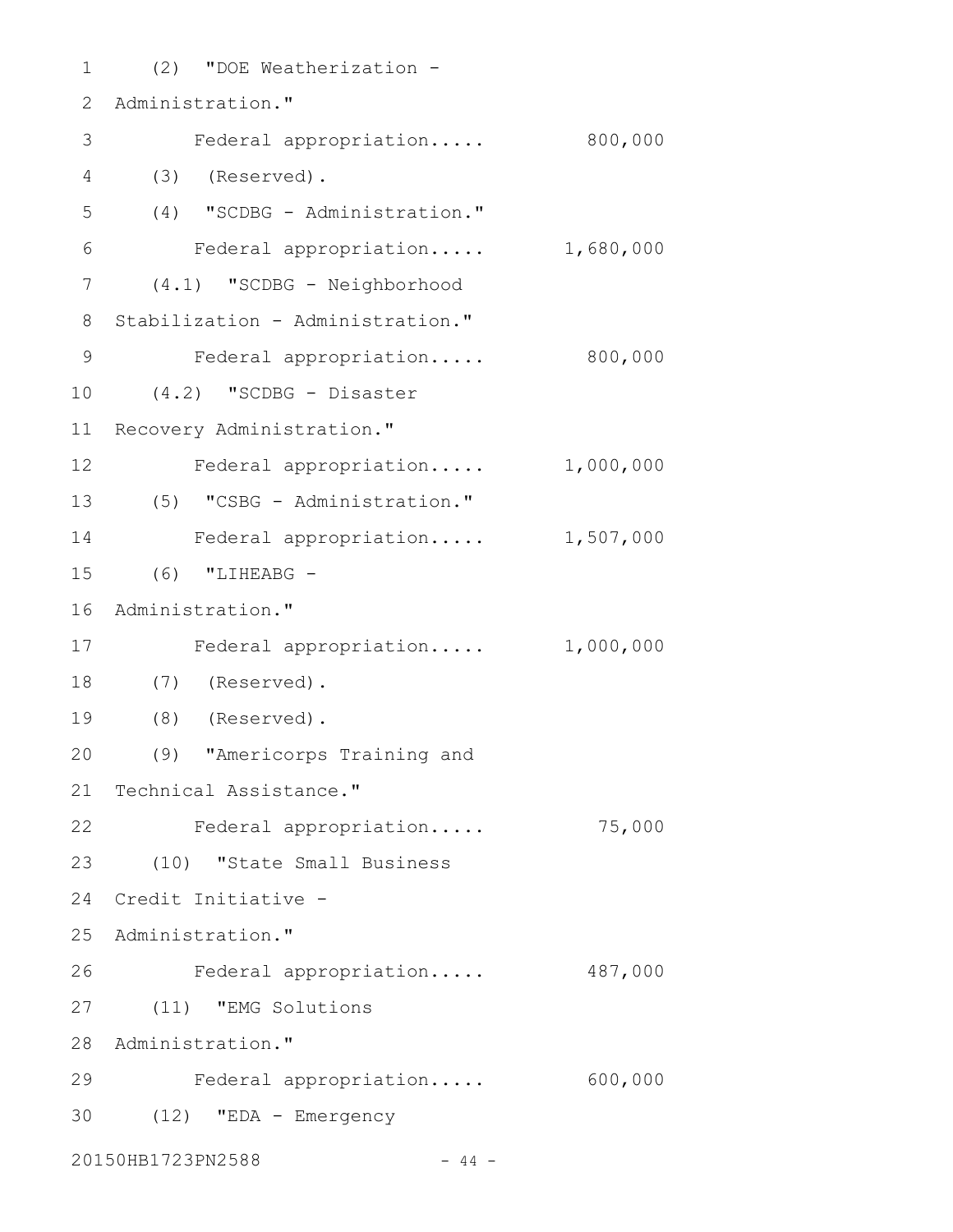(2) "DOE Weatherization - 1 2 Administration." Federal appropriation..... 800,000 (3) (Reserved). 4 (4) "SCDBG - Administration." Federal appropriation..... 1,680,000 (4.1) "SCDBG - Neighborhood 7 8 Stabilization - Administration." Federal appropriation..... 800,000 (4.2) "SCDBG - Disaster 10 11 Recovery Administration." 12 Federal appropriation..... 1,000,000 (5) "CSBG - Administration." 13 Federal appropriation..... 1,507,000 (6) "LIHEABG - 15 16 Administration." 17 Federal appropriation..... 1,000,000 (7) (Reserved). 18 (8) (Reserved). 19 (9) "Americorps Training and 20 21 Technical Assistance." 22 Federal appropriation..... 75,000 (10) "State Small Business 23 Credit Initiative - 24 25 Administration." Federal appropriation..... 487,000 (11) "EMG Solutions 27 28 Administration." Federal appropriation..... 600,000 29 (12) "EDA - Emergency 3020150HB1723PN2588 - 44 -3 5 6 9 14 26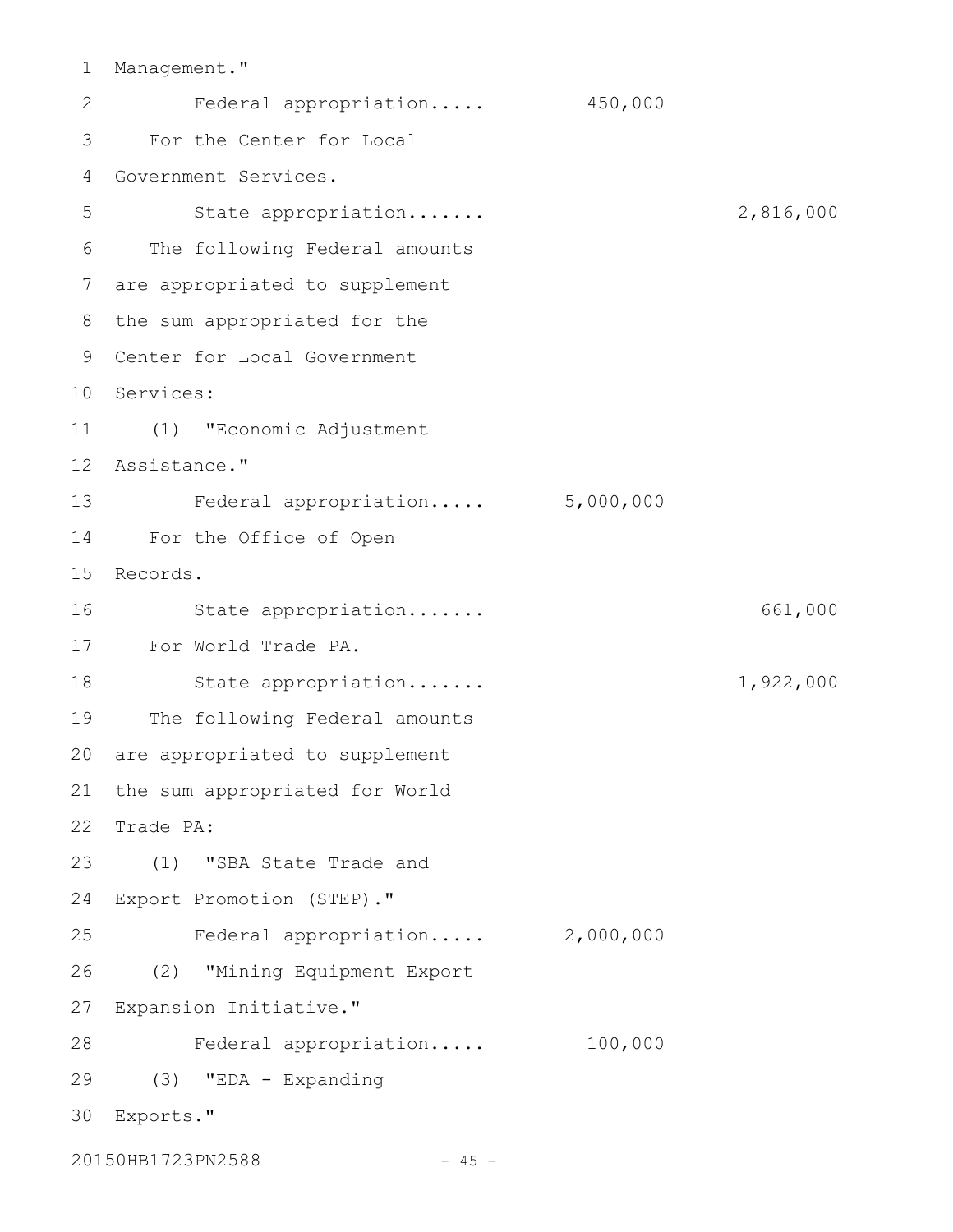1 Management."

Federal appropriation..... 450,000 For the Center for Local 3 Government Services. 4 State appropriation....... 2,816,000 The following Federal amounts 6 are appropriated to supplement 7 8 the sum appropriated for the Center for Local Government 9 10 Services: (1) "Economic Adjustment 11 12 Assistance." Federal appropriation..... 5,000,000 13 For the Office of Open 14 15 Records. State appropriation....... 661,000 For World Trade PA. 17 18 State appropriation...... 1,922,000 19 The following Federal amounts 20 are appropriated to supplement 21 the sum appropriated for World 22 Trade PA: (1) "SBA State Trade and Export Promotion (STEP)." 24 Federal appropriation..... 2,000,000 (2) "Mining Equipment Export 27 Expansion Initiative." Federal appropriation..... 100,000 28 (3) "EDA - Expanding 29 Exports." 3020150HB1723PN2588 - 45 -2 5 16 23 25 26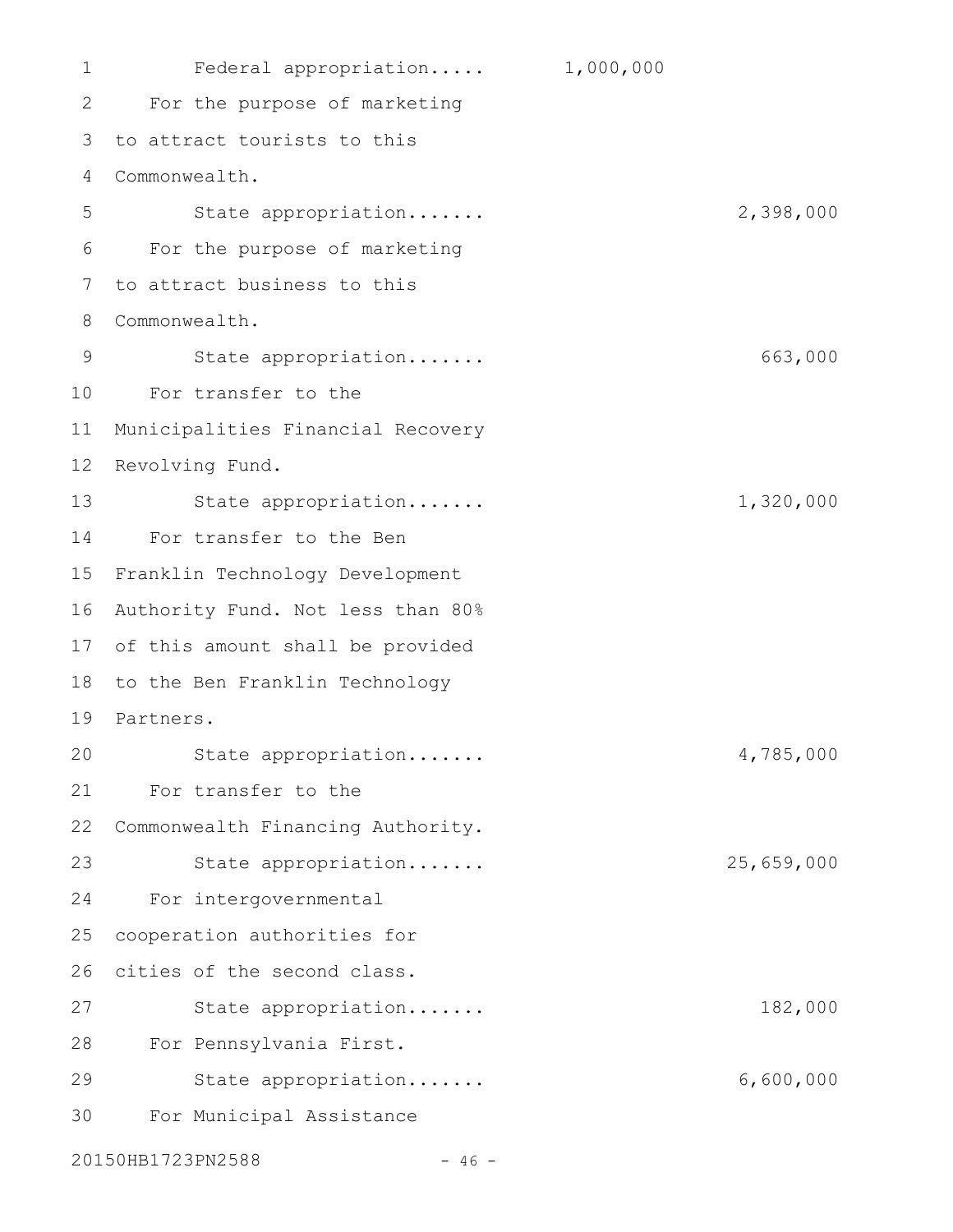Federal appropriation..... 1,000,000 For the purpose of marketing to attract tourists to this 3 Commonwealth. State appropriation....... 2,398,000 For the purpose of marketing to attract business to this Commonwealth. State appropriation....... 663,000 For transfer to the 10 Municipalities Financial Recovery 12 Revolving Fund. State appropriation....... 1,320,000 For transfer to the Ben 14 15 Franklin Technology Development 16 Authority Fund. Not less than 80% 17 of this amount shall be provided 18 to the Ben Franklin Technology 19 Partners. State appropriation....... 4,785,000 For transfer to the 22 Commonwealth Financing Authority. State appropriation....... 25,659,000 For intergovernmental cooperation authorities for 26 cities of the second class. State appropriation....... 182,000 For Pennsylvania First. 28 State appropriation....... 6,600,000 For Municipal Assistance 1 2 4 5 6 7 8 9 11 13 20 21 23 24 25 27 29 30

20150HB1723PN2588 - 46 -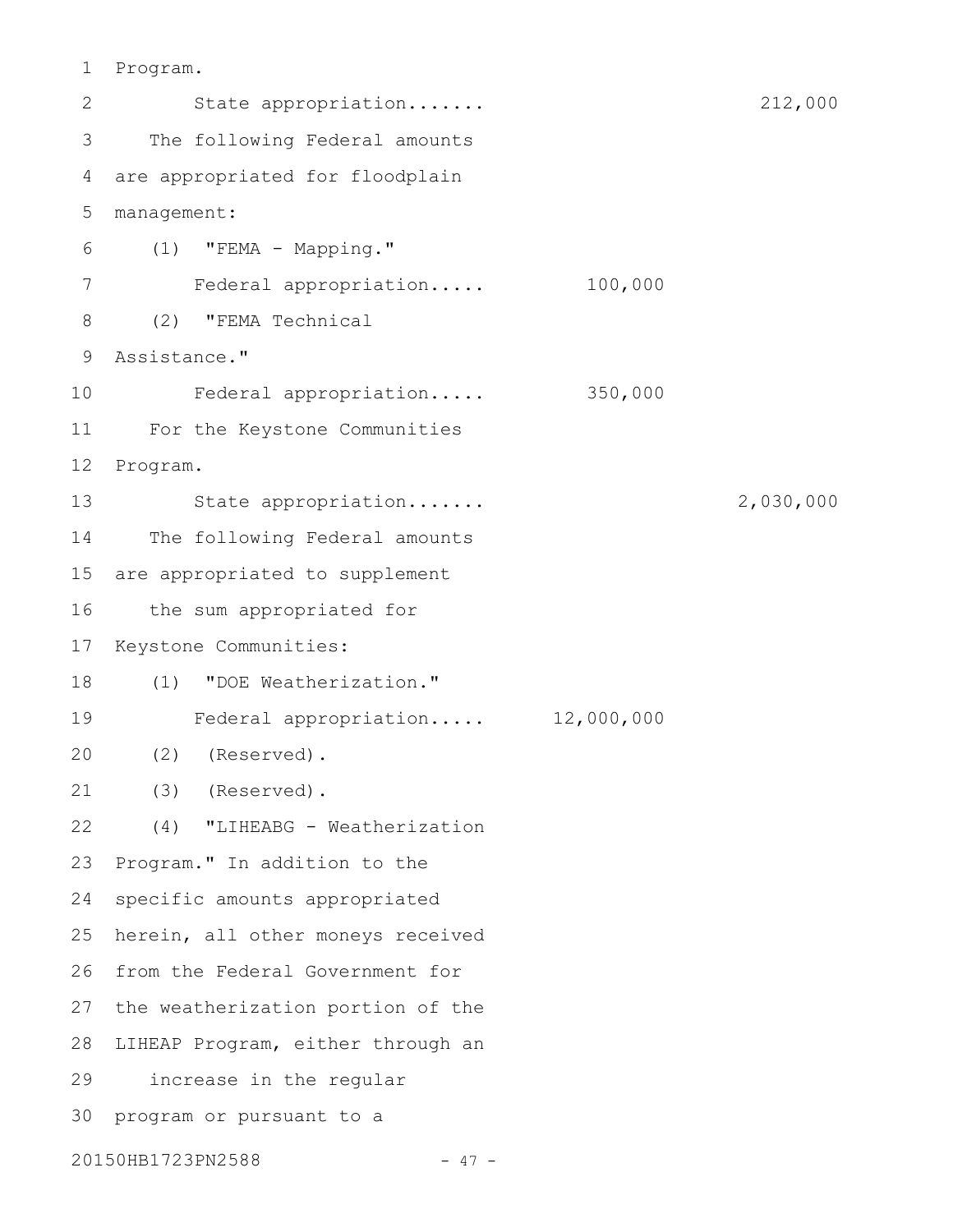Program. 1

| 2  | State appropriation               |         | 212,000   |
|----|-----------------------------------|---------|-----------|
| 3  | The following Federal amounts     |         |           |
| 4  | are appropriated for floodplain   |         |           |
| 5  | management:                       |         |           |
| 6  | "FEMA - Mapping."<br>(1)          |         |           |
| 7  | Federal appropriation             | 100,000 |           |
| 8  | "FEMA Technical<br>(2)            |         |           |
| 9  | Assistance."                      |         |           |
| 10 | Federal appropriation             | 350,000 |           |
| 11 | For the Keystone Communities      |         |           |
| 12 | Program.                          |         |           |
| 13 | State appropriation               |         | 2,030,000 |
| 14 | The following Federal amounts     |         |           |
| 15 | are appropriated to supplement    |         |           |
| 16 | the sum appropriated for          |         |           |
| 17 | Keystone Communities:             |         |           |
| 18 | "DOE Weatherization."<br>(1)      |         |           |
| 19 | Federal appropriation 12,000,000  |         |           |
| 20 | (2)<br>(Reserved).                |         |           |
| 21 | (3) (Reserved)                    |         |           |
| 22 | "LIHEABG - Weatherization<br>(4)  |         |           |
| 23 | Program." In addition to the      |         |           |
| 24 | specific amounts appropriated     |         |           |
| 25 | herein, all other moneys received |         |           |
| 26 | from the Federal Government for   |         |           |
| 27 | the weatherization portion of the |         |           |
| 28 | LIHEAP Program, either through an |         |           |
| 29 | increase in the regular           |         |           |
| 30 | program or pursuant to a          |         |           |
|    | 20150HB1723PN2588<br>- 47 -       |         |           |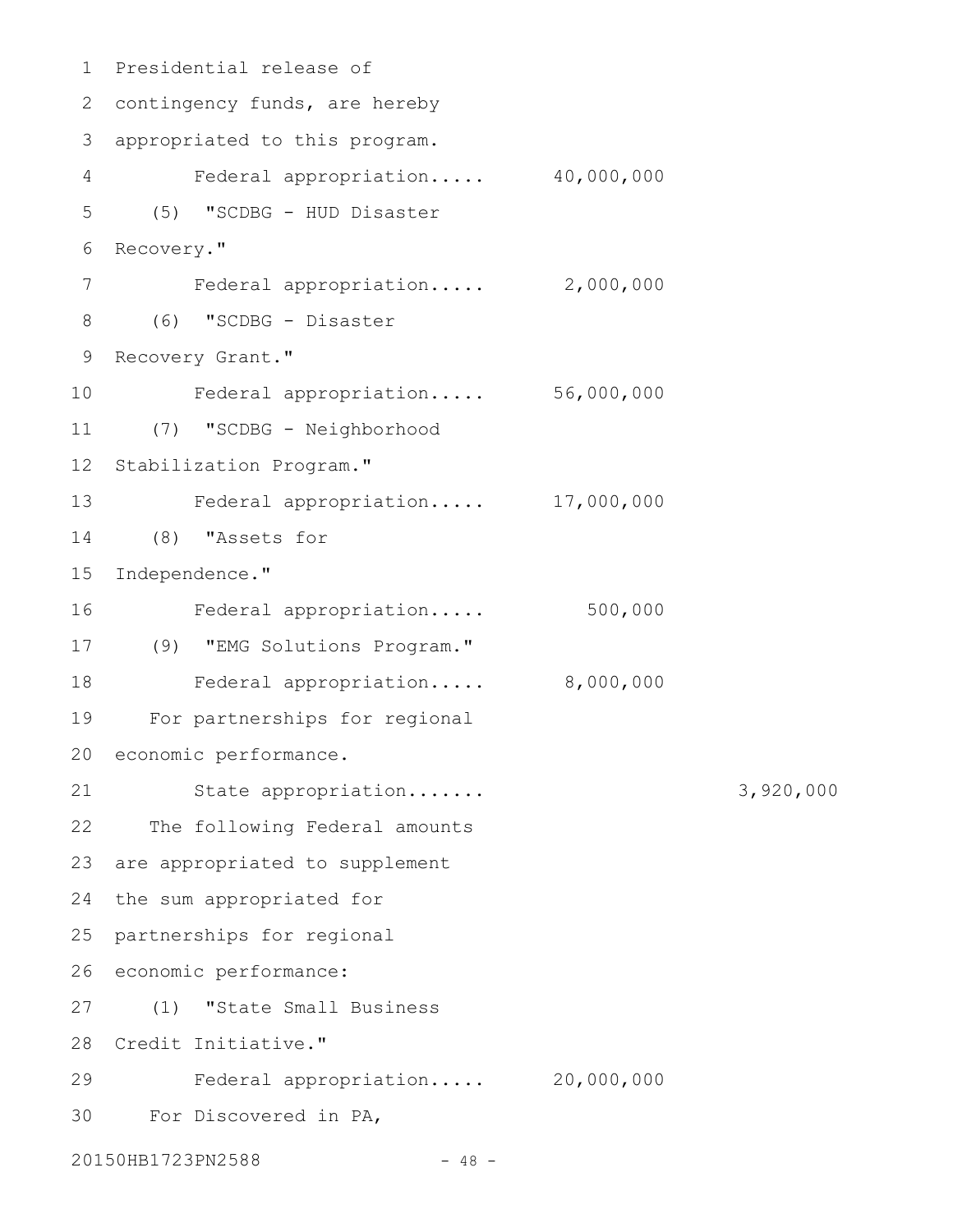```
Presidential release of
1
 2 contingency funds, are hereby
 3 appropriated to this program.
        Federal appropriation..... 40,000,000
      (5) "SCDBG - HUD Disaster
   Recovery."
         Federal appropriation..... 2,000,000
      (6) "SCDBG - Disaster
  Recovery Grant."
         Federal appropriation..... 56,000,000
      (7) "SCDBG - Neighborhood
  Stabilization Program."
         Federal appropriation..... 17,000,000
      (8) "Assets for
  Independence."
        Federal appropriation..... 500,000
(9) "EMG Solutions Program."
17
         Federal appropriation..... 8,000,000
      For partnerships for regional
20 economic performance.
         State appropriation....... 3,920,000
      The following Federal amounts
23 are appropriated to supplement
24 the sum appropriated for
  partnerships for regional
26 economic performance:
      (1) "State Small Business
28 Credit Initiative."
         Federal appropriation..... 20,000,000
      For Discovered in PA,
20150HB1723PN2588 - 48 -
4
5
6
7
8
9
10
11
12
13
14
15
16
18
19
21
22
25
27
29
30
```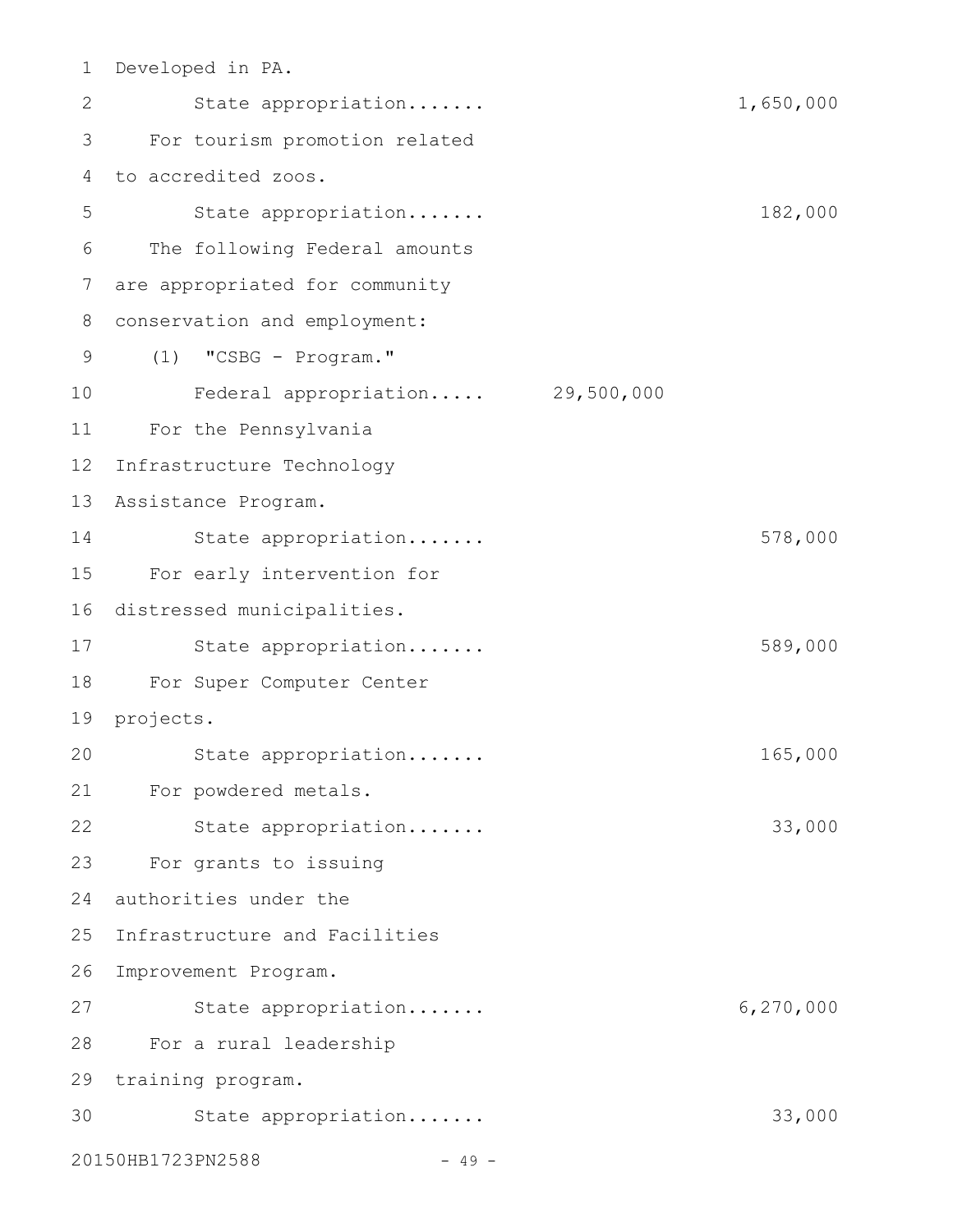| 1  | Developed in PA.               |            |           |
|----|--------------------------------|------------|-----------|
| 2  | State appropriation            |            | 1,650,000 |
| 3  | For tourism promotion related  |            |           |
| 4  | to accredited zoos.            |            |           |
| 5  | State appropriation            |            | 182,000   |
| 6  | The following Federal amounts  |            |           |
| 7  | are appropriated for community |            |           |
| 8  | conservation and employment:   |            |           |
| 9  | (1)<br>"CSBG - Program."       |            |           |
| 10 | Federal appropriation          | 29,500,000 |           |
| 11 | For the Pennsylvania           |            |           |
| 12 | Infrastructure Technology      |            |           |
| 13 | Assistance Program.            |            |           |
| 14 | State appropriation            |            | 578,000   |
| 15 | For early intervention for     |            |           |
| 16 | distressed municipalities.     |            |           |
| 17 | State appropriation            |            | 589,000   |
| 18 | For Super Computer Center      |            |           |
| 19 | projects.                      |            |           |
| 20 | State appropriation            |            | 165,000   |
| 21 | For powdered metals.           |            |           |
| 22 | State appropriation            |            | 33,000    |
| 23 | For grants to issuing          |            |           |
| 24 | authorities under the          |            |           |
| 25 | Infrastructure and Facilities  |            |           |
| 26 | Improvement Program.           |            |           |
| 27 | State appropriation            |            | 6,270,000 |
| 28 | For a rural leadership         |            |           |
| 29 | training program.              |            |           |
| 30 | State appropriation            |            | 33,000    |
|    | 20150HB1723PN2588<br>$-49 -$   |            |           |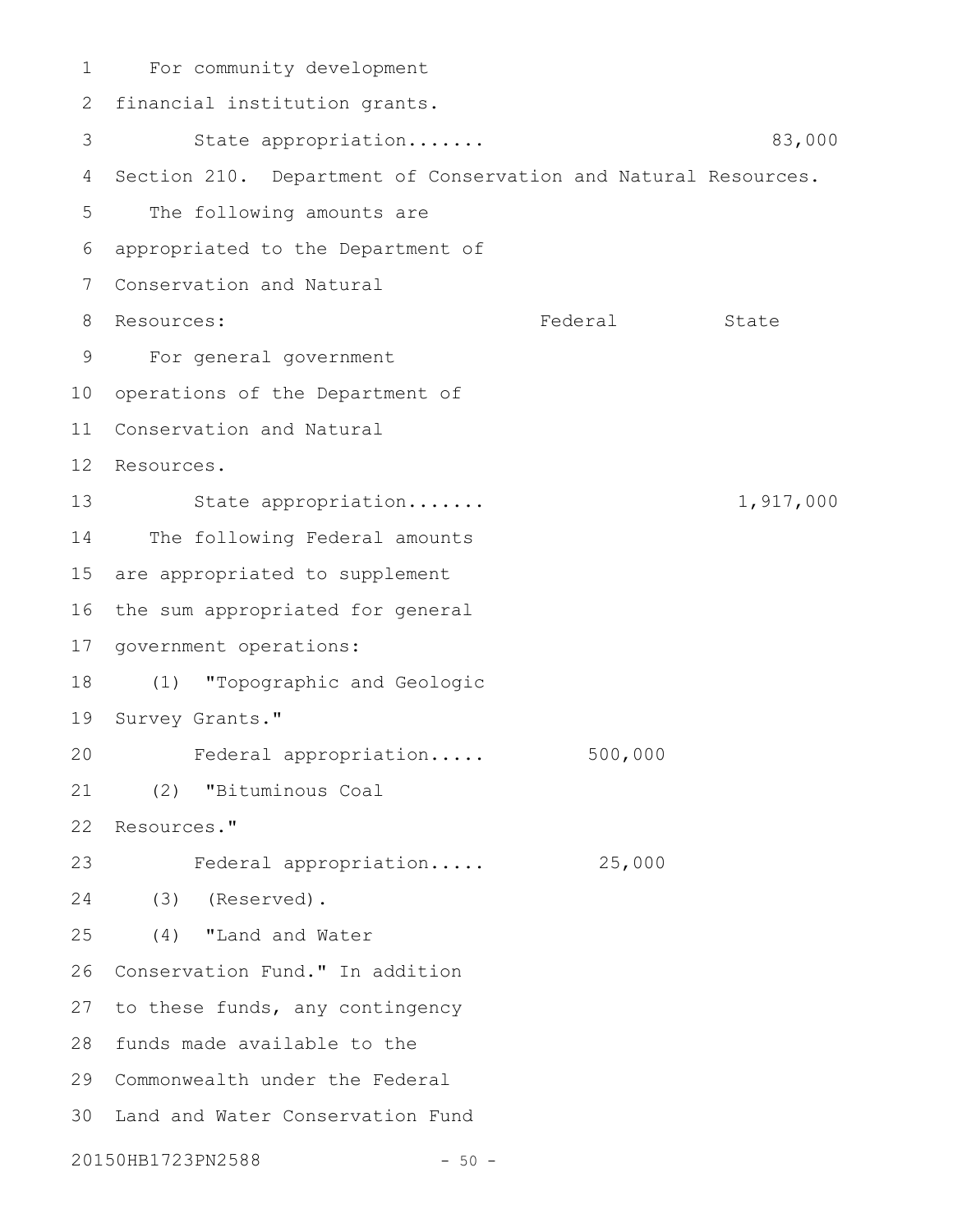For community development 1 2 financial institution grants. State appropriation....... 83,000 4 Section 210. Department of Conservation and Natural Resources. The following amounts are appropriated to the Department of 6 Conservation and Natural 7 Federal State For general government 9 10 operations of the Department of 11 Conservation and Natural 12 Resources. State appropriation....... 1,917,000 14 The following Federal amounts 15 are appropriated to supplement 16 the sum appropriated for general 17 government operations: (1) "Topographic and Geologic 18 19 Survey Grants." Federal appropriation..... 500,000 (2) "Bituminous Coal 21 22 Resources." Federal appropriation..... 25,000 (3) (Reserved). 24 (4) "Land and Water 26 Conservation Fund." In addition 27 to these funds, any contingency 28 funds made available to the 29 Commonwealth under the Federal 30 Land and Water Conservation Fund 20150HB1723PN2588 - 50 -3 5 8 Resources: 13 20 23 25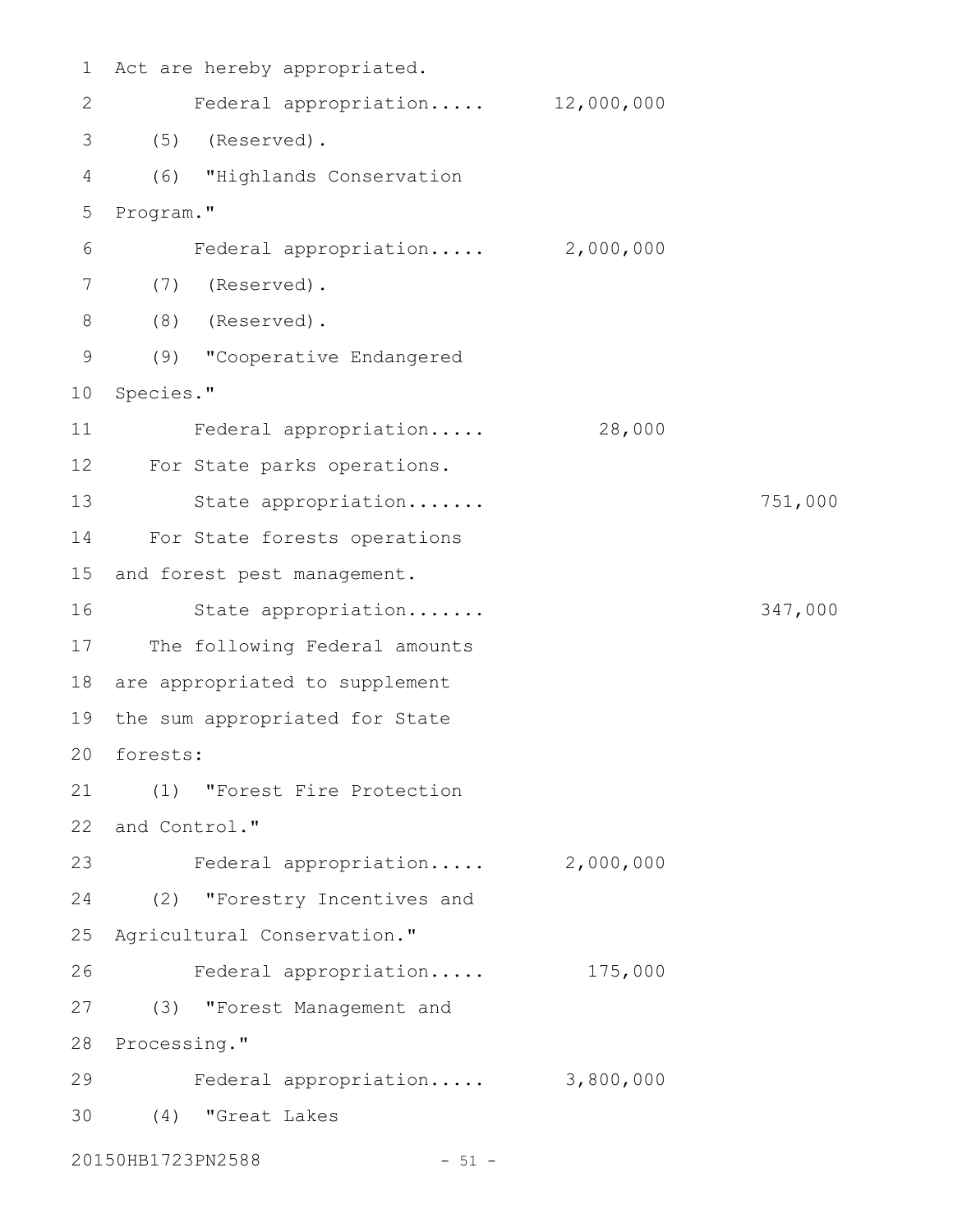| $\mathbf 1$  | Act are hereby appropriated.     |           |         |
|--------------|----------------------------------|-----------|---------|
| $\mathbf{2}$ | Federal appropriation 12,000,000 |           |         |
| 3            | (5)<br>(Reserved).               |           |         |
| 4            | (6) "Highlands Conservation      |           |         |
| 5            | Program."                        |           |         |
| 6            | Federal appropriation 2,000,000  |           |         |
| 7            | (7)<br>(Reserved).               |           |         |
| 8            | (8)<br>(Reserved).               |           |         |
| $\mathsf 9$  | (9) "Cooperative Endangered      |           |         |
| 10           | Species."                        |           |         |
| 11           | Federal appropriation            | 28,000    |         |
| 12           | For State parks operations.      |           |         |
| 13           | State appropriation              |           | 751,000 |
| 14           | For State forests operations     |           |         |
| 15           | and forest pest management.      |           |         |
| 16           | State appropriation              |           | 347,000 |
| 17           | The following Federal amounts    |           |         |
| 18           | are appropriated to supplement   |           |         |
| 19           | the sum appropriated for State   |           |         |
| 20           | forests:                         |           |         |
| 21           | (1) "Forest Fire Protection      |           |         |
| 22           | and Control."                    |           |         |
| 23           | Federal appropriation            | 2,000,000 |         |
| 24           | (2) "Forestry Incentives and     |           |         |
| 25           | Agricultural Conservation."      |           |         |
| 26           | Federal appropriation            | 175,000   |         |
| 27           | "Forest Management and<br>(3)    |           |         |
| 28           | Processing."                     |           |         |
| 29           | Federal appropriation 3,800,000  |           |         |
| 30           | "Great Lakes<br>(4)              |           |         |
|              | 20150HB1723PN2588<br>$-51 -$     |           |         |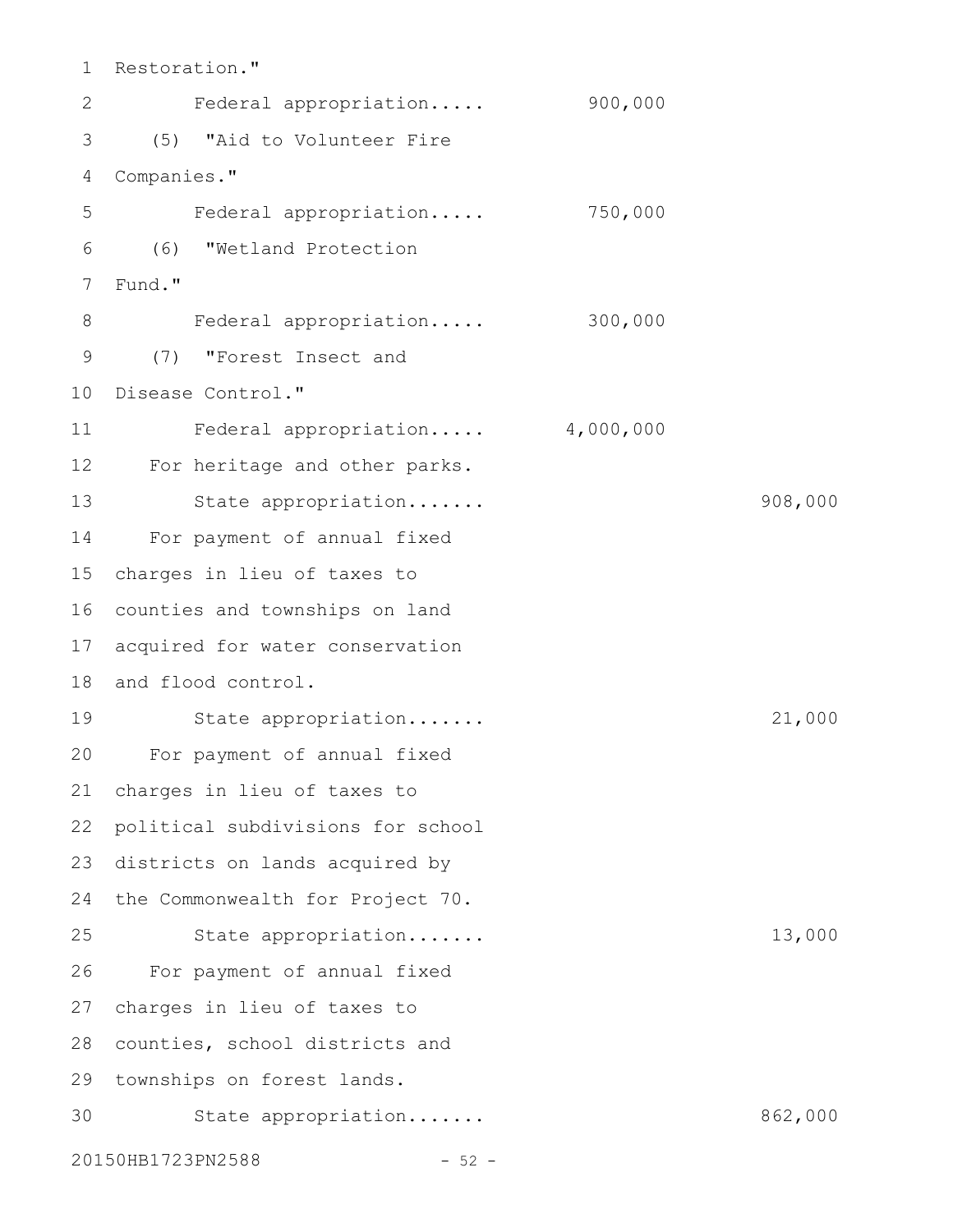Restoration." Federal appropriation..... 900,000 (5) "Aid to Volunteer Fire Companies." Federal appropriation..... 750,000 (6) "Wetland Protection Fund." Federal appropriation..... 300,000 (7) "Forest Insect and 10 Disease Control." Federal appropriation..... 4,000,000 12 For heritage and other parks. State appropriation....... 908,000 For payment of annual fixed 14 charges in lieu of taxes to 16 counties and townships on land 17 acquired for water conservation 18 and flood control. State appropriation....... 21,000 For payment of annual fixed 20 charges in lieu of taxes to political subdivisions for school 23 districts on lands acquired by 24 the Commonwealth for Project 70. State appropriation....... 13,000 For payment of annual fixed charges in lieu of taxes to 27 28 counties, school districts and 29 townships on forest lands. 30 State appropriation...... 862,000 20150HB1723PN2588 - 52 -1 2 3 4 5 6 7 8 9 11 13 15 19 21 22 25 26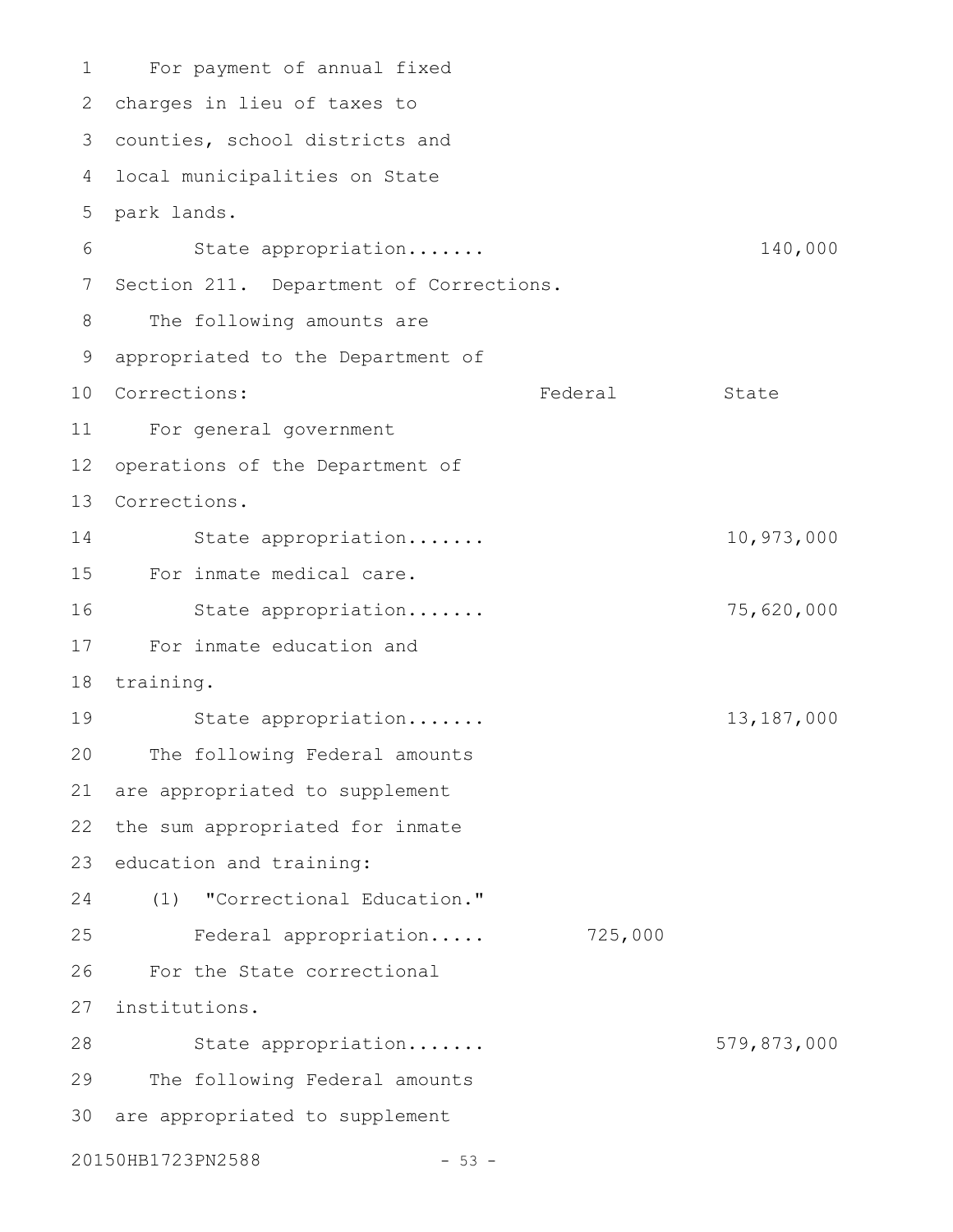For payment of annual fixed charges in lieu of taxes to 2 counties, school districts and 3 4 local municipalities on State park lands. 5 State appropriation....... 140,000 7 Section 211. Department of Corrections. The following amounts are appropriated to the Department of 9 10 Corrections: Tederal State For general government 11 12 operations of the Department of Corrections. 13 State appropriation....... 10,973,000 For inmate medical care. State appropriation....... 75,620,000 For inmate education and 17 18 training. State appropriation....... 13,187,000 The following Federal amounts are appropriated to supplement 22 the sum appropriated for inmate 23 education and training: (1) "Correctional Education." Federal appropriation..... 725,000 For the State correctional institutions. 27 State appropriation....... 579,873,000 The following Federal amounts 30 are appropriated to supplement 20150HB1723PN2588 - 53 -1 6 8 14 15 16 19 20 21 24 25 26 28 29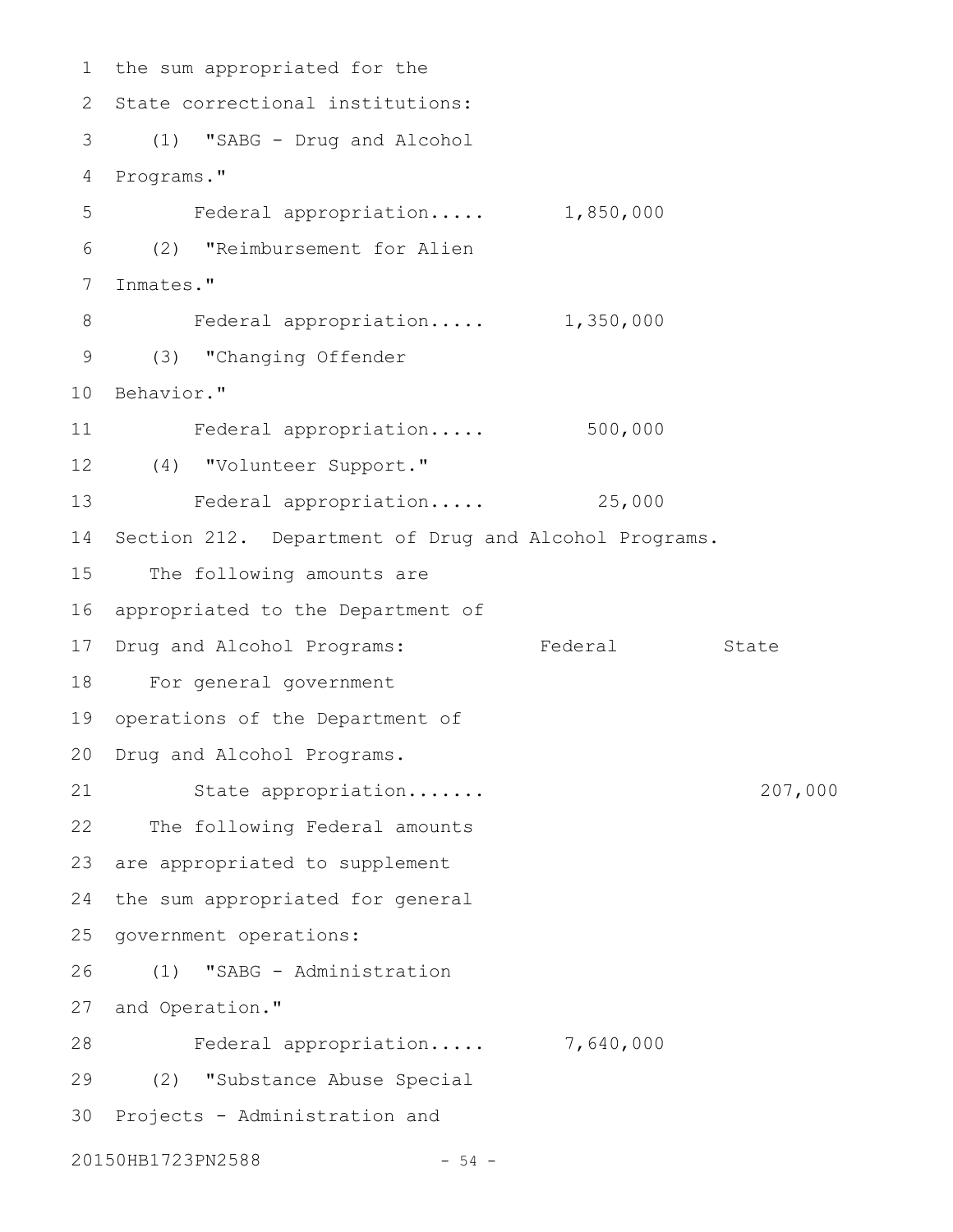1 the sum appropriated for the 2 State correctional institutions: (1) "SABG - Drug and Alcohol 3 4 Programs." Federal appropriation..... 1,850,000 (2) "Reimbursement for Alien Inmates." Federal appropriation..... 1,350,000 (3) "Changing Offender 9 10 Behavior." Federal appropriation..... 500,000 (4) "Volunteer Support." 12 13 Federal appropriation..... 25,000 14 Section 212. Department of Drug and Alcohol Programs. 15 The following amounts are appropriated to the Department of 17 Drug and Alcohol Programs: Tederal State For general government 18 19 operations of the Department of 20 Drug and Alcohol Programs. State appropriation....... 207,000 22 The following Federal amounts 23 are appropriated to supplement 24 the sum appropriated for general 25 government operations: (1) "SABG - Administration 27 and Operation." Federal appropriation..... 7,640,000 28 (2) "Substance Abuse Special 29 30 Projects - Administration and 20150HB1723PN2588 - 54 -5 6 7 8 11 16 21 26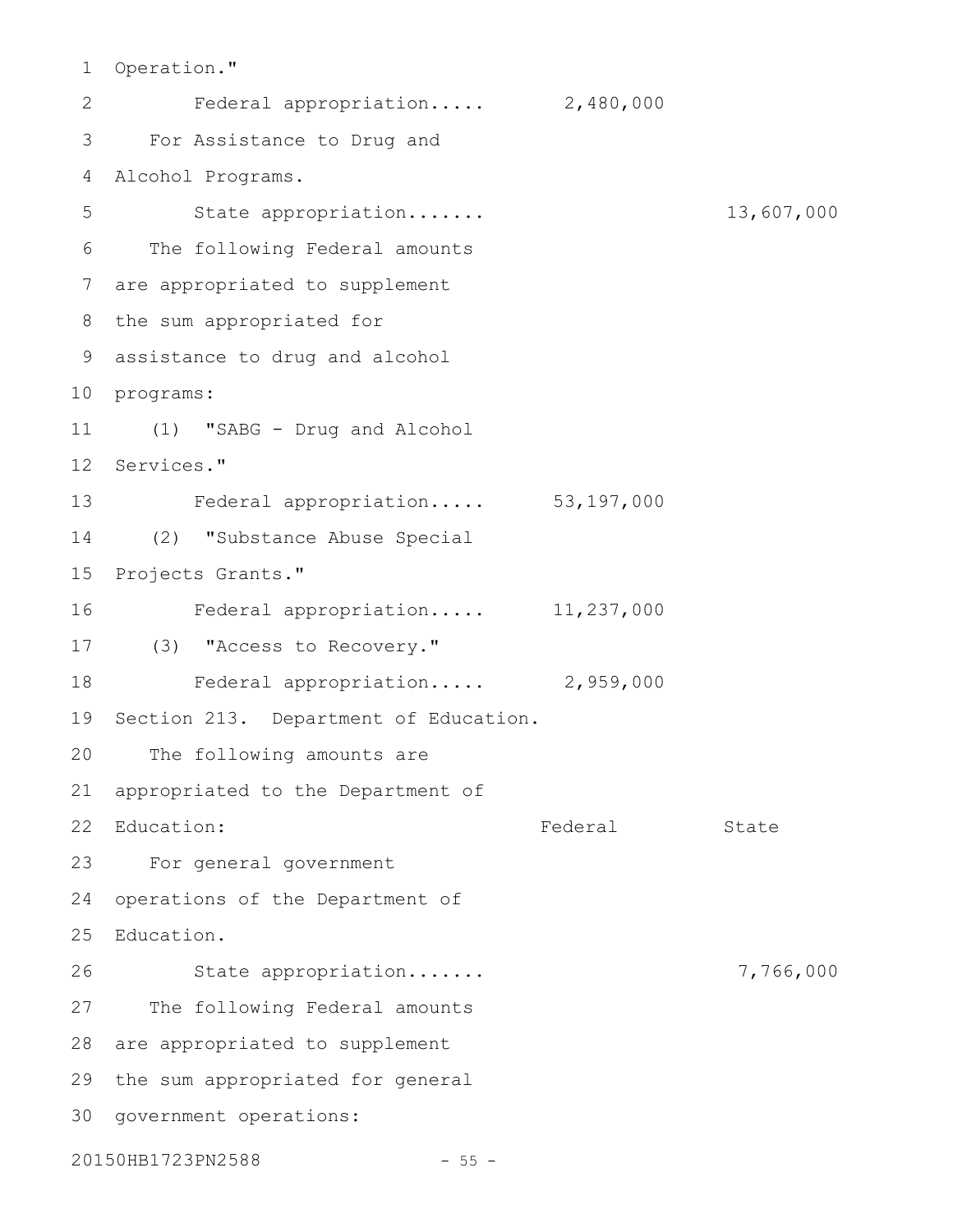1 Operation."

Federal appropriation..... 2,480,000 For Assistance to Drug and 3 Alcohol Programs. 4 State appropriation....... 13,607,000 The following Federal amounts are appropriated to supplement 7 8 the sum appropriated for assistance to drug and alcohol 9 10 programs: (1) "SABG - Drug and Alcohol 11 12 Services." Federal appropriation..... 53,197,000 13 (2) "Substance Abuse Special 15 Projects Grants." Federal appropriation..... 11,237,000 (3) "Access to Recovery." 17 Federal appropriation..... 2,959,000 19 Section 213. Department of Education. The following amounts are appropriated to the Department of Federal State For general government 23 24 operations of the Department of 25 Education. State appropriation....... 7,766,000 27 The following Federal amounts 28 are appropriated to supplement 29 the sum appropriated for general 30 government operations: 20150HB1723PN2588 - 55 -2 5 6 14 16 18 20 21 22 Education: 26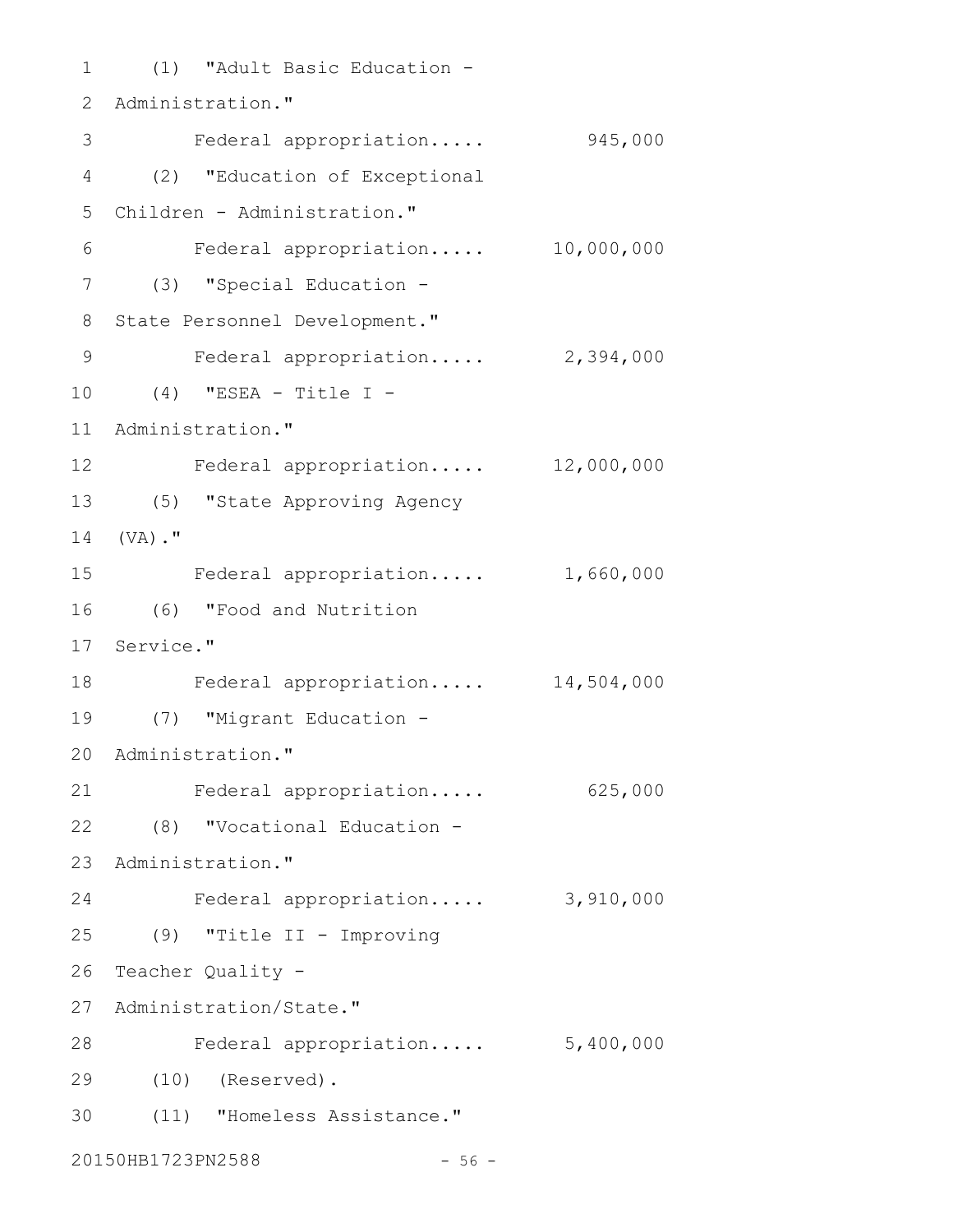(1) "Adult Basic Education - 1 2 Administration." 3 Federal appropriation..... 945,000 (2) "Education of Exceptional 4 Children - Administration." 5 Federal appropriation..... 10,000,000 (3) "Special Education - 7 8 State Personnel Development." Federal appropriation..... 2,394,000 (4) "ESEA - Title I - 10 11 Administration." Federal appropriation..... 12,000,000 12 (5) "State Approving Agency 13 14 (VA)." Federal appropriation..... 1,660,000 (6) "Food and Nutrition 16 17 Service." Federal appropriation..... 14,504,000 18 (7) "Migrant Education - 19 20 Administration." Federal appropriation..... 625,000 (8) "Vocational Education - 22 23 Administration." Federal appropriation..... 3,910,000 (9) "Title II - Improving 25 26 Teacher Quality -27 Administration/State." Federal appropriation..... 5,400,000 28 (10) (Reserved). 29 (11) "Homeless Assistance." 306 9 15 21 24

20150HB1723PN2588 - 56 -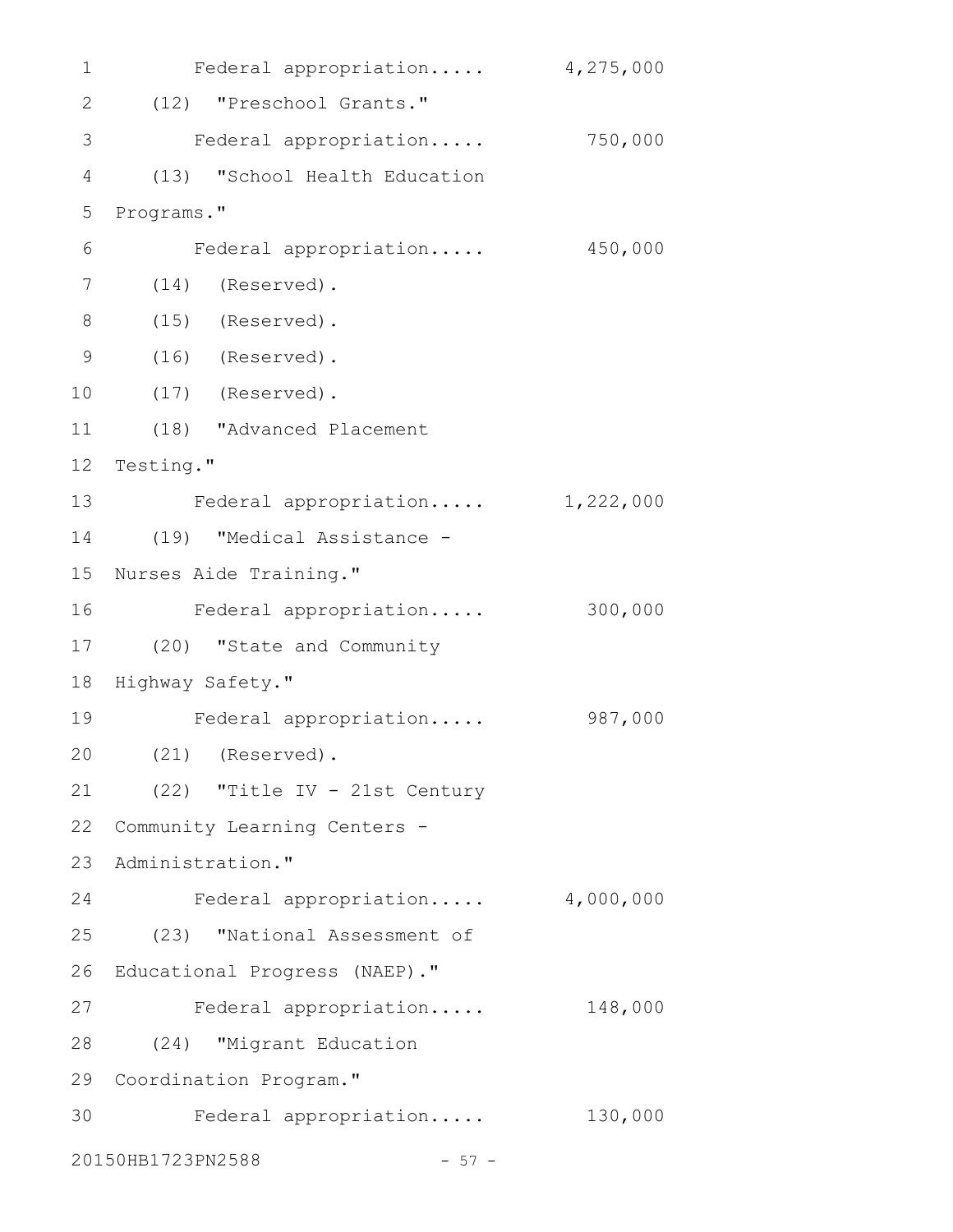| 1              | Federal appropriation            | 4,275,000 |
|----------------|----------------------------------|-----------|
| $\mathbf{2}$   | (12) "Preschool Grants."         |           |
| $\mathfrak{Z}$ | Federal appropriation            | 750,000   |
| $\overline{4}$ | "School Health Education<br>(13) |           |
| 5              | Programs."                       |           |
| 6              | Federal appropriation            | 450,000   |
| 7              | (Reserved).<br>(14)              |           |
| 8              | $(15)$ (Reserved).               |           |
| $\mathcal{G}$  | $(16)$ (Reserved).               |           |
| 10             | $(17)$ (Reserved).               |           |
| 11             | (18) "Advanced Placement         |           |
| 12             | Testing."                        |           |
| 13             | Federal appropriation            | 1,222,000 |
| 14             | (19) "Medical Assistance -       |           |
| 15             | Nurses Aide Training."           |           |
| 16             | Federal appropriation            | 300,000   |
| 17             | (20) "State and Community        |           |
| 18             | Highway Safety."                 |           |
| 19             | Federal appropriation            | 987,000   |
| 20             | $(21)$ (Reserved).               |           |
| 21             | (22) "Title IV - 21st Century    |           |
| 22             | Community Learning Centers -     |           |
| 23             | Administration."                 |           |
| 24             | Federal appropriation            | 4,000,000 |
| 25             | (23) "National Assessment of     |           |
| 26             | Educational Progress (NAEP)."    |           |
| 27             | Federal appropriation            | 148,000   |
| 28             | (24) "Migrant Education          |           |
| 29             | Coordination Program."           |           |
| 30             | Federal appropriation            | 130,000   |
|                | 20150HB1723PN2588<br>$-57 -$     |           |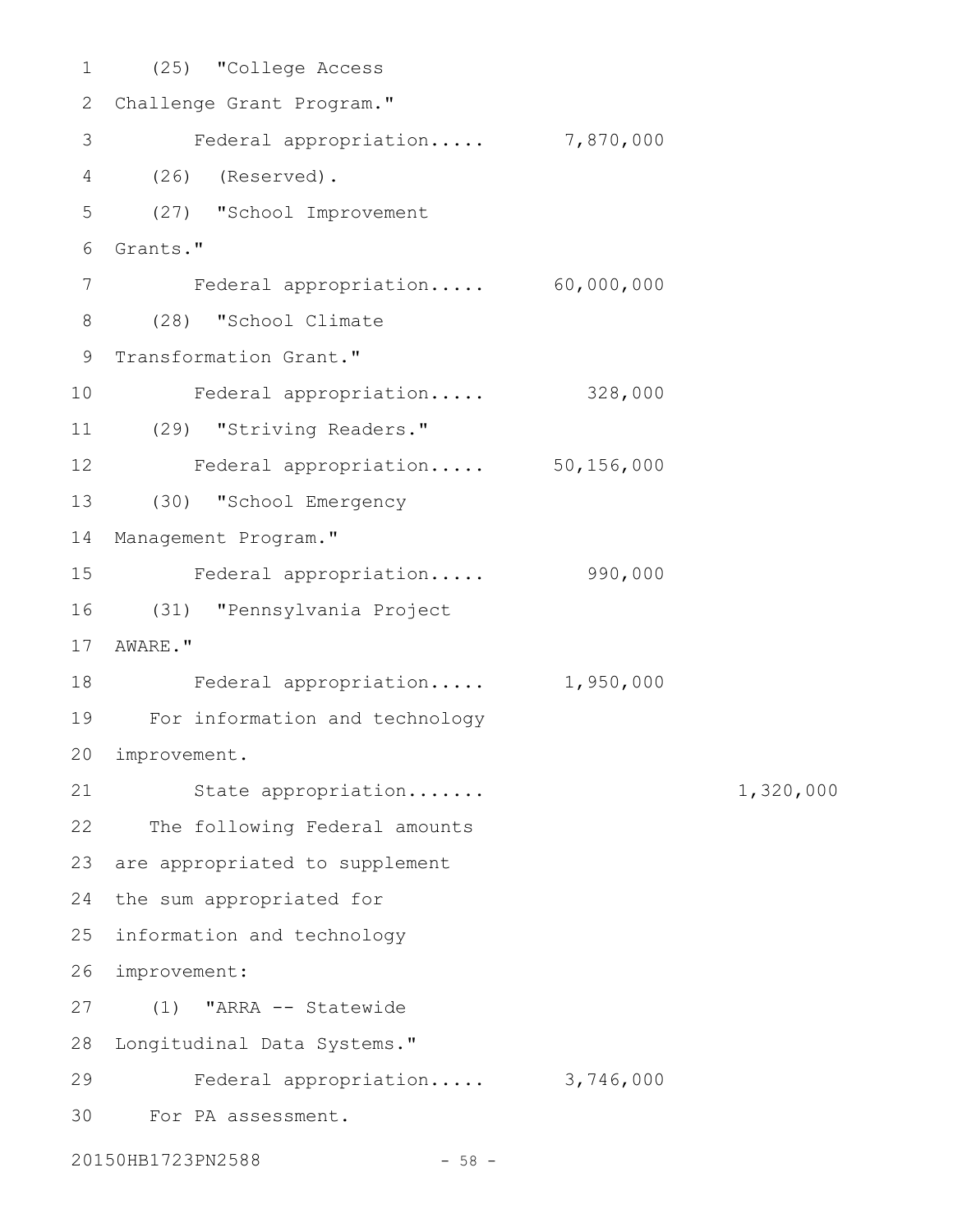(25) "College Access 2 Challenge Grant Program." Federal appropriation..... 7,870,000 (26) (Reserved). 4 (27) "School Improvement Grants." 6 Federal appropriation..... 60,000,000 (28) "School Climate 8 9 Transformation Grant." Federal appropriation..... 328,000 (29) "Striving Readers." 11 Federal appropriation..... 50,156,000 (30) "School Emergency 13 Management Program." Federal appropriation..... 990,000 (31) "Pennsylvania Project 17 AWARE." Federal appropriation..... 1,950,000 For information and technology 19 improvement. 20 State appropriation....... 1,320,000 22 The following Federal amounts 23 are appropriated to supplement 24 the sum appropriated for 25 information and technology improvement: 26 (1) "ARRA -- Statewide 27 28 Longitudinal Data Systems." Federal appropriation..... 3,746,000 For PA assessment. 301 3 5 7 10 12 14 15 16 18 21 29

20150HB1723PN2588 - 58 -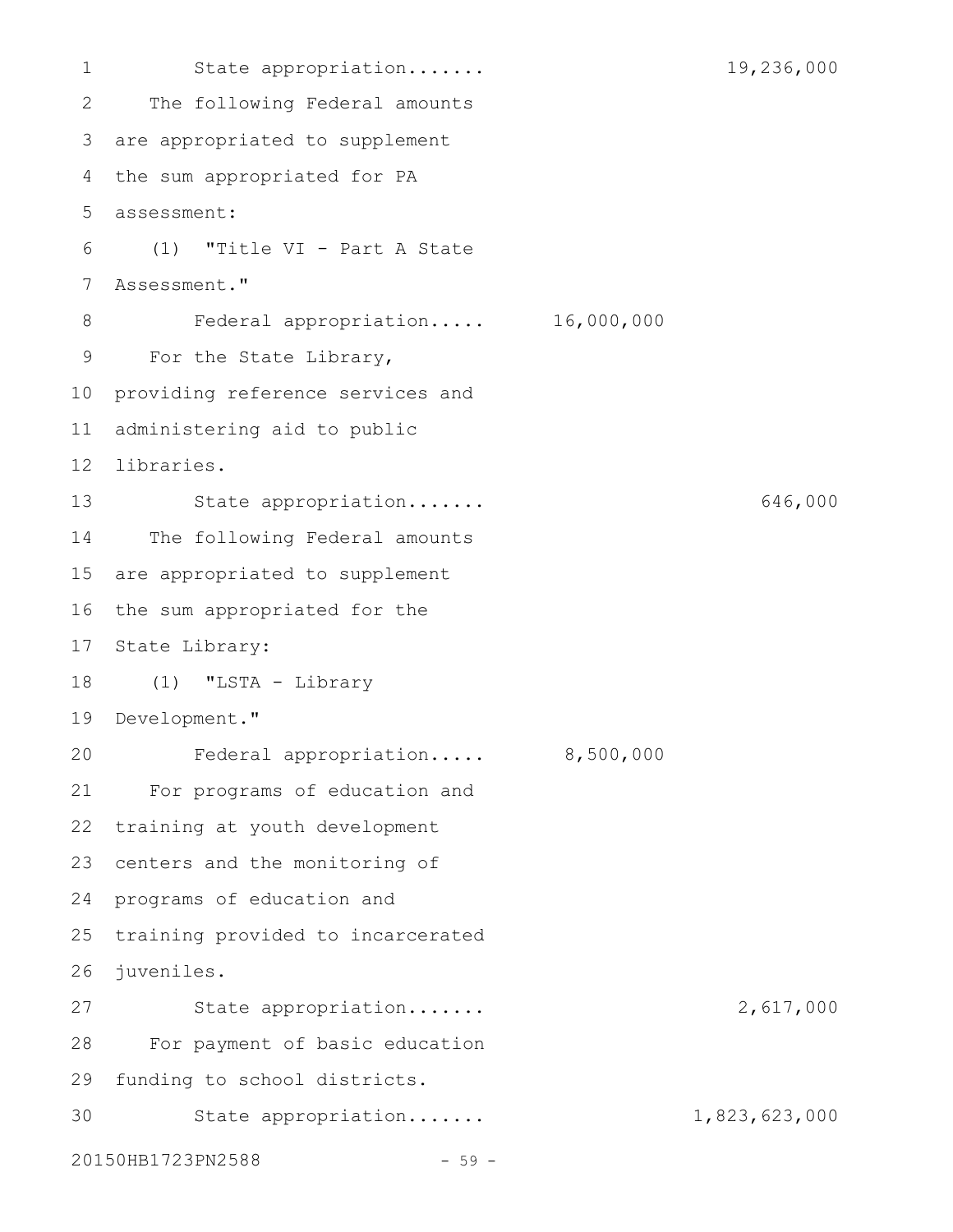State appropriation....... 19,236,000 The following Federal amounts are appropriated to supplement 3 4 the sum appropriated for PA assessment: 5 (1) "Title VI - Part A State Assessment." Federal appropriation..... 16,000,000 For the State Library, 10 providing reference services and administering aid to public libraries. 12 State appropriation....... 646,000 The following Federal amounts are appropriated to supplement 16 the sum appropriated for the 17 State Library: (1) "LSTA - Library 19 Development." Federal appropriation..... 8,500,000 For programs of education and training at youth development 23 centers and the monitoring of 24 programs of education and 25 training provided to incarcerated juveniles. 26 State appropriation....... 2,617,000 For payment of basic education 29 funding to school districts. State appropriation....... 1,823,623,000 20150HB1723PN2588 - 59 -1 2 6 7 8 9 11 13 14 15 18 20 21 22 27 28 30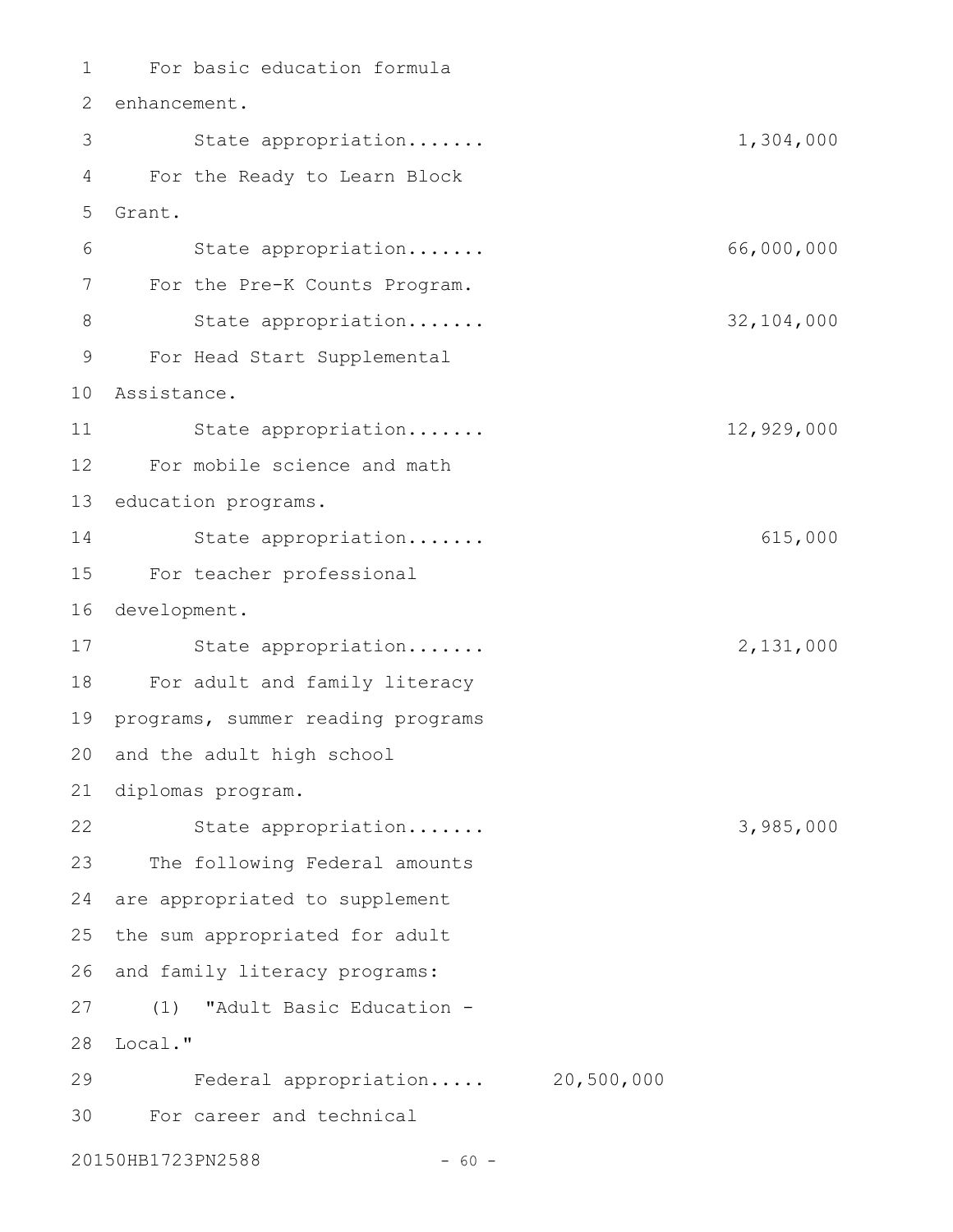For basic education formula 1 2 enhancement. State appropriation....... 1,304,000 For the Ready to Learn Block 4 Grant. State appropriation....... 66,000,000 For the Pre-K Counts Program. State appropriation....... 32,104,000 For Head Start Supplemental Assistance. 10 State appropriation....... 12,929,000 For mobile science and math 13 education programs. State appropriation....... 615,000 For teacher professional 15 16 development. State appropriation....... 2,131,000 For adult and family literacy 18 19 programs, summer reading programs 20 and the adult high school diplomas program. 21 State appropriation....... 3,985,000 23 The following Federal amounts 24 are appropriated to supplement 25 the sum appropriated for adult 26 and family literacy programs: (1) "Adult Basic Education - 27 28 Local." Federal appropriation..... 20,500,000 For career and technical 303 5 6 7 8 9 11 12 14 17 22 29

20150HB1723PN2588 - 60 -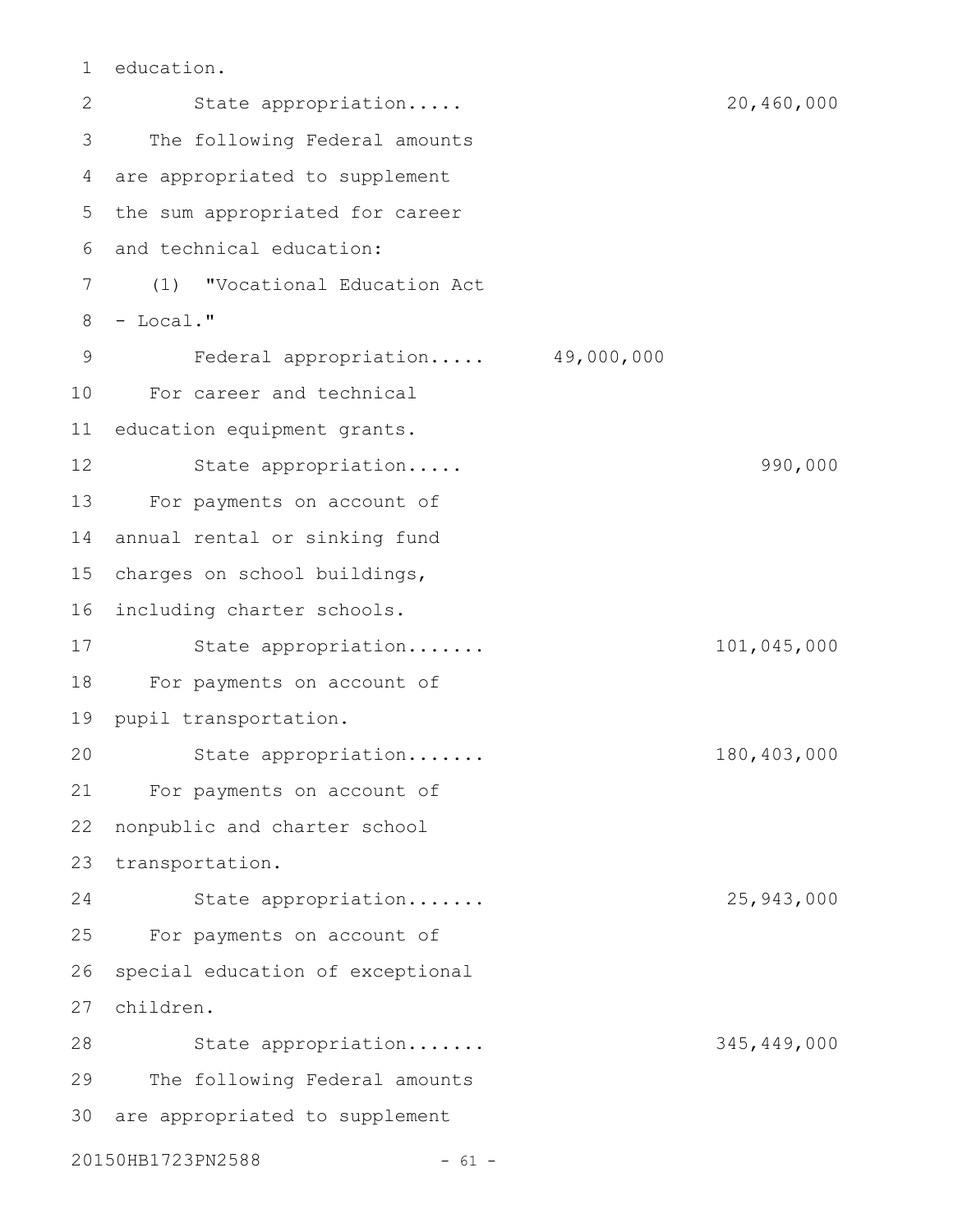education. 1

State appropriation..... 20,460,000 The following Federal amounts are appropriated to supplement 4 5 the sum appropriated for career and technical education: 6 (1) "Vocational Education Act 7 8 - Local." Federal appropriation..... 49,000,000 For career and technical 10 11 education equipment grants. State appropriation..... 990,000 13 For payments on account of 14 annual rental or sinking fund charges on school buildings, 15 16 including charter schools. State appropriation....... 101,045,000 18 For payments on account of 19 pupil transportation. State appropriation....... 180,403,000 For payments on account of nonpublic and charter school 23 transportation. State appropriation....... 25,943,000 For payments on account of special education of exceptional children. 27 State appropriation....... 345,449,000 The following Federal amounts 30 are appropriated to supplement 20150HB1723PN2588 - 61 -2 3 9 12 17 20 21 22 24 25 26 28 29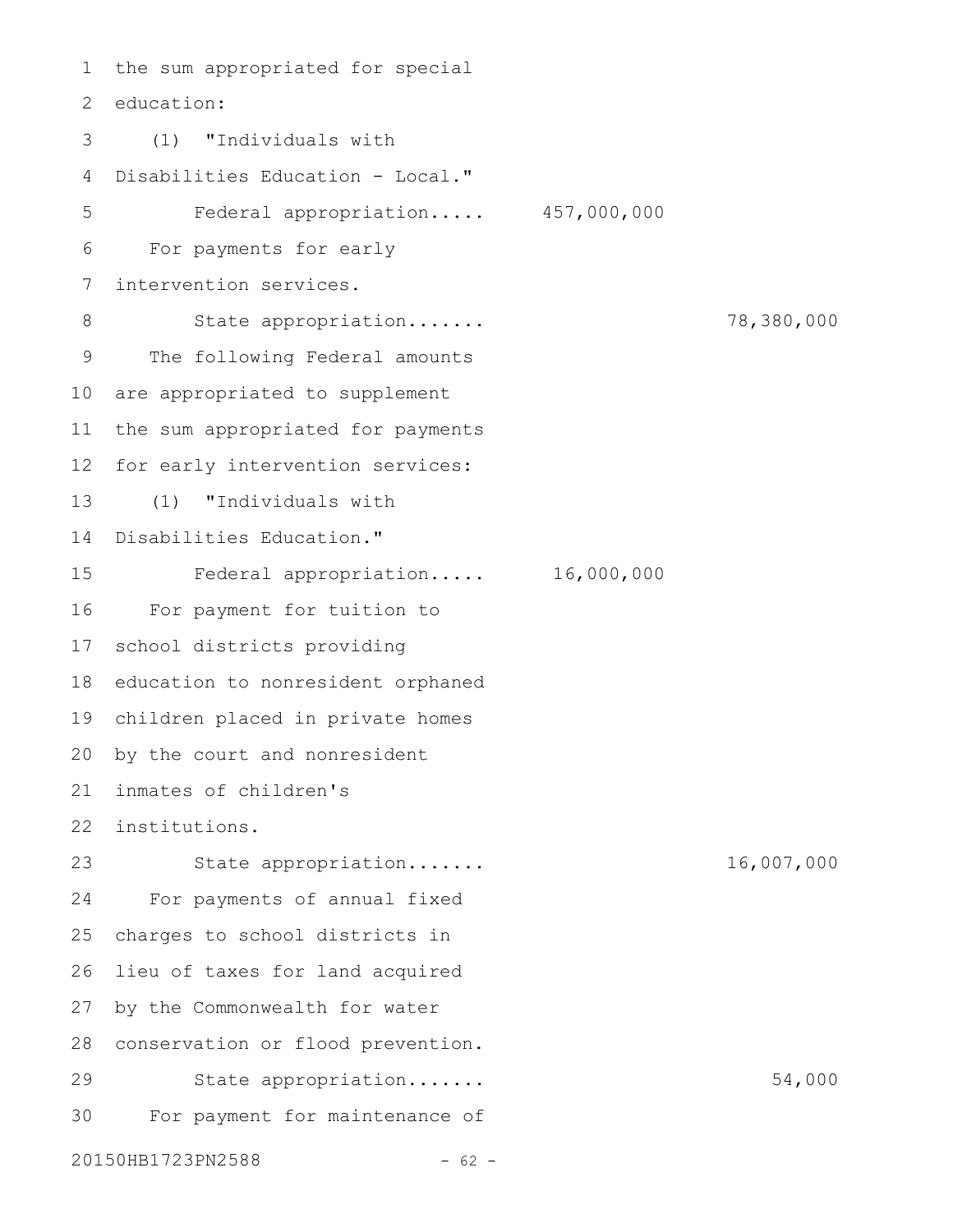the sum appropriated for special 2 education: (1) "Individuals with Disabilities Education - Local." Federal appropriation..... 457,000,000 For payments for early intervention services. State appropriation....... 78,380,000 The following Federal amounts are appropriated to supplement the sum appropriated for payments for early intervention services: (1) "Individuals with 14 Disabilities Education." Federal appropriation..... 16,000,000 For payment for tuition to 17 school districts providing 18 education to nonresident orphaned children placed in private homes 19 20 by the court and nonresident inmates of children's 21 institutions. 22 State appropriation....... 16,007,000 For payments of annual fixed charges to school districts in lieu of taxes for land acquired by the Commonwealth for water 28 conservation or flood prevention. State appropriation....... 54,000 For payment for maintenance of 20150HB1723PN2588 - 62 -1 3 4 5 6 7 8 9 10 11 12 13 15 16 23 24 25 26 27 29 30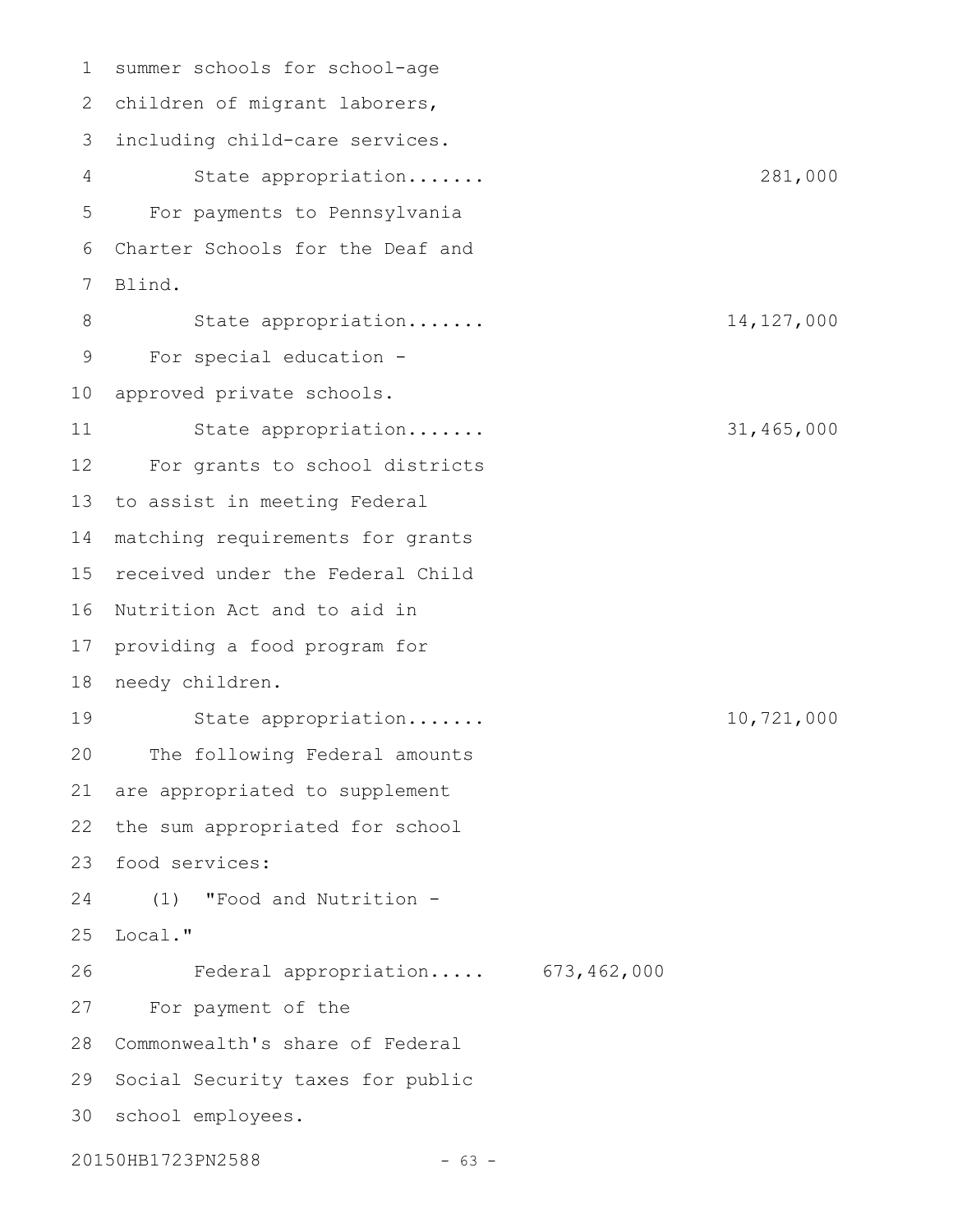summer schools for school-age 1 2 children of migrant laborers, including child-care services. State appropriation....... 281,000 For payments to Pennsylvania Charter Schools for the Deaf and Blind. State appropriation....... 14,127,000 For special education - 10 approved private schools. State appropriation....... 31,465,000 For grants to school districts 13 to assist in meeting Federal 14 matching requirements for grants 15 received under the Federal Child 16 Nutrition Act and to aid in 17 providing a food program for 18 needy children. State appropriation....... 10,721,000 The following Federal amounts are appropriated to supplement the sum appropriated for school food services: 23 (1) "Food and Nutrition - Local." Federal appropriation..... 673,462,000 For payment of the 28 Commonwealth's share of Federal 29 Social Security taxes for public school employees. 3020150HB1723PN2588 - 63 -3 4 5 6 7 8 9 11 12 19 20 21 22 24 25 26 27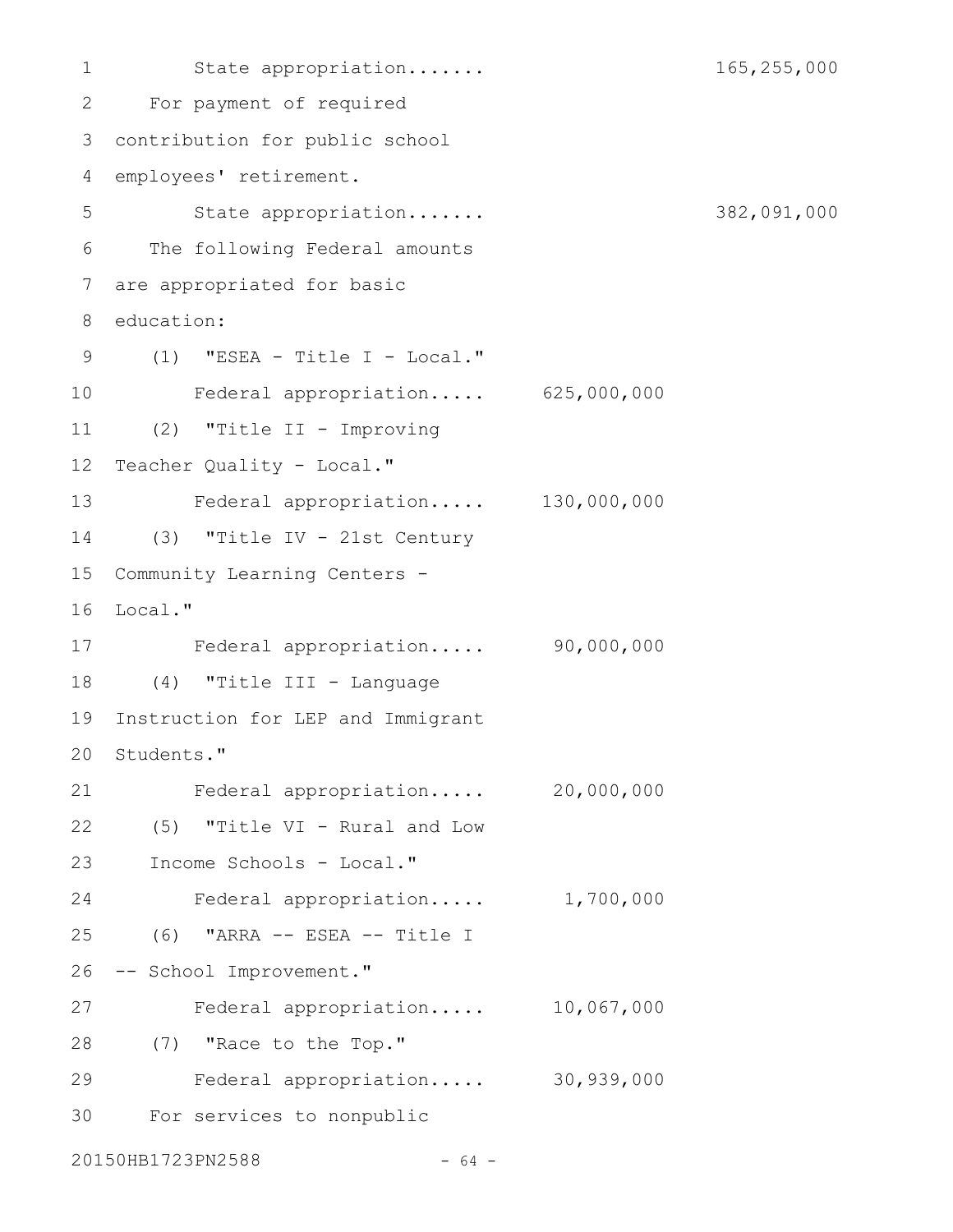State appropriation....... 165,255,000 For payment of required 2 contribution for public school 3 employees' retirement. State appropriation....... 382,091,000 The following Federal amounts 6 are appropriated for basic education: (1) "ESEA - Title I - Local." 9 Federal appropriation..... 625,000,000 (2) "Title II - Improving 11 12 Teacher Quality - Local." Federal appropriation..... 130,000,000 (3) "Title IV - 21st Century 14 15 Community Learning Centers -16 Local." Federal appropriation..... 90,000,000 17 (4) "Title III - Language 18 19 Instruction for LEP and Immigrant 20 Students." Federal appropriation..... 20,000,000 (5) "Title VI - Rural and Low 22 23 Income Schools - Local." Federal appropriation..... 1,700,000 (6) "ARRA -- ESEA -- Title I 26 -- School Improvement." Federal appropriation..... 10,067,000 (7) "Race to the Top." 28 Federal appropriation..... 30,939,000 For services to nonpublic 1 4 5 7 8 10 13 21 24 25 27 29 30

20150HB1723PN2588 - 64 -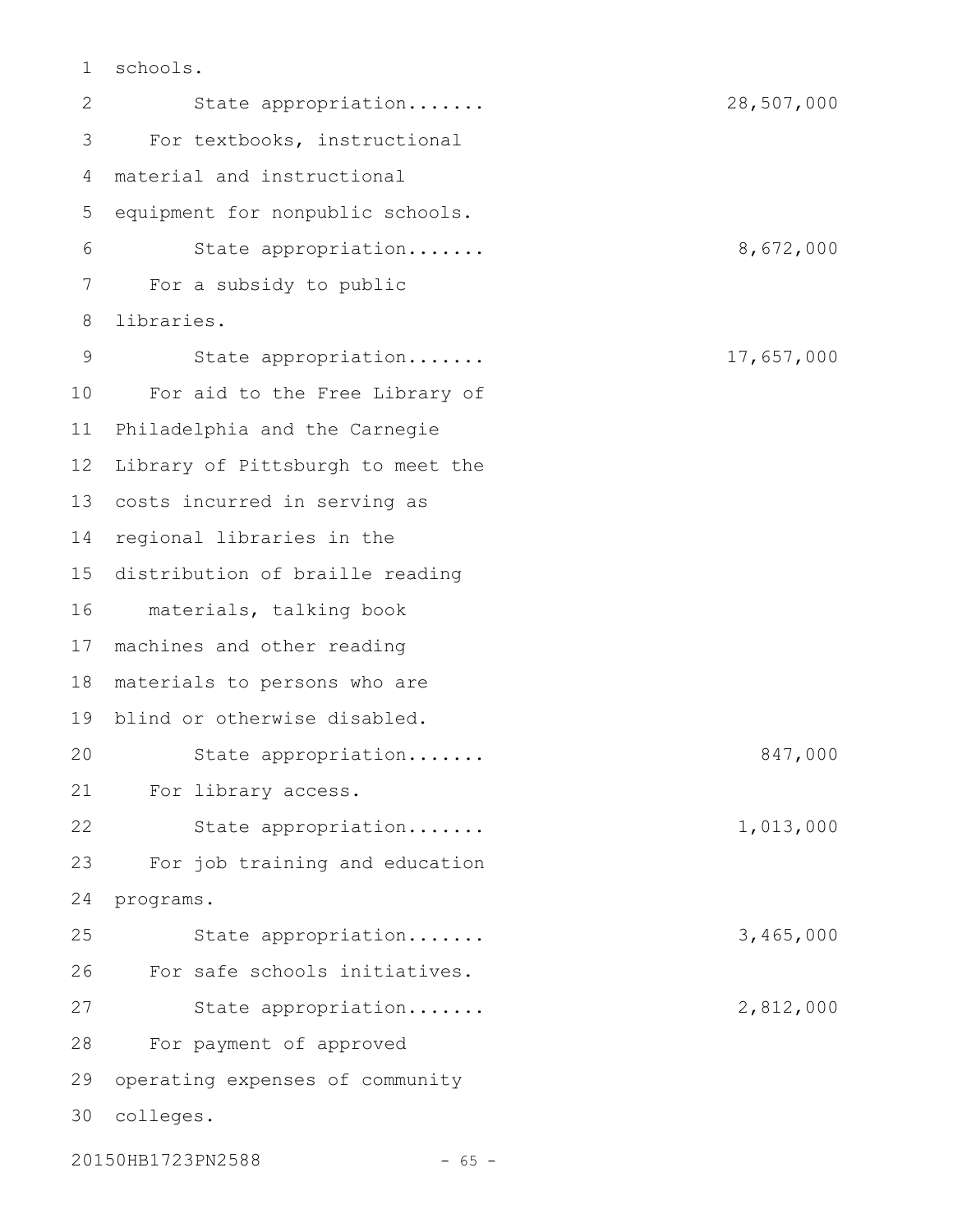schools. 1

State appropriation....... 28,507,000 For textbooks, instructional material and instructional equipment for nonpublic schools. State appropriation....... 8,672,000 For a subsidy to public libraries. State appropriation....... 17,657,000 For aid to the Free Library of Philadelphia and the Carnegie Library of Pittsburgh to meet the 13 costs incurred in serving as 14 regional libraries in the 15 distribution of braille reading materials, talking book 16 17 machines and other reading materials to persons who are 19 blind or otherwise disabled. State appropriation....... 847,000 For library access. State appropriation....... 1,013,000 For job training and education programs. State appropriation....... 3,465,000 For safe schools initiatives. State appropriation....... 2,812,000 For payment of approved operating expenses of community colleges. 3020150HB1723PN2588 - 65 -2 3 4 5 6 7 8 9 10 11 12 18 20 21 22 23 24 25 26 27 28 29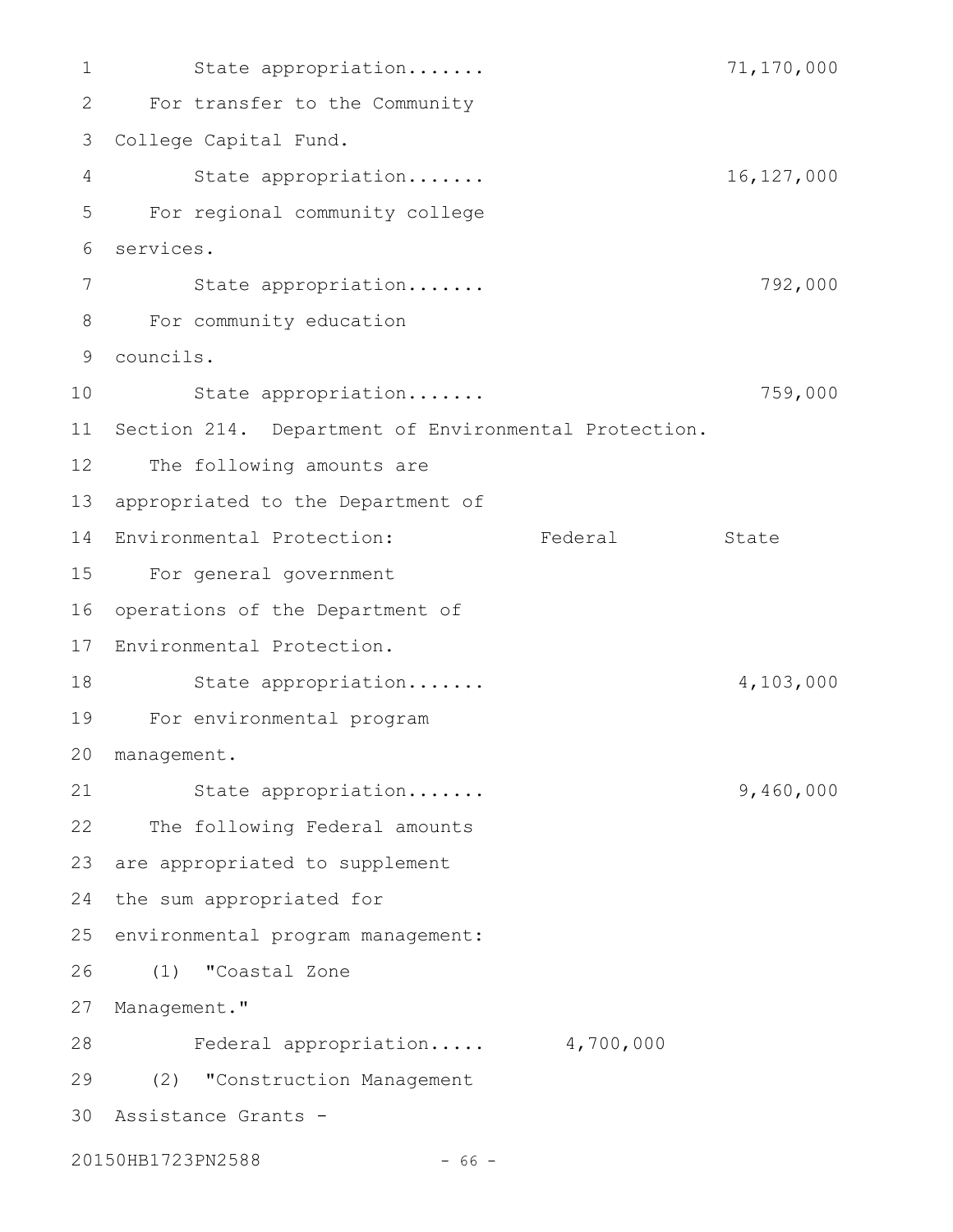State appropriation....... 71,170,000 For transfer to the Community College Capital Fund. 3 State appropriation....... 16,127,000 For regional community college services. State appropriation....... 792,000 For community education 8 councils. 9 State appropriation....... 759,000 11 Section 214. Department of Environmental Protection. The following amounts are 13 appropriated to the Department of 14 Environmental Protection: Federal State For general government 15 16 operations of the Department of 17 Environmental Protection. State appropriation....... 4,103,000 For environmental program 19 management. 20 State appropriation....... 9,460,000 22 The following Federal amounts 23 are appropriated to supplement 24 the sum appropriated for 25 environmental program management: (1) "Coastal Zone 27 Management." Federal appropriation..... 4,700,000 (2) "Construction Management 29 Assistance Grants - 3020150HB1723PN2588 - 66 -1 2 4 5 6 7 10 12 18 21 26 28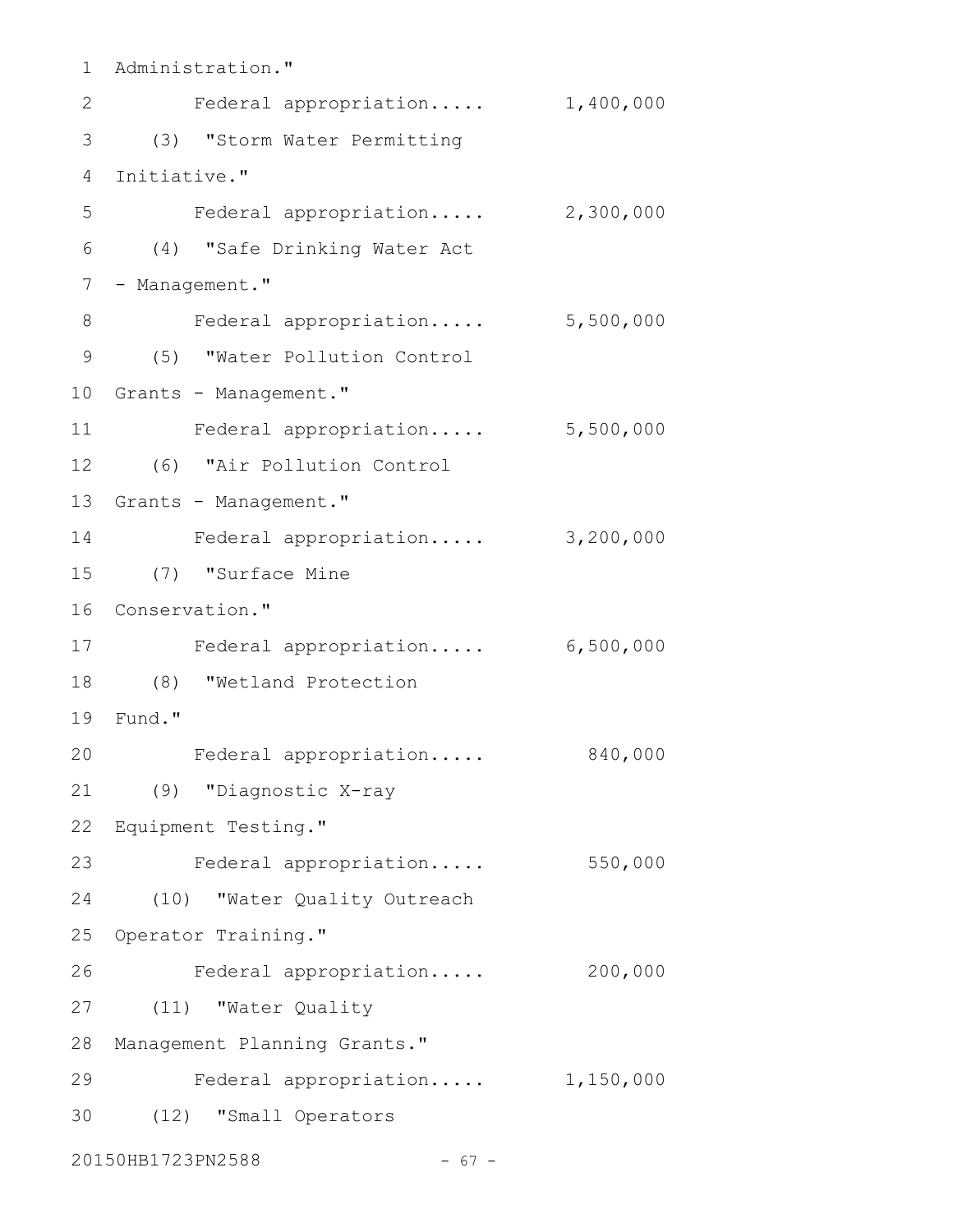```
1 Administration."
   Federal appropriation..... 1,400,000
(3) "Storm Water Permitting
3
4 Initiative."
    Federal appropriation..... 2,300,000
(4) "Safe Drinking Water Act
6
7 - Management."
8 Federal appropriation..... 5,500,000
(5) "Water Pollution Control
9
10 Grants - Management."
    Federal appropriation..... 5,500,000
(6) "Air Pollution Control
12
13 Grants - Management."
Federal appropriation..... 3,200,000
14
(7) "Surface Mine
15
16 Conservation."
Federal appropriation..... 6,500,000
17
(8) "Wetland Protection
18
Fund."
19
    Federal appropriation..... 840,000
(9) "Diagnostic X-ray
21
Equipment Testing."
22
23 Federal appropriation..... 550,000
(10) "Water Quality Outreach
24
25 Operator Training."
    Federal appropriation..... 200,000
(11) "Water Quality
27
28 Management Planning Grants."
    Federal appropriation..... 1,150,000
(12) "Small Operators
3020150HB1723PN2588 - 67 -
2
5
11
20
26
29
```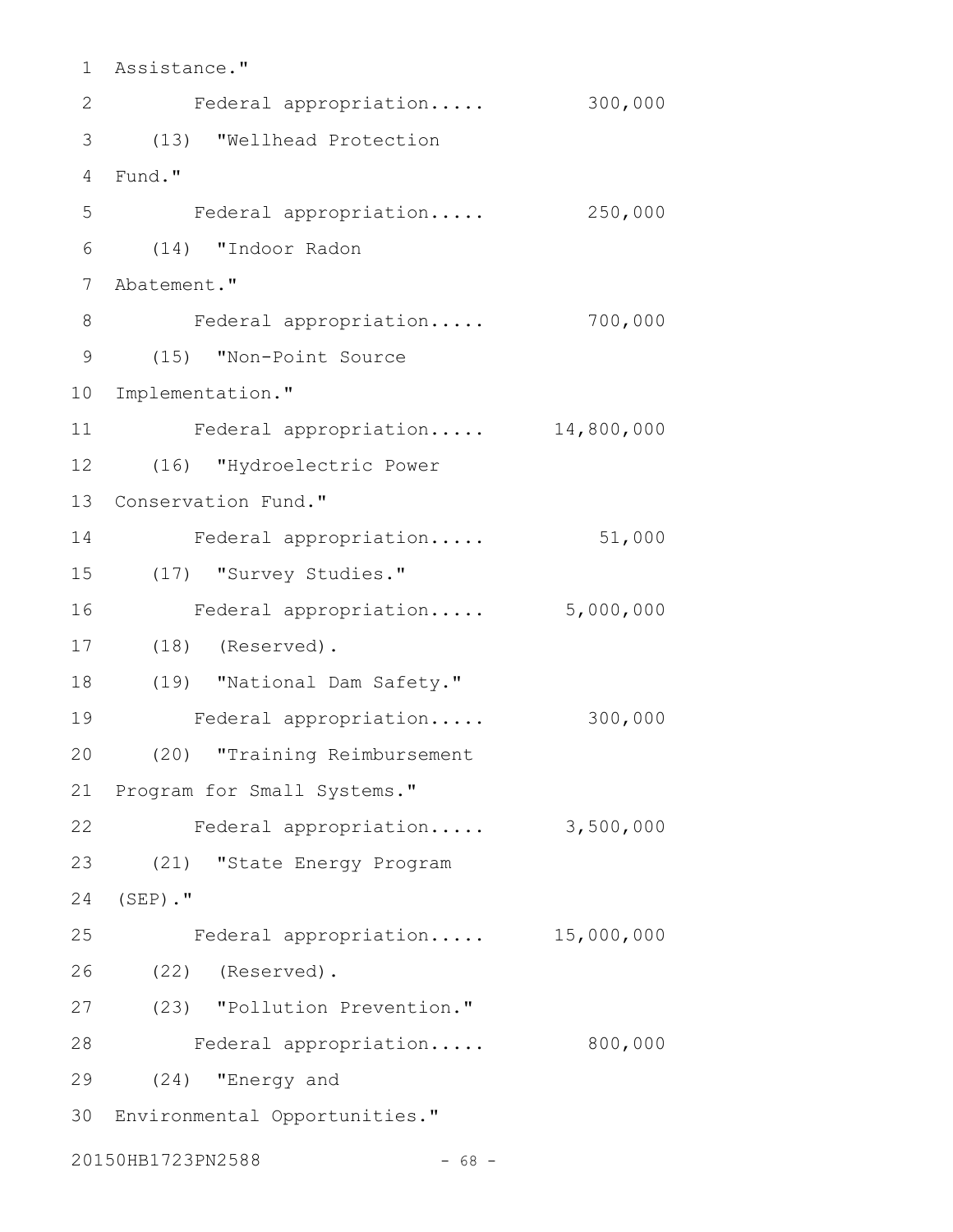Assistance." 1 2 Federal appropriation..... 300,000 (13) "Wellhead Protection 3 Fund." 4 Federal appropriation..... 250,000 (14) "Indoor Radon 6 7 Abatement." Federal appropriation..... 700,000 (15) "Non-Point Source 9 10 Implementation." Federal appropriation..... 14,800,000 (16) "Hydroelectric Power 12 13 Conservation Fund." Federal appropriation..... 51,000 (17) "Survey Studies." Federal appropriation..... 5,000,000 (18) (Reserved). 17 (19) "National Dam Safety." 18 Federal appropriation..... 300,000 (20) "Training Reimbursement 20 21 Program for Small Systems." 22 Federal appropriation..... 3,500,000 (21) "State Energy Program  $(SEP)$  .  $"$ Federal appropriation..... 15,000,000 (22) (Reserved). 26 (23) "Pollution Prevention." 27 28 Federal appropriation..... 800,000 (24) "Energy and 29 Environmental Opportunities." 3020150HB1723PN2588 - 68 -5 8 11 14 15 16 19 23 24 25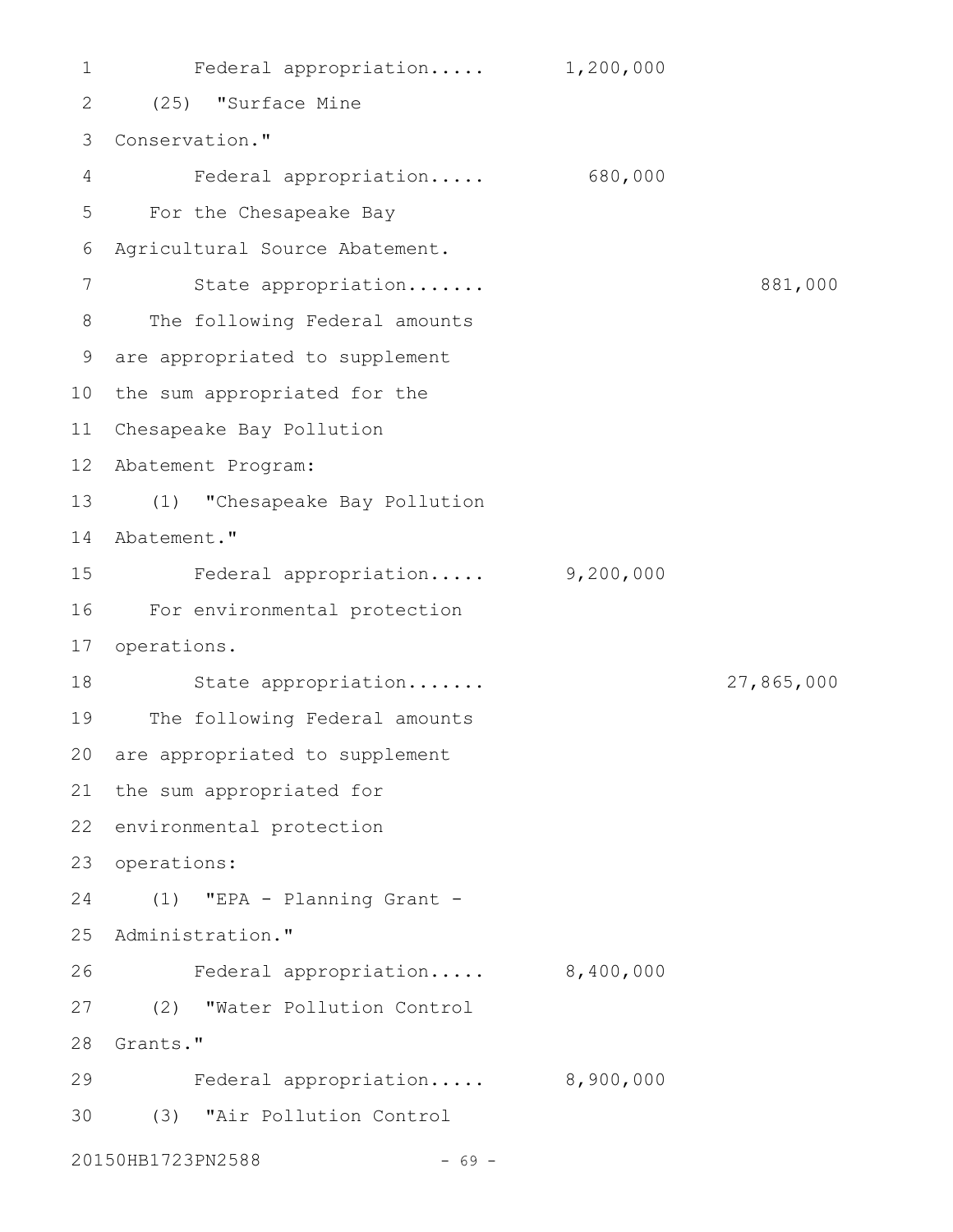Federal appropriation..... 1,200,000 (25) "Surface Mine 2 3 Conservation." Federal appropriation..... 680,000 For the Chesapeake Bay 5 Agricultural Source Abatement. State appropriation....... 881,000 The following Federal amounts are appropriated to supplement 9 10 the sum appropriated for the Chesapeake Bay Pollution 11 Abatement Program: 12 (1) "Chesapeake Bay Pollution 13 14 Abatement." Federal appropriation..... 9,200,000 For environmental protection 16 17 operations. State appropriation....... 27,865,000 19 The following Federal amounts 20 are appropriated to supplement 21 the sum appropriated for 22 environmental protection 23 operations: (1) "EPA - Planning Grant - 24 25 Administration." Federal appropriation..... 8,400,000 (2) "Water Pollution Control 27 28 Grants." Federal appropriation..... 8,900,000 (3) "Air Pollution Control 3020150HB1723PN2588 - 69 -1 4 6 7 8 15 18 26 29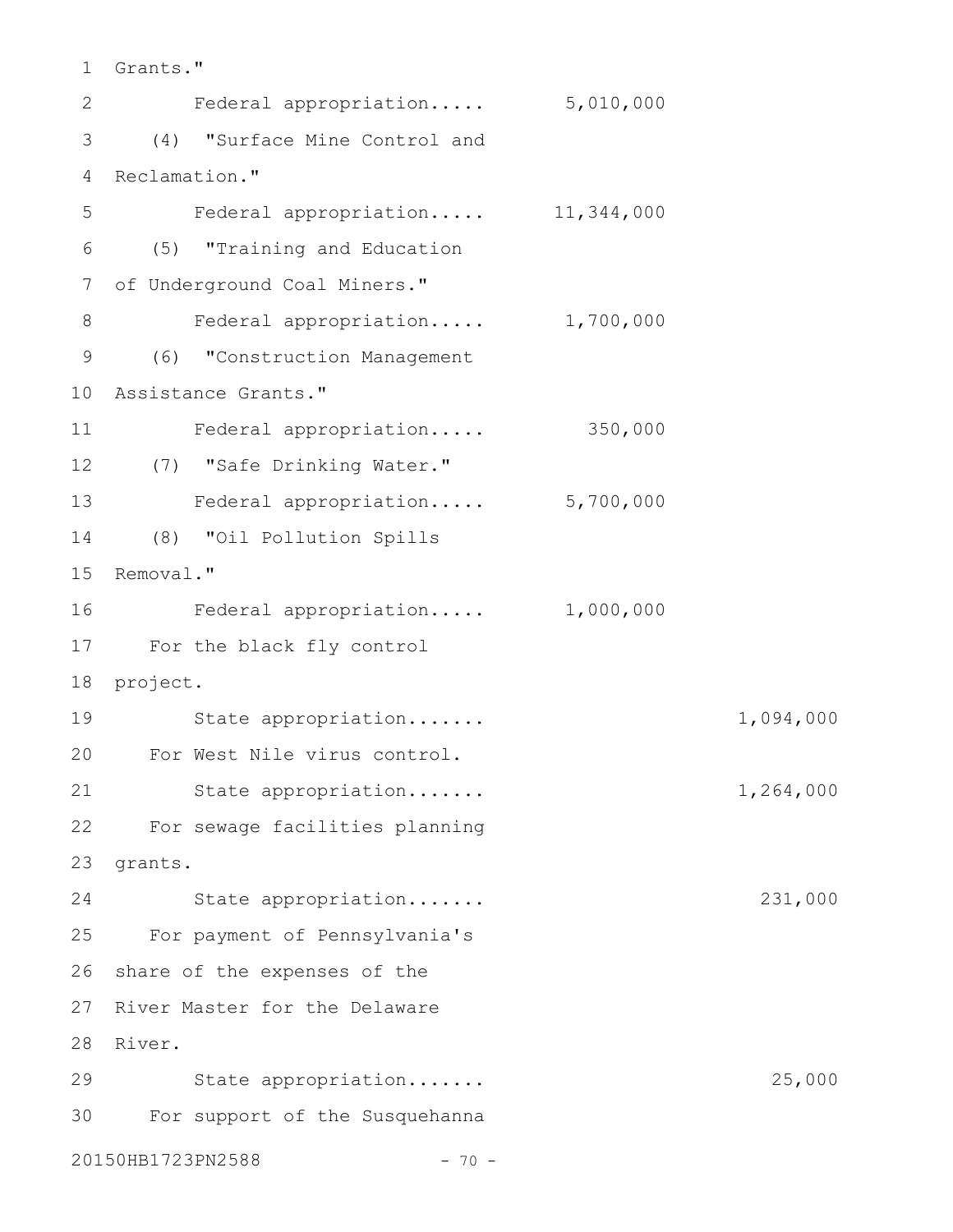Grants." 1

Federal appropriation..... 5,010,000 (4) "Surface Mine Control and 3 4 Reclamation." Federal appropriation..... 11,344,000 (5) "Training and Education 6 7 of Underground Coal Miners." Federal appropriation..... 1,700,000 (6) "Construction Management 9 Assistance Grants." 10 Federal appropriation..... 350,000 (7) "Safe Drinking Water." 12 13 Federal appropriation..... 5,700,000 (8) "Oil Pollution Spills 14 15 Removal." Federal appropriation..... 1,000,000 For the black fly control 17 18 project. State appropriation....... 1,094,000 For West Nile virus control. 20 State appropriation....... 1,264,000 For sewage facilities planning 22 23 grants. 24 State appropriation...... 231,000 For payment of Pennsylvania's 25 26 share of the expenses of the 27 River Master for the Delaware 28 River. 29 State appropriation...... 25,000 For support of the Susquehanna 3020150HB1723PN2588 - 70 -2 5 8 11 16 19 21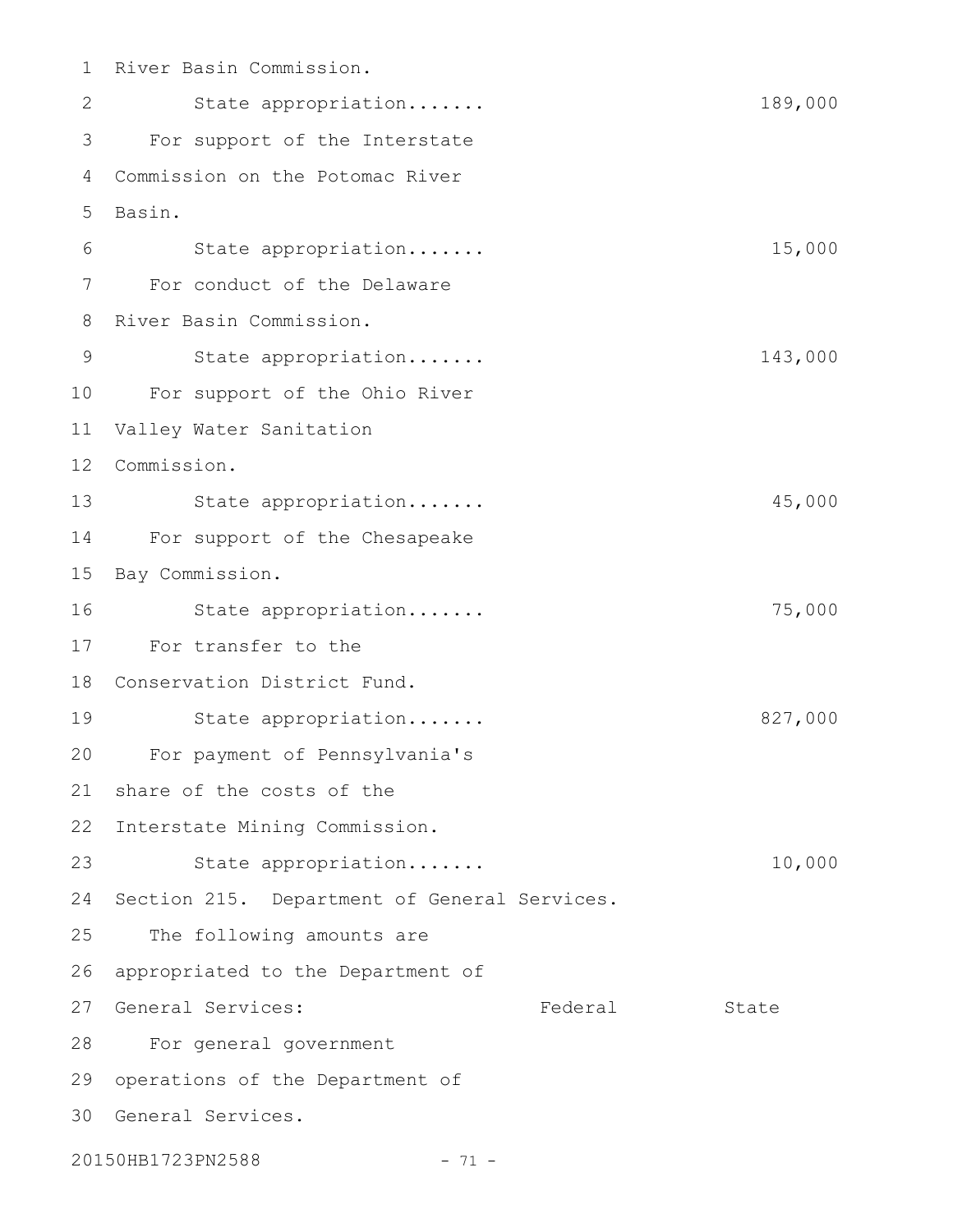1 River Basin Commission. State appropriation....... 189,000 For support of the Interstate Commission on the Potomac River 5 Basin. State appropriation....... 15,000 For conduct of the Delaware 8 River Basin Commission. State appropriation....... 143,000 For support of the Ohio River 10 Valley Water Sanitation 11 12 Commission. 13 State appropriation...... 45,000 For support of the Chesapeake 15 Bay Commission. State appropriation....... 75,000 For transfer to the 17 18 Conservation District Fund. State appropriation....... 827,000 For payment of Pennsylvania's 20 share of the costs of the 22 Interstate Mining Commission. State appropriation....... 10,000 24 Section 215. Department of General Services. The following amounts are appropriated to the Department of 27 General Services: Tederal State For general government 28 29 operations of the Department of 30 General Services. 20150HB1723PN2588 - 71 -2 3 4 6 7 9 14 16 19 21 23 25 26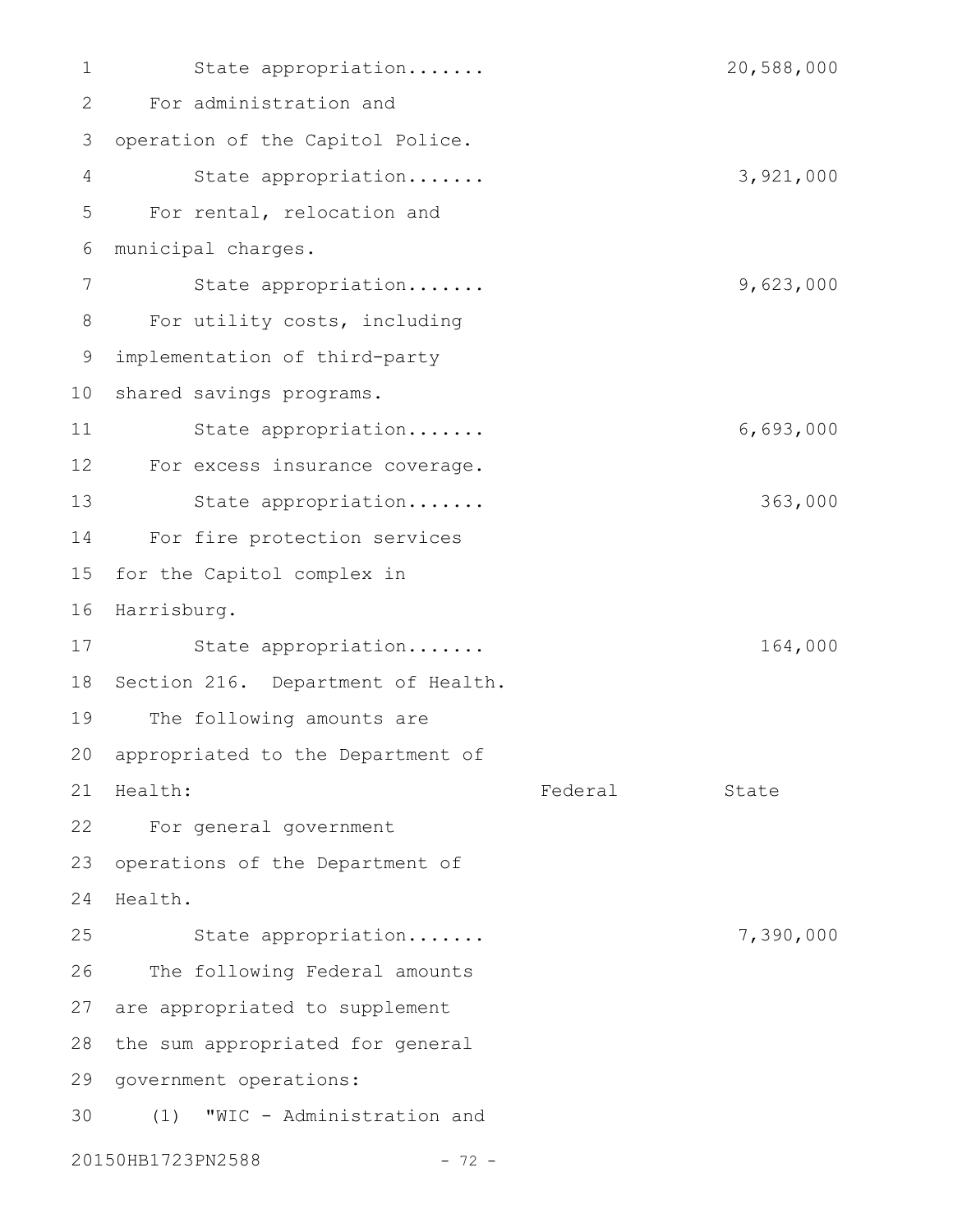State appropriation....... 20,588,000 For administration and 3 operation of the Capitol Police. State appropriation....... 3,921,000 For rental, relocation and municipal charges. State appropriation....... 9,623,000 For utility costs, including implementation of third-party 10 shared savings programs. State appropriation....... 6,693,000 For excess insurance coverage. State appropriation....... 363,000 For fire protection services for the Capitol complex in 16 Harrisburg. State appropriation....... 164,000 18 Section 216. Department of Health. The following amounts are 20 appropriated to the Department of Federal State For general government 22 23 operations of the Department of 24 Health. State appropriation....... 7,390,000 The following Federal amounts 27 are appropriated to supplement 28 the sum appropriated for general 29 government operations: (1) "WIC - Administration and 20150HB1723PN2588 - 72 -1 2 4 5 6 7 8 9 11 12 13 14 15 17 19 21 Health: 25 26 30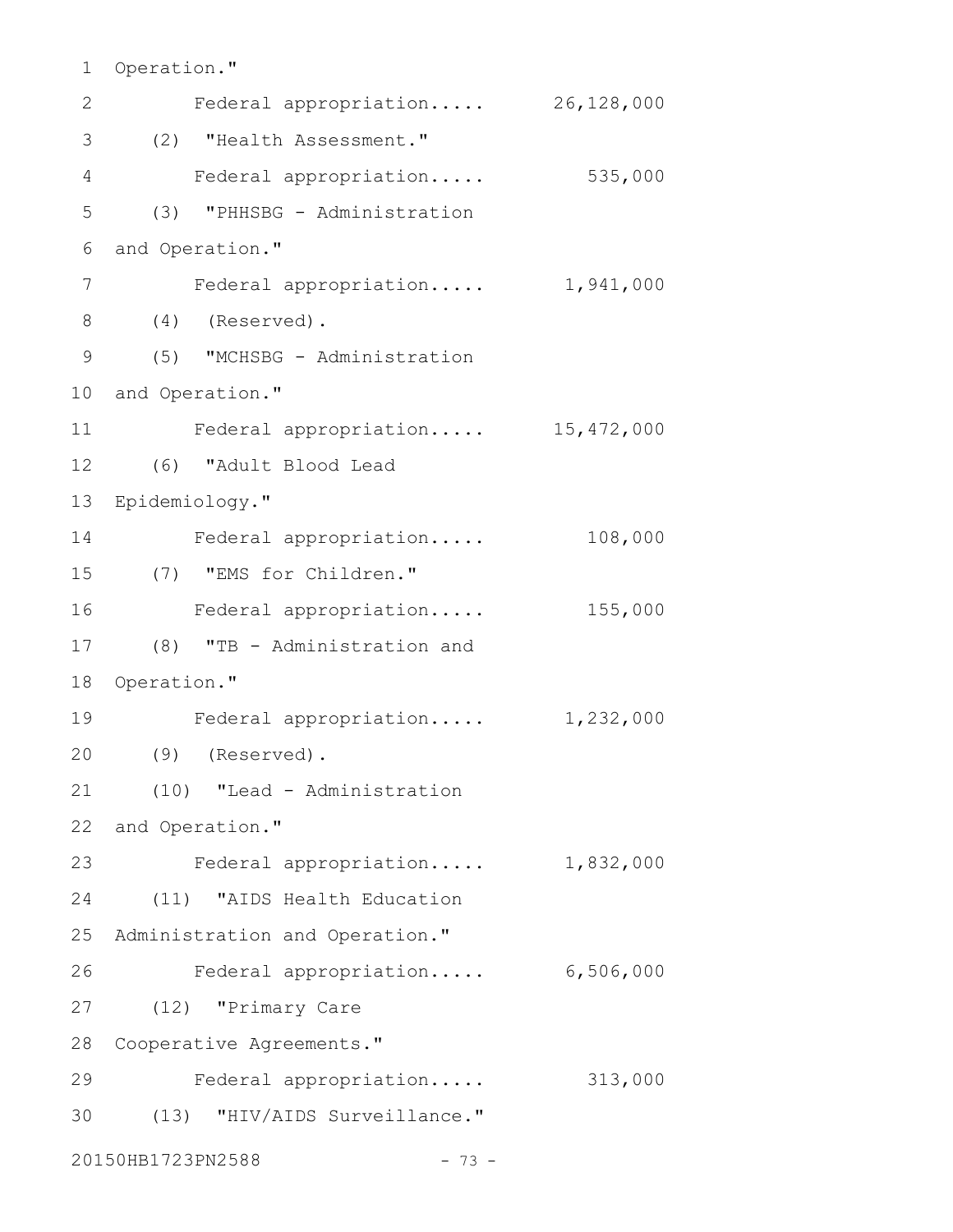```
1 Operation."
```

| 2              | Federal appropriation             | 26,128,000 |
|----------------|-----------------------------------|------------|
| 3              | (2) "Health Assessment."          |            |
| $\overline{4}$ | Federal appropriation             | 535,000    |
| 5              | (3) "PHHSBG - Administration      |            |
| 6              | and Operation."                   |            |
| 7              | Federal appropriation 1,941,000   |            |
| 8              | $(4)$ (Reserved).                 |            |
| 9              | (5) "MCHSBG - Administration      |            |
| 10             | and Operation."                   |            |
| 11             | Federal appropriation 15,472,000  |            |
| 12             | (6) "Adult Blood Lead             |            |
| 13             | Epidemiology."                    |            |
| 14             | Federal appropriation             | 108,000    |
| 15             | (7) "EMS for Children."           |            |
| 16             | Federal appropriation             | 155,000    |
| 17             | (8) "TB - Administration and      |            |
| 18             | Operation."                       |            |
| 19             | Federal appropriation $1,232,000$ |            |
| 20             | $(9)$ (Reserved).                 |            |
| 21             | (10) "Lead - Administration       |            |
|                | 22 and Operation."                |            |
| 23             | Federal appropriation             | 1,832,000  |
| 24             | (11) "AIDS Health Education       |            |
| 25             | Administration and Operation."    |            |
| 26             | Federal appropriation             | 6,506,000  |
| 27             | (12) "Primary Care                |            |
| 28             | Cooperative Agreements."          |            |
| 29             | Federal appropriation             | 313,000    |
| 30             | (13) "HIV/AIDS Surveillance."     |            |
|                | 20150HB1723PN2588<br>$-73 -$      |            |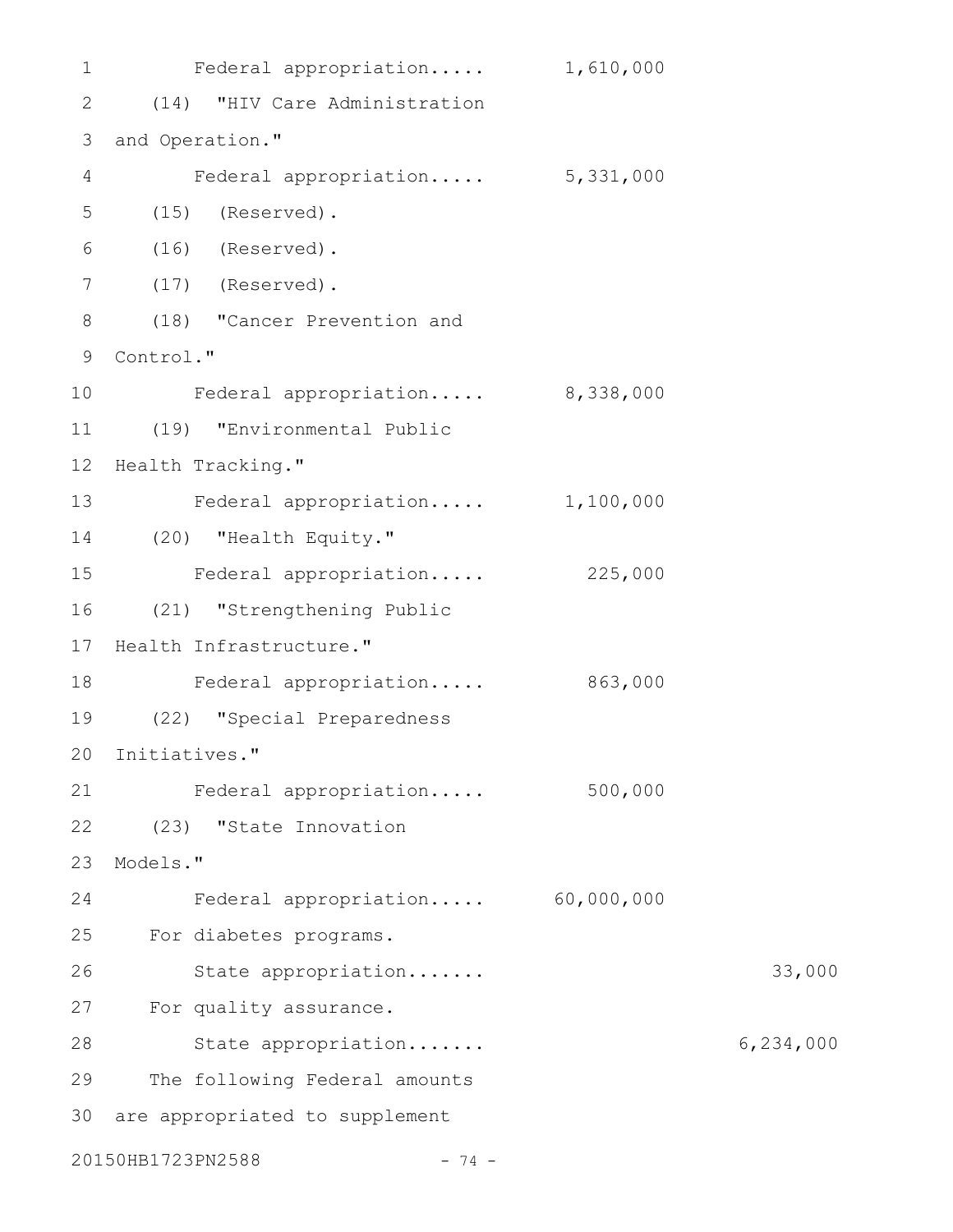| $\mathbf 1$       | Federal appropriation            | 1,610,000 |           |
|-------------------|----------------------------------|-----------|-----------|
| 2                 | (14) "HIV Care Administration    |           |           |
| 3                 | and Operation."                  |           |           |
| 4                 | Federal appropriation 5,331,000  |           |           |
| 5                 | $(15)$ (Reserved).               |           |           |
| 6                 | $(16)$ (Reserved).               |           |           |
| $7\phantom{.0}$   | $(17)$ (Reserved).               |           |           |
| 8                 | (18) "Cancer Prevention and      |           |           |
| 9                 | Control."                        |           |           |
| 10                | Federal appropriation 8,338,000  |           |           |
| 11                | (19) "Environmental Public       |           |           |
| $12 \overline{ }$ | Health Tracking."                |           |           |
| 13                | Federal appropriation 1,100,000  |           |           |
| 14                | (20) "Health Equity."            |           |           |
| 15                | Federal appropriation            | 225,000   |           |
| 16                | (21) "Strengthening Public       |           |           |
| 17                | Health Infrastructure."          |           |           |
| 18                | Federal appropriation            | 863,000   |           |
| 19                | (22) "Special Preparedness       |           |           |
|                   | 20 Initiatives."                 |           |           |
| 21                | Federal appropriation            | 500,000   |           |
| 22                | (23) "State Innovation           |           |           |
| 23                | Models."                         |           |           |
| 24                | Federal appropriation 60,000,000 |           |           |
| 25                | For diabetes programs.           |           |           |
| 26                | State appropriation              |           | 33,000    |
| 27                | For quality assurance.           |           |           |
| 28                | State appropriation              |           | 6,234,000 |
| 29                | The following Federal amounts    |           |           |
| 30                | are appropriated to supplement   |           |           |
|                   | 20150HB1723PN2588<br>$-74 -$     |           |           |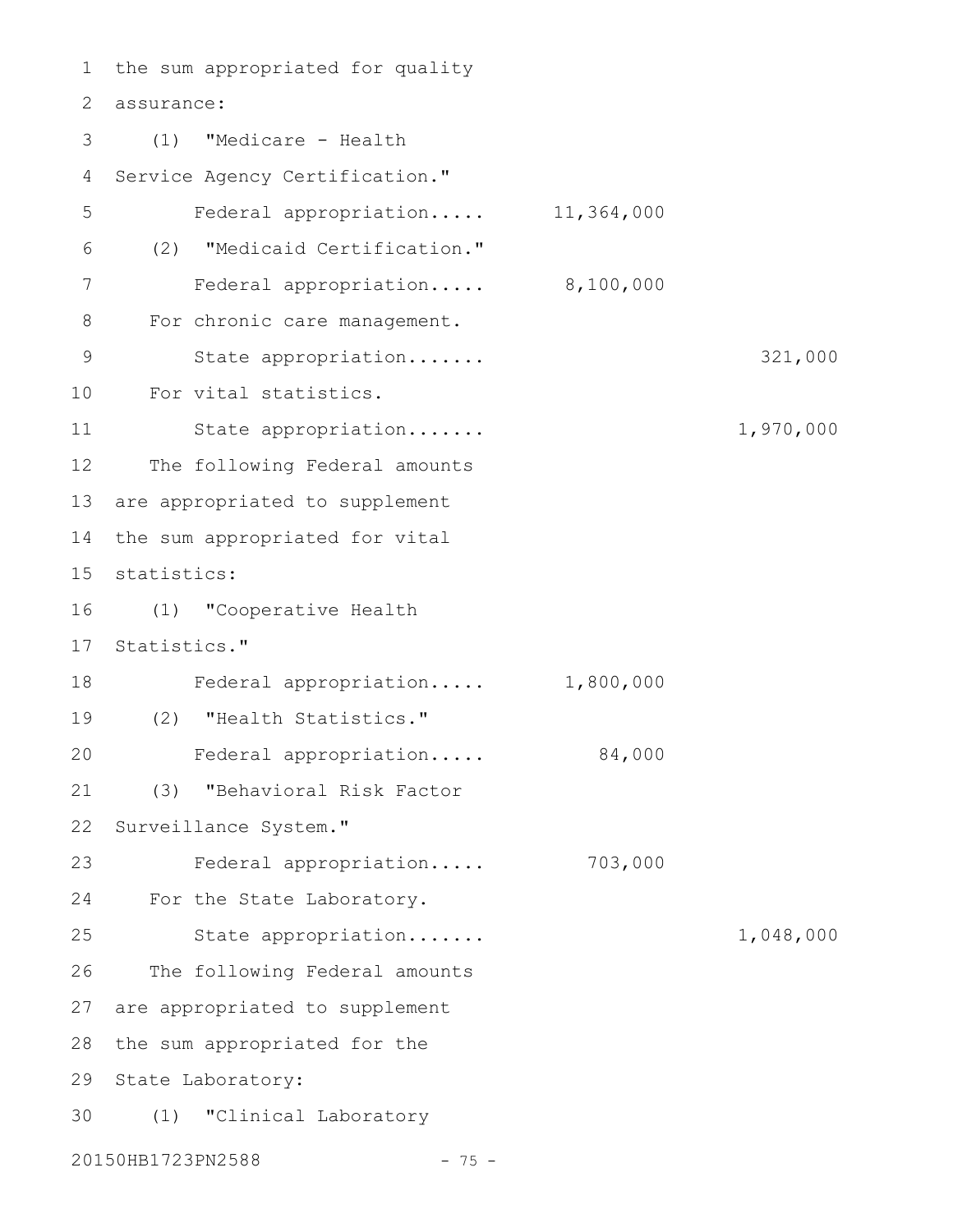the sum appropriated for quality assurance: 2 (1) "Medicare - Health Service Agency Certification." Federal appropriation..... 11,364,000 (2) "Medicaid Certification." Federal appropriation..... 8,100,000 For chronic care management. State appropriation....... 321,000 For vital statistics. State appropriation....... 1,970,000 The following Federal amounts are appropriated to supplement the sum appropriated for vital 15 statistics: (1) "Cooperative Health 16 17 Statistics." Federal appropriation..... 1,800,000 (2) "Health Statistics." 19 Federal appropriation..... 84,000 (3) "Behavioral Risk Factor Surveillance System." Federal appropriation..... 703,000 For the State Laboratory. State appropriation....... 1,048,000 The following Federal amounts 27 are appropriated to supplement 28 the sum appropriated for the 29 State Laboratory: (1) "Clinical Laboratory 301 3 4 5 6 7 8 9 10 11 12 13 14 18 20 21 22 23 24 25 26

20150HB1723PN2588 - 75 -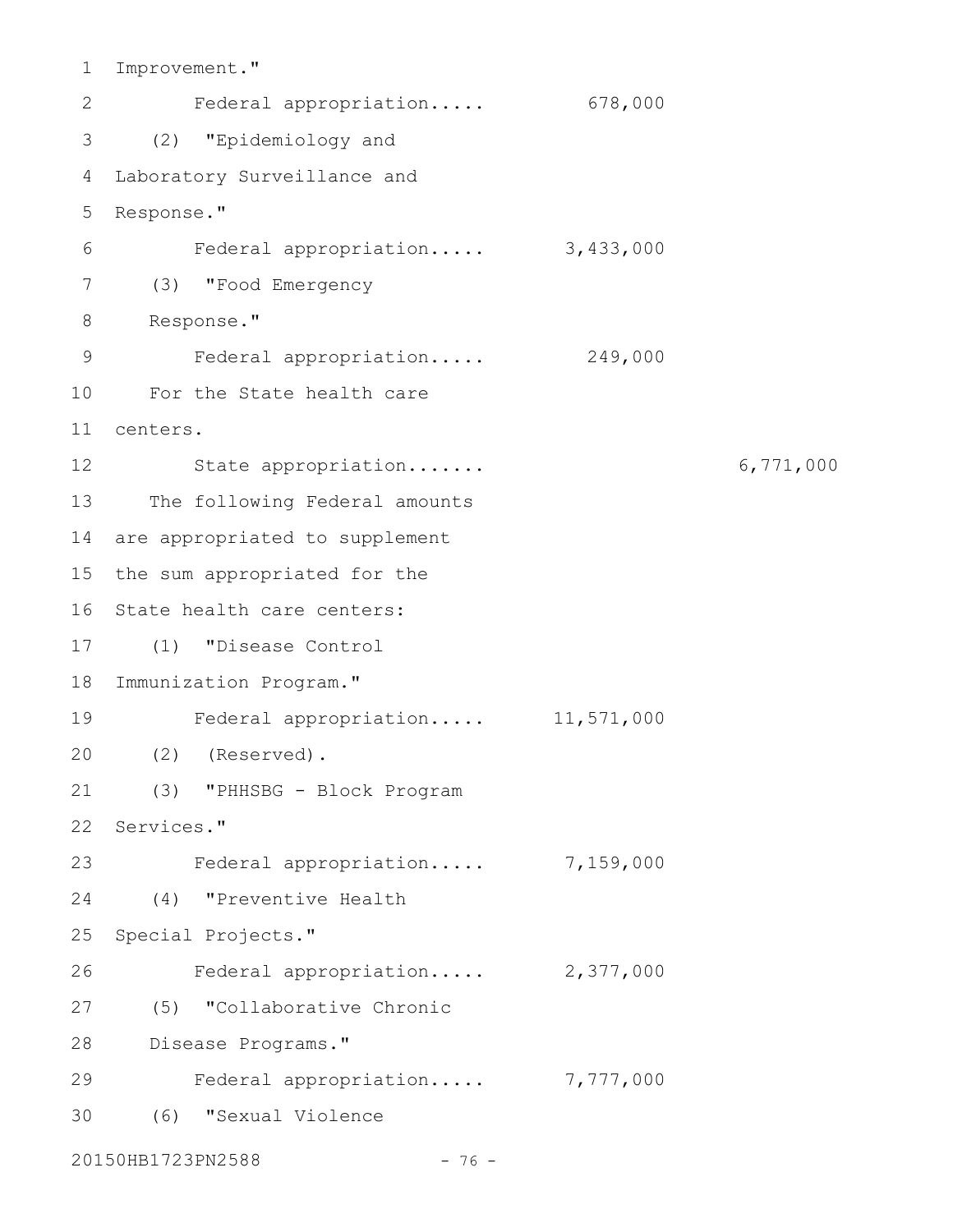Improvement." Federal appropriation..... 678,000 (2) "Epidemiology and 3 Laboratory Surveillance and Response." Federal appropriation..... 3,433,000 (3) "Food Emergency 7 8 Response." Federal appropriation..... 249,000 For the State health care 10 centers. 11 State appropriation....... 6,771,000 The following Federal amounts 14 are appropriated to supplement 15 the sum appropriated for the 16 State health care centers: (1) "Disease Control 17 18 Immunization Program." Federal appropriation..... 11,571,000 (2) (Reserved). 20 (3) "PHHSBG - Block Program 22 Services." Federal appropriation..... 7,159,000 (4) "Preventive Health 25 Special Projects." Federal appropriation..... 2,377,000 (5) "Collaborative Chronic 27 Disease Programs." 28 Federal appropriation..... 7,777,000 (6) "Sexual Violence 301 2 4 5 6 9 12 13 19 21 23 24 26 29

20150HB1723PN2588 - 76 -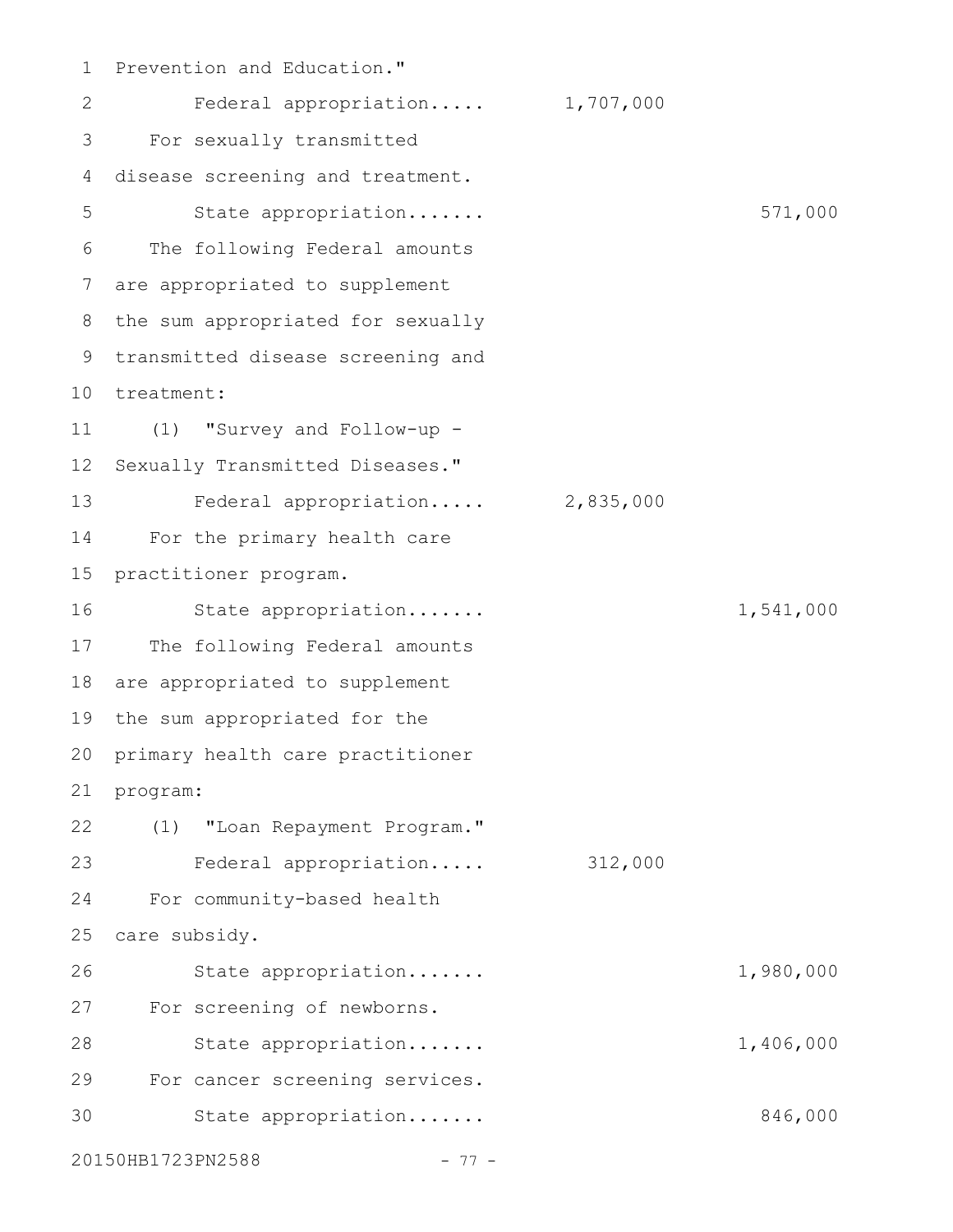Prevention and Education." Federal appropriation..... 1,707,000 For sexually transmitted disease screening and treatment. State appropriation....... 571,000 The following Federal amounts are appropriated to supplement the sum appropriated for sexually 9 transmitted disease screening and 10 treatment: (1) "Survey and Follow-up - Sexually Transmitted Diseases." Federal appropriation..... 2,835,000 For the primary health care practitioner program. State appropriation....... 1,541,000 The following Federal amounts 18 are appropriated to supplement the sum appropriated for the primary health care practitioner program: (1) "Loan Repayment Program." Federal appropriation..... 312,000 For community-based health care subsidy. State appropriation....... 1,980,000 For screening of newborns. State appropriation....... 1,406,000 For cancer screening services. State appropriation....... 846,000 20150HB1723PN2588 - 77 -1 2 3 4 5 6 7 8 11 12 13 14 15 16 17 19 20 21 22 23 24 25 26 27 28 29 30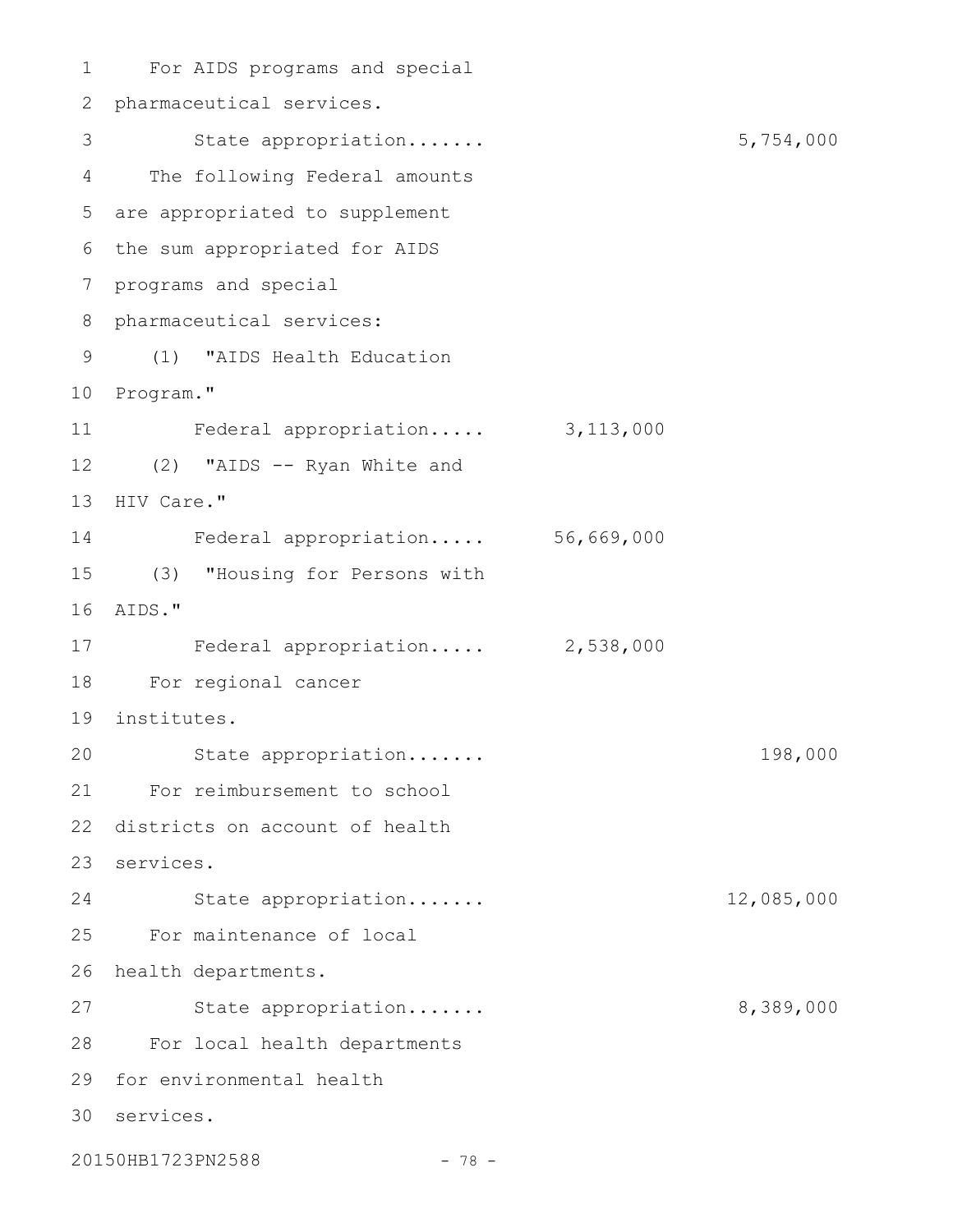For AIDS programs and special 1 2 pharmaceutical services. 3 5,754,000 The following Federal amounts 4 are appropriated to supplement 5 6 the sum appropriated for AIDS 7 programs and special 8 pharmaceutical services: (1) "AIDS Health Education 9 10 Program." Federal appropriation..... 3,113,000 (2) "AIDS -- Ryan White and 12 13 HIV Care." Federal appropriation..... 56,669,000 (3) "Housing for Persons with 15 AIDS." 16 17 Federal appropriation..... 2,538,000 For regional cancer 18 institutes. 19 State appropriation....... 198,000 For reimbursement to school 21 22 districts on account of health 23 services. State appropriation....... 12,085,000 For maintenance of local 25 26 health departments. 27 State appropriation...... 8,389,000 For local health departments 28 29 for environmental health services. 3011 14 20 24

20150HB1723PN2588 - 78 -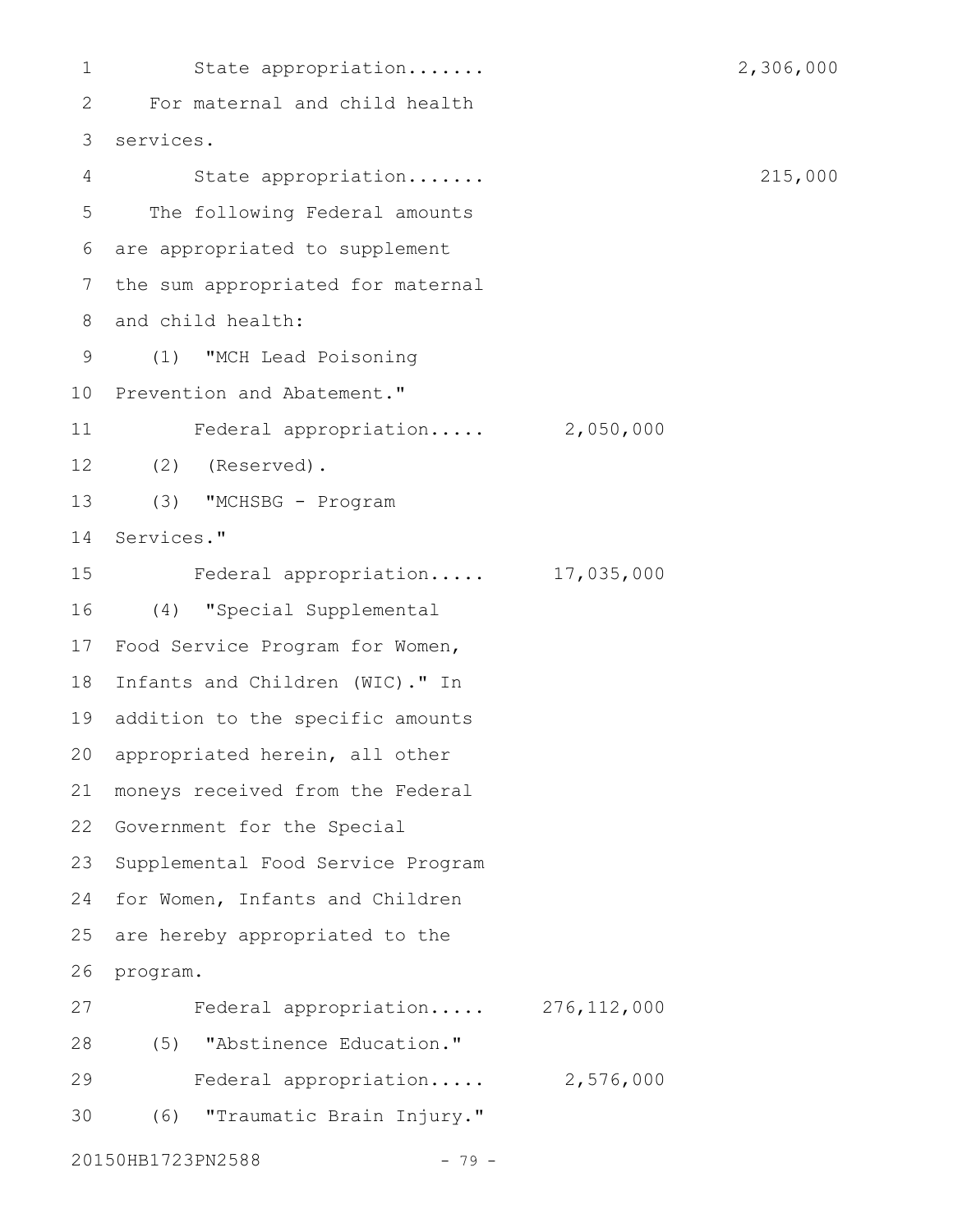State appropriation....... 2,306,000 For maternal and child health services. 3 State appropriation....... 215,000 The following Federal amounts are appropriated to supplement the sum appropriated for maternal and child health: (1) "MCH Lead Poisoning 10 Prevention and Abatement." Federal appropriation..... 2,050,000 (2) (Reserved). (3) "MCHSBG - Program Services." Federal appropriation..... 17,035,000 (4) "Special Supplemental 17 Food Service Program for Women, 18 Infants and Children (WIC)." In 19 addition to the specific amounts 20 appropriated herein, all other moneys received from the Federal 22 Government for the Special 23 Supplemental Food Service Program 24 for Women, Infants and Children are hereby appropriated to the program. Federal appropriation..... 276,112,000 (5) "Abstinence Education." 28 Federal appropriation..... 2,576,000 (6) "Traumatic Brain Injury." 20150HB1723PN2588 - 79 -1 2 4 5 6 7 8 9 11 12 13 14 15 16 21 25 26 27 29 30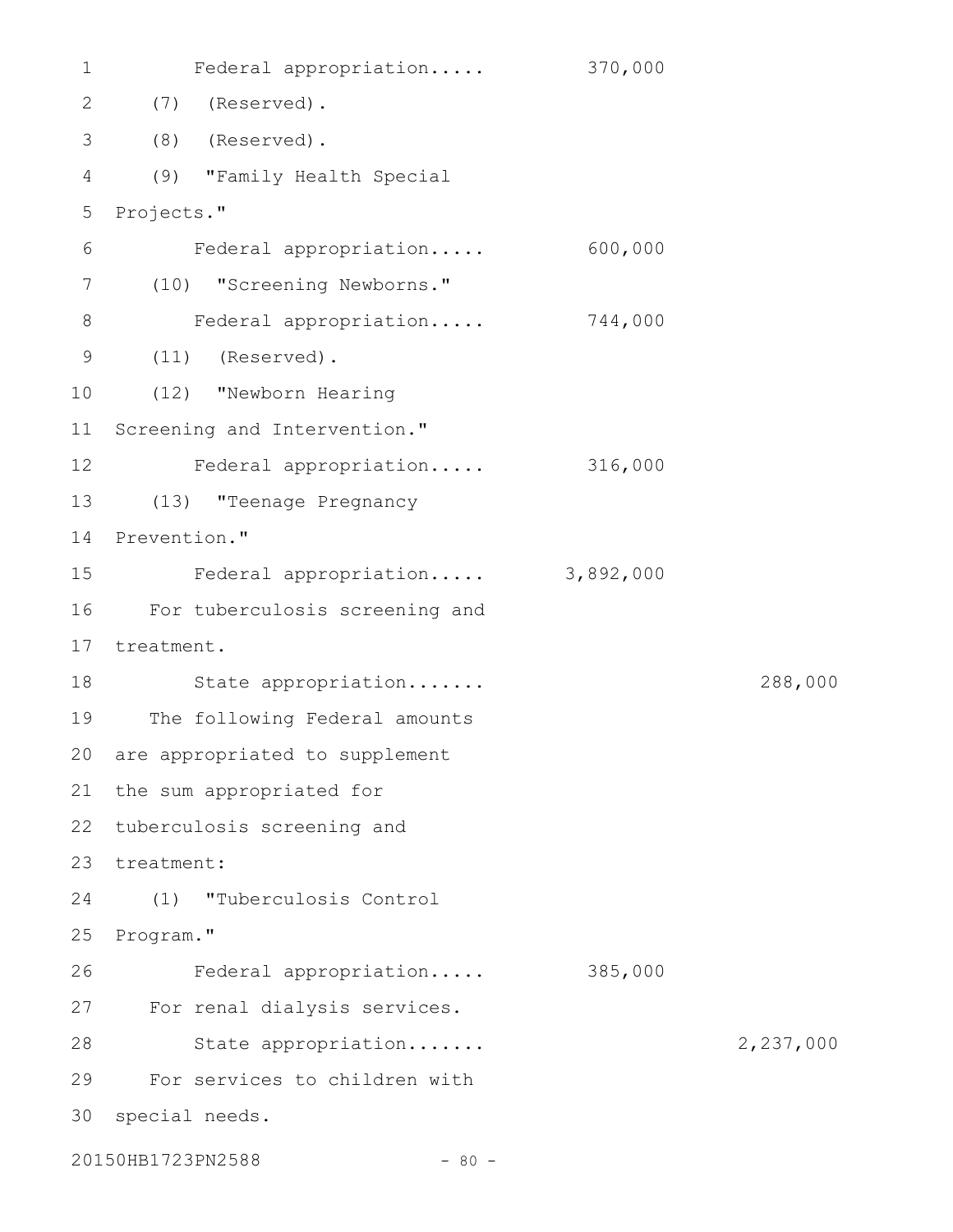| $\mathbf 1$  | Federal appropriation          | 370,000   |           |
|--------------|--------------------------------|-----------|-----------|
| $\mathbf{2}$ | (7)<br>(Reserved).             |           |           |
| 3            | (8)<br>(Reserved).             |           |           |
| 4            | (9) "Family Health Special     |           |           |
| 5            | Projects."                     |           |           |
| 6            | Federal appropriation          | 600,000   |           |
| 7            | (10) "Screening Newborns."     |           |           |
| 8            | Federal appropriation          | 744,000   |           |
| 9            | $(11)$ (Reserved).             |           |           |
| 10           | (12) "Newborn Hearing          |           |           |
| 11           | Screening and Intervention."   |           |           |
| 12           | Federal appropriation          | 316,000   |           |
| 13           | (13) "Teenage Pregnancy        |           |           |
| 14           | Prevention."                   |           |           |
| 15           | Federal appropriation          | 3,892,000 |           |
| 16           | For tuberculosis screening and |           |           |
| 17           | treatment.                     |           |           |
| 18           | State appropriation            |           | 288,000   |
| 19           | The following Federal amounts  |           |           |
| 20           | are appropriated to supplement |           |           |
| 21           | the sum appropriated for       |           |           |
| 22           | tuberculosis screening and     |           |           |
| 23           | treatment:                     |           |           |
| 24           | "Tuberculosis Control<br>(1)   |           |           |
| 25           | Program."                      |           |           |
| 26           | Federal appropriation          | 385,000   |           |
| 27           | For renal dialysis services.   |           |           |
| 28           | State appropriation            |           | 2,237,000 |
| 29           | For services to children with  |           |           |
| 30           | special needs.                 |           |           |
|              | 20150HB1723PN2588<br>$-80 -$   |           |           |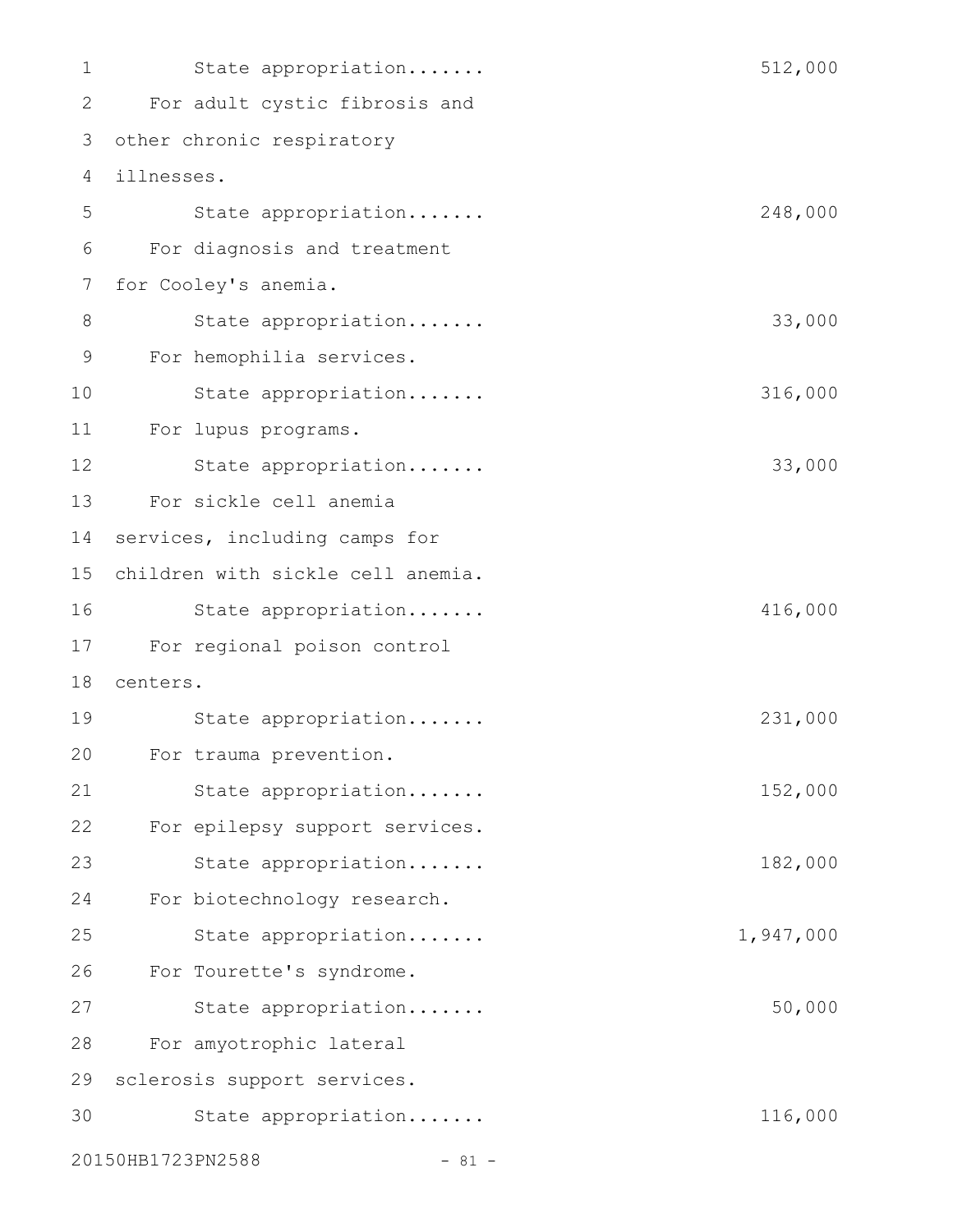| 1  | State appropriation               | 512,000   |
|----|-----------------------------------|-----------|
| 2  | For adult cystic fibrosis and     |           |
| 3  | other chronic respiratory         |           |
| 4  | illnesses.                        |           |
| 5  | State appropriation               | 248,000   |
| 6  | For diagnosis and treatment       |           |
| 7  | for Cooley's anemia.              |           |
| 8  | State appropriation               | 33,000    |
| 9  | For hemophilia services.          |           |
| 10 | State appropriation               | 316,000   |
| 11 | For lupus programs.               |           |
| 12 | State appropriation               | 33,000    |
| 13 | For sickle cell anemia            |           |
| 14 | services, including camps for     |           |
| 15 | children with sickle cell anemia. |           |
| 16 | State appropriation               | 416,000   |
| 17 | For regional poison control       |           |
| 18 | centers.                          |           |
| 19 | State appropriation               | 231,000   |
| 20 | For trauma prevention.            |           |
| 21 | State appropriation               | 152,000   |
| 22 | For epilepsy support services.    |           |
| 23 | State appropriation               | 182,000   |
| 24 | For biotechnology research.       |           |
| 25 | State appropriation               | 1,947,000 |
| 26 | For Tourette's syndrome.          |           |
| 27 | State appropriation               | 50,000    |
| 28 | For amyotrophic lateral           |           |
| 29 | sclerosis support services.       |           |
| 30 | State appropriation               | 116,000   |
|    | 20150HB1723PN2588<br>$- 81 -$     |           |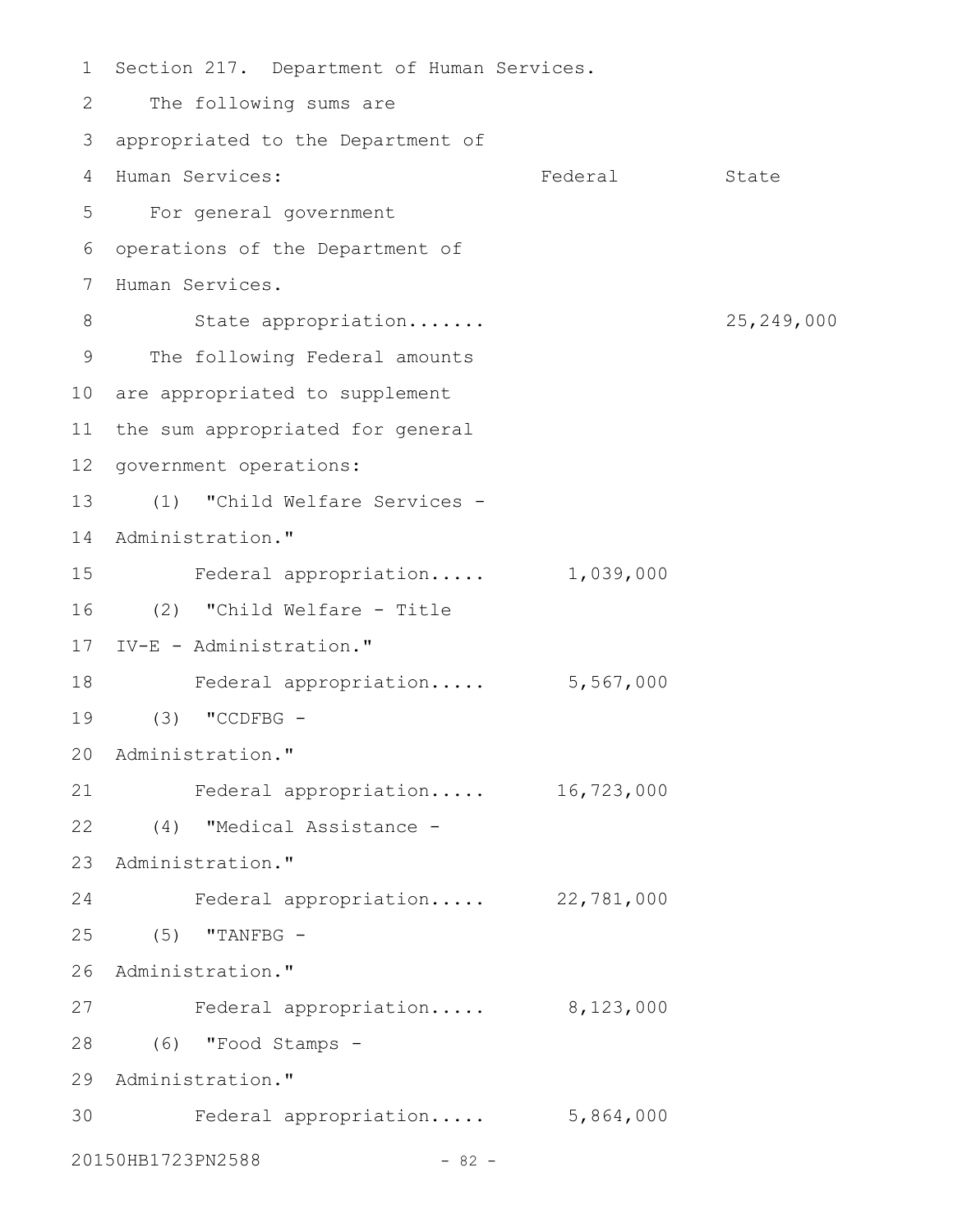1 Section 217. Department of Human Services. The following sums are appropriated to the Department of 3 4 Human Services: Tederal State For general government 5 6 operations of the Department of 7 Human Services. State appropriation....... 25,249,000 9 The following Federal amounts 10 are appropriated to supplement 11 the sum appropriated for general 12 government operations: (1) "Child Welfare Services - 13 14 Administration." Federal appropriation..... 1,039,000 (2) "Child Welfare - Title 16 IV-E - Administration." 17 18 Federal appropriation..... 5,567,000 (3) "CCDFBG - 19 20 Administration." Federal appropriation..... 16,723,000 (4) "Medical Assistance - 22 23 Administration." Federal appropriation..... 22,781,000 (5) "TANFBG - 25 26 Administration." 27 Federal appropriation..... 8,123,000 (6) "Food Stamps - 28 29 Administration." Federal appropriation..... 5,864,000 3020150HB1723PN2588 - 82 -2 8 15 21 24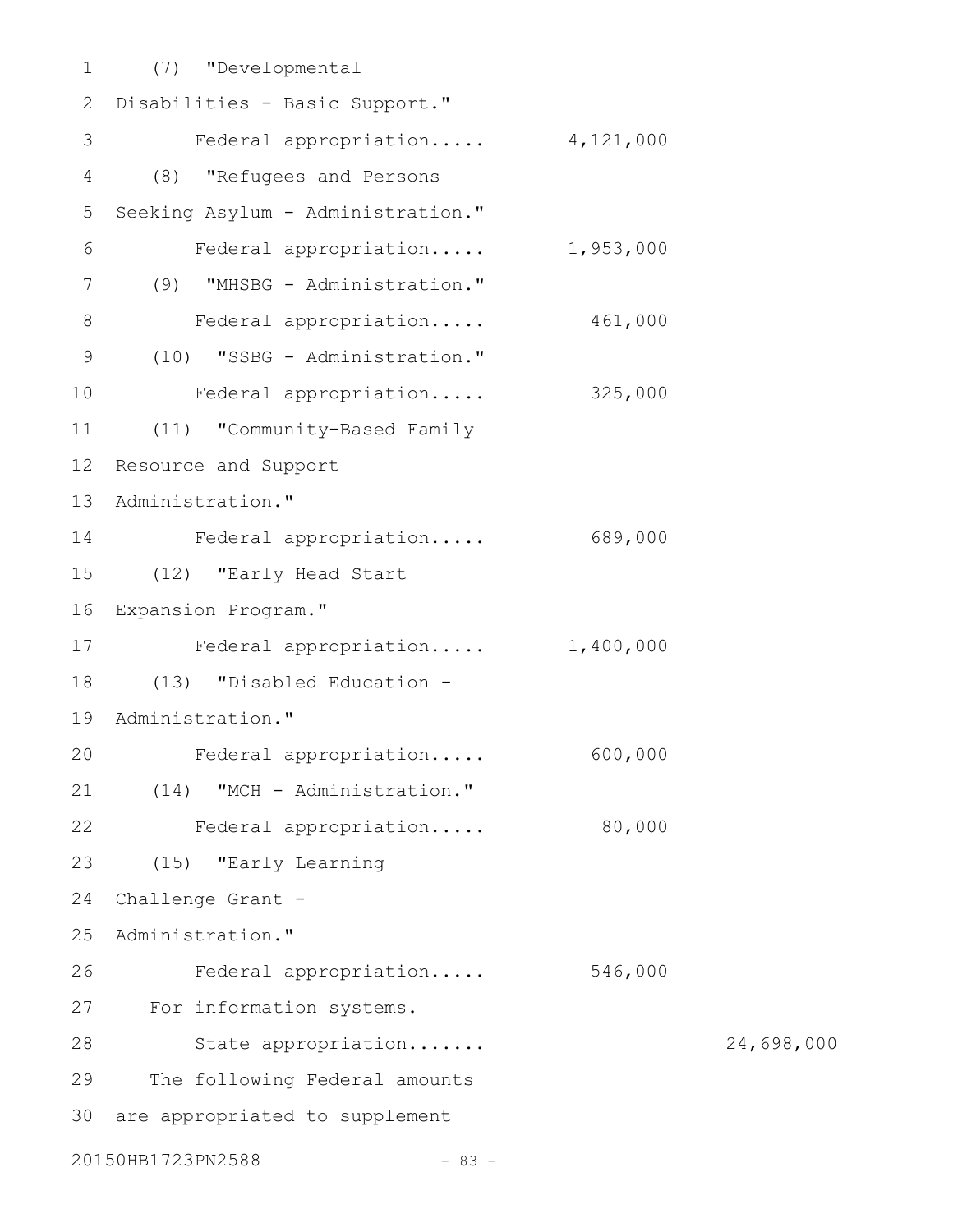(7) "Developmental 1 2 Disabilities - Basic Support." Federal appropriation..... 4,121,000 (8) "Refugees and Persons Seeking Asylum - Administration." Federal appropriation..... 1,953,000 (9) "MHSBG - Administration." Federal appropriation..... 461,000 (10) "SSBG - Administration." Federal appropriation..... 325,000 (11) "Community-Based Family Resource and Support 13 Administration." Federal appropriation..... 689,000 (12) "Early Head Start 16 Expansion Program." Federal appropriation..... 1,400,000 (13) "Disabled Education - 19 Administration." Federal appropriation..... 600,000 (14) "MCH - Administration." Federal appropriation..... 80,000 (15) "Early Learning Challenge Grant -25 Administration." Federal appropriation..... 546,000 27 For information systems. 28 State appropriation....... 24,698,000 The following Federal amounts 30 are appropriated to supplement 20150HB1723PN2588 - 83 -3 4 5 6 7 8 9 10 11 12 14 15 17 18 20 21 22 23 24 26 29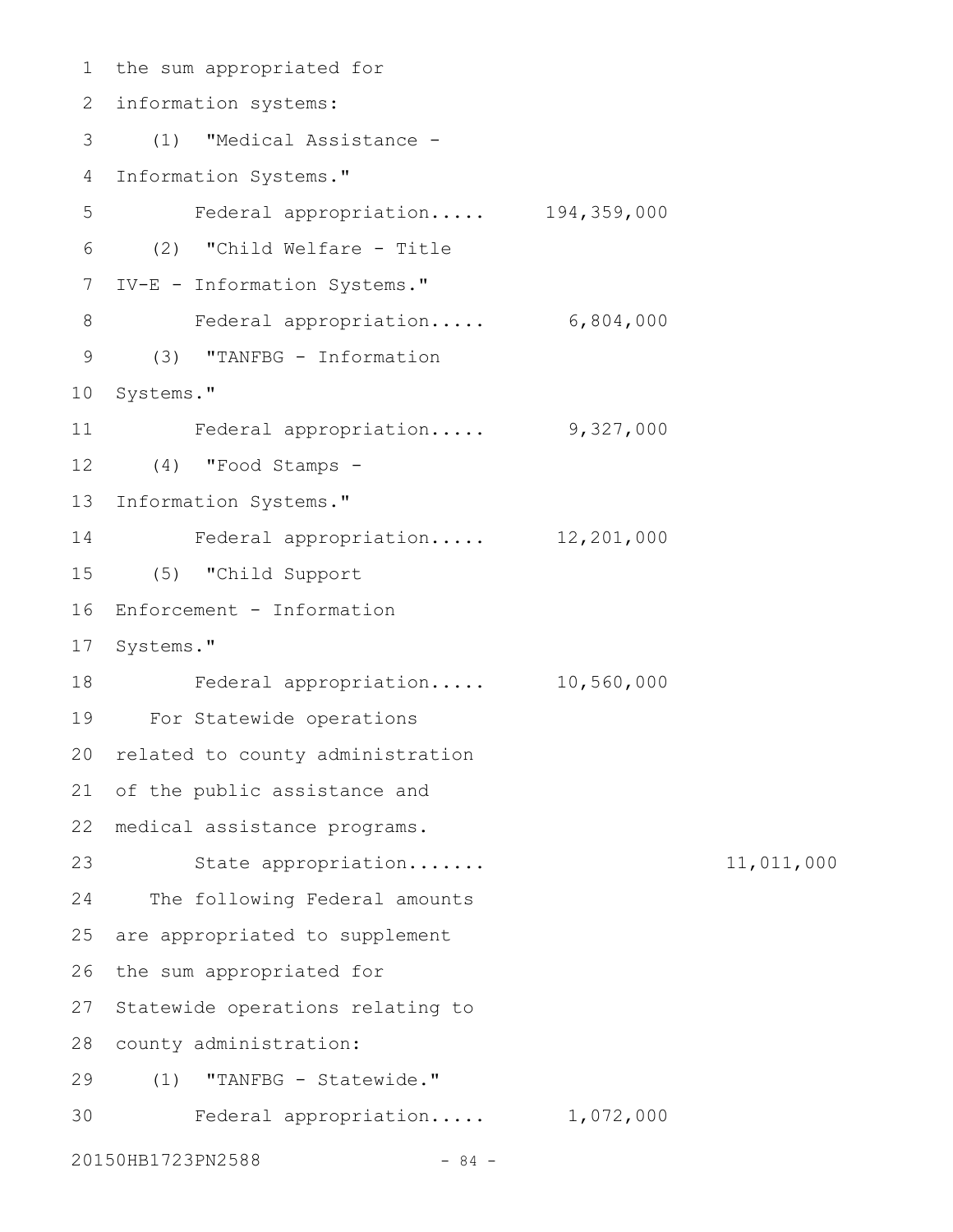1 the sum appropriated for information systems: 2 (1) "Medical Assistance - 3 Information Systems." Federal appropriation..... 194,359,000 (2) "Child Welfare - Title 6 7 IV-E - Information Systems." Federal appropriation..... 6,804,000 (3) "TANFBG - Information 9 10 Systems." Federal appropriation..... 9,327,000 (4) "Food Stamps - 12 13 Information Systems." Federal appropriation..... 12,201,000 (5) "Child Support 15 16 Enforcement - Information 17 Systems." Federal appropriation..... 10,560,000 For Statewide operations 19 20 related to county administration 21 of the public assistance and medical assistance programs. 22 State appropriation....... 11,011,000 24 The following Federal amounts 25 are appropriated to supplement 26 the sum appropriated for 27 Statewide operations relating to 28 county administration: (1) "TANFBG - Statewide." 29 Federal appropriation..... 1,072,000 304 5 8 11 14 18 23

20150HB1723PN2588 - 84 -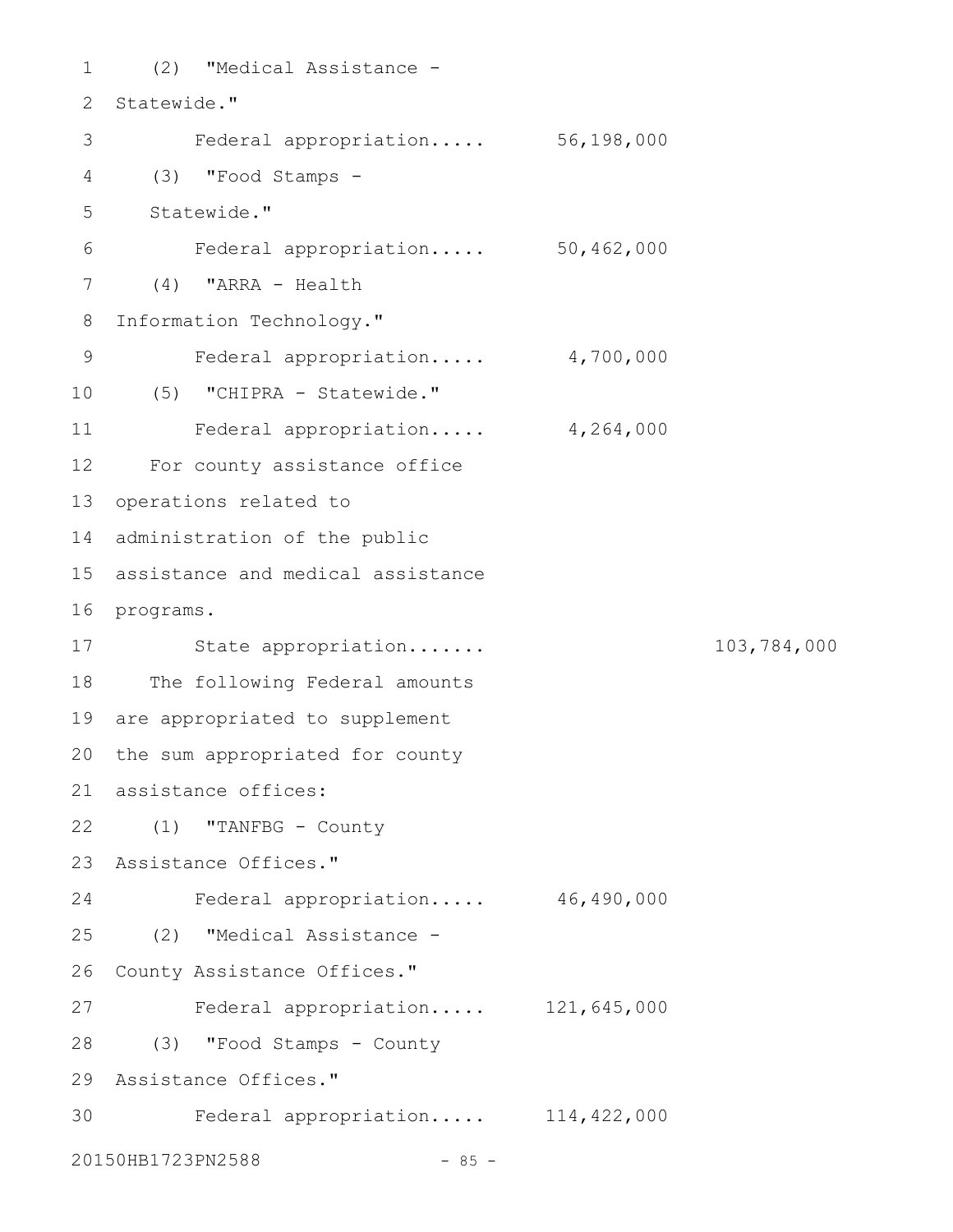(2) "Medical Assistance - 1 2 Statewide." Federal appropriation..... 56,198,000 (3) "Food Stamps - 4 Statewide." Federal appropriation..... 50,462,000 (4) "ARRA - Health 7 Information Technology." Federal appropriation..... 4,700,000 (5) "CHIPRA - Statewide." 10 Federal appropriation..... 4,264,000 For county assistance office 12 13 operations related to 14 administration of the public assistance and medical assistance 15 16 programs. State appropriation....... 103,784,000 17 18 The following Federal amounts 19 are appropriated to supplement 20 the sum appropriated for county assistance offices: 21 22 (1) "TANFBG - County Assistance Offices." 23 Federal appropriation..... 46,490,000 (2) "Medical Assistance - 25 26 County Assistance Offices." Federal appropriation..... 121,645,000 (3) "Food Stamps - County 28 Assistance Offices." 29 Federal appropriation..... 114,422,000 3020150HB1723PN2588 - 85 -3 5 6 8 9 11 24 27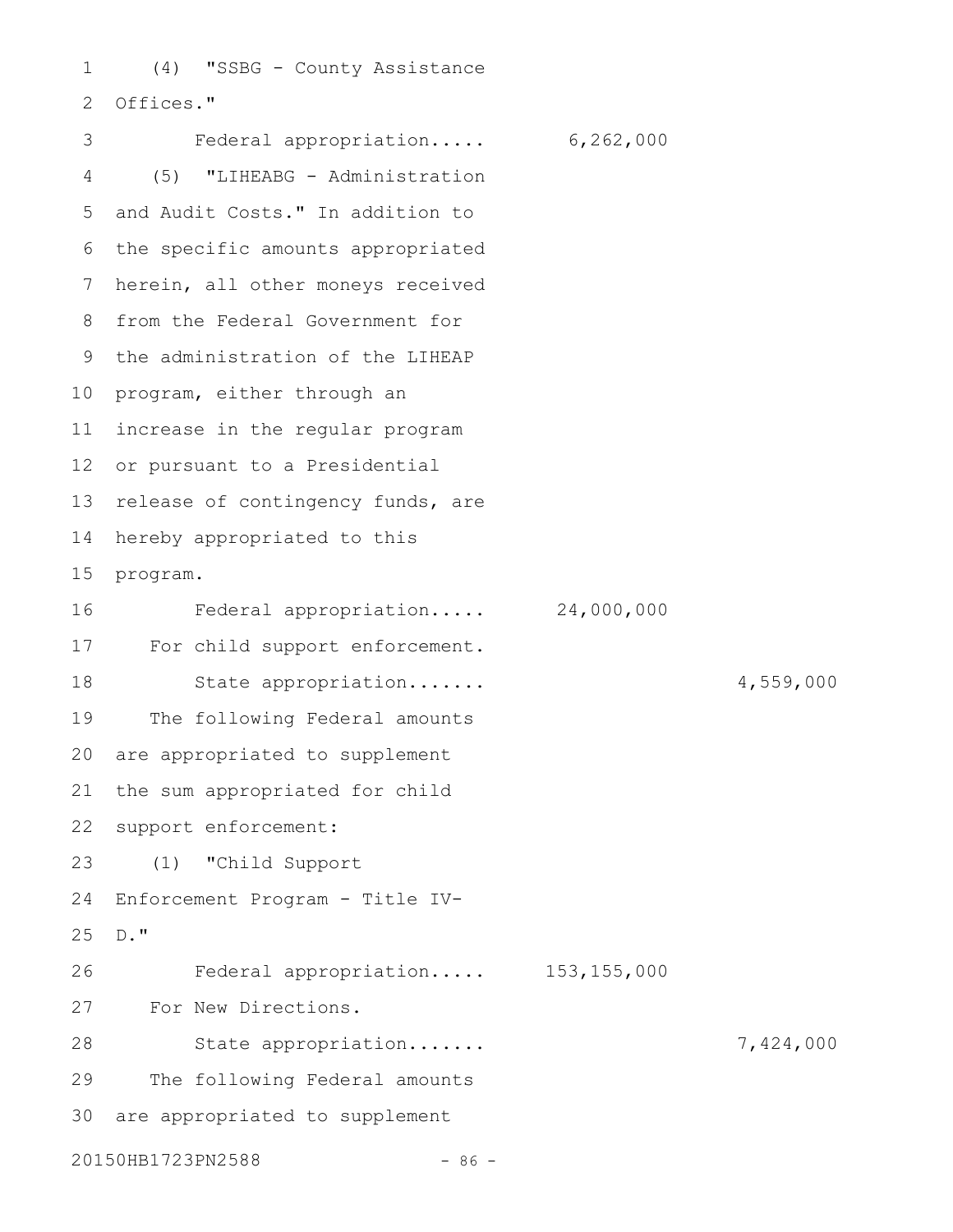(4) "SSBG - County Assistance Offices." 1 2

Federal appropriation..... 6,262,000 (5) "LIHEABG - Administration 5 and Audit Costs." In addition to 6 the specific amounts appropriated 7 herein, all other moneys received 8 from the Federal Government for 9 the administration of the LIHEAP 10 program, either through an 11 increase in the regular program 12 or pursuant to a Presidential 13 release of contingency funds, are 14 hereby appropriated to this 15 program. Federal appropriation..... 24,000,000 17 For child support enforcement. State appropriation....... 4,559,000 The following Federal amounts are appropriated to supplement the sum appropriated for child support enforcement: (1) "Child Support Enforcement Program - Title IV-25 D." Federal appropriation..... 153,155,000 For New Directions. 27 State appropriation....... 7,424,000 The following Federal amounts 30 are appropriated to supplement 20150HB1723PN2588 - 86 -3 4 16 18 19 20 21 22 23 24 26 28 29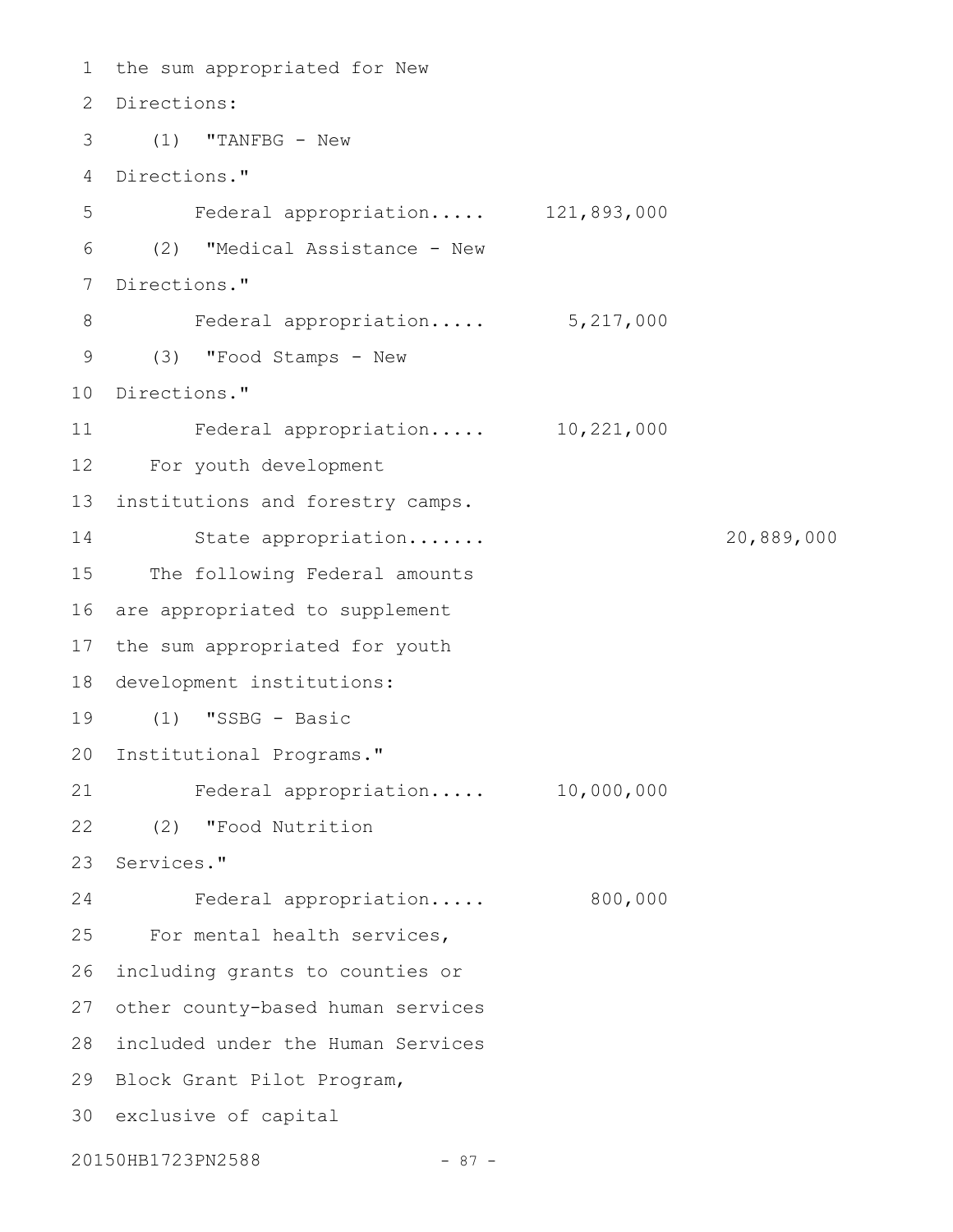```
1 the sum appropriated for New
 Directions:
2
 (1) "TANFBG - New
3
 Directions."
4
    Federal appropriation..... 121,893,000
 (2) "Medical Assistance - New
6
 7 Directions."
    Federal appropriation..... 5,217,000
 (3) "Food Stamps - New
9
10 Directions."
    Federal appropriation..... 10,221,000
For youth development
12
13 institutions and forestry camps.
        State appropriation....... 20,889,000
15 The following Federal amounts
16 are appropriated to supplement
17 the sum appropriated for youth
18 development institutions:
(1) "SSBG - Basic
19
20 Institutional Programs."
Federal appropriation..... 10,000,000
21
(2) "Food Nutrition
22
23 Services."
        Federal appropriation..... 800,000
25 For mental health services,
26 including grants to counties or
27 other county-based human services
28 included under the Human Services
29 Block Grant Pilot Program,
30 exclusive of capital
20150HB1723PN2588 - 87 -
5
8
11
14
24
```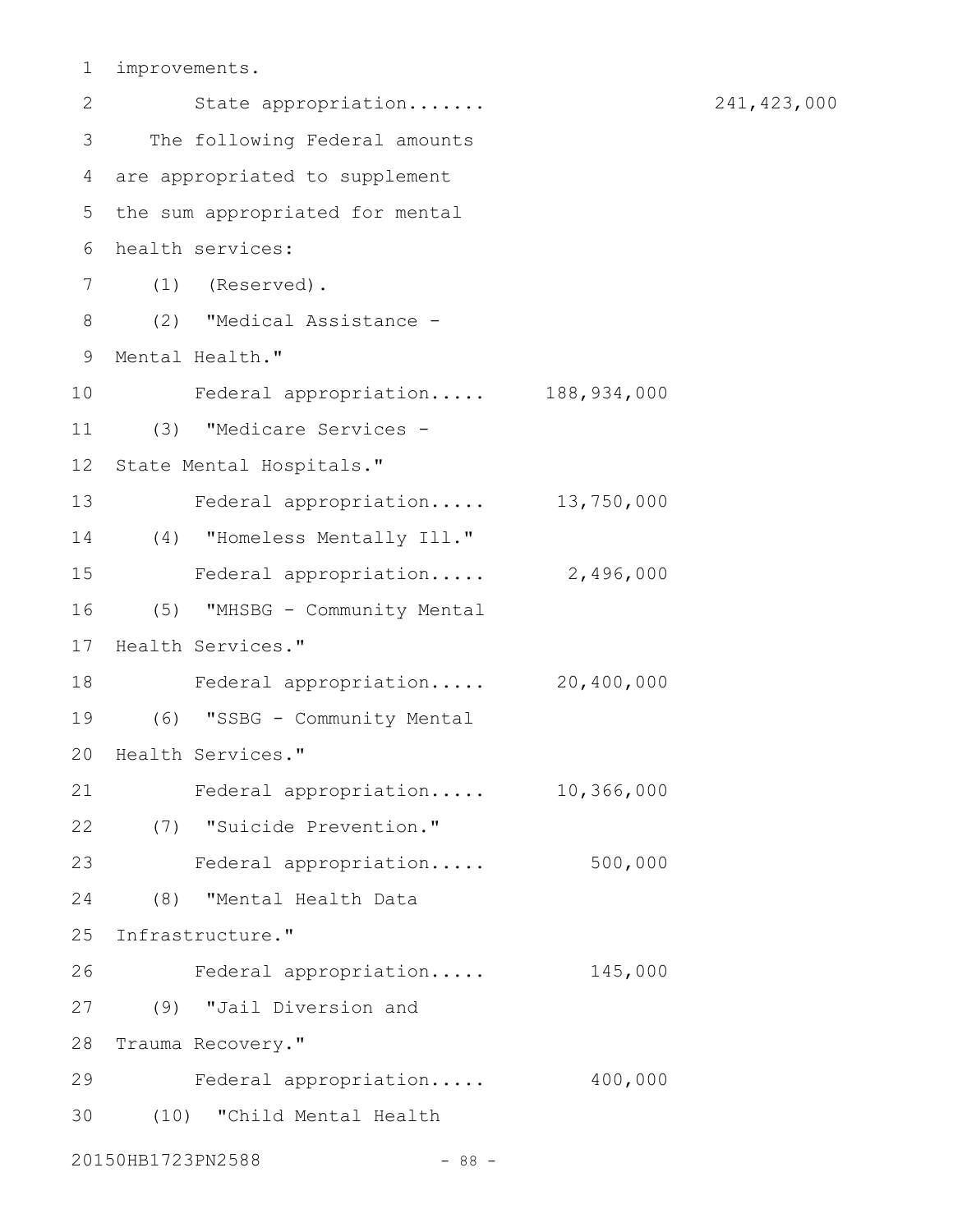improvements. 1

| 2               |                   | State appropriation              |             |
|-----------------|-------------------|----------------------------------|-------------|
| 3               |                   | The following Federal amounts    |             |
| 4               |                   | are appropriated to supplement   |             |
| 5               |                   | the sum appropriated for mental  |             |
| 6               | health services:  |                                  |             |
| 7               |                   | $(1)$ (Reserved).                |             |
| $8\,$           |                   | (2) "Medical Assistance -        |             |
| 9               | Mental Health."   |                                  |             |
| 10              |                   | Federal appropriation            | 188,934,000 |
| 11              |                   | (3) "Medicare Services -         |             |
| 12 <sup>°</sup> |                   | State Mental Hospitals."         |             |
| 13              |                   | Federal appropriation            | 13,750,000  |
| 14              |                   | (4) "Homeless Mentally Ill."     |             |
| 15              |                   | Federal appropriation            | 2,496,000   |
| 16              |                   | (5) "MHSBG - Community Mental    |             |
| 17              | Health Services." |                                  |             |
| 18              |                   | Federal appropriation 20,400,000 |             |
| 19              |                   | (6) "SSBG - Community Mental     |             |
| 20              | Health Services." |                                  |             |
| 21              |                   | Federal appropriation            | 10,366,000  |
| 22              |                   | (7) "Suicide Prevention."        |             |
| 23              |                   | Federal appropriation            | 500,000     |
| 24              |                   | (8) "Mental Health Data          |             |
| 25              | Infrastructure."  |                                  |             |
| 26              |                   | Federal appropriation            | 145,000     |
| 27              |                   | (9) "Jail Diversion and          |             |
| 28              | Trauma Recovery." |                                  |             |
| 29              |                   | Federal appropriation            | 400,000     |
| 30              |                   | (10) "Child Mental Health        |             |
|                 | 20150HB1723PN2588 | $-88 -$                          |             |

241,423,000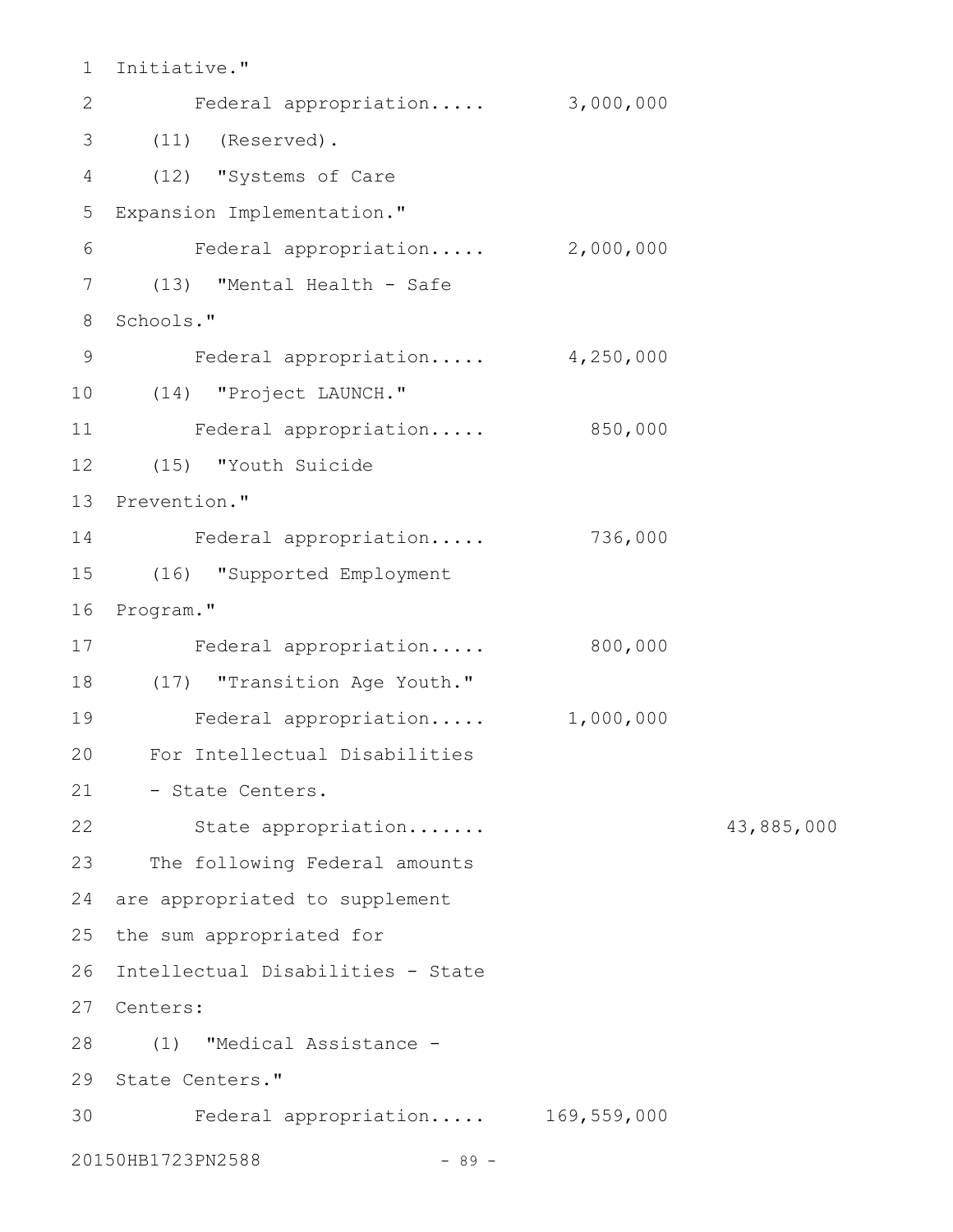Initiative." 1

| $\mathbf{2}$    | Federal appropriation 3,000,000   |           |            |
|-----------------|-----------------------------------|-----------|------------|
| 3               | $(11)$ (Reserved).                |           |            |
| 4               | (12) "Systems of Care             |           |            |
| 5               | Expansion Implementation."        |           |            |
| 6               | Federal appropriation 2,000,000   |           |            |
| 7               | (13) "Mental Health - Safe        |           |            |
| 8               | Schools."                         |           |            |
| 9               | Federal appropriation 4,250,000   |           |            |
| 10 <sub>o</sub> | (14) "Project LAUNCH."            |           |            |
| 11              | Federal appropriation             | 850,000   |            |
| 12              | (15) "Youth Suicide               |           |            |
| 13              | Prevention."                      |           |            |
| 14              | Federal appropriation             | 736,000   |            |
| 15              | (16) "Supported Employment        |           |            |
| 16              | Program."                         |           |            |
| 17              | Federal appropriation             | 800,000   |            |
| 18              | (17) "Transition Age Youth."      |           |            |
| 19              | Federal appropriation             | 1,000,000 |            |
| 20              | For Intellectual Disabilities     |           |            |
| 21              | - State Centers.                  |           |            |
| 22              | State appropriation               |           | 43,885,000 |
| 23              | The following Federal amounts     |           |            |
| 24              | are appropriated to supplement    |           |            |
| 25              | the sum appropriated for          |           |            |
| 26              | Intellectual Disabilities - State |           |            |
| 27              | Centers:                          |           |            |
| 28              | (1) "Medical Assistance -         |           |            |
| 29              | State Centers."                   |           |            |
| 30              | Federal appropriation 169,559,000 |           |            |
|                 | 20150HB1723PN2588<br>$-89 -$      |           |            |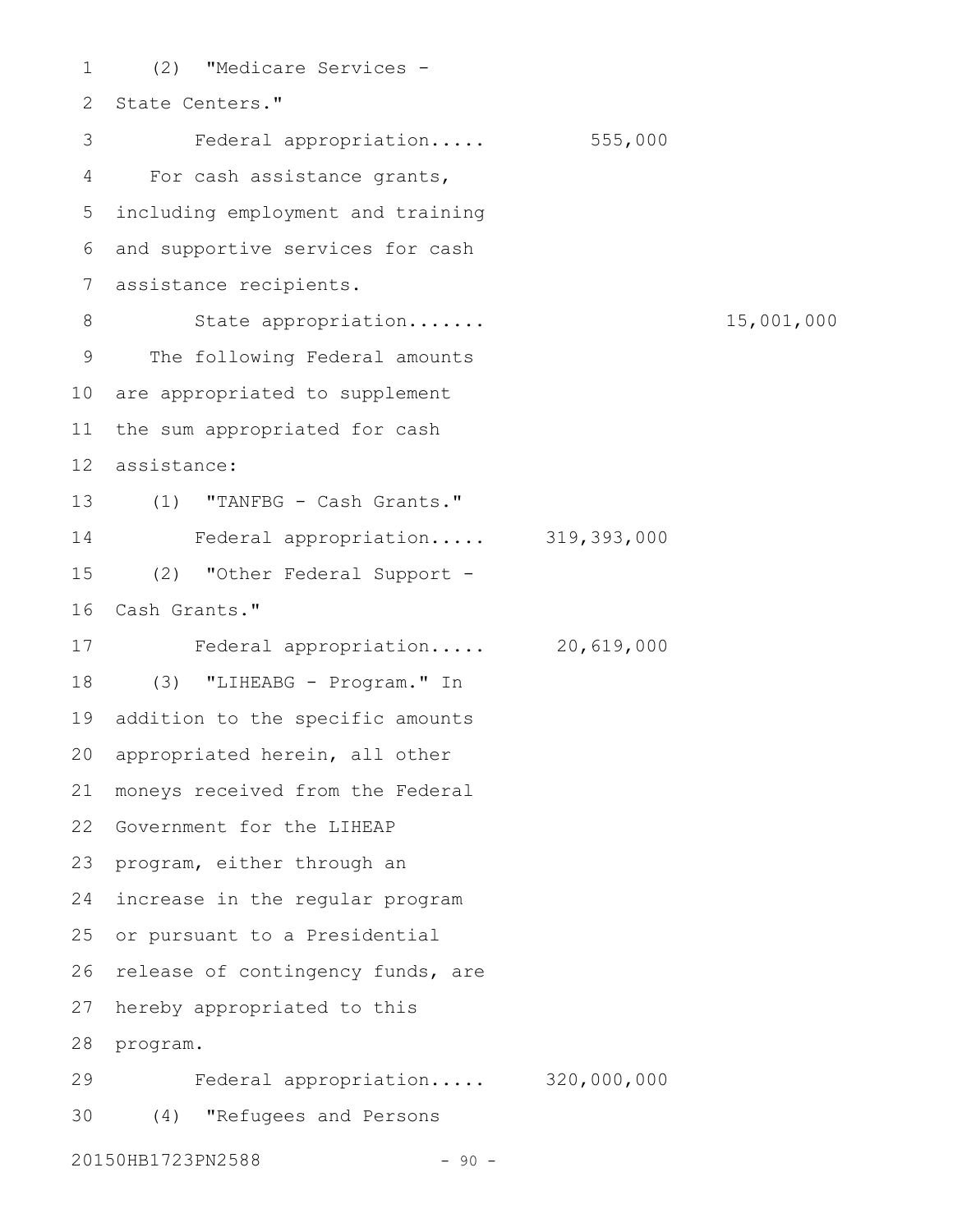(2) "Medicare Services - 2 State Centers." Federal appropriation..... 555,000 For cash assistance grants, including employment and training and supportive services for cash assistance recipients. State appropriation....... 15,001,000 The following Federal amounts 10 are appropriated to supplement the sum appropriated for cash assistance: (1) "TANFBG - Cash Grants." Federal appropriation..... 319,393,000 (2) "Other Federal Support - 16 Cash Grants." Federal appropriation..... 20,619,000 (3) "LIHEABG - Program." In addition to the specific amounts 20 appropriated herein, all other moneys received from the Federal 22 Government for the LIHEAP 23 program, either through an 24 increase in the regular program 25 or pursuant to a Presidential 26 release of contingency funds, are hereby appropriated to this 28 program. Federal appropriation..... 320,000,000 (4) "Refugees and Persons 301 3 4 5 6 7 8 9 11 12 13 14 15 17 18 19 21 27 29

20150HB1723PN2588 - 90 -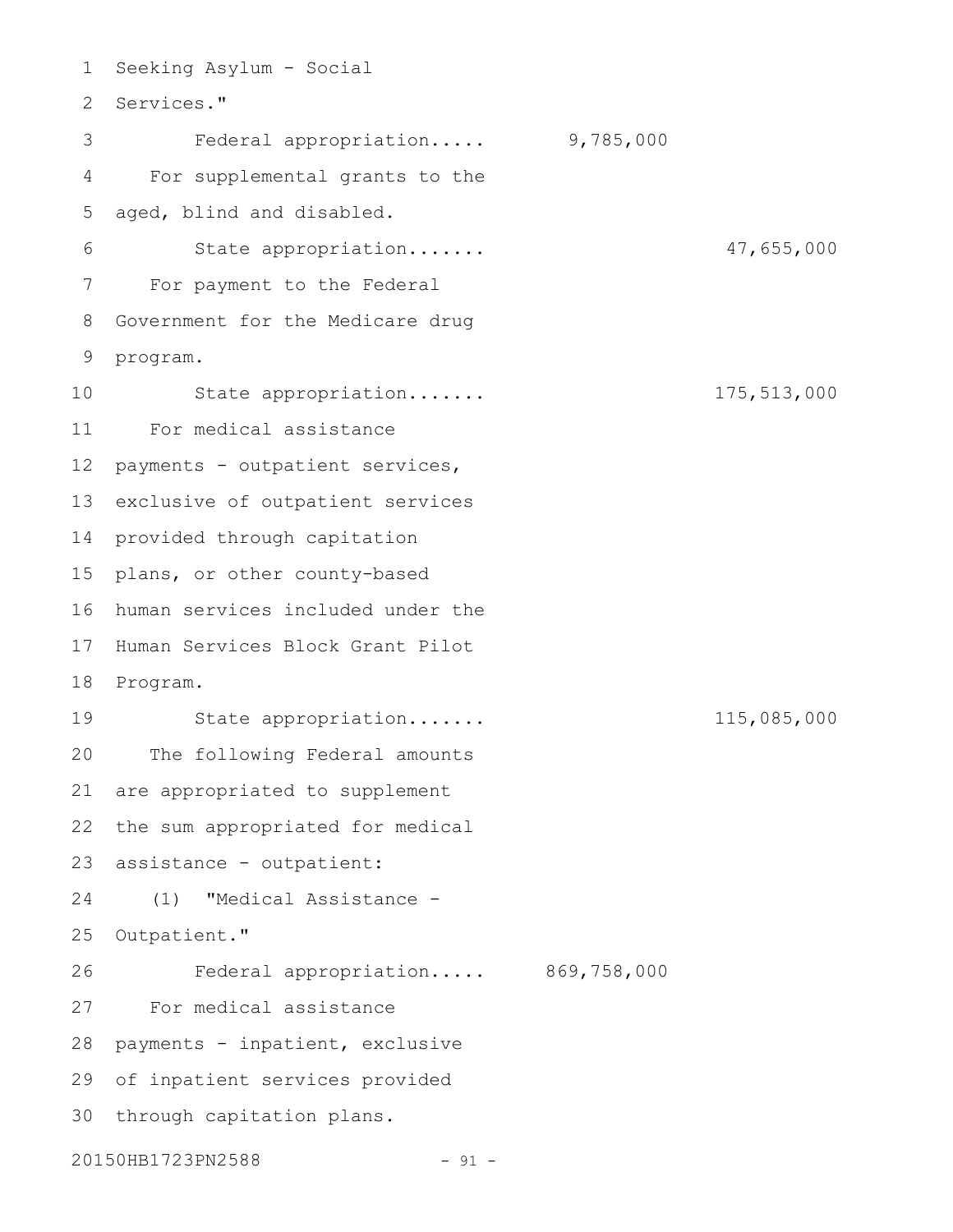1 Seeking Asylum - Social 2 Services." Federal appropriation..... 9,785,000 For supplemental grants to the aged, blind and disabled. State appropriation....... 47,655,000 For payment to the Federal 8 Government for the Medicare drug 9 program. State appropriation....... 175,513,000 For medical assistance payments - outpatient services, 13 exclusive of outpatient services 14 provided through capitation 15 plans, or other county-based 16 human services included under the 17 Human Services Block Grant Pilot 18 Program. State appropriation....... 115,085,000 The following Federal amounts are appropriated to supplement the sum appropriated for medical assistance - outpatient: (1) "Medical Assistance - 25 Outpatient." Federal appropriation..... 869,758,000 For medical assistance 28 payments - inpatient, exclusive 29 of inpatient services provided 30 through capitation plans. 20150HB1723PN2588 - 91 -3 4 5 6 7 10 11 12 19 20 21 22 23 24 26 27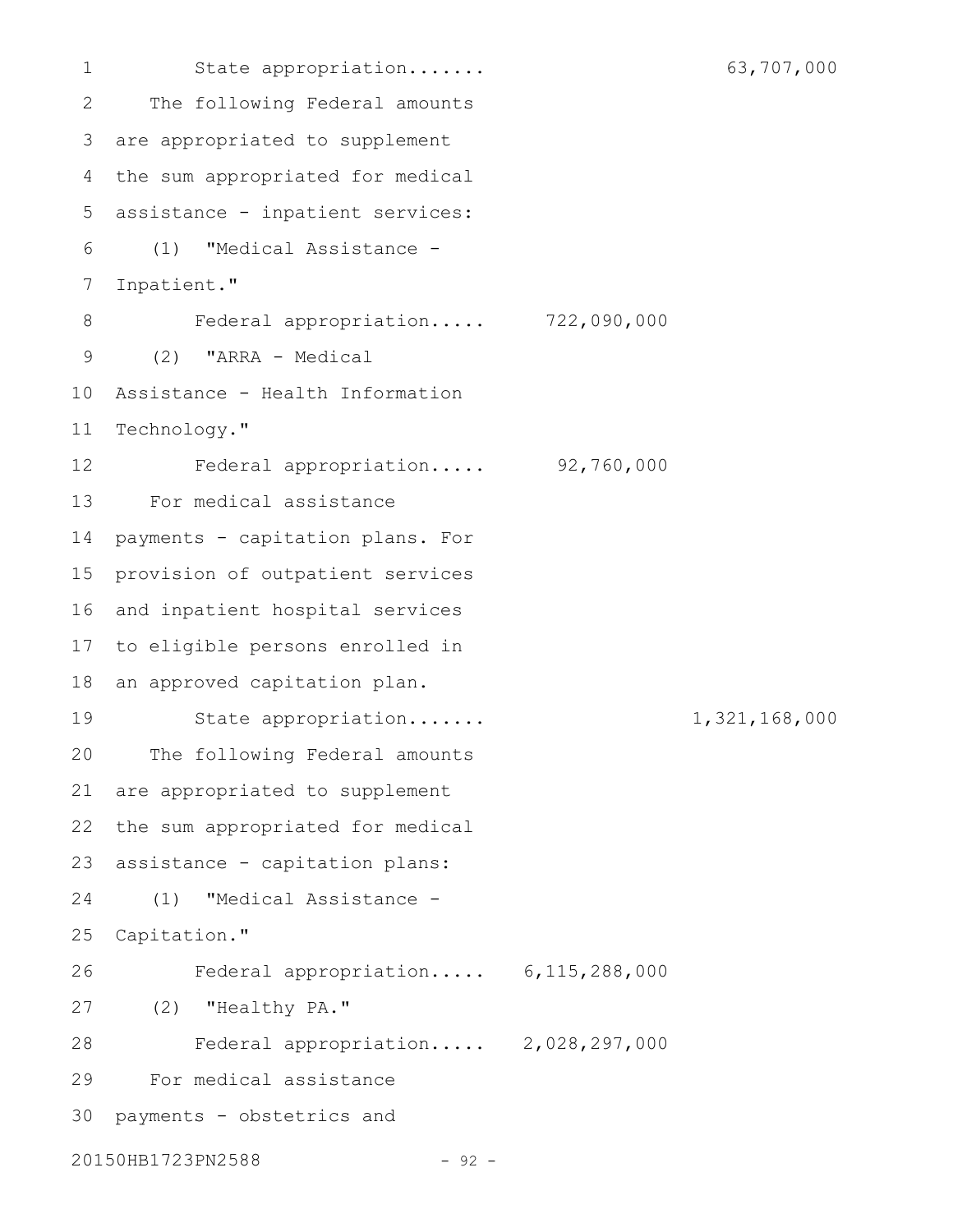State appropriation....... 63,707,000 The following Federal amounts are appropriated to supplement the sum appropriated for medical assistance - inpatient services: (1) "Medical Assistance - Inpatient." Federal appropriation..... 722,090,000 (2) "ARRA - Medical Assistance - Health Information Technology." Federal appropriation..... 92,760,000 For medical assistance payments - capitation plans. For provision of outpatient services 16 and inpatient hospital services to eligible persons enrolled in an approved capitation plan. State appropriation....... 1,321,168,000 The following Federal amounts are appropriated to supplement the sum appropriated for medical assistance - capitation plans: (1) "Medical Assistance - Capitation." Federal appropriation..... 6,115,288,000 (2) "Healthy PA." Federal appropriation..... 2,028,297,000 For medical assistance payments - obstetrics and 20150HB1723PN2588 - 92 -1 2 3 4 5 6 7 8 9 10 11 12 13 14 15 17 18 19 20 21 22 23 24 25 26 27 28 29 30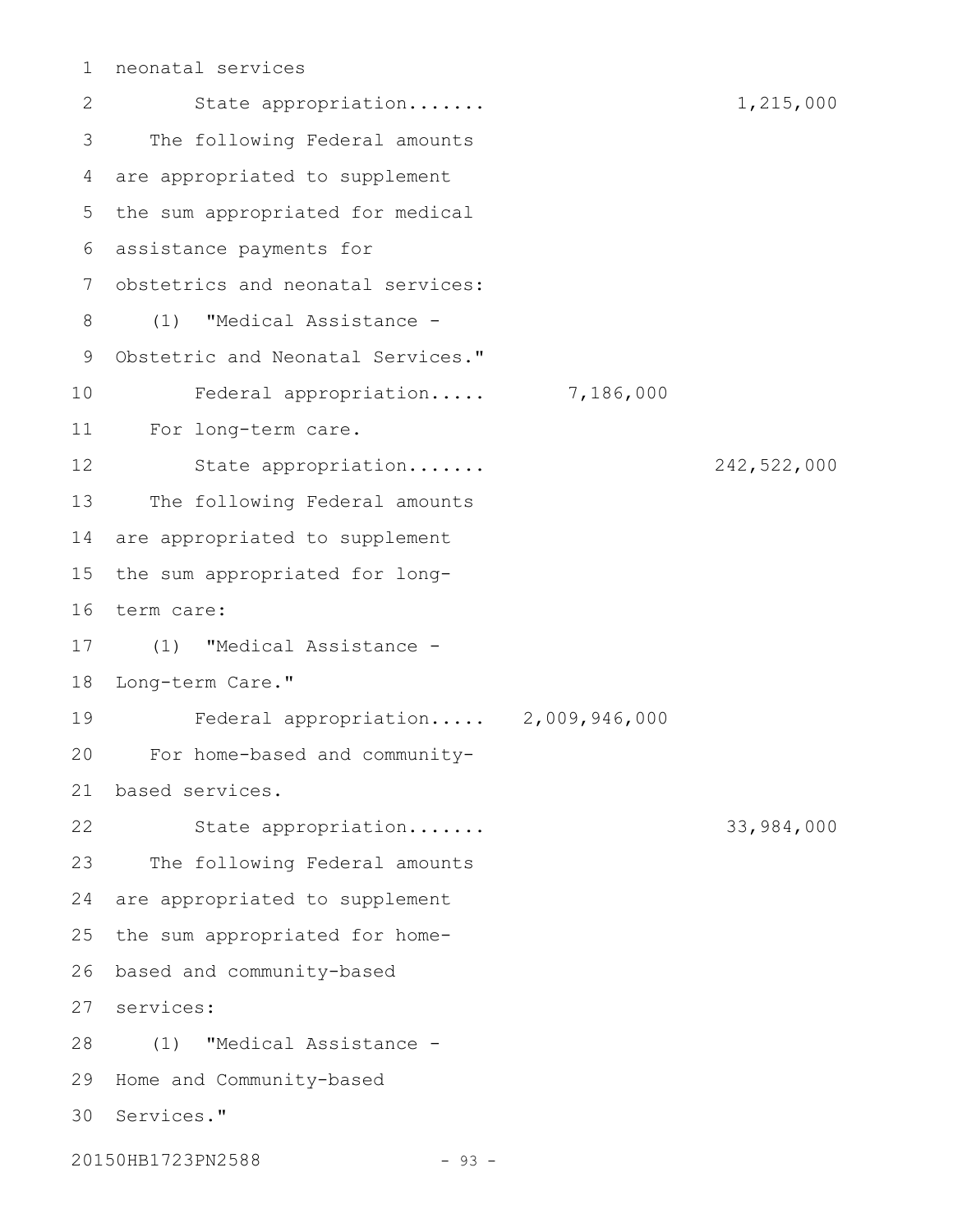```
neonatal services
1
```
State appropriation....... 1,215,000 The following Federal amounts are appropriated to supplement 5 the sum appropriated for medical assistance payments for 6 7 obstetrics and neonatal services: (1) "Medical Assistance - Obstetric and Neonatal Services." Federal appropriation..... 7,186,000 For long-term care. State appropriation....... 242,522,000 The following Federal amounts 14 are appropriated to supplement 15 the sum appropriated for long-16 term care: (1) "Medical Assistance - 18 Long-term Care." Federal appropriation..... 2,009,946,000 For home-based and communitybased services. 21 State appropriation....... 33,984,000 The following Federal amounts 24 are appropriated to supplement 25 the sum appropriated for homebased and community-based 26 services: 27 (1) "Medical Assistance - 28 29 Home and Community-based 30 Services." 2 3 4 8 9 10 11 12 13 17 19 20 22 23

20150HB1723PN2588 - 93 -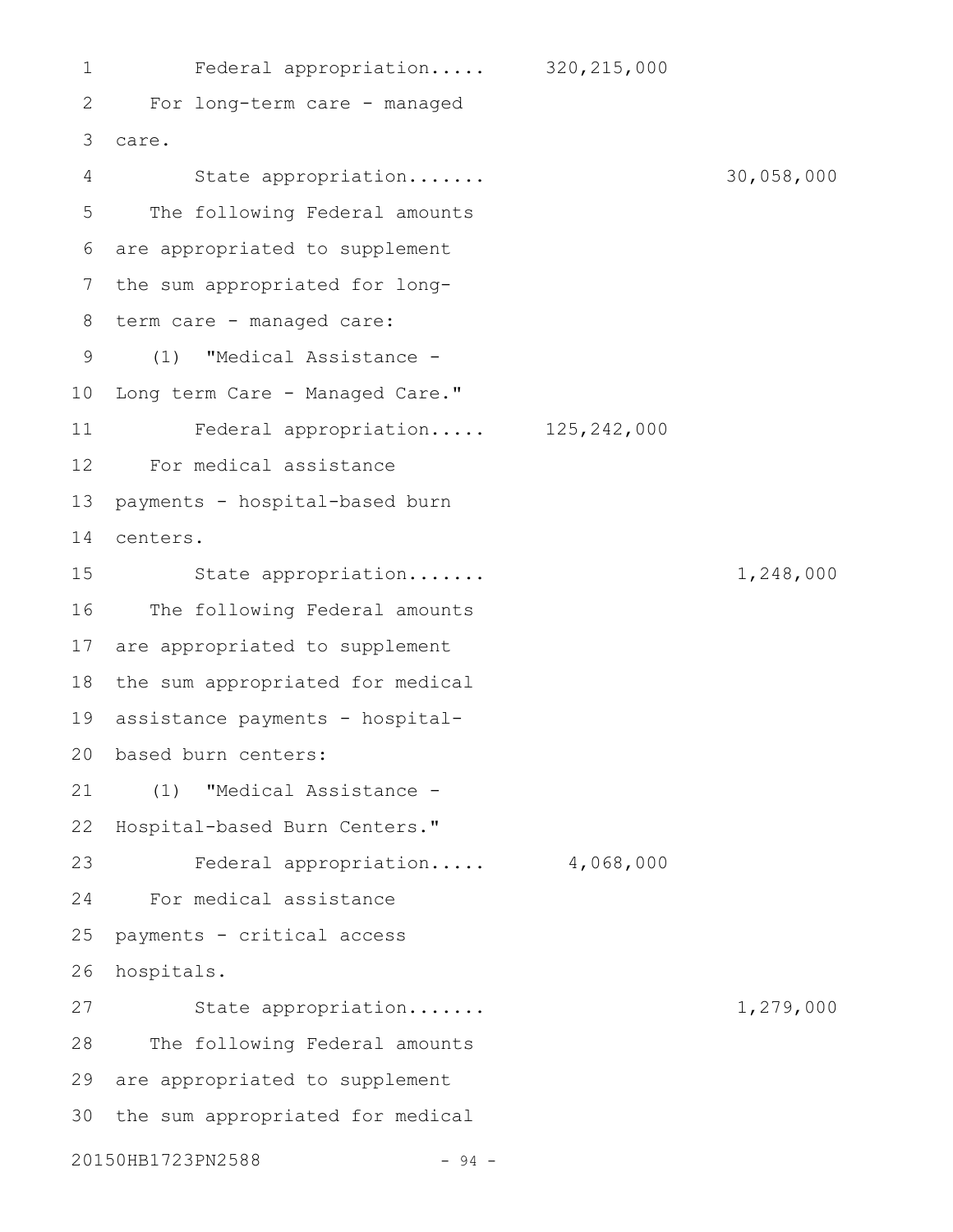Federal appropriation..... 320,215,000 For long-term care - managed care. 3 State appropriation....... 30,058,000 The following Federal amounts are appropriated to supplement the sum appropriated for longterm care - managed care: (1) "Medical Assistance - 10 Long term Care - Managed Care." Federal appropriation..... 125,242,000 For medical assistance payments - hospital-based burn centers. State appropriation....... 1,248,000 The following Federal amounts 17 are appropriated to supplement 18 the sum appropriated for medical assistance payments - hospitalbased burn centers: 20 (1) "Medical Assistance - 22 Hospital-based Burn Centers." Federal appropriation..... 4,068,000 For medical assistance payments - critical access 26 hospitals. State appropriation....... 1,279,000 The following Federal amounts 29 are appropriated to supplement 30 the sum appropriated for medical 20150HB1723PN2588 - 94 -1 2 4 5 6 7 8 9 11 12 13 14 15 16 19 21 23 24 25 27 28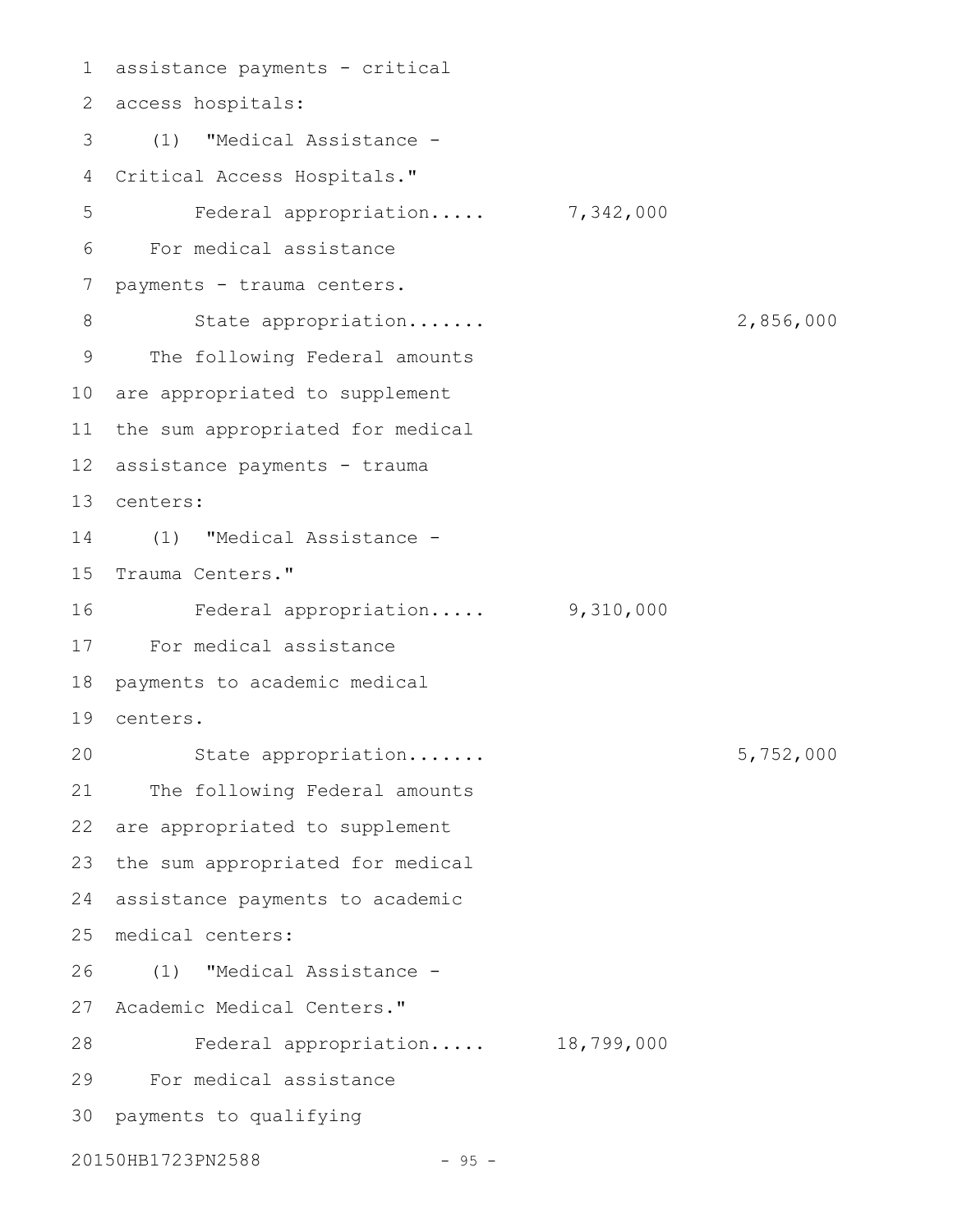assistance payments - critical 1 access hospitals: 2 (1) "Medical Assistance - Critical Access Hospitals." Federal appropriation..... 7,342,000 For medical assistance payments - trauma centers. State appropriation....... 2,856,000 The following Federal amounts 10 are appropriated to supplement 11 the sum appropriated for medical 12 assistance payments - trauma centers: 13 (1) "Medical Assistance - 15 Trauma Centers." Federal appropriation..... 9,310,000 For medical assistance 17 payments to academic medical centers. 19 State appropriation....... 5,752,000 The following Federal amounts are appropriated to supplement 23 the sum appropriated for medical 24 assistance payments to academic medical centers: 25 (1) "Medical Assistance - 26 27 Academic Medical Centers." Federal appropriation..... 18,799,000 For medical assistance 30 payments to qualifying 20150HB1723PN2588 - 95 -3 4 5 6 7 8 9 14 16 18 20 21 22 28 29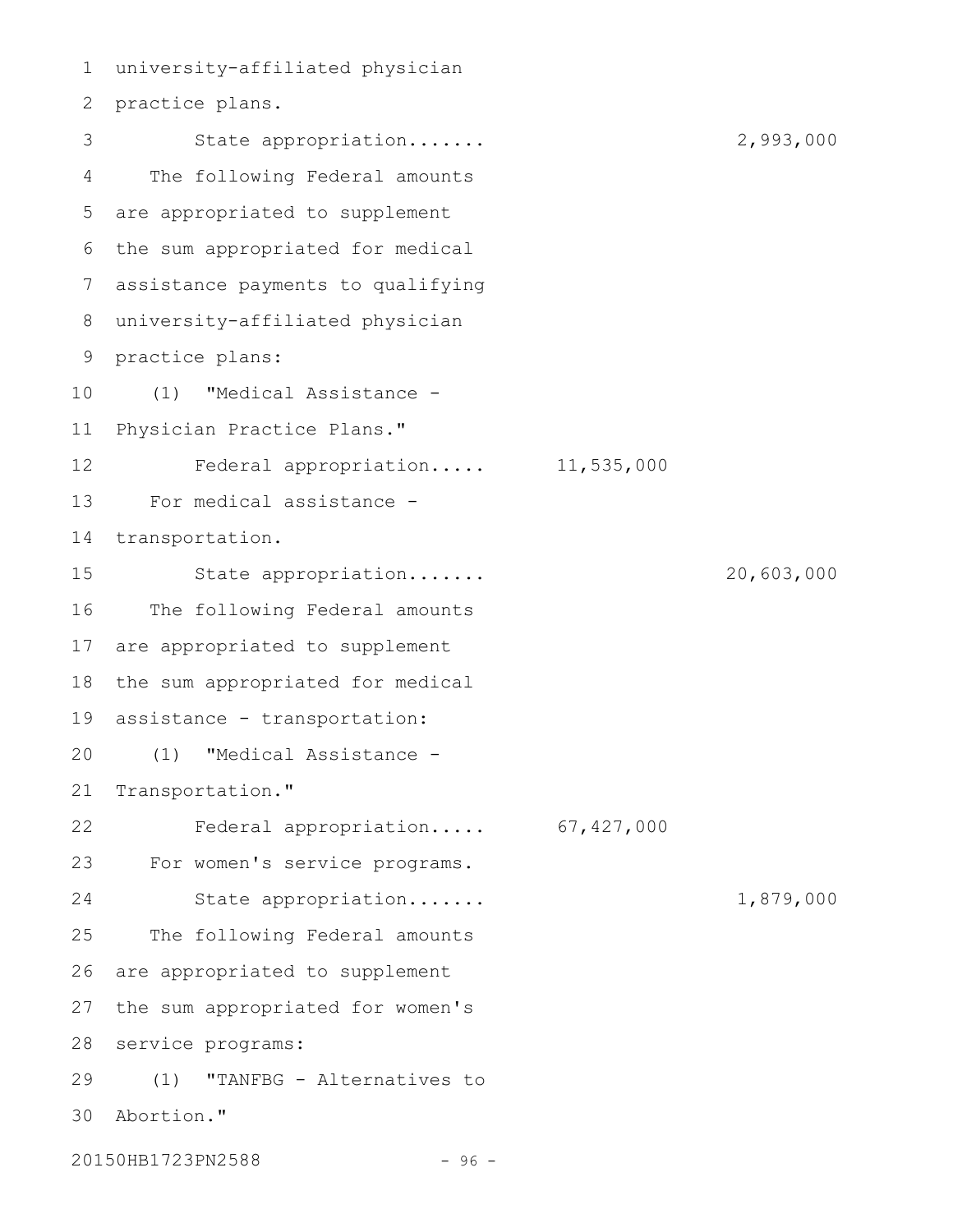university-affiliated physician 1 2 practice plans. State appropriation....... 2,993,000 The following Federal amounts are appropriated to supplement 5 6 the sum appropriated for medical assistance payments to qualifying 7 university-affiliated physician 8 9 practice plans: (1) "Medical Assistance - Physician Practice Plans." Federal appropriation..... 11,535,000 For medical assistance transportation. State appropriation....... 20,603,000 The following Federal amounts are appropriated to supplement 18 the sum appropriated for medical assistance - transportation: (1) "Medical Assistance - Transportation." Federal appropriation..... 67,427,000 For women's service programs. State appropriation....... 1,879,000 The following Federal amounts are appropriated to supplement 27 the sum appropriated for women's 28 service programs: (1) "TANFBG - Alternatives to Abortion." 303 4 10 11 12 13 14 15 16 17 19 20 21 22 23 24 25 26 29

20150HB1723PN2588 - 96 -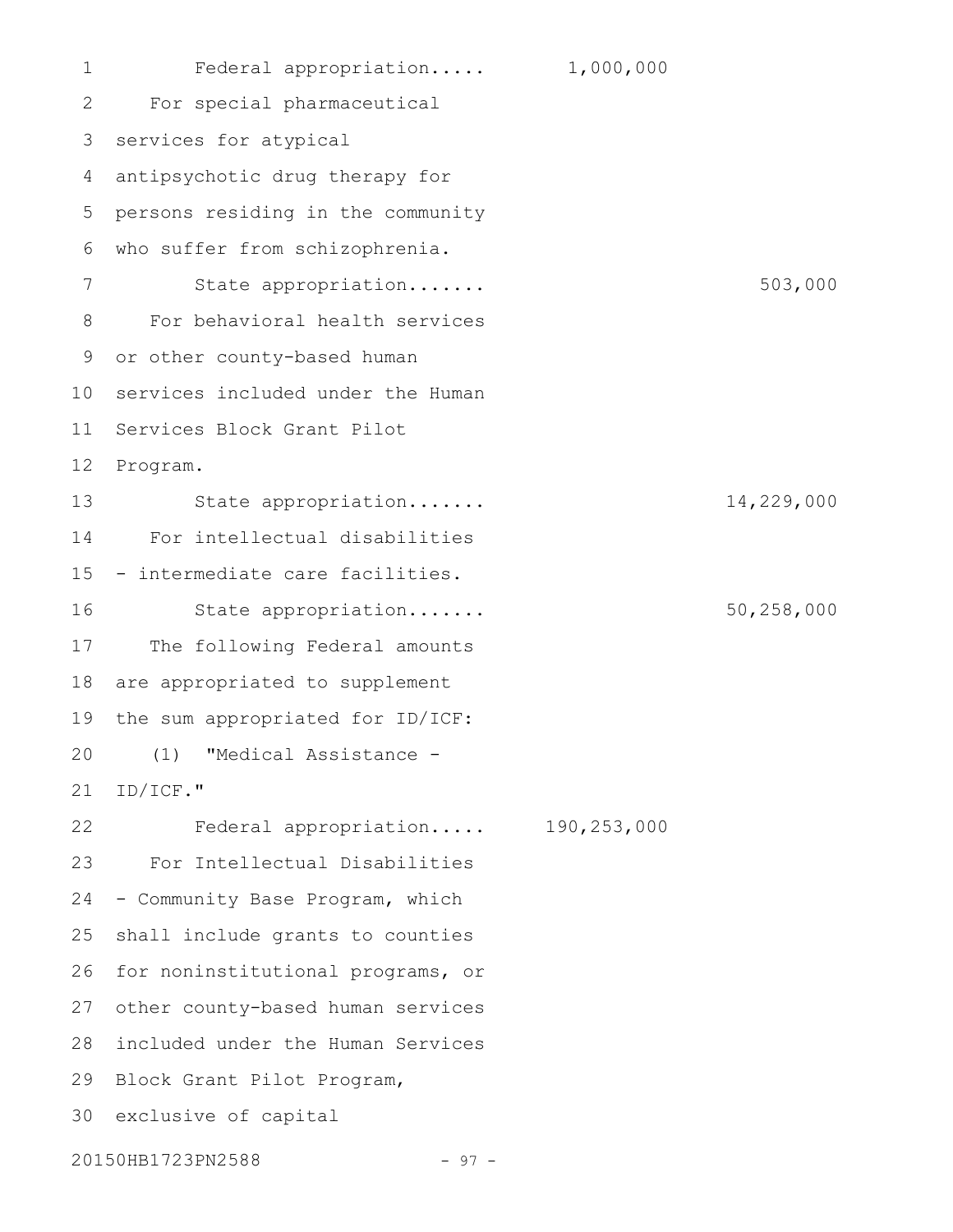Federal appropriation..... 1,000,000 For special pharmaceutical services for atypical antipsychotic drug therapy for persons residing in the community who suffer from schizophrenia. State appropriation....... 503,000 For behavioral health services or other county-based human 10 services included under the Human 11 Services Block Grant Pilot 12 Program. State appropriation....... 14,229,000 For intellectual disabilities - intermediate care facilities. State appropriation....... 50,258,000 The following Federal amounts are appropriated to supplement the sum appropriated for ID/ICF: (1) "Medical Assistance - ID/ICF." Federal appropriation..... 190,253,000 For Intellectual Disabilities - Community Base Program, which shall include grants to counties 26 for noninstitutional programs, or 27 other county-based human services 28 included under the Human Services 29 Block Grant Pilot Program, 30 exclusive of capital 1 2 3 4 5 6 7 8 9 13 14 15 16 17 18 19 20 21 22 23 24 25

20150HB1723PN2588 - 97 -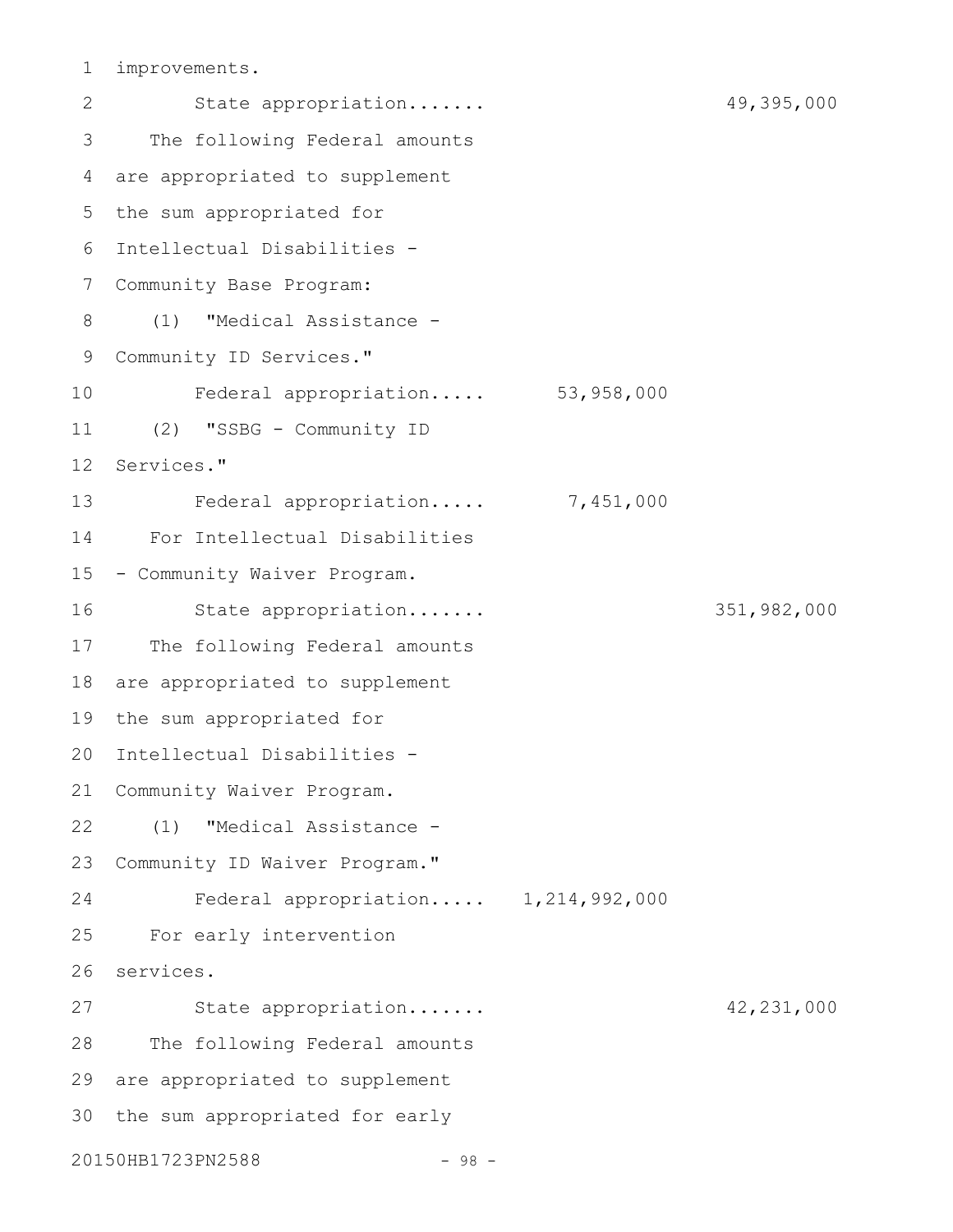improvements. 1

State appropriation....... 49,395,000 The following Federal amounts are appropriated to supplement 5 the sum appropriated for Intellectual Disabilities - 6 7 Community Base Program: (1) "Medical Assistance - Community ID Services." Federal appropriation..... 53,958,000 (2) "SSBG - Community ID Services." Federal appropriation..... 7,451,000 For Intellectual Disabilities 15 - Community Waiver Program. State appropriation....... 351,982,000 17 The following Federal amounts 18 are appropriated to supplement the sum appropriated for Intellectual Disabilities - 20 21 Community Waiver Program. (1) "Medical Assistance - Community ID Waiver Program." Federal appropriation..... 1,214,992,000 For early intervention 26 services. State appropriation....... 42,231,000 The following Federal amounts 29 are appropriated to supplement 30 the sum appropriated for early 20150HB1723PN2588 - 98 -2 3 4 8 9 10 11 12 13 14 16 19 22 23 24 25 27 28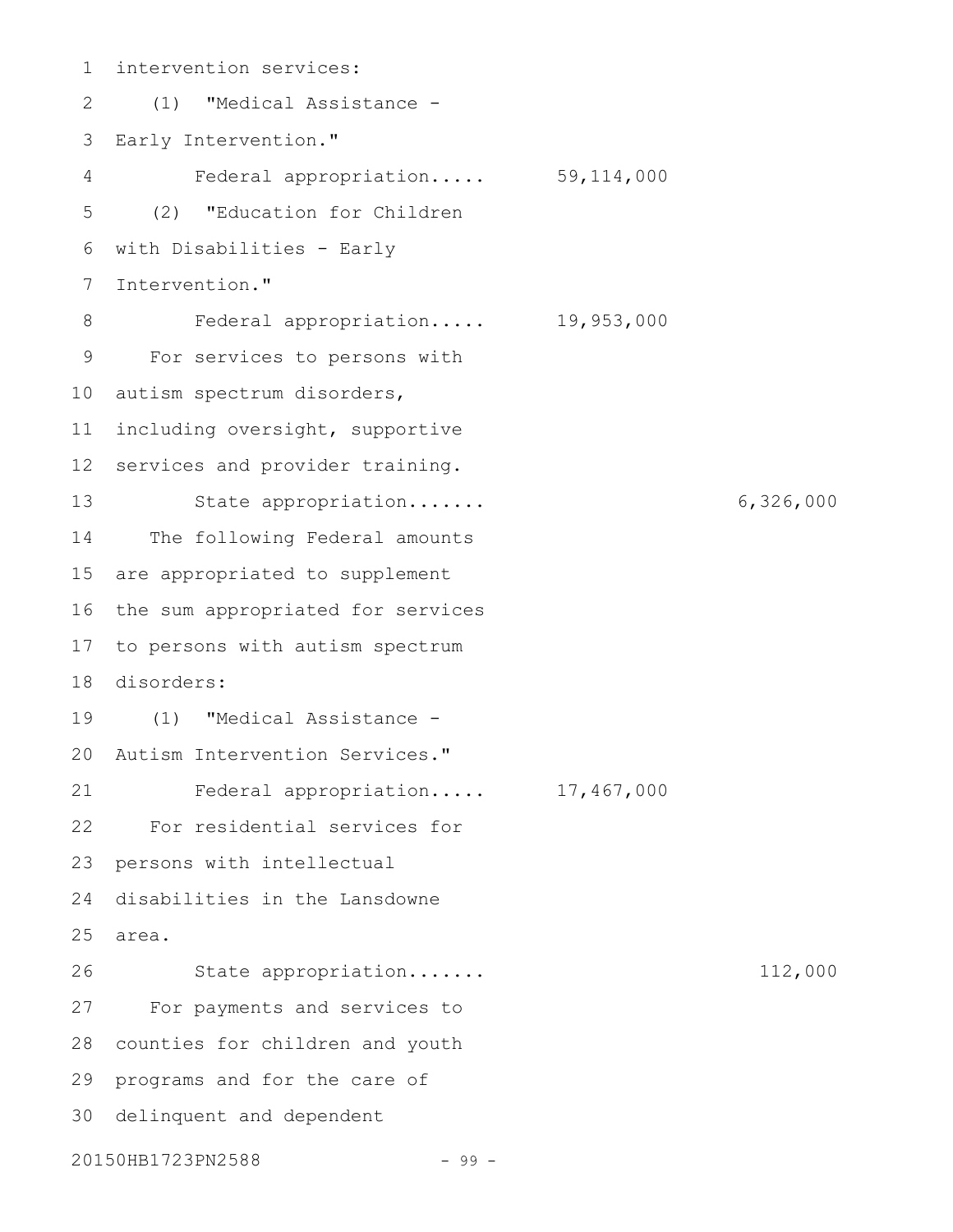intervention services: (1) "Medical Assistance - Early Intervention." Federal appropriation..... 59,114,000 (2) "Education for Children with Disabilities - Early Intervention." Federal appropriation..... 19,953,000 For services to persons with 10 autism spectrum disorders, including oversight, supportive 12 services and provider training. State appropriation....... 6,326,000 The following Federal amounts are appropriated to supplement the sum appropriated for services 17 to persons with autism spectrum disorders: 18 (1) "Medical Assistance - 20 Autism Intervention Services." Federal appropriation..... 17,467,000 For residential services for 23 persons with intellectual disabilities in the Lansdowne area. 25 State appropriation....... 112,000 For payments and services to 28 counties for children and youth 29 programs and for the care of 30 delinquent and dependent 20150HB1723PN2588 - 99 -1 2 3 4 5 6 7 8 9 11 13 14 15 16 19 21 22 24 26 27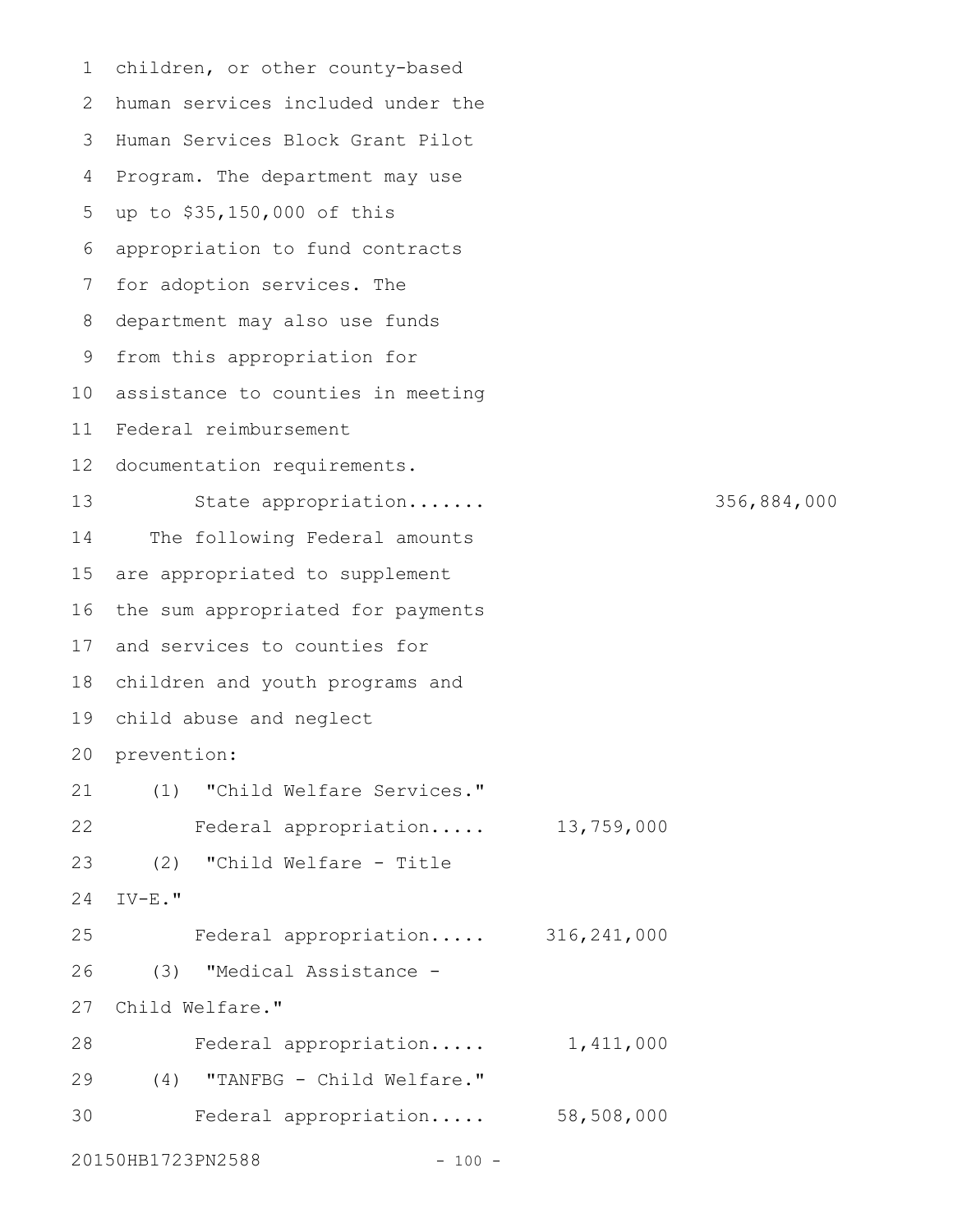children, or other county-based human services included under the 2 Human Services Block Grant Pilot 3 4 Program. The department may use up to \$35,150,000 of this 5 appropriation to fund contracts 7 for adoption services. The department may also use funds 8 9 from this appropriation for 10 assistance to counties in meeting Federal reimbursement 11 12 documentation requirements. State appropriation....... 356,884,000 The following Federal amounts are appropriated to supplement 16 the sum appropriated for payments 17 and services to counties for 18 children and youth programs and child abuse and neglect 19 20 prevention: (1) "Child Welfare Services." Federal appropriation..... 13,759,000 (2) "Child Welfare - Title IV-E." Federal appropriation..... 316,241,000 (3) "Medical Assistance - Child Welfare." 27 Federal appropriation..... 1,411,000 (4) "TANFBG - Child Welfare." 29 Federal appropriation..... 58,508,000 20150HB1723PN2588 - 100 -1 6 13 14 15 21 22 23 24 25 26 28 30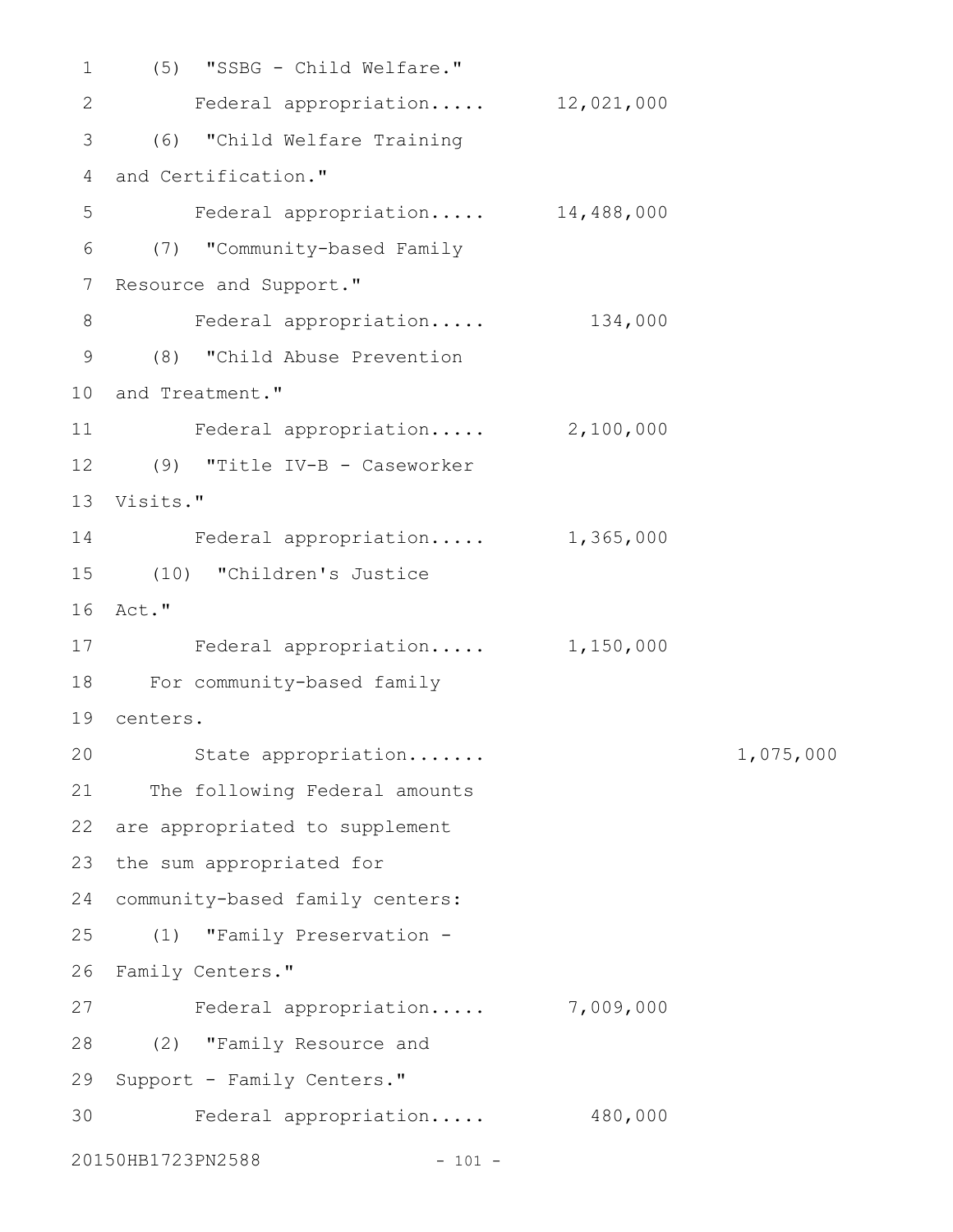(5) "SSBG - Child Welfare." 1 Federal appropriation..... 12,021,000 (6) "Child Welfare Training 3 4 and Certification." Federal appropriation..... 14,488,000 (7) "Community-based Family 6 7 Resource and Support." Federal appropriation..... 134,000 (8) "Child Abuse Prevention 9 10 and Treatment." Federal appropriation..... 2,100,000 (9) "Title IV-B - Caseworker 12 Visits." 13 14 Federal appropriation..... 1,365,000 (10) "Children's Justice 15 Act." 16 17 Federal appropriation..... 1,150,000 For community-based family 18 centers. 19 State appropriation....... 1,075,000 21 The following Federal amounts 22 are appropriated to supplement 23 the sum appropriated for community-based family centers: 24 (1) "Family Preservation - 25 26 Family Centers." 27 Federal appropriation..... 7,009,000 (2) "Family Resource and 28 29 Support - Family Centers." Federal appropriation..... 480,000 3020150HB1723PN2588 - 101 -2 5 8 11 20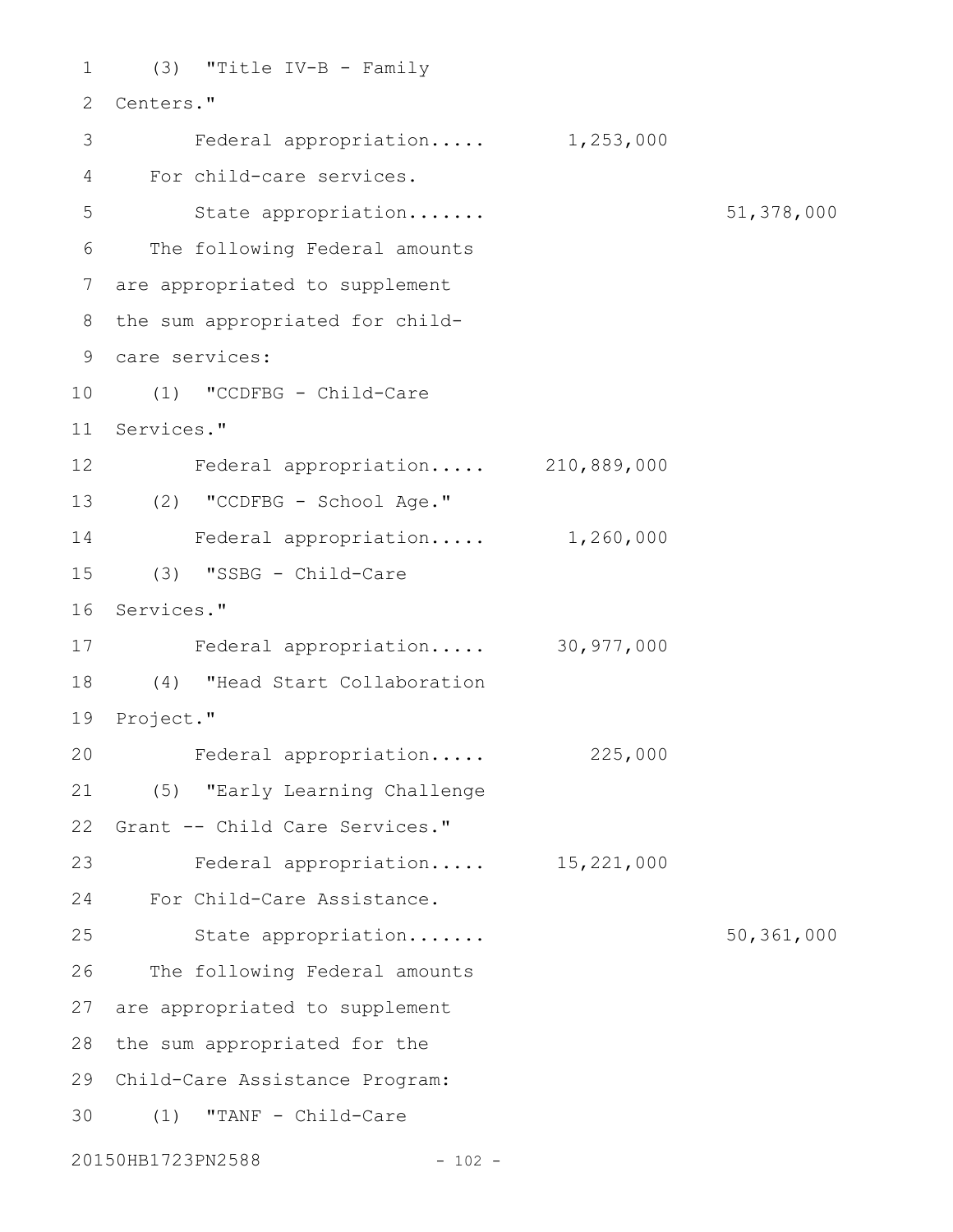```
(3) "Title IV-B - Family
1
 2 Centers."
         Federal appropriation..... 1,253,000
 For child-care services.
4
        State appropriation....... 51,378,000
 The following Federal amounts
6
 are appropriated to supplement
7
 8 the sum appropriated for child-
 care services:
9
(1) "CCDFBG - Child-Care
10
11 Services."
Federal appropriation..... 210,889,000
12
(2) "CCDFBG - School Age."
13
    Federal appropriation..... 1,260,000
(3) "SSBG - Child-Care
15
16 Services."
Federal appropriation..... 30,977,000
17
(4) "Head Start Collaboration
18
19 Project."
     Federal appropriation..... 225,000
(5) "Early Learning Challenge
21
22 Grant -- Child Care Services."
Federal appropriation..... 15,221,000
23
For Child-Care Assistance.
24
        State appropriation....... 50,361,000
26 The following Federal amounts
27 are appropriated to supplement
28 the sum appropriated for the
Child-Care Assistance Program:
29
(1) "TANF - Child-Care
3020150HB1723PN2588 - 102 -
3
5
14
20
25
```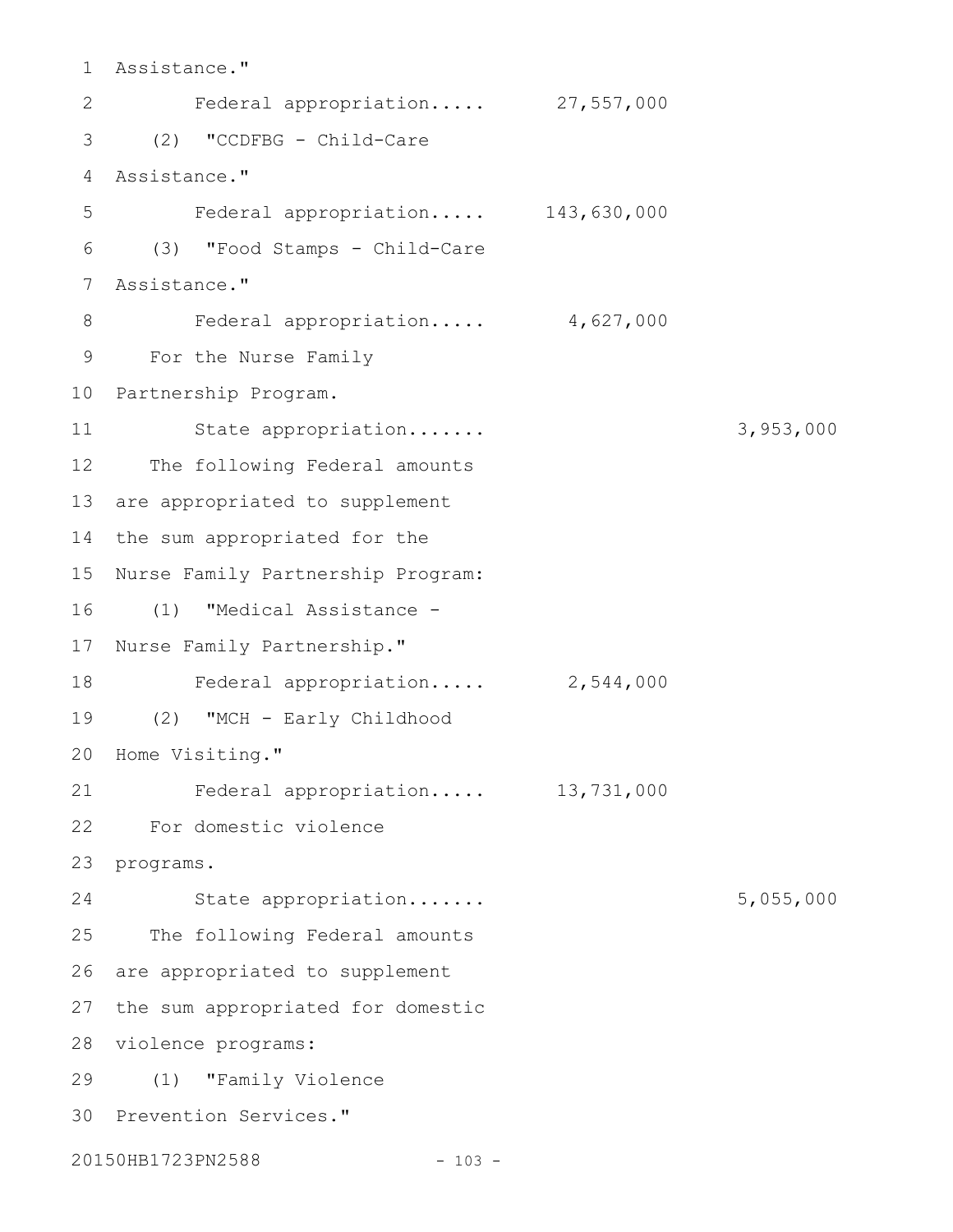Assistance." 1 Federal appropriation..... 27,557,000 (2) "CCDFBG - Child-Care 3 Assistance." 4 Federal appropriation..... 143,630,000 (3) "Food Stamps - Child-Care 6 Assistance." 7 Federal appropriation..... 4,627,000 For the Nurse Family 9 10 Partnership Program. State appropriation....... 3,953,000 12 The following Federal amounts 13 are appropriated to supplement 14 the sum appropriated for the 15 Nurse Family Partnership Program: (1) "Medical Assistance - 16 17 Nurse Family Partnership." Federal appropriation..... 2,544,000 (2) "MCH - Early Childhood 19 20 Home Visiting." Federal appropriation..... 13,731,000 For domestic violence 22 23 programs. State appropriation....... 5,055,000 25 The following Federal amounts 26 are appropriated to supplement 27 the sum appropriated for domestic 28 violence programs: (1) "Family Violence 29 30 Prevention Services." 20150HB1723PN2588 - 103 -2 5 8 11 18 21 24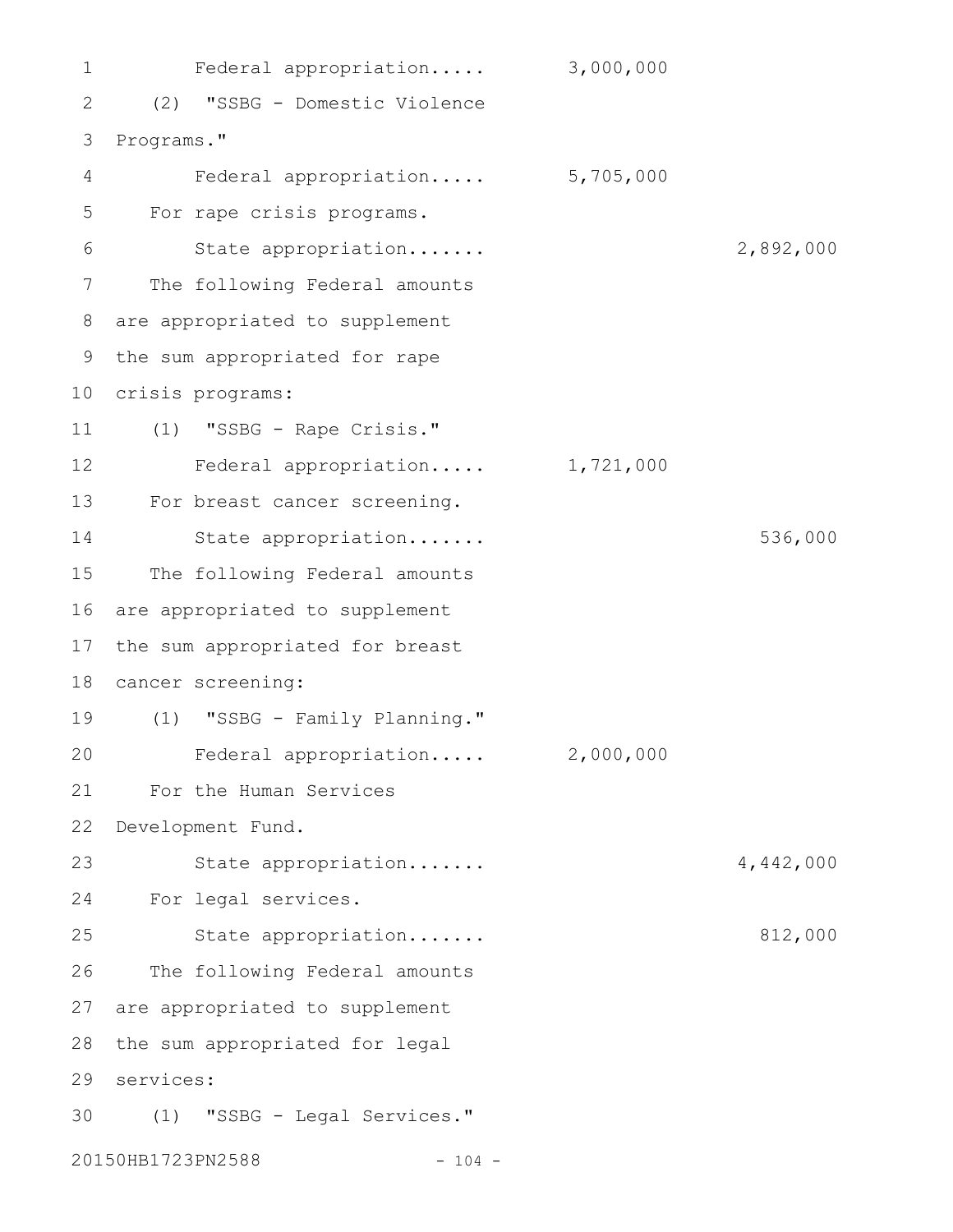Federal appropriation..... 3,000,000 (2) "SSBG - Domestic Violence Programs." Federal appropriation..... 5,705,000 For rape crisis programs. State appropriation....... 2,892,000 The following Federal amounts are appropriated to supplement the sum appropriated for rape 10 crisis programs: (1) "SSBG - Rape Crisis." Federal appropriation..... 1,721,000 For breast cancer screening. State appropriation....... 536,000 The following Federal amounts are appropriated to supplement the sum appropriated for breast cancer screening: (1) "SSBG - Family Planning." Federal appropriation..... 2,000,000 For the Human Services Development Fund. State appropriation....... 4,442,000 For legal services. State appropriation....... 812,000 The following Federal amounts are appropriated to supplement the sum appropriated for legal services: 29 (1) "SSBG - Legal Services." 3020150HB1723PN2588 - 104 -1 2 3 4 5 6 7 8 9 11 12 13 14 15 16 17 18 19 20 21 22 23 24 25 26 27 28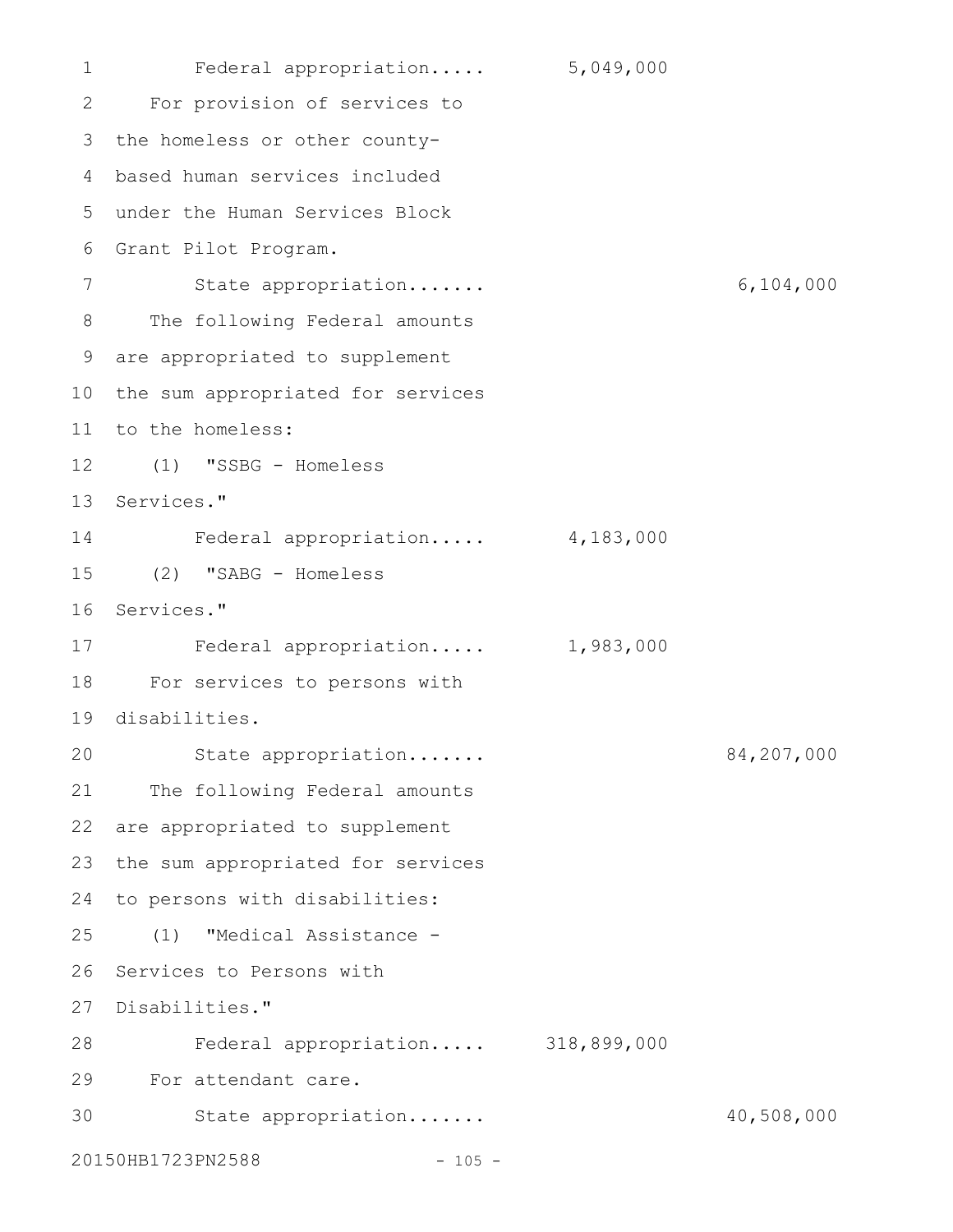1 Federal appropriation..... 5,049,000 For provision of services to 2 3 the homeless or other countybased human services included 4 under the Human Services Block 5 Grant Pilot Program. 6 State appropriation....... 6,104,000 The following Federal amounts are appropriated to supplement 9 10 the sum appropriated for services 11 to the homeless: (1) "SSBG - Homeless 12 13 Services." Federal appropriation..... 4,183,000 (2) "SABG - Homeless 15 16 Services." 17 Federal appropriation..... 1,983,000 For services to persons with 18 19 disabilities. State appropriation....... 84,207,000 21 The following Federal amounts 22 are appropriated to supplement 23 the sum appropriated for services 24 to persons with disabilities: (1) "Medical Assistance - 25 26 Services to Persons with 27 Disabilities." Federal appropriation..... 318,899,000 28 For attendant care. 29 State appropriation....... 40,508,000 20150HB1723PN2588 - 105 -7 8 14 20 30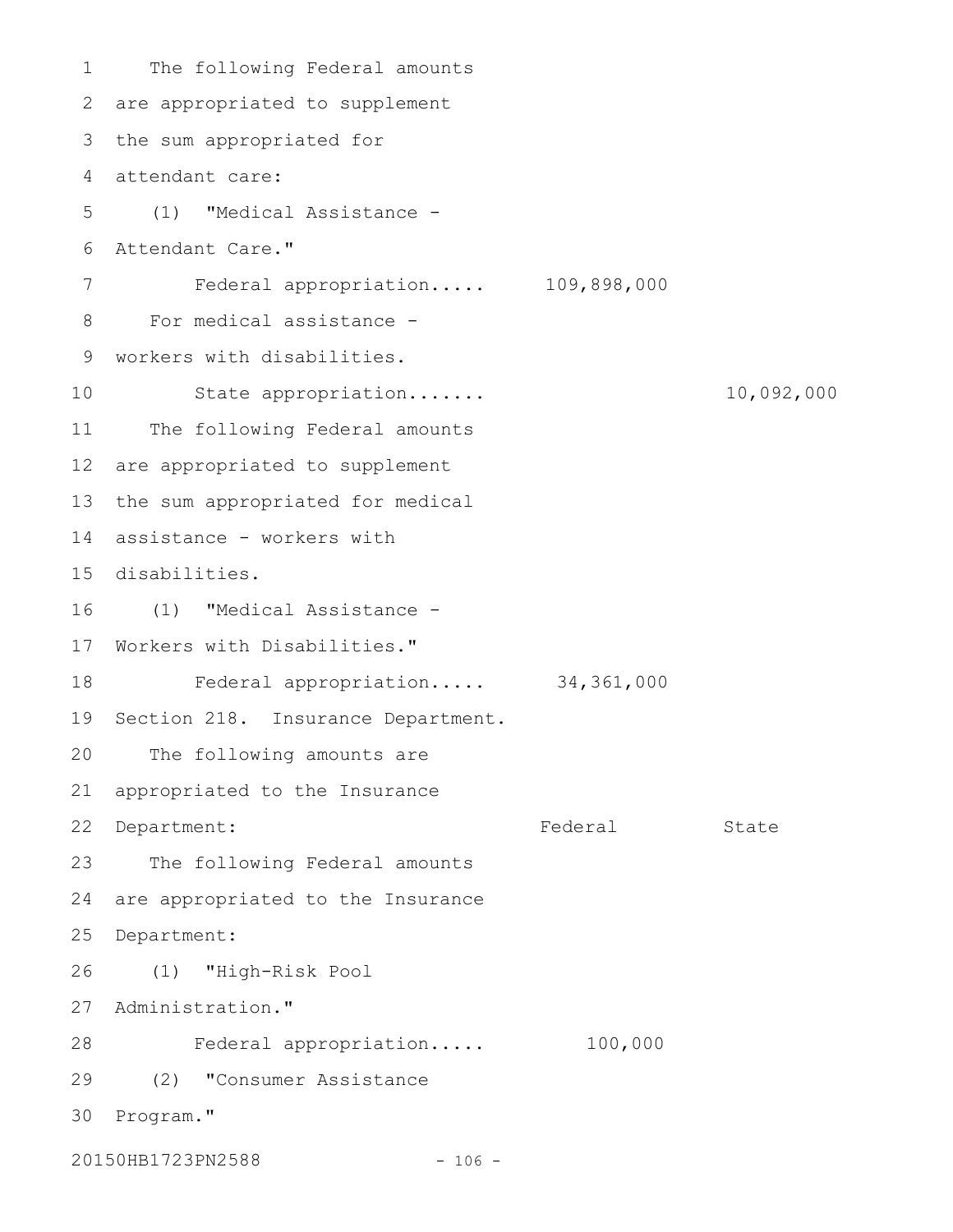1 The following Federal amounts are appropriated to supplement 2 3 the sum appropriated for 4 attendant care: (1) "Medical Assistance - 5 Attendant Care." 6 Federal appropriation..... 109,898,000 For medical assistance - 8 workers with disabilities. 9 State appropriation....... 10,092,000 11 The following Federal amounts 12 are appropriated to supplement 13 the sum appropriated for medical assistance - workers with 14 disabilities. 15 (1) "Medical Assistance - 16 17 Workers with Disabilities." Federal appropriation..... 34,361,000 19 Section 218. Insurance Department. The following amounts are appropriated to the Insurance Federal State The following Federal amounts 24 are appropriated to the Insurance 25 Department: (1) "High-Risk Pool 26 27 Administration." Federal appropriation..... 100,000 28 (2) "Consumer Assistance 29 30 Program." 7 10 18 20 21 22 Department: 23

20150HB1723PN2588 - 106 -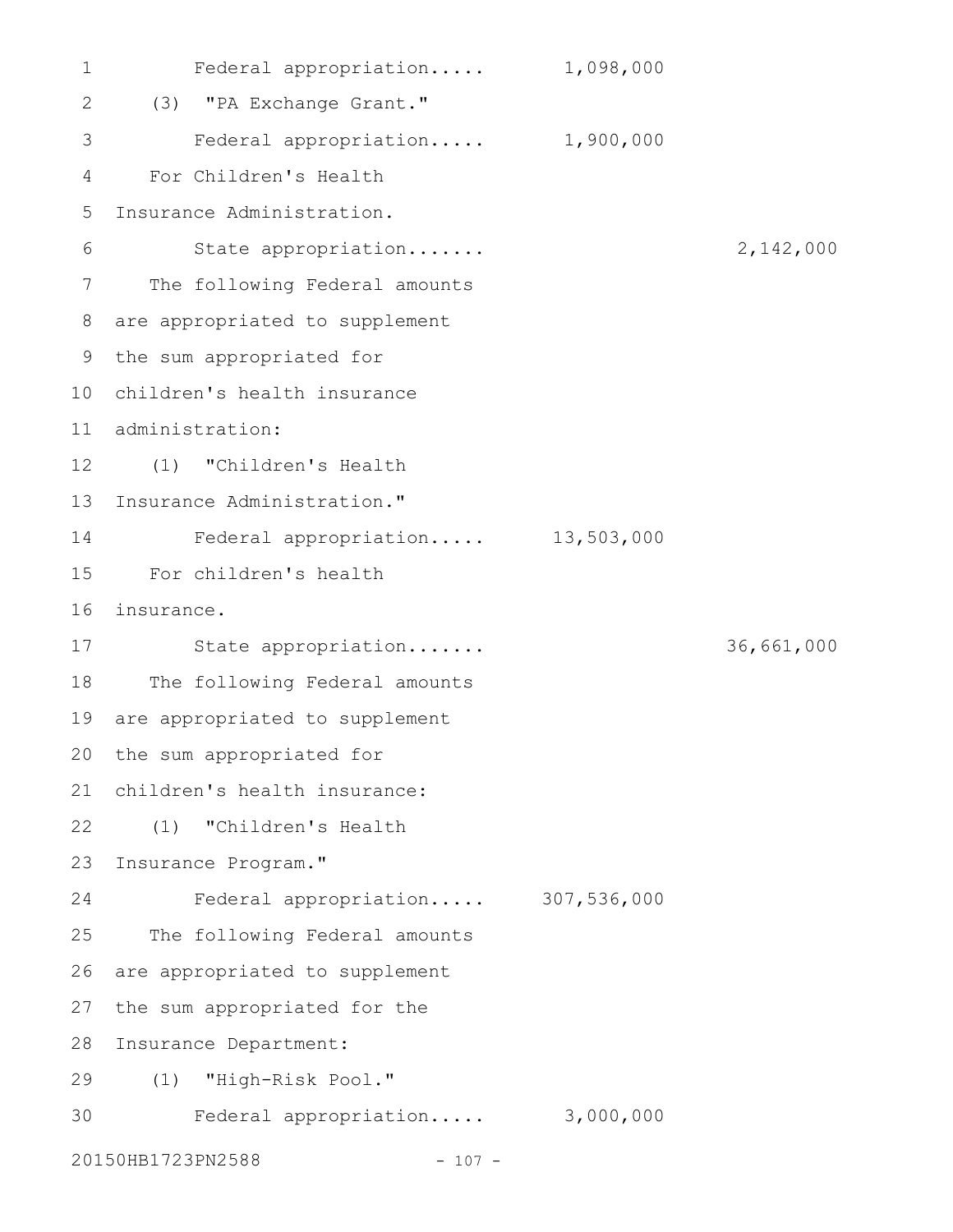Federal appropriation..... 1,098,000 (3) "PA Exchange Grant." 2 Federal appropriation..... 1,900,000 For Children's Health Insurance Administration. State appropriation....... 2,142,000 The following Federal amounts are appropriated to supplement 8 9 the sum appropriated for children's health insurance 10 administration: 11 (1) "Children's Health 12 13 Insurance Administration." Federal appropriation..... 13,503,000 For children's health 15 16 insurance. State appropriation....... 36,661,000 17 18 The following Federal amounts 19 are appropriated to supplement 20 the sum appropriated for children's health insurance: 21 (1) "Children's Health 22 23 Insurance Program." Federal appropriation..... 307,536,000 25 The following Federal amounts 26 are appropriated to supplement 27 the sum appropriated for the 28 Insurance Department: (1) "High-Risk Pool." 29 30 Federal appropriation..... 3,000,000 20150HB1723PN2588 - 107 -1 3 4 5 6 7 14 24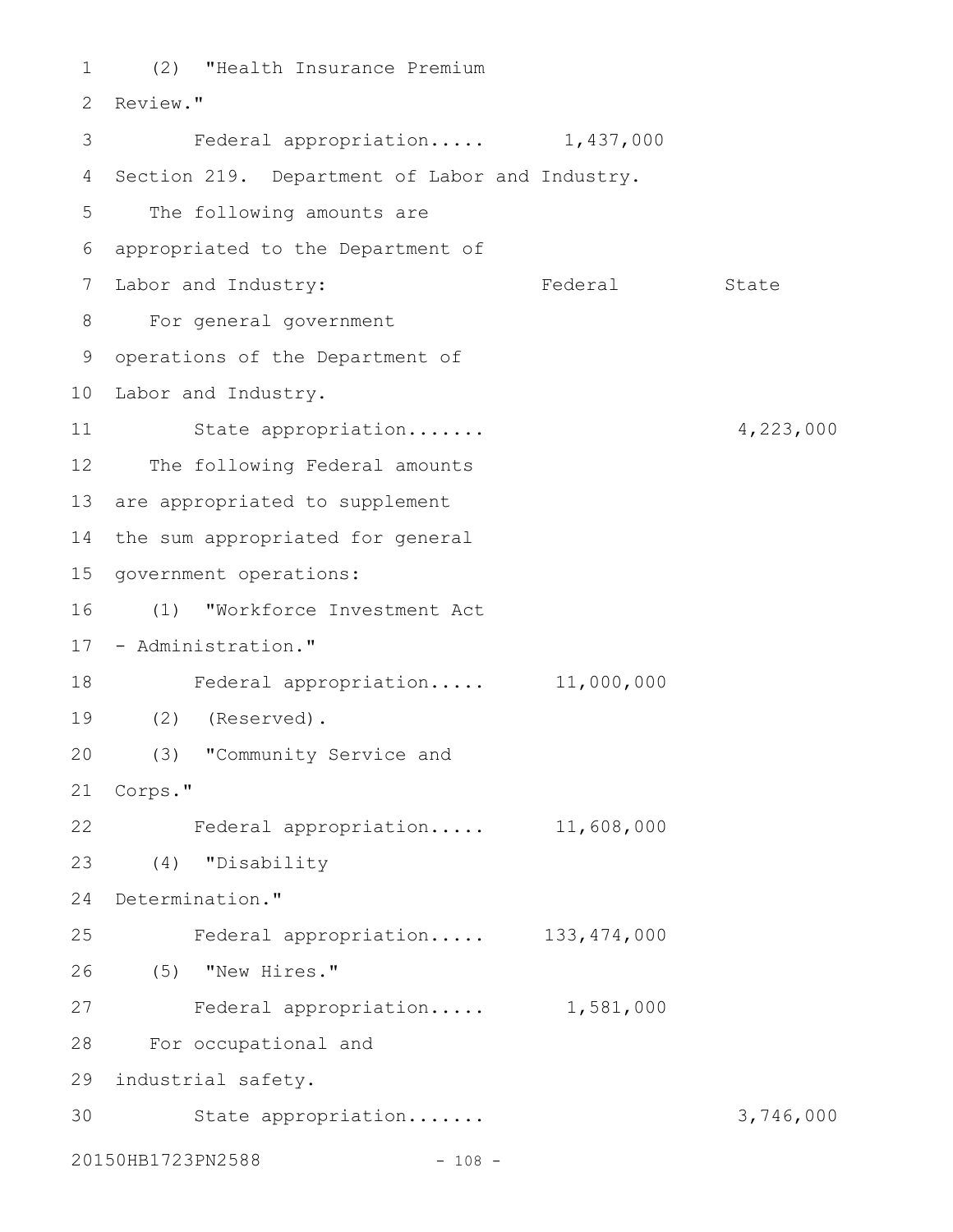(2) "Health Insurance Premium 1 2 Review." Federal appropriation..... 1,437,000 4 Section 219. Department of Labor and Industry. 5 The following amounts are appropriated to the Department of 6 Federal State For general government 8 9 operations of the Department of 10 Labor and Industry. State appropriation....... 4,223,000 12 The following Federal amounts 13 are appropriated to supplement 14 the sum appropriated for general 15 government operations: (1) "Workforce Investment Act 16 17 - Administration." Federal appropriation..... 11,000,000 18 (2) (Reserved). 19 (3) "Community Service and 20 Corps." 21 Federal appropriation..... 11,608,000 (4) "Disability 23 24 Determination." Federal appropriation..... 133,474,000 (5) "New Hires." 26 27 Federal appropriation..... 1,581,000 For occupational and 28 industrial safety. 29 30 State appropriation...... 3,746,000 20150HB1723PN2588 - 108 -3 7 Labor and Industry: 11 22 25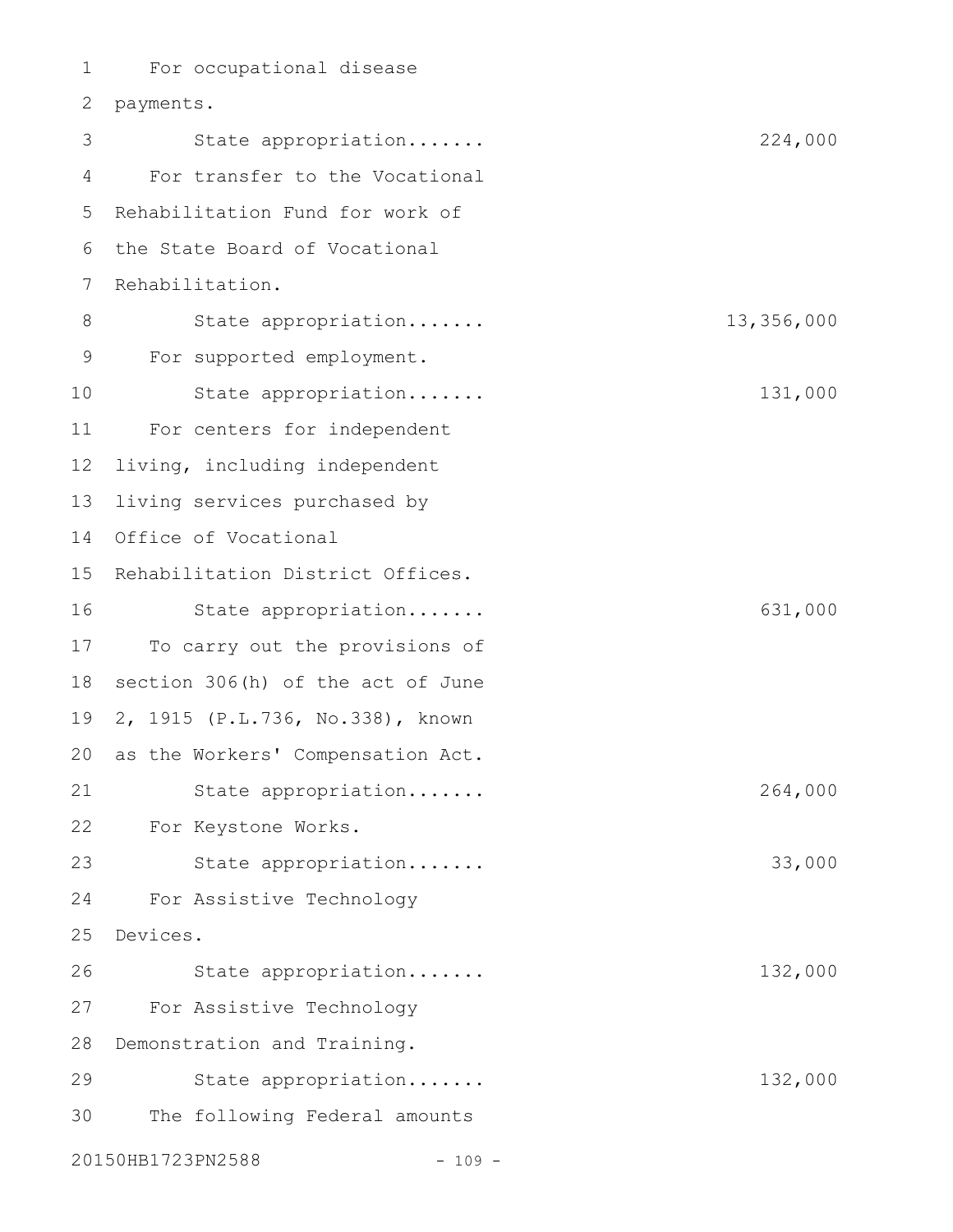For occupational disease 2 payments. State appropriation....... 224,000 For transfer to the Vocational 5 Rehabilitation Fund for work of 6 the State Board of Vocational 7 Rehabilitation. State appropriation....... 13,356,000 For supported employment. State appropriation....... 131,000 For centers for independent living, including independent living services purchased by 14 Office of Vocational 15 Rehabilitation District Offices. State appropriation....... 631,000 To carry out the provisions of section 306(h) of the act of June 2, 1915 (P.L.736, No.338), known 20 as the Workers' Compensation Act. State appropriation....... 264,000 For Keystone Works. State appropriation....... 33,000 For Assistive Technology Devices. 25 State appropriation....... 132,000 For Assistive Technology 28 Demonstration and Training. State appropriation....... 132,000 The following Federal amounts 20150HB1723PN2588 - 109 -1 3 4 8 9 10 11 12 13 16 17 18 19 21 22 23 24 26 27 29 30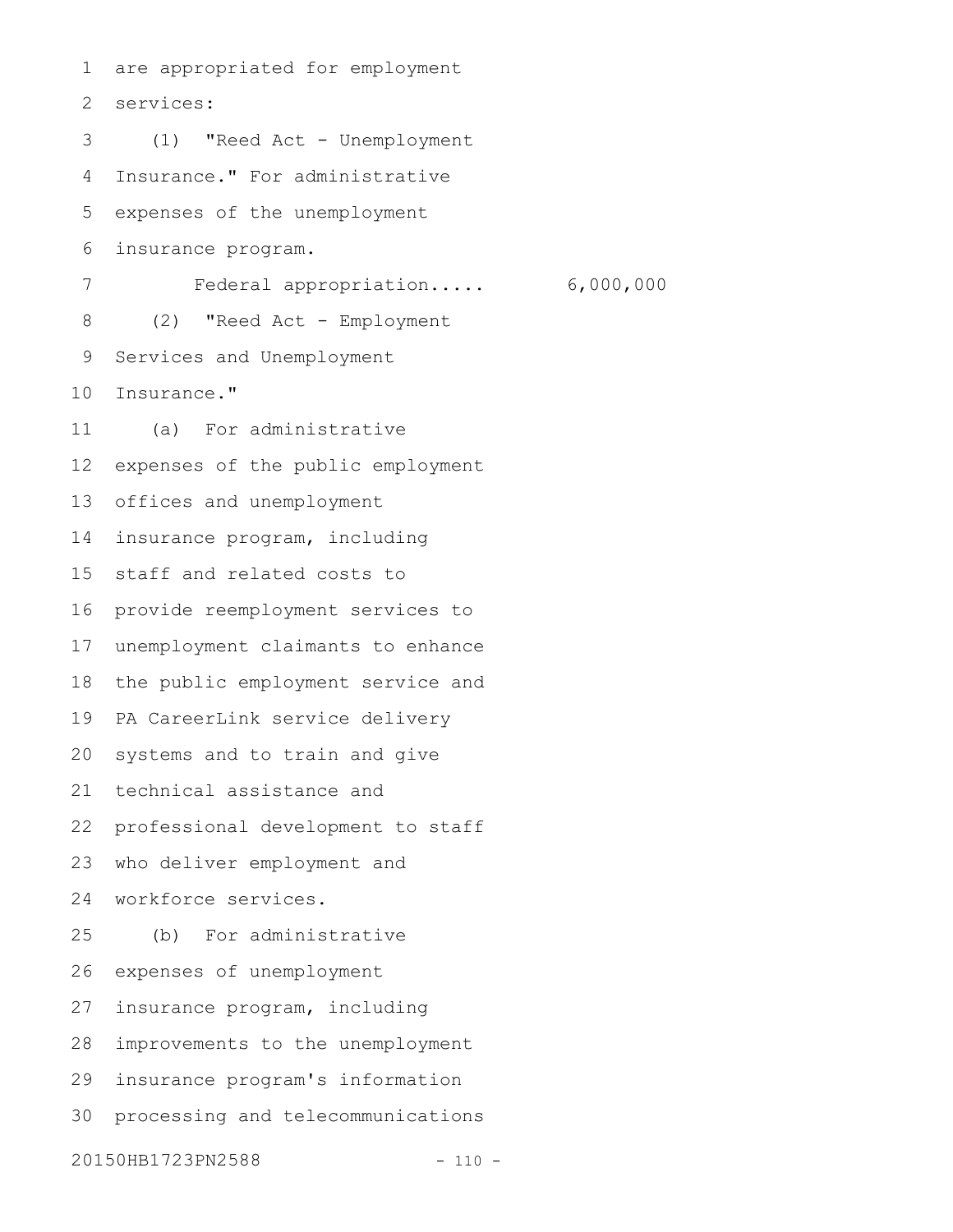are appropriated for employment services: (1) "Reed Act - Unemployment Insurance." For administrative expenses of the unemployment insurance program. Federal appropriation..... 6,000,000 (2) "Reed Act - Employment Services and Unemployment Insurance." (a) For administrative expenses of the public employment offices and unemployment insurance program, including staff and related costs to provide reemployment services to unemployment claimants to enhance the public employment service and PA CareerLink service delivery systems and to train and give technical assistance and professional development to staff who deliver employment and workforce services. (b) For administrative expenses of unemployment insurance program, including improvements to the unemployment insurance program's information processing and telecommunications 20150HB1723PN2588 - 110 -1 2 3 4 5 6 7 8 9 10 11 12 13 14 15 16 17 18 19 20 21 22 23 24 25 26 27 28 29 30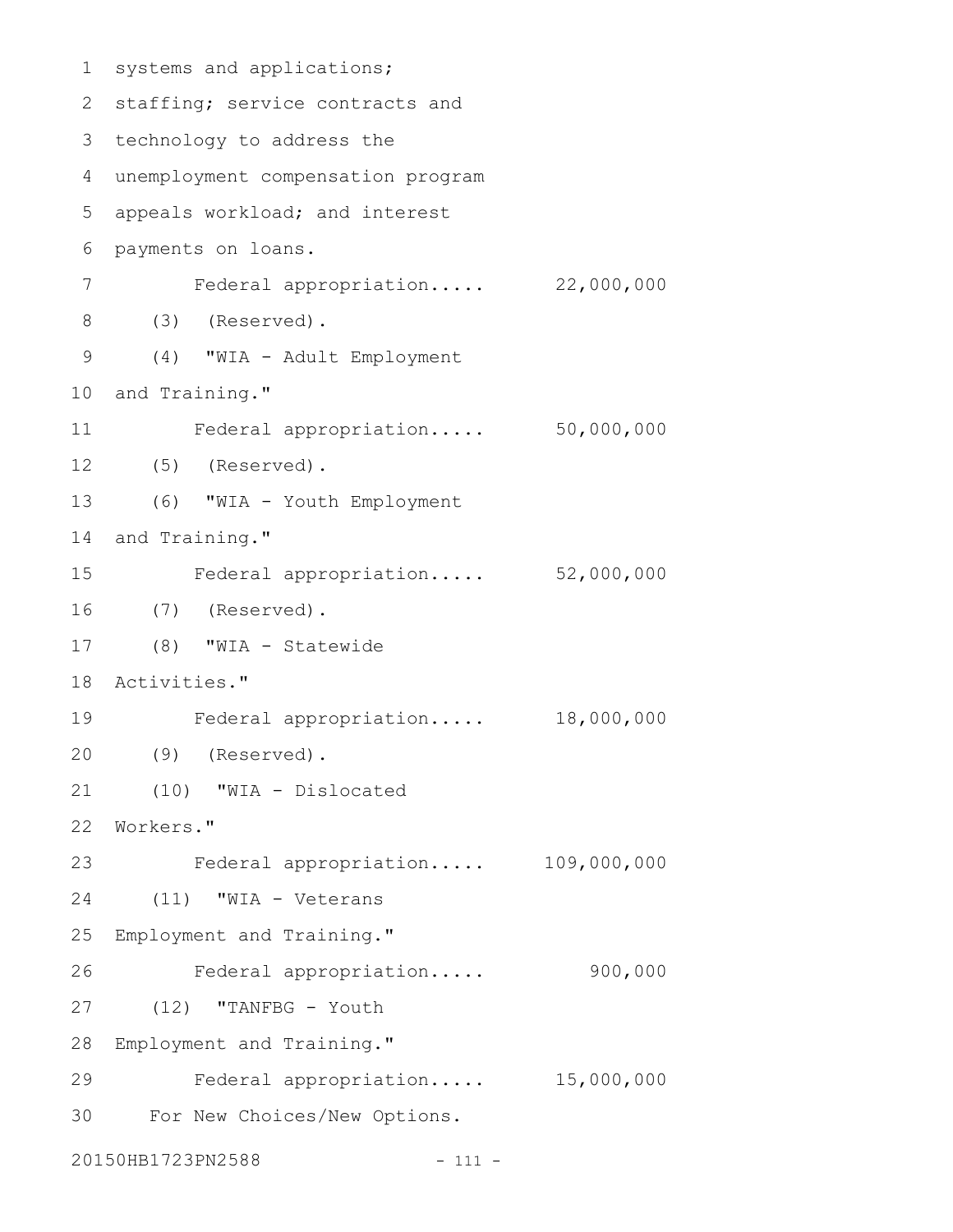```
1 systems and applications;
 2 staffing; service contracts and
 3 technology to address the
 unemployment compensation program
4
 5 appeals workload; and interest
 6 payments on loans.
        Federal appropriation..... 22,000,000
      (3) (Reserved).
      (4) "WIA - Adult Employment
10 and Training."
      Federal appropriation..... 50,000,000
  (5) (Reserved).
      (6) "WIA - Youth Employment
14 and Training."
         Federal appropriation..... 52,000,000
    (7) (Reserved).
  (8) "WIA - Statewide
Activities."
18
        Federal appropriation..... 18,000,000
    (9) (Reserved).
     (10) "WIA - Dislocated
   Workers."
         Federal appropriation..... 109,000,000
      (11) "WIA - Veterans
   Employment and Training."
        Federal appropriation..... 900,000
     (12) "TANFBG - Youth
28 Employment and Training."
         Federal appropriation..... 15,000,000
      For New Choices/New Options.
20150HB1723PN2588 - 111 -
7
8
9
11
12
13
15
16
17
19
20
21
22
23
24
25
26
27
29
30
```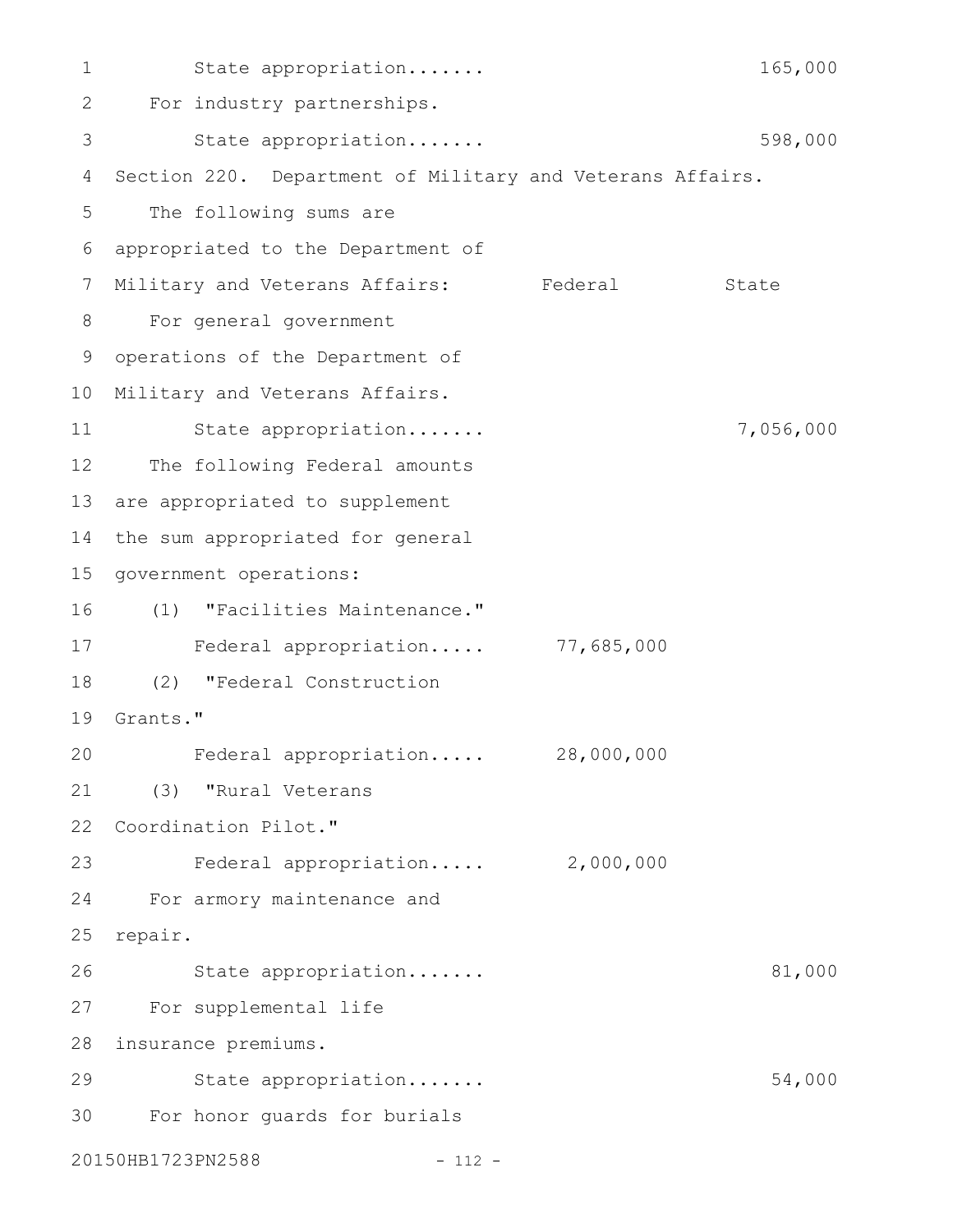State appropriation....... 165,000 For industry partnerships. 2 State appropriation....... 598,000 4 Section 220. Department of Military and Veterans Affairs. The following sums are appropriated to the Department of 6 Military and Veterans Affairs: Federal State For general government 9 operations of the Department of 10 Military and Veterans Affairs. State appropriation....... 7,056,000 12 The following Federal amounts 13 are appropriated to supplement 14 the sum appropriated for general 15 government operations: (1) "Facilities Maintenance." 16 Federal appropriation..... 77,685,000 17 (2) "Federal Construction 18 19 Grants." Federal appropriation..... 28,000,000 (3) "Rural Veterans 21 22 Coordination Pilot." Federal appropriation..... 2,000,000 For armory maintenance and 24 25 repair. State appropriation....... 81,000 For supplemental life 27 28 insurance premiums. State appropriation....... 54,000 For honor guards for burials 3020150HB1723PN2588 - 112 -1 3 5 7 8 11 20 23 26 29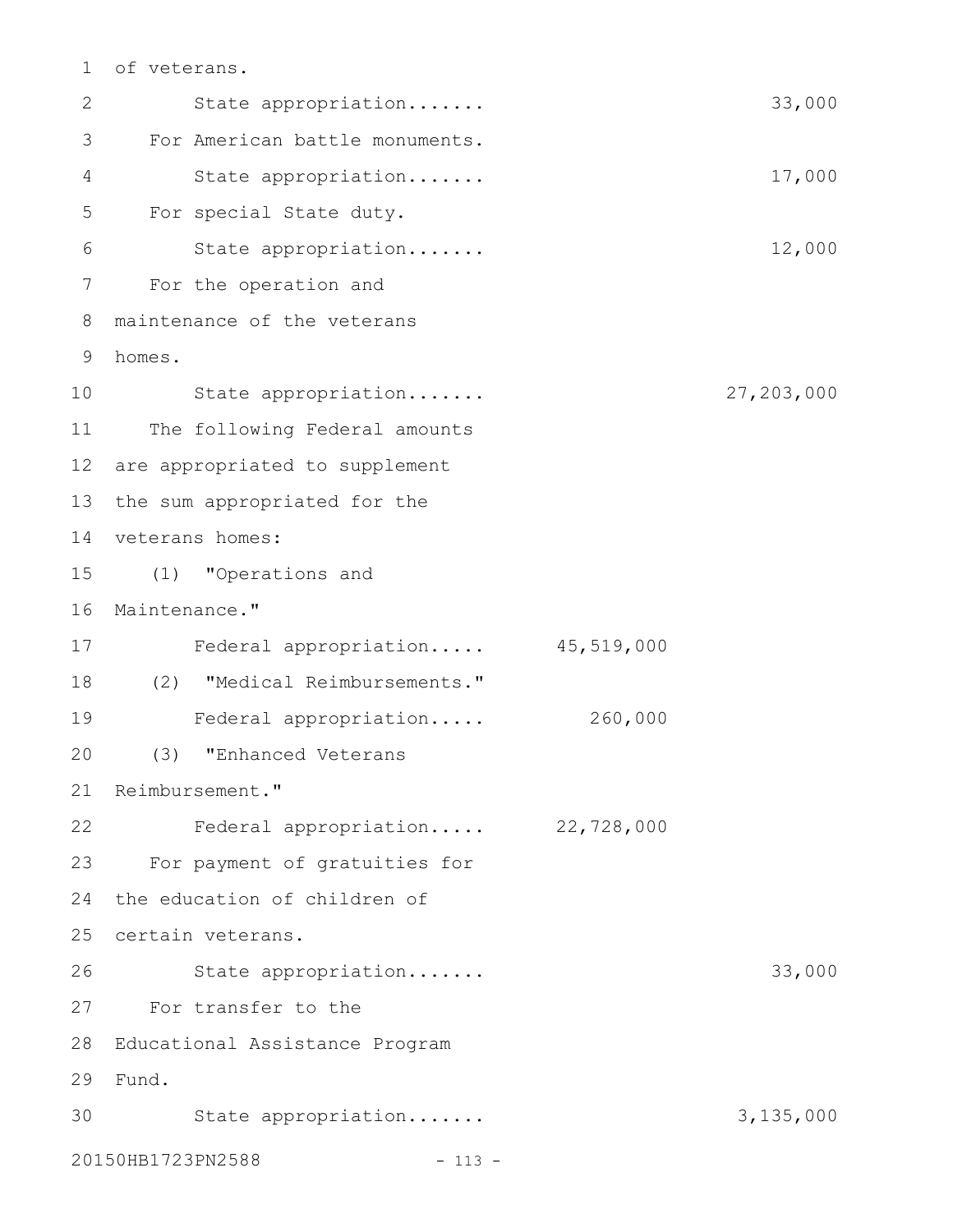of veterans. 1

State appropriation....... 33,000 For American battle monuments. State appropriation....... 17,000 For special State duty. State appropriation....... 12,000 For the operation and 7 maintenance of the veterans homes. 9 State appropriation....... 27,203,000 11 The following Federal amounts 12 are appropriated to supplement 13 the sum appropriated for the 14 veterans homes: (1) "Operations and 15 16 Maintenance." Federal appropriation..... 45,519,000 17 (2) "Medical Reimbursements." 18 Federal appropriation..... 260,000 (3) "Enhanced Veterans 21 Reimbursement." Federal appropriation..... 22,728,000 22 For payment of gratuities for 23 24 the education of children of 25 certain veterans. State appropriation....... 33,000 For transfer to the 27 Educational Assistance Program 28 Fund. 29 30 State appropriation....... 3,135,000 20150HB1723PN2588 - 113 -2 3 4 5 6 8 10 19 20 26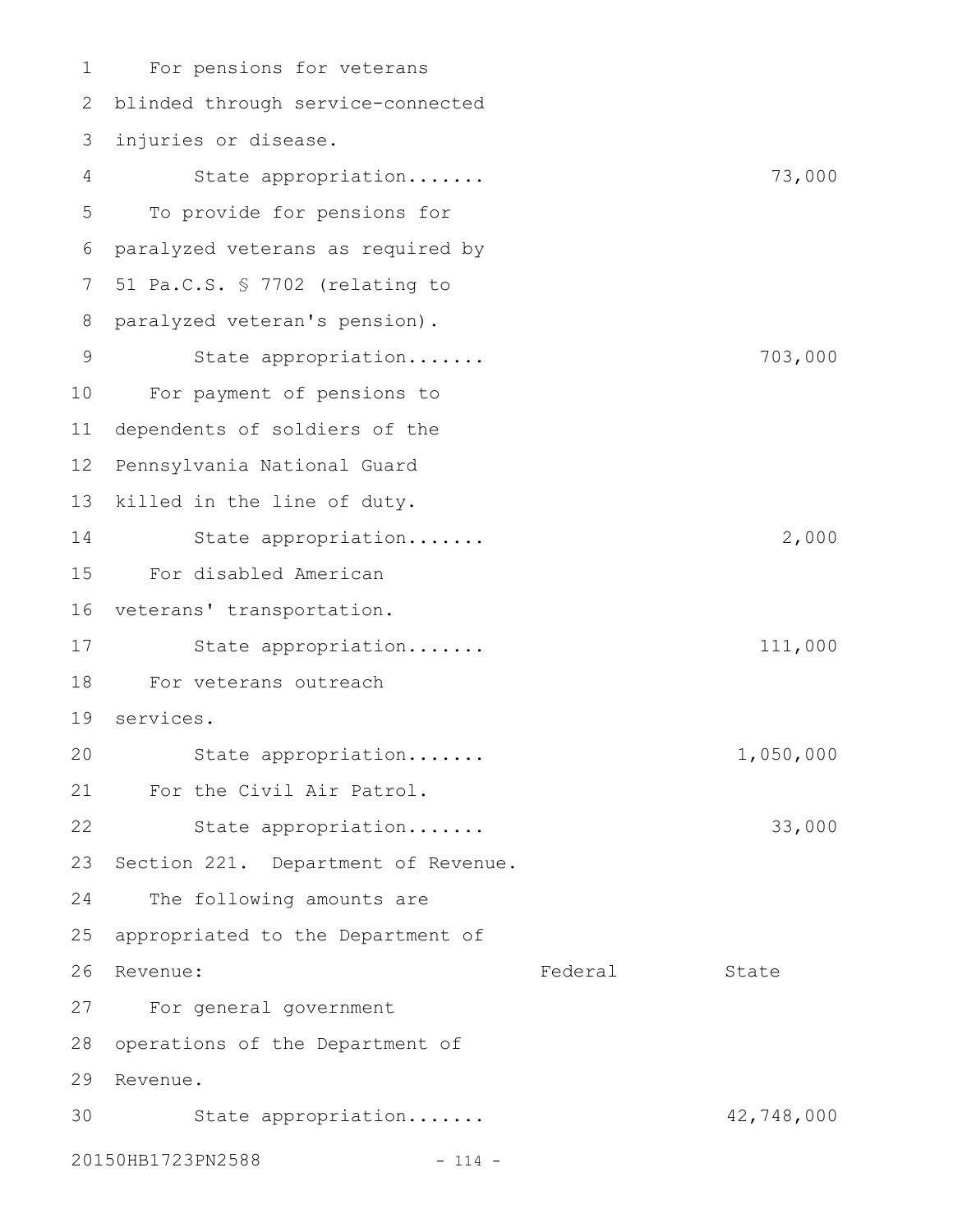For pensions for veterans blinded through service-connected 2 injuries or disease. 3 State appropriation....... 73,000 To provide for pensions for paralyzed veterans as required by 6 51 Pa.C.S. § 7702 (relating to 8 paralyzed veteran's pension). State appropriation....... 703,000 For payment of pensions to 10 dependents of soldiers of the 12 Pennsylvania National Guard 13 killed in the line of duty. State appropriation....... 2,000 For disabled American 15 16 veterans' transportation. State appropriation....... 111,000 18 For veterans outreach services. 19 State appropriation....... 1,050,000 21 For the Civil Air Patrol. State appropriation....... 33,000 Section 221. Department of Revenue. The following amounts are appropriated to the Department of Federal State For general government 27 28 operations of the Department of 29 Revenue. State appropriation....... 42,748,000 1 4 5 7 9 11 14 17 20 22 23 24 25 26 Revenue: 30

20150HB1723PN2588 - 114 -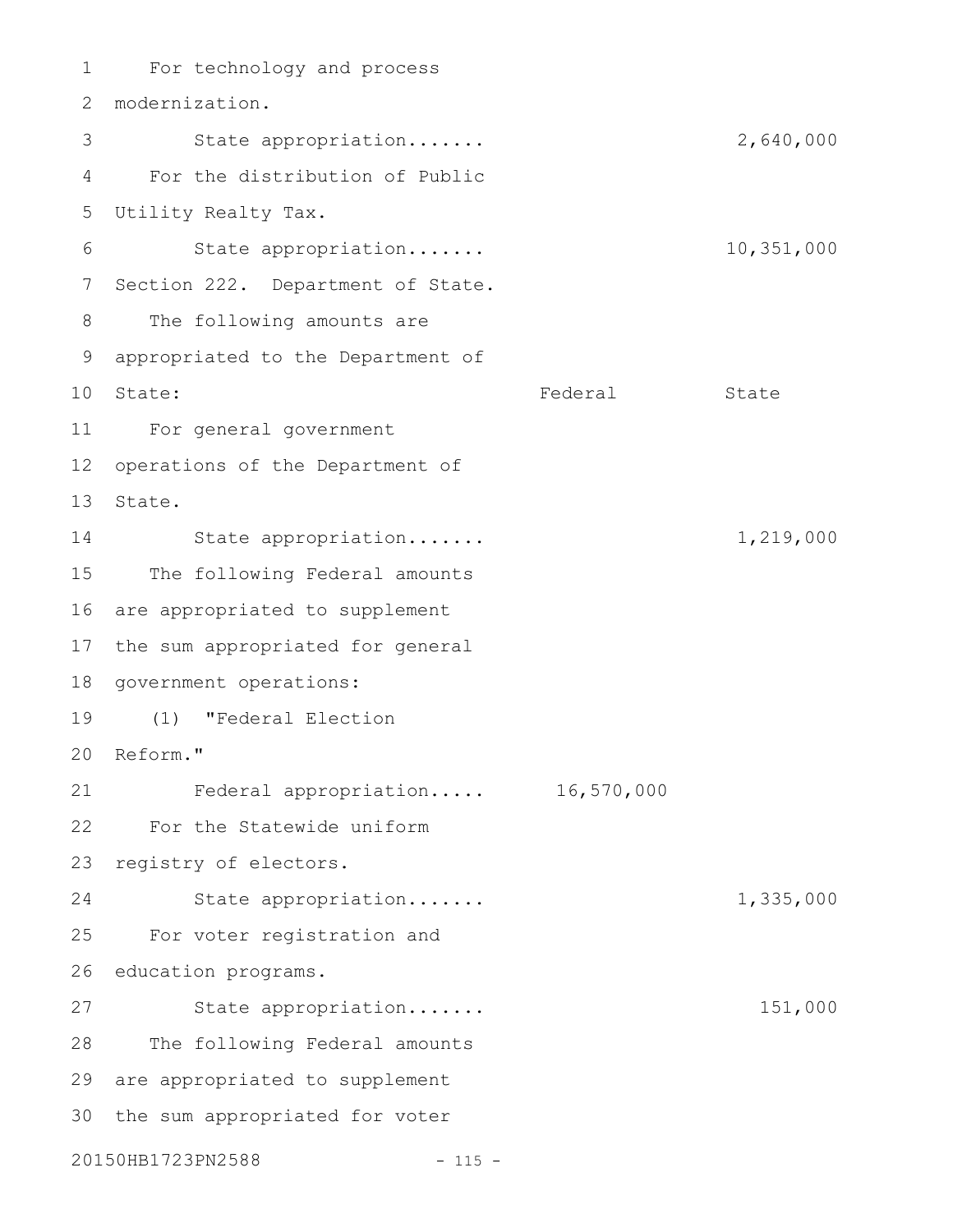For technology and process 1 modernization. 2 3 State appropriation...... 2,640,000 For the distribution of Public 4 Utility Realty Tax. 5 State appropriation....... 10,351,000 7 Section 222. Department of State. The following amounts are appropriated to the Department of 9 Federal State For general government 11 12 operations of the Department of 13 State. State appropriation....... 1,219,000 The following Federal amounts 16 are appropriated to supplement 17 the sum appropriated for general 18 government operations: (1) "Federal Election 19 Reform." 20 Federal appropriation..... 16,570,000 21 For the Statewide uniform 22 23 registry of electors. State appropriation....... 1,335,000 For voter registration and 26 education programs. State appropriation....... 151,000 28 The following Federal amounts 29 are appropriated to supplement 30 the sum appropriated for voter 20150HB1723PN2588 - 115 -6 8 10 State: 14 15 24 25 27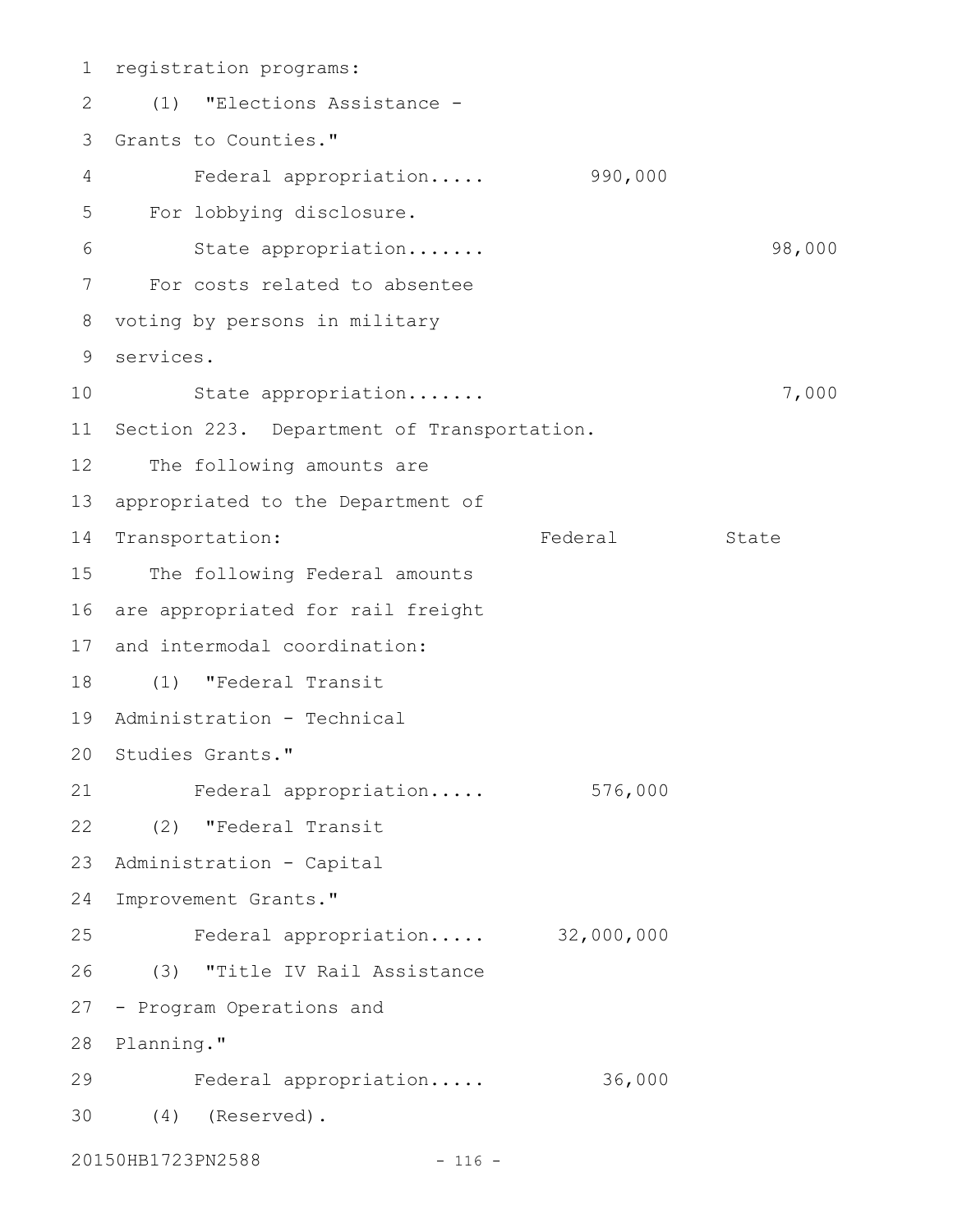1 registration programs: (1) "Elections Assistance - 2 3 Grants to Counties." Federal appropriation..... 990,000 For lobbying disclosure. State appropriation....... 38,000 For costs related to absentee 7 8 voting by persons in military services. 9 State appropriation....... 7,000 11 Section 223. Department of Transportation. 12 The following amounts are 13 appropriated to the Department of 14 Transportation: Federal State 15 The following Federal amounts 16 are appropriated for rail freight 17 and intermodal coordination: (1) "Federal Transit 18 Administration - Technical 19 20 Studies Grants." Federal appropriation..... 576,000 21 (2) "Federal Transit 22 23 Administration - Capital 24 Improvement Grants." Federal appropriation..... 32,000,000 (3) "Title IV Rail Assistance 26 27 - Program Operations and 28 Planning." Federal appropriation..... 36,000 (4) (Reserved). 3020150HB1723PN2588 - 116 -4 5 6 10 25 29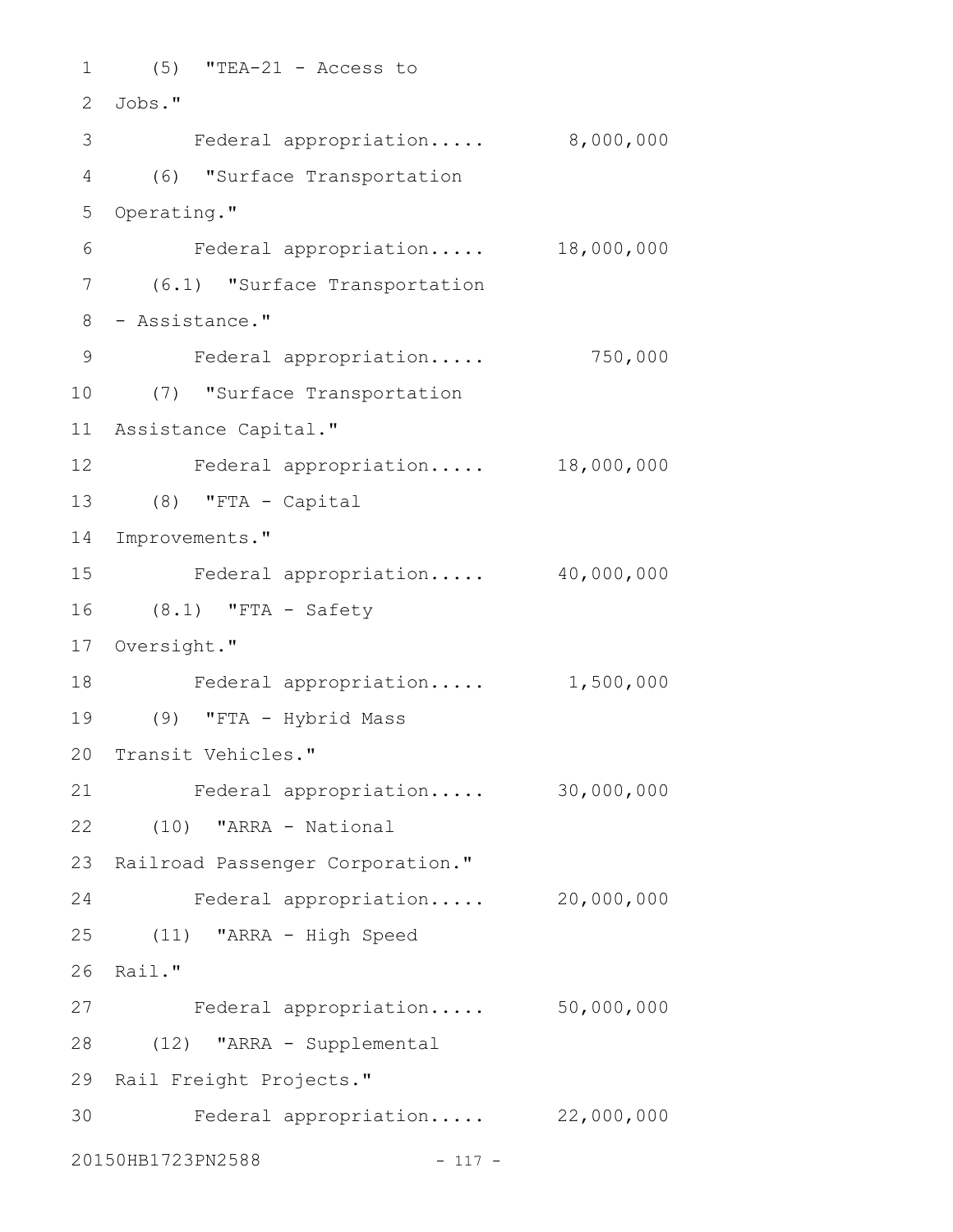```
(5) "TEA-21 - Access to
1
Jobs."
2
3 Federal appropriation..... 8,000,000
(6) "Surface Transportation
4
5 Operating."
     Federal appropriation..... 18,000,000
(6.1) "Surface Transportation
7
8 - Assistance."
    Federal appropriation..... 750,000
(7) "Surface Transportation
10
Assistance Capital."
11
Federal appropriation..... 18,000,000
12
(8) "FTA - Capital
13
14 Improvements."
    Federal appropriation..... 40,000,000
(8.1) "FTA - Safety
16
17 Oversight."
   Federal appropriation..... 1,500,000
(9) "FTA - Hybrid Mass
19
20 Transit Vehicles."
Federal appropriation..... 30,000,000
21
(10) "ARRA - National
22
23 Railroad Passenger Corporation."
Federal appropriation..... 20,000,000
24
(11) "ARRA - High Speed
25
26 Rail."
Federal appropriation..... 50,000,000
27
(12) "ARRA - Supplemental
28
29 Rail Freight Projects."
Federal appropriation..... 22,000,000
3020150HB1723PN2588 - 117 -
6
9
15
18
```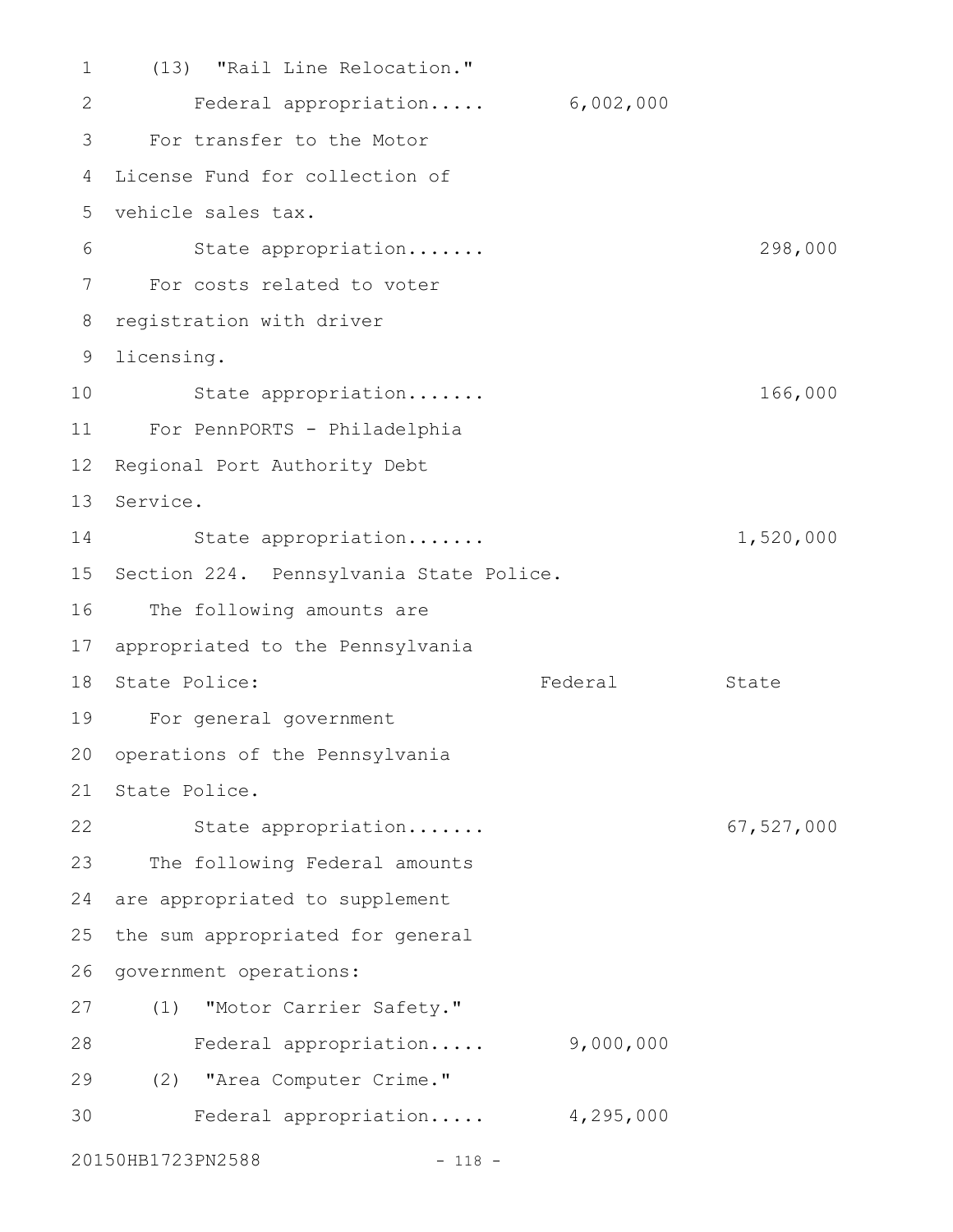(13) "Rail Line Relocation." Federal appropriation..... 6,002,000 For transfer to the Motor 4 License Fund for collection of vehicle sales tax. 5 State appropriation....... 298,000 For costs related to voter 7 8 registration with driver 9 licensing. State appropriation....... 166,000 For PennPORTS - Philadelphia 11 12 Regional Port Authority Debt 13 Service. State appropriation....... 1,520,000 15 Section 224. Pennsylvania State Police. 16 The following amounts are appropriated to the Pennsylvania 17 18 State Police: The State State State State For general government 19 20 operations of the Pennsylvania 21 State Police. State appropriation....... 67,527,000 22 The following Federal amounts 24 are appropriated to supplement 25 the sum appropriated for general 26 government operations: (1) "Motor Carrier Safety." Federal appropriation..... 9,000,000 (2) "Area Computer Crime." 29 Federal appropriation..... 4,295,000 20150HB1723PN2588 - 118 -1 2 3 6 10 14 23 27 28 30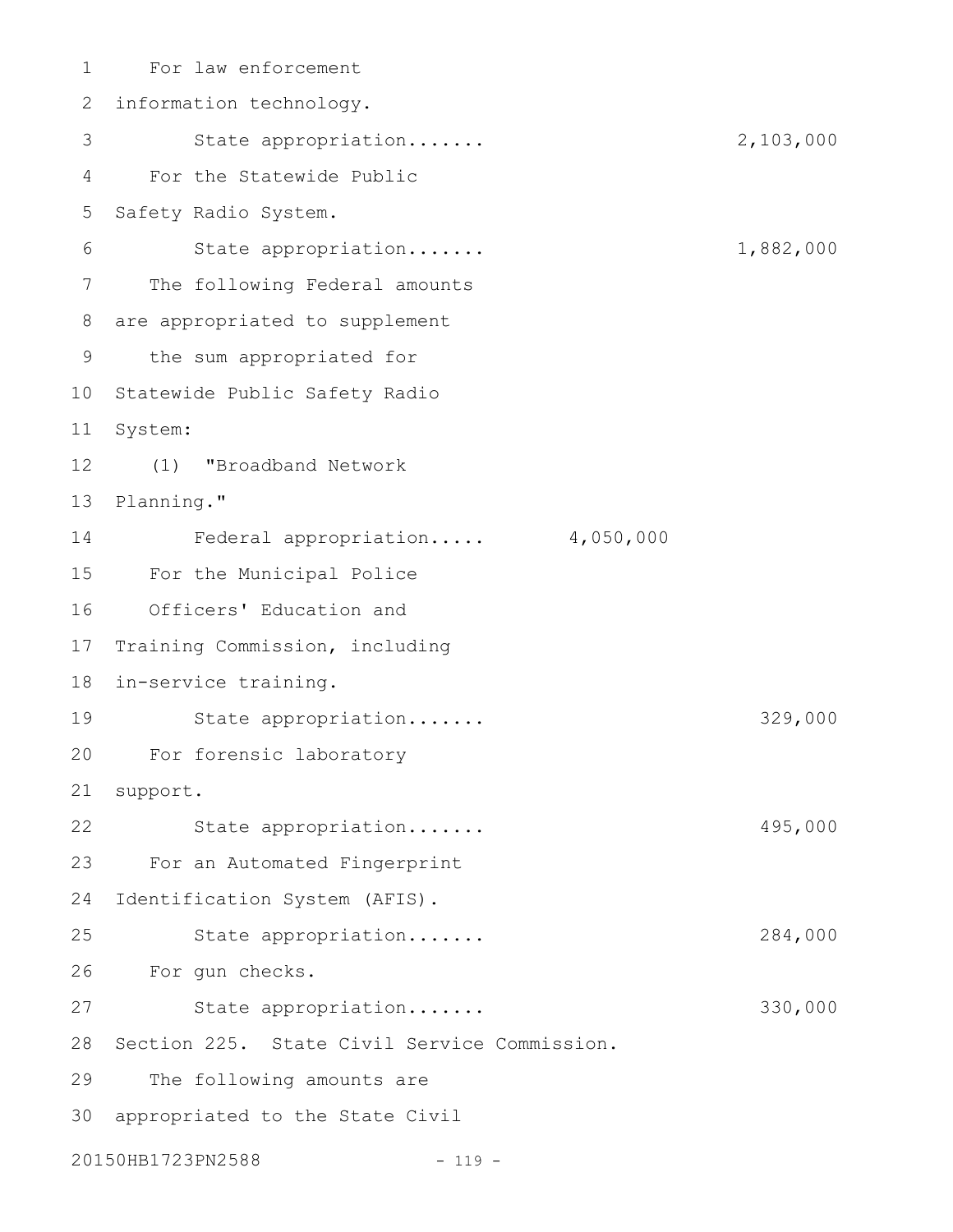For law enforcement 1 2 information technology. State appropriation....... 2,103,000 For the Statewide Public Safety Radio System. State appropriation....... 1,882,000 The following Federal amounts 8 are appropriated to supplement the sum appropriated for 9 10 Statewide Public Safety Radio 11 System: (1) "Broadband Network 13 Planning." Federal appropriation..... 4,050,000 For the Municipal Police Officers' Education and Training Commission, including 18 in-service training. State appropriation....... 329,000 For forensic laboratory 20 support. State appropriation....... 495,000 For an Automated Fingerprint Identification System (AFIS). State appropriation....... 284,000 For gun checks. 26 State appropriation....... 330,000 28 Section 225. State Civil Service Commission. The following amounts are 30 appropriated to the State Civil 20150HB1723PN2588 - 119 -3 4 5 6 7 12 14 15 16 17 19 21 22 23 24 25 27 29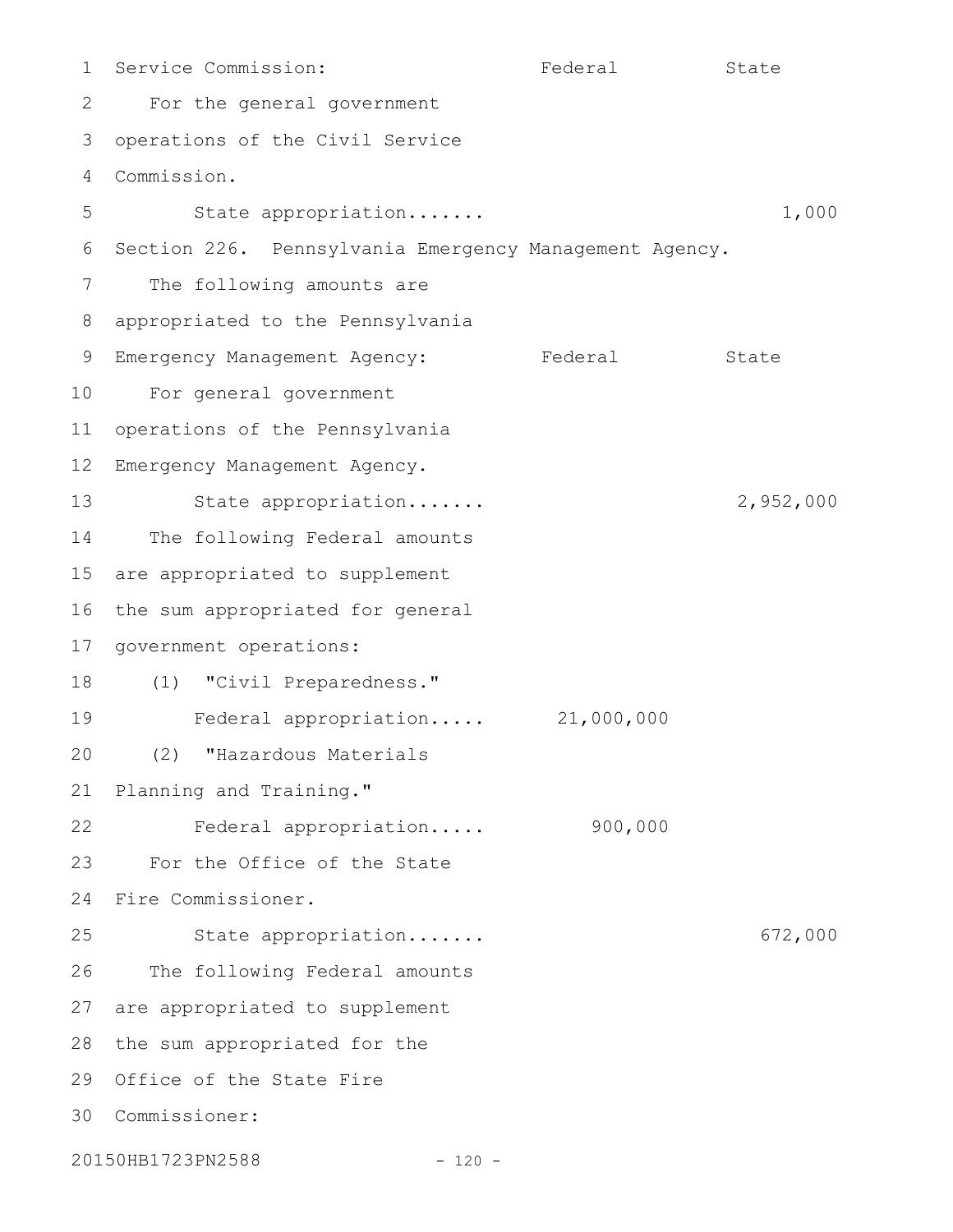Service Commission: Tederal State For the general government operations of the Civil Service Commission. State appropriation....... 1,000 Section 226. Pennsylvania Emergency Management Agency. The following amounts are appropriated to the Pennsylvania 9 Emergency Management Agency: Federal State For general government 10 operations of the Pennsylvania Emergency Management Agency. State appropriation....... 2,952,000 The following Federal amounts are appropriated to supplement the sum appropriated for general government operations: (1) "Civil Preparedness." Federal appropriation..... 21,000,000 (2) "Hazardous Materials Planning and Training." Federal appropriation..... 900,000 For the Office of the State Fire Commissioner. 24 State appropriation....... 672,000 The following Federal amounts 27 are appropriated to supplement 28 the sum appropriated for the 29 Office of the State Fire Commissioner: 3020150HB1723PN2588 - 120 -1 2 3 4 5 6 7 8 11 12 13 14 15 16 17 18 19 20 21 22 23 25 26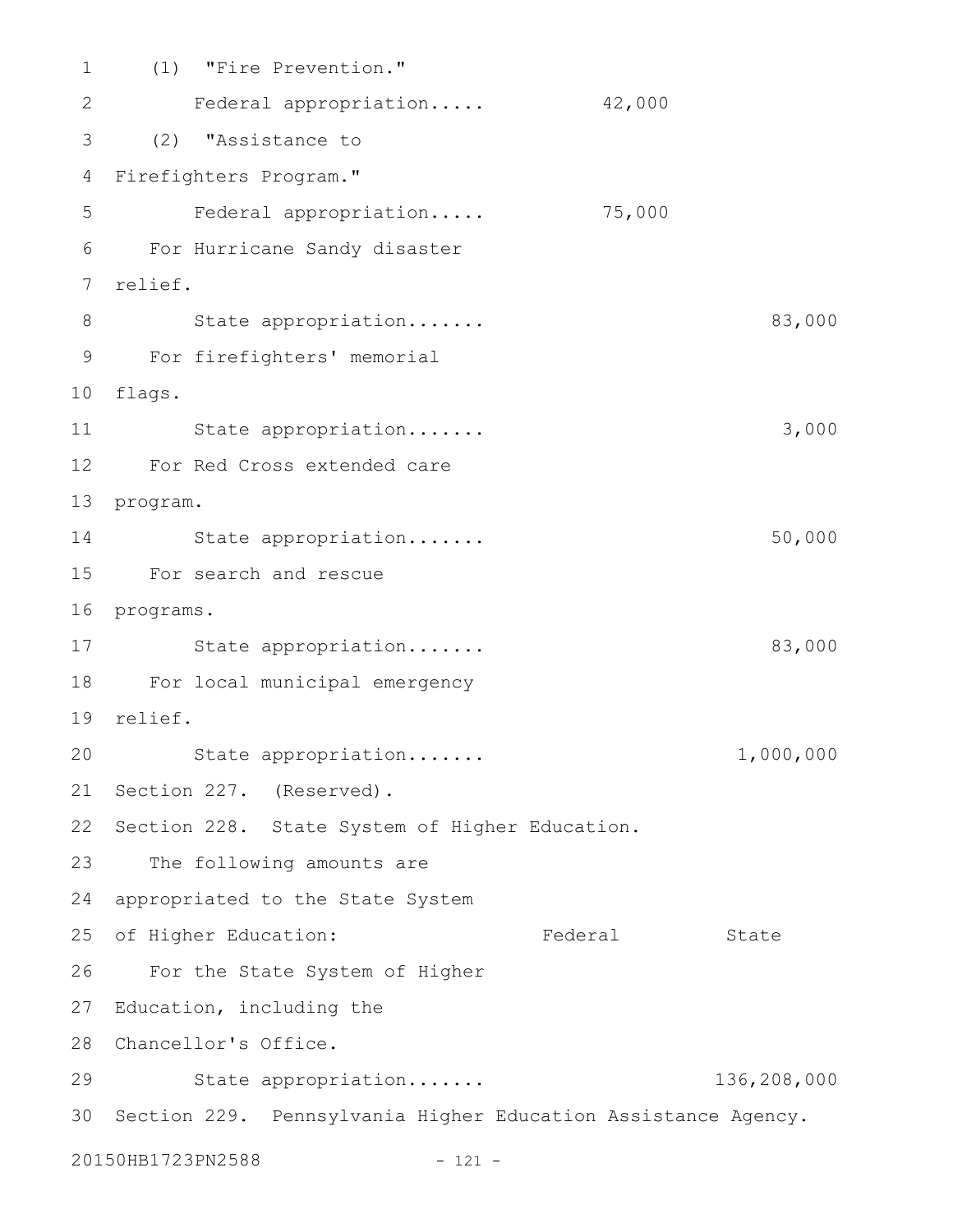(1) "Fire Prevention." 2 Federal appropriation..... 42,000 (2) "Assistance to 3 Firefighters Program." 4 Federal appropriation..... 75,000 For Hurricane Sandy disaster 6 7 relief. 8
State appropriation......
83,000 For firefighters' memorial 9 flags. 10 State appropriation....... 3,000 For Red Cross extended care 12 13 program. 14 State appropriation....... 50,000 For search and rescue 15 16 programs. 17 State appropriation....... 83,000 For local municipal emergency 18 relief. 19 State appropriation....... 1,000,000 21 Section 227. (Reserved). 22 Section 228. State System of Higher Education. 23 The following amounts are 24 appropriated to the State System 25 of Higher Education: Tederal State For the State System of Higher 26 27 Education, including the Chancellor's Office. 28 State appropriation....... 136,208,000 29 Section 229. Pennsylvania Higher Education Assistance Agency. 3020150HB1723PN2588 - 121 -1 5 11 20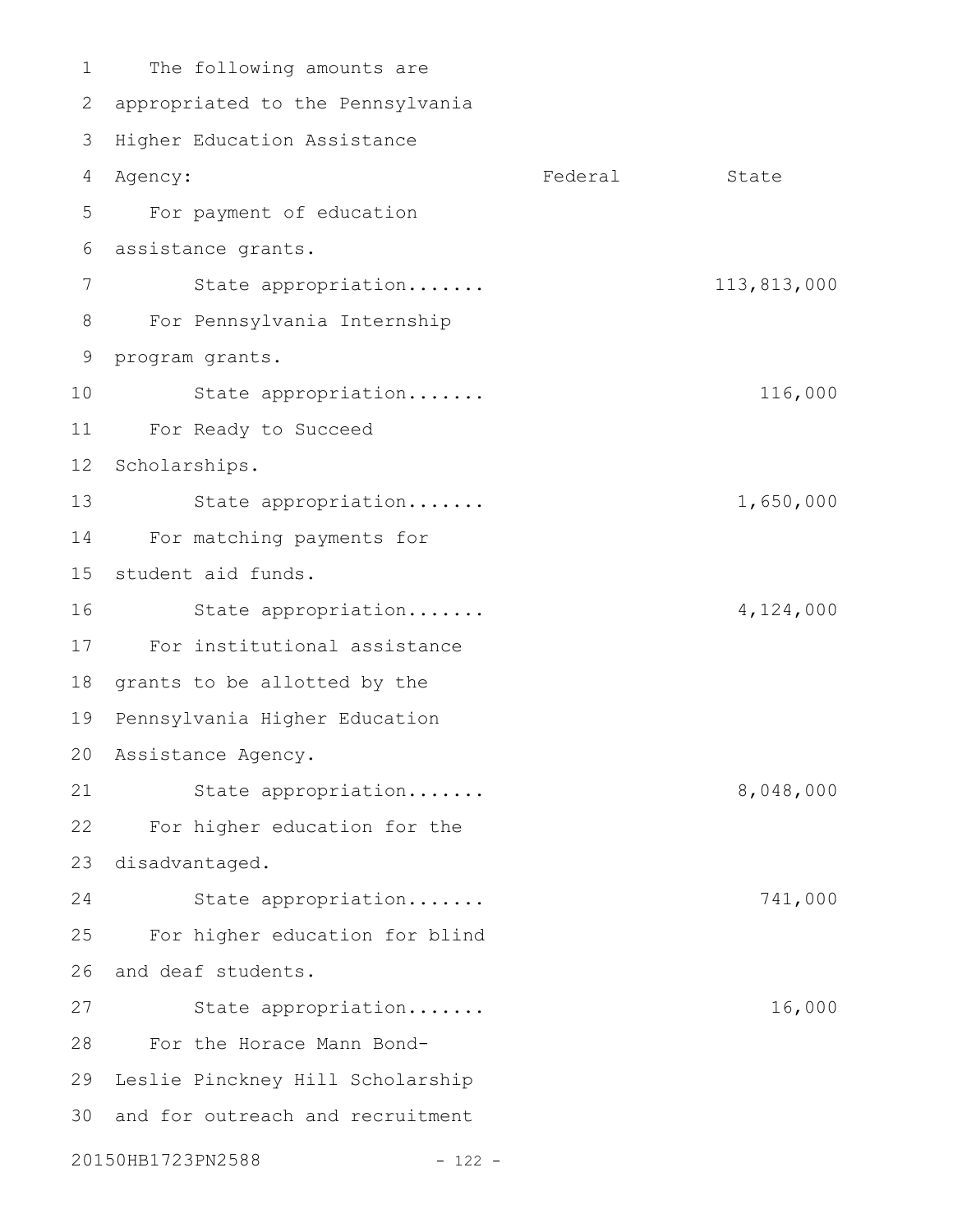The following amounts are 2 appropriated to the Pennsylvania 3 Higher Education Assistance 4 Agency: State Contract Contract Contract Contract Contract Contract Contract Contract Contract Contract Contract Contract Contract Contract Contract Contract Contract Contract Contract Contract Contract Contract Contract For payment of education assistance grants. 6 State appropriation....... 113,813,000 For Pennsylvania Internship 9 program grants. State appropriation....... 116,000 For Ready to Succeed 12 Scholarships. State appropriation....... 1,650,000 For matching payments for 15 student aid funds. State appropriation....... 4,124,000 For institutional assistance 17 18 grants to be allotted by the 19 Pennsylvania Higher Education Assistance Agency. 20 State appropriation....... 8,048,000 For higher education for the 23 disadvantaged. State appropriation....... 741,000 For higher education for blind 26 and deaf students. State appropriation....... 16,000 For the Horace Mann Bond-28 29 Leslie Pinckney Hill Scholarship 30 and for outreach and recruitment 20150HB1723PN2588 - 122 -1 5 7 8 10 11 13 14 16 21 22 24 25 27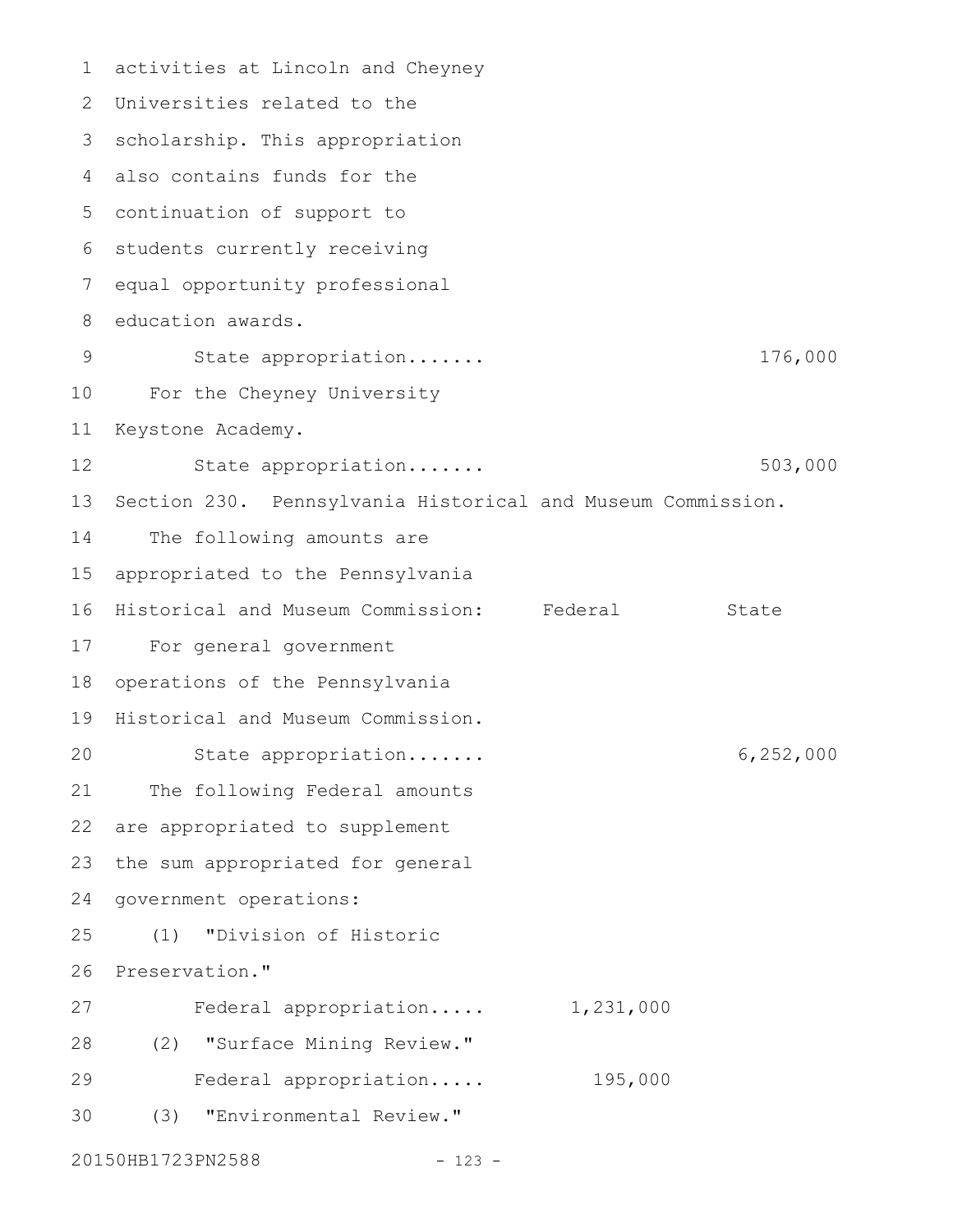1 activities at Lincoln and Cheyney Universities related to the 2 3 scholarship. This appropriation also contains funds for the 4 5 continuation of support to 6 students currently receiving equal opportunity professional education awards. State appropriation....... 176,000 10 For the Cheyney University Keystone Academy. State appropriation....... 503,000 Section 230. Pennsylvania Historical and Museum Commission. The following amounts are appropriated to the Pennsylvania 16 Historical and Museum Commission: Federal State For general government 17 18 operations of the Pennsylvania 19 Historical and Museum Commission. State appropriation....... 6,252,000 The following Federal amounts are appropriated to supplement the sum appropriated for general 24 government operations: (1) "Division of Historic 26 Preservation." Federal appropriation..... 1,231,000 (2) "Surface Mining Review." 28 Federal appropriation..... 195,000 (3) "Environmental Review." 7 8 9 11 12 13 14 15 20 21 22 23 25 27 29 30

20150HB1723PN2588 - 123 -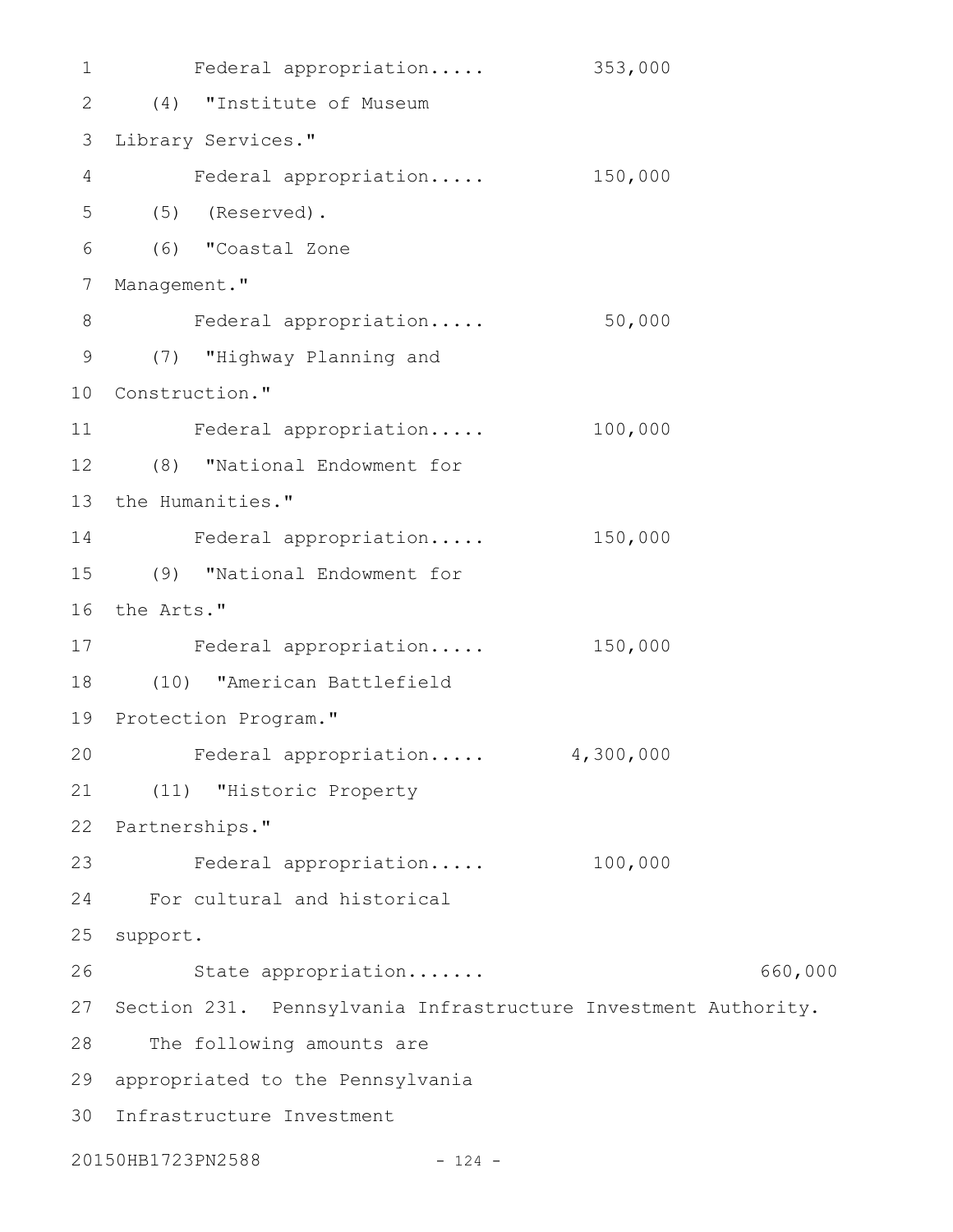Federal appropriation..... 353,000 (4) "Institute of Museum 2 3 Library Services." Federal appropriation..... 150,000 (5) (Reserved). 5 (6) "Coastal Zone 7 Management." Federal appropriation..... 50,000 (7) "Highway Planning and 9 10 Construction." Federal appropriation..... 100,000 (8) "National Endowment for 12 13 the Humanities." Federal appropriation..... 150,000 (9) "National Endowment for 15 16 the Arts." 17 Federal appropriation..... 150,000 (10) "American Battlefield 18 19 Protection Program." Federal appropriation..... 4,300,000 (11) "Historic Property 21 22 Partnerships." 23 Federal appropriation..... 100,000 For cultural and historical 24 25 support. State appropriation....... 660,000 27 Section 231. Pennsylvania Infrastructure Investment Authority. 28 The following amounts are 29 appropriated to the Pennsylvania Infrastructure Investment 301 4 6 8 11 14 20 26

20150HB1723PN2588 - 124 -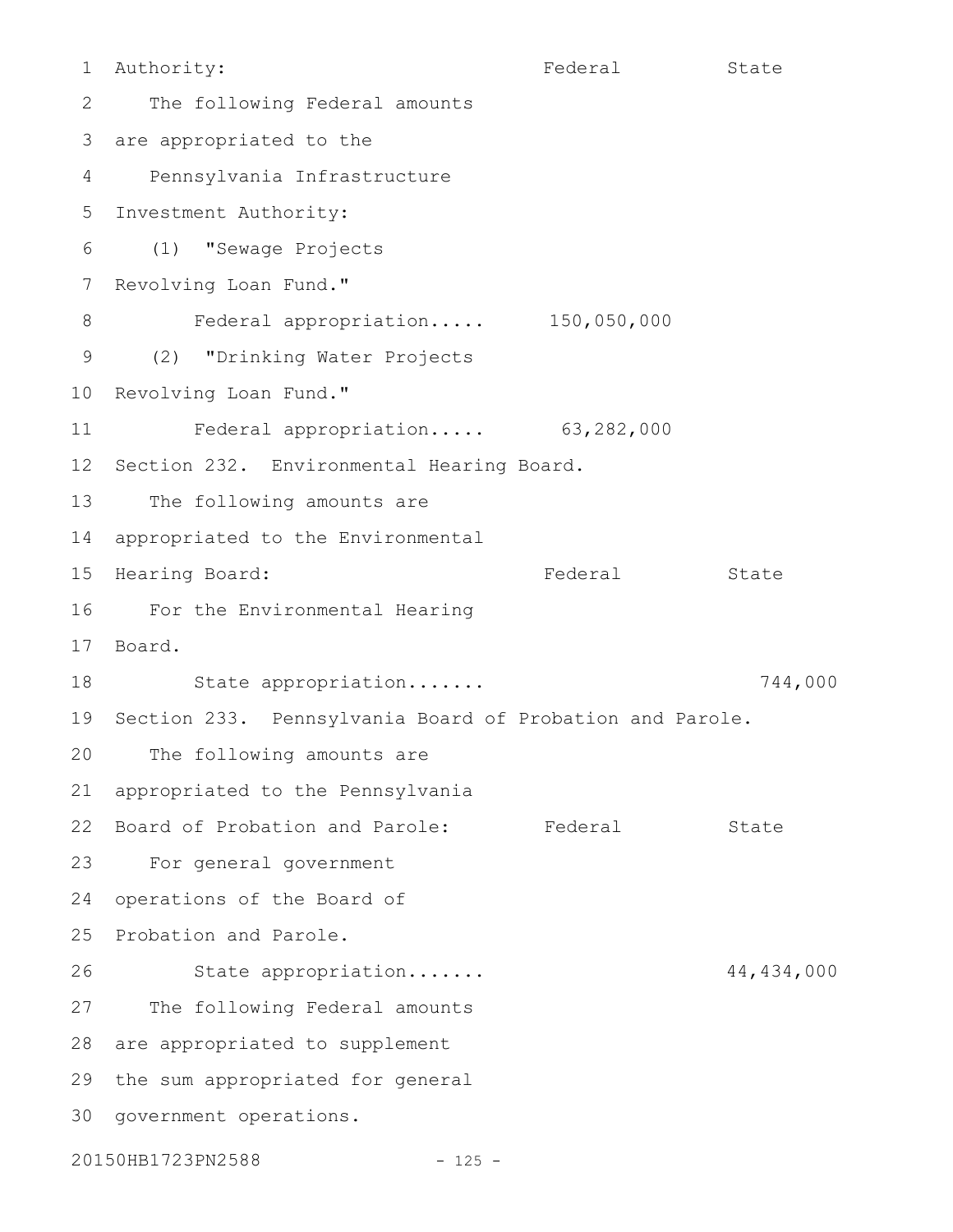Authority: The State State State State State State State The following Federal amounts 3 are appropriated to the Pennsylvania Infrastructure 5 Investment Authority: (1) "Sewage Projects 6 7 Revolving Loan Fund." Federal appropriation..... 150,050,000 (2) "Drinking Water Projects 10 Revolving Loan Fund." Federal appropriation..... 63,282,000 12 Section 232. Environmental Hearing Board. The following amounts are 14 appropriated to the Environmental 15 Hearing Board: The State State State Rederal State For the Environmental Hearing 16 Board. 17 18 State appropriation...... T44,000 19 Section 233. Pennsylvania Board of Probation and Parole. The following amounts are appropriated to the Pennsylvania 22 Board of Probation and Parole: Federal State For general government 23 24 operations of the Board of 25 Probation and Parole. State appropriation....... 44,434,000 27 The following Federal amounts 28 are appropriated to supplement 29 the sum appropriated for general 30 government operations. 1 2 4 8 9 11 13 20 21 26

20150HB1723PN2588 - 125 -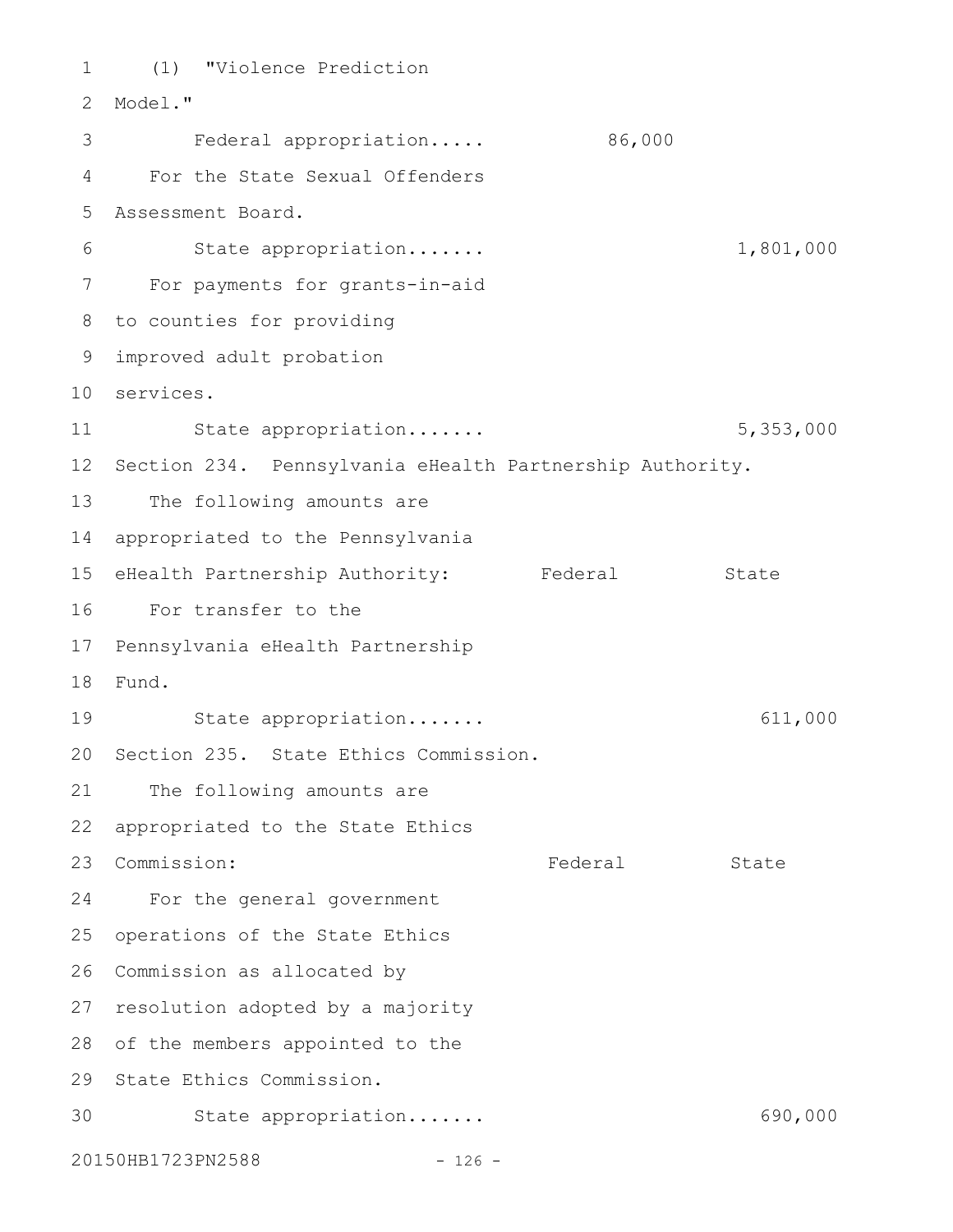(1) "Violence Prediction 2 Model." Federal appropriation..... 86,000 For the State Sexual Offenders Assessment Board. 5 State appropriation....... 1,801,000 For payments for grants-in-aid to counties for providing 8 improved adult probation 9 services. 10 State appropriation....... 5,353,000 12 Section 234. Pennsylvania eHealth Partnership Authority. The following amounts are 14 appropriated to the Pennsylvania 15 eHealth Partnership Authority: Federal State For transfer to the 16 17 Pennsylvania eHealth Partnership Fund. 18 State appropriation....... 611,000 20 Section 235. State Ethics Commission. 21 The following amounts are 22 appropriated to the State Ethics 23 Commission: Tederal State For the general government 25 operations of the State Ethics 26 Commission as allocated by 27 resolution adopted by a majority 28 of the members appointed to the 29 State Ethics Commission. 30 State appropriation...... 690,000 20150HB1723PN2588 - 126 -1 3 4 6 7 11 13 19 24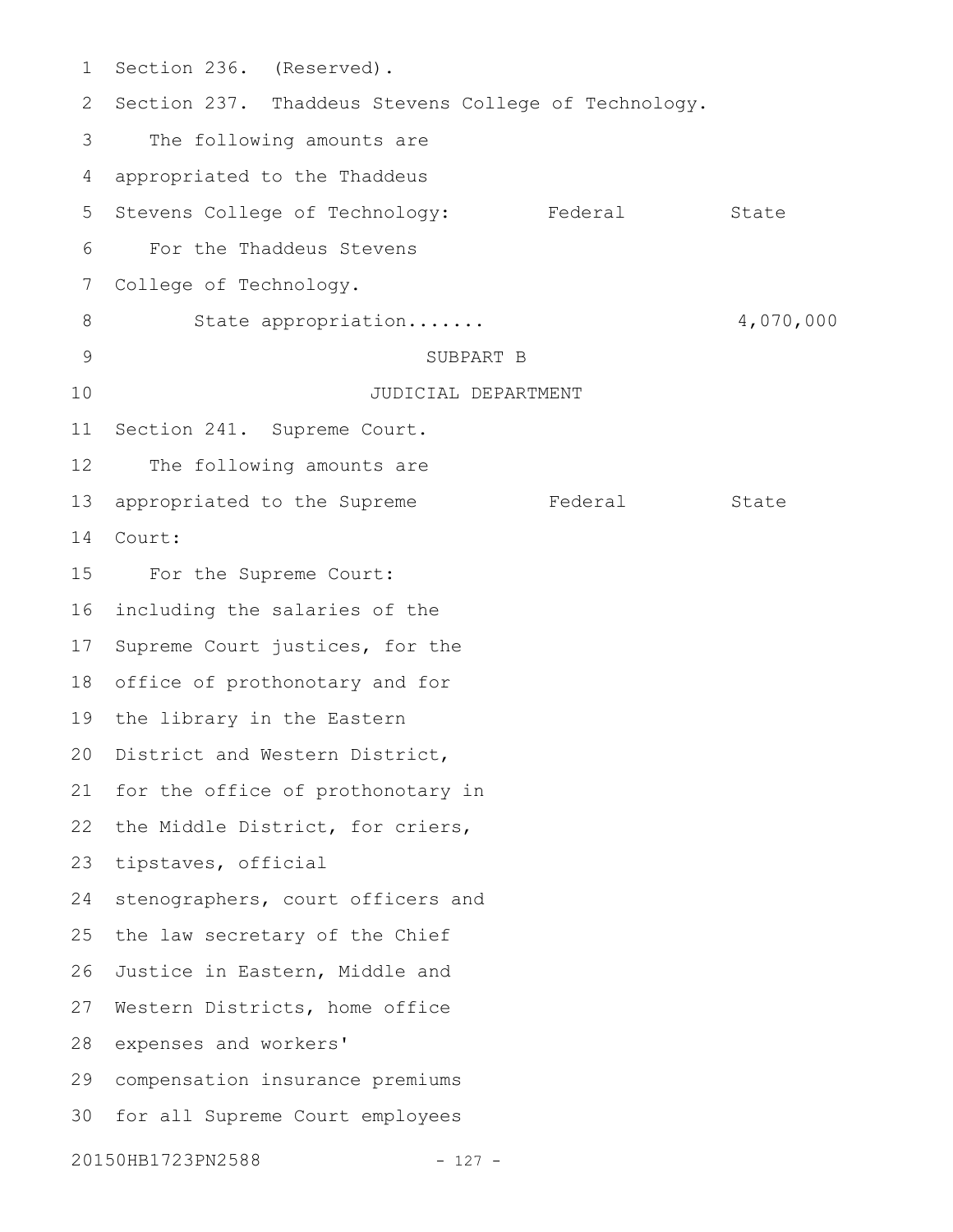Section 236. (Reserved). 2 Section 237. Thaddeus Stevens College of Technology. The following amounts are appropriated to the Thaddeus Stevens College of Technology: Federal State For the Thaddeus Stevens College of Technology. State appropriation....... 4,070,000 SUBPART B JUDICIAL DEPARTMENT Section 241. Supreme Court. The following amounts are appropriated to the Supreme Federal State Court: For the Supreme Court: including the salaries of the 17 Supreme Court justices, for the 18 office of prothonotary and for 19 the library in the Eastern 20 District and Western District, 21 for the office of prothonotary in 22 the Middle District, for criers, 23 tipstaves, official stenographers, court officers and the law secretary of the Chief 26 Justice in Eastern, Middle and 27 Western Districts, home office 28 expenses and workers' compensation insurance premiums 29 30 for all Supreme Court employees 20150HB1723PN2588 - 127 -1 3 4 5 6 7 8 9 10 11 12 13 14 15 16 24 25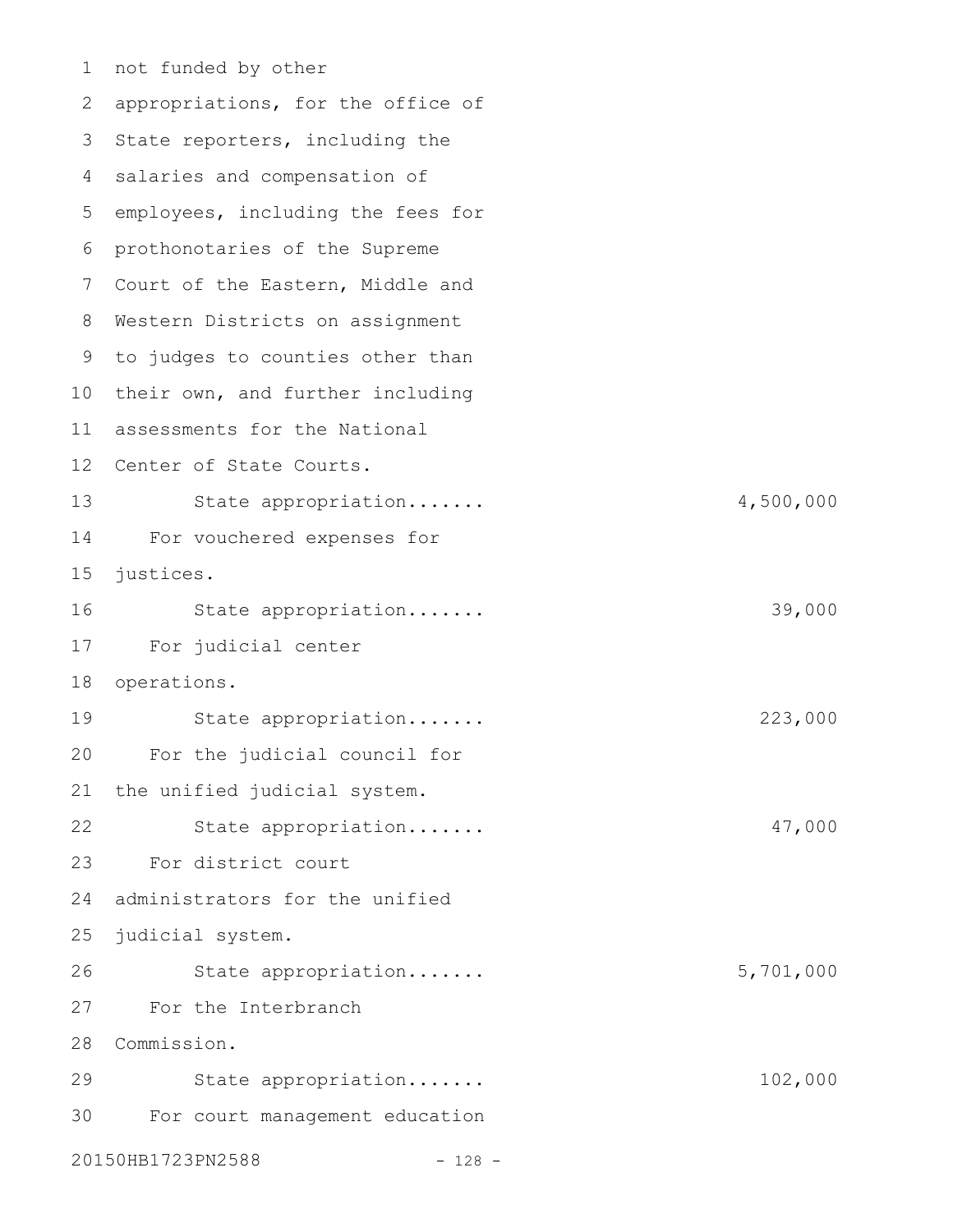not funded by other 1 2 appropriations, for the office of 3 State reporters, including the 4 salaries and compensation of 5 employees, including the fees for prothonotaries of the Supreme 6 7 Court of the Eastern, Middle and Western Districts on assignment 8 9 to judges to counties other than 10 their own, and further including 11 assessments for the National 12 Center of State Courts. State appropriation....... 4,500,000 For vouchered expenses for justices. State appropriation....... 39,000 For judicial center 18 operations. State appropriation....... 223,000 For the judicial council for the unified judicial system. State appropriation....... 47,000 For district court administrators for the unified judicial system. State appropriation....... 5,701,000 For the Interbranch 28 Commission. State appropriation....... 102,000 For court management education 20150HB1723PN2588 - 128 -13 14 15 16 17 19 20 21 22 23 24 25 26 27 29 30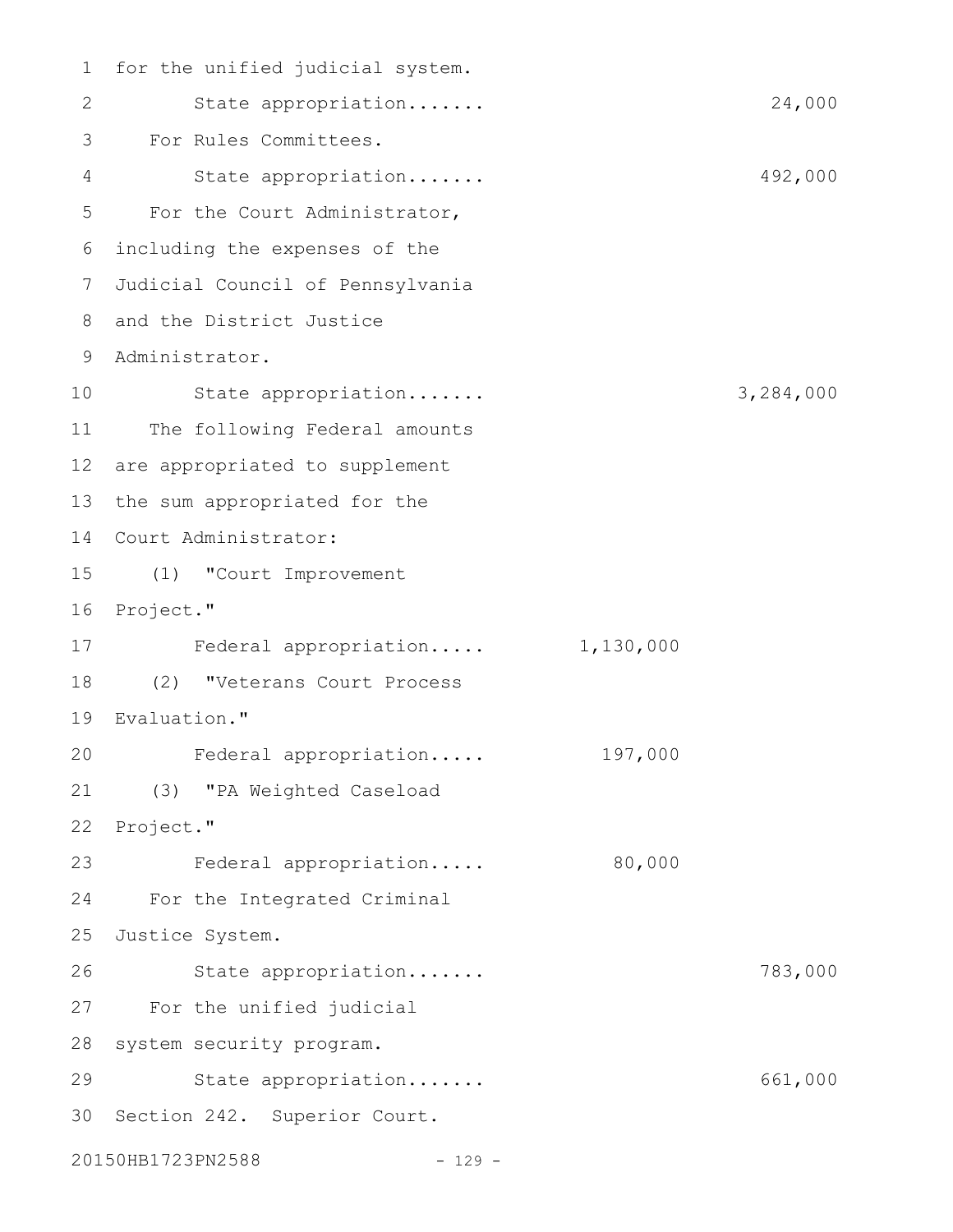1 for the unified judicial system. State appropriation....... 24,000 For Rules Committees. 3 State appropriation....... 492,000 5 For the Court Administrator, including the expenses of the 6 Judicial Council of Pennsylvania 7 8 and the District Justice 9 Administrator. State appropriation....... 3,284,000 11 The following Federal amounts 12 are appropriated to supplement 13 the sum appropriated for the Court Administrator: 14 (1) "Court Improvement 15 16 Project." 17 Federal appropriation..... 1,130,000 (2) "Veterans Court Process 18 Evaluation." 19 Federal appropriation..... 197,000 (3) "PA Weighted Caseload 21 22 Project." 23 Federal appropriation..... 80,000 24 For the Integrated Criminal 25 Justice System. State appropriation....... 783,000 27 For the unified judicial 28 system security program. 29 State appropriation....... 661,000 30 Section 242. Superior Court. 20150HB1723PN2588 - 129 -2 4 10 20 26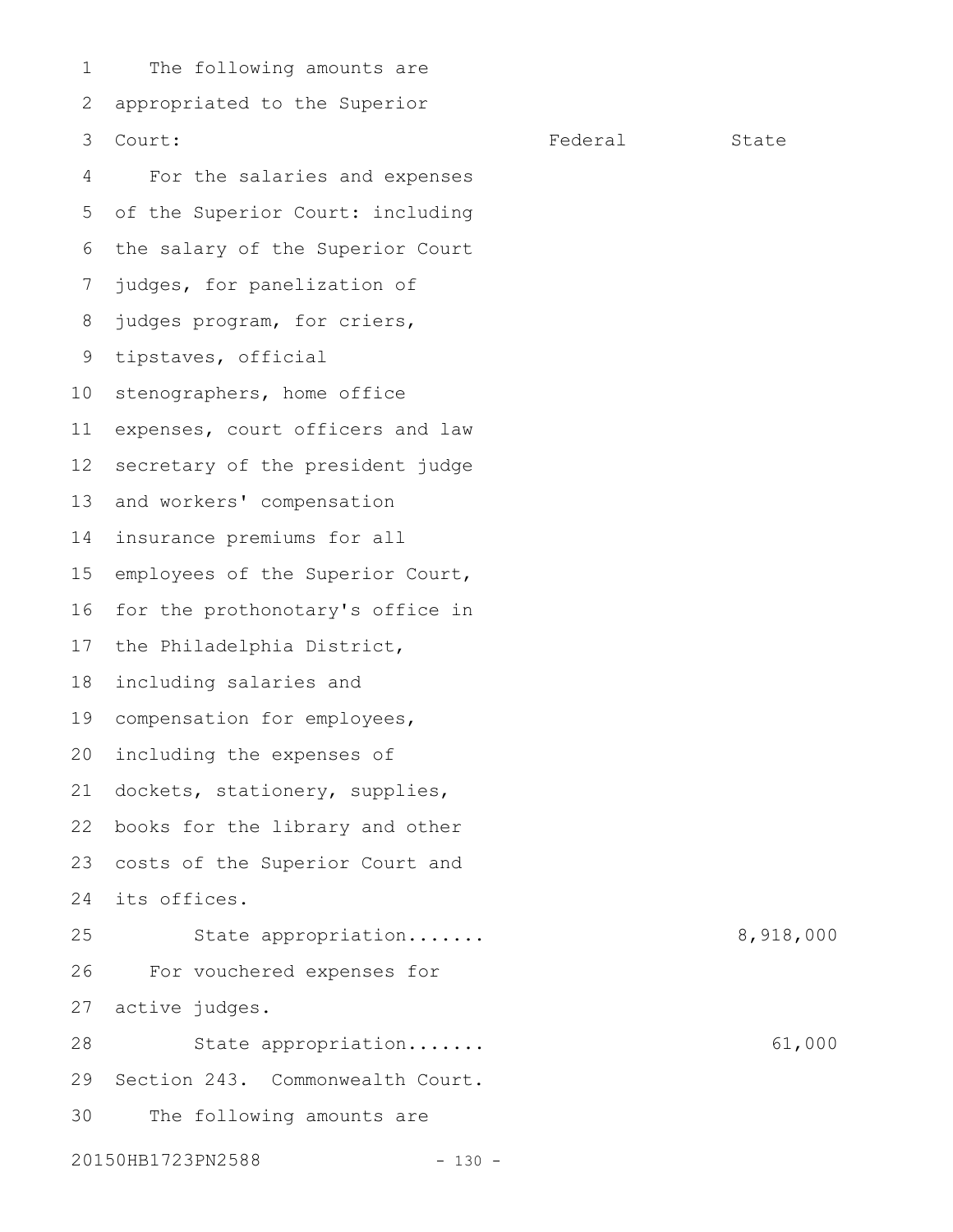The following amounts are appropriated to the Superior Court: Court: Engine State State State State State State State State State State State State State State State For the salaries and expenses of the Superior Court: including 6 the salary of the Superior Court judges, for panelization of judges program, for criers, 9 tipstaves, official 10 stenographers, home office expenses, court officers and law secretary of the president judge and workers' compensation insurance premiums for all employees of the Superior Court, for the prothonotary's office in the Philadelphia District, including salaries and 19 compensation for employees, 20 including the expenses of dockets, stationery, supplies, books for the library and other costs of the Superior Court and its offices. 24 State appropriation....... 8,918,000 For vouchered expenses for active judges. State appropriation....... 61,000 29 Section 243. Commonwealth Court. The following amounts are 20150HB1723PN2588 - 130 -1 2 3 4 5 7 8 11 12 13 14 15 16 17 18 21 22 23 25 26 27 28 30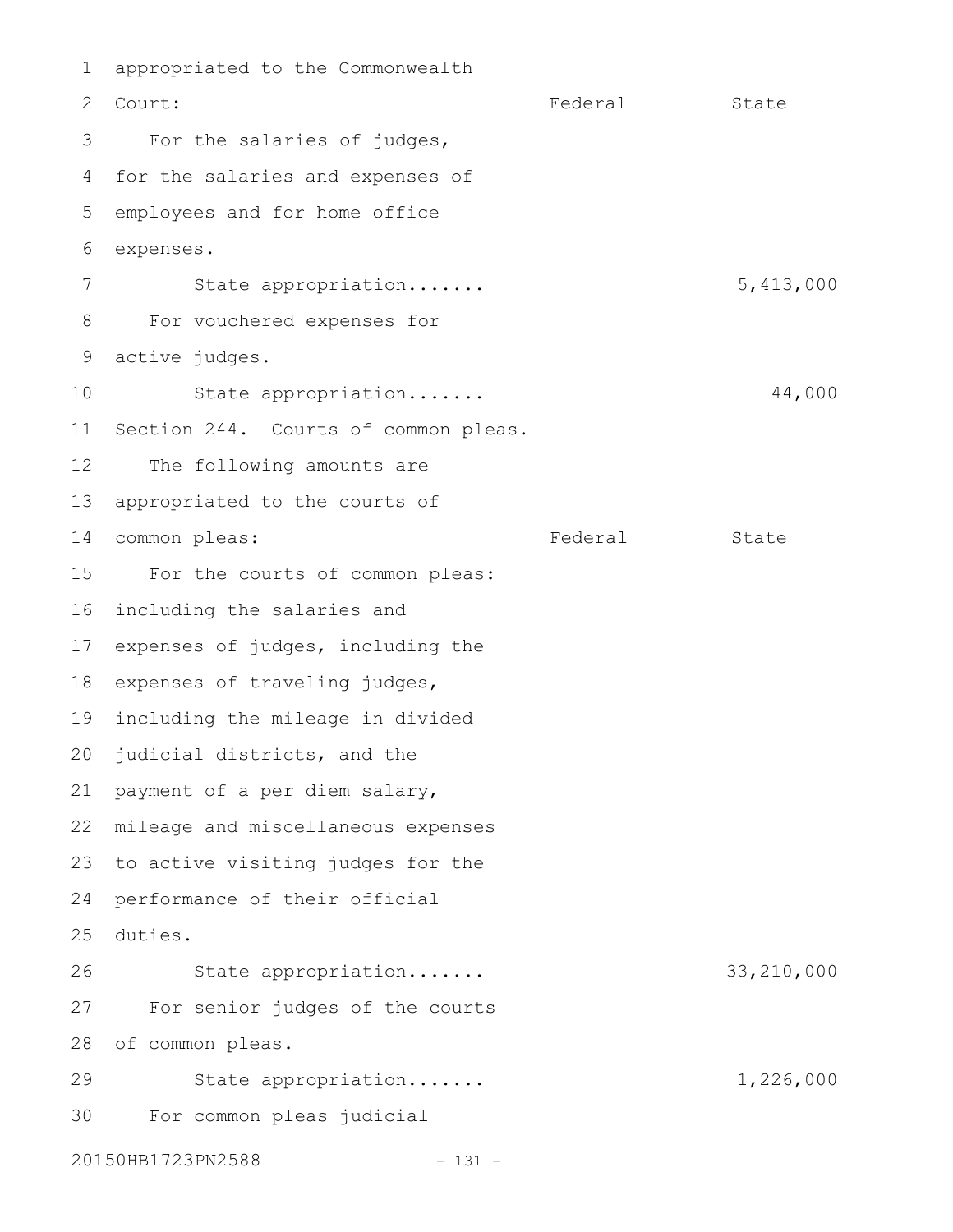appropriated to the Commonwealth Federal State For the salaries of judges, for the salaries and expenses of employees and for home office expenses. State appropriation....... 5,413,000 For vouchered expenses for active judges. 9 State appropriation....... 44,000 Section 244. Courts of common pleas. The following amounts are appropriated to the courts of 14 common pleas: Tederal Federal State For the courts of common pleas: including the salaries and 17 expenses of judges, including the 18 expenses of traveling judges, 19 including the mileage in divided 20 judicial districts, and the payment of a per diem salary, mileage and miscellaneous expenses 23 to active visiting judges for the 24 performance of their official duties. 25 State appropriation....... 33,210,000 For senior judges of the courts 28 of common pleas. State appropriation....... 1,226,000 For common pleas judicial 20150HB1723PN2588 - 131 -1 2 Court: 3 4 5 6 7 8 10 11 12 13 15 16 21 22 26 27 29 30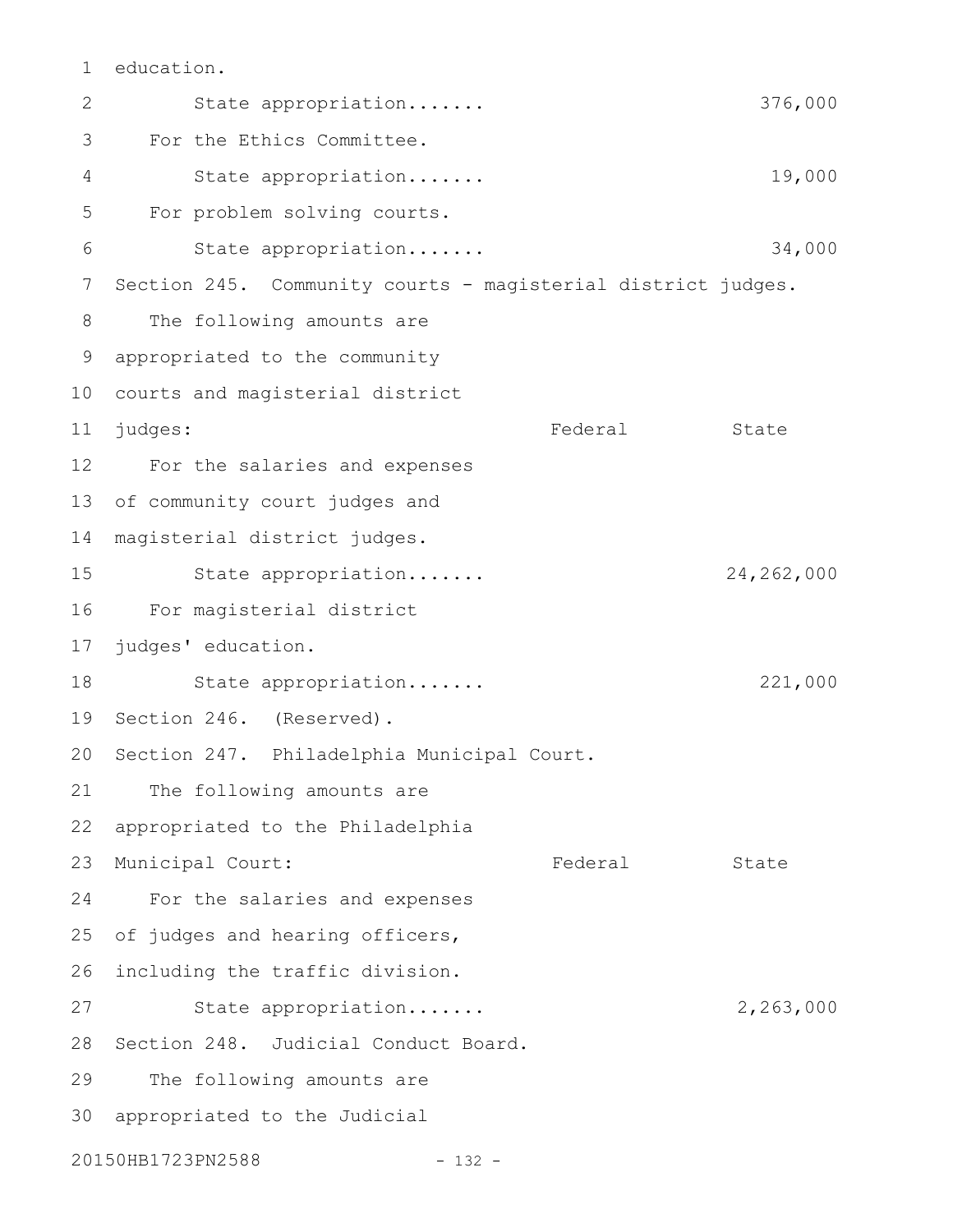education. 1

State appropriation....... 376,000 For the Ethics Committee. State appropriation....... 19,000 For problem solving courts. State appropriation....... 34,000 Section 245. Community courts - magisterial district judges. The following amounts are appropriated to the community 9 10 courts and magisterial district Federal State For the salaries and expenses 12 of community court judges and magisterial district judges. State appropriation....... 24,262,000 For magisterial district 16 17 judges' education. State appropriation....... 221,000 19 Section 246. (Reserved). 20 Section 247. Philadelphia Municipal Court. The following amounts are appropriated to the Philadelphia Municipal Court: Tederal State For the salaries and expenses of judges and hearing officers, 26 including the traffic division. State appropriation....... 2,263,000 28 Section 248. Judicial Conduct Board. The following amounts are 30 appropriated to the Judicial 20150HB1723PN2588 - 132 -2 3 4 5 6 7 8 11 judges: 13 14 15 18 21 22 23 24 25 27 29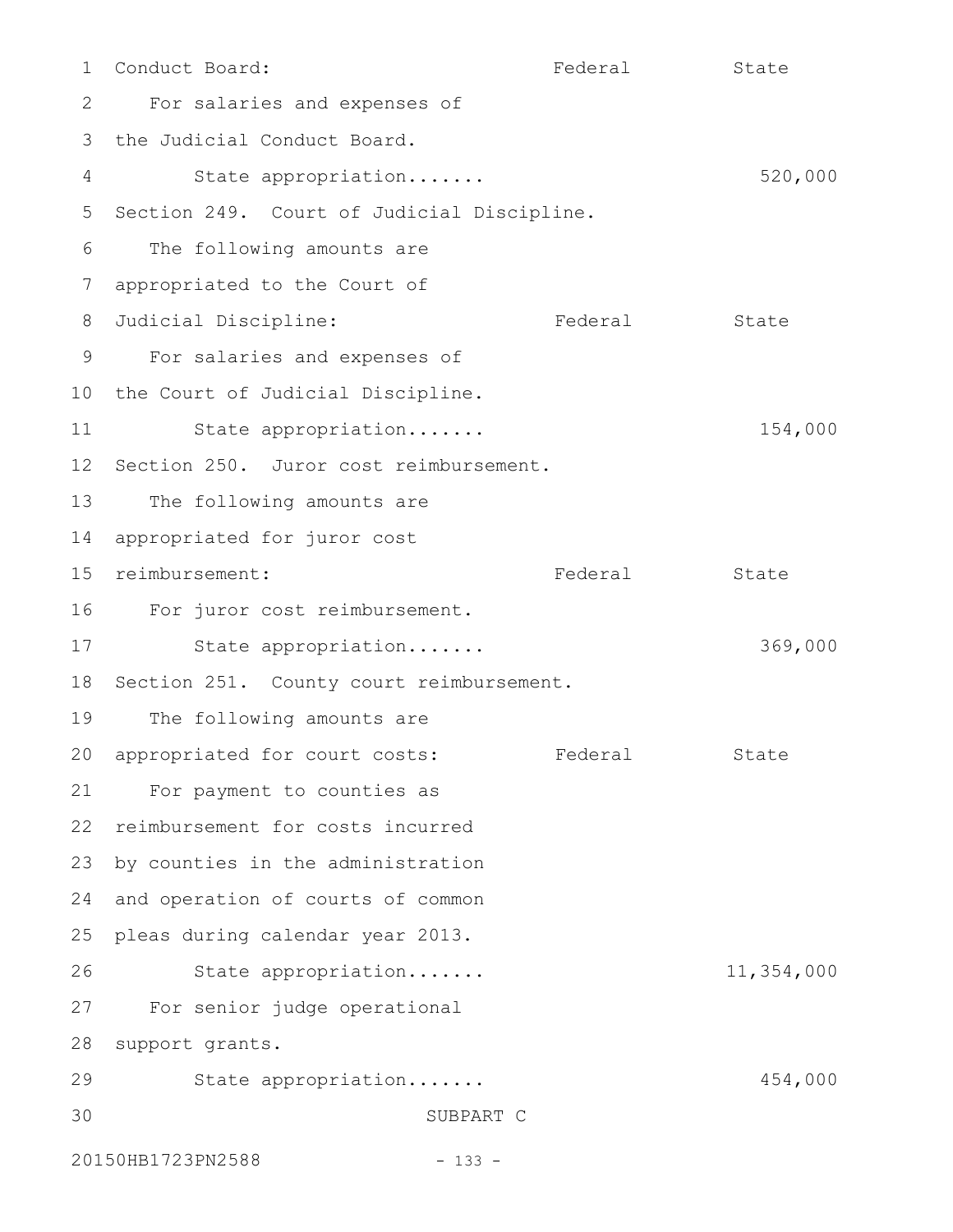Conduct Board: Tederal State State For salaries and expenses of 3 the Judicial Conduct Board. State appropriation....... 520,000 5 Section 249. Court of Judicial Discipline. The following amounts are appropriated to the Court of 8 Judicial Discipline: Tederal State For salaries and expenses of 10 the Court of Judicial Discipline. State appropriation....... 154,000 12 Section 250. Juror cost reimbursement. The following amounts are 14 appropriated for juror cost 15 reimbursement: Tederal Federal State 16 For juror cost reimbursement. State appropriation....... 369,000 18 Section 251. County court reimbursement. The following amounts are 20 appropriated for court costs: Federal State For payment to counties as 22 reimbursement for costs incurred 23 by counties in the administration 24 and operation of courts of common 25 pleas during calendar year 2013. State appropriation....... 11,354,000 For senior judge operational 27 28 support grants. State appropriation....... 454,000 SUBPART C 20150HB1723PN2588 - 133 -1 2 4 6 7 9 11 13 17 19 21 26 29 30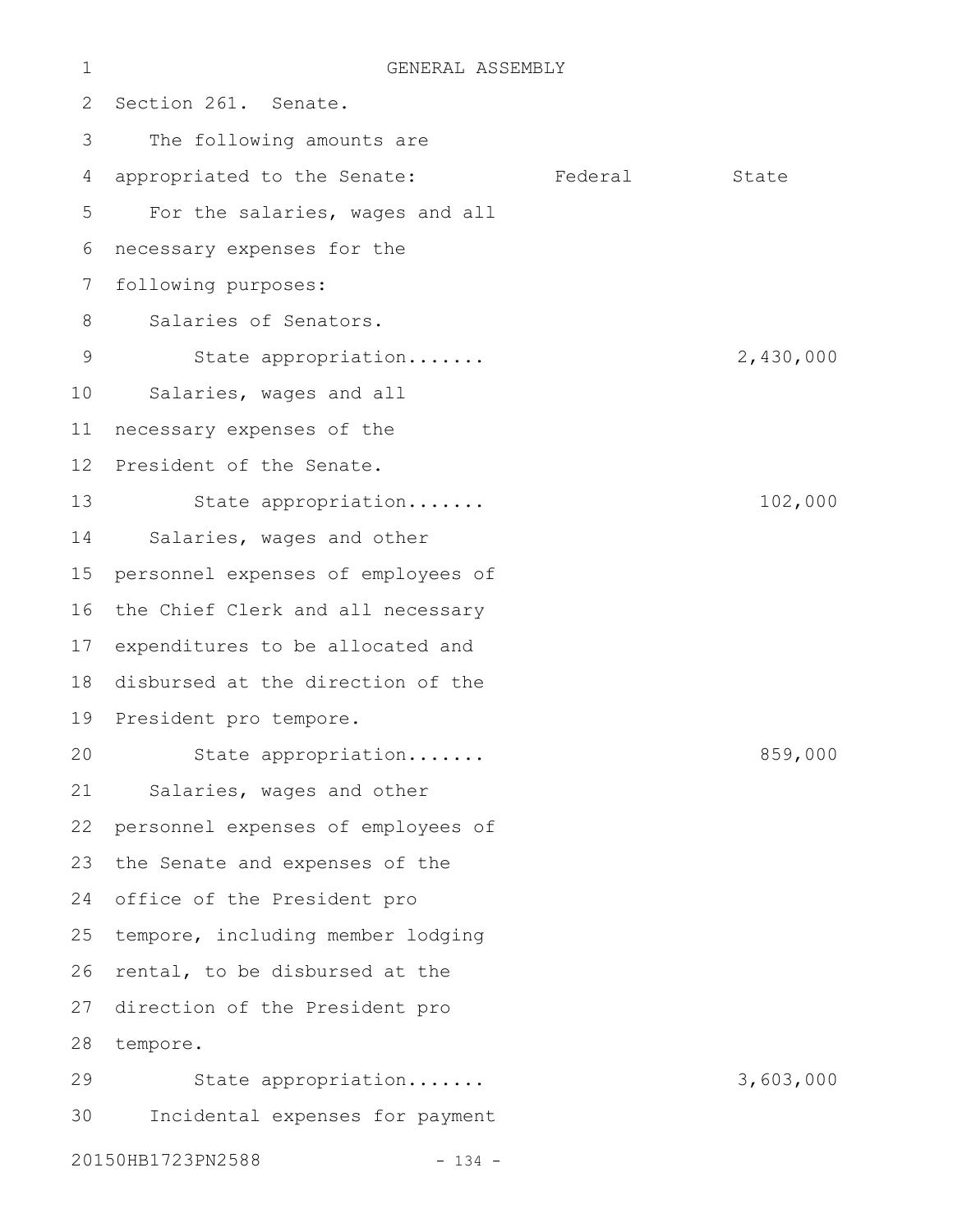| 1               | GENERAL ASSEMBLY                   |         |           |
|-----------------|------------------------------------|---------|-----------|
| 2               | Section 261. Senate.               |         |           |
| 3               | The following amounts are          |         |           |
| 4               | appropriated to the Senate:        | Federal | State     |
| 5               | For the salaries, wages and all    |         |           |
| 6               | necessary expenses for the         |         |           |
| 7               | following purposes:                |         |           |
| 8               | Salaries of Senators.              |         |           |
| 9               | State appropriation                |         | 2,430,000 |
| 10              | Salaries, wages and all            |         |           |
| 11              | necessary expenses of the          |         |           |
| 12 <sup>°</sup> | President of the Senate.           |         |           |
| 13              | State appropriation                |         | 102,000   |
| 14              | Salaries, wages and other          |         |           |
| 15              | personnel expenses of employees of |         |           |
| 16              | the Chief Clerk and all necessary  |         |           |
| 17              | expenditures to be allocated and   |         |           |
| 18              | disbursed at the direction of the  |         |           |
| 19              | President pro tempore.             |         |           |
| 20              | State appropriation                |         | 859,000   |
| 21              | Salaries, wages and other          |         |           |
| 22              | personnel expenses of employees of |         |           |
| 23              | the Senate and expenses of the     |         |           |
| 24              | office of the President pro        |         |           |
| 25              | tempore, including member lodging  |         |           |
| 26              | rental, to be disbursed at the     |         |           |
| 27              | direction of the President pro     |         |           |
| 28              | tempore.                           |         |           |
| 29              | State appropriation                |         | 3,603,000 |
| 30              | Incidental expenses for payment    |         |           |
|                 | 20150HB1723PN2588<br>$-134 -$      |         |           |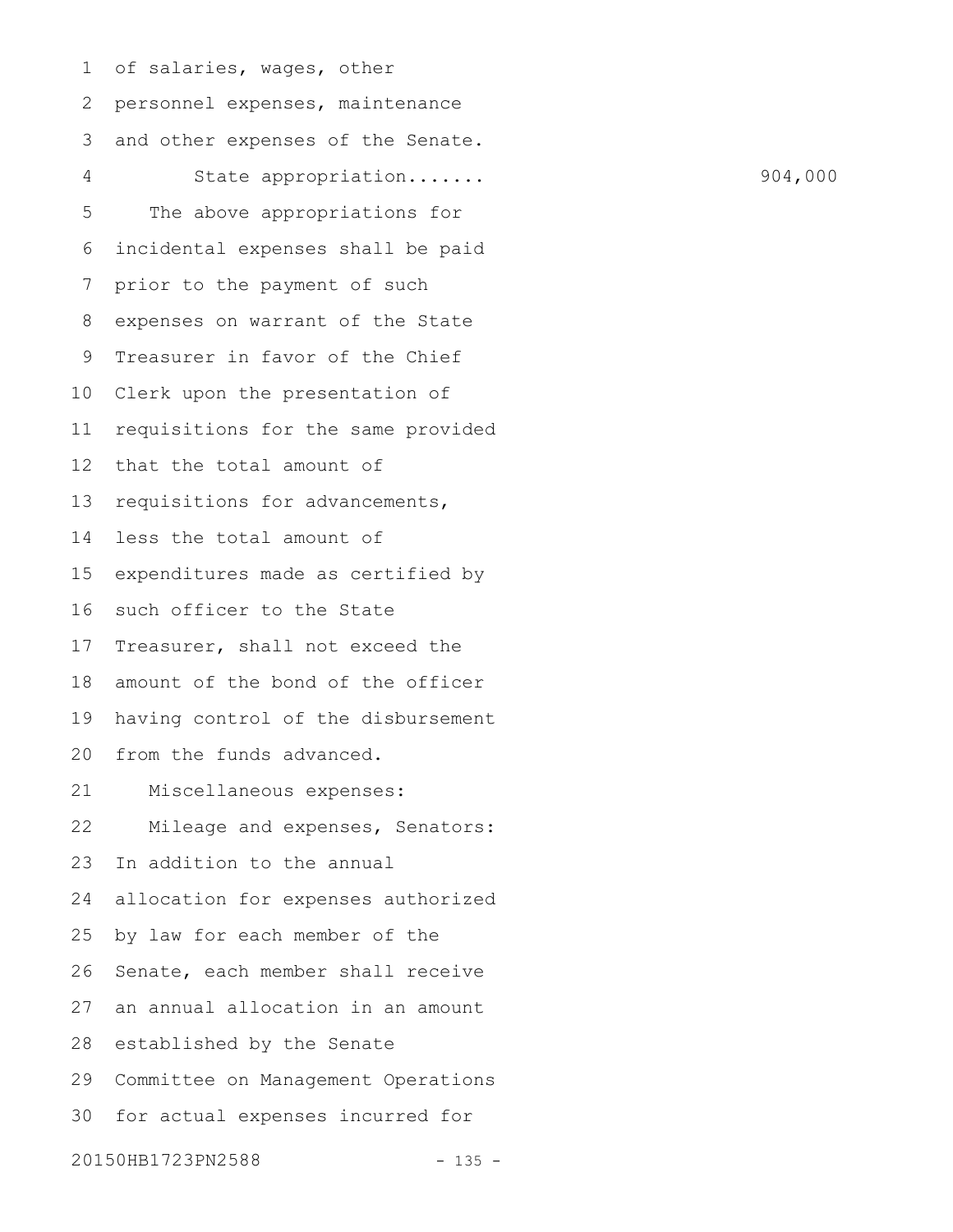of salaries, wages, other personnel expenses, maintenance and other expenses of the Senate. State appropriation....... 904,000 The above appropriations for incidental expenses shall be paid prior to the payment of such expenses on warrant of the State Treasurer in favor of the Chief Clerk upon the presentation of requisitions for the same provided that the total amount of requisitions for advancements, less the total amount of expenditures made as certified by such officer to the State Treasurer, shall not exceed the amount of the bond of the officer having control of the disbursement from the funds advanced. Miscellaneous expenses: Mileage and expenses, Senators: In addition to the annual allocation for expenses authorized by law for each member of the Senate, each member shall receive an annual allocation in an amount 28 established by the Senate Committee on Management Operations for actual expenses incurred for 20150HB1723PN2588 - 135 -1 2 3 4 5 6 7 8 9 10 11 12 13 14 15 16 17 18 19 20 21 22 23 24 25 26 27 29 30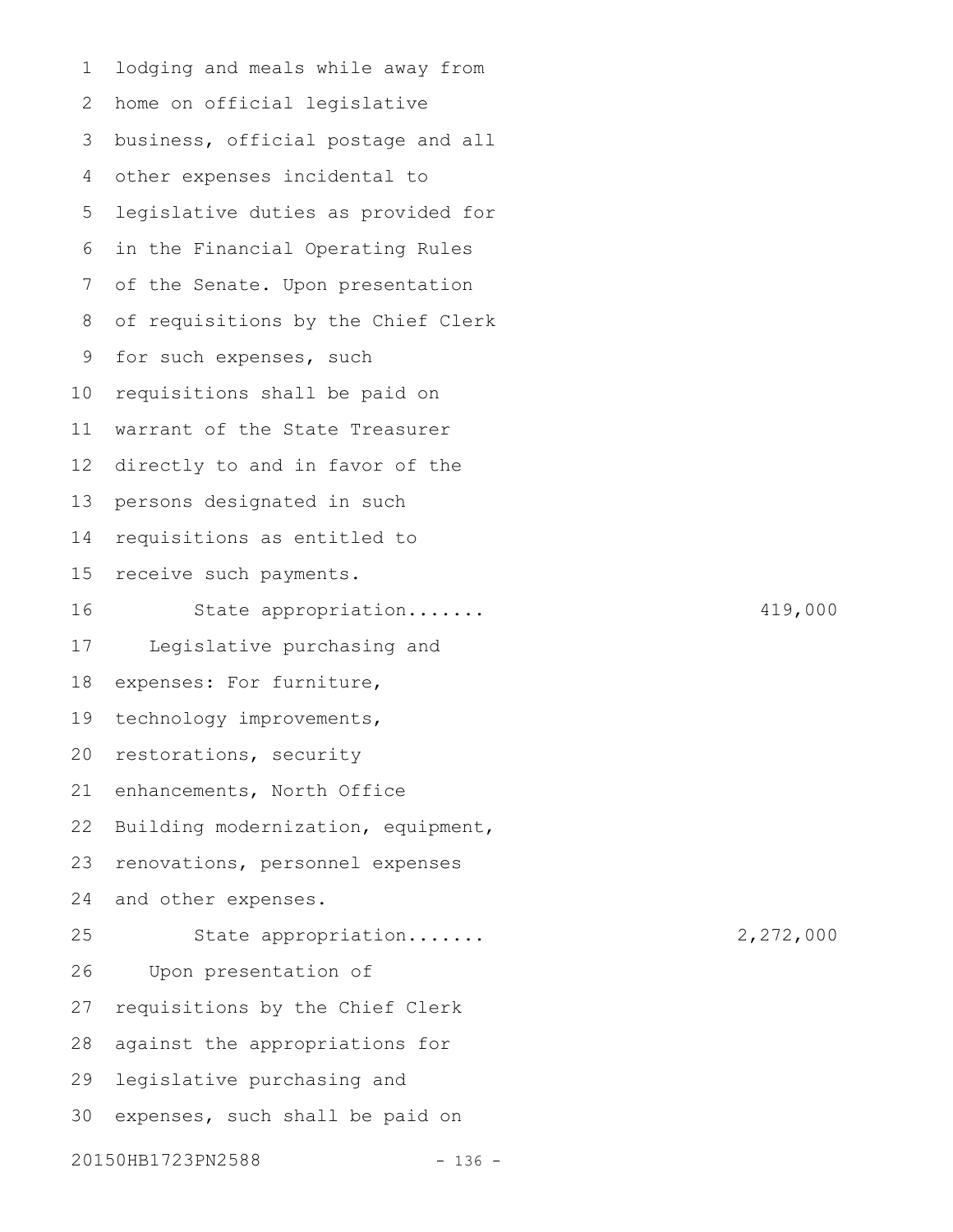lodging and meals while away from 2 home on official legislative business, official postage and all other expenses incidental to legislative duties as provided for in the Financial Operating Rules of the Senate. Upon presentation of requisitions by the Chief Clerk for such expenses, such requisitions shall be paid on warrant of the State Treasurer directly to and in favor of the persons designated in such requisitions as entitled to receive such payments. State appropriation....... 419,000 Legislative purchasing and expenses: For furniture, technology improvements, restorations, security enhancements, North Office Building modernization, equipment, renovations, personnel expenses and other expenses. State appropriation....... 2,272,000 Upon presentation of requisitions by the Chief Clerk against the appropriations for legislative purchasing and expenses, such shall be paid on 20150HB1723PN2588 - 136 -1 3 4 5 6 7 8 9 10 11 12 13 14 15 16 17 18 19 20 21 22 23 24 25 26 27 28 29 30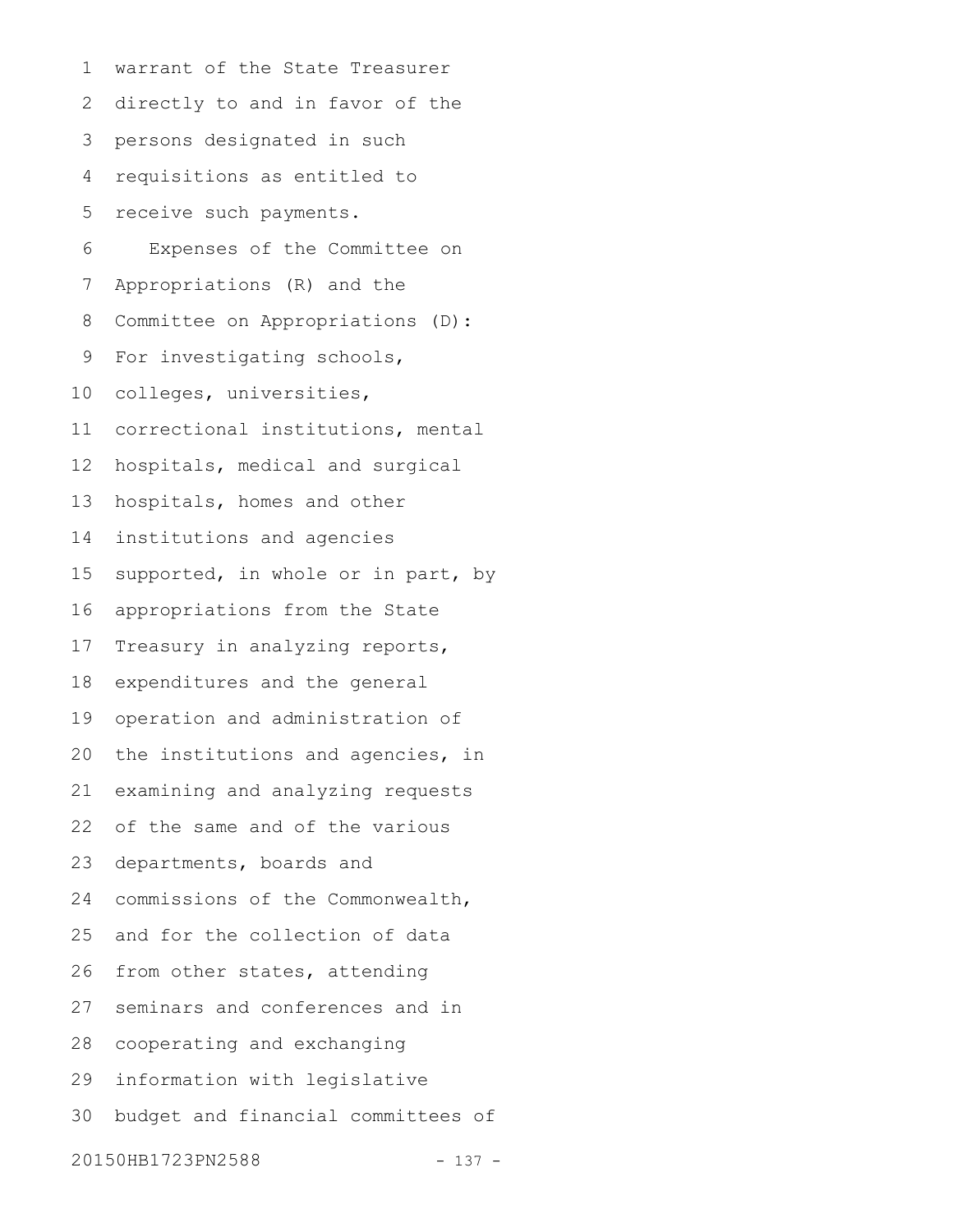warrant of the State Treasurer directly to and in favor of the persons designated in such requisitions as entitled to receive such payments. Expenses of the Committee on Appropriations (R) and the Committee on Appropriations (D): For investigating schools, colleges, universities, correctional institutions, mental hospitals, medical and surgical hospitals, homes and other institutions and agencies supported, in whole or in part, by appropriations from the State Treasury in analyzing reports, expenditures and the general operation and administration of the institutions and agencies, in examining and analyzing requests of the same and of the various departments, boards and commissions of the Commonwealth, and for the collection of data from other states, attending seminars and conferences and in cooperating and exchanging information with legislative budget and financial committees of 20150HB1723PN2588 - 137 -1 2 3 4 5 6 7 8 9 10 11 12 13 14 15 16 17 18 19 20 21 22 23 24 25 26 27 28 29 30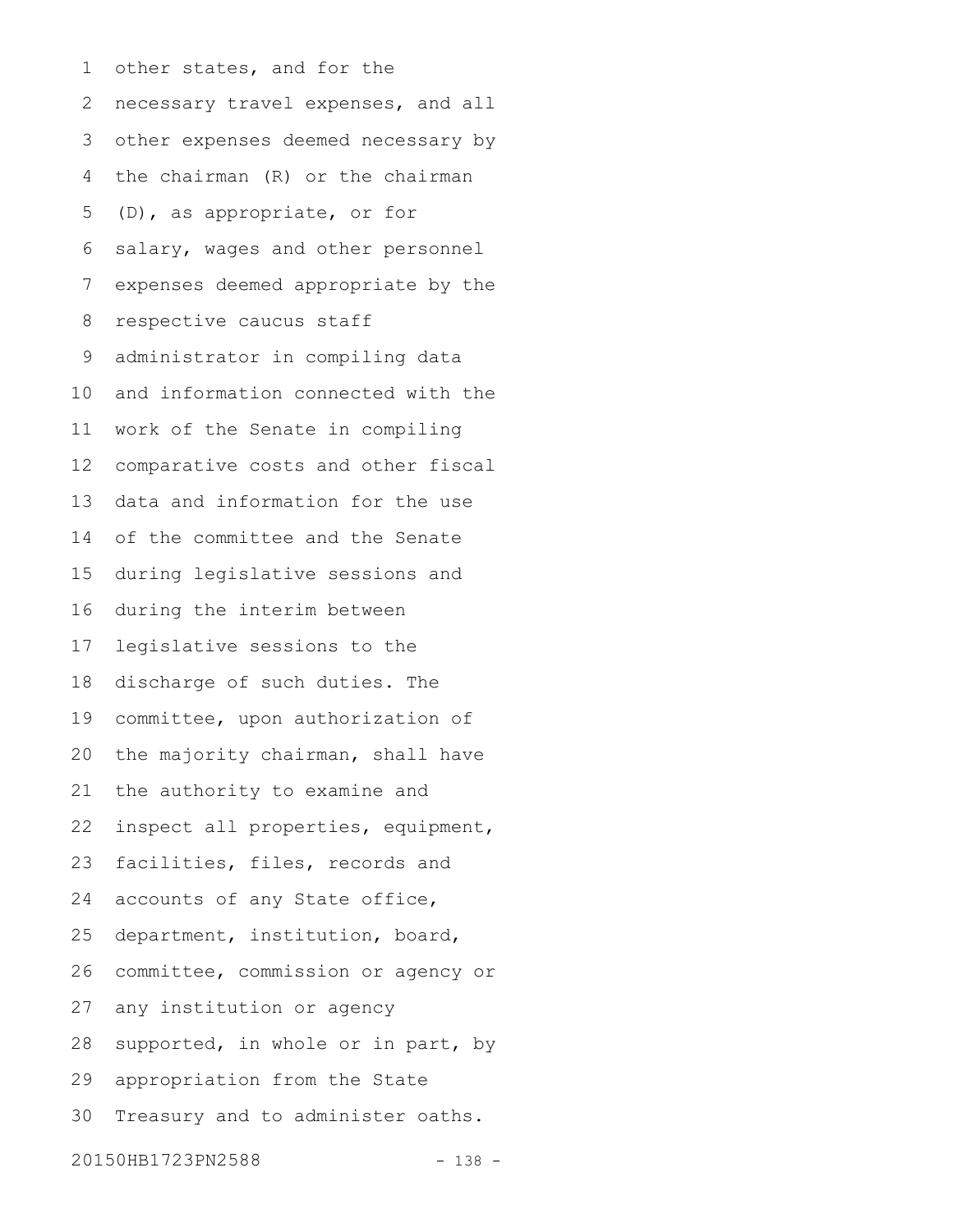other states, and for the necessary travel expenses, and all other expenses deemed necessary by the chairman (R) or the chairman (D), as appropriate, or for salary, wages and other personnel expenses deemed appropriate by the respective caucus staff administrator in compiling data and information connected with the work of the Senate in compiling comparative costs and other fiscal data and information for the use of the committee and the Senate during legislative sessions and during the interim between legislative sessions to the discharge of such duties. The committee, upon authorization of the majority chairman, shall have the authority to examine and inspect all properties, equipment, facilities, files, records and accounts of any State office, department, institution, board, committee, commission or agency or any institution or agency supported, in whole or in part, by appropriation from the State Treasury and to administer oaths. 20150HB1723PN2588 - 138 -1 2 3 4 5 6 7 8 9 10 11 12 13 14 15 16 17 18 19 20 21 22 23 24 25 26 27 28 29 30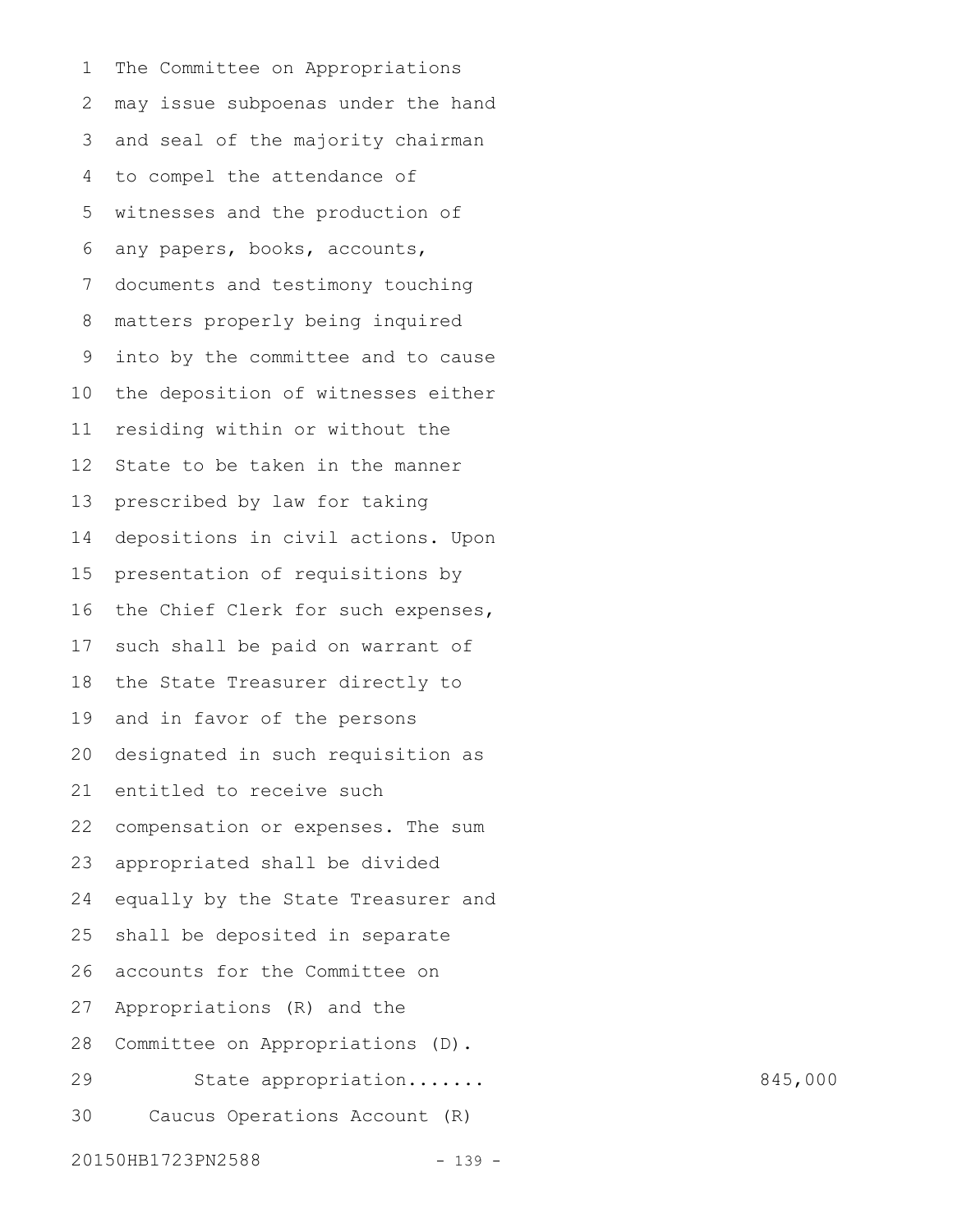The Committee on Appropriations may issue subpoenas under the hand and seal of the majority chairman to compel the attendance of witnesses and the production of any papers, books, accounts, documents and testimony touching matters properly being inquired into by the committee and to cause the deposition of witnesses either residing within or without the State to be taken in the manner prescribed by law for taking depositions in civil actions. Upon presentation of requisitions by the Chief Clerk for such expenses, such shall be paid on warrant of the State Treasurer directly to and in favor of the persons designated in such requisition as entitled to receive such compensation or expenses. The sum appropriated shall be divided equally by the State Treasurer and shall be deposited in separate accounts for the Committee on Appropriations (R) and the Committee on Appropriations (D). State appropriation....... 845,000 Caucus Operations Account (R) 1 2 3 4 5 6 7 8 9 10 11 12 13 14 15 16 17 18 19 20 21 22 23 24 25 26 27 28 29 30

20150HB1723PN2588 - 139 -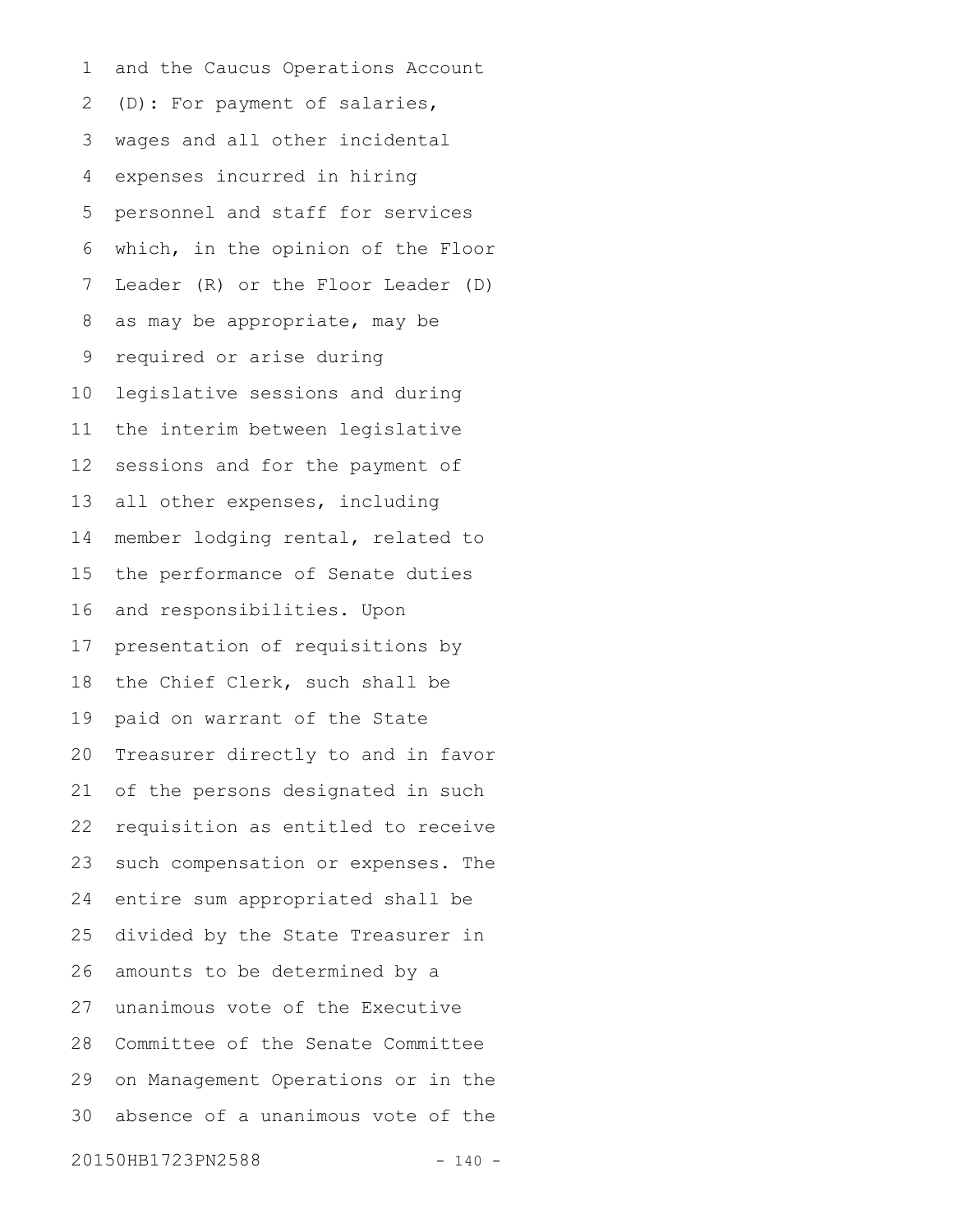and the Caucus Operations Account (D): For payment of salaries, wages and all other incidental expenses incurred in hiring personnel and staff for services which, in the opinion of the Floor Leader (R) or the Floor Leader (D) as may be appropriate, may be required or arise during legislative sessions and during the interim between legislative sessions and for the payment of all other expenses, including member lodging rental, related to the performance of Senate duties and responsibilities. Upon presentation of requisitions by the Chief Clerk, such shall be paid on warrant of the State Treasurer directly to and in favor of the persons designated in such requisition as entitled to receive such compensation or expenses. The entire sum appropriated shall be divided by the State Treasurer in amounts to be determined by a unanimous vote of the Executive Committee of the Senate Committee on Management Operations or in the absence of a unanimous vote of the 20150HB1723PN2588 - 140 -1 2 3 4 5 6 7 8 9 10 11 12 13 14 15 16 17 18 19 20 21 22 23 24 25 26 27 28 29 30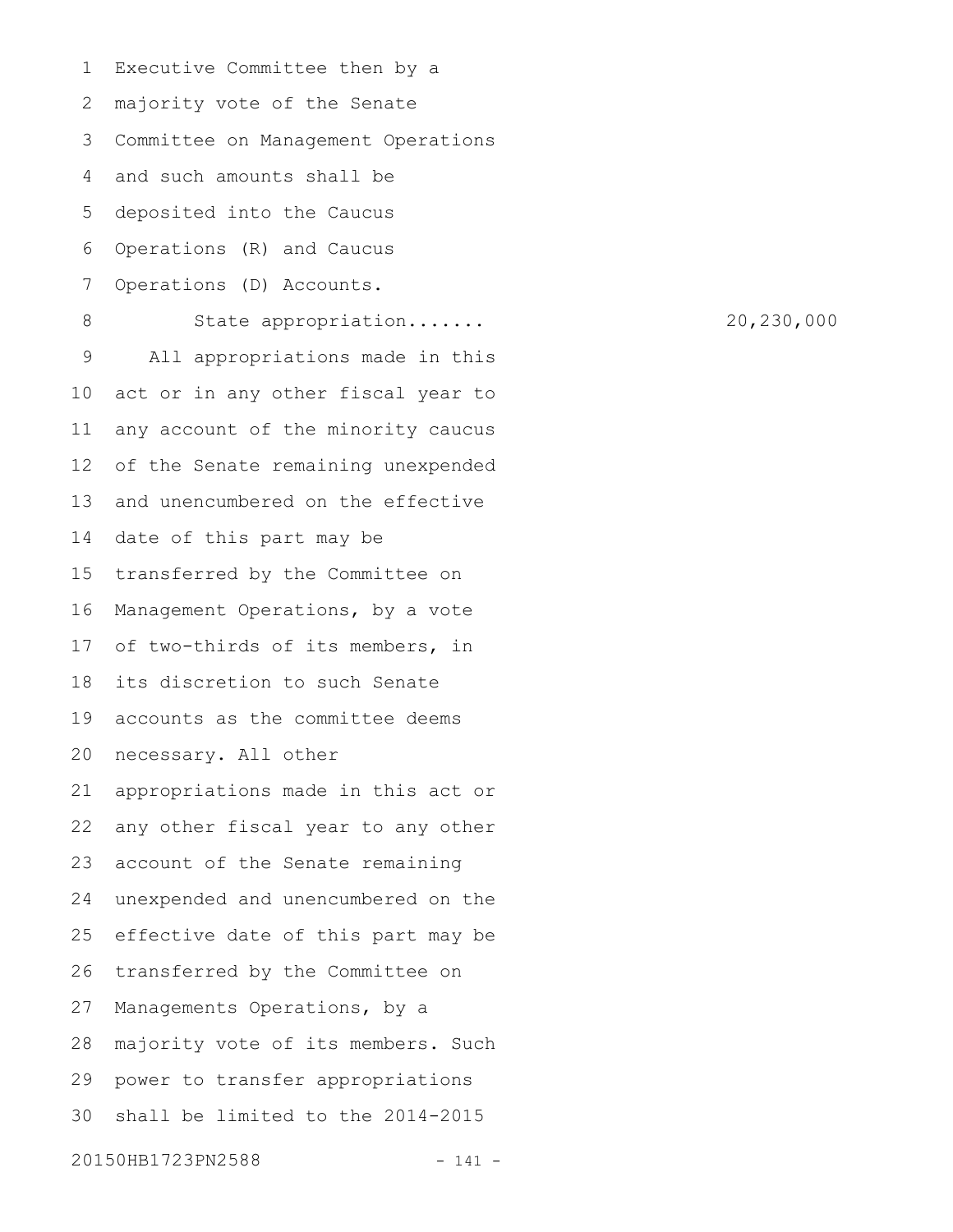Executive Committee then by a majority vote of the Senate Committee on Management Operations and such amounts shall be deposited into the Caucus Operations (R) and Caucus Operations (D) Accounts. State appropriation....... 20,230,000 All appropriations made in this act or in any other fiscal year to any account of the minority caucus of the Senate remaining unexpended and unencumbered on the effective date of this part may be transferred by the Committee on Management Operations, by a vote of two-thirds of its members, in its discretion to such Senate accounts as the committee deems necessary. All other appropriations made in this act or any other fiscal year to any other account of the Senate remaining unexpended and unencumbered on the effective date of this part may be transferred by the Committee on Managements Operations, by a majority vote of its members. Such power to transfer appropriations shall be limited to the 2014-2015 20150HB1723PN2588 - 141 -1 2 3 4 5 6 7 8 9 10 11 12 13 14 15 16 17 18 19 20 21 22 23 24 25 26 27 28 29 30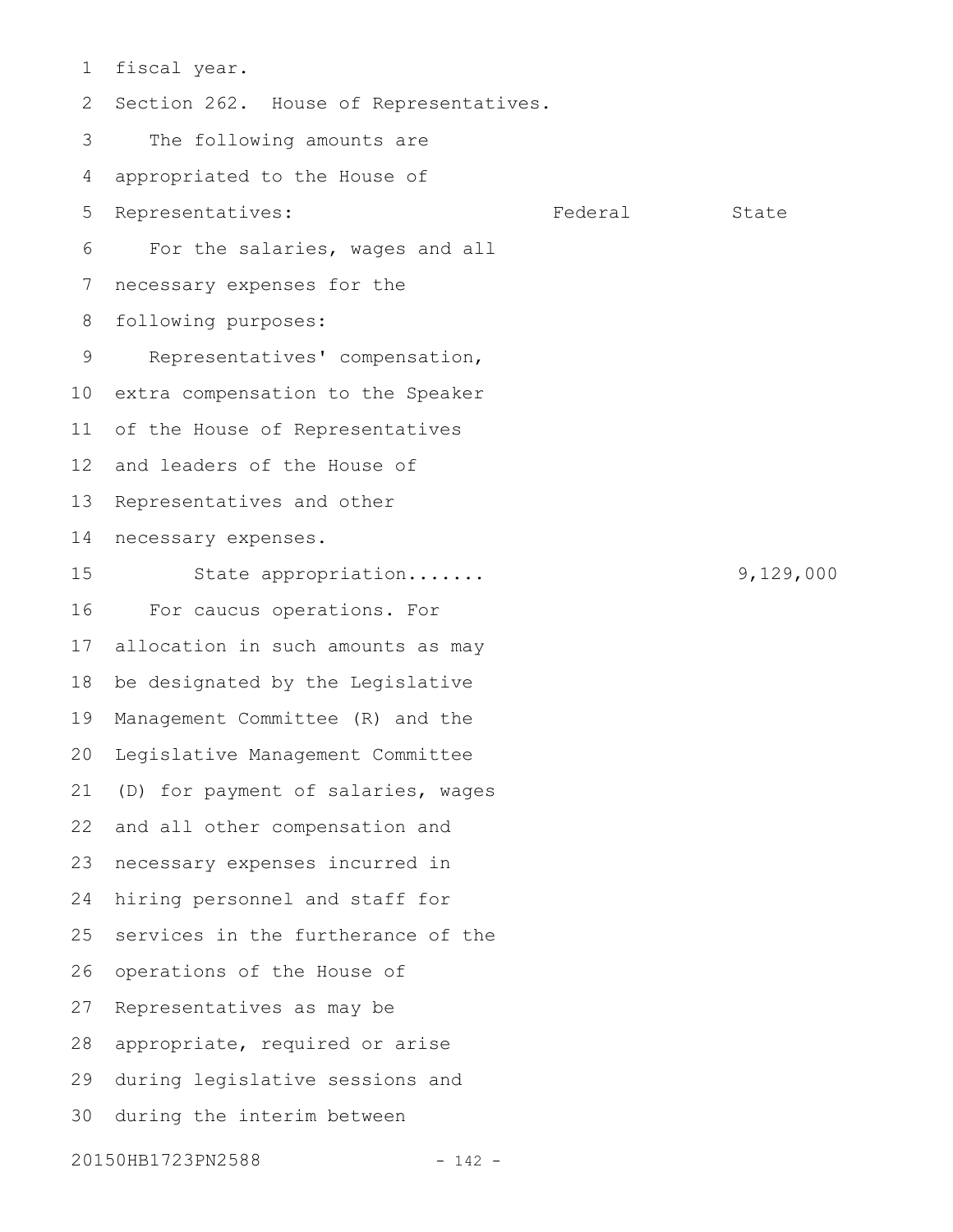fiscal year. Section 262. House of Representatives. The following amounts are appropriated to the House of Representatives: Tederal State For the salaries, wages and all necessary expenses for the following purposes: Representatives' compensation, extra compensation to the Speaker of the House of Representatives and leaders of the House of Representatives and other necessary expenses. State appropriation....... 9,129,000 For caucus operations. For allocation in such amounts as may be designated by the Legislative Management Committee (R) and the Legislative Management Committee (D) for payment of salaries, wages and all other compensation and necessary expenses incurred in hiring personnel and staff for services in the furtherance of the operations of the House of Representatives as may be appropriate, required or arise during legislative sessions and during the interim between 20150HB1723PN2588 - 142 -1 2 3 4 5 6 7 8 9 10 11 12 13 14 15 16 17 18 19 20 21 22 23 24 25 26 27 28 29 30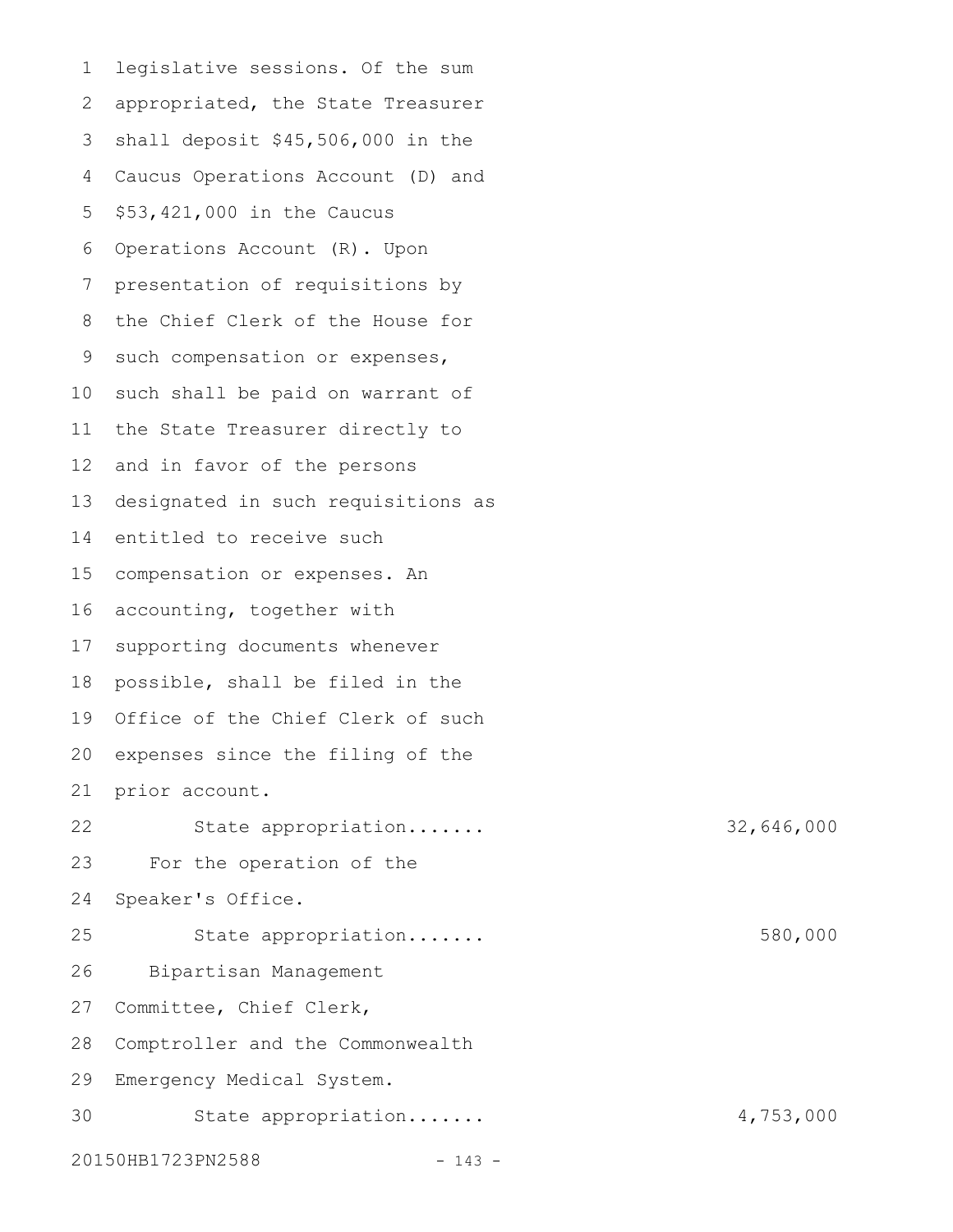legislative sessions. Of the sum appropriated, the State Treasurer shall deposit \$45,506,000 in the Caucus Operations Account (D) and \$53,421,000 in the Caucus Operations Account (R). Upon presentation of requisitions by the Chief Clerk of the House for such compensation or expenses, such shall be paid on warrant of the State Treasurer directly to and in favor of the persons designated in such requisitions as entitled to receive such compensation or expenses. An accounting, together with supporting documents whenever possible, shall be filed in the Office of the Chief Clerk of such expenses since the filing of the prior account. State appropriation....... 32,646,000 For the operation of the Speaker's Office. State appropriation....... 580,000 Bipartisan Management Committee, Chief Clerk, Comptroller and the Commonwealth Emergency Medical System. State appropriation....... 4,753,000 20150HB1723PN2588 - 143 -1 2 3 4 5 6 7 8 9 10 11 12 13 14 15 16 17 18 19 20 21 22 23 24 25 26 27 28 29 30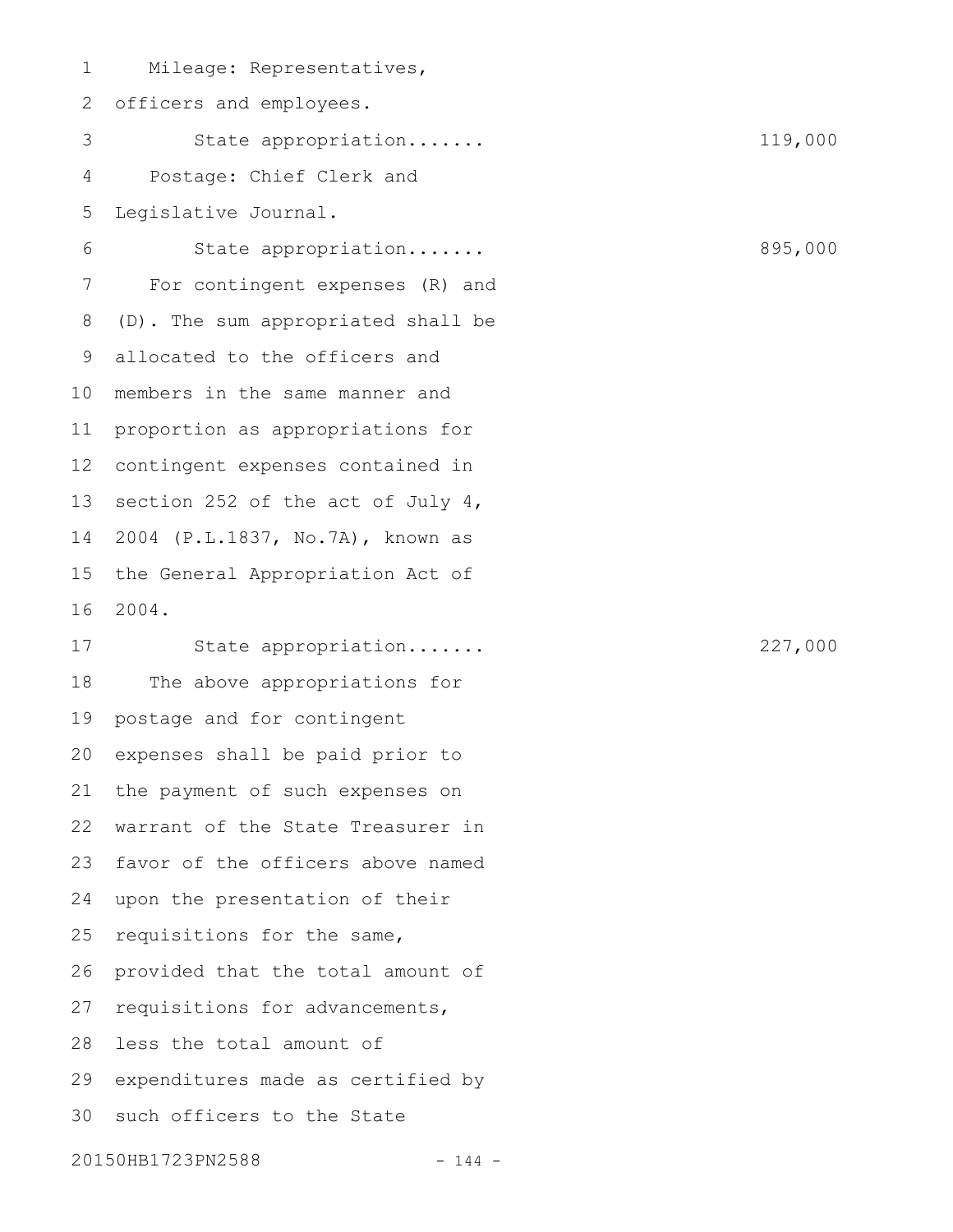Mileage: Representatives, officers and employees. State appropriation....... 119,000 Postage: Chief Clerk and Legislative Journal. State appropriation....... 895,000 For contingent expenses (R) and (D). The sum appropriated shall be allocated to the officers and members in the same manner and proportion as appropriations for contingent expenses contained in section 252 of the act of July 4, 2004 (P.L.1837, No.7A), known as the General Appropriation Act of 2004. State appropriation....... 227,000 The above appropriations for postage and for contingent expenses shall be paid prior to the payment of such expenses on warrant of the State Treasurer in favor of the officers above named upon the presentation of their requisitions for the same, provided that the total amount of requisitions for advancements, less the total amount of expenditures made as certified by such officers to the State 20150HB1723PN2588 - 144 -1 2 3 4 5 6 7 8 9 10 11 12 13 14 15 16 17 18 19 20 21 22 23 24 25 26 27 28 29 30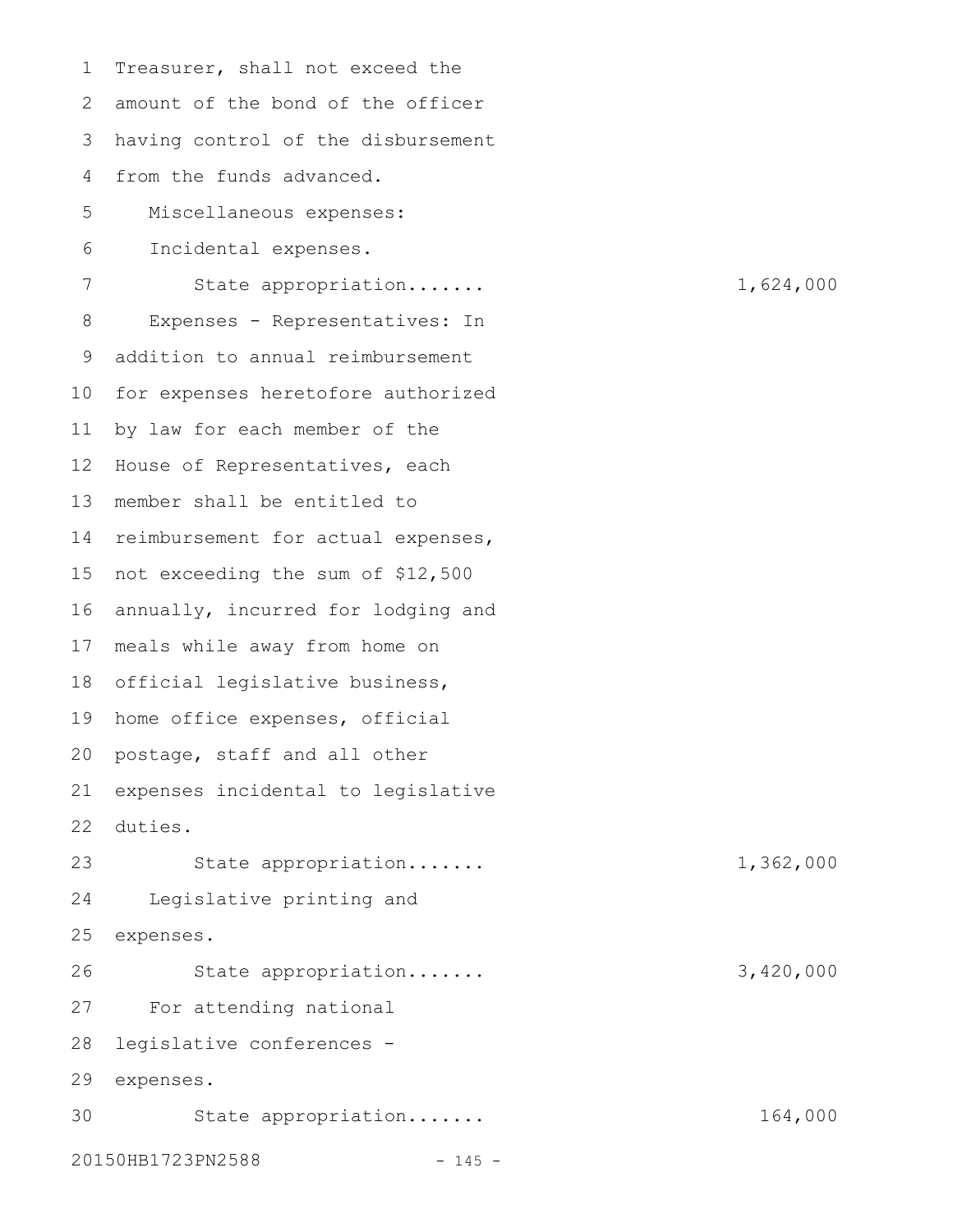Treasurer, shall not exceed the amount of the bond of the officer having control of the disbursement from the funds advanced. Miscellaneous expenses: Incidental expenses. State appropriation....... 1,624,000 Expenses - Representatives: In addition to annual reimbursement for expenses heretofore authorized by law for each member of the House of Representatives, each member shall be entitled to 14 reimbursement for actual expenses, 15 not exceeding the sum of \$12,500 annually, incurred for lodging and meals while away from home on official legislative business, 18 19 home office expenses, official 20 postage, staff and all other expenses incidental to legislative duties. State appropriation....... 1,362,000 Legislative printing and expenses. State appropriation....... 3,420,000 For attending national legislative conferences expenses. State appropriation....... 164,000 20150HB1723PN2588 - 145 -1 2 3 4 5 6 7 8 9 10 11 12 13 16 17 21 22 23 24 25 26 27 28 29 30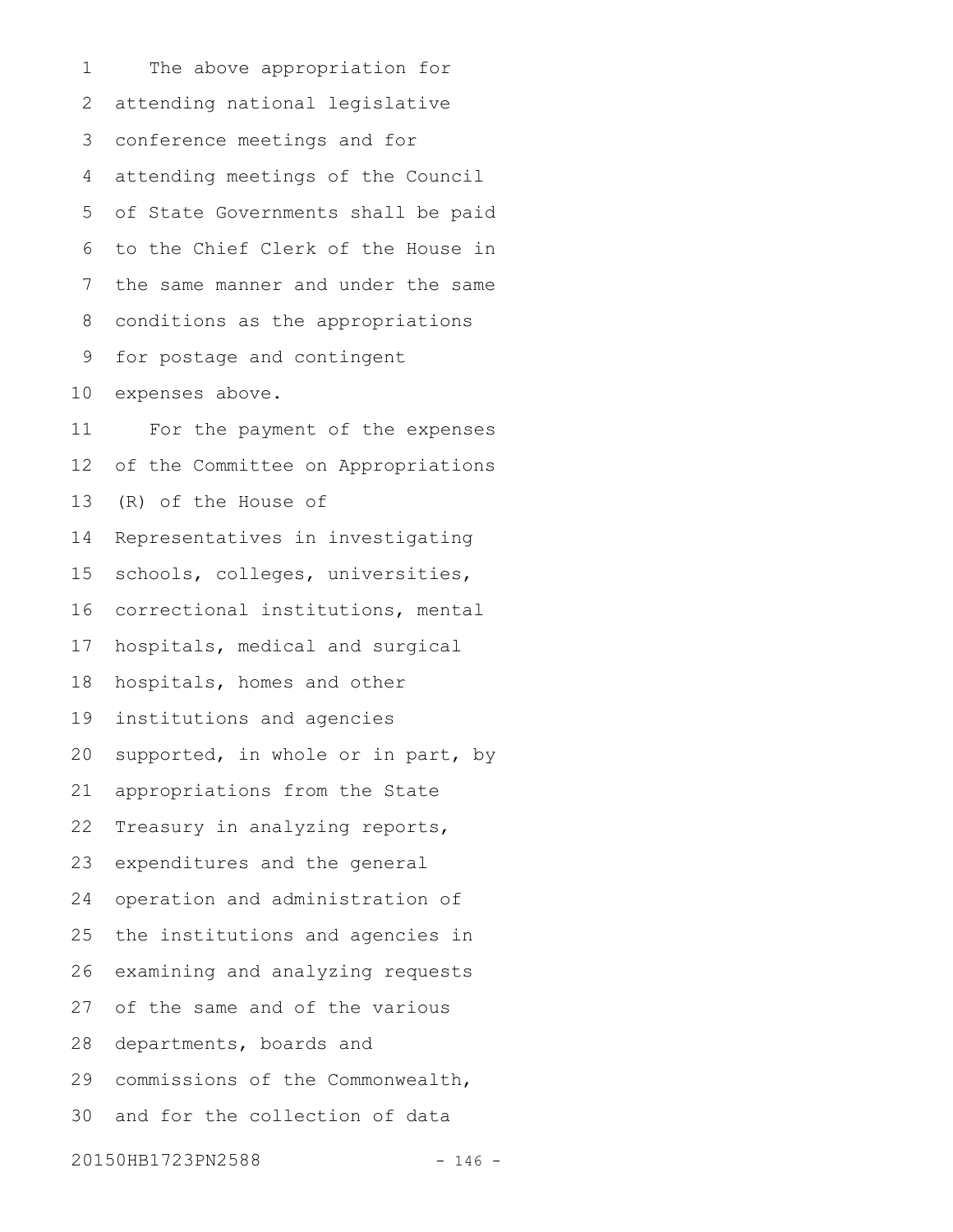The above appropriation for attending national legislative conference meetings and for attending meetings of the Council of State Governments shall be paid to the Chief Clerk of the House in the same manner and under the same conditions as the appropriations for postage and contingent expenses above. For the payment of the expenses of the Committee on Appropriations (R) of the House of Representatives in investigating schools, colleges, universities, correctional institutions, mental hospitals, medical and surgical hospitals, homes and other institutions and agencies supported, in whole or in part, by appropriations from the State Treasury in analyzing reports, expenditures and the general operation and administration of the institutions and agencies in examining and analyzing requests of the same and of the various departments, boards and commissions of the Commonwealth, and for the collection of data 20150HB1723PN2588 - 146 -1 2 3 4 5 6 7 8 9 10 11 12 13 14 15 16 17 18 19 20 21 22 23 24 25 26 27 28 29 30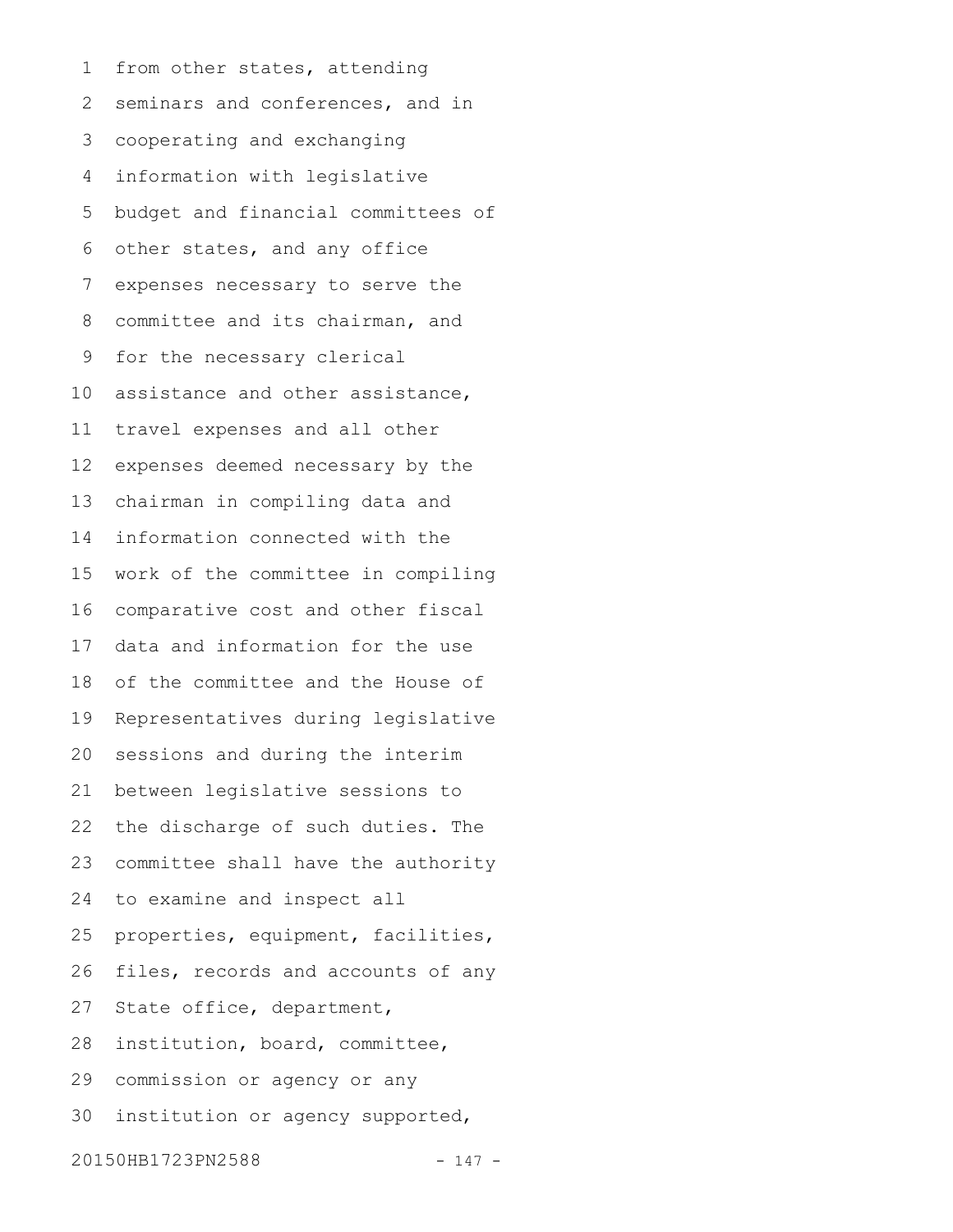from other states, attending seminars and conferences, and in cooperating and exchanging information with legislative budget and financial committees of other states, and any office expenses necessary to serve the committee and its chairman, and for the necessary clerical assistance and other assistance, travel expenses and all other expenses deemed necessary by the chairman in compiling data and information connected with the work of the committee in compiling comparative cost and other fiscal data and information for the use of the committee and the House of Representatives during legislative sessions and during the interim between legislative sessions to the discharge of such duties. The committee shall have the authority to examine and inspect all properties, equipment, facilities, files, records and accounts of any State office, department, institution, board, committee, commission or agency or any institution or agency supported, 20150HB1723PN2588 - 147 -1 2 3 4 5 6 7 8 9 10 11 12 13 14 15 16 17 18 19 20 21 22 23 24 25 26 27 28 29 30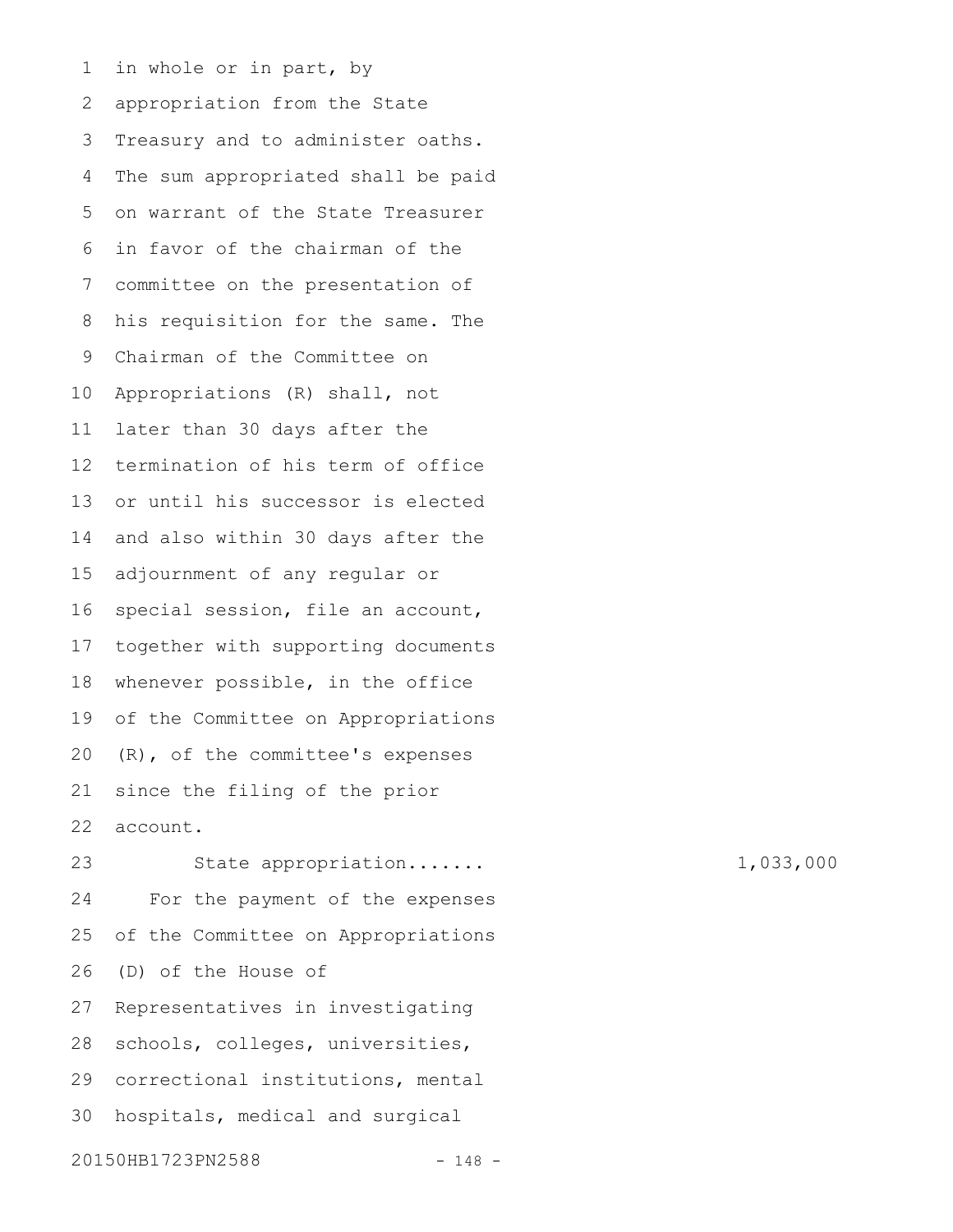in whole or in part, by appropriation from the State Treasury and to administer oaths. The sum appropriated shall be paid on warrant of the State Treasurer in favor of the chairman of the committee on the presentation of his requisition for the same. The Chairman of the Committee on Appropriations (R) shall, not later than 30 days after the termination of his term of office or until his successor is elected and also within 30 days after the adjournment of any regular or special session, file an account, together with supporting documents whenever possible, in the office of the Committee on Appropriations (R), of the committee's expenses since the filing of the prior account. 1 2 3 4 5 6 7 8 9 10 11 12 13 14 15 16 17 18 19 20 21 22

State appropriation....... 1,033,000 For the payment of the expenses of the Committee on Appropriations (D) of the House of Representatives in investigating schools, colleges, universities, correctional institutions, mental hospitals, medical and surgical 20150HB1723PN2588 - 148 -23 24 25 26 27 28 29 30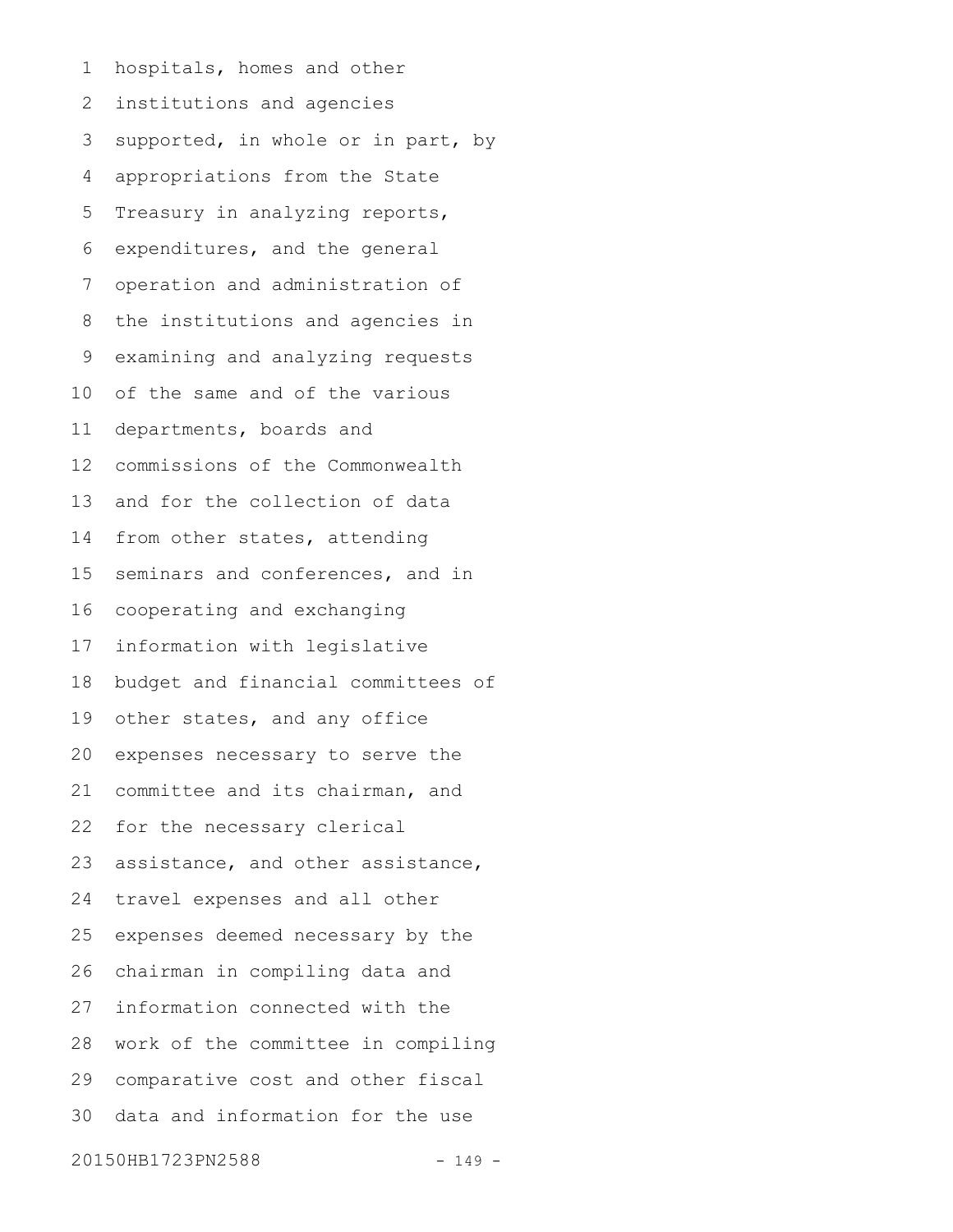hospitals, homes and other institutions and agencies supported, in whole or in part, by appropriations from the State Treasury in analyzing reports, expenditures, and the general operation and administration of the institutions and agencies in examining and analyzing requests of the same and of the various departments, boards and commissions of the Commonwealth and for the collection of data from other states, attending seminars and conferences, and in cooperating and exchanging information with legislative budget and financial committees of other states, and any office expenses necessary to serve the committee and its chairman, and for the necessary clerical assistance, and other assistance, travel expenses and all other expenses deemed necessary by the chairman in compiling data and information connected with the work of the committee in compiling comparative cost and other fiscal data and information for the use 20150HB1723PN2588 - 149 -1 2 3 4 5 6 7 8 9 10 11 12 13 14 15 16 17 18 19 20 21 22 23 24 25 26 27 28 29 30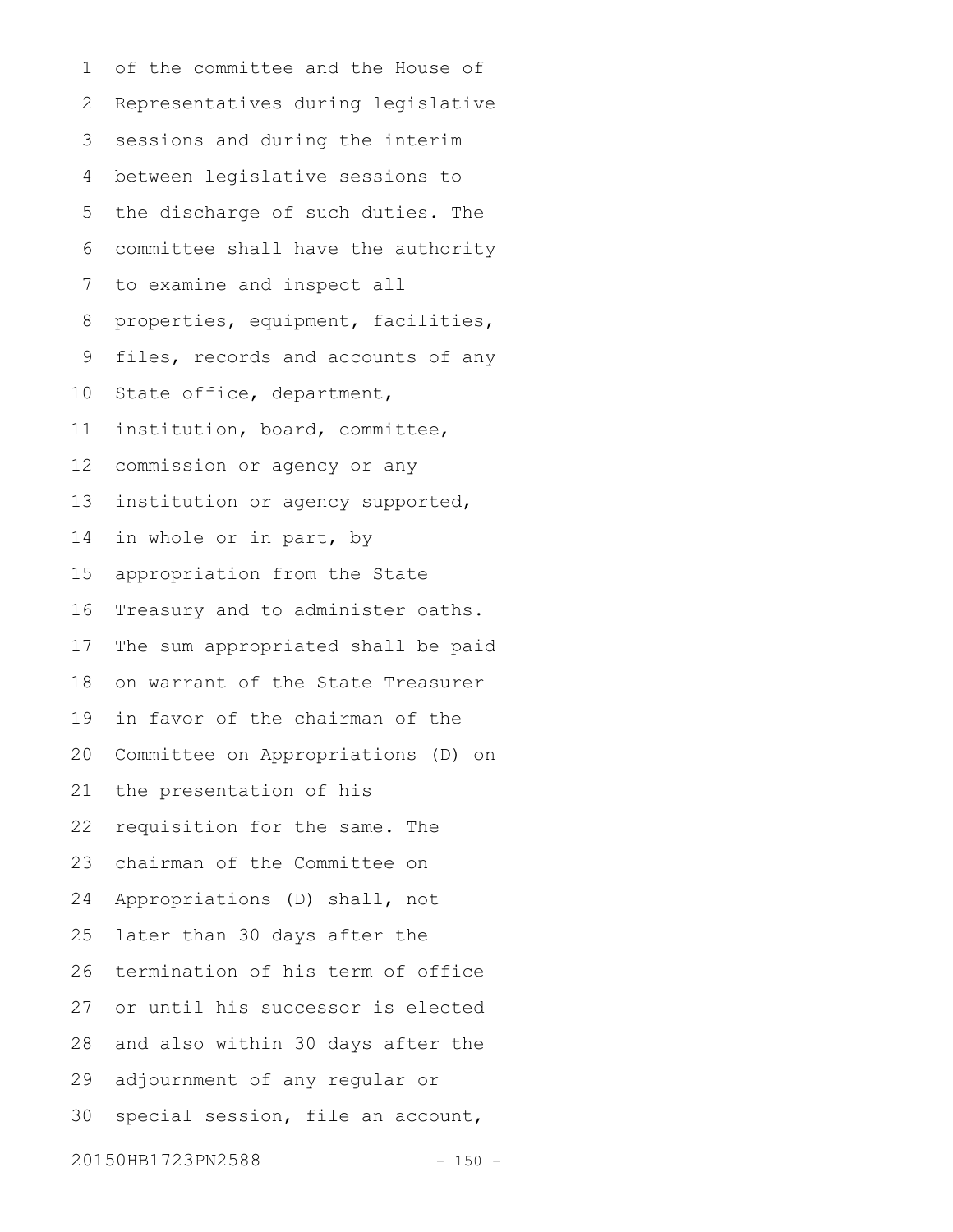of the committee and the House of Representatives during legislative sessions and during the interim between legislative sessions to the discharge of such duties. The committee shall have the authority to examine and inspect all properties, equipment, facilities, files, records and accounts of any State office, department, institution, board, committee, commission or agency or any institution or agency supported, in whole or in part, by appropriation from the State Treasury and to administer oaths. The sum appropriated shall be paid on warrant of the State Treasurer in favor of the chairman of the Committee on Appropriations (D) on the presentation of his requisition for the same. The chairman of the Committee on Appropriations (D) shall, not later than 30 days after the termination of his term of office or until his successor is elected and also within 30 days after the adjournment of any regular or special session, file an account, 20150HB1723PN2588 - 150 -1 2 3 4 5 6 7 8 9 10 11 12 13 14 15 16 17 18 19 20 21 22 23 24 25 26 27 28 29 30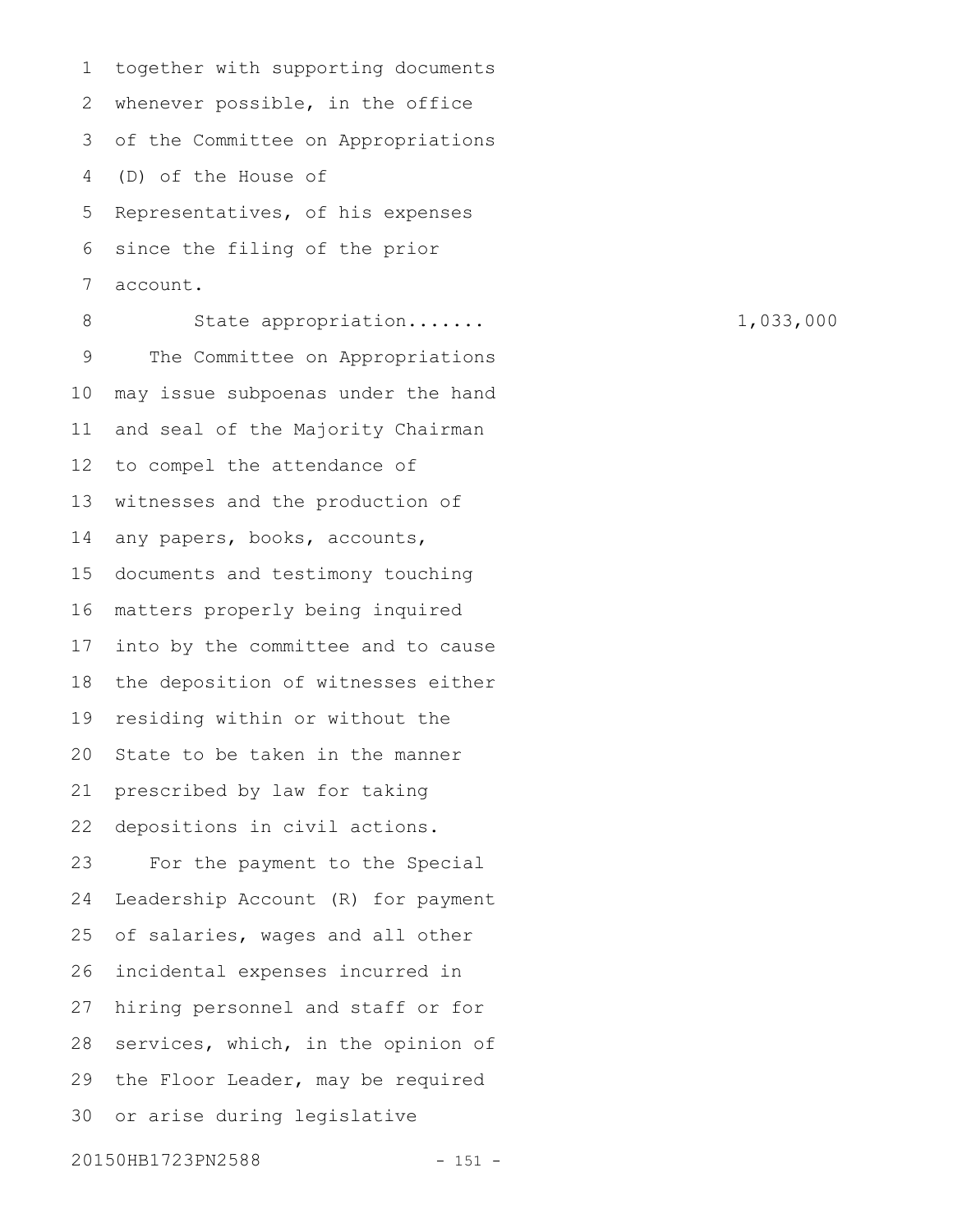together with supporting documents whenever possible, in the office of the Committee on Appropriations (D) of the House of Representatives, of his expenses since the filing of the prior account. 1 2 3 4 5 6 7

State appropriation....... 1,033,000 The Committee on Appropriations may issue subpoenas under the hand and seal of the Majority Chairman to compel the attendance of witnesses and the production of any papers, books, accounts, documents and testimony touching matters properly being inquired into by the committee and to cause the deposition of witnesses either residing within or without the State to be taken in the manner prescribed by law for taking depositions in civil actions. For the payment to the Special Leadership Account (R) for payment of salaries, wages and all other incidental expenses incurred in hiring personnel and staff or for services, which, in the opinion of the Floor Leader, may be required or arise during legislative 20150HB1723PN2588 - 151 -8 9 10 11 12 13 14 15 16 17 18 19 20 21 22 23 24 25 26 27 28 29 30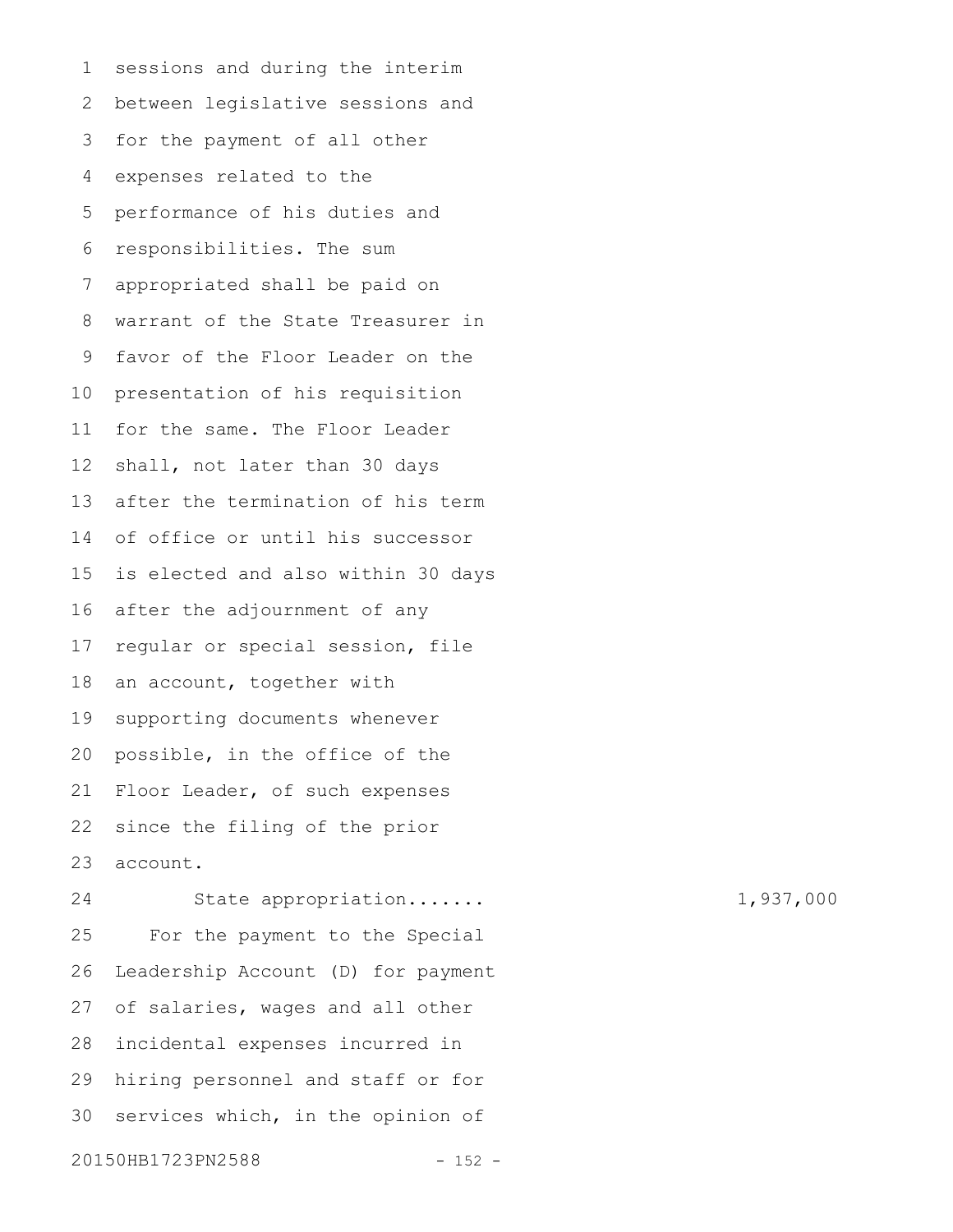sessions and during the interim between legislative sessions and for the payment of all other expenses related to the performance of his duties and responsibilities. The sum appropriated shall be paid on warrant of the State Treasurer in favor of the Floor Leader on the presentation of his requisition for the same. The Floor Leader shall, not later than 30 days after the termination of his term of office or until his successor is elected and also within 30 days after the adjournment of any regular or special session, file an account, together with supporting documents whenever possible, in the office of the Floor Leader, of such expenses since the filing of the prior account. State appropriation....... 1,937,000 For the payment to the Special 1 2 3 4 5 6 7 8 9 10 11 12 13 14 15 16 17 18 19 20 21 22 23 24 25

Leadership Account (D) for payment of salaries, wages and all other incidental expenses incurred in hiring personnel and staff or for services which, in the opinion of 20150HB1723PN2588 - 152 -26 27 28 29 30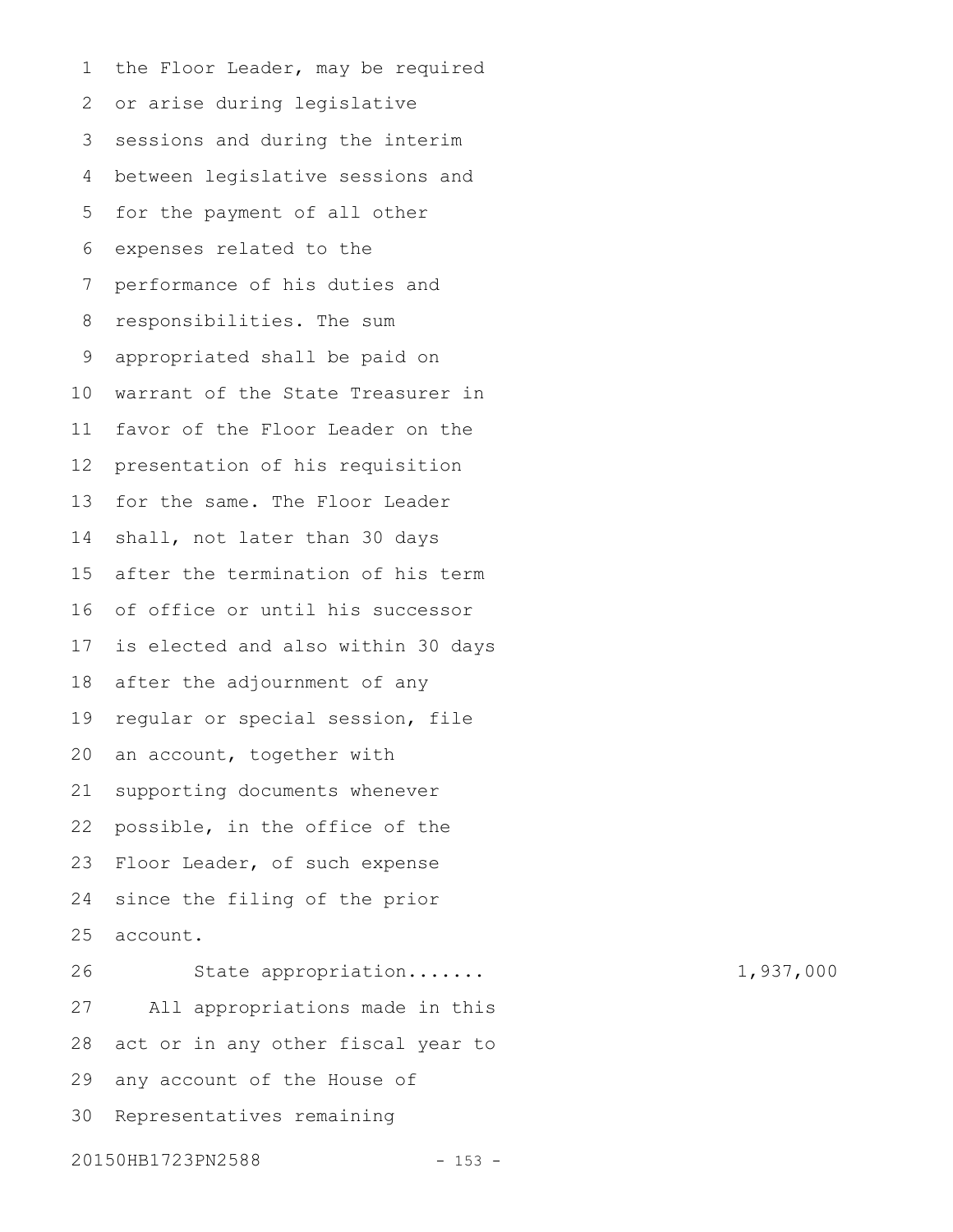the Floor Leader, may be required or arise during legislative sessions and during the interim between legislative sessions and for the payment of all other expenses related to the performance of his duties and responsibilities. The sum appropriated shall be paid on warrant of the State Treasurer in favor of the Floor Leader on the presentation of his requisition for the same. The Floor Leader shall, not later than 30 days after the termination of his term of office or until his successor is elected and also within 30 days after the adjournment of any regular or special session, file an account, together with supporting documents whenever possible, in the office of the Floor Leader, of such expense since the filing of the prior account. State appropriation....... 1,937,000 All appropriations made in this act or in any other fiscal year to any account of the House of Representatives remaining 1 2 3 4 5 6 7 8 9 10 11 12 13 14 15 16 17 18 19 20 21 22 23 24 25 26 27 28 29 30

## 20150HB1723PN2588 - 153 -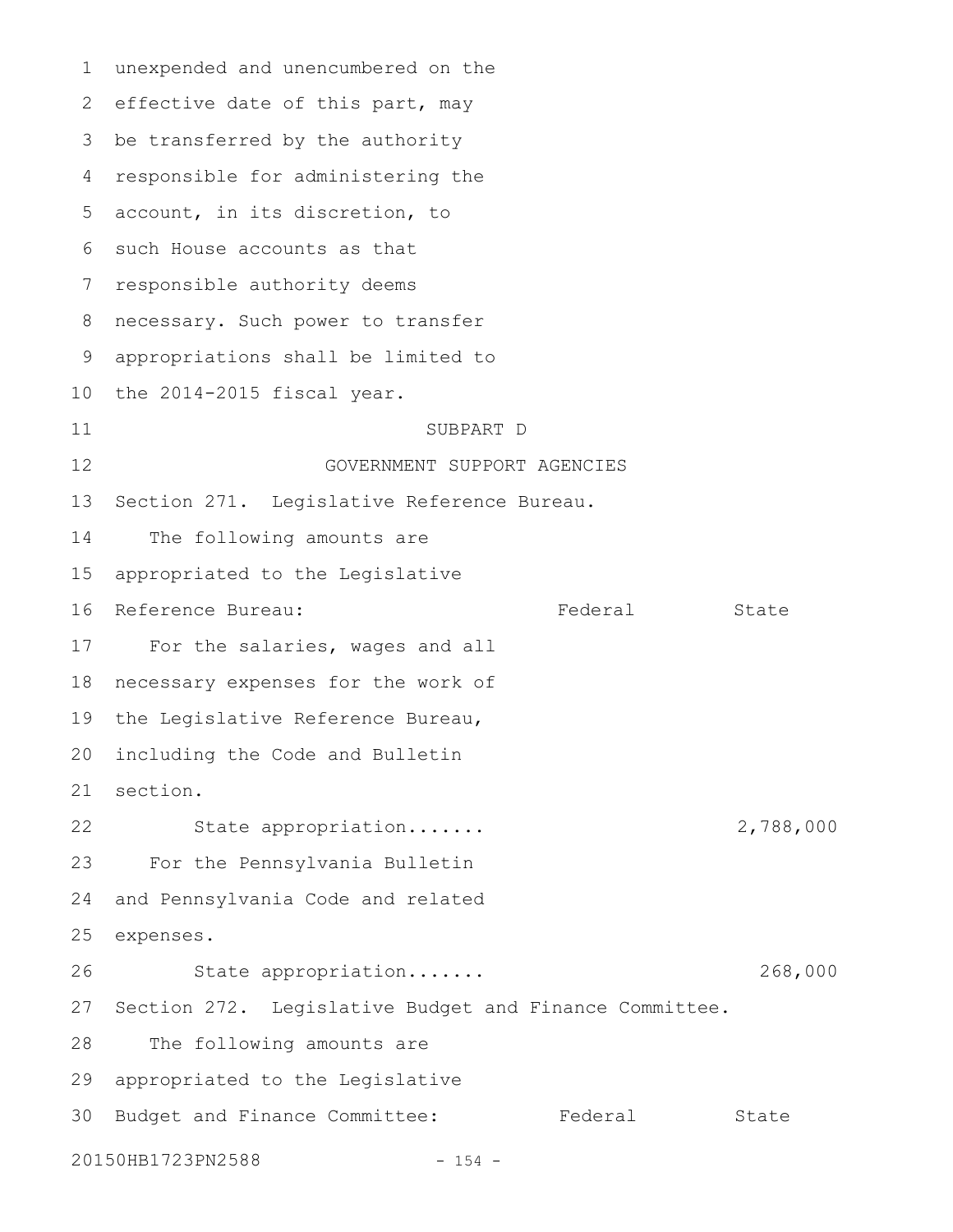unexpended and unencumbered on the 2 effective date of this part, may 3 be transferred by the authority responsible for administering the account, in its discretion, to 6 such House accounts as that 7 responsible authority deems necessary. Such power to transfer appropriations shall be limited to 10 the 2014-2015 fiscal year. SUBPART D GOVERNMENT SUPPORT AGENCIES Section 271. Legislative Reference Bureau. The following amounts are appropriated to the Legislative 16 Reference Bureau: Tederal Eederal For the salaries, wages and all 18 necessary expenses for the work of the Legislative Reference Bureau, including the Code and Bulletin section. State appropriation....... 2,788,000 For the Pennsylvania Bulletin and Pennsylvania Code and related expenses. State appropriation....... 268,000 27 Section 272. Legislative Budget and Finance Committee. The following amounts are appropriated to the Legislative 30 Budget and Finance Committee: Federal State 20150HB1723PN2588 - 154 -1 4 5 8 9 11 12 13 14 15 17 19 20 21 22 23 24 25 26 28 29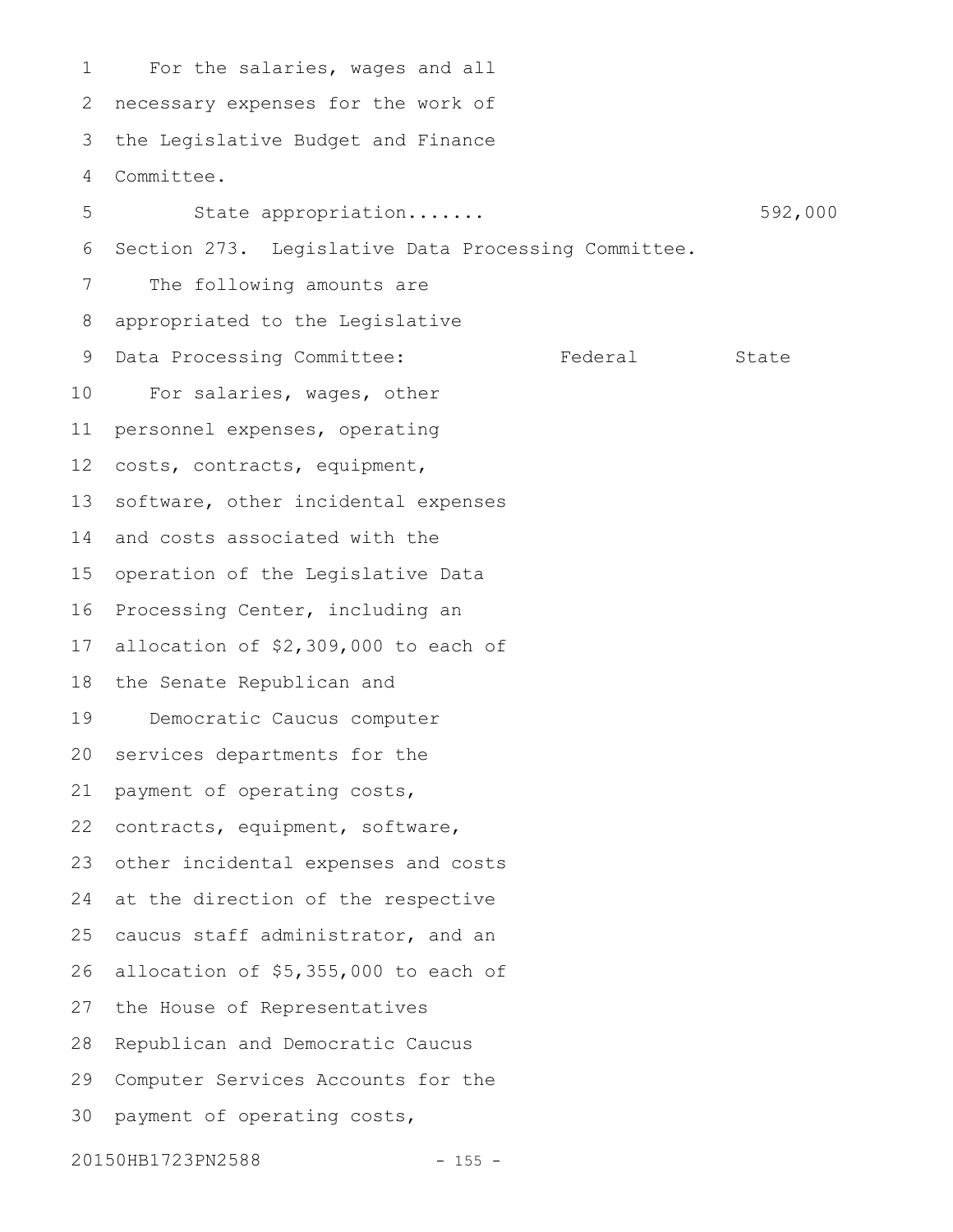For the salaries, wages and all necessary expenses for the work of the Legislative Budget and Finance Committee. State appropriation....... 592,000 Section 273. Legislative Data Processing Committee. The following amounts are appropriated to the Legislative Data Processing Committee: Federal State For salaries, wages, other personnel expenses, operating costs, contracts, equipment, software, other incidental expenses and costs associated with the operation of the Legislative Data Processing Center, including an allocation of \$2,309,000 to each of the Senate Republican and Democratic Caucus computer services departments for the payment of operating costs, contracts, equipment, software, other incidental expenses and costs 24 at the direction of the respective caucus staff administrator, and an allocation of \$5,355,000 to each of 27 the House of Representatives Republican and Democratic Caucus Computer Services Accounts for the payment of operating costs, 1 2 3 4 5 6 7 8 9 10 11 12 13 14 15 16 17 18 19 20 21 22 23 25 26 28 29 30

20150HB1723PN2588 - 155 -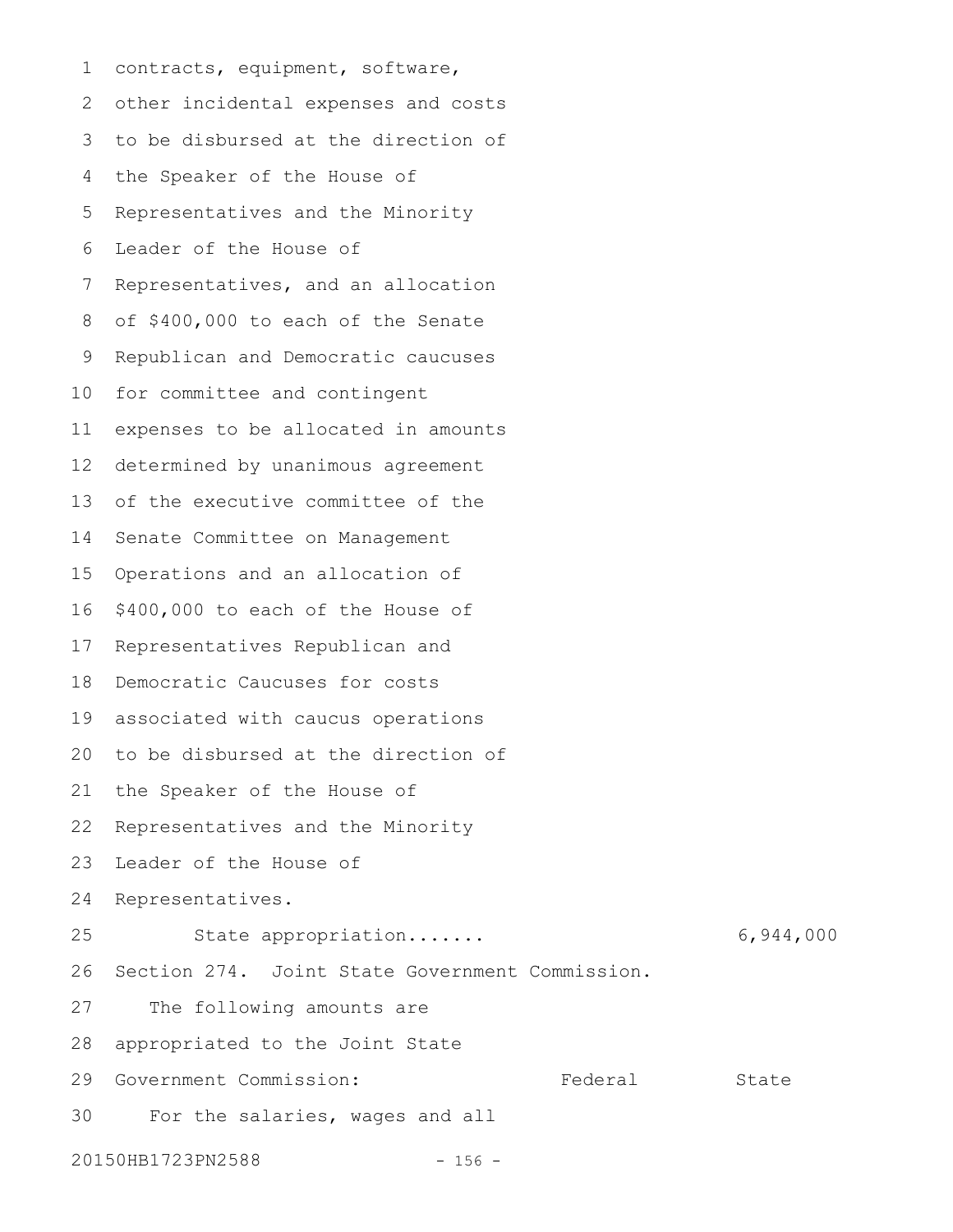contracts, equipment, software, other incidental expenses and costs 3 to be disbursed at the direction of the Speaker of the House of Representatives and the Minority Leader of the House of Representatives, and an allocation of \$400,000 to each of the Senate Republican and Democratic caucuses for committee and contingent expenses to be allocated in amounts determined by unanimous agreement of the executive committee of the Senate Committee on Management Operations and an allocation of \$400,000 to each of the House of Representatives Republican and Democratic Caucuses for costs associated with caucus operations 20 to be disbursed at the direction of the Speaker of the House of Representatives and the Minority Leader of the House of Representatives. State appropriation....... 6,944,000 Section 274. Joint State Government Commission. The following amounts are appropriated to the Joint State Government Commission: The State State State State For the salaries, wages and all 20150HB1723PN2588 - 156 -1 2 4 5 6 7 8 9 10 11 12 13 14 15 16 17 18 19 21 22 23 24 25 26 27 28 29 30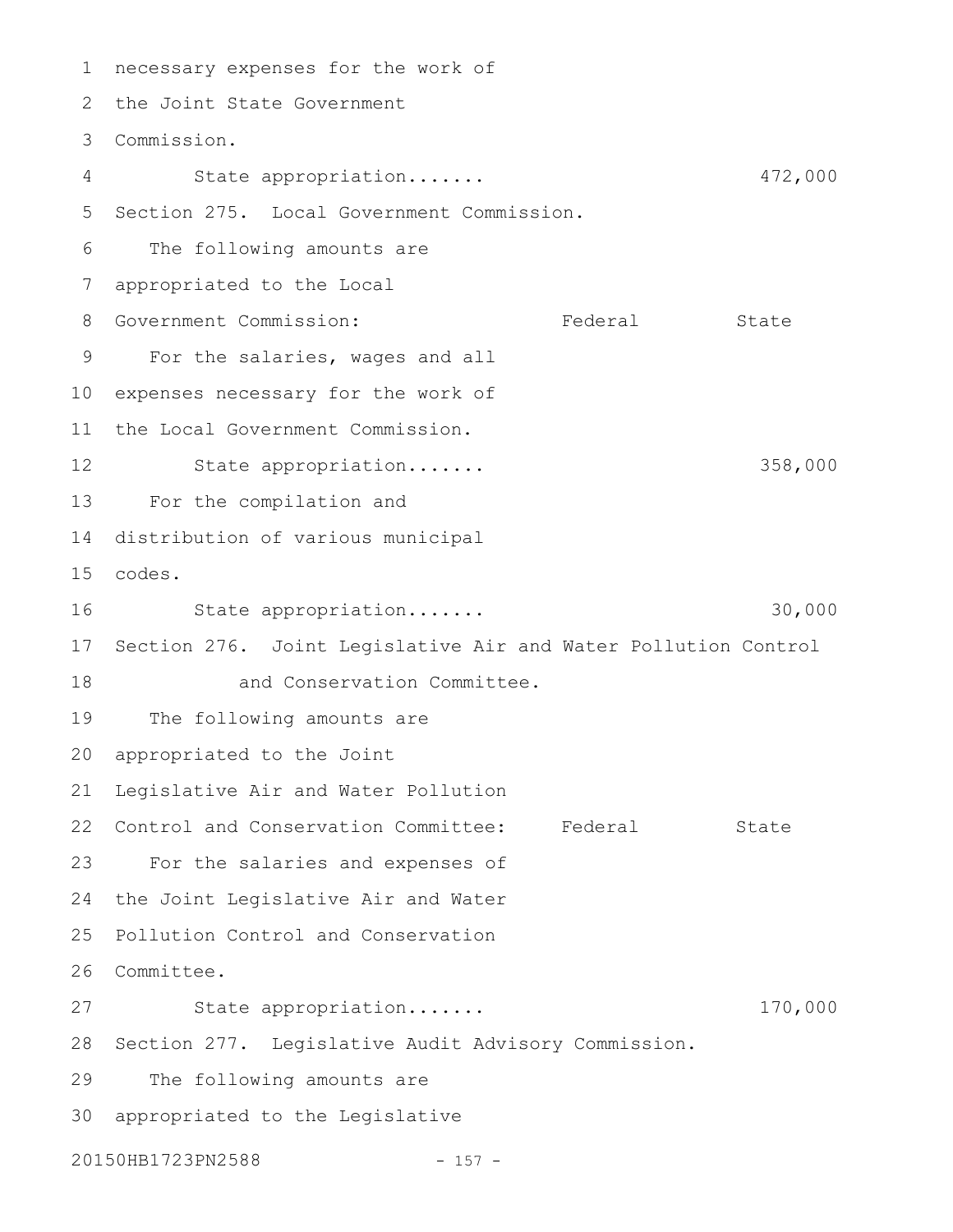necessary expenses for the work of the Joint State Government Commission. 3 State appropriation....... 472,000 Section 275. Local Government Commission. 5 The following amounts are appropriated to the Local Government Commission: Federal State For the salaries, wages and all expenses necessary for the work of the Local Government Commission. State appropriation....... 358,000 For the compilation and 14 distribution of various municipal codes. 15 State appropriation....... 30,000 17 Section 276. Joint Legislative Air and Water Pollution Control and Conservation Committee. The following amounts are appropriated to the Joint Legislative Air and Water Pollution 22 Control and Conservation Committee: Federal State For the salaries and expenses of 24 the Joint Legislative Air and Water 25 Pollution Control and Conservation 26 Committee. State appropriation....... 170,000 28 Section 277. Legislative Audit Advisory Commission. The following amounts are appropriated to the Legislative 3020150HB1723PN2588 - 157 -1 2 4 6 7 8 9 10 11 12 13 16 18 19 20 21 23 27 29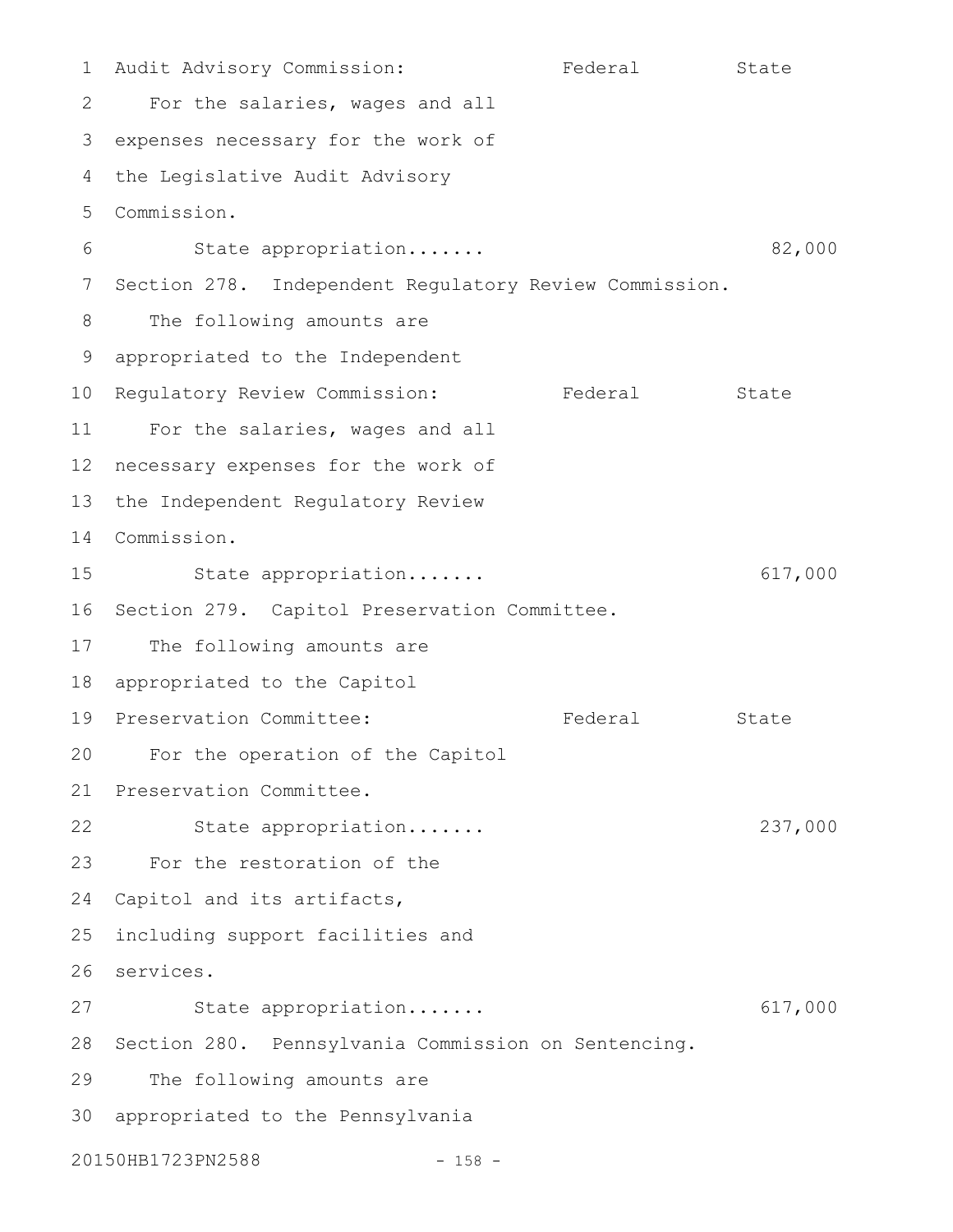Audit Advisory Commission: Federal State For the salaries, wages and all 3 expenses necessary for the work of the Legislative Audit Advisory 4 Commission. 5 State appropriation....... 82,000 7 Section 278. Independent Regulatory Review Commission. The following amounts are appropriated to the Independent 10 Regulatory Review Commission: Federal State For the salaries, wages and all 12 necessary expenses for the work of 13 the Independent Regulatory Review Commission. 14 State appropriation....... 617,000 16 Section 279. Capitol Preservation Committee. The following amounts are appropriated to the Capitol 19 Preservation Committee: The Federal State For the operation of the Capitol Preservation Committee. State appropriation....... 237,000 For the restoration of the 24 Capitol and its artifacts, including support facilities and 26 services. State appropriation....... 617,000 28 Section 280. Pennsylvania Commission on Sentencing. The following amounts are 30 appropriated to the Pennsylvania 20150HB1723PN2588 - 158 -1 2 6 8 9 11 15 17 18 20 21 22 23 25 27 29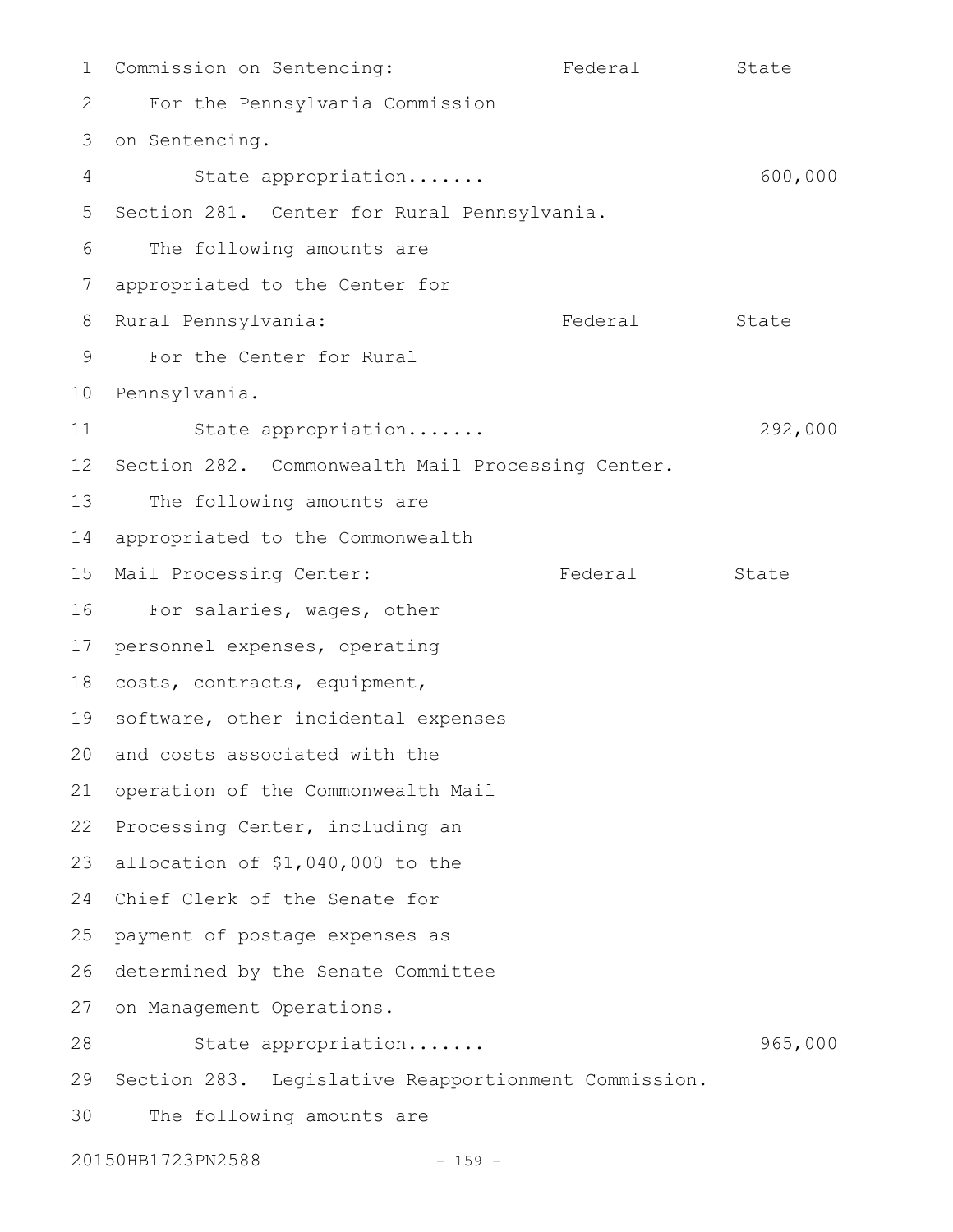1 Commission on Sentencing: The Federal State For the Pennsylvania Commission 3 on Sentencing. State appropriation....... 600,000 5 Section 281. Center for Rural Pennsylvania. The following amounts are appropriated to the Center for 8 Rural Pennsylvania: The Pederal State For the Center for Rural 10 Pennsylvania. State appropriation....... 292,000 12 Section 282. Commonwealth Mail Processing Center. The following amounts are 14 appropriated to the Commonwealth 15 Mail Processing Center: Tederal State 16 For salaries, wages, other 17 personnel expenses, operating 18 costs, contracts, equipment, 19 software, other incidental expenses 20 and costs associated with the 21 operation of the Commonwealth Mail 22 Processing Center, including an 23 allocation of \$1,040,000 to the 24 Chief Clerk of the Senate for 25 payment of postage expenses as 26 determined by the Senate Committee 27 on Management Operations. State appropriation....... 965,000 29 Section 283. Legislative Reapportionment Commission. The following amounts are 20150HB1723PN2588 - 159 -2 4 6 7 9 11 13 28 30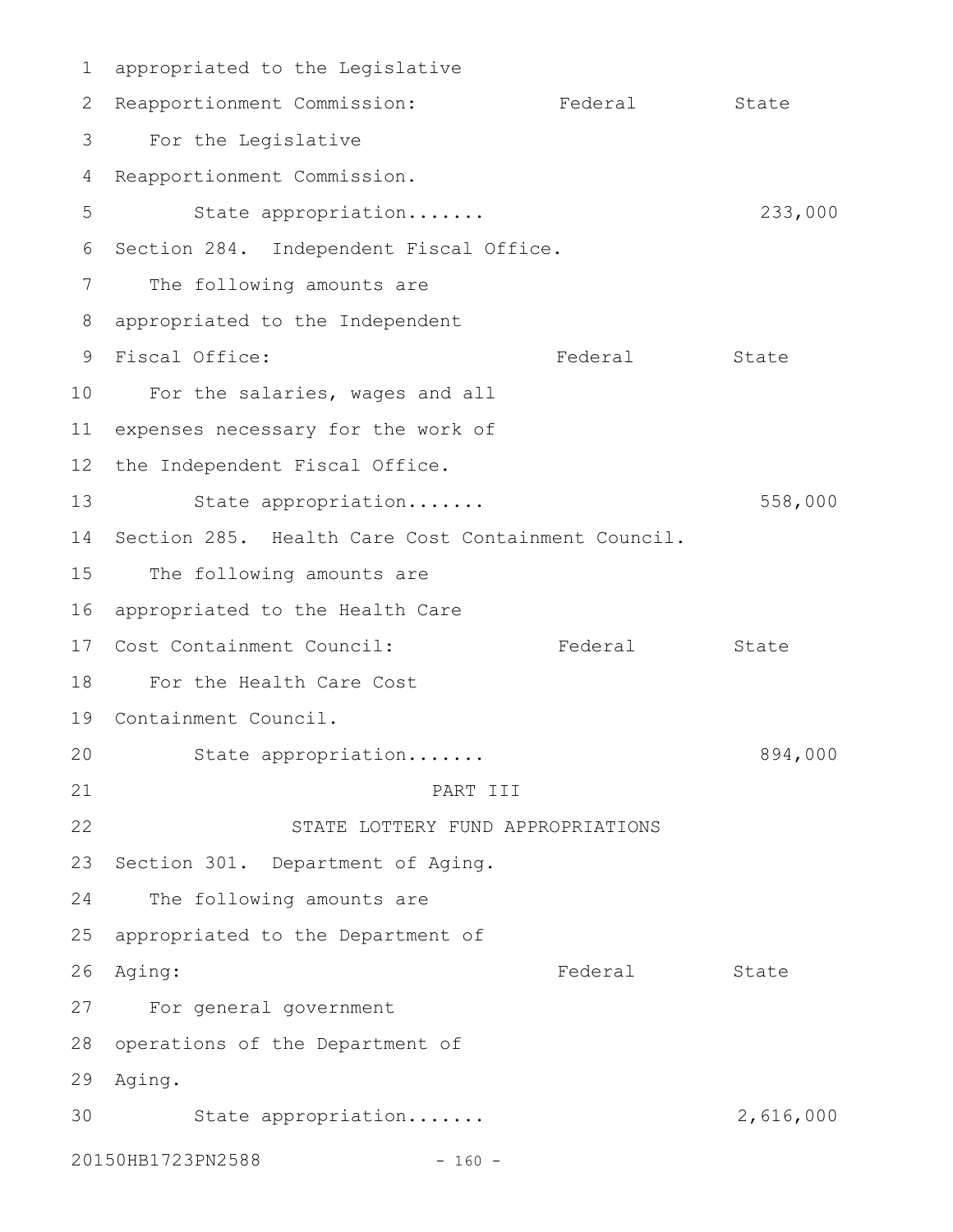appropriated to the Legislative 1 2 Reapportionment Commission: Tederal State For the Legislative 4 Reapportionment Commission. State appropriation....... 233,000 6 Section 284. Independent Fiscal Office. The following amounts are appropriated to the Independent 8 Federal State 10 For the salaries, wages and all 11 expenses necessary for the work of 12 the Independent Fiscal Office. State appropriation....... 558,000 14 Section 285. Health Care Cost Containment Council. 15 The following amounts are 16 appropriated to the Health Care Federal State For the Health Care Cost 18 19 Containment Council. State appropriation....... 894,000 PART III STATE LOTTERY FUND APPROPRIATIONS 23 Section 301. Department of Aging. The following amounts are 25 appropriated to the Department of Federal State For general government 27 28 operations of the Department of Aging. 29 30 State appropriation...... 2,616,000 20150HB1723PN2588 - 160 -3 5 7 9 Fiscal Office: 13 17 Cost Containment Council: 20 21 22 24 26 Aging: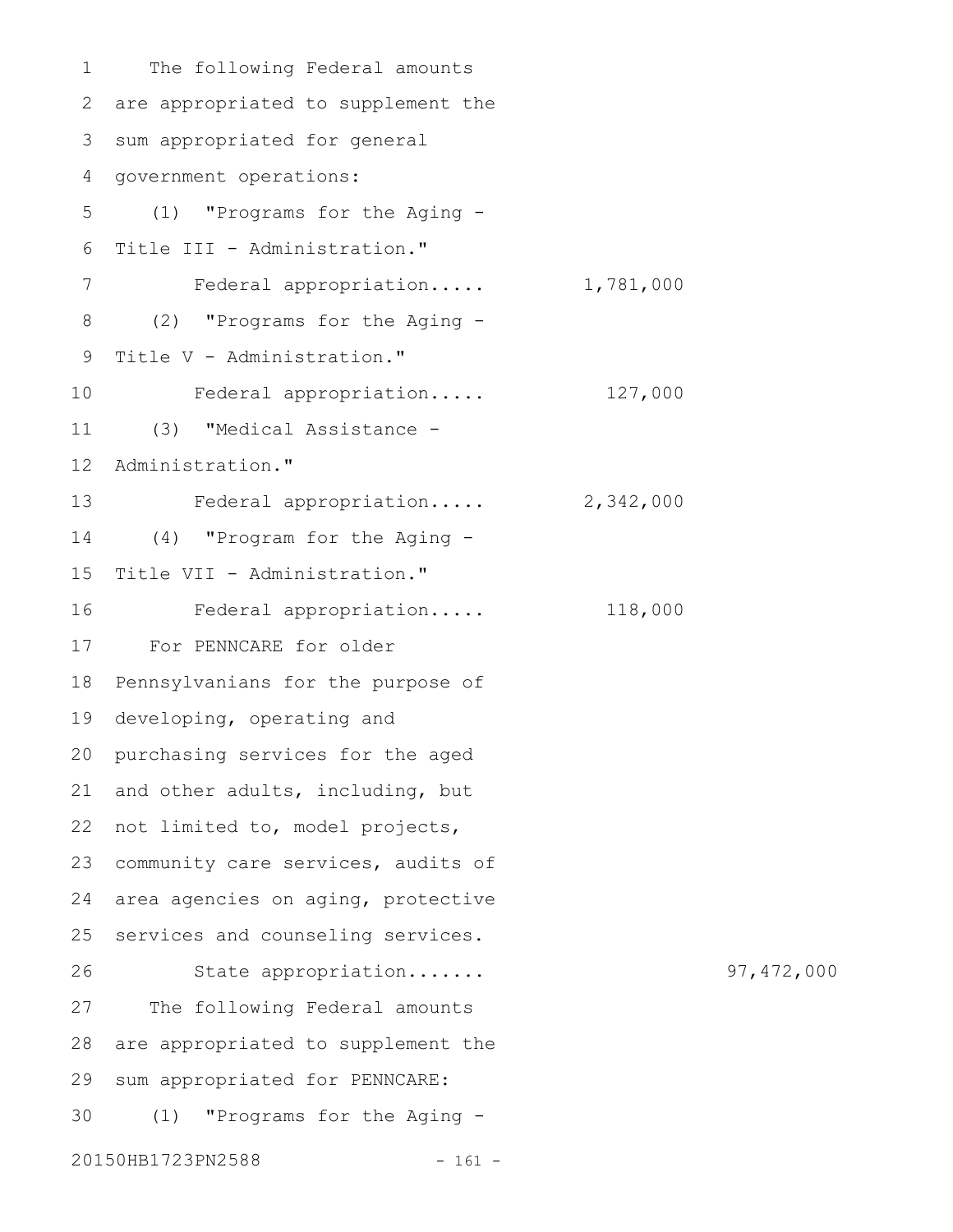The following Federal amounts are appropriated to supplement the sum appropriated for general government operations: (1) "Programs for the Aging - Title III - Administration." Federal appropriation..... 1,781,000 (2) "Programs for the Aging - Title V - Administration." Federal appropriation..... 127,000 (3) "Medical Assistance - Administration." Federal appropriation..... 2,342,000 (4) "Program for the Aging - Title VII - Administration." Federal appropriation..... 118,000 For PENNCARE for older Pennsylvanians for the purpose of developing, operating and purchasing services for the aged and other adults, including, but 22 not limited to, model projects, community care services, audits of area agencies on aging, protective services and counseling services. State appropriation....... 97,472,000 The following Federal amounts are appropriated to supplement the sum appropriated for PENNCARE: (1) "Programs for the Aging - 20150HB1723PN2588 - 161 -1 2 3 4 5 6 7 8 9 10 11 12 13 14 15 16 17 18 19 20 21 23 24 25 26 27 28 29 30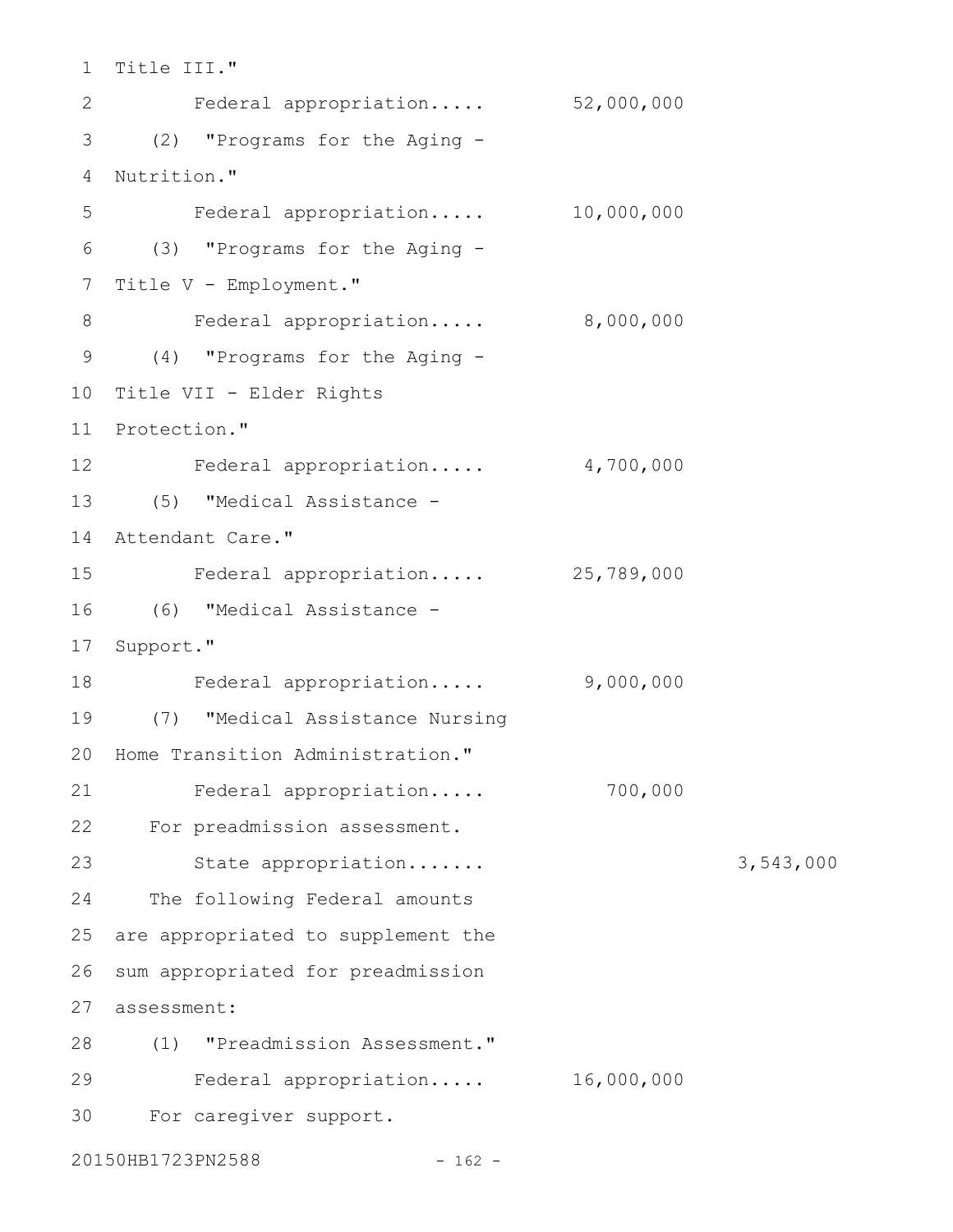1 Title III." Federal appropriation..... 52,000,000 (2) "Programs for the Aging - 3 4 Nutrition." Federal appropriation..... 10,000,000 (3) "Programs for the Aging - 6 7 Title V - Employment." Federal appropriation..... 8,000,000 (4) "Programs for the Aging - 9 10 Title VII - Elder Rights 11 Protection." 12 Federal appropriation..... 4,700,000 (5) "Medical Assistance - 13 14 Attendant Care." Federal appropriation..... 25,789,000 (6) "Medical Assistance - 16 17 Support." Federal appropriation..... 9,000,000 (7) "Medical Assistance Nursing 19 20 Home Transition Administration." Federal appropriation..... 700,000 For preadmission assessment. 22 23 State appropriation....... 3,543,000 24 The following Federal amounts 25 are appropriated to supplement the 26 sum appropriated for preadmission 27 assessment: (1) "Preadmission Assessment." 28 Federal appropriation..... 16,000,000 For caregiver support. 302 5 8 15 18 21 29

20150HB1723PN2588 - 162 -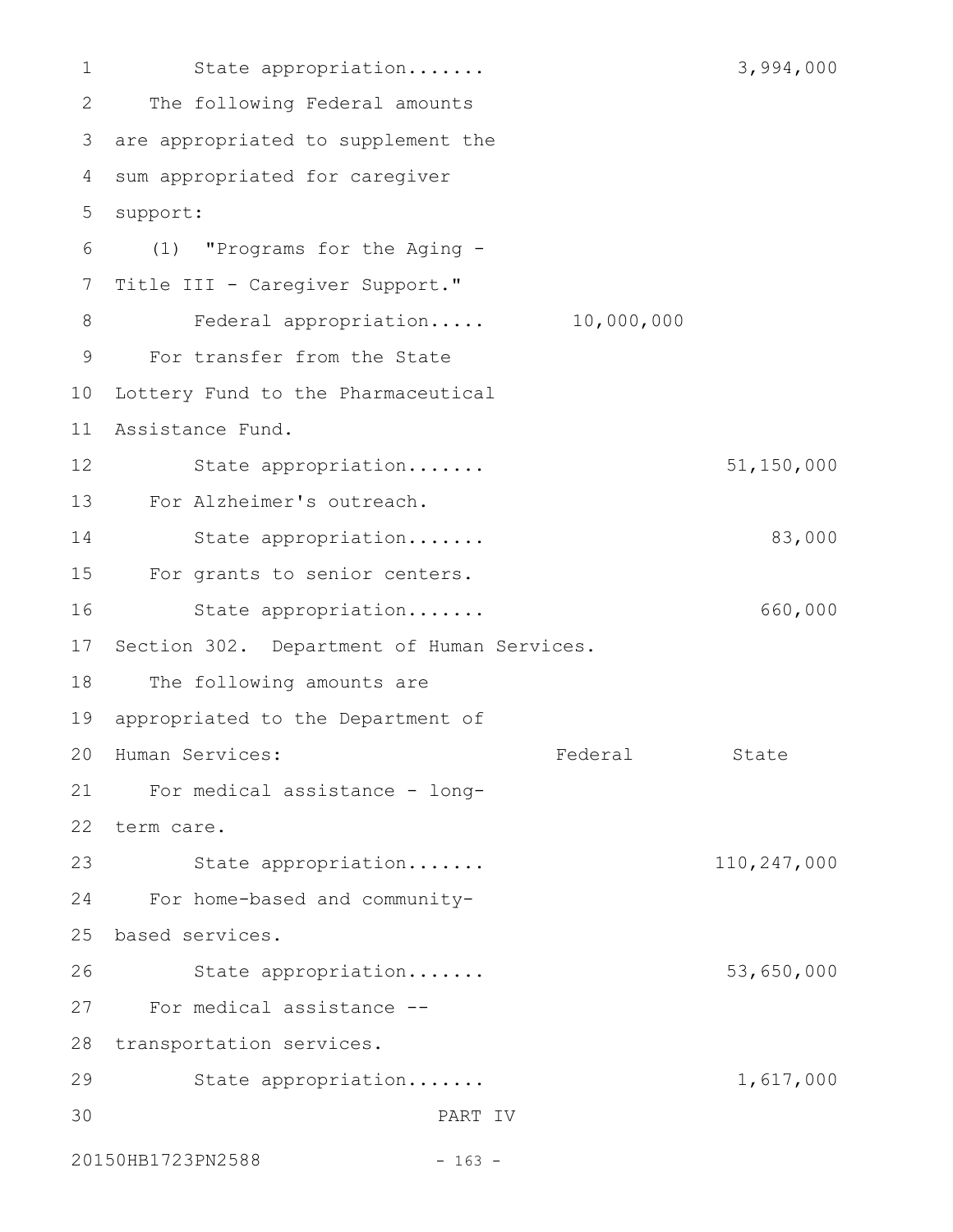State appropriation....... 3,994,000 The following Federal amounts 3 are appropriated to supplement the sum appropriated for caregiver support: (1) "Programs for the Aging - 6 Title III - Caregiver Support." Federal appropriation..... 10,000,000 For transfer from the State 10 Lottery Fund to the Pharmaceutical Assistance Fund. 11 State appropriation....... 51,150,000 For Alzheimer's outreach. 13 State appropriation....... 83,000 For grants to senior centers. State appropriation....... 660,000 17 Section 302. Department of Human Services. The following amounts are 19 appropriated to the Department of Federal State For medical assistance - long-21 22 term care. State appropriation....... 110,247,000 For home-based and communitybased services. 25 State appropriation....... 53,650,000 For medical assistance -- 27 28 transportation services. State appropriation....... 1,617,000 PART IV 20150HB1723PN2588 - 163 -1 2 4 5 7 8 9 12 14 15 16 18 20 Human Services: 23 24 26 29 30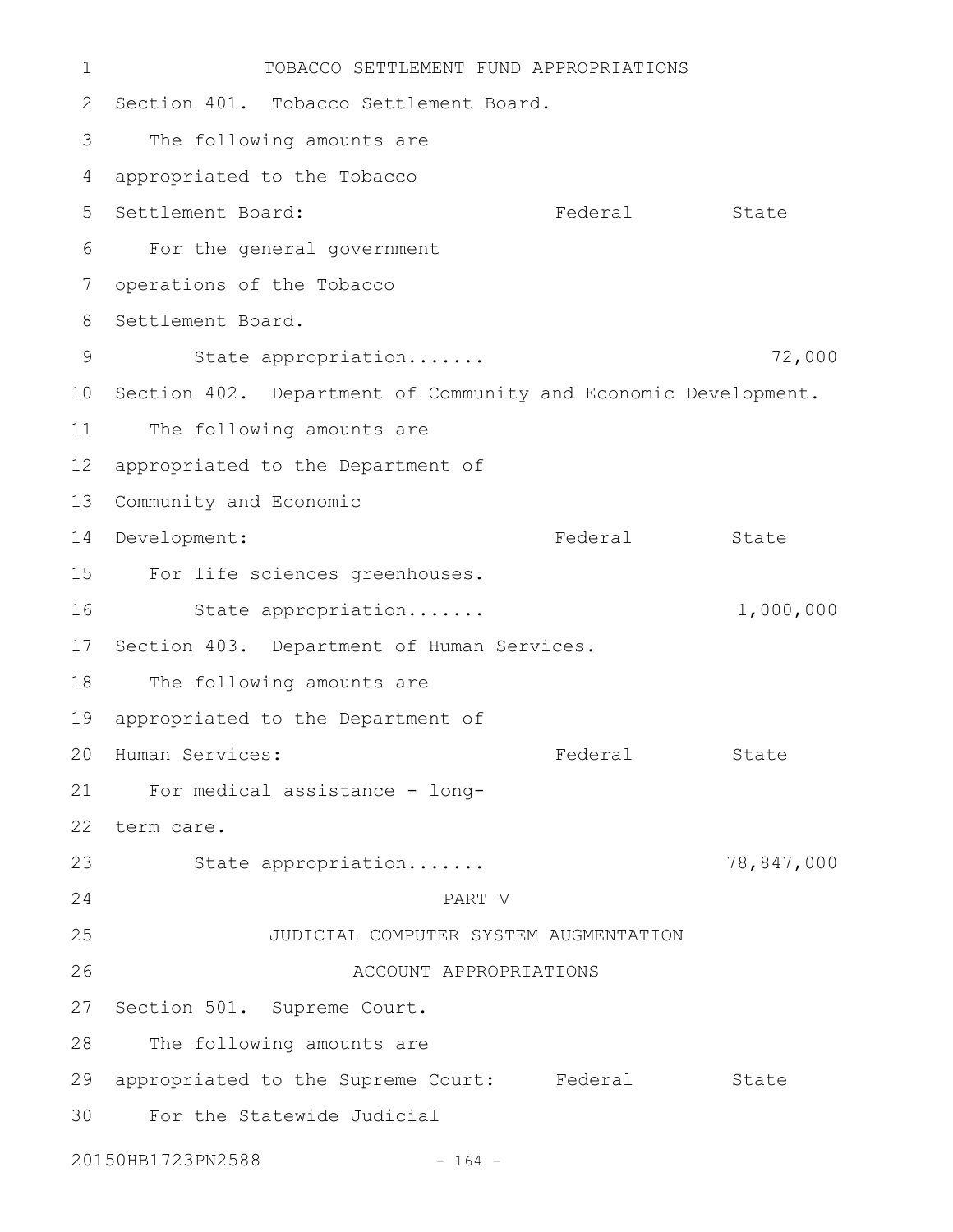TOBACCO SETTLEMENT FUND APPROPRIATIONS 2 Section 401. Tobacco Settlement Board. The following amounts are appropriated to the Tobacco Federal State For the general government 6 operations of the Tobacco 8 Settlement Board. State appropriation....... 72,000 10 Section 402. Department of Community and Economic Development. The following amounts are 12 appropriated to the Department of 13 Community and Economic 14 Development: Tederal State For life sciences greenhouses. State appropriation....... 1,000,000 17 Section 403. Department of Human Services. The following amounts are 19 appropriated to the Department of Federal State For medical assistance - long-21 22 term care. State appropriation....... 78,847,000 PART V JUDICIAL COMPUTER SYSTEM AUGMENTATION ACCOUNT APPROPRIATIONS 27 Section 501. Supreme Court. The following amounts are 29 appropriated to the Supreme Court: Federal State For the Statewide Judicial 20150HB1723PN2588 - 164 -1 3 4 5 Settlement Board: 7 9 11 15 16 18 20 Human Services: 23 24 25 26 28 30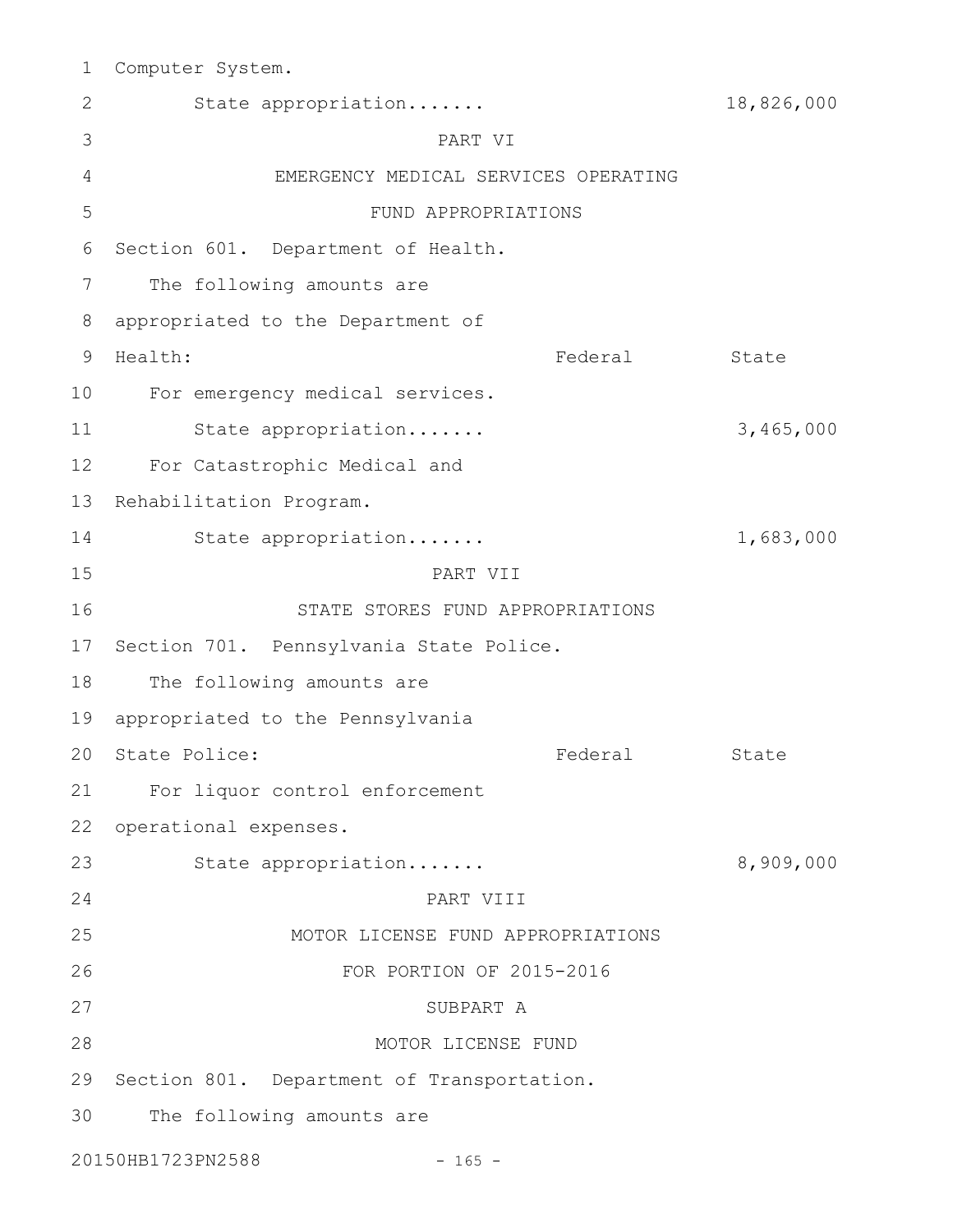Computer System. 1

| $\overline{2}$ | State appropriation                        | 18,826,000 |  |  |  |
|----------------|--------------------------------------------|------------|--|--|--|
| 3              | PART VI                                    |            |  |  |  |
| 4              | EMERGENCY MEDICAL SERVICES OPERATING       |            |  |  |  |
| 5              | FUND APPROPRIATIONS                        |            |  |  |  |
| 6              | Section 601. Department of Health.         |            |  |  |  |
| 7              | The following amounts are                  |            |  |  |  |
| 8              | appropriated to the Department of          |            |  |  |  |
| 9              | Health:<br>Federal                         | State      |  |  |  |
| 10             | For emergency medical services.            |            |  |  |  |
| 11             | State appropriation                        | 3,465,000  |  |  |  |
| 12             | For Catastrophic Medical and               |            |  |  |  |
| 13             | Rehabilitation Program.                    |            |  |  |  |
| 14             | State appropriation                        | 1,683,000  |  |  |  |
| 15             | PART VII                                   |            |  |  |  |
| 16             | STATE STORES FUND APPROPRIATIONS           |            |  |  |  |
| 17             | Section 701. Pennsylvania State Police.    |            |  |  |  |
| 18             | The following amounts are                  |            |  |  |  |
| 19             | appropriated to the Pennsylvania           |            |  |  |  |
| 20             | State Police:<br>Federal                   | State      |  |  |  |
|                | 21 For liquor control enforcement          |            |  |  |  |
| 22             | operational expenses.                      |            |  |  |  |
| 23             | State appropriation                        | 8,909,000  |  |  |  |
| 24             | PART VIII                                  |            |  |  |  |
| 25             | MOTOR LICENSE FUND APPROPRIATIONS          |            |  |  |  |
| 26             | FOR PORTION OF 2015-2016                   |            |  |  |  |
| 27             | SUBPART A                                  |            |  |  |  |
| 28             | MOTOR LICENSE FUND                         |            |  |  |  |
| 29             | Section 801. Department of Transportation. |            |  |  |  |
| 30             | The following amounts are                  |            |  |  |  |
|                | 20150HB1723PN2588<br>$-165 -$              |            |  |  |  |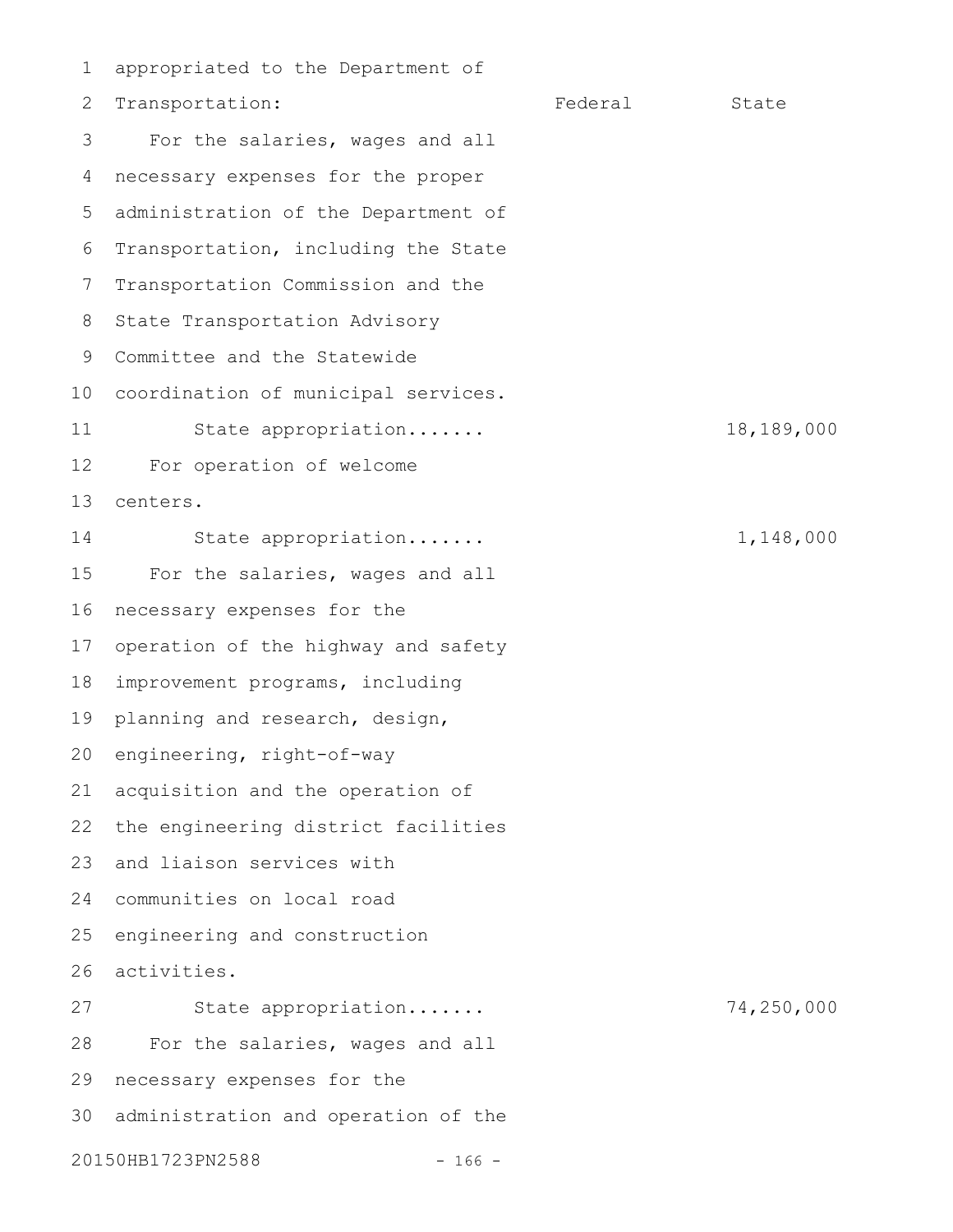appropriated to the Department of Transportation: Federal State For the salaries, wages and all necessary expenses for the proper administration of the Department of 5 Transportation, including the State Transportation Commission and the State Transportation Advisory 9 Committee and the Statewide coordination of municipal services. 10 State appropriation....... 18,189,000 For operation of welcome centers. State appropriation....... 1,148,000 For the salaries, wages and all necessary expenses for the operation of the highway and safety improvement programs, including planning and research, design, 20 engineering, right-of-way acquisition and the operation of the engineering district facilities and liaison services with communities on local road 24 engineering and construction activities. State appropriation....... 74,250,000 For the salaries, wages and all necessary expenses for the 30 administration and operation of the 20150HB1723PN2588 - 166 -1 2 3 4 6 7 8 11 12 13 14 15 16 17 18 19 21 22 23 25 26 27 28 29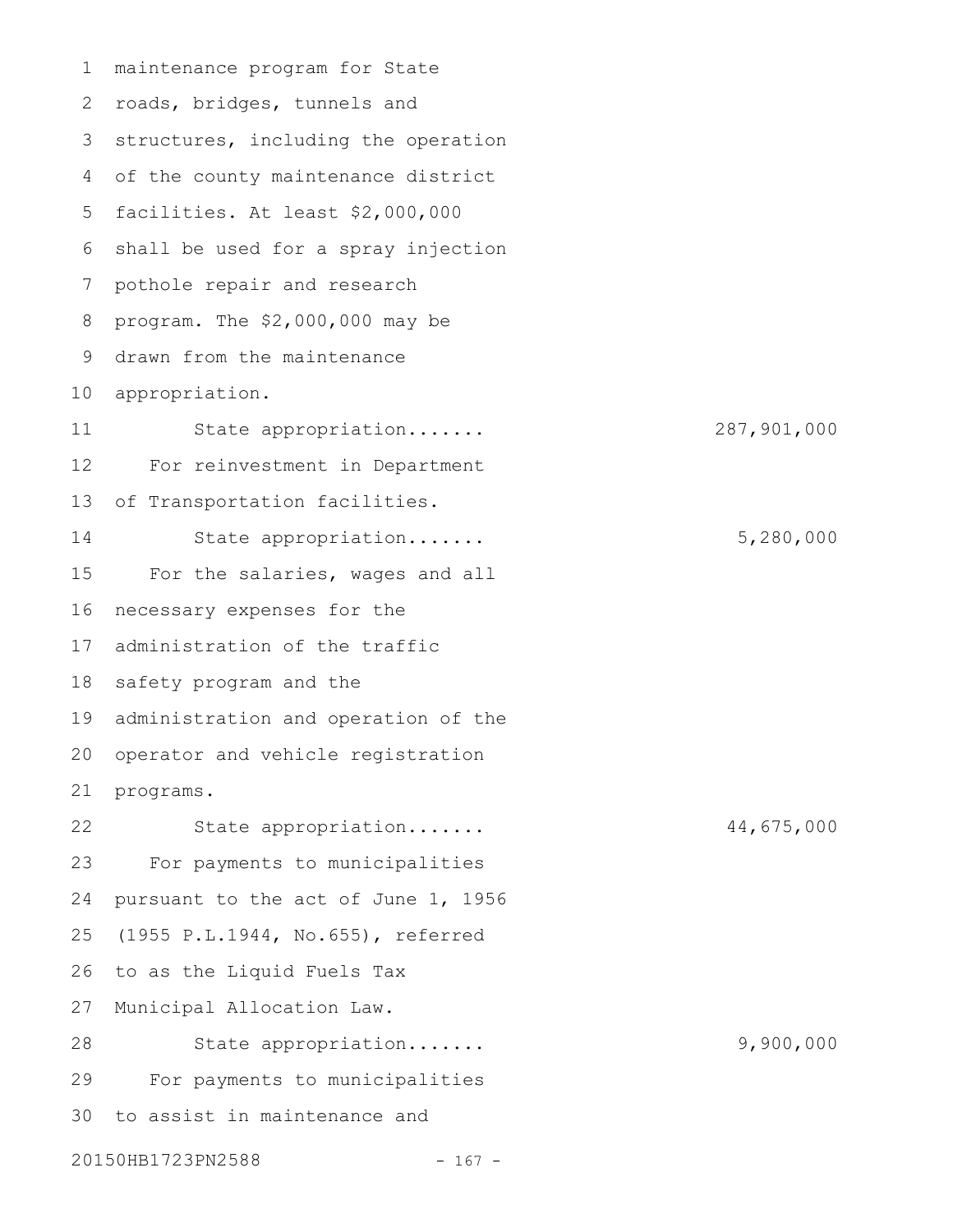maintenance program for State 2 roads, bridges, tunnels and 3 structures, including the operation of the county maintenance district 4 5 facilities. At least \$2,000,000 6 shall be used for a spray injection pothole repair and research program. The \$2,000,000 may be drawn from the maintenance 9 10 appropriation. State appropriation....... 287,901,000 For reinvestment in Department of Transportation facilities. State appropriation....... 5,280,000 For the salaries, wages and all necessary expenses for the administration of the traffic 18 safety program and the 19 administration and operation of the 20 operator and vehicle registration programs. State appropriation....... 44,675,000 For payments to municipalities pursuant to the act of June 1, 1956 (1955 P.L.1944, No.655), referred to as the Liquid Fuels Tax Municipal Allocation Law. State appropriation....... 9,900,000 For payments to municipalities to assist in maintenance and 20150HB1723PN2588 - 167 -1 7 8 11 12 13 14 15 16 17 21 22 23 24 25 26 27 28 29 30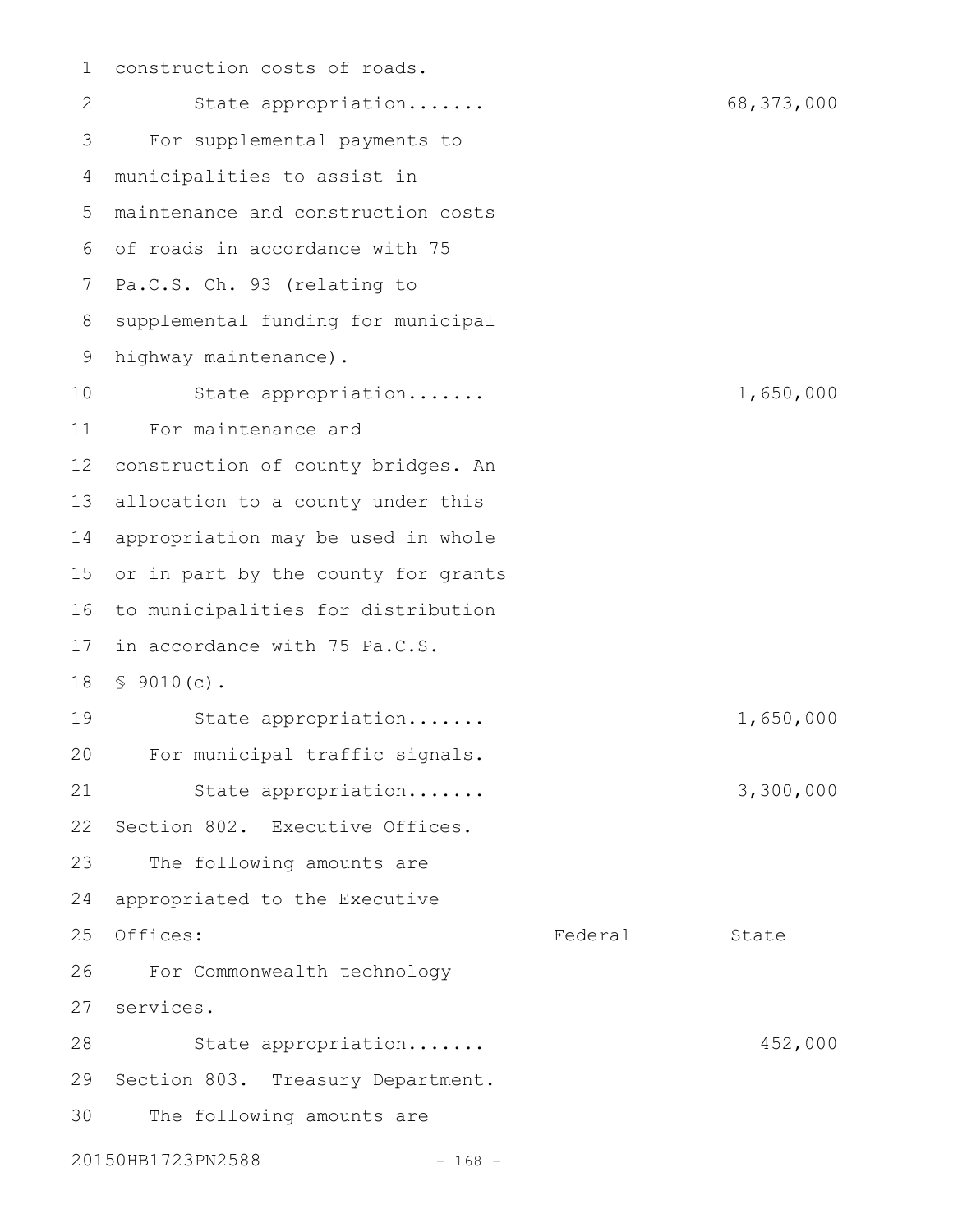construction costs of roads. State appropriation....... 68,373,000 For supplemental payments to municipalities to assist in maintenance and construction costs 5 of roads in accordance with 75 6 7 Pa.C.S. Ch. 93 (relating to supplemental funding for municipal 9 highway maintenance). State appropriation....... 1,650,000 For maintenance and construction of county bridges. An allocation to a county under this appropriation may be used in whole or in part by the county for grants to municipalities for distribution in accordance with 75 Pa.C.S. § 9010(c). 18 State appropriation....... 1,650,000 For municipal traffic signals. State appropriation....... 3,300,000 Section 802. Executive Offices. The following amounts are appropriated to the Executive Offices: State State State State State State State State State State State State State State State State State For Commonwealth technology services. 27 State appropriation....... 452,000 29 Section 803. Treasury Department. The following amounts are 20150HB1723PN2588 - 168 -1 2 3 4 8 10 11 12 13 14 15 16 17 19 20 21 22 23 24 25 26 28 30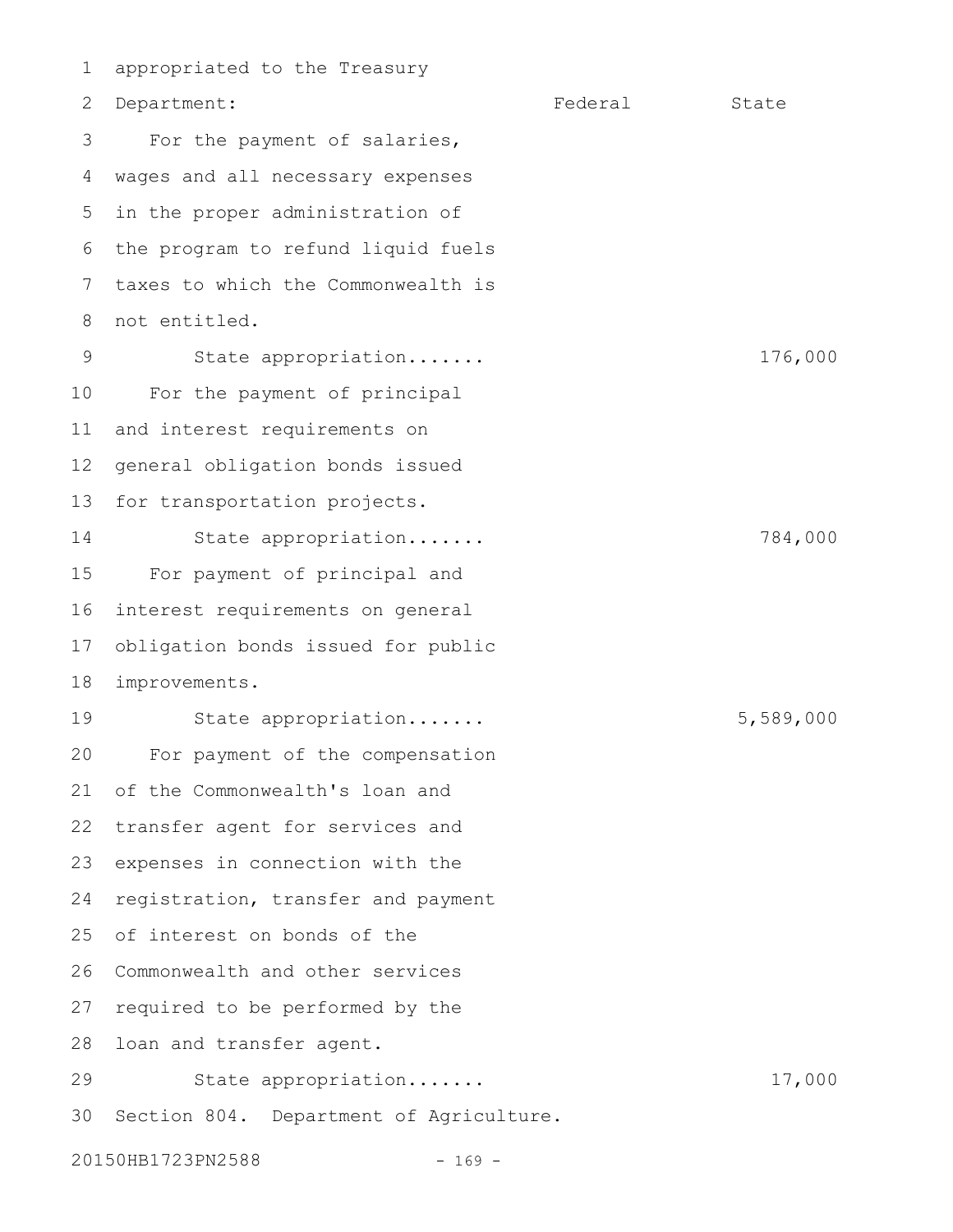appropriated to the Treasury Department: Federal State For the payment of salaries, wages and all necessary expenses in the proper administration of the program to refund liquid fuels taxes to which the Commonwealth is not entitled. State appropriation....... 176,000 For the payment of principal and interest requirements on general obligation bonds issued for transportation projects. State appropriation....... 784,000 For payment of principal and interest requirements on general obligation bonds issued for public improvements. State appropriation....... 5,589,000 For payment of the compensation of the Commonwealth's loan and transfer agent for services and expenses in connection with the registration, transfer and payment of interest on bonds of the Commonwealth and other services required to be performed by the 28 loan and transfer agent. State appropriation....... 17,000 30 Section 804. Department of Agriculture. 20150HB1723PN2588 - 169 -1 2 3 4 5 6 7 8 9 10 11 12 13 14 15 16 17 18 19 20 21 22 23 24 25 26 27 29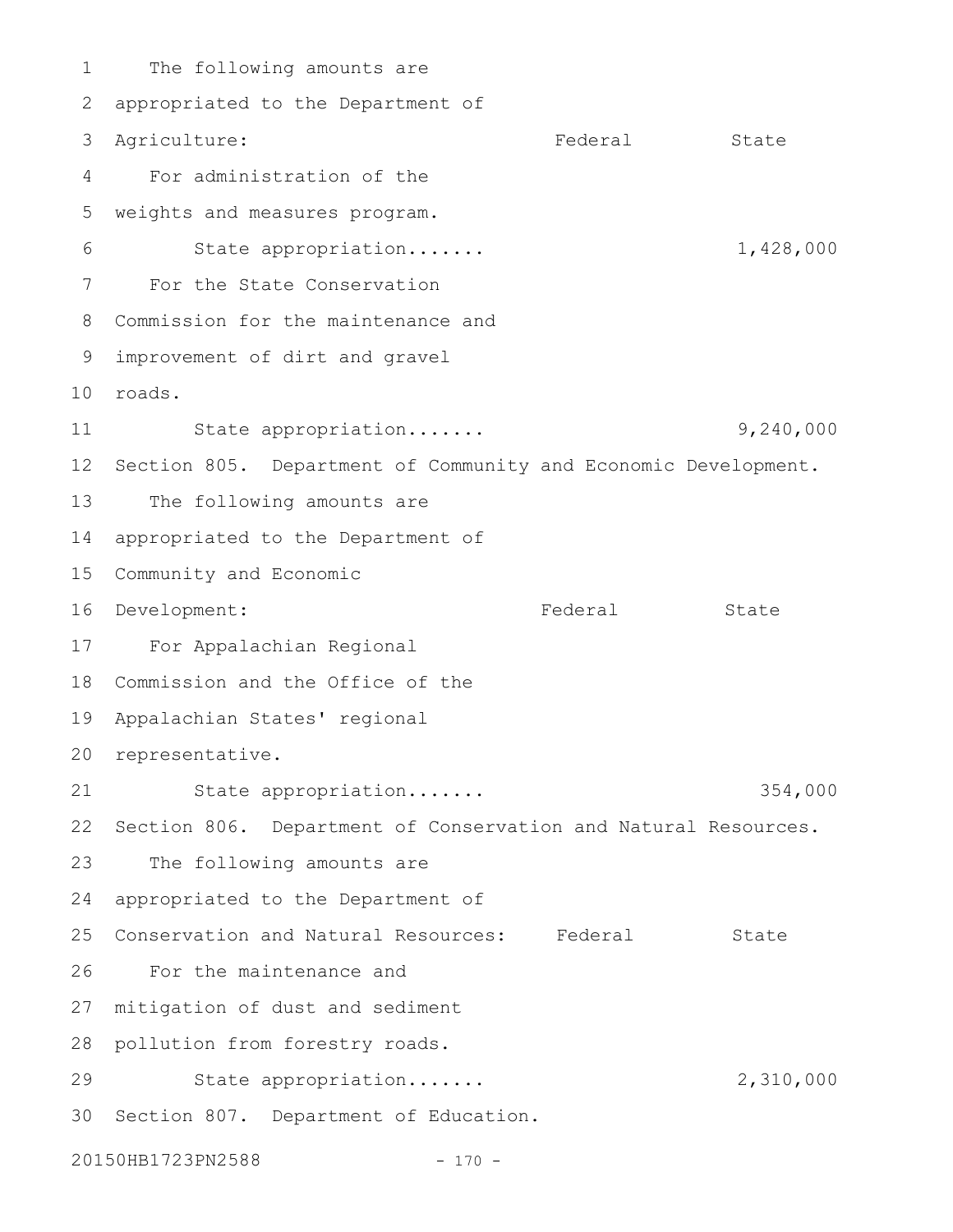The following amounts are 2 appropriated to the Department of Federal State For administration of the weights and measures program. State appropriation....... 1,428,000 For the State Conservation Commission for the maintenance and 8 improvement of dirt and gravel 9 roads. 10 State appropriation....... 9,240,000 12 Section 805. Department of Community and Economic Development. The following amounts are appropriated to the Department of 15 Community and Economic Federal State For Appalachian Regional 17 18 Commission and the Office of the Appalachian States' regional 19 20 representative. State appropriation....... 354,000 22 Section 806. Department of Conservation and Natural Resources. The following amounts are 24 appropriated to the Department of 25 Conservation and Natural Resources: Federal State For the maintenance and 27 mitigation of dust and sediment 28 pollution from forestry roads. State appropriation....... 2,310,000 30 Section 807. Department of Education. 20150HB1723PN2588 - 170 -1 3 Agriculture: 4 5 6 7 11 13 14 16 Development: 21 23 26 29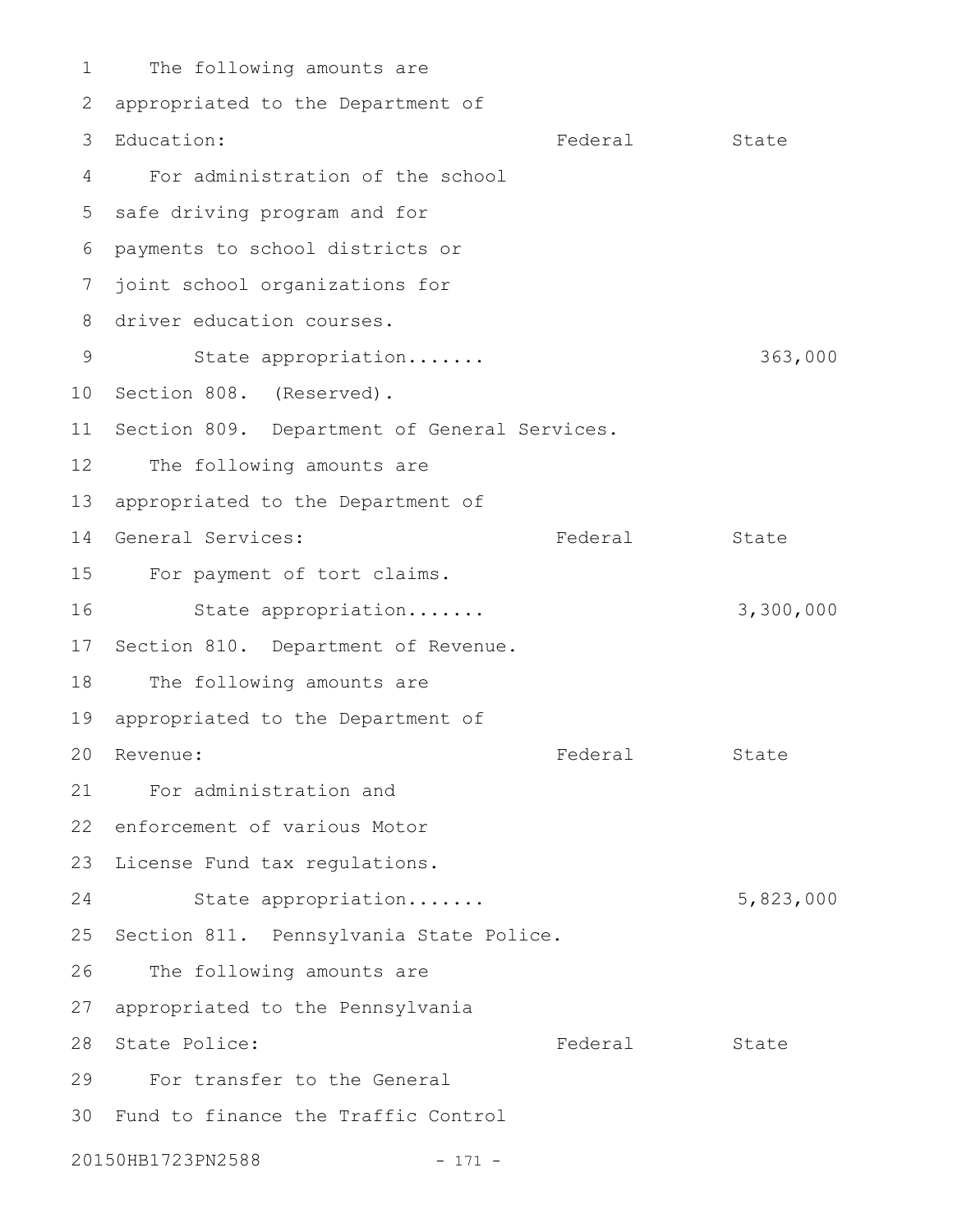The following amounts are 2 appropriated to the Department of Federal State For administration of the school 5 safe driving program and for payments to school districts or 6 7 joint school organizations for 8 driver education courses. State appropriation....... 363,000 10 Section 808. (Reserved). 11 Section 809. Department of General Services. The following amounts are 13 appropriated to the Department of 14 General Services: The State Rederal State 15 For payment of tort claims. State appropriation....... 3,300,000 17 Section 810. Department of Revenue. The following amounts are 19 appropriated to the Department of Federal State For administration and 21 22 enforcement of various Motor 23 License Fund tax regulations. State appropriation....... 5,823,000 25 Section 811. Pennsylvania State Police. The following amounts are 27 appropriated to the Pennsylvania Federal State For transfer to the General Fund to finance the Traffic Control 3020150HB1723PN2588 - 171 -1 3 Education: 4 9 12 16 18 20 Revenue: 24 26 28 State Police: 29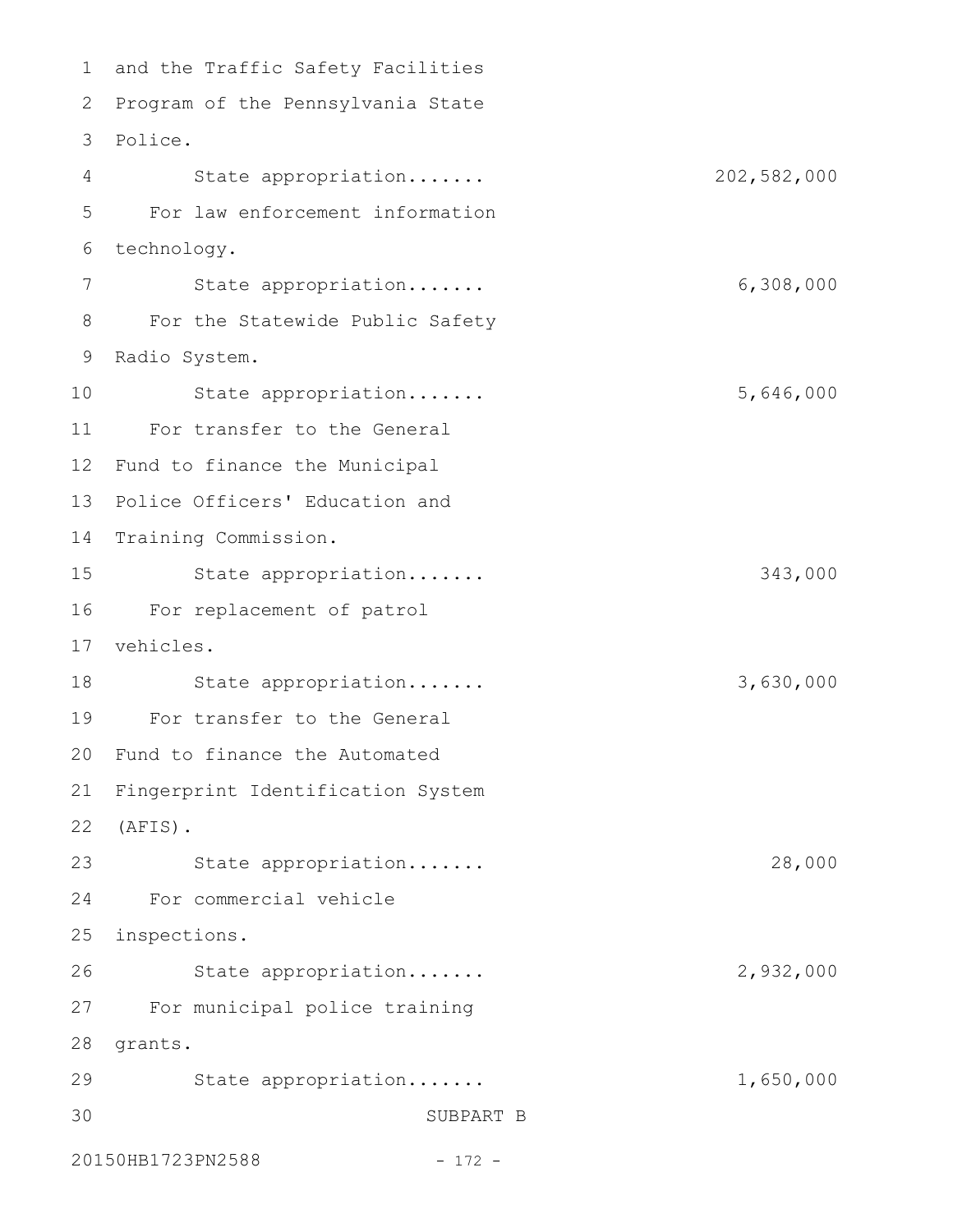1 and the Traffic Safety Facilities 2 Program of the Pennsylvania State Police. 3 State appropriation....... 202,582,000 For law enforcement information technology. State appropriation....... 6,308,000 For the Statewide Public Safety 9 Radio System. State appropriation....... 5,646,000 For transfer to the General 11 12 Fund to finance the Municipal 13 Police Officers' Education and 14 Training Commission. State appropriation....... 343,000 For replacement of patrol 16 vehicles. 17 State appropriation....... 3,630,000 For transfer to the General 20 Fund to finance the Automated 21 Fingerprint Identification System (AFIS). 22 State appropriation....... 28,000 For commercial vehicle inspections. 25 State appropriation....... 2,932,000 For municipal police training 27 28 grants. 29 State appropriation....... 1,650,000 SUBPART B 20150HB1723PN2588 - 172 -4 5 6 7 8 10 15 18 19 23 24 26 30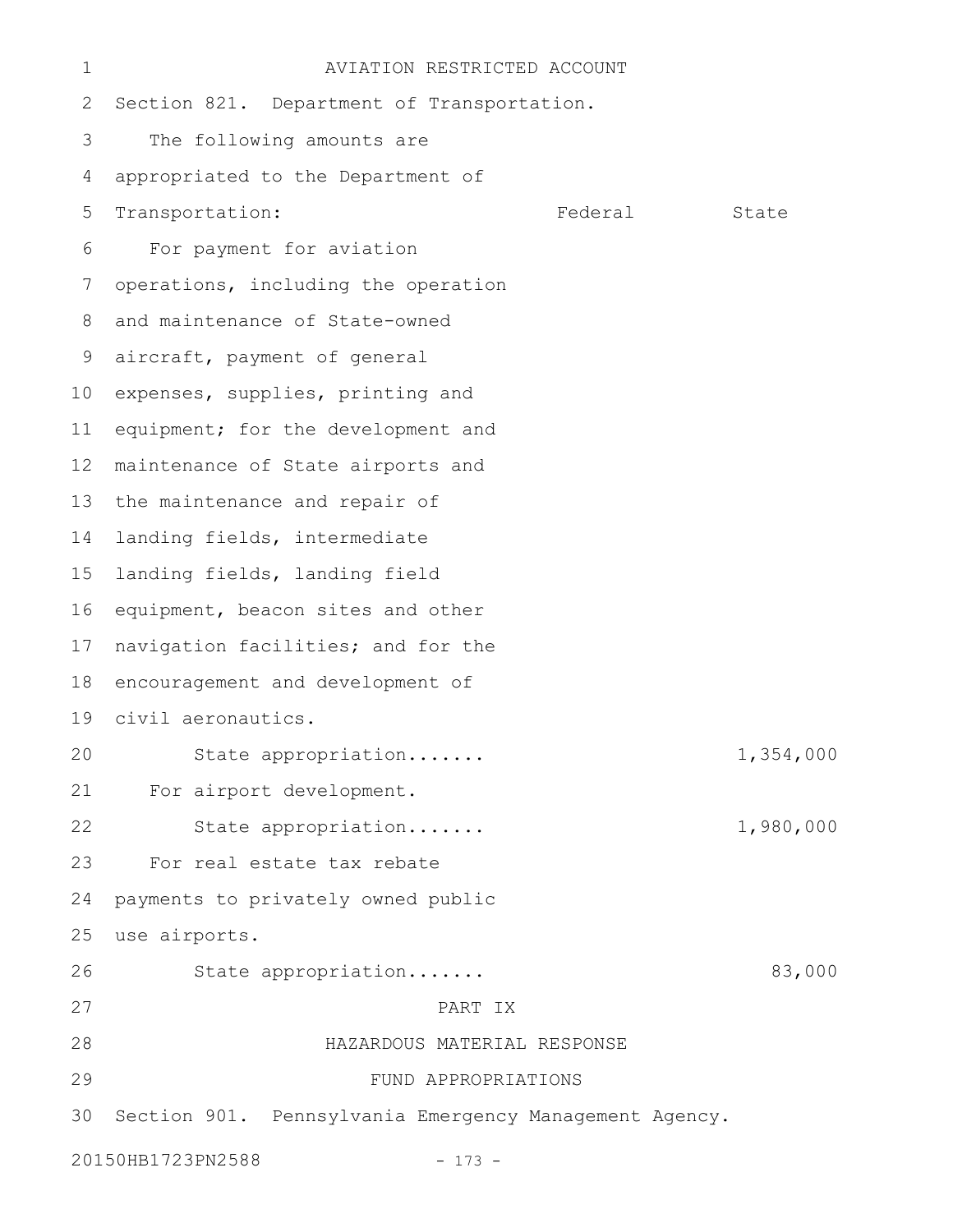| 1  | AVIATION RESTRICTED ACCOUNT                            |         |           |  |  |
|----|--------------------------------------------------------|---------|-----------|--|--|
| 2  | Section 821. Department of Transportation.             |         |           |  |  |
| 3  | The following amounts are                              |         |           |  |  |
| 4  | appropriated to the Department of                      |         |           |  |  |
| 5  | Transportation:                                        | Federal | State     |  |  |
| 6  | For payment for aviation                               |         |           |  |  |
| 7  | operations, including the operation                    |         |           |  |  |
| 8  | and maintenance of State-owned                         |         |           |  |  |
| 9  | aircraft, payment of general                           |         |           |  |  |
| 10 | expenses, supplies, printing and                       |         |           |  |  |
| 11 | equipment; for the development and                     |         |           |  |  |
| 12 | maintenance of State airports and                      |         |           |  |  |
| 13 | the maintenance and repair of                          |         |           |  |  |
| 14 | landing fields, intermediate                           |         |           |  |  |
| 15 | landing fields, landing field                          |         |           |  |  |
| 16 | equipment, beacon sites and other                      |         |           |  |  |
| 17 | navigation facilities; and for the                     |         |           |  |  |
| 18 | encouragement and development of                       |         |           |  |  |
| 19 | civil aeronautics.                                     |         |           |  |  |
| 20 | State appropriation                                    |         | 1,354,000 |  |  |
| 21 | For airport development.                               |         |           |  |  |
| 22 | State appropriation                                    |         | 1,980,000 |  |  |
| 23 | For real estate tax rebate                             |         |           |  |  |
| 24 | payments to privately owned public                     |         |           |  |  |
| 25 | use airports.                                          |         |           |  |  |
| 26 | State appropriation                                    |         | 83,000    |  |  |
| 27 | PART IX                                                |         |           |  |  |
| 28 | HAZARDOUS MATERIAL RESPONSE                            |         |           |  |  |
| 29 | FUND APPROPRIATIONS                                    |         |           |  |  |
| 30 | Section 901. Pennsylvania Emergency Management Agency. |         |           |  |  |
|    | 20150HB1723PN2588<br>$-173 -$                          |         |           |  |  |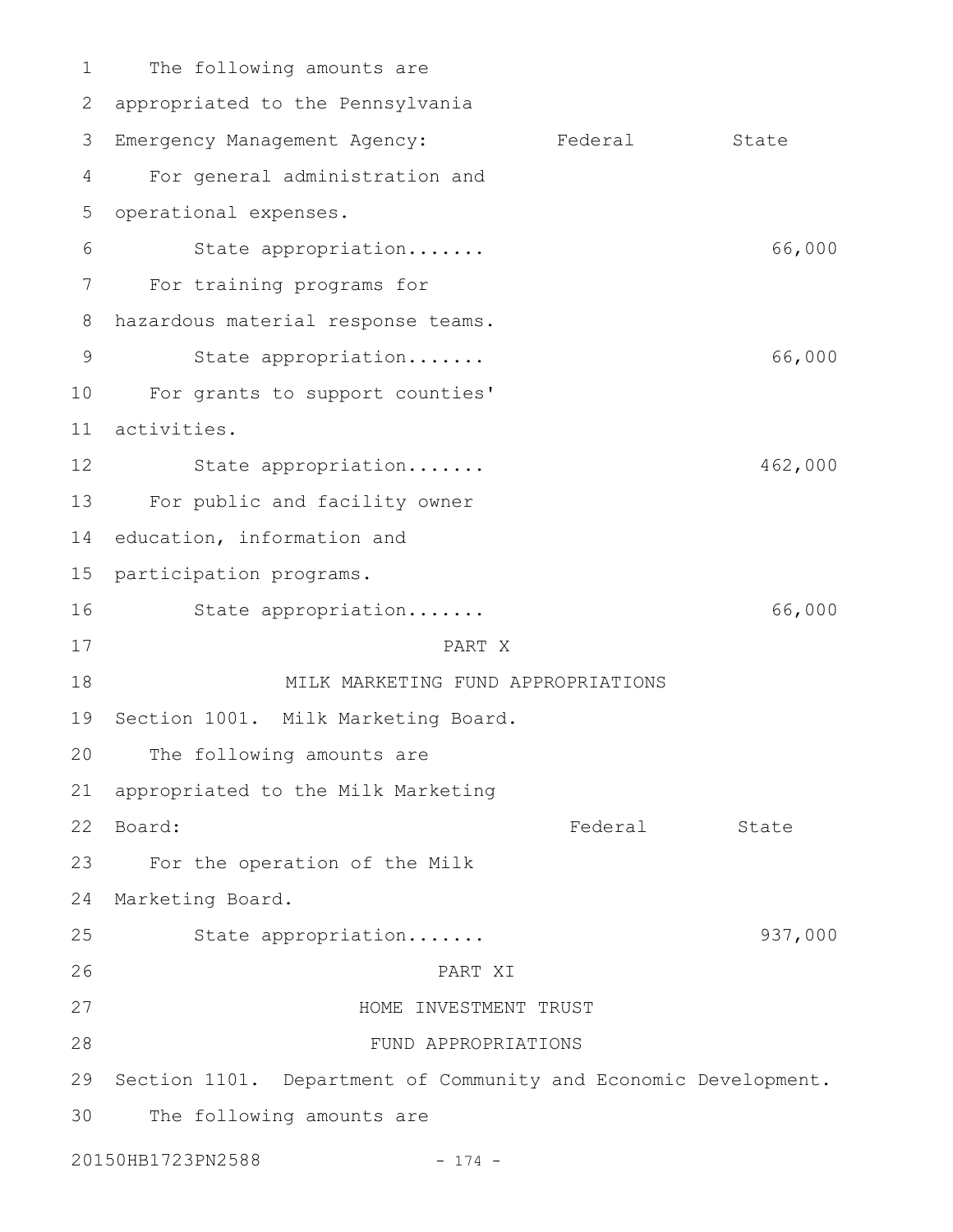The following amounts are 2 appropriated to the Pennsylvania Emergency Management Agency: Federal State For general administration and operational expenses. State appropriation....... 66,000 For training programs for hazardous material response teams. State appropriation....... 66,000 10 For grants to support counties' activities. 11 State appropriation....... 462,000 For public and facility owner 14 education, information and 15 participation programs. State appropriation....... 66,000 PART X MILK MARKETING FUND APPROPRIATIONS 19 Section 1001. Milk Marketing Board. The following amounts are appropriated to the Milk Marketing Federal State For the operation of the Milk 24 Marketing Board. State appropriation....... 937,000 PART XI HOME INVESTMENT TRUST FUND APPROPRIATIONS 29 Section 1101. Department of Community and Economic Development. The following amounts are 20150HB1723PN2588 - 174 -1 3 4 5 6 7 8 9 12 13 16 17 18 20 21 22 Board: 23 25 26 27 28 30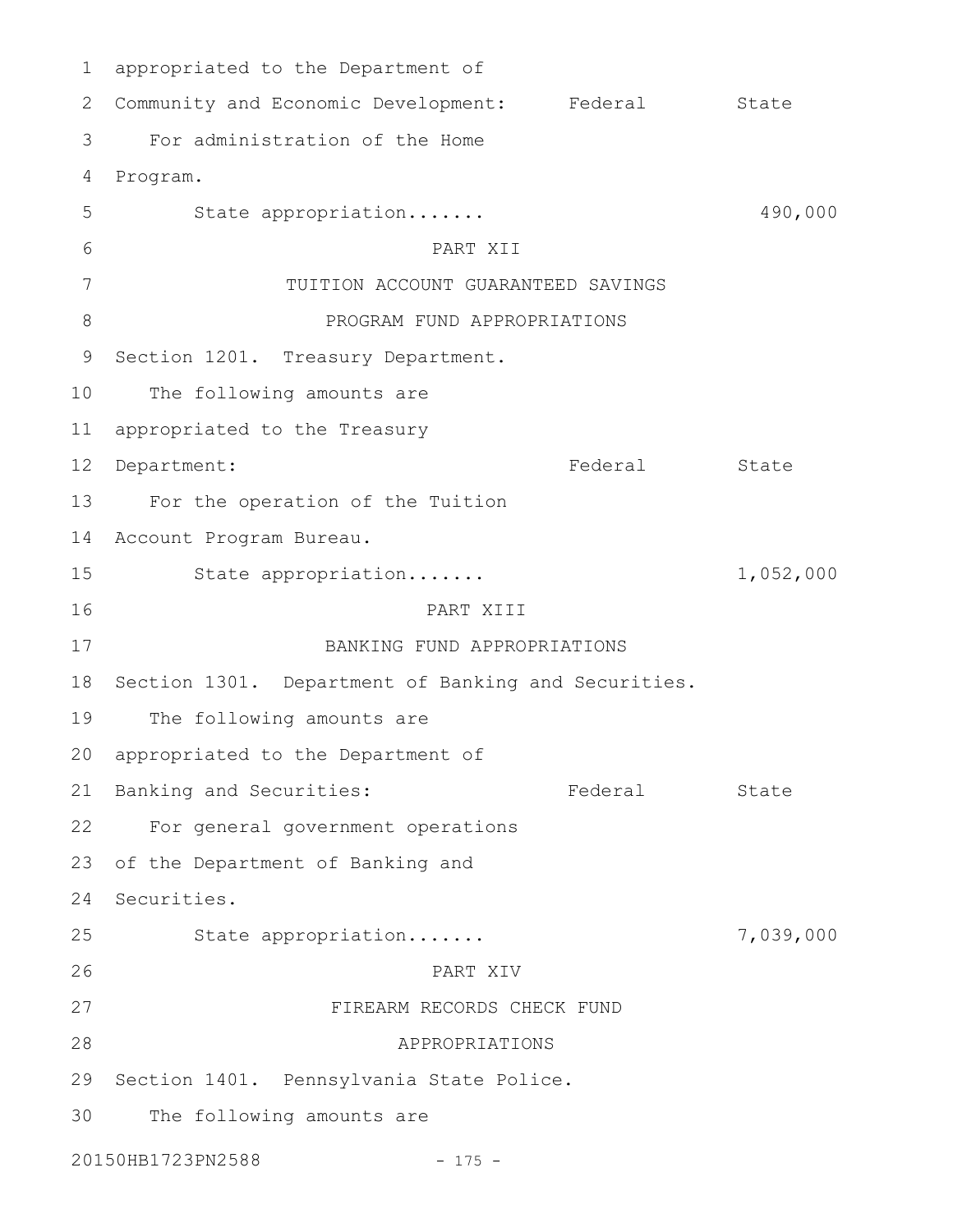appropriated to the Department of 1 2 Community and Economic Development: Federal State For administration of the Home Program. 4 State appropriation....... 490,000 PART XII TUITION ACCOUNT GUARANTEED SAVINGS PROGRAM FUND APPROPRIATIONS 9 Section 1201. Treasury Department. The following amounts are 11 appropriated to the Treasury Federal State For the operation of the Tuition 14 Account Program Bureau. State appropriation....... 1,052,000 PART XIII BANKING FUND APPROPRIATIONS 18 Section 1301. Department of Banking and Securities. The following amounts are 20 appropriated to the Department of 21 Banking and Securities: The State Rederal State For general government operations 22 23 of the Department of Banking and 24 Securities. State appropriation....... 7,039,000 PART XIV FIREARM RECORDS CHECK FUND APPROPRIATIONS 29 Section 1401. Pennsylvania State Police. The following amounts are 20150HB1723PN2588 - 175 -3 5 6 7 8 10 12 Department: 13 15 16 17 19 25 26 27 28 30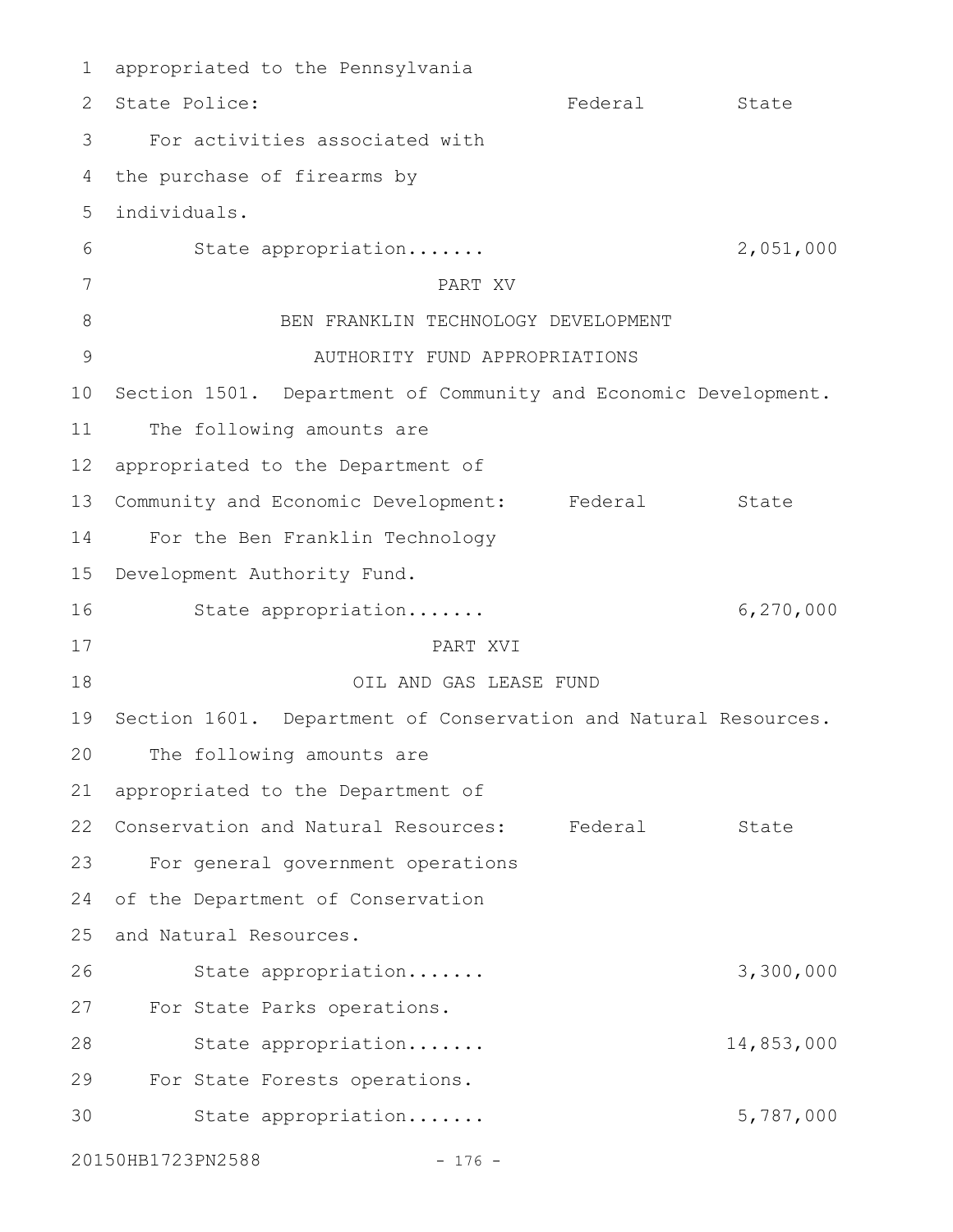appropriated to the Pennsylvania 1 Federal State For activities associated with the purchase of firearms by individuals. 5 State appropriation....... 2,051,000 PART XV BEN FRANKLIN TECHNOLOGY DEVELOPMENT AUTHORITY FUND APPROPRIATIONS 10 Section 1501. Department of Community and Economic Development. The following amounts are appropriated to the Department of Community and Economic Development: Federal State For the Ben Franklin Technology 15 Development Authority Fund. State appropriation....... 6,270,000 PART XVI OIL AND GAS LEASE FUND 19 Section 1601. Department of Conservation and Natural Resources. The following amounts are appropriated to the Department of 22 Conservation and Natural Resources: Federal State For general government operations 24 of the Department of Conservation 25 and Natural Resources. State appropriation....... 3,300,000 For State Parks operations. State appropriation....... 14,853,000 For State Forests operations. State appropriation....... 5,787,000 20150HB1723PN2588 - 176 -2 State Police: 3 4 6 7 8 9 11 12 13 14 16 17 18 20 21 23 26 27 28 29 30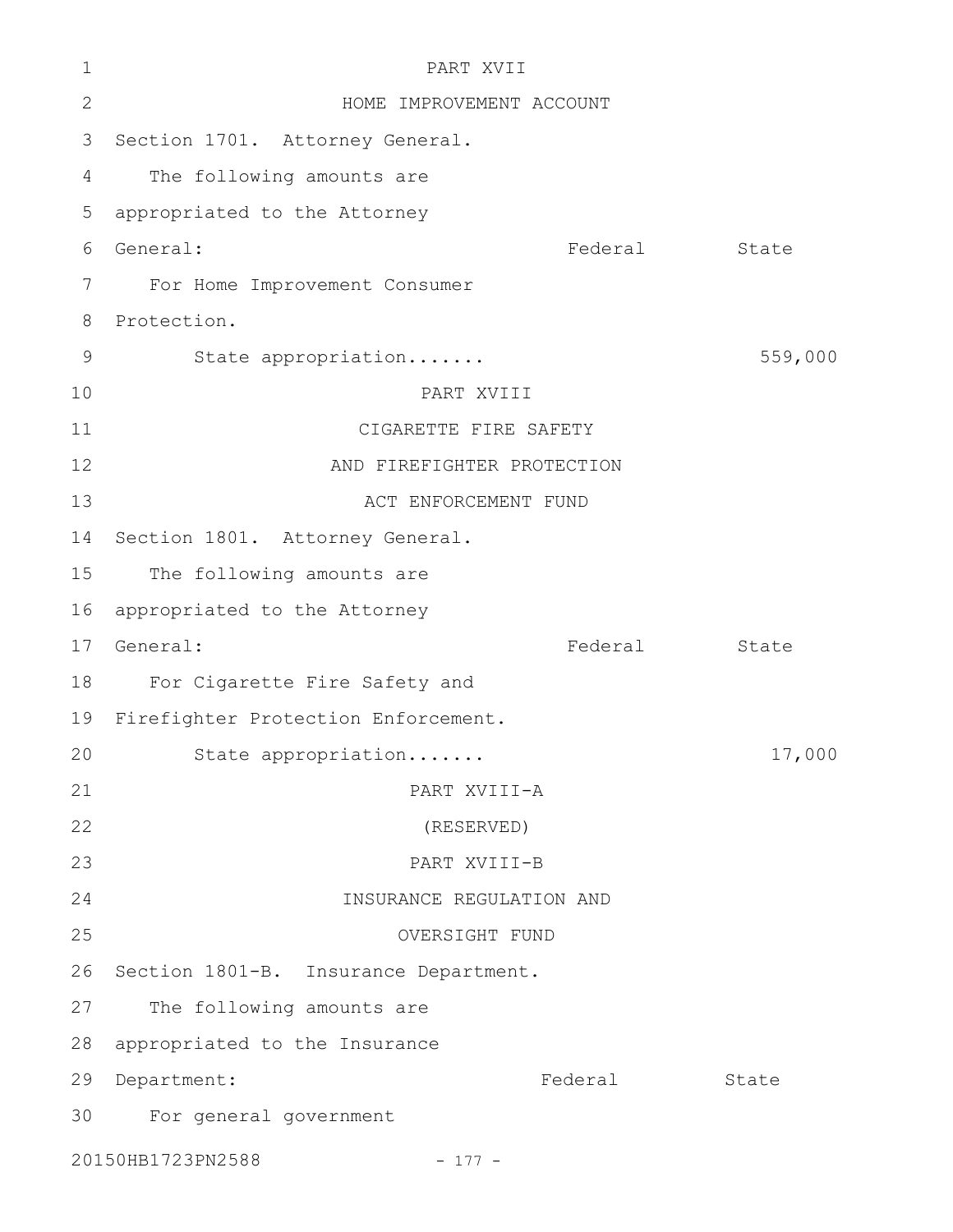| 1            | PART XVII                             |         |         |  |  |
|--------------|---------------------------------------|---------|---------|--|--|
| $\mathbf{2}$ | HOME IMPROVEMENT ACCOUNT              |         |         |  |  |
| 3            | Section 1701. Attorney General.       |         |         |  |  |
| 4            | The following amounts are             |         |         |  |  |
| 5            | appropriated to the Attorney          |         |         |  |  |
| 6            | General:                              | Federal | State   |  |  |
| 7            | For Home Improvement Consumer         |         |         |  |  |
| 8            | Protection.                           |         |         |  |  |
| 9            | State appropriation                   |         | 559,000 |  |  |
| 10           | PART XVIII                            |         |         |  |  |
| 11           | CIGARETTE FIRE SAFETY                 |         |         |  |  |
| 12           | AND FIREFIGHTER PROTECTION            |         |         |  |  |
| 13           | ACT ENFORCEMENT FUND                  |         |         |  |  |
| 14           | Section 1801. Attorney General.       |         |         |  |  |
| 15           | The following amounts are             |         |         |  |  |
| 16           | appropriated to the Attorney          |         |         |  |  |
| 17           | General:                              | Federal | State   |  |  |
| 18           | For Cigarette Fire Safety and         |         |         |  |  |
| 19           | Firefighter Protection Enforcement.   |         |         |  |  |
| 20           | State appropriation                   |         | 17,000  |  |  |
| 21           | PART XVIII-A                          |         |         |  |  |
| 22           | (RESERVED)                            |         |         |  |  |
| 23           | PART XVIII-B                          |         |         |  |  |
| 24           | INSURANCE REGULATION AND              |         |         |  |  |
| 25           | OVERSIGHT FUND                        |         |         |  |  |
| 26           | Section 1801-B. Insurance Department. |         |         |  |  |
| 27           | The following amounts are             |         |         |  |  |
| 28           | appropriated to the Insurance         |         |         |  |  |
| 29           | Department:                           | Federal | State   |  |  |
| 30           | For general government                |         |         |  |  |
|              | 20150HB1723PN2588<br>$-177 -$         |         |         |  |  |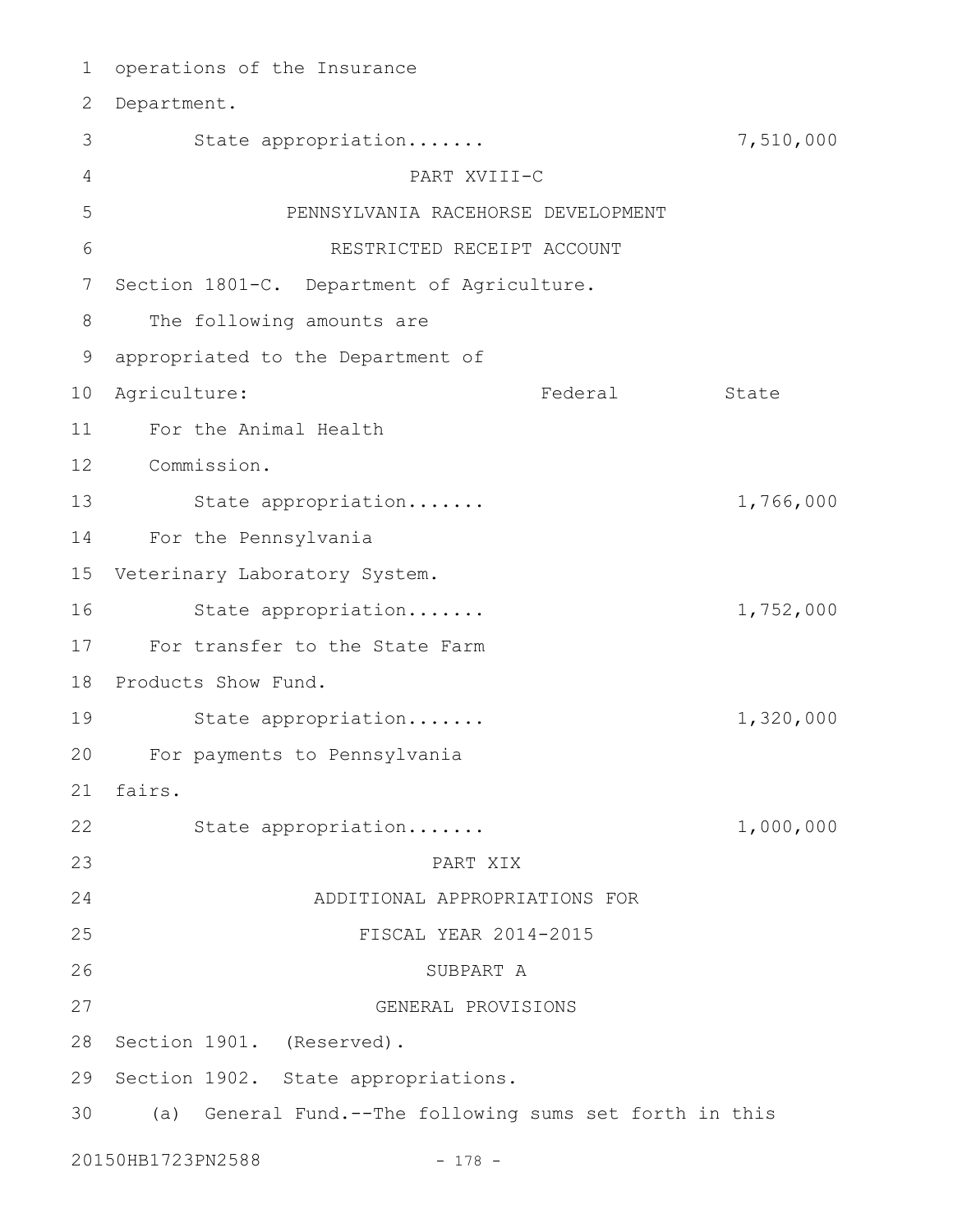1 operations of the Insurance 2 Department. State appropriation....... 7,510,000 PART XVIII-C PENNSYLVANIA RACEHORSE DEVELOPMENT RESTRICTED RECEIPT ACCOUNT 7 Section 1801-C. Department of Agriculture. The following amounts are appropriated to the Department of 9 Federal State 11 For the Animal Health Commission. 12 State appropriation....... 1,766,000 For the Pennsylvania 15 Veterinary Laboratory System. State appropriation....... 1,752,000 For transfer to the State Farm 17 18 Products Show Fund. State appropriation....... 1,320,000 For payments to Pennsylvania 20 fairs. 21 State appropriation....... 1,000,000 PART XIX ADDITIONAL APPROPRIATIONS FOR FISCAL YEAR 2014-2015 SUBPART A GENERAL PROVISIONS 28 Section 1901. (Reserved). 29 Section 1902. State appropriations. (a) General Fund.--The following sums set forth in this 303 4 5 6 8 10 Agriculture: 13 14 16 19 22 23 24 25 26 27

20150HB1723PN2588 - 178 -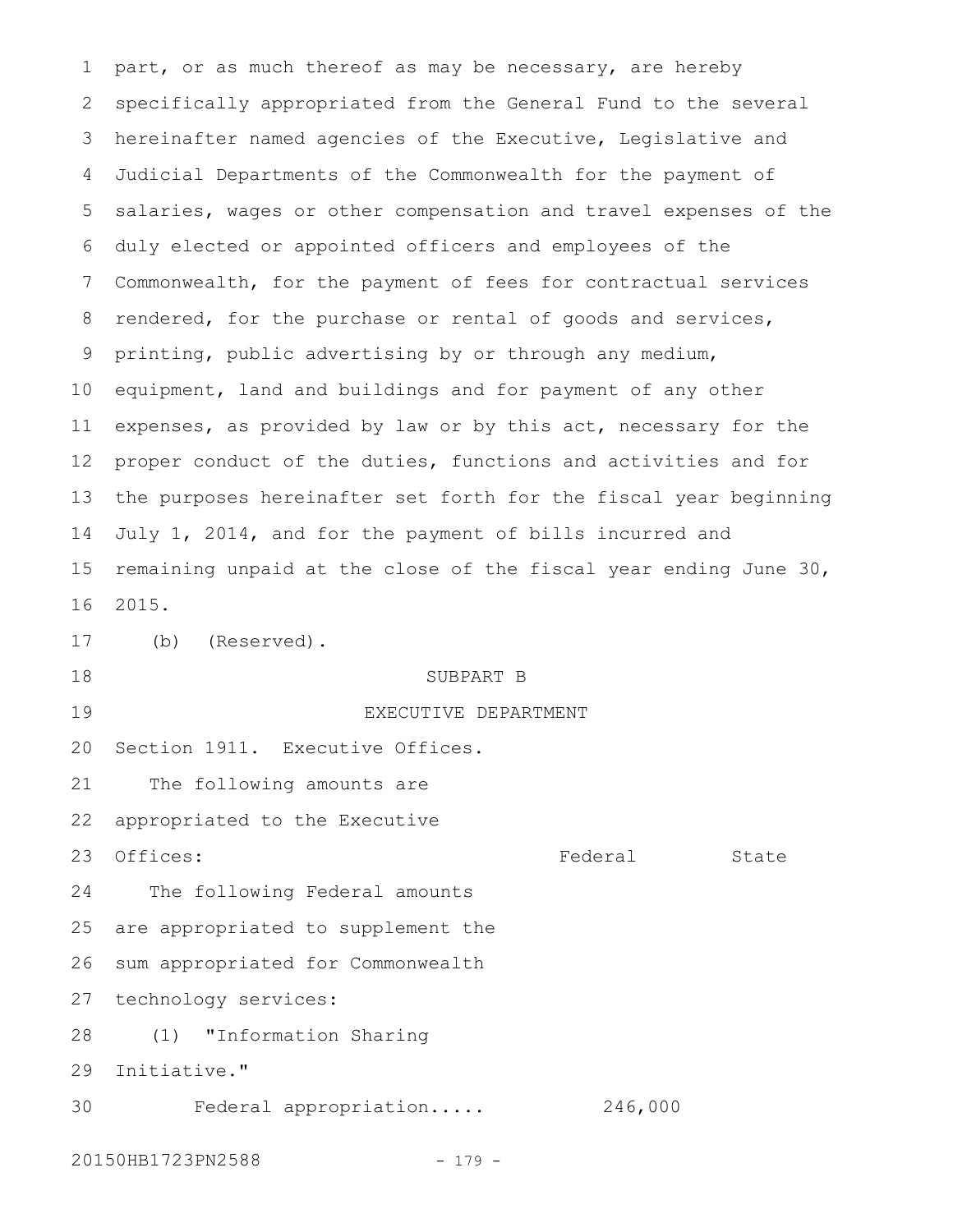part, or as much thereof as may be necessary, are hereby specifically appropriated from the General Fund to the several hereinafter named agencies of the Executive, Legislative and Judicial Departments of the Commonwealth for the payment of salaries, wages or other compensation and travel expenses of the duly elected or appointed officers and employees of the Commonwealth, for the payment of fees for contractual services rendered, for the purchase or rental of goods and services, printing, public advertising by or through any medium, equipment, land and buildings and for payment of any other expenses, as provided by law or by this act, necessary for the proper conduct of the duties, functions and activities and for the purposes hereinafter set forth for the fiscal year beginning July 1, 2014, and for the payment of bills incurred and remaining unpaid at the close of the fiscal year ending June 30, 2015. (b) (Reserved). SUBPART B EXECUTIVE DEPARTMENT Section 1911. Executive Offices. The following amounts are appropriated to the Executive Offices: State State State State State State State State State State State State State State State State State The following Federal amounts are appropriated to supplement the sum appropriated for Commonwealth technology services: (1) "Information Sharing Initiative." Federal appropriation..... 246,000 1 2 3 4 5 6 7 8 9 10 11 12 13 14 15 16 17 18 19  $20$ 21 22 23 24 25 26 27 28 29 30

20150HB1723PN2588 - 179 -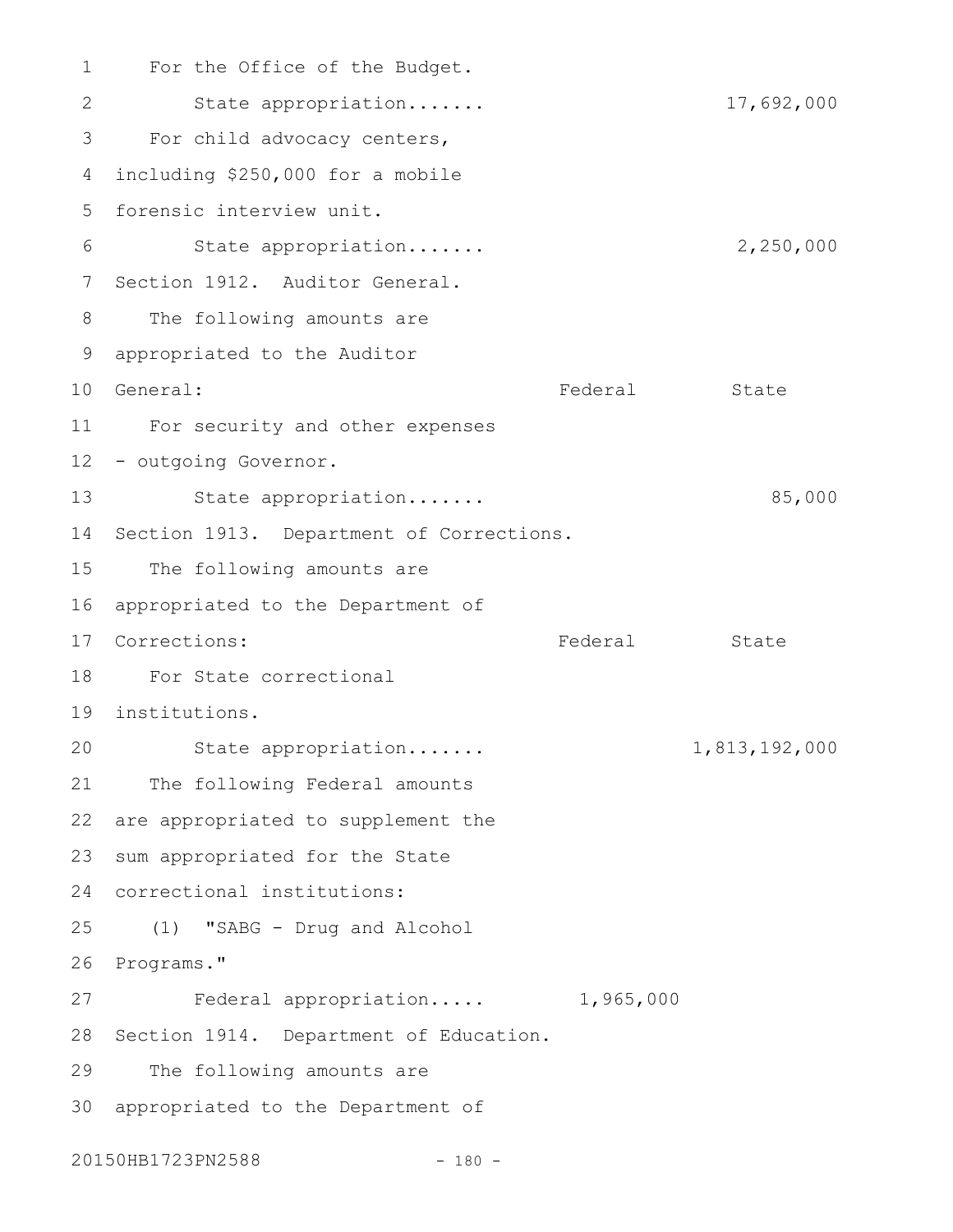1 For the Office of the Budget. State appropriation....... 17,692,000 For child advocacy centers, including \$250,000 for a mobile 4 5 forensic interview unit. State appropriation....... 2,250,000 7 Section 1912. Auditor General. The following amounts are appropriated to the Auditor 9 Federal State For security and other expenses 11 12 - outgoing Governor. State appropriation....... 65,000 14 Section 1913. Department of Corrections. 15 The following amounts are 16 appropriated to the Department of Federal State For State correctional 18 institutions. 19 State appropriation....... 1,813,192,000 21 The following Federal amounts 22 are appropriated to supplement the 23 sum appropriated for the State correctional institutions: 24 (1) "SABG - Drug and Alcohol 25 26 Programs." Federal appropriation..... 1,965,000 28 Section 1914. Department of Education. 29 The following amounts are 30 appropriated to the Department of 2 3 6 8 10 General: 13 17 Corrections:  $20$ 27

20150HB1723PN2588 - 180 -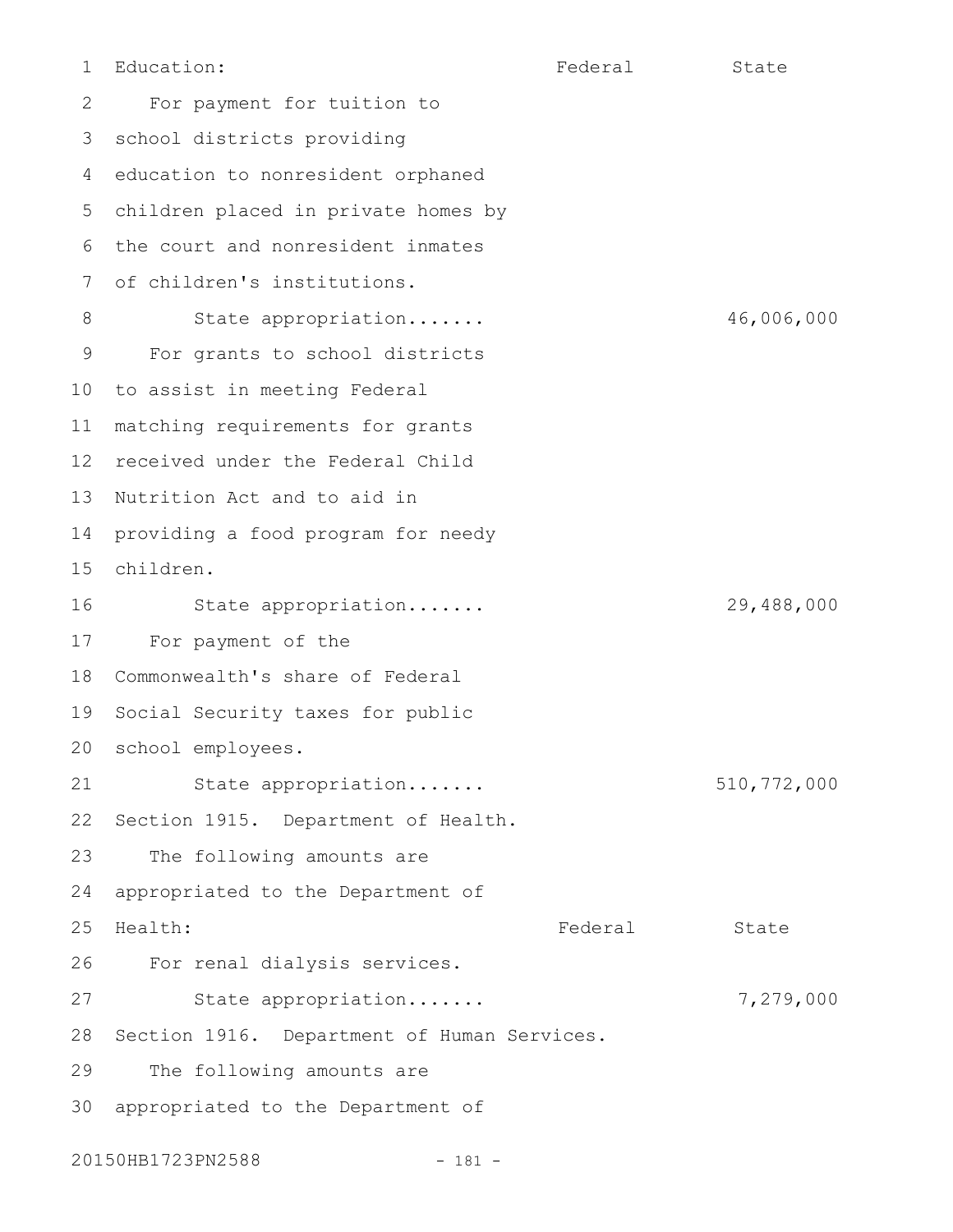1

Education: The Federal State

For payment for tuition to 3 school districts providing 4 education to nonresident orphaned children placed in private homes by the court and nonresident inmates of children's institutions. State appropriation....... 46,006,000 For grants to school districts to assist in meeting Federal matching requirements for grants 12 received under the Federal Child 13 Nutrition Act and to aid in providing a food program for needy children. State appropriation....... 29,488,000 For payment of the Commonwealth's share of Federal 19 Social Security taxes for public school employees. 20 State appropriation....... 510,772,000 22 Section 1915. Department of Health. The following amounts are appropriated to the Department of Health: State State State State State State State State State State State State State State State State State For renal dialysis services. State appropriation....... 7,279,000 Section 1916. Department of Human Services. The following amounts are appropriated to the Department of 2 5 6 7 8 9 10 11 14 15 16 17 18 21 23 24 25 26 27 28 29 30

20150HB1723PN2588 - 181 -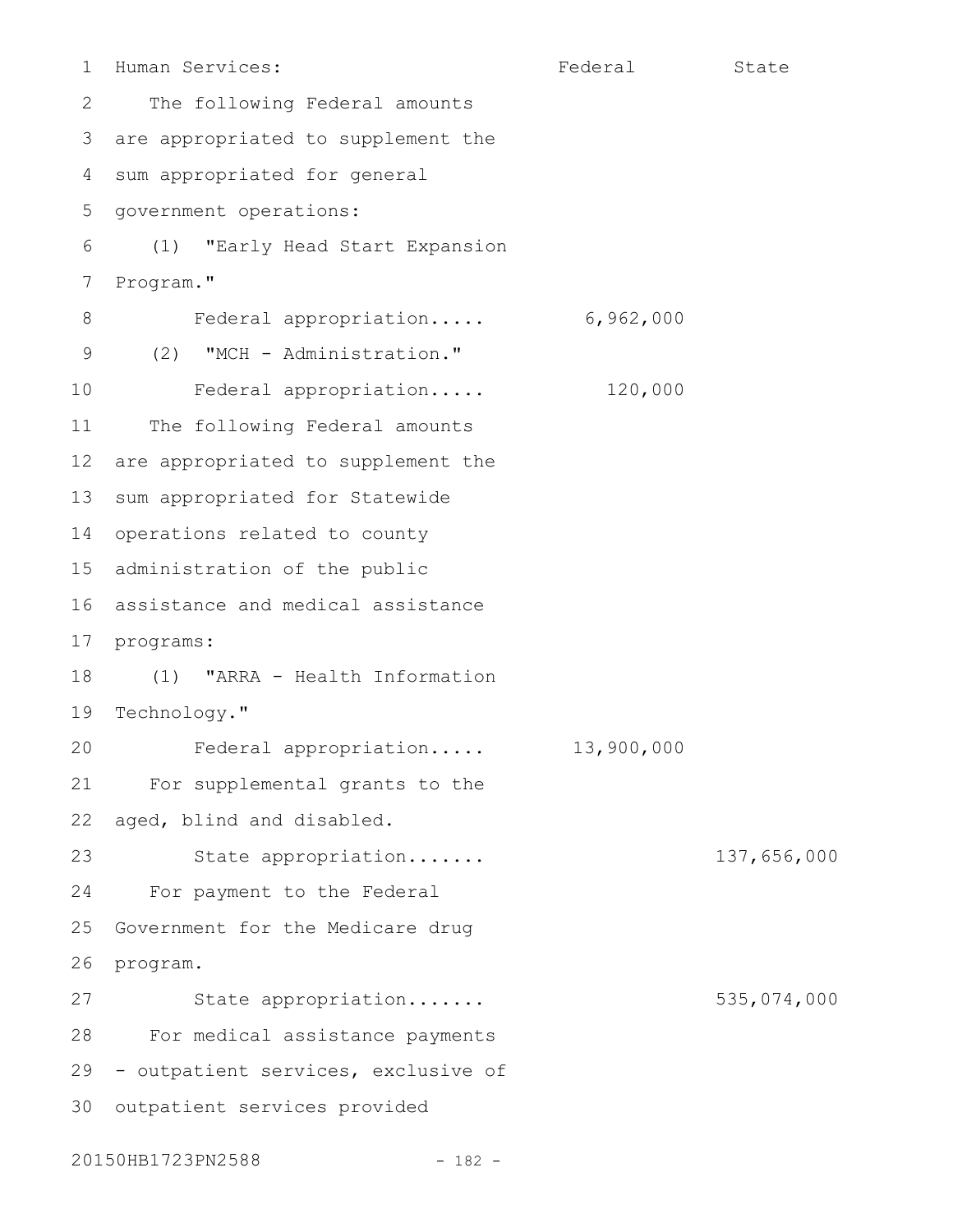Human Services: The State State State State State State State State State The following Federal amounts are appropriated to supplement the sum appropriated for general government operations: (1) "Early Head Start Expansion Program." Federal appropriation..... 6,962,000 (2) "MCH - Administration." Federal appropriation..... 120,000 The following Federal amounts are appropriated to supplement the sum appropriated for Statewide operations related to county administration of the public 16 assistance and medical assistance 17 programs: (1) "ARRA - Health Information Technology." Federal appropriation..... 13,900,000 For supplemental grants to the aged, blind and disabled. State appropriation....... 137,656,000 For payment to the Federal Government for the Medicare drug program. State appropriation....... 535,074,000 For medical assistance payments 29 - outpatient services, exclusive of 30 outpatient services provided 1 2 3 4 5 6 7 8 9 10 11 12 13 14 15 18 19  $20$ 21 22 23 24 25 26 27 28

20150HB1723PN2588 - 182 -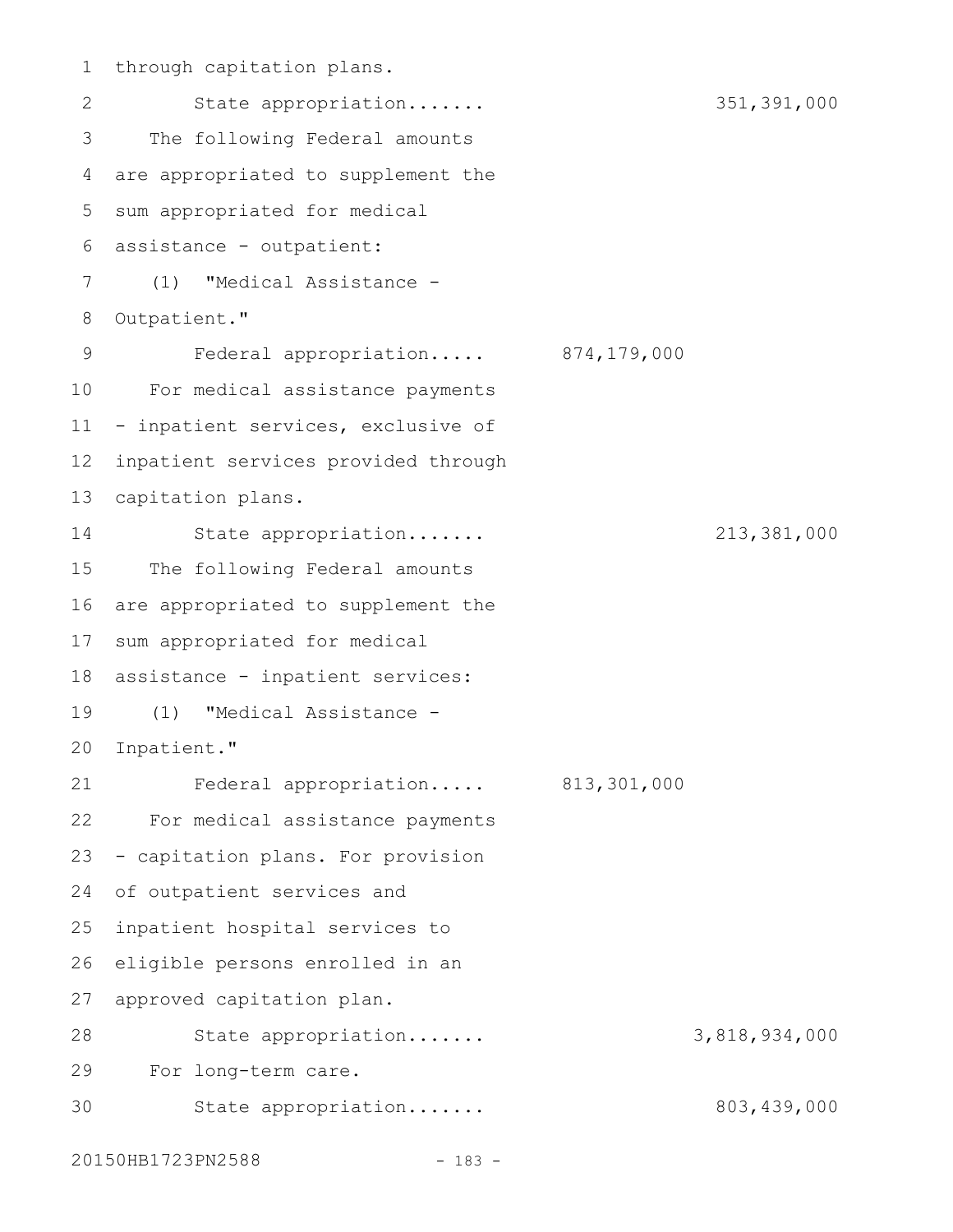1 through capitation plans. State appropriation....... 351,391,000 The following Federal amounts are appropriated to supplement the sum appropriated for medical assistance - outpatient: 6 (1) "Medical Assistance - Outpatient." Federal appropriation..... 874,179,000 For medical assistance payments - inpatient services, exclusive of inpatient services provided through capitation plans. State appropriation....... 213,381,000 The following Federal amounts are appropriated to supplement the sum appropriated for medical assistance - inpatient services: (1) "Medical Assistance - 20 Inpatient." Federal appropriation..... 813,301,000 For medical assistance payments - capitation plans. For provision of outpatient services and inpatient hospital services to eligible persons enrolled in an approved capitation plan. 2 3 4 5 7 8 9 10 11 12 13 14 15 16 17 18 19 21 22 23 24 25 26 27

State appropriation....... 3,818,934,000 For long-term care. State appropriation....... 803,439,000 28 29 30

20150HB1723PN2588 - 183 -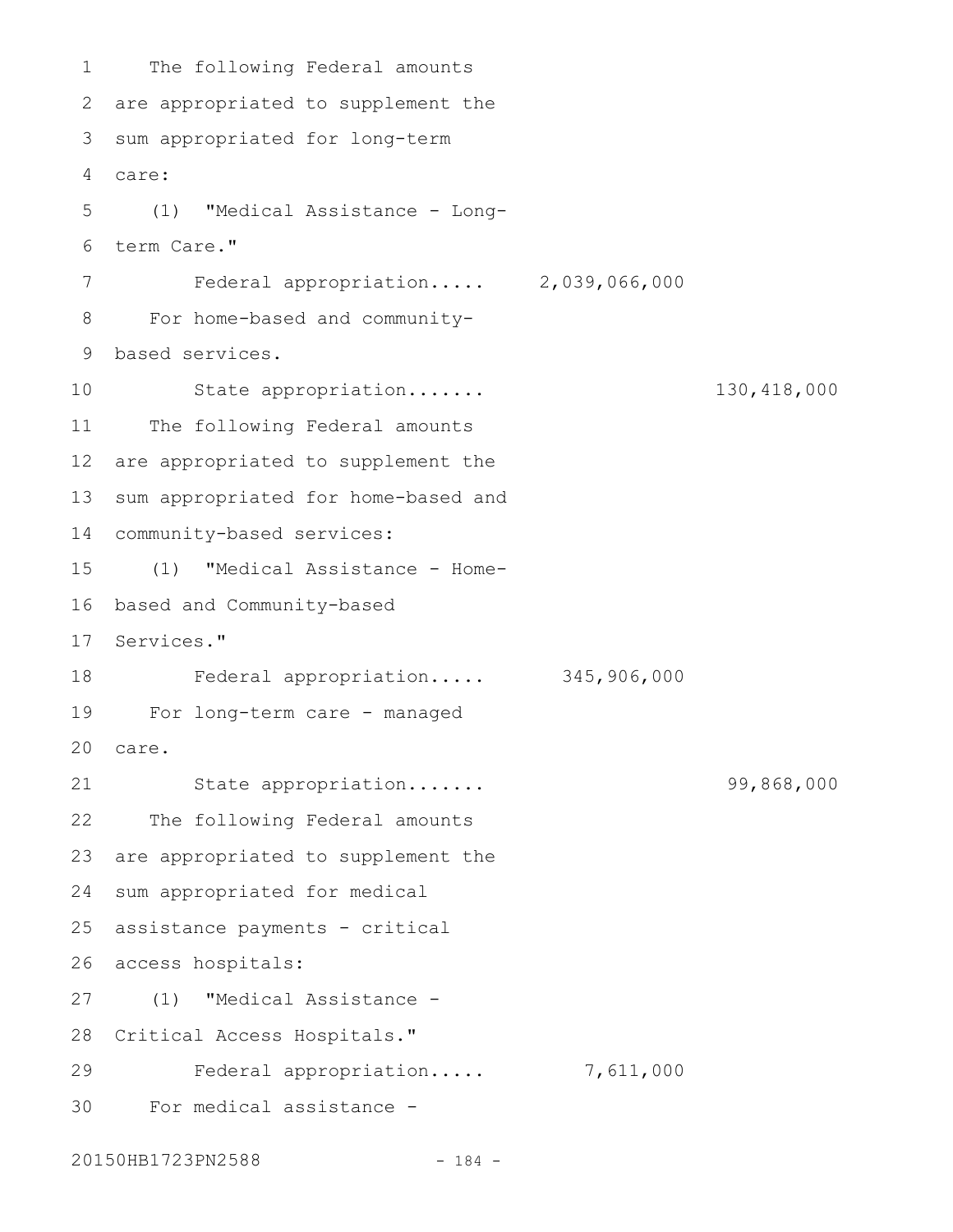The following Federal amounts 2 are appropriated to supplement the 3 sum appropriated for long-term care: 4 (1) "Medical Assistance - Longterm Care." Federal appropriation..... 2,039,066,000 For home-based and communitybased services. 9 State appropriation....... 130,418,000 The following Federal amounts are appropriated to supplement the sum appropriated for home-based and community-based services: 14 (1) "Medical Assistance - Home-16 based and Community-based 17 Services." Federal appropriation..... 345,906,000 For long-term care - managed 19 care. 20 State appropriation....... 99,868,000 The following Federal amounts are appropriated to supplement the 24 sum appropriated for medical assistance payments - critical access hospitals: 26 (1) "Medical Assistance - 28 Critical Access Hospitals." Federal appropriation..... 7,611,000 For medical assistance - 301 5 6 7 8 10 11 12 13 15 18 21 22 23 25 27 29

20150HB1723PN2588 - 184 -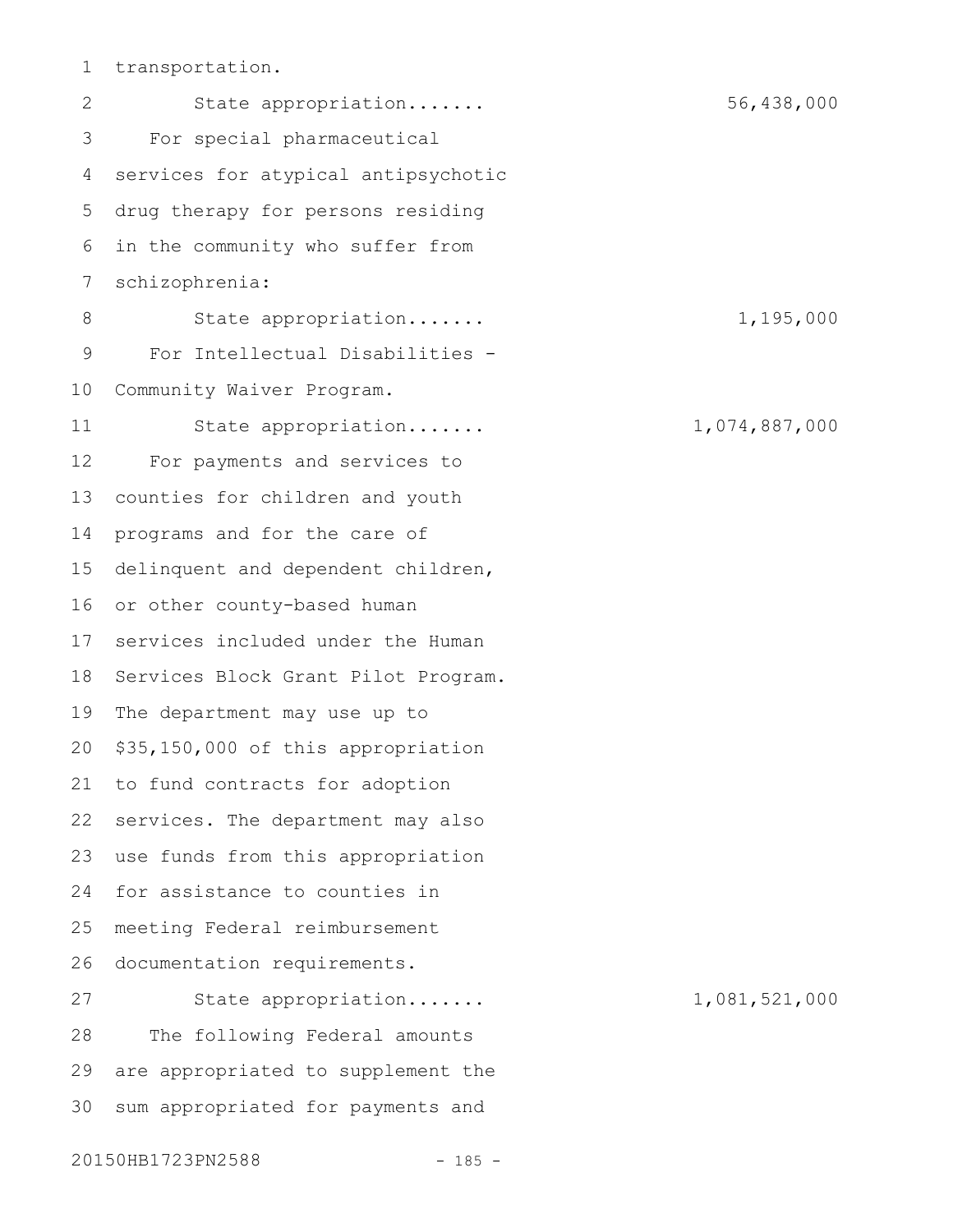transportation. 1

State appropriation....... 56,438,000 For special pharmaceutical services for atypical antipsychotic drug therapy for persons residing in the community who suffer from schizophrenia: State appropriation....... 1,195,000 For Intellectual Disabilities - Community Waiver Program. State appropriation....... 1,074,887,000 For payments and services to counties for children and youth programs and for the care of delinquent and dependent children, or other county-based human services included under the Human Services Block Grant Pilot Program. The department may use up to \$35,150,000 of this appropriation to fund contracts for adoption services. The department may also use funds from this appropriation for assistance to counties in meeting Federal reimbursement documentation requirements. State appropriation....... 1,081,521,000 The following Federal amounts are appropriated to supplement the sum appropriated for payments and 2 3 4 5 6 7 8 9 10 11 12 13 14 15 16 17 18 19 20 21 22 23 24 25 26 27 28 29 30

20150HB1723PN2588 - 185 -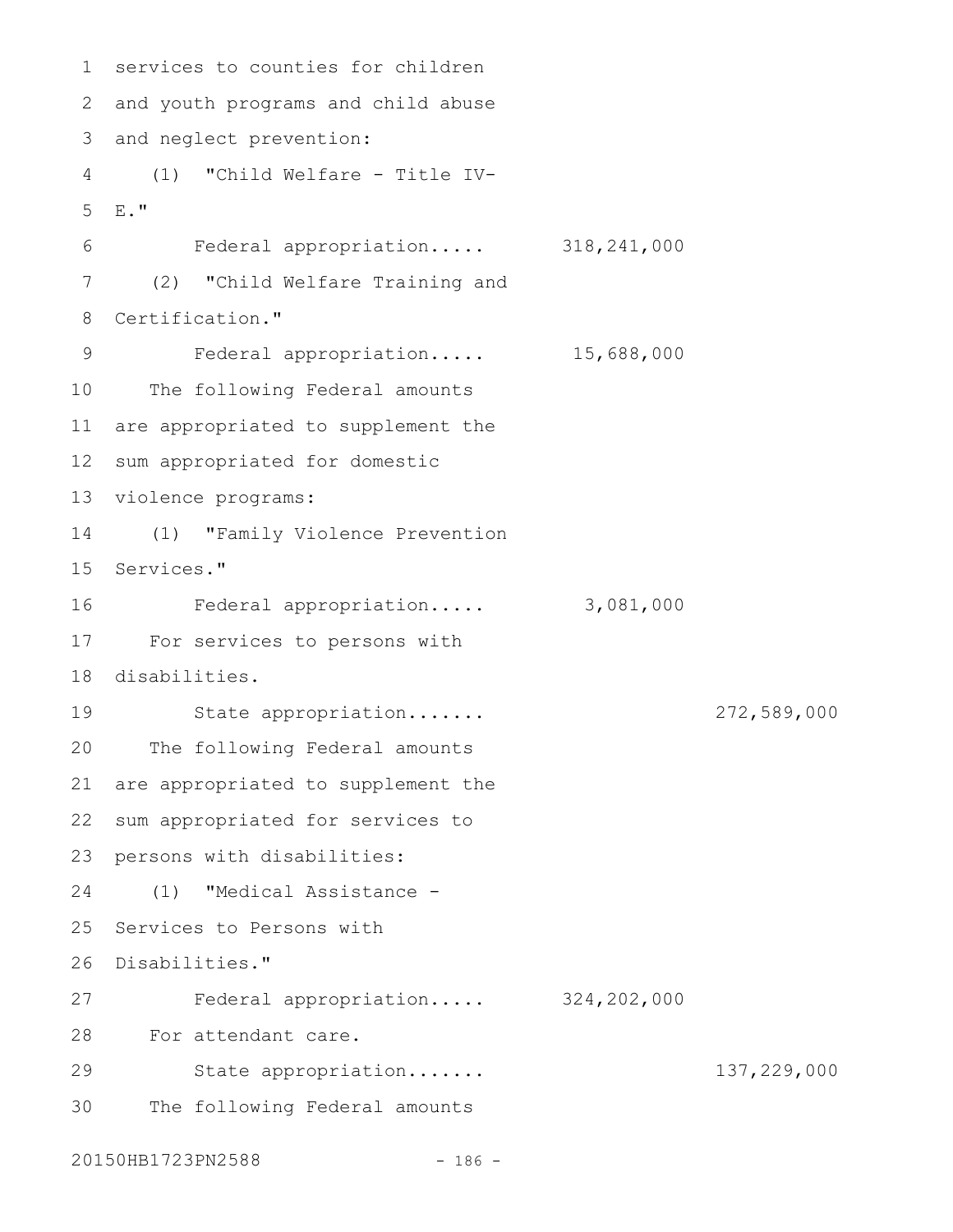```
1 services to counties for children
 2 and youth programs and child abuse
 3 and neglect prevention:
 (1) "Child Welfare - Title IV-
4
  E^{\text{eff}}Federal appropriation..... 318,241,000
      (2) "Child Welfare Training and
  Certification."
         Federal appropriation..... 15,688,000
10 The following Federal amounts
11 are appropriated to supplement the
12 sum appropriated for domestic
13 violence programs:
(1) "Family Violence Prevention
14
15 Services."
        Federal appropriation..... 3,081,000
For services to persons with
17
18 disabilities.
    State appropriation....... 272,589,000
20 The following Federal amounts
21 are appropriated to supplement the
22 sum appropriated for services to
23 persons with disabilities:
(1) "Medical Assistance -
24
25 Services to Persons with
26 Disabilities."
         Federal appropriation..... 324,202,000
For attendant care.
28
        State appropriation....... 137,229,000
30 The following Federal amounts
5
6
7
8
9
16
19
27
29
```

```
20150HB1723PN2588 - 186 -
```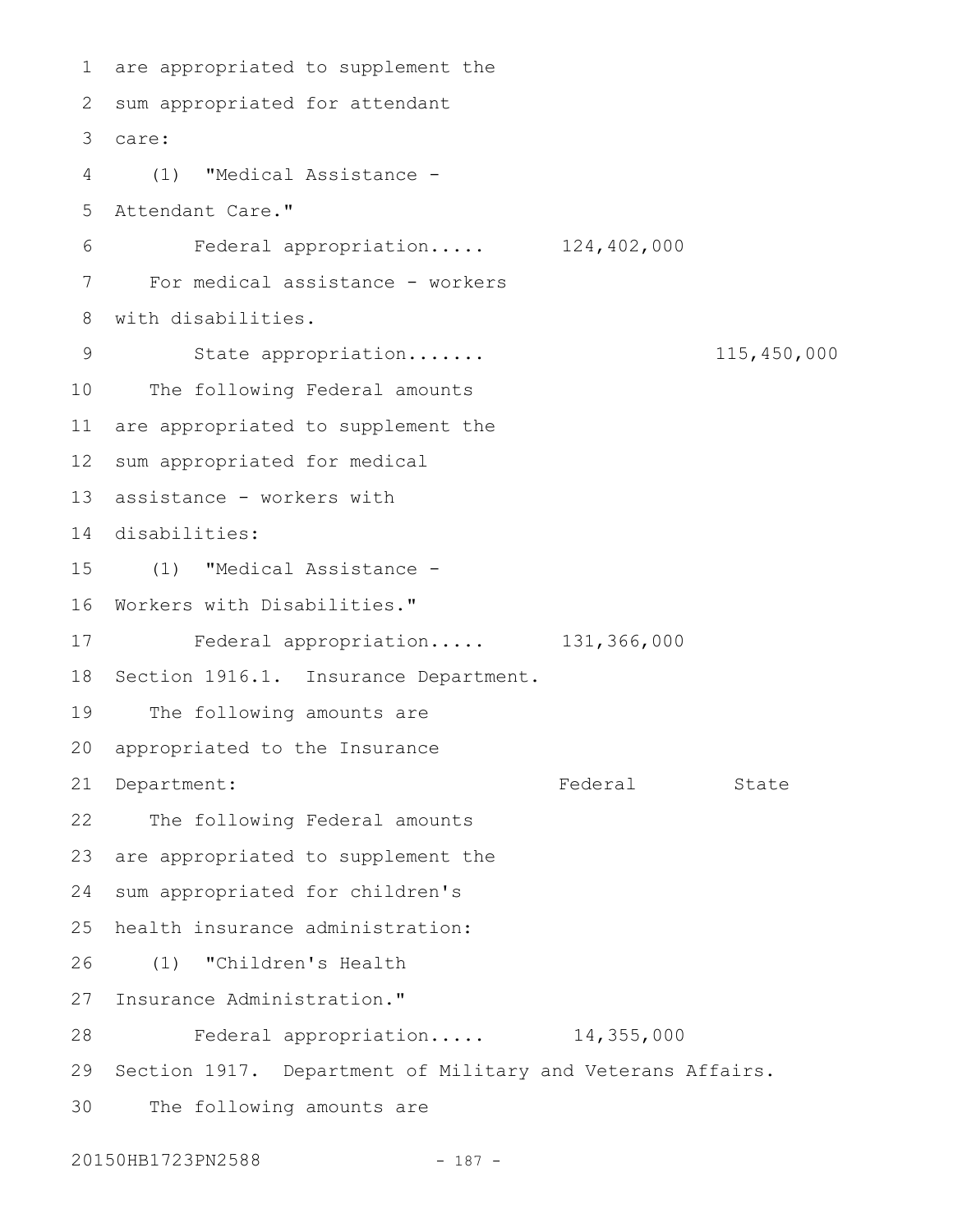are appropriated to supplement the 1 2 sum appropriated for attendant care: 3 (1) "Medical Assistance - 4 Attendant Care." Federal appropriation..... 124,402,000 For medical assistance - workers with disabilities. State appropriation....... 115,450,000 The following Federal amounts 11 are appropriated to supplement the 12 sum appropriated for medical 13 assistance - workers with disabilities: 14 (1) "Medical Assistance - 15 16 Workers with Disabilities." Federal appropriation..... 131,366,000 18 Section 1916.1. Insurance Department. 19 The following amounts are 20 appropriated to the Insurance 21 Department: The State State State State The following Federal amounts are appropriated to supplement the sum appropriated for children's health insurance administration: (1) "Children's Health 27 Insurance Administration." Federal appropriation..... 14,355,000 29 Section 1917. Department of Military and Veterans Affairs. The following amounts are 5 6 7 8 9 10 17 22 23 24 25 26 28 30

20150HB1723PN2588 - 187 -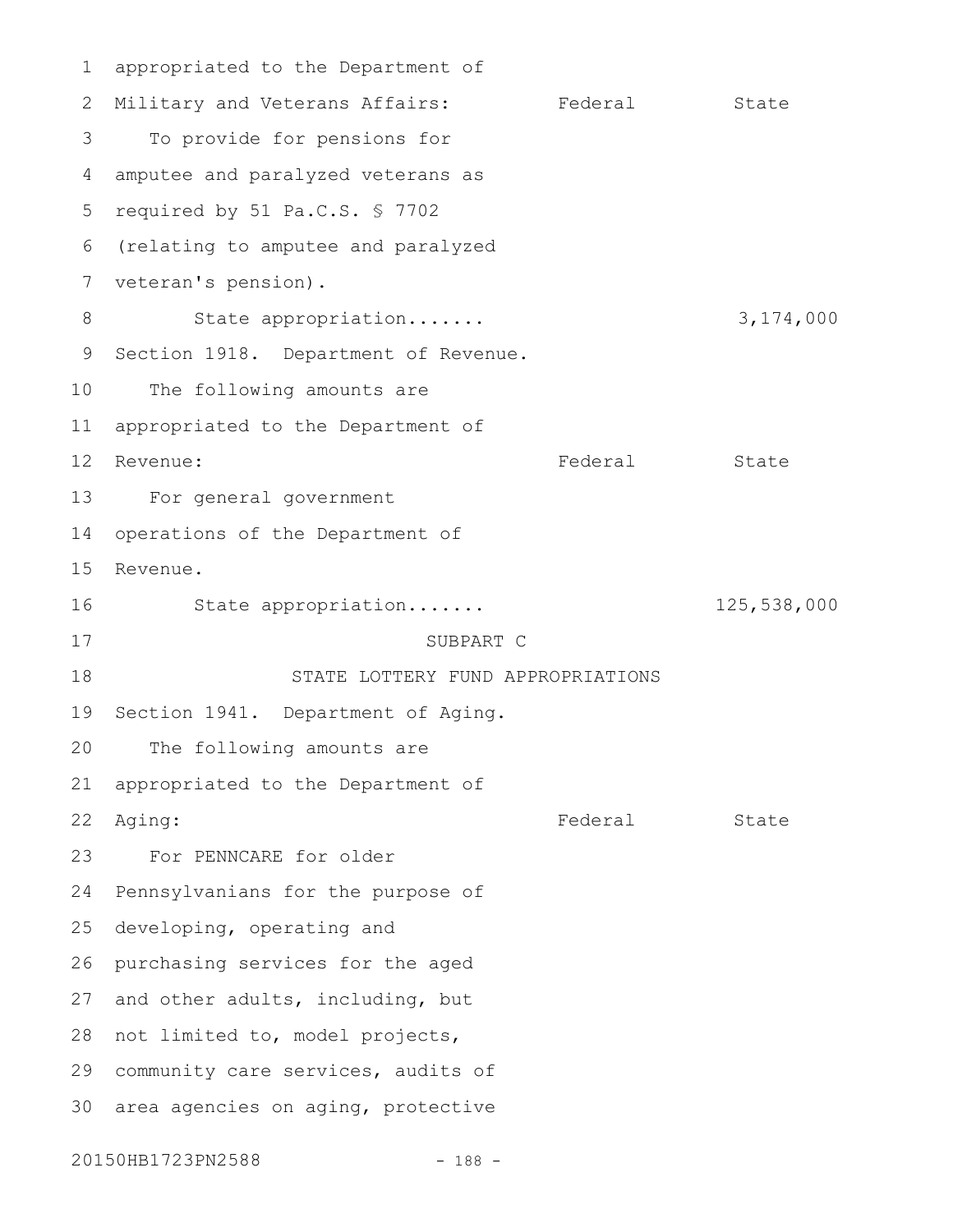appropriated to the Department of 1 2 Military and Veterans Affairs: Federal State To provide for pensions for amputee and paralyzed veterans as 5 required by 51 Pa.C.S. § 7702 6 (relating to amputee and paralyzed 7 veteran's pension). State appropriation....... 3,174,000 9 Section 1918. Department of Revenue. The following amounts are 11 appropriated to the Department of Federal State For general government operations of the Department of Revenue. State appropriation....... 125,538,000 SUBPART C STATE LOTTERY FUND APPROPRIATIONS 19 Section 1941. Department of Aging. The following amounts are appropriated to the Department of Federal State For PENNCARE for older Pennsylvanians for the purpose of developing, operating and 26 purchasing services for the aged 27 and other adults, including, but 28 not limited to, model projects, 29 community care services, audits of 30 area agencies on aging, protective 3 4 8 10 12 Revenue: 13 14 15 16 17 18 20 21 22 Aging: 23 24 25

20150HB1723PN2588 - 188 -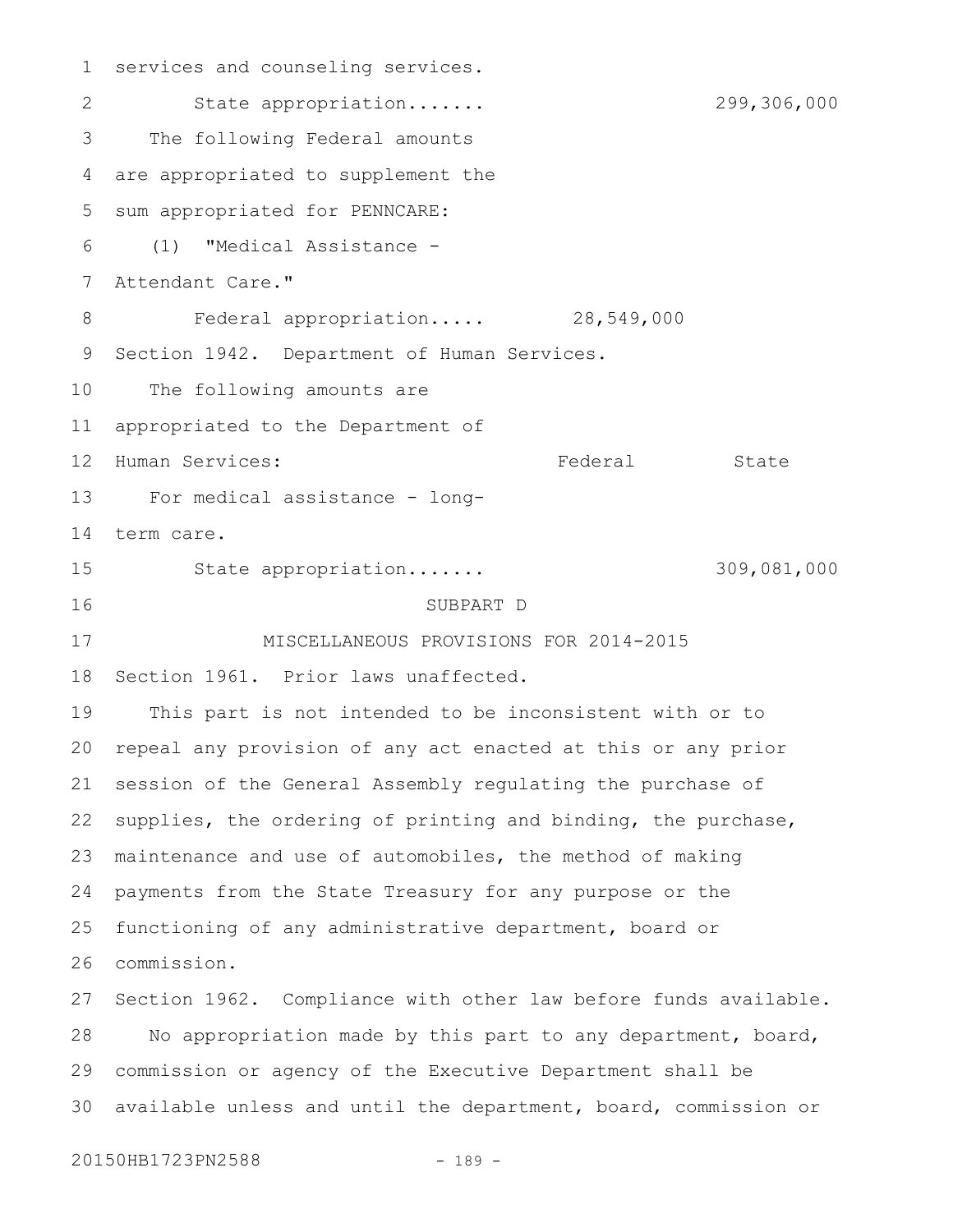services and counseling services. State appropriation....... 299,306,000 The following Federal amounts are appropriated to supplement the sum appropriated for PENNCARE: (1) "Medical Assistance - Attendant Care." Federal appropriation..... 28,549,000 Section 1942. Department of Human Services. The following amounts are appropriated to the Department of Human Services: The State State State State State State State State State State State For medical assistance - longterm care. State appropriation....... 309,081,000 SUBPART D MISCELLANEOUS PROVISIONS FOR 2014-2015 Section 1961. Prior laws unaffected. This part is not intended to be inconsistent with or to repeal any provision of any act enacted at this or any prior session of the General Assembly regulating the purchase of supplies, the ordering of printing and binding, the purchase, maintenance and use of automobiles, the method of making payments from the State Treasury for any purpose or the functioning of any administrative department, board or commission. Section 1962. Compliance with other law before funds available. No appropriation made by this part to any department, board, commission or agency of the Executive Department shall be available unless and until the department, board, commission or 301 2 3 4 5 6 7 8 9 10 11 12 13 14 15 16 17 18 19 20 21 22 23 24 25 26 27 28 29

20150HB1723PN2588 - 189 -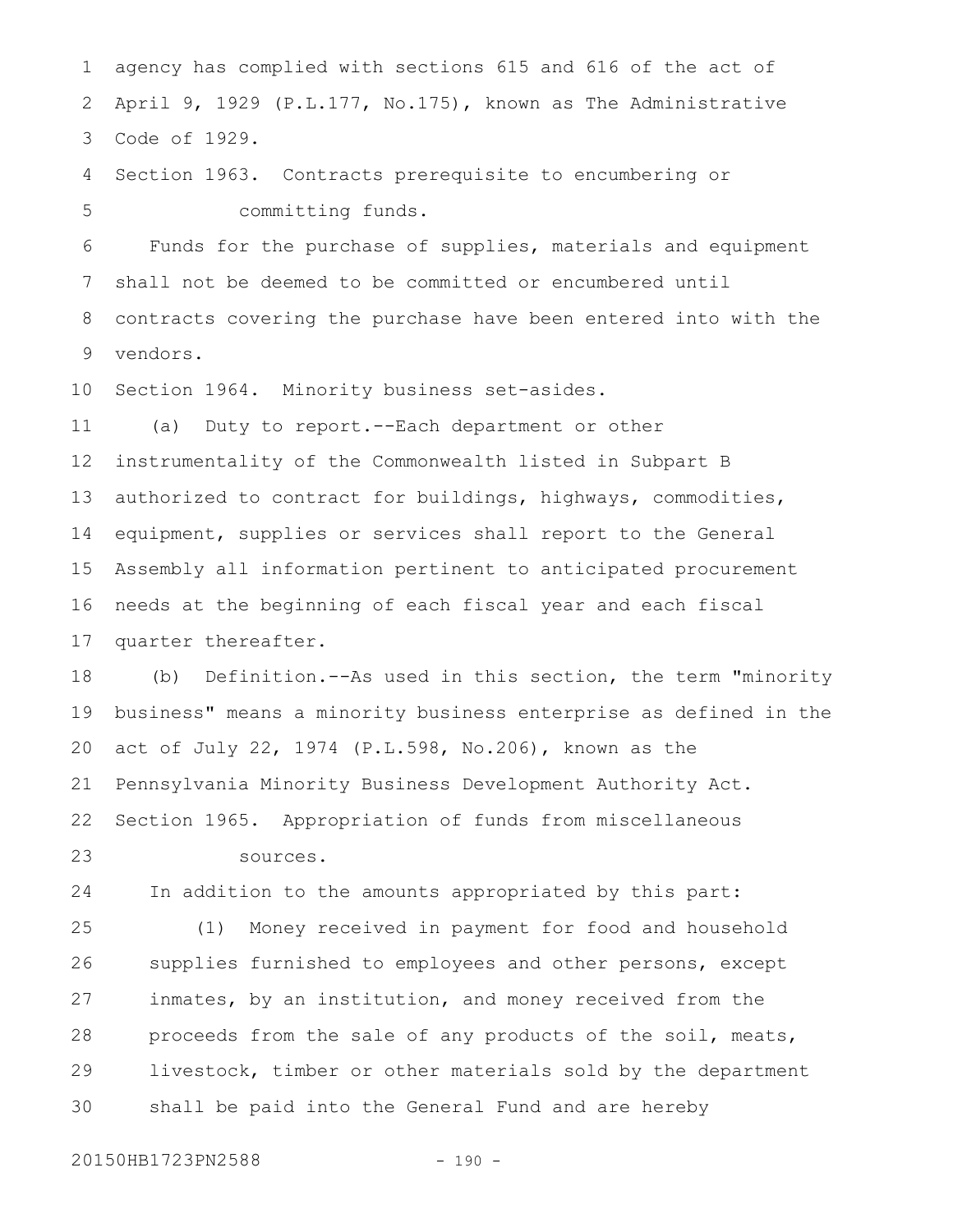agency has complied with sections 615 and 616 of the act of April 9, 1929 (P.L.177, No.175), known as The Administrative Code of 1929. 1 2 3

Section 1963. Contracts prerequisite to encumbering or committing funds. 4 5

Funds for the purchase of supplies, materials and equipment shall not be deemed to be committed or encumbered until contracts covering the purchase have been entered into with the vendors. 6 7 8 9

Section 1964. Minority business set-asides. 10

(a) Duty to report.--Each department or other instrumentality of the Commonwealth listed in Subpart B authorized to contract for buildings, highways, commodities, equipment, supplies or services shall report to the General Assembly all information pertinent to anticipated procurement needs at the beginning of each fiscal year and each fiscal quarter thereafter. 11 12 13 14 15 16 17

(b) Definition.--As used in this section, the term "minority business" means a minority business enterprise as defined in the act of July 22, 1974 (P.L.598, No.206), known as the Pennsylvania Minority Business Development Authority Act. Section 1965. Appropriation of funds from miscellaneous 18 19 20 21 22

sources. 23

In addition to the amounts appropriated by this part: 24

(1) Money received in payment for food and household supplies furnished to employees and other persons, except inmates, by an institution, and money received from the proceeds from the sale of any products of the soil, meats, livestock, timber or other materials sold by the department shall be paid into the General Fund and are hereby 25 26 27 28 29 30

20150HB1723PN2588 - 190 -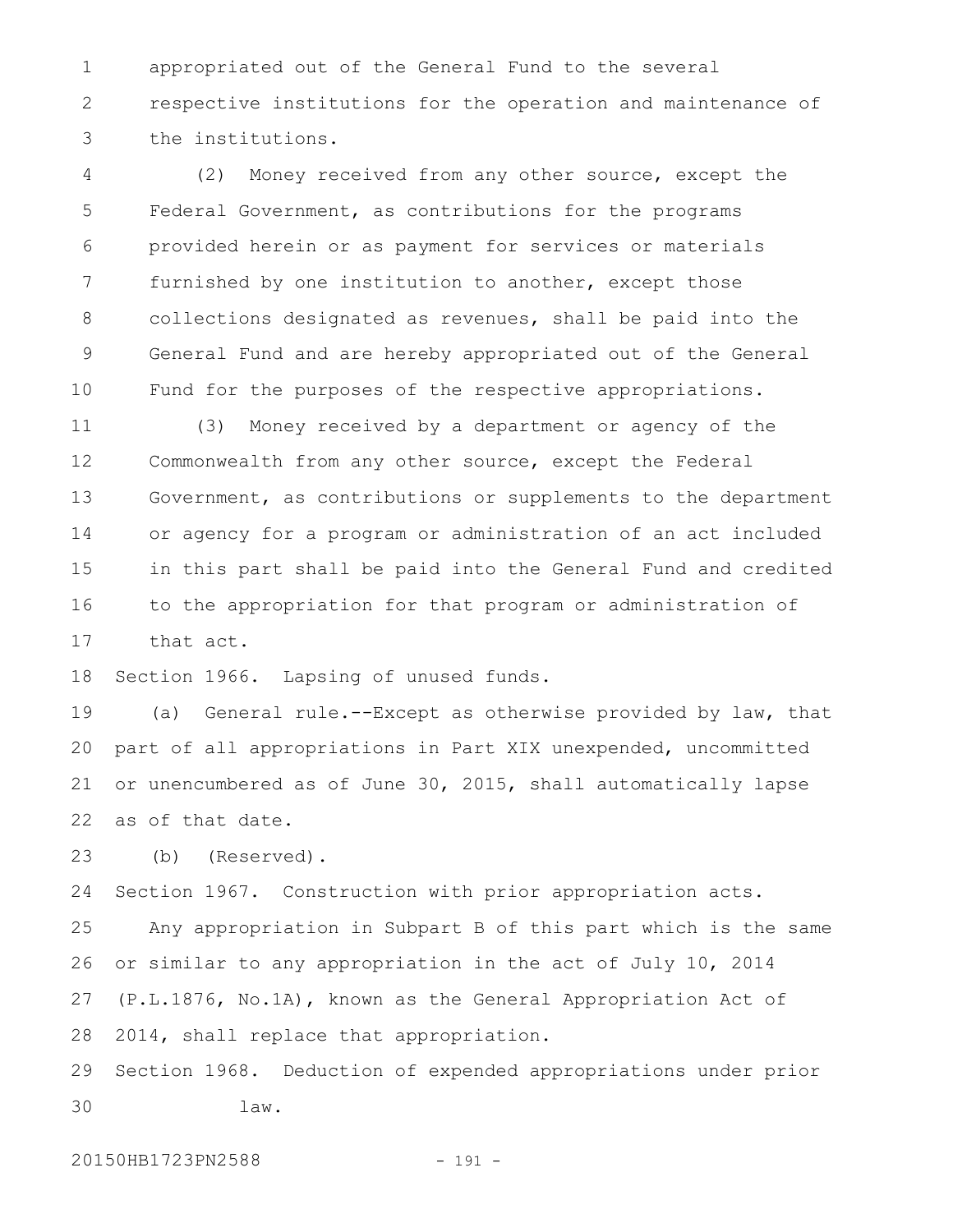appropriated out of the General Fund to the several respective institutions for the operation and maintenance of the institutions. 1 2 3

(2) Money received from any other source, except the Federal Government, as contributions for the programs provided herein or as payment for services or materials furnished by one institution to another, except those collections designated as revenues, shall be paid into the General Fund and are hereby appropriated out of the General Fund for the purposes of the respective appropriations. 4 5 6 7 8 9 10

(3) Money received by a department or agency of the Commonwealth from any other source, except the Federal Government, as contributions or supplements to the department or agency for a program or administration of an act included in this part shall be paid into the General Fund and credited to the appropriation for that program or administration of that act. 11 12 13 14 15 16 17

Section 1966. Lapsing of unused funds. 18

(a) General rule.--Except as otherwise provided by law, that part of all appropriations in Part XIX unexpended, uncommitted or unencumbered as of June 30, 2015, shall automatically lapse as of that date. 19 20 21 22

(b) (Reserved). 23

Section 1967. Construction with prior appropriation acts. Any appropriation in Subpart B of this part which is the same or similar to any appropriation in the act of July 10, 2014 (P.L.1876, No.1A), known as the General Appropriation Act of 2014, shall replace that appropriation. Section 1968. Deduction of expended appropriations under prior 24 25 26 27 28 29

30

20150HB1723PN2588 - 191 -

law.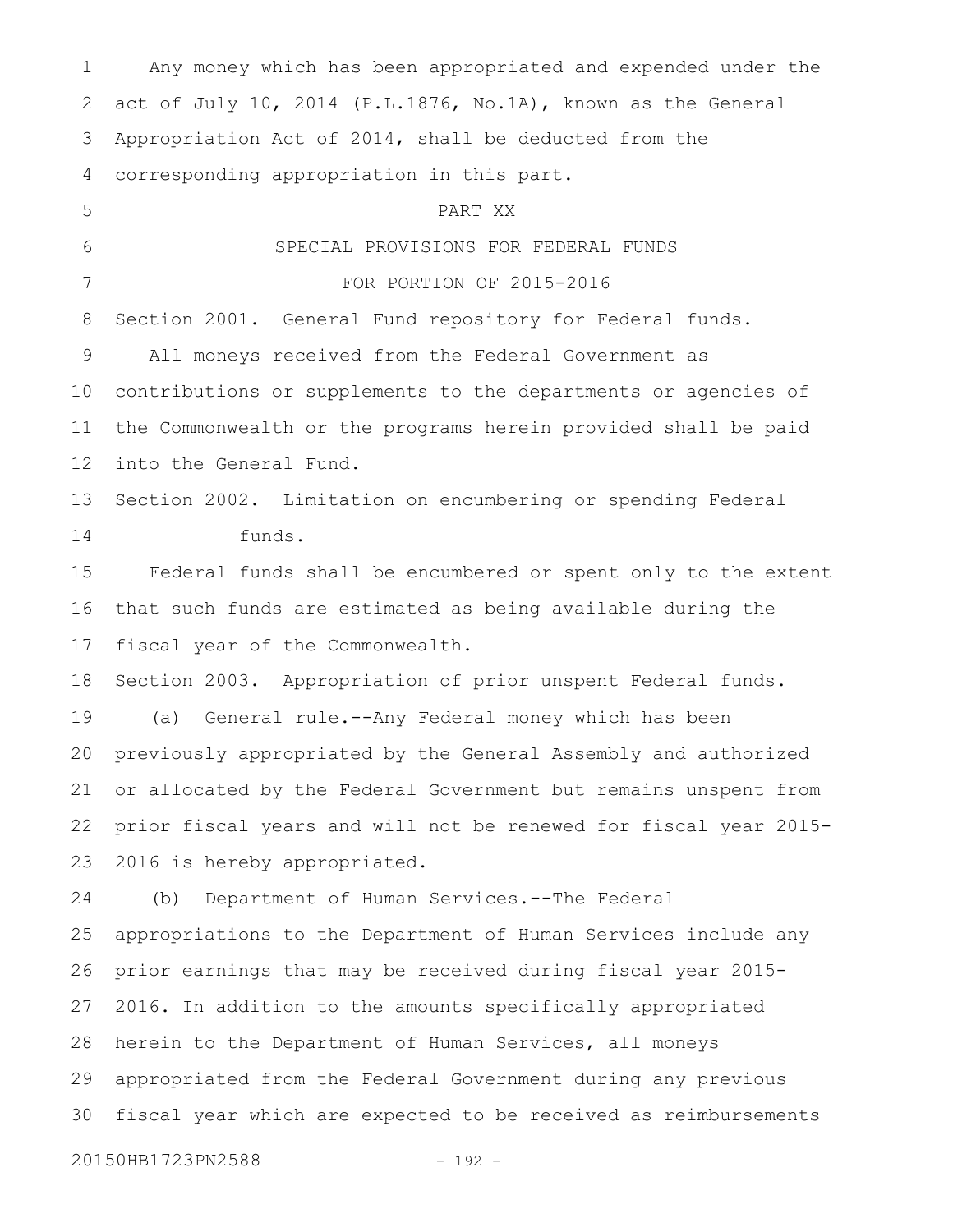Any money which has been appropriated and expended under the act of July 10, 2014 (P.L.1876, No.1A), known as the General Appropriation Act of 2014, shall be deducted from the corresponding appropriation in this part. PART XX SPECIAL PROVISIONS FOR FEDERAL FUNDS FOR PORTION OF 2015-2016 Section 2001. General Fund repository for Federal funds. All moneys received from the Federal Government as contributions or supplements to the departments or agencies of the Commonwealth or the programs herein provided shall be paid into the General Fund. Section 2002. Limitation on encumbering or spending Federal funds. Federal funds shall be encumbered or spent only to the extent that such funds are estimated as being available during the fiscal year of the Commonwealth. Section 2003. Appropriation of prior unspent Federal funds. (a) General rule.--Any Federal money which has been previously appropriated by the General Assembly and authorized or allocated by the Federal Government but remains unspent from prior fiscal years and will not be renewed for fiscal year 2015- 2016 is hereby appropriated. (b) Department of Human Services.--The Federal appropriations to the Department of Human Services include any prior earnings that may be received during fiscal year 2015- 2016. In addition to the amounts specifically appropriated herein to the Department of Human Services, all moneys appropriated from the Federal Government during any previous fiscal year which are expected to be received as reimbursements 1 2 3 4 5 6 7 8 9 10 11 12 13 14 15 16 17 18 19 20 21 22 23 24 25 26 27 28 29 30

20150HB1723PN2588 - 192 -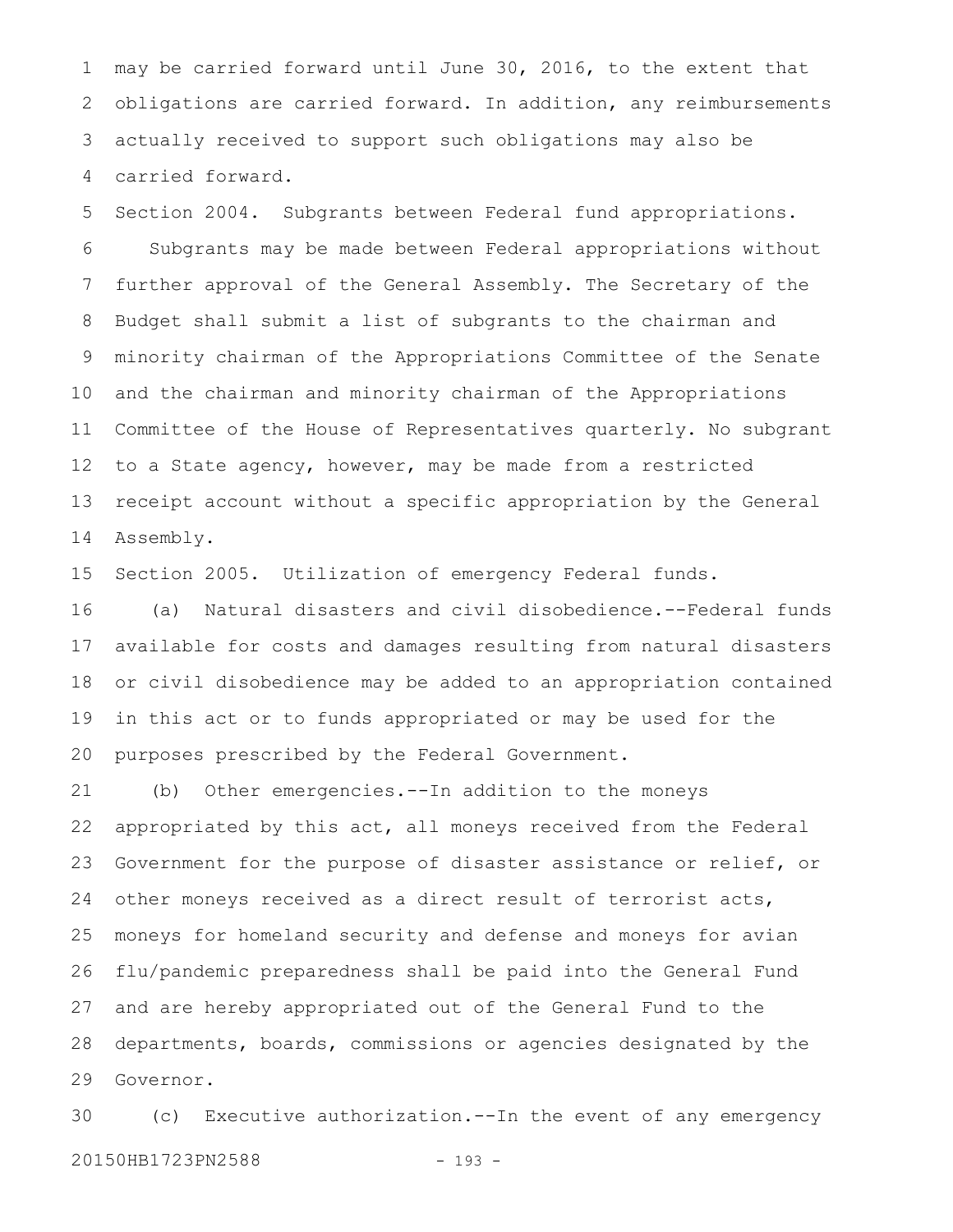may be carried forward until June 30, 2016, to the extent that obligations are carried forward. In addition, any reimbursements actually received to support such obligations may also be carried forward. 1 2 3 4

Section 2004. Subgrants between Federal fund appropriations. Subgrants may be made between Federal appropriations without further approval of the General Assembly. The Secretary of the Budget shall submit a list of subgrants to the chairman and minority chairman of the Appropriations Committee of the Senate and the chairman and minority chairman of the Appropriations Committee of the House of Representatives quarterly. No subgrant to a State agency, however, may be made from a restricted receipt account without a specific appropriation by the General Assembly. 5 6 7 8 9 10 11 12 13 14

Section 2005. Utilization of emergency Federal funds. 15

(a) Natural disasters and civil disobedience.--Federal funds available for costs and damages resulting from natural disasters or civil disobedience may be added to an appropriation contained in this act or to funds appropriated or may be used for the purposes prescribed by the Federal Government. 16 17 18 19 20

(b) Other emergencies.--In addition to the moneys appropriated by this act, all moneys received from the Federal Government for the purpose of disaster assistance or relief, or other moneys received as a direct result of terrorist acts, moneys for homeland security and defense and moneys for avian flu/pandemic preparedness shall be paid into the General Fund and are hereby appropriated out of the General Fund to the departments, boards, commissions or agencies designated by the Governor. 21 22 23 24 25 26 27 28 29

(c) Executive authorization.--In the event of any emergency 20150HB1723PN2588 - 193 -30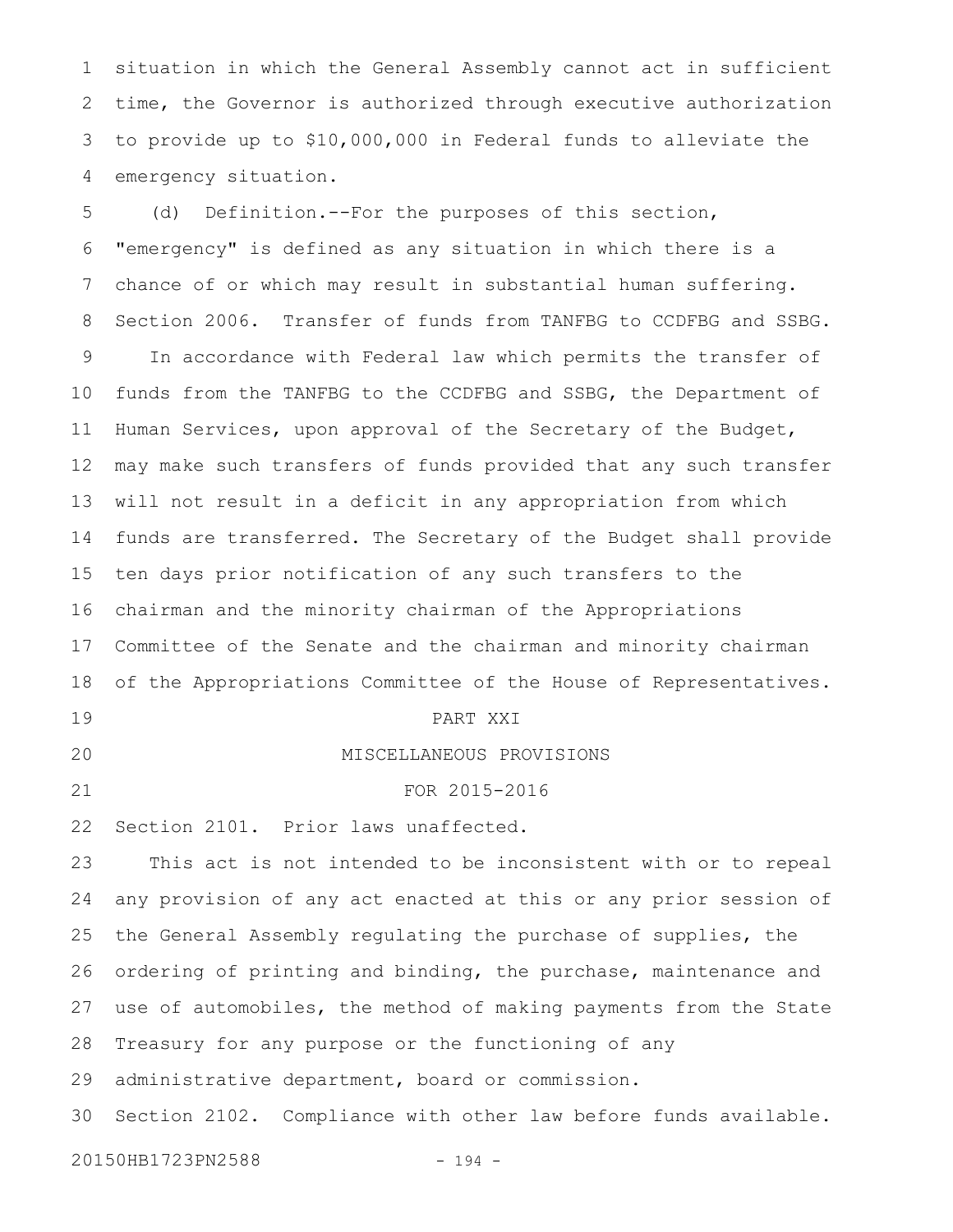situation in which the General Assembly cannot act in sufficient time, the Governor is authorized through executive authorization to provide up to \$10,000,000 in Federal funds to alleviate the emergency situation. 1 2 3 4

(d) Definition.--For the purposes of this section, "emergency" is defined as any situation in which there is a chance of or which may result in substantial human suffering. Section 2006. Transfer of funds from TANFBG to CCDFBG and SSBG. In accordance with Federal law which permits the transfer of funds from the TANFBG to the CCDFBG and SSBG, the Department of Human Services, upon approval of the Secretary of the Budget, may make such transfers of funds provided that any such transfer will not result in a deficit in any appropriation from which funds are transferred. The Secretary of the Budget shall provide ten days prior notification of any such transfers to the chairman and the minority chairman of the Appropriations Committee of the Senate and the chairman and minority chairman of the Appropriations Committee of the House of Representatives. PART XXI MISCELLANEOUS PROVISIONS FOR 2015-2016 Section 2101. Prior laws unaffected. This act is not intended to be inconsistent with or to repeal any provision of any act enacted at this or any prior session of the General Assembly regulating the purchase of supplies, the ordering of printing and binding, the purchase, maintenance and use of automobiles, the method of making payments from the State Treasury for any purpose or the functioning of any administrative department, board or commission. Section 2102. Compliance with other law before funds available. 20150HB1723PN2588 - 194 -5 6 7 8 9 10 11 12 13 14 15 16 17 18 19 20 21 22 23 24 25 26 27 28 29 30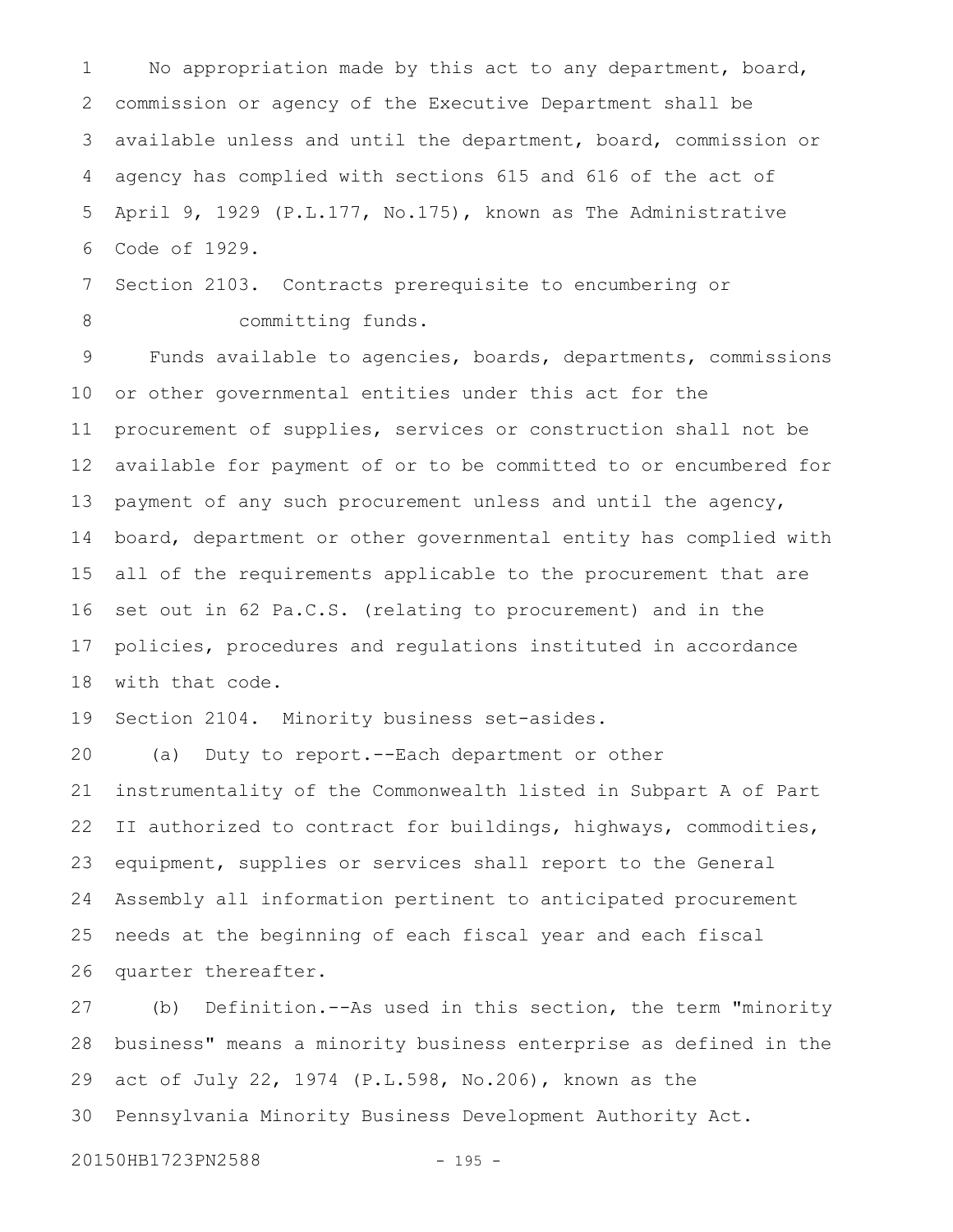No appropriation made by this act to any department, board, commission or agency of the Executive Department shall be available unless and until the department, board, commission or agency has complied with sections 615 and 616 of the act of April 9, 1929 (P.L.177, No.175), known as The Administrative Code of 1929. 1 2 3 4 5 6

Section 2103. Contracts prerequisite to encumbering or committing funds. 7 8

Funds available to agencies, boards, departments, commissions or other governmental entities under this act for the procurement of supplies, services or construction shall not be available for payment of or to be committed to or encumbered for payment of any such procurement unless and until the agency, board, department or other governmental entity has complied with all of the requirements applicable to the procurement that are set out in 62 Pa.C.S. (relating to procurement) and in the policies, procedures and regulations instituted in accordance with that code. 9 10 11 12 13 14 15 16 17 18

Section 2104. Minority business set-asides. 19

(a) Duty to report.--Each department or other instrumentality of the Commonwealth listed in Subpart A of Part II authorized to contract for buildings, highways, commodities, equipment, supplies or services shall report to the General Assembly all information pertinent to anticipated procurement needs at the beginning of each fiscal year and each fiscal quarter thereafter. 20 21 22 23 24 25 26

(b) Definition.--As used in this section, the term "minority business" means a minority business enterprise as defined in the act of July 22, 1974 (P.L.598, No.206), known as the Pennsylvania Minority Business Development Authority Act. 27 28 29 30

20150HB1723PN2588 - 195 -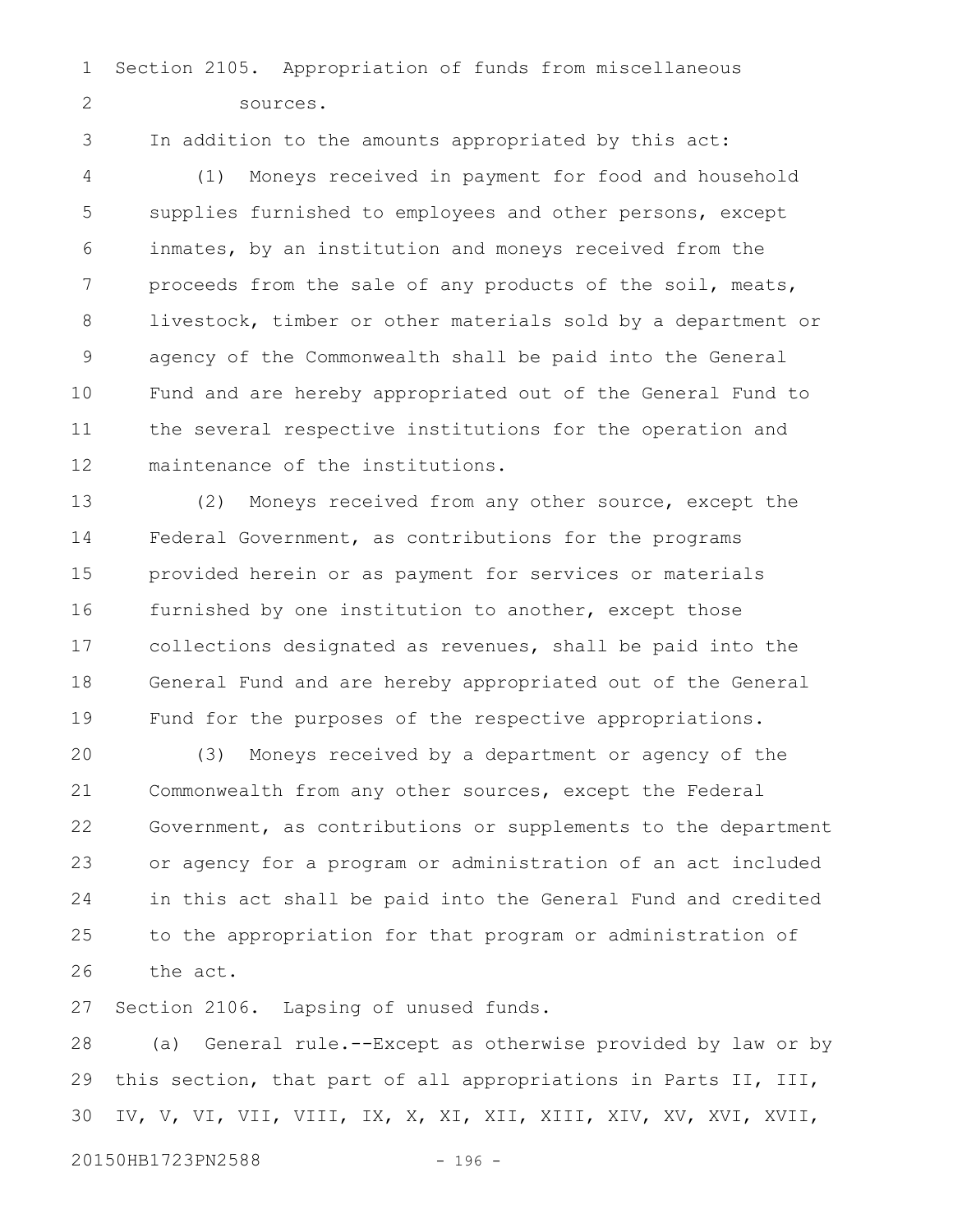Section 2105. Appropriation of funds from miscellaneous sources. 1 2

3

In addition to the amounts appropriated by this act:

(1) Moneys received in payment for food and household supplies furnished to employees and other persons, except inmates, by an institution and moneys received from the proceeds from the sale of any products of the soil, meats, livestock, timber or other materials sold by a department or agency of the Commonwealth shall be paid into the General Fund and are hereby appropriated out of the General Fund to the several respective institutions for the operation and maintenance of the institutions. 4 5 6 7 8 9 10 11 12

(2) Moneys received from any other source, except the Federal Government, as contributions for the programs provided herein or as payment for services or materials furnished by one institution to another, except those collections designated as revenues, shall be paid into the General Fund and are hereby appropriated out of the General Fund for the purposes of the respective appropriations. 13 14 15 16 17 18 19

(3) Moneys received by a department or agency of the Commonwealth from any other sources, except the Federal Government, as contributions or supplements to the department or agency for a program or administration of an act included in this act shall be paid into the General Fund and credited to the appropriation for that program or administration of the act. 20 21 22 23 24 25 26

Section 2106. Lapsing of unused funds. 27

(a) General rule.--Except as otherwise provided by law or by this section, that part of all appropriations in Parts II, III, IV, V, VI, VII, VIII, IX, X, XI, XII, XIII, XIV, XV, XVI, XVII, 28 29 30

20150HB1723PN2588 - 196 -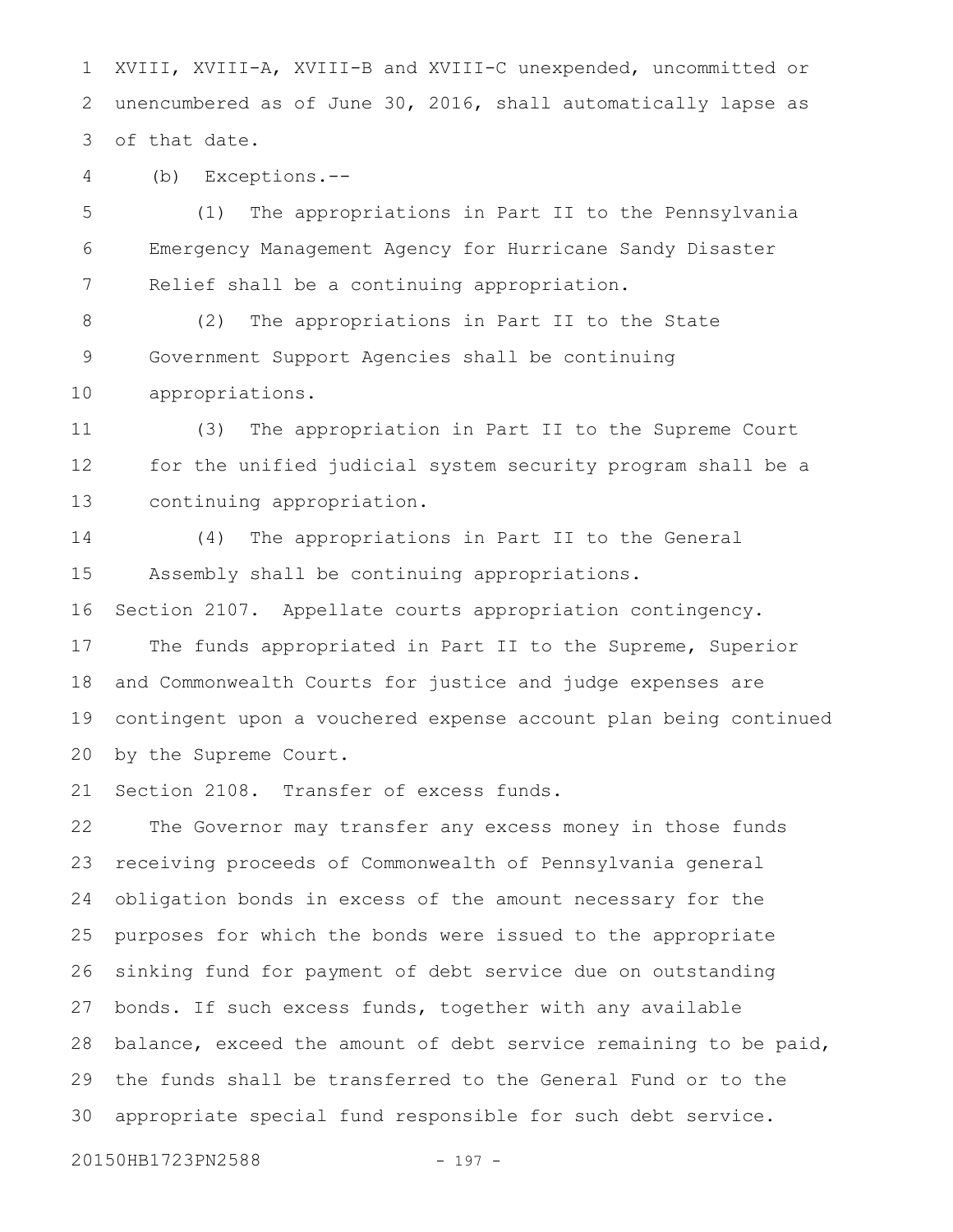XVIII, XVIII-A, XVIII-B and XVIII-C unexpended, uncommitted or unencumbered as of June 30, 2016, shall automatically lapse as of that date. 1 2 3

(b) Exceptions.-- 4

(1) The appropriations in Part II to the Pennsylvania Emergency Management Agency for Hurricane Sandy Disaster Relief shall be a continuing appropriation. 5 6 7

(2) The appropriations in Part II to the State Government Support Agencies shall be continuing appropriations. 8 9 10

(3) The appropriation in Part II to the Supreme Court for the unified judicial system security program shall be a continuing appropriation. 11 12 13

(4) The appropriations in Part II to the General Assembly shall be continuing appropriations. Section 2107. Appellate courts appropriation contingency. The funds appropriated in Part II to the Supreme, Superior and Commonwealth Courts for justice and judge expenses are contingent upon a vouchered expense account plan being continued 14 15 16 17 18 19

by the Supreme Court. 20

Section 2108. Transfer of excess funds. 21

The Governor may transfer any excess money in those funds receiving proceeds of Commonwealth of Pennsylvania general obligation bonds in excess of the amount necessary for the purposes for which the bonds were issued to the appropriate sinking fund for payment of debt service due on outstanding bonds. If such excess funds, together with any available balance, exceed the amount of debt service remaining to be paid, the funds shall be transferred to the General Fund or to the appropriate special fund responsible for such debt service. 22 23 24 25 26 27 28 29 30

20150HB1723PN2588 - 197 -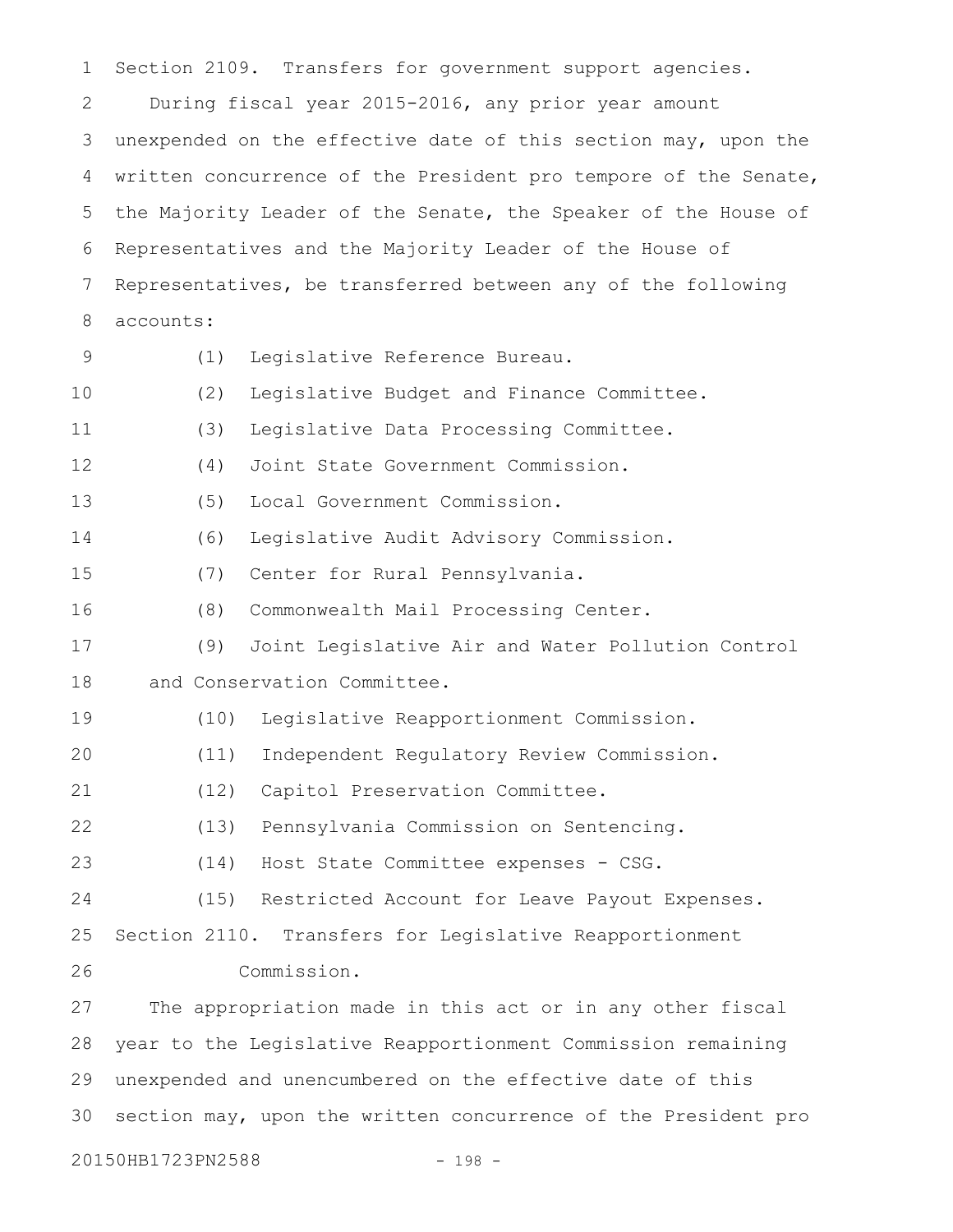Section 2109. Transfers for government support agencies. During fiscal year 2015-2016, any prior year amount unexpended on the effective date of this section may, upon the written concurrence of the President pro tempore of the Senate, the Majority Leader of the Senate, the Speaker of the House of Representatives and the Majority Leader of the House of Representatives, be transferred between any of the following accounts: (1) Legislative Reference Bureau. (2) Legislative Budget and Finance Committee. (3) Legislative Data Processing Committee. (4) Joint State Government Commission. (5) Local Government Commission. (6) Legislative Audit Advisory Commission. (7) Center for Rural Pennsylvania. (8) Commonwealth Mail Processing Center. (9) Joint Legislative Air and Water Pollution Control and Conservation Committee. (10) Legislative Reapportionment Commission. (11) Independent Regulatory Review Commission. (12) Capitol Preservation Committee. (13) Pennsylvania Commission on Sentencing. (14) Host State Committee expenses - CSG. (15) Restricted Account for Leave Payout Expenses. Section 2110. Transfers for Legislative Reapportionment Commission. The appropriation made in this act or in any other fiscal year to the Legislative Reapportionment Commission remaining unexpended and unencumbered on the effective date of this section may, upon the written concurrence of the President pro 20150HB1723PN2588 - 198 -1 2 3 4 5 6 7 8 9 10 11 12 13 14 15 16 17 18 19 20 21 22 23 24 25 26 27 28 29 30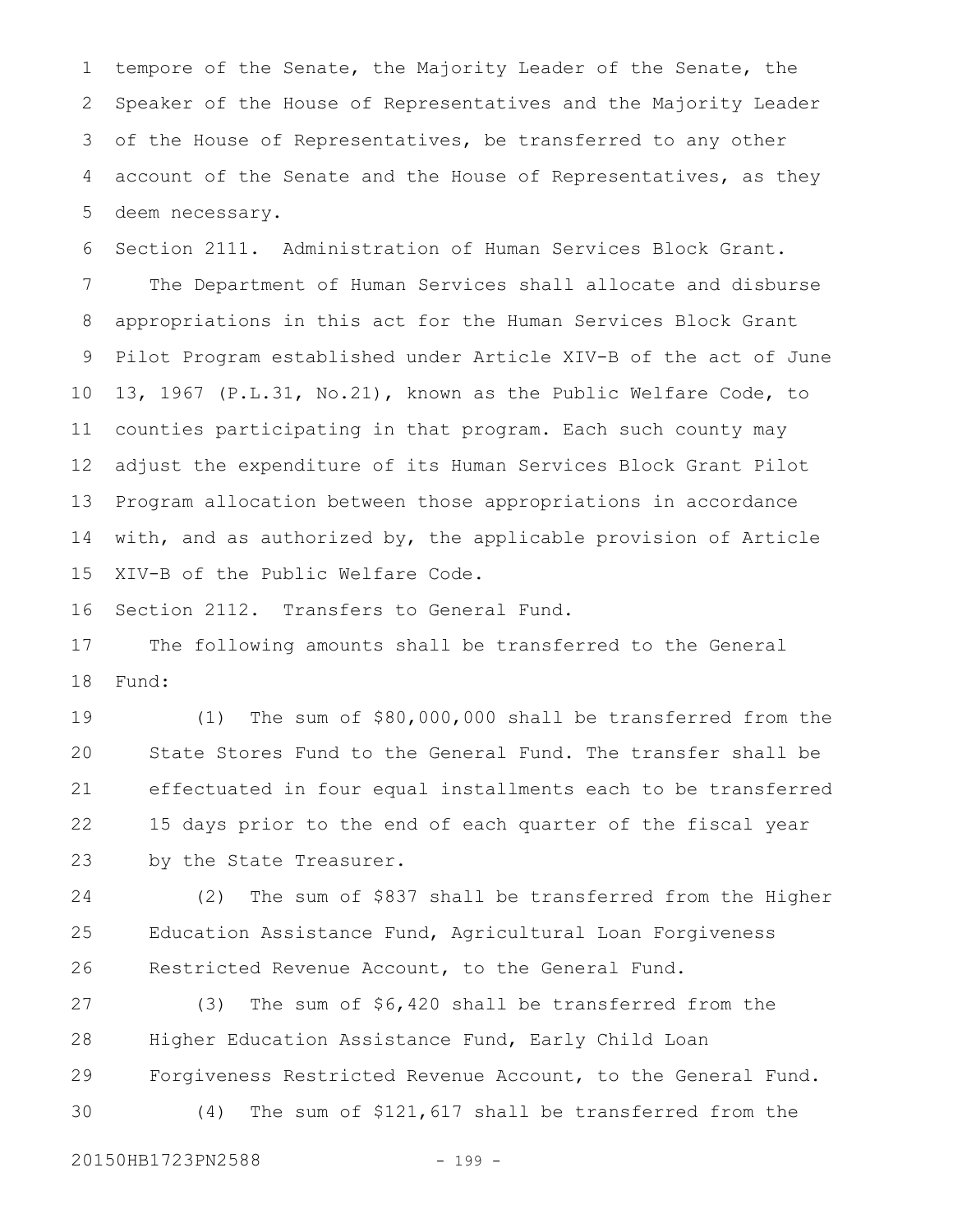tempore of the Senate, the Majority Leader of the Senate, the Speaker of the House of Representatives and the Majority Leader of the House of Representatives, be transferred to any other account of the Senate and the House of Representatives, as they deem necessary. 1 2 3 4 5

Section 2111. Administration of Human Services Block Grant. The Department of Human Services shall allocate and disburse appropriations in this act for the Human Services Block Grant Pilot Program established under Article XIV-B of the act of June 13, 1967 (P.L.31, No.21), known as the Public Welfare Code, to counties participating in that program. Each such county may adjust the expenditure of its Human Services Block Grant Pilot Program allocation between those appropriations in accordance with, and as authorized by, the applicable provision of Article XIV-B of the Public Welfare Code. 6 7 8 9 10 11 12 13 14 15

Section 2112. Transfers to General Fund. 16

The following amounts shall be transferred to the General Fund: 17 18

(1) The sum of \$80,000,000 shall be transferred from the State Stores Fund to the General Fund. The transfer shall be effectuated in four equal installments each to be transferred 15 days prior to the end of each quarter of the fiscal year by the State Treasurer. 19 20 21 22 23

(2) The sum of \$837 shall be transferred from the Higher Education Assistance Fund, Agricultural Loan Forgiveness Restricted Revenue Account, to the General Fund. 24 25 26

(3) The sum of \$6,420 shall be transferred from the Higher Education Assistance Fund, Early Child Loan Forgiveness Restricted Revenue Account, to the General Fund. (4) The sum of \$121,617 shall be transferred from the 27 28 29 30

20150HB1723PN2588 - 199 -